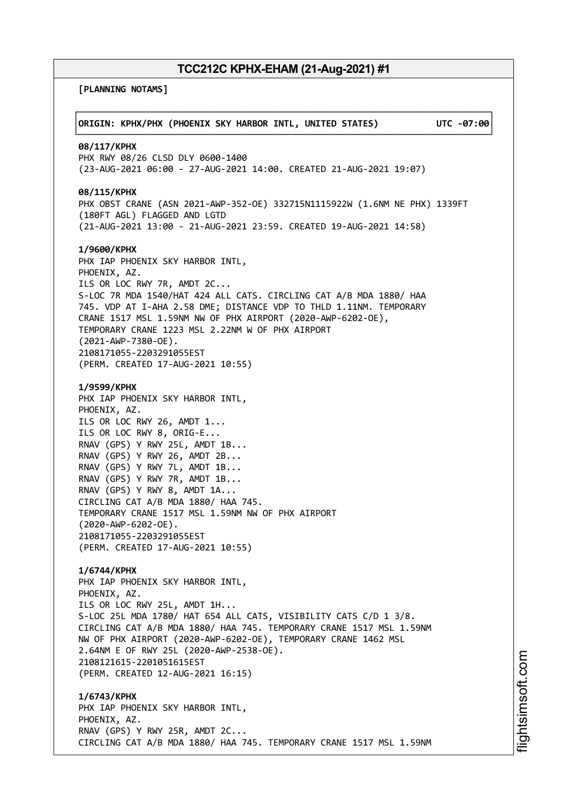**[PLANNING NOTAMS]**

| ORIGIN: KPHX/PHX (PHOENIX SKY HARBOR INTL, UNITED STATES)                                                                                                                                                                                                                                                                                                                                                                                                                             | UTC -07:00 |
|---------------------------------------------------------------------------------------------------------------------------------------------------------------------------------------------------------------------------------------------------------------------------------------------------------------------------------------------------------------------------------------------------------------------------------------------------------------------------------------|------------|
| 08/117/KPHX<br>PHX RWY 08/26 CLSD DLY 0600-1400<br>(23-AUG-2021 06:00 - 27-AUG-2021 14:00. CREATED 21-AUG-2021 19:07)                                                                                                                                                                                                                                                                                                                                                                 |            |
| 08/115/KPHX<br>PHX OBST CRANE (ASN 2021-AWP-352-OE) 332715N1115922W (1.6NM NE PHX) 1339FT<br>(180FT AGL) FLAGGED AND LGTD<br>(21-AUG-2021 13:00 - 21-AUG-2021 23:59. CREATED 19-AUG-2021 14:58)                                                                                                                                                                                                                                                                                       |            |
| 1/9600/KPHX<br>PHX IAP PHOENIX SKY HARBOR INTL,<br>PHOENIX, AZ.<br>ILS OR LOC RWY 7R, AMDT 2C<br>S-LOC 7R MDA 1540/HAT 424 ALL CATS. CIRCLING CAT A/B MDA 1880/ HAA<br>745. VDP AT I-AHA 2.58 DME; DISTANCE VDP TO THLD 1.11NM. TEMPORARY<br>CRANE 1517 MSL 1.59NM NW OF PHX AIRPORT (2020-AWP-6202-OE),<br>TEMPORARY CRANE 1223 MSL 2.22NM W OF PHX AIRPORT<br>$(2021 - AWP - 7380 - OE)$ .<br>2108171055-2203291055EST<br>(PERM. CREATED 17-AUG-2021 10:55)                         |            |
| 1/9599/KPHX<br>PHX IAP PHOENIX SKY HARBOR INTL,<br>PHOENIX, AZ.<br>ILS OR LOC RWY 26, AMDT 1<br>ILS OR LOC RWY 8, ORIG-E<br>RNAV (GPS) Y RWY 25L, AMDT 1B<br>RNAV (GPS) Y RWY 26, AMDT 2B<br>RNAV (GPS) Y RWY 7L, AMDT 1B<br>RNAV (GPS) Y RWY 7R, AMDT 1B<br>RNAV (GPS) Y RWY 8, AMDT 1A<br>CIRCLING CAT A/B MDA 1880/ HAA 745.<br>TEMPORARY CRANE 1517 MSL 1.59NM NW OF PHX AIRPORT<br>$(2020 - AWP - 6202 - OE)$ .<br>2108171055-2203291055EST<br>(PERM. CREATED 17-AUG-2021 10:55) |            |
| 1/6744/KPHX<br>PHX IAP PHOENIX SKY HARBOR INTL,<br>PHOENIX, AZ.<br>ILS OR LOC RWY 25L, AMDT 1H<br>S-LOC 25L MDA 1780/ HAT 654 ALL CATS, VISIBILITY CATS C/D 1 3/8.<br>CIRCLING CAT A/B MDA 1880/ HAA 745. TEMPORARY CRANE 1517 MSL 1.59NM<br>NW OF PHX AIRPORT (2020-AWP-6202-OE), TEMPORARY CRANE 1462 MSL<br>2.64NM E OF RWY 25L (2020-AWP-2538-OE).<br>2108121615-2201051615EST<br>(PERM. CREATED 12-AUG-2021 16:15)                                                               |            |
| 1/6743/KPHX<br>PHX IAP PHOENIX SKY HARBOR INTL,<br>PHOENIX, AZ.<br>RNAV (GPS) Y RWY 25R, AMDT 2C<br>CIRCLING CAT A/B MDA 1880/ HAA 745. TEMPORARY CRANE 1517 MSL 1.59NM                                                                                                                                                                                                                                                                                                               |            |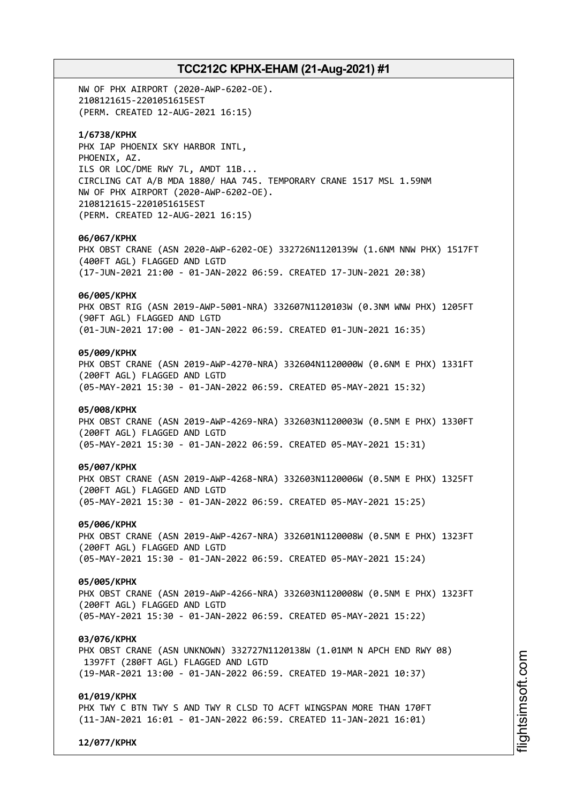NW OF PHX AIRPORT (2020-AWP-6202-OE). 2108121615-2201051615EST (PERM. CREATED 12-AUG-2021 16:15)

### **1/6738/KPHX**

PHX IAP PHOENIX SKY HARBOR INTL, PHOENIX, AZ. ILS OR LOC/DME RWY 7L, AMDT 11B... CIRCLING CAT A/B MDA 1880/ HAA 745. TEMPORARY CRANE 1517 MSL 1.59NM NW OF PHX AIRPORT (2020-AWP-6202-OE). 2108121615-2201051615EST (PERM. CREATED 12-AUG-2021 16:15)

#### **06/067/KPHX**

PHX OBST CRANE (ASN 2020-AWP-6202-OE) 332726N1120139W (1.6NM NNW PHX) 1517FT (400FT AGL) FLAGGED AND LGTD (17-JUN-2021 21:00 - 01-JAN-2022 06:59. CREATED 17-JUN-2021 20:38)

### **06/005/KPHX**

PHX OBST RIG (ASN 2019-AWP-5001-NRA) 332607N1120103W (0.3NM WNW PHX) 1205FT (90FT AGL) FLAGGED AND LGTD (01-JUN-2021 17:00 - 01-JAN-2022 06:59. CREATED 01-JUN-2021 16:35)

### **05/009/KPHX**

PHX OBST CRANE (ASN 2019-AWP-4270-NRA) 332604N1120000W (0.6NM E PHX) 1331FT (200FT AGL) FLAGGED AND LGTD (05-MAY-2021 15:30 - 01-JAN-2022 06:59. CREATED 05-MAY-2021 15:32)

### **05/008/KPHX**

PHX OBST CRANE (ASN 2019-AWP-4269-NRA) 332603N1120003W (0.5NM E PHX) 1330FT (200FT AGL) FLAGGED AND LGTD (05-MAY-2021 15:30 - 01-JAN-2022 06:59. CREATED 05-MAY-2021 15:31)

#### **05/007/KPHX**

PHX OBST CRANE (ASN 2019-AWP-4268-NRA) 332603N1120006W (0.5NM E PHX) 1325FT (200FT AGL) FLAGGED AND LGTD (05-MAY-2021 15:30 - 01-JAN-2022 06:59. CREATED 05-MAY-2021 15:25)

#### **05/006/KPHX**

PHX OBST CRANE (ASN 2019-AWP-4267-NRA) 332601N1120008W (0.5NM E PHX) 1323FT (200FT AGL) FLAGGED AND LGTD (05-MAY-2021 15:30 - 01-JAN-2022 06:59. CREATED 05-MAY-2021 15:24)

### **05/005/KPHX**

PHX OBST CRANE (ASN 2019-AWP-4266-NRA) 332603N1120008W (0.5NM E PHX) 1323FT (200FT AGL) FLAGGED AND LGTD (05-MAY-2021 15:30 - 01-JAN-2022 06:59. CREATED 05-MAY-2021 15:22)

#### **03/076/KPHX**

PHX OBST CRANE (ASN UNKNOWN) 332727N1120138W (1.01NM N APCH END RWY 08) 1397FT (280FT AGL) FLAGGED AND LGTD (19-MAR-2021 13:00 - 01-JAN-2022 06:59. CREATED 19-MAR-2021 10:37)

#### **01/019/KPHX**

PHX TWY C BTN TWY S AND TWY R CLSD TO ACFT WINGSPAN MORE THAN 170FT (11-JAN-2021 16:01 - 01-JAN-2022 06:59. CREATED 11-JAN-2021 16:01)

**12/077/KPHX**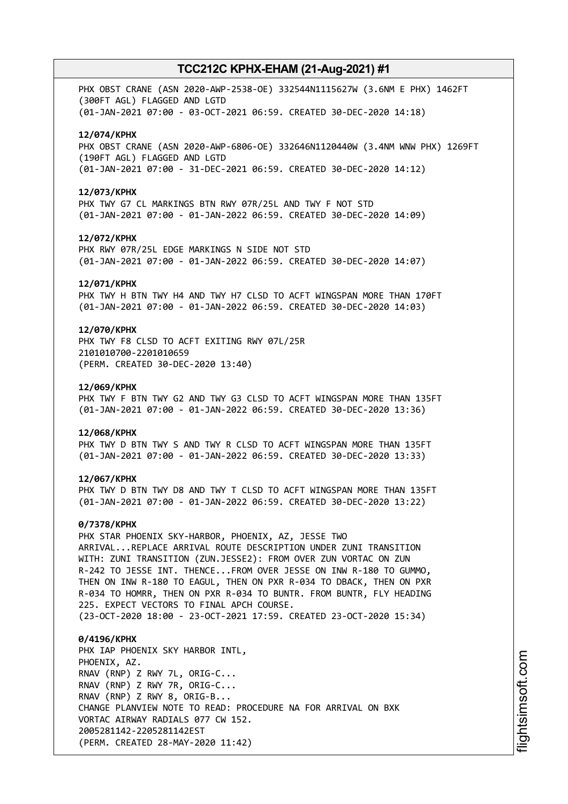PHX OBST CRANE (ASN 2020-AWP-2538-OE) 332544N1115627W (3.6NM E PHX) 1462FT (300FT AGL) FLAGGED AND LGTD (01-JAN-2021 07:00 - 03-OCT-2021 06:59. CREATED 30-DEC-2020 14:18)

#### **12/074/KPHX**

PHX OBST CRANE (ASN 2020-AWP-6806-OE) 332646N1120440W (3.4NM WNW PHX) 1269FT (190FT AGL) FLAGGED AND LGTD (01-JAN-2021 07:00 - 31-DEC-2021 06:59. CREATED 30-DEC-2020 14:12)

#### **12/073/KPHX**

PHX TWY G7 CL MARKINGS BTN RWY 07R/25L AND TWY F NOT STD (01-JAN-2021 07:00 - 01-JAN-2022 06:59. CREATED 30-DEC-2020 14:09)

#### **12/072/KPHX**

PHX RWY 07R/25L EDGE MARKINGS N SIDE NOT STD (01-JAN-2021 07:00 - 01-JAN-2022 06:59. CREATED 30-DEC-2020 14:07)

#### **12/071/KPHX**

PHX TWY H BTN TWY H4 AND TWY H7 CLSD TO ACFT WINGSPAN MORE THAN 170FT (01-JAN-2021 07:00 - 01-JAN-2022 06:59. CREATED 30-DEC-2020 14:03)

### **12/070/KPHX**

PHX TWY F8 CLSD TO ACFT EXITING RWY 07L/25R 2101010700-2201010659 (PERM. CREATED 30-DEC-2020 13:40)

#### **12/069/KPHX**

PHX TWY F BTN TWY G2 AND TWY G3 CLSD TO ACFT WINGSPAN MORE THAN 135FT (01-JAN-2021 07:00 - 01-JAN-2022 06:59. CREATED 30-DEC-2020 13:36)

#### **12/068/KPHX**

PHX TWY D BTN TWY S AND TWY R CLSD TO ACFT WINGSPAN MORE THAN 135FT (01-JAN-2021 07:00 - 01-JAN-2022 06:59. CREATED 30-DEC-2020 13:33)

#### **12/067/KPHX**

PHX TWY D BTN TWY D8 AND TWY T CLSD TO ACFT WINGSPAN MORE THAN 135FT (01-JAN-2021 07:00 - 01-JAN-2022 06:59. CREATED 30-DEC-2020 13:22)

#### **0/7378/KPHX**

PHX STAR PHOENIX SKY-HARBOR, PHOENIX, AZ, JESSE TWO ARRIVAL...REPLACE ARRIVAL ROUTE DESCRIPTION UNDER ZUNI TRANSITION WITH: ZUNI TRANSITION (ZUN.JESSE2): FROM OVER ZUN VORTAC ON ZUN R-242 TO JESSE INT. THENCE...FROM OVER JESSE ON INW R-180 TO GUMMO, THEN ON INW R-180 TO EAGUL, THEN ON PXR R-034 TO DBACK, THEN ON PXR R-034 TO HOMRR, THEN ON PXR R-034 TO BUNTR. FROM BUNTR, FLY HEADING 225. EXPECT VECTORS TO FINAL APCH COURSE.

(23-OCT-2020 18:00 - 23-OCT-2021 17:59. CREATED 23-OCT-2020 15:34)

**0/4196/KPHX** PHX IAP PHOENIX SKY HARBOR INTL, PHOENIX, AZ. RNAV (RNP) Z RWY 7L, ORIG-C... RNAV (RNP) Z RWY 7R, ORIG-C... RNAV (RNP) Z RWY 8, ORIG-B... CHANGE PLANVIEW NOTE TO READ: PROCEDURE NA FOR ARRIVAL ON BXK VORTAC AIRWAY RADIALS 077 CW 152. 2005281142-2205281142EST (PERM. CREATED 28-MAY-2020 11:42)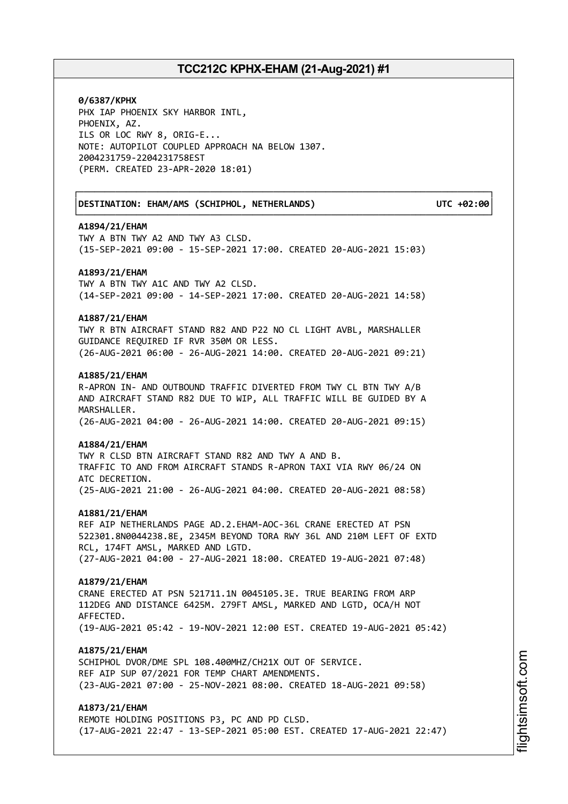┌──────────────────────────────────────────────────────────────────────────────┐

└──────────────────────────────────────────────────────────────────────────────┘

**0/6387/KPHX** PHX IAP PHOENIX SKY HARBOR INTL, PHOENIX, AZ. ILS OR LOC RWY 8, ORIG-E... NOTE: AUTOPILOT COUPLED APPROACH NA BELOW 1307. 2004231759-2204231758EST (PERM. CREATED 23-APR-2020 18:01)

│**DESTINATION: EHAM/AMS (SCHIPHOL, NETHERLANDS) UTC +02:00**│

#### **A1894/21/EHAM**

TWY A BTN TWY A2 AND TWY A3 CLSD. (15-SEP-2021 09:00 - 15-SEP-2021 17:00. CREATED 20-AUG-2021 15:03)

#### **A1893/21/EHAM**

TWY A BTN TWY A1C AND TWY A2 CLSD. (14-SEP-2021 09:00 - 14-SEP-2021 17:00. CREATED 20-AUG-2021 14:58)

### **A1887/21/EHAM**

TWY R BTN AIRCRAFT STAND R82 AND P22 NO CL LIGHT AVBL, MARSHALLER GUIDANCE REQUIRED IF RVR 350M OR LESS. (26-AUG-2021 06:00 - 26-AUG-2021 14:00. CREATED 20-AUG-2021 09:21)

#### **A1885/21/EHAM**

R-APRON IN- AND OUTBOUND TRAFFIC DIVERTED FROM TWY CL BTN TWY A/B AND AIRCRAFT STAND R82 DUE TO WIP, ALL TRAFFIC WILL BE GUIDED BY A MARSHALLER. (26-AUG-2021 04:00 - 26-AUG-2021 14:00. CREATED 20-AUG-2021 09:15)

#### **A1884/21/EHAM**

TWY R CLSD BTN AIRCRAFT STAND R82 AND TWY A AND B. TRAFFIC TO AND FROM AIRCRAFT STANDS R-APRON TAXI VIA RWY 06/24 ON ATC DECRETION. (25-AUG-2021 21:00 - 26-AUG-2021 04:00. CREATED 20-AUG-2021 08:58)

#### **A1881/21/EHAM**

REF AIP NETHERLANDS PAGE AD.2.EHAM-AOC-36L CRANE ERECTED AT PSN 522301.8N0044238.8E, 2345M BEYOND TORA RWY 36L AND 210M LEFT OF EXTD RCL, 174FT AMSL, MARKED AND LGTD. (27-AUG-2021 04:00 - 27-AUG-2021 18:00. CREATED 19-AUG-2021 07:48)

#### **A1879/21/EHAM**

CRANE ERECTED AT PSN 521711.1N 0045105.3E. TRUE BEARING FROM ARP 112DEG AND DISTANCE 6425M. 279FT AMSL, MARKED AND LGTD, OCA/H NOT AFFECTED. (19-AUG-2021 05:42 - 19-NOV-2021 12:00 EST. CREATED 19-AUG-2021 05:42)

#### **A1875/21/EHAM**

SCHIPHOL DVOR/DME SPL 108.400MHZ/CH21X OUT OF SERVICE. REF AIP SUP 07/2021 FOR TEMP CHART AMENDMENTS. (23-AUG-2021 07:00 - 25-NOV-2021 08:00. CREATED 18-AUG-2021 09:58)

### **A1873/21/EHAM**

REMOTE HOLDING POSITIONS P3, PC AND PD CLSD. (17-AUG-2021 22:47 - 13-SEP-2021 05:00 EST. CREATED 17-AUG-2021 22:47)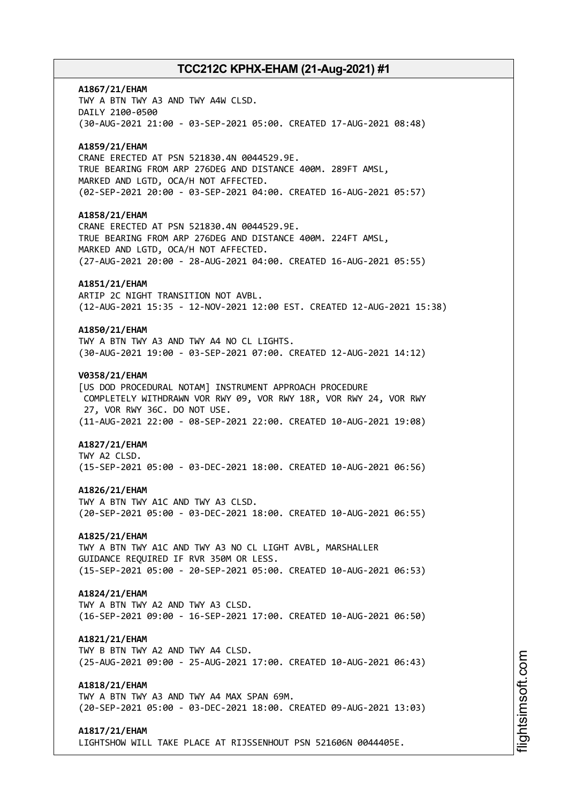# **A1867/21/EHAM** TWY A BTN TWY A3 AND TWY A4W CLSD. DAILY 2100-0500 (30-AUG-2021 21:00 - 03-SEP-2021 05:00. CREATED 17-AUG-2021 08:48) **A1859/21/EHAM** CRANE ERECTED AT PSN 521830.4N 0044529.9E. TRUE BEARING FROM ARP 276DEG AND DISTANCE 400M. 289FT AMSL, MARKED AND LGTD, OCA/H NOT AFFECTED. (02-SEP-2021 20:00 - 03-SEP-2021 04:00. CREATED 16-AUG-2021 05:57) **A1858/21/EHAM** CRANE ERECTED AT PSN 521830.4N 0044529.9E. TRUE BEARING FROM ARP 276DEG AND DISTANCE 400M. 224FT AMSL, MARKED AND LGTD, OCA/H NOT AFFECTED. (27-AUG-2021 20:00 - 28-AUG-2021 04:00. CREATED 16-AUG-2021 05:55) **A1851/21/EHAM** ARTIP 2C NIGHT TRANSITION NOT AVBL. (12-AUG-2021 15:35 - 12-NOV-2021 12:00 EST. CREATED 12-AUG-2021 15:38) **A1850/21/EHAM** TWY A BTN TWY A3 AND TWY A4 NO CL LIGHTS. (30-AUG-2021 19:00 - 03-SEP-2021 07:00. CREATED 12-AUG-2021 14:12) **V0358/21/EHAM** [US DOD PROCEDURAL NOTAM] INSTRUMENT APPROACH PROCEDURE COMPLETELY WITHDRAWN VOR RWY 09, VOR RWY 18R, VOR RWY 24, VOR RWY 27, VOR RWY 36C. DO NOT USE. (11-AUG-2021 22:00 - 08-SEP-2021 22:00. CREATED 10-AUG-2021 19:08) **A1827/21/EHAM** TWY A2 CLSD. (15-SEP-2021 05:00 - 03-DEC-2021 18:00. CREATED 10-AUG-2021 06:56) **A1826/21/EHAM** TWY A BTN TWY A1C AND TWY A3 CLSD. (20-SEP-2021 05:00 - 03-DEC-2021 18:00. CREATED 10-AUG-2021 06:55) **A1825/21/EHAM** TWY A BTN TWY A1C AND TWY A3 NO CL LIGHT AVBL, MARSHALLER GUIDANCE REQUIRED IF RVR 350M OR LESS. (15-SEP-2021 05:00 - 20-SEP-2021 05:00. CREATED 10-AUG-2021 06:53) **A1824/21/EHAM** TWY A BTN TWY A2 AND TWY A3 CLSD. (16-SEP-2021 09:00 - 16-SEP-2021 17:00. CREATED 10-AUG-2021 06:50) **A1821/21/EHAM** TWY B BTN TWY A2 AND TWY A4 CLSD. (25-AUG-2021 09:00 - 25-AUG-2021 17:00. CREATED 10-AUG-2021 06:43) **A1818/21/EHAM** TWY A BTN TWY A3 AND TWY A4 MAX SPAN 69M. (20-SEP-2021 05:00 - 03-DEC-2021 18:00. CREATED 09-AUG-2021 13:03) **A1817/21/EHAM**

LIGHTSHOW WILL TAKE PLACE AT RIJSSENHOUT PSN 521606N 0044405E.

m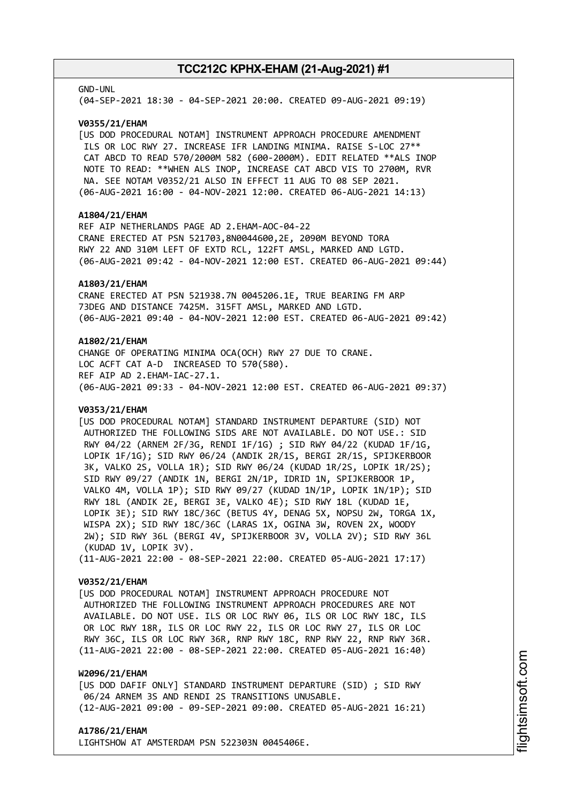#### GND-UNL

(04-SEP-2021 18:30 - 04-SEP-2021 20:00. CREATED 09-AUG-2021 09:19)

#### **V0355/21/EHAM**

[US DOD PROCEDURAL NOTAM] INSTRUMENT APPROACH PROCEDURE AMENDMENT ILS OR LOC RWY 27. INCREASE IFR LANDING MINIMA. RAISE S-LOC 27\*\* CAT ABCD TO READ 570/2000M 582 (600-2000M). EDIT RELATED \*\*ALS INOP NOTE TO READ: \*\*WHEN ALS INOP, INCREASE CAT ABCD VIS TO 2700M, RVR NA. SEE NOTAM V0352/21 ALSO IN EFFECT 11 AUG TO 08 SEP 2021. (06-AUG-2021 16:00 - 04-NOV-2021 12:00. CREATED 06-AUG-2021 14:13)

#### **A1804/21/EHAM**

REF AIP NETHERLANDS PAGE AD 2.EHAM-AOC-04-22 CRANE ERECTED AT PSN 521703,8N0044600,2E, 2090M BEYOND TORA RWY 22 AND 310M LEFT OF EXTD RCL, 122FT AMSL, MARKED AND LGTD. (06-AUG-2021 09:42 - 04-NOV-2021 12:00 EST. CREATED 06-AUG-2021 09:44)

#### **A1803/21/EHAM**

CRANE ERECTED AT PSN 521938.7N 0045206.1E, TRUE BEARING FM ARP 73DEG AND DISTANCE 7425M. 315FT AMSL, MARKED AND LGTD. (06-AUG-2021 09:40 - 04-NOV-2021 12:00 EST. CREATED 06-AUG-2021 09:42)

### **A1802/21/EHAM**

CHANGE OF OPERATING MINIMA OCA(OCH) RWY 27 DUE TO CRANE. LOC ACFT CAT A-D INCREASED TO 570(580). REF AIP AD 2.EHAM-IAC-27.1. (06-AUG-2021 09:33 - 04-NOV-2021 12:00 EST. CREATED 06-AUG-2021 09:37)

#### **V0353/21/EHAM**

[US DOD PROCEDURAL NOTAM] STANDARD INSTRUMENT DEPARTURE (SID) NOT AUTHORIZED THE FOLLOWING SIDS ARE NOT AVAILABLE. DO NOT USE.: SID RWY 04/22 (ARNEM 2F/3G, RENDI 1F/1G) ; SID RWY 04/22 (KUDAD 1F/1G, LOPIK 1F/1G); SID RWY 06/24 (ANDIK 2R/1S, BERGI 2R/1S, SPIJKERBOOR 3K, VALKO 2S, VOLLA 1R); SID RWY 06/24 (KUDAD 1R/2S, LOPIK 1R/2S); SID RWY 09/27 (ANDIK 1N, BERGI 2N/1P, IDRID 1N, SPIJKERBOOR 1P, VALKO 4M, VOLLA 1P); SID RWY 09/27 (KUDAD 1N/1P, LOPIK 1N/1P); SID RWY 18L (ANDIK 2E, BERGI 3E, VALKO 4E); SID RWY 18L (KUDAD 1E, LOPIK 3E); SID RWY 18C/36C (BETUS 4Y, DENAG 5X, NOPSU 2W, TORGA 1X, WISPA 2X); SID RWY 18C/36C (LARAS 1X, OGINA 3W, ROVEN 2X, WOODY 2W); SID RWY 36L (BERGI 4V, SPIJKERBOOR 3V, VOLLA 2V); SID RWY 36L (KUDAD 1V, LOPIK 3V). (11-AUG-2021 22:00 - 08-SEP-2021 22:00. CREATED 05-AUG-2021 17:17)

#### **V0352/21/EHAM**

[US DOD PROCEDURAL NOTAM] INSTRUMENT APPROACH PROCEDURE NOT AUTHORIZED THE FOLLOWING INSTRUMENT APPROACH PROCEDURES ARE NOT AVAILABLE. DO NOT USE. ILS OR LOC RWY 06, ILS OR LOC RWY 18C, ILS OR LOC RWY 18R, ILS OR LOC RWY 22, ILS OR LOC RWY 27, ILS OR LOC RWY 36C, ILS OR LOC RWY 36R, RNP RWY 18C, RNP RWY 22, RNP RWY 36R. (11-AUG-2021 22:00 - 08-SEP-2021 22:00. CREATED 05-AUG-2021 16:40)

### **W2096/21/EHAM**

[US DOD DAFIF ONLY] STANDARD INSTRUMENT DEPARTURE (SID) ; SID RWY 06/24 ARNEM 3S AND RENDI 2S TRANSITIONS UNUSABLE. (12-AUG-2021 09:00 - 09-SEP-2021 09:00. CREATED 05-AUG-2021 16:21)

#### **A1786/21/EHAM**

LIGHTSHOW AT AMSTERDAM PSN 522303N 0045406E.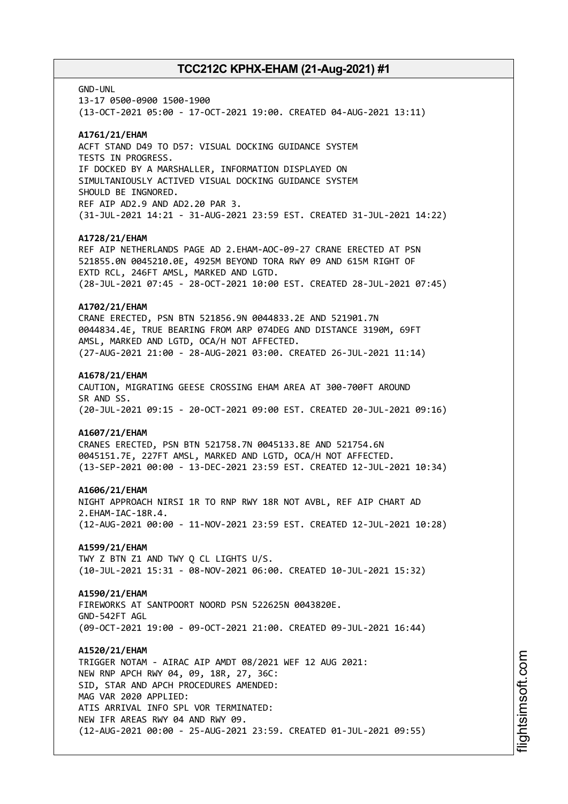GND-UNL

13-17 0500-0900 1500-1900 (13-OCT-2021 05:00 - 17-OCT-2021 19:00. CREATED 04-AUG-2021 13:11)

### **A1761/21/EHAM**

ACFT STAND D49 TO D57: VISUAL DOCKING GUIDANCE SYSTEM TESTS IN PROGRESS. IF DOCKED BY A MARSHALLER, INFORMATION DISPLAYED ON SIMULTANIOUSLY ACTIVED VISUAL DOCKING GUIDANCE SYSTEM SHOULD BE INGNORED. REF AIP AD2.9 AND AD2.20 PAR 3. (31-JUL-2021 14:21 - 31-AUG-2021 23:59 EST. CREATED 31-JUL-2021 14:22)

### **A1728/21/EHAM**

REF AIP NETHERLANDS PAGE AD 2.EHAM-AOC-09-27 CRANE ERECTED AT PSN 521855.0N 0045210.0E, 4925M BEYOND TORA RWY 09 AND 615M RIGHT OF EXTD RCL, 246FT AMSL, MARKED AND LGTD. (28-JUL-2021 07:45 - 28-OCT-2021 10:00 EST. CREATED 28-JUL-2021 07:45)

#### **A1702/21/EHAM**

CRANE ERECTED, PSN BTN 521856.9N 0044833.2E AND 521901.7N 0044834.4E, TRUE BEARING FROM ARP 074DEG AND DISTANCE 3190M, 69FT AMSL, MARKED AND LGTD, OCA/H NOT AFFECTED. (27-AUG-2021 21:00 - 28-AUG-2021 03:00. CREATED 26-JUL-2021 11:14)

#### **A1678/21/EHAM**

CAUTION, MIGRATING GEESE CROSSING EHAM AREA AT 300-700FT AROUND SR AND SS. (20-JUL-2021 09:15 - 20-OCT-2021 09:00 EST. CREATED 20-JUL-2021 09:16)

### **A1607/21/EHAM**

CRANES ERECTED, PSN BTN 521758.7N 0045133.8E AND 521754.6N 0045151.7E, 227FT AMSL, MARKED AND LGTD, OCA/H NOT AFFECTED. (13-SEP-2021 00:00 - 13-DEC-2021 23:59 EST. CREATED 12-JUL-2021 10:34)

#### **A1606/21/EHAM**

NIGHT APPROACH NIRSI 1R TO RNP RWY 18R NOT AVBL, REF AIP CHART AD 2.EHAM-IAC-18R.4. (12-AUG-2021 00:00 - 11-NOV-2021 23:59 EST. CREATED 12-JUL-2021 10:28)

# **A1599/21/EHAM**

TWY Z BTN Z1 AND TWY Q CL LIGHTS U/S. (10-JUL-2021 15:31 - 08-NOV-2021 06:00. CREATED 10-JUL-2021 15:32)

### **A1590/21/EHAM**

FIREWORKS AT SANTPOORT NOORD PSN 522625N 0043820E. GND-542FT AGL (09-OCT-2021 19:00 - 09-OCT-2021 21:00. CREATED 09-JUL-2021 16:44)

#### **A1520/21/EHAM**

TRIGGER NOTAM - AIRAC AIP AMDT 08/2021 WEF 12 AUG 2021: NEW RNP APCH RWY 04, 09, 18R, 27, 36C: SID, STAR AND APCH PROCEDURES AMENDED: MAG VAR 2020 APPLIED: ATIS ARRIVAL INFO SPL VOR TERMINATED: NEW IFR AREAS RWY 04 AND RWY 09. (12-AUG-2021 00:00 - 25-AUG-2021 23:59. CREATED 01-JUL-2021 09:55)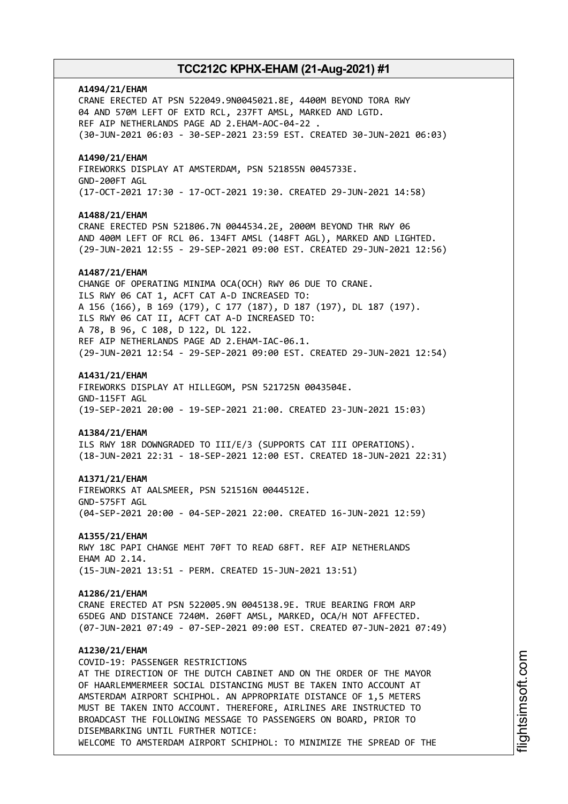### **A1494/21/EHAM**

CRANE ERECTED AT PSN 522049.9N0045021.8E, 4400M BEYOND TORA RWY 04 AND 570M LEFT OF EXTD RCL, 237FT AMSL, MARKED AND LGTD. REF AIP NETHERLANDS PAGE AD 2.EHAM-AOC-04-22 . (30-JUN-2021 06:03 - 30-SEP-2021 23:59 EST. CREATED 30-JUN-2021 06:03)

### **A1490/21/EHAM**

FIREWORKS DISPLAY AT AMSTERDAM, PSN 521855N 0045733E. GND-200FT AGL (17-OCT-2021 17:30 - 17-OCT-2021 19:30. CREATED 29-JUN-2021 14:58)

#### **A1488/21/EHAM**

CRANE ERECTED PSN 521806.7N 0044534.2E, 2000M BEYOND THR RWY 06 AND 400M LEFT OF RCL 06. 134FT AMSL (148FT AGL), MARKED AND LIGHTED. (29-JUN-2021 12:55 - 29-SEP-2021 09:00 EST. CREATED 29-JUN-2021 12:56)

#### **A1487/21/EHAM**

CHANGE OF OPERATING MINIMA OCA(OCH) RWY 06 DUE TO CRANE. ILS RWY 06 CAT 1, ACFT CAT A-D INCREASED TO: A 156 (166), B 169 (179), C 177 (187), D 187 (197), DL 187 (197). ILS RWY 06 CAT II, ACFT CAT A-D INCREASED TO: A 78, B 96, C 108, D 122, DL 122. REF AIP NETHERLANDS PAGE AD 2.EHAM-IAC-06.1. (29-JUN-2021 12:54 - 29-SEP-2021 09:00 EST. CREATED 29-JUN-2021 12:54)

#### **A1431/21/EHAM**

FIREWORKS DISPLAY AT HILLEGOM, PSN 521725N 0043504E. GND-115FT AGL (19-SEP-2021 20:00 - 19-SEP-2021 21:00. CREATED 23-JUN-2021 15:03)

#### **A1384/21/EHAM**

ILS RWY 18R DOWNGRADED TO III/E/3 (SUPPORTS CAT III OPERATIONS). (18-JUN-2021 22:31 - 18-SEP-2021 12:00 EST. CREATED 18-JUN-2021 22:31)

#### **A1371/21/EHAM**

FIREWORKS AT AALSMEER, PSN 521516N 0044512E. GND-575FT AGL (04-SEP-2021 20:00 - 04-SEP-2021 22:00. CREATED 16-JUN-2021 12:59)

#### **A1355/21/EHAM**

RWY 18C PAPI CHANGE MEHT 70FT TO READ 68FT. REF AIP NETHERLANDS EHAM AD 2.14. (15-JUN-2021 13:51 - PERM. CREATED 15-JUN-2021 13:51)

#### **A1286/21/EHAM**

CRANE ERECTED AT PSN 522005.9N 0045138.9E. TRUE BEARING FROM ARP 65DEG AND DISTANCE 7240M. 260FT AMSL, MARKED, OCA/H NOT AFFECTED. (07-JUN-2021 07:49 - 07-SEP-2021 09:00 EST. CREATED 07-JUN-2021 07:49)

### **A1230/21/EHAM**

COVID-19: PASSENGER RESTRICTIONS AT THE DIRECTION OF THE DUTCH CABINET AND ON THE ORDER OF THE MAYOR OF HAARLEMMERMEER SOCIAL DISTANCING MUST BE TAKEN INTO ACCOUNT AT AMSTERDAM AIRPORT SCHIPHOL. AN APPROPRIATE DISTANCE OF 1,5 METERS MUST BE TAKEN INTO ACCOUNT. THEREFORE, AIRLINES ARE INSTRUCTED TO BROADCAST THE FOLLOWING MESSAGE TO PASSENGERS ON BOARD, PRIOR TO DISEMBARKING UNTIL FURTHER NOTICE: WELCOME TO AMSTERDAM AIRPORT SCHIPHOL: TO MINIMIZE THE SPREAD OF THE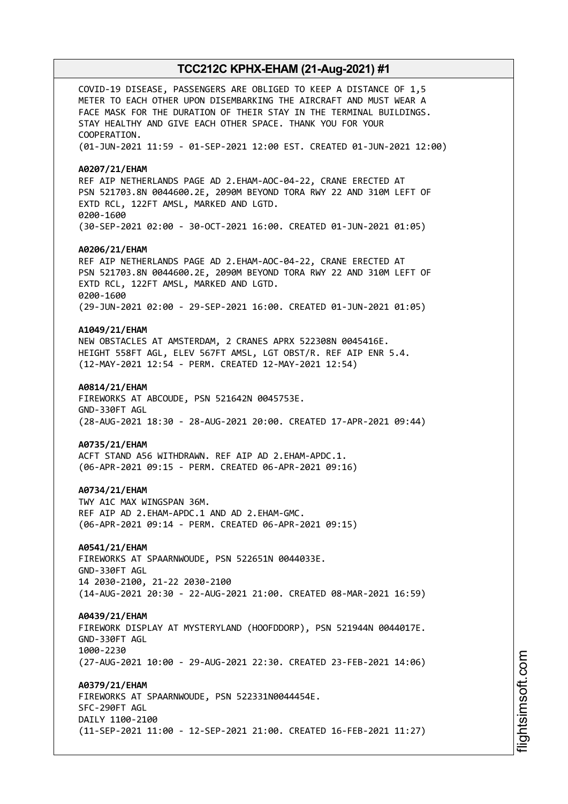COVID-19 DISEASE, PASSENGERS ARE OBLIGED TO KEEP A DISTANCE OF 1,5 METER TO EACH OTHER UPON DISEMBARKING THE AIRCRAFT AND MUST WEAR A FACE MASK FOR THE DURATION OF THEIR STAY IN THE TERMINAL BUILDINGS. STAY HEALTHY AND GIVE EACH OTHER SPACE. THANK YOU FOR YOUR COOPERATION. (01-JUN-2021 11:59 - 01-SEP-2021 12:00 EST. CREATED 01-JUN-2021 12:00) **A0207/21/EHAM** REF AIP NETHERLANDS PAGE AD 2.EHAM-AOC-04-22, CRANE ERECTED AT PSN 521703.8N 0044600.2E, 2090M BEYOND TORA RWY 22 AND 310M LEFT OF EXTD RCL, 122FT AMSL, MARKED AND LGTD. 0200-1600 (30-SEP-2021 02:00 - 30-OCT-2021 16:00. CREATED 01-JUN-2021 01:05) **A0206/21/EHAM** REF AIP NETHERLANDS PAGE AD 2.EHAM-AOC-04-22, CRANE ERECTED AT PSN 521703.8N 0044600.2E, 2090M BEYOND TORA RWY 22 AND 310M LEFT OF EXTD RCL, 122FT AMSL, MARKED AND LGTD. 0200-1600 (29-JUN-2021 02:00 - 29-SEP-2021 16:00. CREATED 01-JUN-2021 01:05) **A1049/21/EHAM** NEW OBSTACLES AT AMSTERDAM, 2 CRANES APRX 522308N 0045416E. HEIGHT 558FT AGL, ELEV 567FT AMSL, LGT OBST/R. REF AIP ENR 5.4. (12-MAY-2021 12:54 - PERM. CREATED 12-MAY-2021 12:54) **A0814/21/EHAM** FIREWORKS AT ABCOUDE, PSN 521642N 0045753E. GND-330FT AGL (28-AUG-2021 18:30 - 28-AUG-2021 20:00. CREATED 17-APR-2021 09:44) **A0735/21/EHAM** ACFT STAND A56 WITHDRAWN. REF AIP AD 2.EHAM-APDC.1. (06-APR-2021 09:15 - PERM. CREATED 06-APR-2021 09:16) **A0734/21/EHAM** TWY A1C MAX WINGSPAN 36M. REF AIP AD 2.EHAM-APDC.1 AND AD 2.EHAM-GMC. (06-APR-2021 09:14 - PERM. CREATED 06-APR-2021 09:15) **A0541/21/EHAM** FIREWORKS AT SPAARNWOUDE, PSN 522651N 0044033E. GND-330FT AGL 14 2030-2100, 21-22 2030-2100 (14-AUG-2021 20:30 - 22-AUG-2021 21:00. CREATED 08-MAR-2021 16:59) **A0439/21/EHAM** FIREWORK DISPLAY AT MYSTERYLAND (HOOFDDORP), PSN 521944N 0044017E. GND-330FT AGL 1000-2230 (27-AUG-2021 10:00 - 29-AUG-2021 22:30. CREATED 23-FEB-2021 14:06) **A0379/21/EHAM** FIREWORKS AT SPAARNWOUDE, PSN 522331N0044454E. SFC-290FT AGL DAILY 1100-2100 (11-SEP-2021 11:00 - 12-SEP-2021 21:00. CREATED 16-FEB-2021 11:27)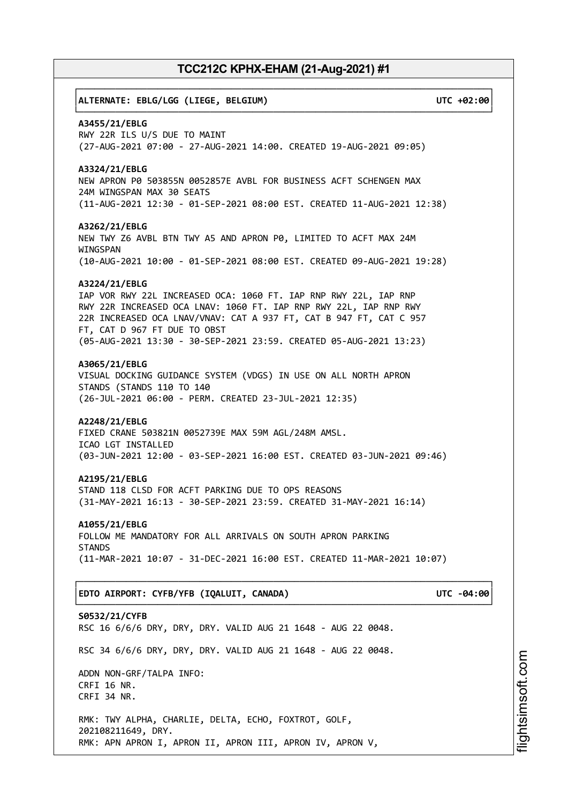# ┌──────────────────────────────────────────────────────────────────────────────┐ │**ALTERNATE: EBLG/LGG (LIEGE, BELGIUM) UTC +02:00**│ └──────────────────────────────────────────────────────────────────────────────┘ **A3455/21/EBLG** RWY 22R ILS U/S DUE TO MAINT (27-AUG-2021 07:00 - 27-AUG-2021 14:00. CREATED 19-AUG-2021 09:05) **A3324/21/EBLG** NEW APRON P0 503855N 0052857E AVBL FOR BUSINESS ACFT SCHENGEN MAX 24M WINGSPAN MAX 30 SEATS (11-AUG-2021 12:30 - 01-SEP-2021 08:00 EST. CREATED 11-AUG-2021 12:38) **A3262/21/EBLG** NEW TWY Z6 AVBL BTN TWY A5 AND APRON P0, LIMITED TO ACFT MAX 24M WINGSPAN (10-AUG-2021 10:00 - 01-SEP-2021 08:00 EST. CREATED 09-AUG-2021 19:28) **A3224/21/EBLG** IAP VOR RWY 22L INCREASED OCA: 1060 FT. IAP RNP RWY 22L, IAP RNP RWY 22R INCREASED OCA LNAV: 1060 FT. IAP RNP RWY 22L, IAP RNP RWY 22R INCREASED OCA LNAV/VNAV: CAT A 937 FT, CAT B 947 FT, CAT C 957 FT, CAT D 967 FT DUE TO OBST (05-AUG-2021 13:30 - 30-SEP-2021 23:59. CREATED 05-AUG-2021 13:23) **A3065/21/EBLG** VISUAL DOCKING GUIDANCE SYSTEM (VDGS) IN USE ON ALL NORTH APRON STANDS (STANDS 110 TO 140 (26-JUL-2021 06:00 - PERM. CREATED 23-JUL-2021 12:35) **A2248/21/EBLG** FIXED CRANE 503821N 0052739E MAX 59M AGL/248M AMSL. ICAO LGT INSTALLED (03-JUN-2021 12:00 - 03-SEP-2021 16:00 EST. CREATED 03-JUN-2021 09:46) **A2195/21/EBLG** STAND 118 CLSD FOR ACFT PARKING DUE TO OPS REASONS (31-MAY-2021 16:13 - 30-SEP-2021 23:59. CREATED 31-MAY-2021 16:14) **A1055/21/EBLG** FOLLOW ME MANDATORY FOR ALL ARRIVALS ON SOUTH APRON PARKING **STANDS** (11-MAR-2021 10:07 - 31-DEC-2021 16:00 EST. CREATED 11-MAR-2021 10:07) ┌──────────────────────────────────────────────────────────────────────────────┐ │**EDTO AIRPORT: CYFB/YFB (IQALUIT, CANADA) UTC -04:00**│ └──────────────────────────────────────────────────────────────────────────────┘ **S0532/21/CYFB** RSC 16 6/6/6 DRY, DRY, DRY. VALID AUG 21 1648 - AUG 22 0048. RSC 34 6/6/6 DRY, DRY, DRY. VALID AUG 21 1648 - AUG 22 0048. ADDN NON-GRF/TALPA INFO: CRFI 16 NR. CRFI 34 NR. RMK: TWY ALPHA, CHARLIE, DELTA, ECHO, FOXTROT, GOLF, 202108211649, DRY. RMK: APN APRON I, APRON II, APRON III, APRON IV, APRON V,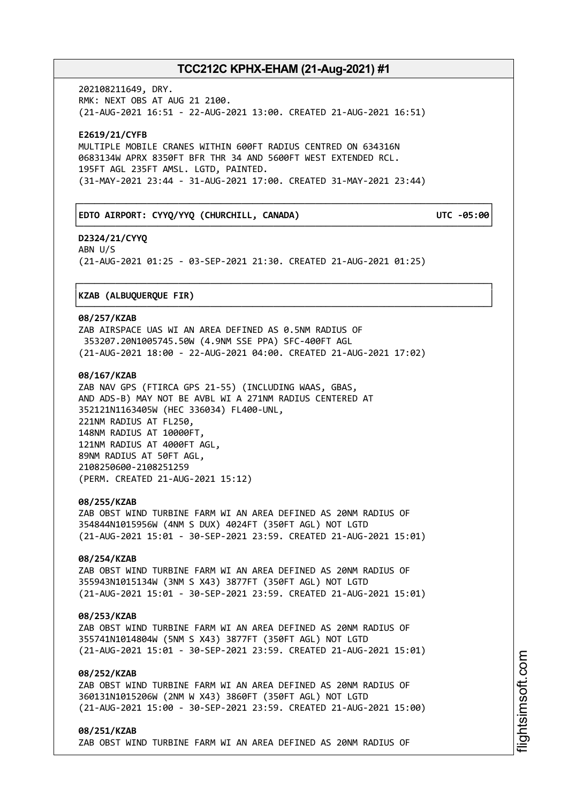┌──────────────────────────────────────────────────────────────────────────────┐

└──────────────────────────────────────────────────────────────────────────────┘

┌──────────────────────────────────────────────────────────────────────────────┐

└──────────────────────────────────────────────────────────────────────────────┘

202108211649, DRY. RMK: NEXT OBS AT AUG 21 2100. (21-AUG-2021 16:51 - 22-AUG-2021 13:00. CREATED 21-AUG-2021 16:51)

**E2619/21/CYFB** MULTIPLE MOBILE CRANES WITHIN 600FT RADIUS CENTRED ON 634316N 0683134W APRX 8350FT BFR THR 34 AND 5600FT WEST EXTENDED RCL. 195FT AGL 235FT AMSL. LGTD, PAINTED. (31-MAY-2021 23:44 - 31-AUG-2021 17:00. CREATED 31-MAY-2021 23:44)

### │**EDTO AIRPORT: CYYQ/YYQ (CHURCHILL, CANADA) UTC -05:00**│

**D2324/21/CYYQ** ABN U/S (21-AUG-2021 01:25 - 03-SEP-2021 21:30. CREATED 21-AUG-2021 01:25)

### │**KZAB (ALBUQUERQUE FIR)** │

#### **08/257/KZAB**

ZAB AIRSPACE UAS WI AN AREA DEFINED AS 0.5NM RADIUS OF 353207.20N1005745.50W (4.9NM SSE PPA) SFC-400FT AGL (21-AUG-2021 18:00 - 22-AUG-2021 04:00. CREATED 21-AUG-2021 17:02)

### **08/167/KZAB**

ZAB NAV GPS (FTIRCA GPS 21-55) (INCLUDING WAAS, GBAS, AND ADS-B) MAY NOT BE AVBL WI A 271NM RADIUS CENTERED AT 352121N1163405W (HEC 336034) FL400-UNL, 221NM RADIUS AT FL250, 148NM RADIUS AT 10000FT, 121NM RADIUS AT 4000FT AGL, 89NM RADIUS AT 50FT AGL, 2108250600-2108251259 (PERM. CREATED 21-AUG-2021 15:12)

### **08/255/KZAB**

ZAB OBST WIND TURBINE FARM WI AN AREA DEFINED AS 20NM RADIUS OF 354844N1015956W (4NM S DUX) 4024FT (350FT AGL) NOT LGTD (21-AUG-2021 15:01 - 30-SEP-2021 23:59. CREATED 21-AUG-2021 15:01)

### **08/254/KZAB**

ZAB OBST WIND TURBINE FARM WI AN AREA DEFINED AS 20NM RADIUS OF 355943N1015134W (3NM S X43) 3877FT (350FT AGL) NOT LGTD (21-AUG-2021 15:01 - 30-SEP-2021 23:59. CREATED 21-AUG-2021 15:01)

### **08/253/KZAB**

ZAB OBST WIND TURBINE FARM WI AN AREA DEFINED AS 20NM RADIUS OF 355741N1014804W (5NM S X43) 3877FT (350FT AGL) NOT LGTD (21-AUG-2021 15:01 - 30-SEP-2021 23:59. CREATED 21-AUG-2021 15:01)

### **08/252/KZAB**

ZAB OBST WIND TURBINE FARM WI AN AREA DEFINED AS 20NM RADIUS OF 360131N1015206W (2NM W X43) 3860FT (350FT AGL) NOT LGTD (21-AUG-2021 15:00 - 30-SEP-2021 23:59. CREATED 21-AUG-2021 15:00)

**08/251/KZAB** ZAB OBST WIND TURBINE FARM WI AN AREA DEFINED AS 20NM RADIUS OF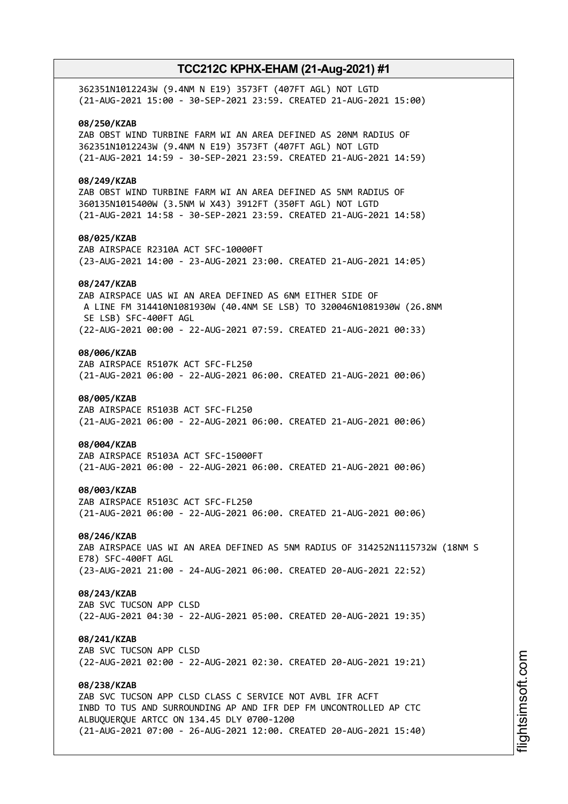| 362351N1012243W (9.4NM N E19) 3573FT (407FT AGL) NOT LGTD<br>(21-AUG-2021 15:00 - 30-SEP-2021 23:59. CREATED 21-AUG-2021 15:00)                                                                                                                                  |
|------------------------------------------------------------------------------------------------------------------------------------------------------------------------------------------------------------------------------------------------------------------|
| 08/250/KZAB<br>ZAB OBST WIND TURBINE FARM WI AN AREA DEFINED AS 20NM RADIUS OF<br>362351N1012243W (9.4NM N E19) 3573FT (407FT AGL) NOT LGTD<br>(21-AUG-2021 14:59 - 30-SEP-2021 23:59. CREATED 21-AUG-2021 14:59)                                                |
| 08/249/KZAB<br>ZAB OBST WIND TURBINE FARM WI AN AREA DEFINED AS 5NM RADIUS OF<br>360135N1015400W (3.5NM W X43) 3912FT (350FT AGL) NOT LGTD<br>(21-AUG-2021 14:58 - 30-SEP-2021 23:59. CREATED 21-AUG-2021 14:58)                                                 |
| 08/025/KZAB<br>ZAB AIRSPACE R2310A ACT SFC-10000FT<br>(23-AUG-2021 14:00 - 23-AUG-2021 23:00. CREATED 21-AUG-2021 14:05)                                                                                                                                         |
| 08/247/KZAB<br>ZAB AIRSPACE UAS WI AN AREA DEFINED AS 6NM EITHER SIDE OF<br>A LINE FM 314410N1081930W (40.4NM SE LSB) TO 320046N1081930W (26.8NM<br>SE LSB) SFC-400FT AGL                                                                                        |
| (22-AUG-2021 00:00 - 22-AUG-2021 07:59. CREATED 21-AUG-2021 00:33)<br>08/006/KZAB                                                                                                                                                                                |
| ZAB AIRSPACE R5107K ACT SFC-FL250<br>(21-AUG-2021 06:00 - 22-AUG-2021 06:00. CREATED 21-AUG-2021 00:06)                                                                                                                                                          |
| 08/005/KZAB<br>ZAB AIRSPACE R5103B ACT SFC-FL250<br>(21-AUG-2021 06:00 - 22-AUG-2021 06:00. CREATED 21-AUG-2021 00:06)                                                                                                                                           |
| 08/004/KZAB<br>ZAB AIRSPACE R5103A ACT SFC-15000FT<br>(21-AUG-2021 06:00 - 22-AUG-2021 06:00. CREATED 21-AUG-2021 00:06)                                                                                                                                         |
| 08/003/KZAB<br>ZAB AIRSPACE R5103C ACT SFC-FL250<br>(21-AUG-2021 06:00 - 22-AUG-2021 06:00. CREATED 21-AUG-2021 00:06)                                                                                                                                           |
| 08/246/KZAB<br>ZAB AIRSPACE UAS WI AN AREA DEFINED AS 5NM RADIUS OF 314252N1115732W (18NM S<br>E78) SFC-400FT AGL                                                                                                                                                |
| (23-AUG-2021 21:00 - 24-AUG-2021 06:00. CREATED 20-AUG-2021 22:52)                                                                                                                                                                                               |
| 08/243/KZAB<br>ZAB SVC TUCSON APP CLSD<br>(22-AUG-2021 04:30 - 22-AUG-2021 05:00. CREATED 20-AUG-2021 19:35)                                                                                                                                                     |
| 08/241/KZAB<br>ZAB SVC TUCSON APP CLSD<br>(22-AUG-2021 02:00 - 22-AUG-2021 02:30. CREATED 20-AUG-2021 19:21)                                                                                                                                                     |
| 08/238/KZAB<br>ZAB SVC TUCSON APP CLSD CLASS C SERVICE NOT AVBL IFR ACFT<br>INBD TO TUS AND SURROUNDING AP AND IFR DEP FM UNCONTROLLED AP CTC<br>ALBUQUERQUE ARTCC ON 134.45 DLY 0700-1200<br>(21-AUG-2021 07:00 - 26-AUG-2021 12:00. CREATED 20-AUG-2021 15:40) |
|                                                                                                                                                                                                                                                                  |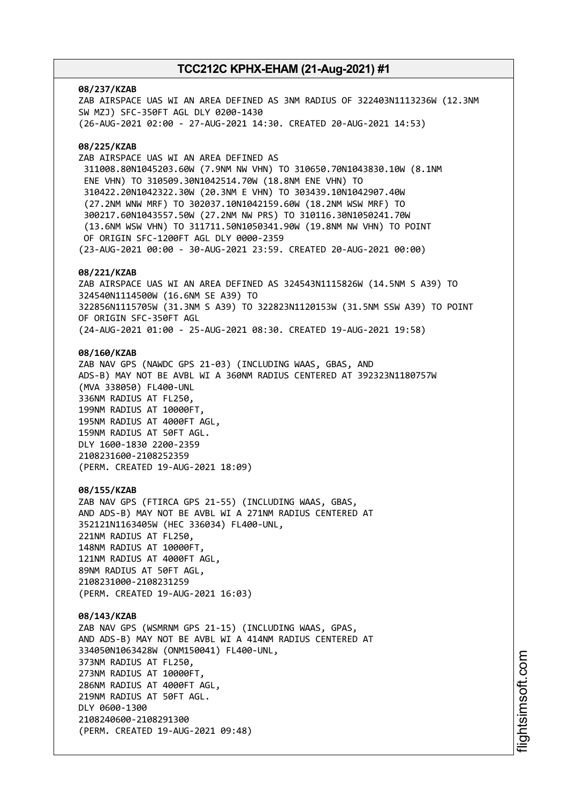#### **08/237/KZAB**

ZAB AIRSPACE UAS WI AN AREA DEFINED AS 3NM RADIUS OF 322403N1113236W (12.3NM SW MZJ) SFC-350FT AGL DLY 0200-1430 (26-AUG-2021 02:00 - 27-AUG-2021 14:30. CREATED 20-AUG-2021 14:53)

### **08/225/KZAB**

ZAB AIRSPACE UAS WI AN AREA DEFINED AS 311008.80N1045203.60W (7.9NM NW VHN) TO 310650.70N1043830.10W (8.1NM ENE VHN) TO 310509.30N1042514.70W (18.8NM ENE VHN) TO 310422.20N1042322.30W (20.3NM E VHN) TO 303439.10N1042907.40W (27.2NM WNW MRF) TO 302037.10N1042159.60W (18.2NM WSW MRF) TO 300217.60N1043557.50W (27.2NM NW PRS) TO 310116.30N1050241.70W (13.6NM WSW VHN) TO 311711.50N1050341.90W (19.8NM NW VHN) TO POINT OF ORIGIN SFC-1200FT AGL DLY 0000-2359 (23-AUG-2021 00:00 - 30-AUG-2021 23:59. CREATED 20-AUG-2021 00:00)

### **08/221/KZAB**

ZAB AIRSPACE UAS WI AN AREA DEFINED AS 324543N1115826W (14.5NM S A39) TO 324540N1114500W (16.6NM SE A39) TO 322856N1115705W (31.3NM S A39) TO 322823N1120153W (31.5NM SSW A39) TO POINT OF ORIGIN SFC-350FT AGL (24-AUG-2021 01:00 - 25-AUG-2021 08:30. CREATED 19-AUG-2021 19:58)

### **08/160/KZAB**

ZAB NAV GPS (NAWDC GPS 21-03) (INCLUDING WAAS, GBAS, AND ADS-B) MAY NOT BE AVBL WI A 360NM RADIUS CENTERED AT 392323N1180757W (MVA 338050) FL400-UNL 336NM RADIUS AT FL250, 199NM RADIUS AT 10000FT, 195NM RADIUS AT 4000FT AGL, 159NM RADIUS AT 50FT AGL. DLY 1600-1830 2200-2359 2108231600-2108252359 (PERM. CREATED 19-AUG-2021 18:09)

#### **08/155/KZAB**

ZAB NAV GPS (FTIRCA GPS 21-55) (INCLUDING WAAS, GBAS, AND ADS-B) MAY NOT BE AVBL WI A 271NM RADIUS CENTERED AT 352121N1163405W (HEC 336034) FL400-UNL, 221NM RADIUS AT FL250, 148NM RADIUS AT 10000FT, 121NM RADIUS AT 4000FT AGL, 89NM RADIUS AT 50FT AGL, 2108231000-2108231259 (PERM. CREATED 19-AUG-2021 16:03)

### **08/143/KZAB**

ZAB NAV GPS (WSMRNM GPS 21-15) (INCLUDING WAAS, GPAS, AND ADS-B) MAY NOT BE AVBL WI A 414NM RADIUS CENTERED AT 334050N1063428W (ONM150041) FL400-UNL, 373NM RADIUS AT FL250, 273NM RADIUS AT 10000FT, 286NM RADIUS AT 4000FT AGL, 219NM RADIUS AT 50FT AGL. DLY 0600-1300 2108240600-2108291300 (PERM. CREATED 19-AUG-2021 09:48)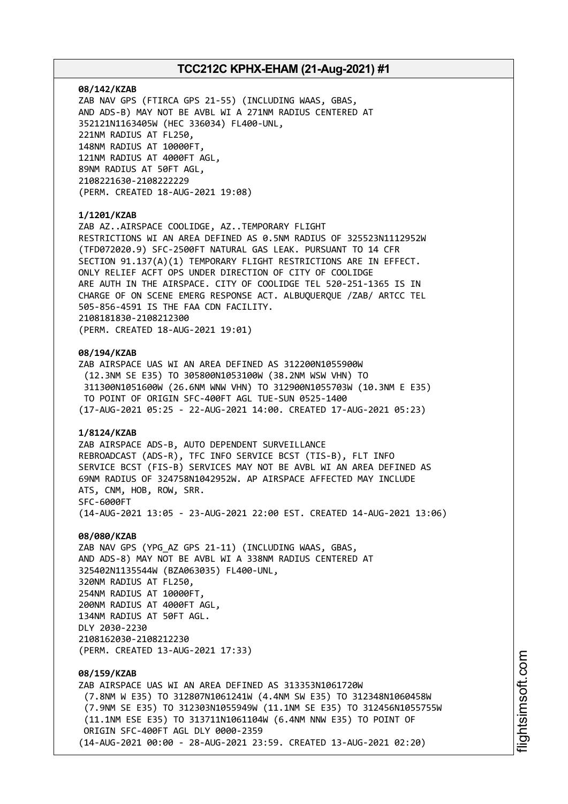#### **08/142/KZAB**

ZAB NAV GPS (FTIRCA GPS 21-55) (INCLUDING WAAS, GBAS, AND ADS-B) MAY NOT BE AVBL WI A 271NM RADIUS CENTERED AT 352121N1163405W (HEC 336034) FL400-UNL, 221NM RADIUS AT FL250, 148NM RADIUS AT 10000FT, 121NM RADIUS AT 4000FT AGL, 89NM RADIUS AT 50FT AGL, 2108221630-2108222229 (PERM. CREATED 18-AUG-2021 19:08)

### **1/1201/KZAB**

ZAB AZ..AIRSPACE COOLIDGE, AZ..TEMPORARY FLIGHT RESTRICTIONS WI AN AREA DEFINED AS 0.5NM RADIUS OF 325523N1112952W (TFD072020.9) SFC-2500FT NATURAL GAS LEAK. PURSUANT TO 14 CFR SECTION 91.137(A)(1) TEMPORARY FLIGHT RESTRICTIONS ARE IN EFFECT. ONLY RELIEF ACFT OPS UNDER DIRECTION OF CITY OF COOLIDGE ARE AUTH IN THE AIRSPACE. CITY OF COOLIDGE TEL 520-251-1365 IS IN CHARGE OF ON SCENE EMERG RESPONSE ACT. ALBUQUERQUE /ZAB/ ARTCC TEL 505-856-4591 IS THE FAA CDN FACILITY. 2108181830-2108212300 (PERM. CREATED 18-AUG-2021 19:01)

#### **08/194/KZAB**

ZAB AIRSPACE UAS WI AN AREA DEFINED AS 312200N1055900W (12.3NM SE E35) TO 305800N1053100W (38.2NM WSW VHN) TO 311300N1051600W (26.6NM WNW VHN) TO 312900N1055703W (10.3NM E E35) TO POINT OF ORIGIN SFC-400FT AGL TUE-SUN 0525-1400 (17-AUG-2021 05:25 - 22-AUG-2021 14:00. CREATED 17-AUG-2021 05:23)

### **1/8124/KZAB**

ZAB AIRSPACE ADS-B, AUTO DEPENDENT SURVEILLANCE REBROADCAST (ADS-R), TFC INFO SERVICE BCST (TIS-B), FLT INFO SERVICE BCST (FIS-B) SERVICES MAY NOT BE AVBL WI AN AREA DEFINED AS 69NM RADIUS OF 324758N1042952W. AP AIRSPACE AFFECTED MAY INCLUDE ATS, CNM, HOB, ROW, SRR. SFC-6000FT (14-AUG-2021 13:05 - 23-AUG-2021 22:00 EST. CREATED 14-AUG-2021 13:06)

#### **08/080/KZAB**

ZAB NAV GPS (YPG\_AZ GPS 21-11) (INCLUDING WAAS, GBAS, AND ADS-8) MAY NOT BE AVBL WI A 338NM RADIUS CENTERED AT 325402N1135544W (BZA063035) FL400-UNL, 320NM RADIUS AT FL250, 254NM RADIUS AT 10000FT, 200NM RADIUS AT 4000FT AGL, 134NM RADIUS AT 50FT AGL. DLY 2030-2230 2108162030-2108212230 (PERM. CREATED 13-AUG-2021 17:33)

# **08/159/KZAB**

ZAB AIRSPACE UAS WI AN AREA DEFINED AS 313353N1061720W (7.8NM W E35) TO 312807N1061241W (4.4NM SW E35) TO 312348N1060458W (7.9NM SE E35) TO 312303N1055949W (11.1NM SE E35) TO 312456N1055755W (11.1NM ESE E35) TO 313711N1061104W (6.4NM NNW E35) TO POINT OF ORIGIN SFC-400FT AGL DLY 0000-2359 (14-AUG-2021 00:00 - 28-AUG-2021 23:59. CREATED 13-AUG-2021 02:20)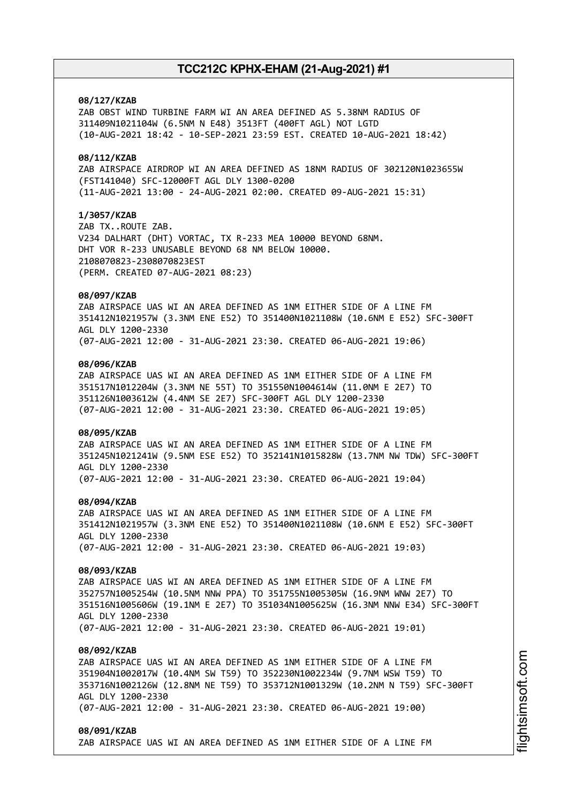### **08/127/KZAB**

ZAB OBST WIND TURBINE FARM WI AN AREA DEFINED AS 5.38NM RADIUS OF 311409N1021104W (6.5NM N E48) 3513FT (400FT AGL) NOT LGTD (10-AUG-2021 18:42 - 10-SEP-2021 23:59 EST. CREATED 10-AUG-2021 18:42)

### **08/112/KZAB**

ZAB AIRSPACE AIRDROP WI AN AREA DEFINED AS 18NM RADIUS OF 302120N1023655W (FST141040) SFC-12000FT AGL DLY 1300-0200 (11-AUG-2021 13:00 - 24-AUG-2021 02:00. CREATED 09-AUG-2021 15:31)

### **1/3057/KZAB**

ZAB TX..ROUTE ZAB. V234 DALHART (DHT) VORTAC, TX R-233 MEA 10000 BEYOND 68NM. DHT VOR R-233 UNUSABLE BEYOND 68 NM BELOW 10000. 2108070823-2308070823EST (PERM. CREATED 07-AUG-2021 08:23)

### **08/097/KZAB**

ZAB AIRSPACE UAS WI AN AREA DEFINED AS 1NM EITHER SIDE OF A LINE FM 351412N1021957W (3.3NM ENE E52) TO 351400N1021108W (10.6NM E E52) SFC-300FT AGL DLY 1200-2330 (07-AUG-2021 12:00 - 31-AUG-2021 23:30. CREATED 06-AUG-2021 19:06)

### **08/096/KZAB**

ZAB AIRSPACE UAS WI AN AREA DEFINED AS 1NM EITHER SIDE OF A LINE FM 351517N1012204W (3.3NM NE 55T) TO 351550N1004614W (11.0NM E 2E7) TO 351126N1003612W (4.4NM SE 2E7) SFC-300FT AGL DLY 1200-2330 (07-AUG-2021 12:00 - 31-AUG-2021 23:30. CREATED 06-AUG-2021 19:05)

#### **08/095/KZAB**

ZAB AIRSPACE UAS WI AN AREA DEFINED AS 1NM EITHER SIDE OF A LINE FM 351245N1021241W (9.5NM ESE E52) TO 352141N1015828W (13.7NM NW TDW) SFC-300FT AGL DLY 1200-2330 (07-AUG-2021 12:00 - 31-AUG-2021 23:30. CREATED 06-AUG-2021 19:04)

#### **08/094/KZAB**

ZAB AIRSPACE UAS WI AN AREA DEFINED AS 1NM EITHER SIDE OF A LINE FM 351412N1021957W (3.3NM ENE E52) TO 351400N1021108W (10.6NM E E52) SFC-300FT AGL DLY 1200-2330 (07-AUG-2021 12:00 - 31-AUG-2021 23:30. CREATED 06-AUG-2021 19:03)

#### **08/093/KZAB**

ZAB AIRSPACE UAS WI AN AREA DEFINED AS 1NM EITHER SIDE OF A LINE FM 352757N1005254W (10.5NM NNW PPA) TO 351755N1005305W (16.9NM WNW 2E7) TO 351516N1005606W (19.1NM E 2E7) TO 351034N1005625W (16.3NM NNW E34) SFC-300FT AGL DLY 1200-2330 (07-AUG-2021 12:00 - 31-AUG-2021 23:30. CREATED 06-AUG-2021 19:01)

#### **08/092/KZAB**

ZAB AIRSPACE UAS WI AN AREA DEFINED AS 1NM EITHER SIDE OF A LINE FM 351904N1002017W (10.4NM SW T59) TO 352230N1002234W (9.7NM WSW T59) TO 353716N1002126W (12.8NM NE T59) TO 353712N1001329W (10.2NM N T59) SFC-300FT AGL DLY 1200-2330 (07-AUG-2021 12:00 - 31-AUG-2021 23:30. CREATED 06-AUG-2021 19:00)

#### **08/091/KZAB**

ZAB AIRSPACE UAS WI AN AREA DEFINED AS 1NM EITHER SIDE OF A LINE FM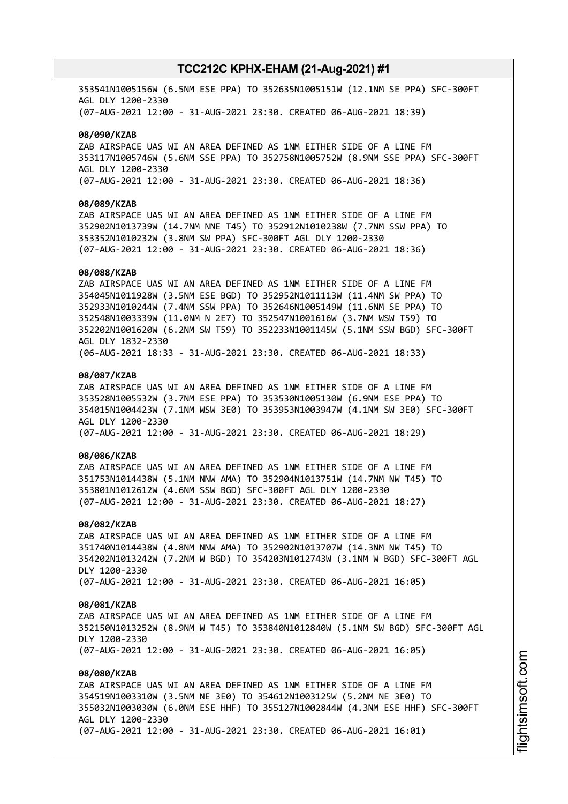353541N1005156W (6.5NM ESE PPA) TO 352635N1005151W (12.1NM SE PPA) SFC-300FT AGL DLY 1200-2330 (07-AUG-2021 12:00 - 31-AUG-2021 23:30. CREATED 06-AUG-2021 18:39)

#### **08/090/KZAB**

ZAB AIRSPACE UAS WI AN AREA DEFINED AS 1NM EITHER SIDE OF A LINE FM 353117N1005746W (5.6NM SSE PPA) TO 352758N1005752W (8.9NM SSE PPA) SFC-300FT AGL DLY 1200-2330 (07-AUG-2021 12:00 - 31-AUG-2021 23:30. CREATED 06-AUG-2021 18:36)

### **08/089/KZAB**

ZAB AIRSPACE UAS WI AN AREA DEFINED AS 1NM EITHER SIDE OF A LINE FM 352902N1013739W (14.7NM NNE T45) TO 352912N1010238W (7.7NM SSW PPA) TO 353352N1010232W (3.8NM SW PPA) SFC-300FT AGL DLY 1200-2330 (07-AUG-2021 12:00 - 31-AUG-2021 23:30. CREATED 06-AUG-2021 18:36)

#### **08/088/KZAB**

ZAB AIRSPACE UAS WI AN AREA DEFINED AS 1NM EITHER SIDE OF A LINE FM 354045N1011928W (3.5NM ESE BGD) TO 352952N1011113W (11.4NM SW PPA) TO 352933N1010244W (7.4NM SSW PPA) TO 352646N1005149W (11.6NM SE PPA) TO 352548N1003339W (11.0NM N 2E7) TO 352547N1001616W (3.7NM WSW T59) TO 352202N1001620W (6.2NM SW T59) TO 352233N1001145W (5.1NM SSW BGD) SFC-300FT AGL DLY 1832-2330 (06-AUG-2021 18:33 - 31-AUG-2021 23:30. CREATED 06-AUG-2021 18:33)

### **08/087/KZAB**

ZAB AIRSPACE UAS WI AN AREA DEFINED AS 1NM EITHER SIDE OF A LINE FM 353528N1005532W (3.7NM ESE PPA) TO 353530N1005130W (6.9NM ESE PPA) TO 354015N1004423W (7.1NM WSW 3E0) TO 353953N1003947W (4.1NM SW 3E0) SFC-300FT AGL DLY 1200-2330 (07-AUG-2021 12:00 - 31-AUG-2021 23:30. CREATED 06-AUG-2021 18:29)

### **08/086/KZAB**

ZAB AIRSPACE UAS WI AN AREA DEFINED AS 1NM EITHER SIDE OF A LINE FM 351753N1014438W (5.1NM NNW AMA) TO 352904N1013751W (14.7NM NW T45) TO 353801N1012612W (4.6NM SSW BGD) SFC-300FT AGL DLY 1200-2330 (07-AUG-2021 12:00 - 31-AUG-2021 23:30. CREATED 06-AUG-2021 18:27)

#### **08/082/KZAB**

ZAB AIRSPACE UAS WI AN AREA DEFINED AS 1NM EITHER SIDE OF A LINE FM 351740N1014438W (4.8NM NNW AMA) TO 352902N1013707W (14.3NM NW T45) TO 354202N1013242W (7.2NM W BGD) TO 354203N1012743W (3.1NM W BGD) SFC-300FT AGL DLY 1200-2330 (07-AUG-2021 12:00 - 31-AUG-2021 23:30. CREATED 06-AUG-2021 16:05)

#### **08/081/KZAB**

ZAB AIRSPACE UAS WI AN AREA DEFINED AS 1NM EITHER SIDE OF A LINE FM 352150N1013252W (8.9NM W T45) TO 353840N1012840W (5.1NM SW BGD) SFC-300FT AGL DLY 1200-2330 (07-AUG-2021 12:00 - 31-AUG-2021 23:30. CREATED 06-AUG-2021 16:05)

### **08/080/KZAB**

ZAB AIRSPACE UAS WI AN AREA DEFINED AS 1NM EITHER SIDE OF A LINE FM 354519N1003310W (3.5NM NE 3E0) TO 354612N1003125W (5.2NM NE 3E0) TO 355032N1003030W (6.0NM ESE HHF) TO 355127N1002844W (4.3NM ESE HHF) SFC-300FT AGL DLY 1200-2330 (07-AUG-2021 12:00 - 31-AUG-2021 23:30. CREATED 06-AUG-2021 16:01)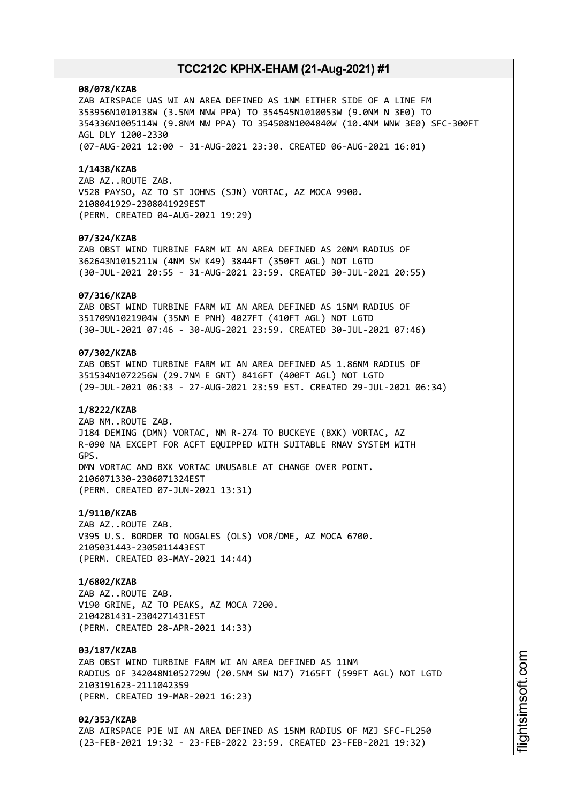#### **08/078/KZAB**

ZAB AIRSPACE UAS WI AN AREA DEFINED AS 1NM EITHER SIDE OF A LINE FM 353956N1010138W (3.5NM NNW PPA) TO 354545N1010053W (9.0NM N 3E0) TO 354336N1005114W (9.8NM NW PPA) TO 354508N1004840W (10.4NM WNW 3E0) SFC-300FT AGL DLY 1200-2330 (07-AUG-2021 12:00 - 31-AUG-2021 23:30. CREATED 06-AUG-2021 16:01)

#### **1/1438/KZAB**

ZAB AZ..ROUTE ZAB. V528 PAYSO, AZ TO ST JOHNS (SJN) VORTAC, AZ MOCA 9900. 2108041929-2308041929EST (PERM. CREATED 04-AUG-2021 19:29)

#### **07/324/KZAB**

ZAB OBST WIND TURBINE FARM WI AN AREA DEFINED AS 20NM RADIUS OF 362643N1015211W (4NM SW K49) 3844FT (350FT AGL) NOT LGTD (30-JUL-2021 20:55 - 31-AUG-2021 23:59. CREATED 30-JUL-2021 20:55)

### **07/316/KZAB**

ZAB OBST WIND TURBINE FARM WI AN AREA DEFINED AS 15NM RADIUS OF 351709N1021904W (35NM E PNH) 4027FT (410FT AGL) NOT LGTD (30-JUL-2021 07:46 - 30-AUG-2021 23:59. CREATED 30-JUL-2021 07:46)

### **07/302/KZAB**

ZAB OBST WIND TURBINE FARM WI AN AREA DEFINED AS 1.86NM RADIUS OF 351534N1072256W (29.7NM E GNT) 8416FT (400FT AGL) NOT LGTD (29-JUL-2021 06:33 - 27-AUG-2021 23:59 EST. CREATED 29-JUL-2021 06:34)

#### **1/8222/KZAB**

ZAB NM..ROUTE ZAB. J184 DEMING (DMN) VORTAC, NM R-274 TO BUCKEYE (BXK) VORTAC, AZ R-090 NA EXCEPT FOR ACFT EQUIPPED WITH SUITABLE RNAV SYSTEM WITH GPS. DMN VORTAC AND BXK VORTAC UNUSABLE AT CHANGE OVER POINT. 2106071330-2306071324EST (PERM. CREATED 07-JUN-2021 13:31)

#### **1/9110/KZAB**

ZAB AZ..ROUTE ZAB. V395 U.S. BORDER TO NOGALES (OLS) VOR/DME, AZ MOCA 6700. 2105031443-2305011443EST (PERM. CREATED 03-MAY-2021 14:44)

### **1/6802/KZAB**

ZAB AZ..ROUTE ZAB. V190 GRINE, AZ TO PEAKS, AZ MOCA 7200. 2104281431-2304271431EST (PERM. CREATED 28-APR-2021 14:33)

#### **03/187/KZAB**

ZAB OBST WIND TURBINE FARM WI AN AREA DEFINED AS 11NM RADIUS OF 342048N1052729W (20.5NM SW N17) 7165FT (599FT AGL) NOT LGTD 2103191623-2111042359 (PERM. CREATED 19-MAR-2021 16:23)

## **02/353/KZAB**

ZAB AIRSPACE PJE WI AN AREA DEFINED AS 15NM RADIUS OF MZJ SFC-FL250 (23-FEB-2021 19:32 - 23-FEB-2022 23:59. CREATED 23-FEB-2021 19:32)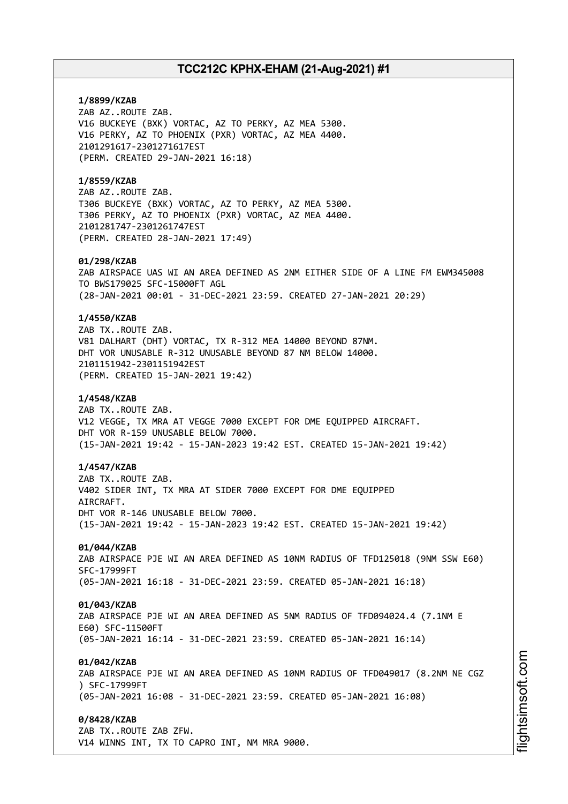**1/8899/KZAB** ZAB AZ..ROUTE ZAB. V16 BUCKEYE (BXK) VORTAC, AZ TO PERKY, AZ MEA 5300. V16 PERKY, AZ TO PHOENIX (PXR) VORTAC, AZ MEA 4400. 2101291617-2301271617EST (PERM. CREATED 29-JAN-2021 16:18) **1/8559/KZAB** ZAB AZ..ROUTE ZAB. T306 BUCKEYE (BXK) VORTAC, AZ TO PERKY, AZ MEA 5300. T306 PERKY, AZ TO PHOENIX (PXR) VORTAC, AZ MEA 4400. 2101281747-2301261747EST (PERM. CREATED 28-JAN-2021 17:49) **01/298/KZAB** ZAB AIRSPACE UAS WI AN AREA DEFINED AS 2NM EITHER SIDE OF A LINE FM EWM345008 TO BWS179025 SFC-15000FT AGL (28-JAN-2021 00:01 - 31-DEC-2021 23:59. CREATED 27-JAN-2021 20:29) **1/4550/KZAB** ZAB TX..ROUTE ZAB. V81 DALHART (DHT) VORTAC, TX R-312 MEA 14000 BEYOND 87NM. DHT VOR UNUSABLE R-312 UNUSABLE BEYOND 87 NM BELOW 14000. 2101151942-2301151942EST (PERM. CREATED 15-JAN-2021 19:42) **1/4548/KZAB** ZAB TX..ROUTE ZAB. V12 VEGGE, TX MRA AT VEGGE 7000 EXCEPT FOR DME EQUIPPED AIRCRAFT. DHT VOR R-159 UNUSABLE BELOW 7000. (15-JAN-2021 19:42 - 15-JAN-2023 19:42 EST. CREATED 15-JAN-2021 19:42) **1/4547/KZAB** ZAB TX..ROUTE ZAB. V402 SIDER INT, TX MRA AT SIDER 7000 EXCEPT FOR DME EQUIPPED AIRCRAFT. DHT VOR R-146 UNUSABLE BELOW 7000. (15-JAN-2021 19:42 - 15-JAN-2023 19:42 EST. CREATED 15-JAN-2021 19:42) **01/044/KZAB** ZAB AIRSPACE PJE WI AN AREA DEFINED AS 10NM RADIUS OF TFD125018 (9NM SSW E60) SFC-17999FT (05-JAN-2021 16:18 - 31-DEC-2021 23:59. CREATED 05-JAN-2021 16:18) **01/043/KZAB** ZAB AIRSPACE PJE WI AN AREA DEFINED AS 5NM RADIUS OF TFD094024.4 (7.1NM E E60) SFC-11500FT (05-JAN-2021 16:14 - 31-DEC-2021 23:59. CREATED 05-JAN-2021 16:14) **01/042/KZAB** ZAB AIRSPACE PJE WI AN AREA DEFINED AS 10NM RADIUS OF TFD049017 (8.2NM NE CGZ ) SFC-17999FT (05-JAN-2021 16:08 - 31-DEC-2021 23:59. CREATED 05-JAN-2021 16:08) **0/8428/KZAB** ZAB TX..ROUTE ZAB ZFW. V14 WINNS INT, TX TO CAPRO INT, NM MRA 9000.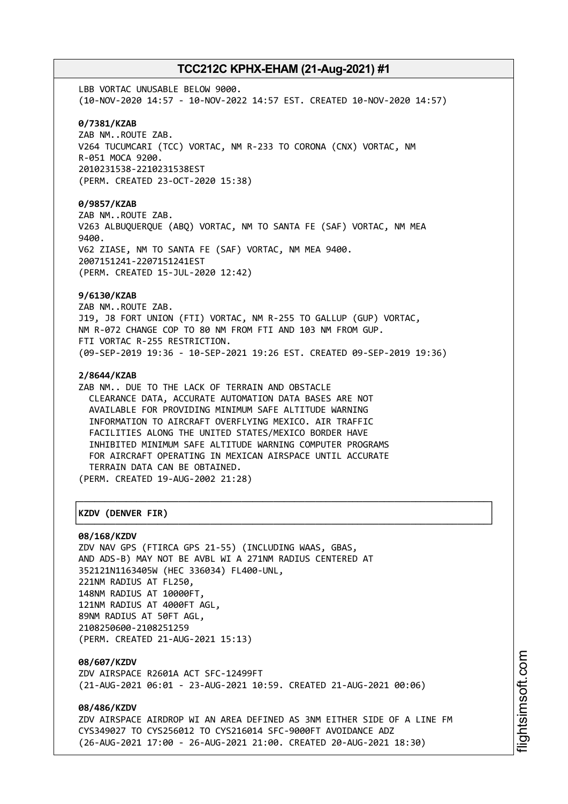LBB VORTAC UNUSABLE BELOW 9000. (10-NOV-2020 14:57 - 10-NOV-2022 14:57 EST. CREATED 10-NOV-2020 14:57) **0/7381/KZAB** ZAB NM..ROUTE ZAB. V264 TUCUMCARI (TCC) VORTAC, NM R-233 TO CORONA (CNX) VORTAC, NM R-051 MOCA 9200. 2010231538-2210231538EST (PERM. CREATED 23-OCT-2020 15:38) **0/9857/KZAB** ZAB NM..ROUTE ZAB. V263 ALBUQUERQUE (ABQ) VORTAC, NM TO SANTA FE (SAF) VORTAC, NM MEA 9400. V62 ZIASE, NM TO SANTA FE (SAF) VORTAC, NM MEA 9400. 2007151241-2207151241EST (PERM. CREATED 15-JUL-2020 12:42) **9/6130/KZAB** ZAB NM..ROUTE ZAB. J19, J8 FORT UNION (FTI) VORTAC, NM R-255 TO GALLUP (GUP) VORTAC, NM R-072 CHANGE COP TO 80 NM FROM FTI AND 103 NM FROM GUP. FTI VORTAC R-255 RESTRICTION. (09-SEP-2019 19:36 - 10-SEP-2021 19:26 EST. CREATED 09-SEP-2019 19:36) **2/8644/KZAB** ZAB NM.. DUE TO THE LACK OF TERRAIN AND OBSTACLE CLEARANCE DATA, ACCURATE AUTOMATION DATA BASES ARE NOT AVAILABLE FOR PROVIDING MINIMUM SAFE ALTITUDE WARNING INFORMATION TO AIRCRAFT OVERFLYING MEXICO. AIR TRAFFIC FACILITIES ALONG THE UNITED STATES/MEXICO BORDER HAVE INHIBITED MINIMUM SAFE ALTITUDE WARNING COMPUTER PROGRAMS FOR AIRCRAFT OPERATING IN MEXICAN AIRSPACE UNTIL ACCURATE TERRAIN DATA CAN BE OBTAINED. (PERM. CREATED 19-AUG-2002 21:28) ┌──────────────────────────────────────────────────────────────────────────────┐ │**KZDV (DENVER FIR)** │

# └──────────────────────────────────────────────────────────────────────────────┘

**08/168/KZDV** ZDV NAV GPS (FTIRCA GPS 21-55) (INCLUDING WAAS, GBAS, AND ADS-B) MAY NOT BE AVBL WI A 271NM RADIUS CENTERED AT 352121N1163405W (HEC 336034) FL400-UNL, 221NM RADIUS AT FL250, 148NM RADIUS AT 10000FT, 121NM RADIUS AT 4000FT AGL, 89NM RADIUS AT 50FT AGL, 2108250600-2108251259 (PERM. CREATED 21-AUG-2021 15:13)

**08/607/KZDV** ZDV AIRSPACE R2601A ACT SFC-12499FT (21-AUG-2021 06:01 - 23-AUG-2021 10:59. CREATED 21-AUG-2021 00:06)

**08/486/KZDV** ZDV AIRSPACE AIRDROP WI AN AREA DEFINED AS 3NM EITHER SIDE OF A LINE FM CYS349027 TO CYS256012 TO CYS216014 SFC-9000FT AVOIDANCE ADZ (26-AUG-2021 17:00 - 26-AUG-2021 21:00. CREATED 20-AUG-2021 18:30)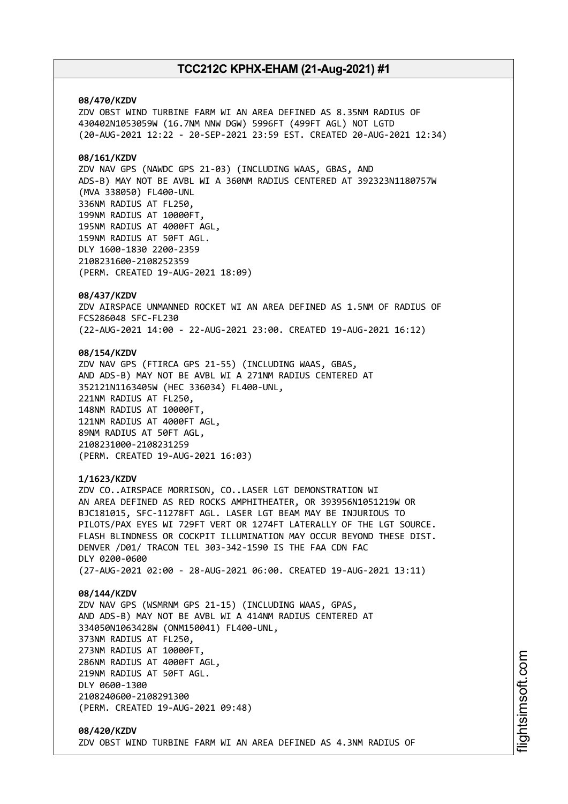#### **08/470/KZDV**

ZDV OBST WIND TURBINE FARM WI AN AREA DEFINED AS 8.35NM RADIUS OF 430402N1053059W (16.7NM NNW DGW) 5996FT (499FT AGL) NOT LGTD (20-AUG-2021 12:22 - 20-SEP-2021 23:59 EST. CREATED 20-AUG-2021 12:34)

### **08/161/KZDV**

ZDV NAV GPS (NAWDC GPS 21-03) (INCLUDING WAAS, GBAS, AND ADS-B) MAY NOT BE AVBL WI A 360NM RADIUS CENTERED AT 392323N1180757W (MVA 338050) FL400-UNL 336NM RADIUS AT FL250, 199NM RADIUS AT 10000FT, 195NM RADIUS AT 4000FT AGL, 159NM RADIUS AT 50FT AGL. DLY 1600-1830 2200-2359 2108231600-2108252359 (PERM. CREATED 19-AUG-2021 18:09)

#### **08/437/KZDV**

ZDV AIRSPACE UNMANNED ROCKET WI AN AREA DEFINED AS 1.5NM OF RADIUS OF FCS286048 SFC-FL230 (22-AUG-2021 14:00 - 22-AUG-2021 23:00. CREATED 19-AUG-2021 16:12)

#### **08/154/KZDV**

ZDV NAV GPS (FTIRCA GPS 21-55) (INCLUDING WAAS, GBAS, AND ADS-B) MAY NOT BE AVBL WI A 271NM RADIUS CENTERED AT 352121N1163405W (HEC 336034) FL400-UNL, 221NM RADIUS AT FL250, 148NM RADIUS AT 10000FT, 121NM RADIUS AT 4000FT AGL, 89NM RADIUS AT 50FT AGL, 2108231000-2108231259 (PERM. CREATED 19-AUG-2021 16:03)

#### **1/1623/KZDV**

ZDV CO..AIRSPACE MORRISON, CO..LASER LGT DEMONSTRATION WI AN AREA DEFINED AS RED ROCKS AMPHITHEATER, OR 393956N1051219W OR BJC181015, SFC-11278FT AGL. LASER LGT BEAM MAY BE INJURIOUS TO PILOTS/PAX EYES WI 729FT VERT OR 1274FT LATERALLY OF THE LGT SOURCE. FLASH BLINDNESS OR COCKPIT ILLUMINATION MAY OCCUR BEYOND THESE DIST. DENVER /D01/ TRACON TEL 303-342-1590 IS THE FAA CDN FAC DLY 0200-0600 (27-AUG-2021 02:00 - 28-AUG-2021 06:00. CREATED 19-AUG-2021 13:11)

#### **08/144/KZDV**

ZDV NAV GPS (WSMRNM GPS 21-15) (INCLUDING WAAS, GPAS, AND ADS-B) MAY NOT BE AVBL WI A 414NM RADIUS CENTERED AT 334050N1063428W (ONM150041) FL400-UNL, 373NM RADIUS AT FL250, 273NM RADIUS AT 10000FT, 286NM RADIUS AT 4000FT AGL, 219NM RADIUS AT 50FT AGL. DLY 0600-1300 2108240600-2108291300 (PERM. CREATED 19-AUG-2021 09:48)

### **08/420/KZDV** ZDV OBST WIND TURBINE FARM WI AN AREA DEFINED AS 4.3NM RADIUS OF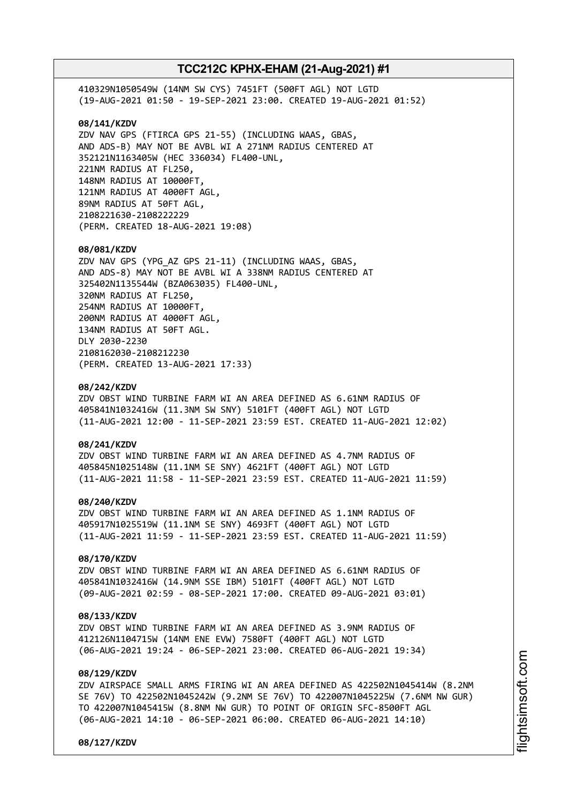410329N1050549W (14NM SW CYS) 7451FT (500FT AGL) NOT LGTD (19-AUG-2021 01:50 - 19-SEP-2021 23:00. CREATED 19-AUG-2021 01:52) **08/141/KZDV** ZDV NAV GPS (FTIRCA GPS 21-55) (INCLUDING WAAS, GBAS, AND ADS-B) MAY NOT BE AVBL WI A 271NM RADIUS CENTERED AT 352121N1163405W (HEC 336034) FL400-UNL, 221NM RADIUS AT FL250, 148NM RADIUS AT 10000FT, 121NM RADIUS AT 4000FT AGL, 89NM RADIUS AT 50FT AGL, 2108221630-2108222229 (PERM. CREATED 18-AUG-2021 19:08) **08/081/KZDV** ZDV NAV GPS (YPG\_AZ GPS 21-11) (INCLUDING WAAS, GBAS, AND ADS-8) MAY NOT BE AVBL WI A 338NM RADIUS CENTERED AT 325402N1135544W (BZA063035) FL400-UNL, 320NM RADIUS AT FL250, 254NM RADIUS AT 10000FT, 200NM RADIUS AT 4000FT AGL, 134NM RADIUS AT 50FT AGL. DLY 2030-2230 2108162030-2108212230 (PERM. CREATED 13-AUG-2021 17:33) **08/242/KZDV** ZDV OBST WIND TURBINE FARM WI AN AREA DEFINED AS 6.61NM RADIUS OF 405841N1032416W (11.3NM SW SNY) 5101FT (400FT AGL) NOT LGTD (11-AUG-2021 12:00 - 11-SEP-2021 23:59 EST. CREATED 11-AUG-2021 12:02) **08/241/KZDV** ZDV OBST WIND TURBINE FARM WI AN AREA DEFINED AS 4.7NM RADIUS OF 405845N1025148W (11.1NM SE SNY) 4621FT (400FT AGL) NOT LGTD (11-AUG-2021 11:58 - 11-SEP-2021 23:59 EST. CREATED 11-AUG-2021 11:59) **08/240/KZDV**

ZDV OBST WIND TURBINE FARM WI AN AREA DEFINED AS 1.1NM RADIUS OF 405917N1025519W (11.1NM SE SNY) 4693FT (400FT AGL) NOT LGTD (11-AUG-2021 11:59 - 11-SEP-2021 23:59 EST. CREATED 11-AUG-2021 11:59)

### **08/170/KZDV**

ZDV OBST WIND TURBINE FARM WI AN AREA DEFINED AS 6.61NM RADIUS OF 405841N1032416W (14.9NM SSE IBM) 5101FT (400FT AGL) NOT LGTD (09-AUG-2021 02:59 - 08-SEP-2021 17:00. CREATED 09-AUG-2021 03:01)

### **08/133/KZDV**

ZDV OBST WIND TURBINE FARM WI AN AREA DEFINED AS 3.9NM RADIUS OF 412126N1104715W (14NM ENE EVW) 7580FT (400FT AGL) NOT LGTD (06-AUG-2021 19:24 - 06-SEP-2021 23:00. CREATED 06-AUG-2021 19:34)

### **08/129/KZDV**

ZDV AIRSPACE SMALL ARMS FIRING WI AN AREA DEFINED AS 422502N1045414W (8.2NM SE 76V) TO 422502N1045242W (9.2NM SE 76V) TO 422007N1045225W (7.6NM NW GUR) TO 422007N1045415W (8.8NM NW GUR) TO POINT OF ORIGIN SFC-8500FT AGL (06-AUG-2021 14:10 - 06-SEP-2021 06:00. CREATED 06-AUG-2021 14:10)

**08/127/KZDV**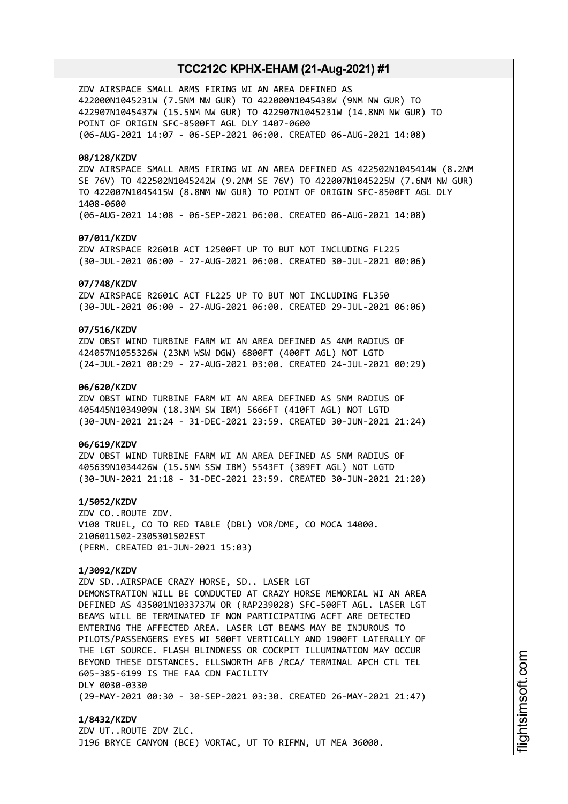ZDV AIRSPACE SMALL ARMS FIRING WI AN AREA DEFINED AS 422000N1045231W (7.5NM NW GUR) TO 422000N1045438W (9NM NW GUR) TO 422907N1045437W (15.5NM NW GUR) TO 422907N1045231W (14.8NM NW GUR) TO POINT OF ORIGIN SFC-8500FT AGL DLY 1407-0600 (06-AUG-2021 14:07 - 06-SEP-2021 06:00. CREATED 06-AUG-2021 14:08)

### **08/128/KZDV**

ZDV AIRSPACE SMALL ARMS FIRING WI AN AREA DEFINED AS 422502N1045414W (8.2NM SE 76V) TO 422502N1045242W (9.2NM SE 76V) TO 422007N1045225W (7.6NM NW GUR) TO 422007N1045415W (8.8NM NW GUR) TO POINT OF ORIGIN SFC-8500FT AGL DLY 1408-0600 (06-AUG-2021 14:08 - 06-SEP-2021 06:00. CREATED 06-AUG-2021 14:08)

### **07/011/KZDV**

ZDV AIRSPACE R2601B ACT 12500FT UP TO BUT NOT INCLUDING FL225 (30-JUL-2021 06:00 - 27-AUG-2021 06:00. CREATED 30-JUL-2021 00:06)

#### **07/748/KZDV**

ZDV AIRSPACE R2601C ACT FL225 UP TO BUT NOT INCLUDING FL350 (30-JUL-2021 06:00 - 27-AUG-2021 06:00. CREATED 29-JUL-2021 06:06)

### **07/516/KZDV**

ZDV OBST WIND TURBINE FARM WI AN AREA DEFINED AS 4NM RADIUS OF 424057N1055326W (23NM WSW DGW) 6800FT (400FT AGL) NOT LGTD (24-JUL-2021 00:29 - 27-AUG-2021 03:00. CREATED 24-JUL-2021 00:29)

### **06/620/KZDV**

ZDV OBST WIND TURBINE FARM WI AN AREA DEFINED AS 5NM RADIUS OF 405445N1034909W (18.3NM SW IBM) 5666FT (410FT AGL) NOT LGTD (30-JUN-2021 21:24 - 31-DEC-2021 23:59. CREATED 30-JUN-2021 21:24)

#### **06/619/KZDV**

ZDV OBST WIND TURBINE FARM WI AN AREA DEFINED AS 5NM RADIUS OF 405639N1034426W (15.5NM SSW IBM) 5543FT (389FT AGL) NOT LGTD (30-JUN-2021 21:18 - 31-DEC-2021 23:59. CREATED 30-JUN-2021 21:20)

**1/5052/KZDV** ZDV CO..ROUTE ZDV. V108 TRUEL, CO TO RED TABLE (DBL) VOR/DME, CO MOCA 14000. 2106011502-2305301502EST (PERM. CREATED 01-JUN-2021 15:03)

### **1/3092/KZDV**

ZDV SD..AIRSPACE CRAZY HORSE, SD.. LASER LGT DEMONSTRATION WILL BE CONDUCTED AT CRAZY HORSE MEMORIAL WI AN AREA DEFINED AS 435001N1033737W OR (RAP239028) SFC-500FT AGL. LASER LGT BEAMS WILL BE TERMINATED IF NON PARTICIPATING ACFT ARE DETECTED ENTERING THE AFFECTED AREA. LASER LGT BEAMS MAY BE INJUROUS TO PILOTS/PASSENGERS EYES WI 500FT VERTICALLY AND 1900FT LATERALLY OF THE LGT SOURCE. FLASH BLINDNESS OR COCKPIT ILLUMINATION MAY OCCUR BEYOND THESE DISTANCES. ELLSWORTH AFB /RCA/ TERMINAL APCH CTL TEL 605-385-6199 IS THE FAA CDN FACILITY DLY 0030-0330 (29-MAY-2021 00:30 - 30-SEP-2021 03:30. CREATED 26-MAY-2021 21:47)

**1/8432/KZDV** ZDV UT..ROUTE ZDV ZLC. J196 BRYCE CANYON (BCE) VORTAC, UT TO RIFMN, UT MEA 36000.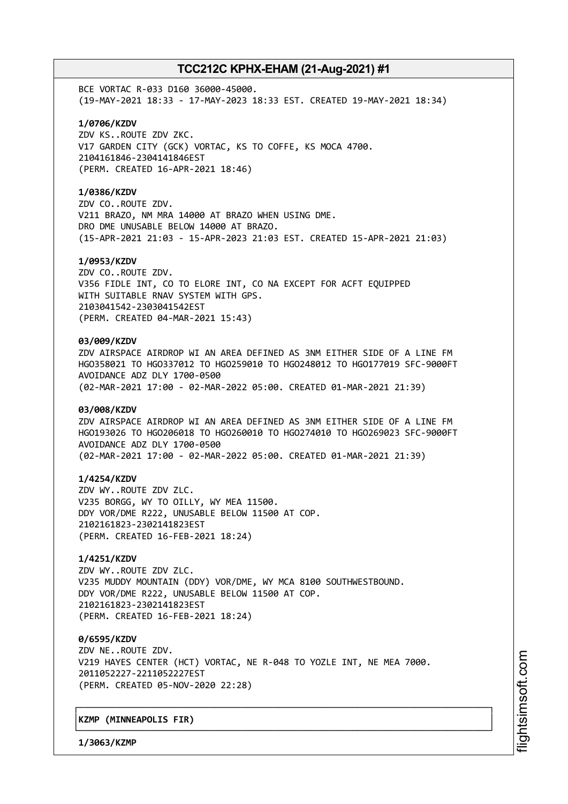BCE VORTAC R-033 D160 36000-45000. (19-MAY-2021 18:33 - 17-MAY-2023 18:33 EST. CREATED 19-MAY-2021 18:34)

### **1/0706/KZDV**

ZDV KS..ROUTE ZDV ZKC. V17 GARDEN CITY (GCK) VORTAC, KS TO COFFE, KS MOCA 4700. 2104161846-2304141846EST (PERM. CREATED 16-APR-2021 18:46)

#### **1/0386/KZDV**

ZDV CO..ROUTE ZDV. V211 BRAZO, NM MRA 14000 AT BRAZO WHEN USING DME. DRO DME UNUSABLE BELOW 14000 AT BRAZO. (15-APR-2021 21:03 - 15-APR-2023 21:03 EST. CREATED 15-APR-2021 21:03)

#### **1/0953/KZDV**

ZDV CO..ROUTE ZDV. V356 FIDLE INT, CO TO ELORE INT, CO NA EXCEPT FOR ACFT EQUIPPED WITH SUITABLE RNAV SYSTEM WITH GPS. 2103041542-2303041542EST (PERM. CREATED 04-MAR-2021 15:43)

#### **03/009/KZDV**

ZDV AIRSPACE AIRDROP WI AN AREA DEFINED AS 3NM EITHER SIDE OF A LINE FM HGO358021 TO HGO337012 TO HGO259010 TO HGO248012 TO HGO177019 SFC-9000FT AVOIDANCE ADZ DLY 1700-0500 (02-MAR-2021 17:00 - 02-MAR-2022 05:00. CREATED 01-MAR-2021 21:39)

#### **03/008/KZDV**

ZDV AIRSPACE AIRDROP WI AN AREA DEFINED AS 3NM EITHER SIDE OF A LINE FM HGO193026 TO HGO206018 TO HGO260010 TO HGO274010 TO HGO269023 SFC-9000FT AVOIDANCE ADZ DLY 1700-0500 (02-MAR-2021 17:00 - 02-MAR-2022 05:00. CREATED 01-MAR-2021 21:39)

#### **1/4254/KZDV**

ZDV WY..ROUTE ZDV ZLC. V235 BORGG, WY TO OILLY, WY MEA 11500. DDY VOR/DME R222, UNUSABLE BELOW 11500 AT COP. 2102161823-2302141823EST (PERM. CREATED 16-FEB-2021 18:24)

### **1/4251/KZDV**

ZDV WY..ROUTE ZDV ZLC. V235 MUDDY MOUNTAIN (DDY) VOR/DME, WY MCA 8100 SOUTHWESTBOUND. DDY VOR/DME R222, UNUSABLE BELOW 11500 AT COP. 2102161823-2302141823EST (PERM. CREATED 16-FEB-2021 18:24)

**0/6595/KZDV** ZDV NE..ROUTE ZDV. V219 HAYES CENTER (HCT) VORTAC, NE R-048 TO YOZLE INT, NE MEA 7000. 2011052227-2211052227EST (PERM. CREATED 05-NOV-2020 22:28)

┌──────────────────────────────────────────────────────────────────────────────┐

└──────────────────────────────────────────────────────────────────────────────┘

### │**KZMP (MINNEAPOLIS FIR)** │

**1/3063/KZMP**

m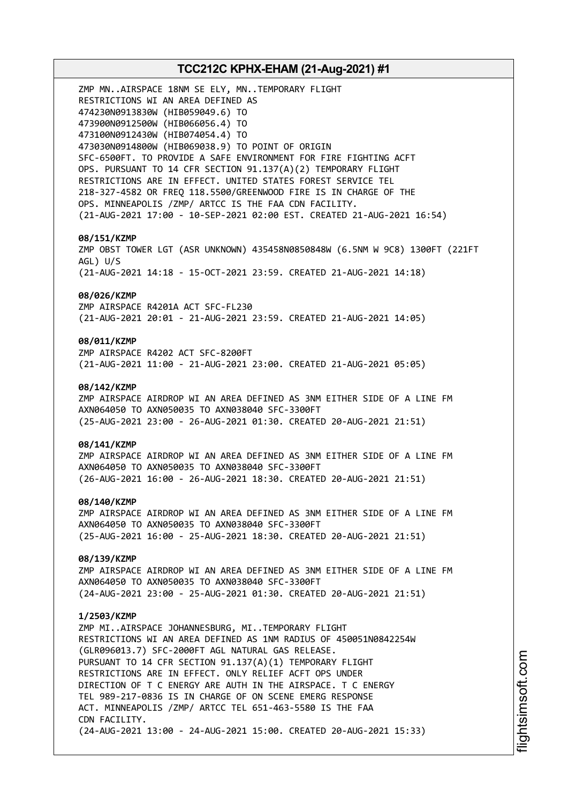# **TCC212C KPHX-EHAM (21-Aug-2021) #1** ZMP MN..AIRSPACE 18NM SE ELY, MN..TEMPORARY FLIGHT RESTRICTIONS WI AN AREA DEFINED AS 474230N0913830W (HIB059049.6) TO 473900N0912500W (HIB066056.4) TO 473100N0912430W (HIB074054.4) TO 473030N0914800W (HIB069038.9) TO POINT OF ORIGIN SFC-6500FT. TO PROVIDE A SAFE ENVIRONMENT FOR FIRE FIGHTING ACFT OPS. PURSUANT TO 14 CFR SECTION 91.137(A)(2) TEMPORARY FLIGHT RESTRICTIONS ARE IN EFFECT. UNITED STATES FOREST SERVICE TEL 218-327-4582 OR FREQ 118.5500/GREENWOOD FIRE IS IN CHARGE OF THE OPS. MINNEAPOLIS /ZMP/ ARTCC IS THE FAA CDN FACILITY. (21-AUG-2021 17:00 - 10-SEP-2021 02:00 EST. CREATED 21-AUG-2021 16:54) **08/151/KZMP** ZMP OBST TOWER LGT (ASR UNKNOWN) 435458N0850848W (6.5NM W 9C8) 1300FT (221FT AGL) U/S (21-AUG-2021 14:18 - 15-OCT-2021 23:59. CREATED 21-AUG-2021 14:18) **08/026/KZMP** ZMP AIRSPACE R4201A ACT SFC-FL230 (21-AUG-2021 20:01 - 21-AUG-2021 23:59. CREATED 21-AUG-2021 14:05) **08/011/KZMP** ZMP AIRSPACE R4202 ACT SFC-8200FT (21-AUG-2021 11:00 - 21-AUG-2021 23:00. CREATED 21-AUG-2021 05:05) **08/142/KZMP** ZMP AIRSPACE AIRDROP WI AN AREA DEFINED AS 3NM EITHER SIDE OF A LINE FM AXN064050 TO AXN050035 TO AXN038040 SFC-3300FT (25-AUG-2021 23:00 - 26-AUG-2021 01:30. CREATED 20-AUG-2021 21:51) **08/141/KZMP** ZMP AIRSPACE AIRDROP WI AN AREA DEFINED AS 3NM EITHER SIDE OF A LINE FM AXN064050 TO AXN050035 TO AXN038040 SFC-3300FT (26-AUG-2021 16:00 - 26-AUG-2021 18:30. CREATED 20-AUG-2021 21:51) **08/140/KZMP** ZMP AIRSPACE AIRDROP WI AN AREA DEFINED AS 3NM EITHER SIDE OF A LINE FM AXN064050 TO AXN050035 TO AXN038040 SFC-3300FT (25-AUG-2021 16:00 - 25-AUG-2021 18:30. CREATED 20-AUG-2021 21:51) **08/139/KZMP** ZMP AIRSPACE AIRDROP WI AN AREA DEFINED AS 3NM EITHER SIDE OF A LINE FM AXN064050 TO AXN050035 TO AXN038040 SFC-3300FT (24-AUG-2021 23:00 - 25-AUG-2021 01:30. CREATED 20-AUG-2021 21:51) **1/2503/KZMP** ZMP MI..AIRSPACE JOHANNESBURG, MI..TEMPORARY FLIGHT RESTRICTIONS WI AN AREA DEFINED AS 1NM RADIUS OF 450051N0842254W (GLR096013.7) SFC-2000FT AGL NATURAL GAS RELEASE. PURSUANT TO 14 CFR SECTION 91.137(A)(1) TEMPORARY FLIGHT RESTRICTIONS ARE IN EFFECT. ONLY RELIEF ACFT OPS UNDER DIRECTION OF T C ENERGY ARE AUTH IN THE AIRSPACE. T C ENERGY TEL 989-217-0836 IS IN CHARGE OF ON SCENE EMERG RESPONSE ACT. MINNEAPOLIS /ZMP/ ARTCC TEL 651-463-5580 IS THE FAA CDN FACILITY. (24-AUG-2021 13:00 - 24-AUG-2021 15:00. CREATED 20-AUG-2021 15:33)

i⊒<br>⊫ htsim soft.c o

m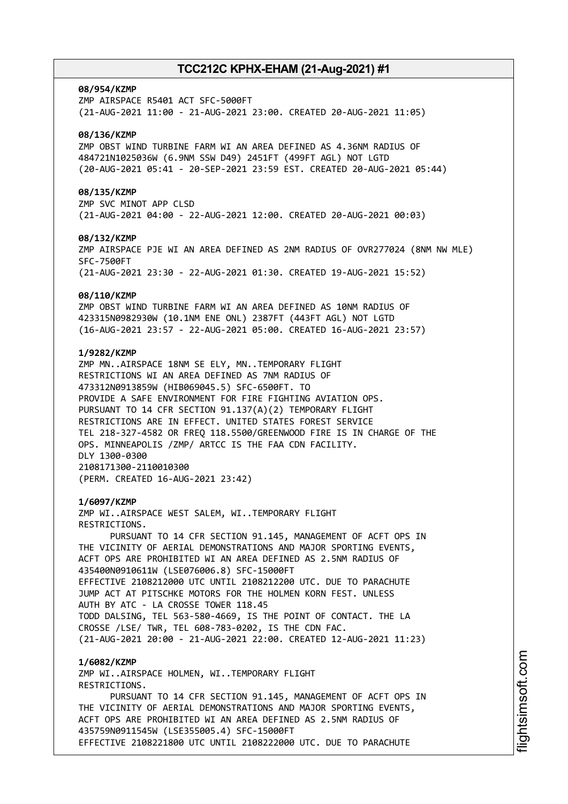#### **08/954/KZMP**

ZMP AIRSPACE R5401 ACT SFC-5000FT (21-AUG-2021 11:00 - 21-AUG-2021 23:00. CREATED 20-AUG-2021 11:05)

#### **08/136/KZMP**

ZMP OBST WIND TURBINE FARM WI AN AREA DEFINED AS 4.36NM RADIUS OF 484721N1025036W (6.9NM SSW D49) 2451FT (499FT AGL) NOT LGTD (20-AUG-2021 05:41 - 20-SEP-2021 23:59 EST. CREATED 20-AUG-2021 05:44)

#### **08/135/KZMP**

ZMP SVC MINOT APP CLSD (21-AUG-2021 04:00 - 22-AUG-2021 12:00. CREATED 20-AUG-2021 00:03)

#### **08/132/KZMP**

ZMP AIRSPACE PJE WI AN AREA DEFINED AS 2NM RADIUS OF OVR277024 (8NM NW MLE) SFC-7500FT (21-AUG-2021 23:30 - 22-AUG-2021 01:30. CREATED 19-AUG-2021 15:52)

#### **08/110/KZMP**

ZMP OBST WIND TURBINE FARM WI AN AREA DEFINED AS 10NM RADIUS OF 423315N0982930W (10.1NM ENE ONL) 2387FT (443FT AGL) NOT LGTD (16-AUG-2021 23:57 - 22-AUG-2021 05:00. CREATED 16-AUG-2021 23:57)

### **1/9282/KZMP**

ZMP MN..AIRSPACE 18NM SE ELY, MN..TEMPORARY FLIGHT RESTRICTIONS WI AN AREA DEFINED AS 7NM RADIUS OF 473312N0913859W (HIB069045.5) SFC-6500FT. TO PROVIDE A SAFE ENVIRONMENT FOR FIRE FIGHTING AVIATION OPS. PURSUANT TO 14 CFR SECTION 91.137(A)(2) TEMPORARY FLIGHT RESTRICTIONS ARE IN EFFECT. UNITED STATES FOREST SERVICE TEL 218-327-4582 OR FREQ 118.5500/GREENWOOD FIRE IS IN CHARGE OF THE OPS. MINNEAPOLIS /ZMP/ ARTCC IS THE FAA CDN FACILITY. DLY 1300-0300 2108171300-2110010300 (PERM. CREATED 16-AUG-2021 23:42)

#### **1/6097/KZMP**

ZMP WI..AIRSPACE WEST SALEM, WI..TEMPORARY FLIGHT RESTRICTIONS.

PURSUANT TO 14 CFR SECTION 91.145, MANAGEMENT OF ACFT OPS IN THE VICINITY OF AERIAL DEMONSTRATIONS AND MAJOR SPORTING EVENTS, ACFT OPS ARE PROHIBITED WI AN AREA DEFINED AS 2.5NM RADIUS OF 435400N0910611W (LSE076006.8) SFC-15000FT EFFECTIVE 2108212000 UTC UNTIL 2108212200 UTC. DUE TO PARACHUTE JUMP ACT AT PITSCHKE MOTORS FOR THE HOLMEN KORN FEST. UNLESS AUTH BY ATC - LA CROSSE TOWER 118.45 TODD DALSING, TEL 563-580-4669, IS THE POINT OF CONTACT. THE LA CROSSE /LSE/ TWR, TEL 608-783-0202, IS THE CDN FAC. (21-AUG-2021 20:00 - 21-AUG-2021 22:00. CREATED 12-AUG-2021 11:23)

### **1/6082/KZMP**

ZMP WI..AIRSPACE HOLMEN, WI..TEMPORARY FLIGHT RESTRICTIONS. PURSUANT TO 14 CFR SECTION 91.145, MANAGEMENT OF ACFT OPS IN THE VICINITY OF AERIAL DEMONSTRATIONS AND MAJOR SPORTING EVENTS, ACFT OPS ARE PROHIBITED WI AN AREA DEFINED AS 2.5NM RADIUS OF 435759N0911545W (LSE355005.4) SFC-15000FT EFFECTIVE 2108221800 UTC UNTIL 2108222000 UTC. DUE TO PARACHUTE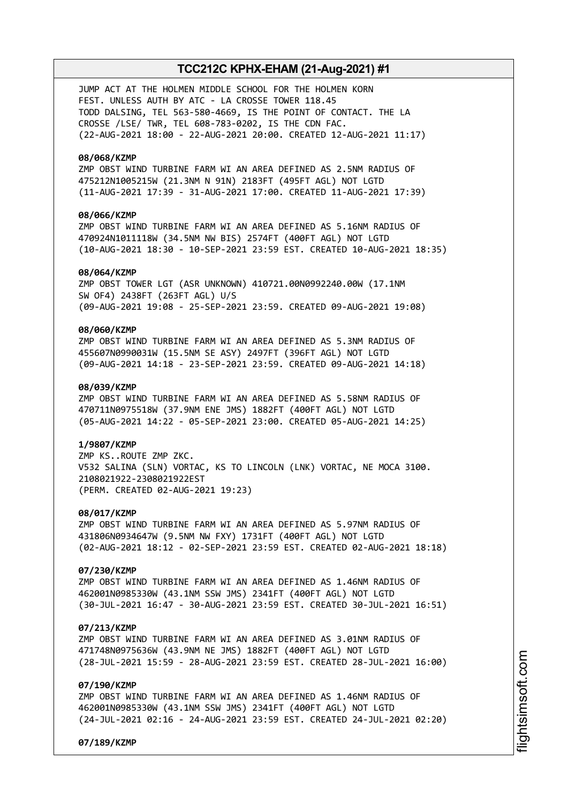JUMP ACT AT THE HOLMEN MIDDLE SCHOOL FOR THE HOLMEN KORN FEST. UNLESS AUTH BY ATC - LA CROSSE TOWER 118.45 TODD DALSING, TEL 563-580-4669, IS THE POINT OF CONTACT. THE LA CROSSE /LSE/ TWR, TEL 608-783-0202, IS THE CDN FAC. (22-AUG-2021 18:00 - 22-AUG-2021 20:00. CREATED 12-AUG-2021 11:17)

### **08/068/KZMP**

ZMP OBST WIND TURBINE FARM WI AN AREA DEFINED AS 2.5NM RADIUS OF 475212N1005215W (21.3NM N 91N) 2183FT (495FT AGL) NOT LGTD (11-AUG-2021 17:39 - 31-AUG-2021 17:00. CREATED 11-AUG-2021 17:39)

### **08/066/KZMP**

ZMP OBST WIND TURBINE FARM WI AN AREA DEFINED AS 5.16NM RADIUS OF 470924N1011118W (34.5NM NW BIS) 2574FT (400FT AGL) NOT LGTD (10-AUG-2021 18:30 - 10-SEP-2021 23:59 EST. CREATED 10-AUG-2021 18:35)

#### **08/064/KZMP**

ZMP OBST TOWER LGT (ASR UNKNOWN) 410721.00N0992240.00W (17.1NM SW OF4) 2438FT (263FT AGL) U/S (09-AUG-2021 19:08 - 25-SEP-2021 23:59. CREATED 09-AUG-2021 19:08)

### **08/060/KZMP**

ZMP OBST WIND TURBINE FARM WI AN AREA DEFINED AS 5.3NM RADIUS OF 455607N0990031W (15.5NM SE ASY) 2497FT (396FT AGL) NOT LGTD (09-AUG-2021 14:18 - 23-SEP-2021 23:59. CREATED 09-AUG-2021 14:18)

### **08/039/KZMP**

ZMP OBST WIND TURBINE FARM WI AN AREA DEFINED AS 5.58NM RADIUS OF 470711N0975518W (37.9NM ENE JMS) 1882FT (400FT AGL) NOT LGTD (05-AUG-2021 14:22 - 05-SEP-2021 23:00. CREATED 05-AUG-2021 14:25)

#### **1/9807/KZMP**

ZMP KS..ROUTE ZMP ZKC. V532 SALINA (SLN) VORTAC, KS TO LINCOLN (LNK) VORTAC, NE MOCA 3100. 2108021922-2308021922EST (PERM. CREATED 02-AUG-2021 19:23)

### **08/017/KZMP**

ZMP OBST WIND TURBINE FARM WI AN AREA DEFINED AS 5.97NM RADIUS OF 431806N0934647W (9.5NM NW FXY) 1731FT (400FT AGL) NOT LGTD (02-AUG-2021 18:12 - 02-SEP-2021 23:59 EST. CREATED 02-AUG-2021 18:18)

#### **07/230/KZMP**

ZMP OBST WIND TURBINE FARM WI AN AREA DEFINED AS 1.46NM RADIUS OF 462001N0985330W (43.1NM SSW JMS) 2341FT (400FT AGL) NOT LGTD (30-JUL-2021 16:47 - 30-AUG-2021 23:59 EST. CREATED 30-JUL-2021 16:51)

#### **07/213/KZMP**

ZMP OBST WIND TURBINE FARM WI AN AREA DEFINED AS 3.01NM RADIUS OF 471748N0975636W (43.9NM NE JMS) 1882FT (400FT AGL) NOT LGTD (28-JUL-2021 15:59 - 28-AUG-2021 23:59 EST. CREATED 28-JUL-2021 16:00)

#### **07/190/KZMP**

ZMP OBST WIND TURBINE FARM WI AN AREA DEFINED AS 1.46NM RADIUS OF 462001N0985330W (43.1NM SSW JMS) 2341FT (400FT AGL) NOT LGTD (24-JUL-2021 02:16 - 24-AUG-2021 23:59 EST. CREATED 24-JUL-2021 02:20)

**07/189/KZMP**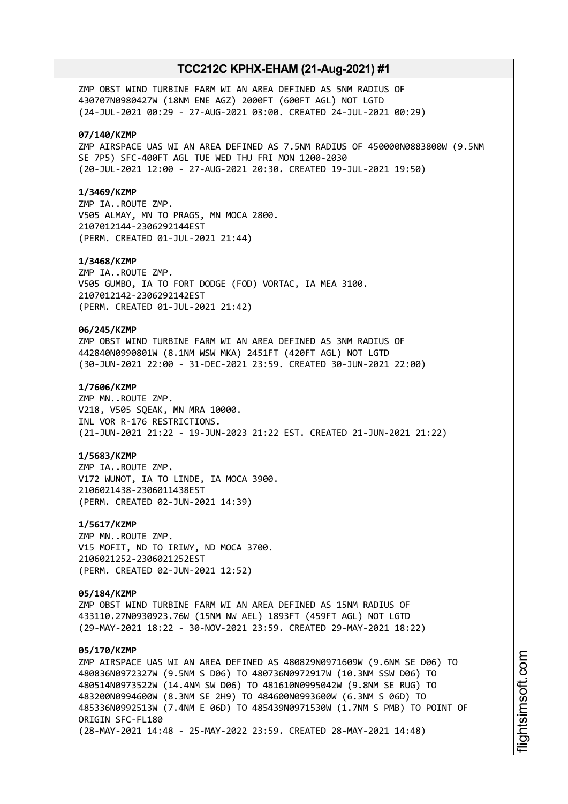ZMP OBST WIND TURBINE FARM WI AN AREA DEFINED AS 5NM RADIUS OF 430707N0980427W (18NM ENE AGZ) 2000FT (600FT AGL) NOT LGTD (24-JUL-2021 00:29 - 27-AUG-2021 03:00. CREATED 24-JUL-2021 00:29)

#### **07/140/KZMP**

ZMP AIRSPACE UAS WI AN AREA DEFINED AS 7.5NM RADIUS OF 450000N0883800W (9.5NM SE 7P5) SFC-400FT AGL TUE WED THU FRI MON 1200-2030 (20-JUL-2021 12:00 - 27-AUG-2021 20:30. CREATED 19-JUL-2021 19:50)

#### **1/3469/KZMP**

ZMP IA..ROUTE ZMP. V505 ALMAY, MN TO PRAGS, MN MOCA 2800. 2107012144-2306292144EST (PERM. CREATED 01-JUL-2021 21:44)

#### **1/3468/KZMP**

ZMP IA..ROUTE ZMP. V505 GUMBO, IA TO FORT DODGE (FOD) VORTAC, IA MEA 3100. 2107012142-2306292142EST (PERM. CREATED 01-JUL-2021 21:42)

### **06/245/KZMP**

ZMP OBST WIND TURBINE FARM WI AN AREA DEFINED AS 3NM RADIUS OF 442840N0990801W (8.1NM WSW MKA) 2451FT (420FT AGL) NOT LGTD (30-JUN-2021 22:00 - 31-DEC-2021 23:59. CREATED 30-JUN-2021 22:00)

### **1/7606/KZMP**

ZMP MN..ROUTE ZMP. V218, V505 SQEAK, MN MRA 10000. INL VOR R-176 RESTRICTIONS. (21-JUN-2021 21:22 - 19-JUN-2023 21:22 EST. CREATED 21-JUN-2021 21:22)

### **1/5683/KZMP**

ZMP IA..ROUTE ZMP. V172 WUNOT, IA TO LINDE, IA MOCA 3900. 2106021438-2306011438EST (PERM. CREATED 02-JUN-2021 14:39)

#### **1/5617/KZMP**

ZMP MN..ROUTE ZMP. V15 MOFIT, ND TO IRIWY, ND MOCA 3700. 2106021252-2306021252EST (PERM. CREATED 02-JUN-2021 12:52)

### **05/184/KZMP**

ZMP OBST WIND TURBINE FARM WI AN AREA DEFINED AS 15NM RADIUS OF 433110.27N0930923.76W (15NM NW AEL) 1893FT (459FT AGL) NOT LGTD (29-MAY-2021 18:22 - 30-NOV-2021 23:59. CREATED 29-MAY-2021 18:22)

### **05/170/KZMP**

ZMP AIRSPACE UAS WI AN AREA DEFINED AS 480829N0971609W (9.6NM SE D06) TO 480836N0972327W (9.5NM S D06) TO 480736N0972917W (10.3NM SSW D06) TO 480514N0973522W (14.4NM SW D06) TO 481610N0995042W (9.8NM SE RUG) TO 483200N0994600W (8.3NM SE 2H9) TO 484600N0993600W (6.3NM S 06D) TO 485336N0992513W (7.4NM E 06D) TO 485439N0971530W (1.7NM S PMB) TO POINT OF ORIGIN SFC-FL180 (28-MAY-2021 14:48 - 25-MAY-2022 23:59. CREATED 28-MAY-2021 14:48)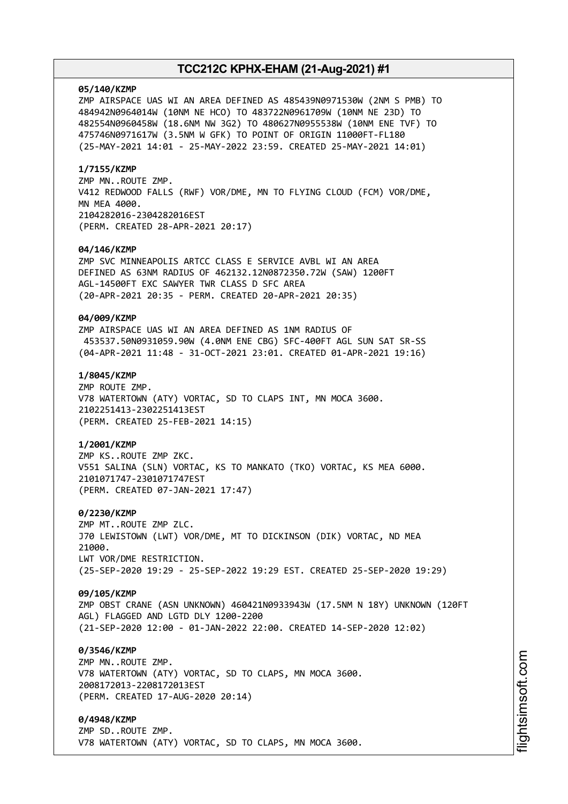#### **05/140/KZMP**

ZMP AIRSPACE UAS WI AN AREA DEFINED AS 485439N0971530W (2NM S PMB) TO 484942N0964014W (10NM NE HCO) TO 483722N0961709W (10NM NE 23D) TO 482554N0960458W (18.6NM NW 3G2) TO 480627N0955538W (10NM ENE TVF) TO 475746N0971617W (3.5NM W GFK) TO POINT OF ORIGIN 11000FT-FL180 (25-MAY-2021 14:01 - 25-MAY-2022 23:59. CREATED 25-MAY-2021 14:01)

#### **1/7155/KZMP**

ZMP MN..ROUTE ZMP. V412 REDWOOD FALLS (RWF) VOR/DME, MN TO FLYING CLOUD (FCM) VOR/DME, MN MEA 4000. 2104282016-2304282016EST (PERM. CREATED 28-APR-2021 20:17)

#### **04/146/KZMP**

ZMP SVC MINNEAPOLIS ARTCC CLASS E SERVICE AVBL WI AN AREA DEFINED AS 63NM RADIUS OF 462132.12N0872350.72W (SAW) 1200FT AGL-14500FT EXC SAWYER TWR CLASS D SFC AREA (20-APR-2021 20:35 - PERM. CREATED 20-APR-2021 20:35)

#### **04/009/KZMP**

ZMP AIRSPACE UAS WI AN AREA DEFINED AS 1NM RADIUS OF 453537.50N0931059.90W (4.0NM ENE CBG) SFC-400FT AGL SUN SAT SR-SS (04-APR-2021 11:48 - 31-OCT-2021 23:01. CREATED 01-APR-2021 19:16)

### **1/8045/KZMP**

ZMP ROUTE ZMP. V78 WATERTOWN (ATY) VORTAC, SD TO CLAPS INT, MN MOCA 3600. 2102251413-2302251413EST (PERM. CREATED 25-FEB-2021 14:15)

#### **1/2001/KZMP**

ZMP KS..ROUTE ZMP ZKC. V551 SALINA (SLN) VORTAC, KS TO MANKATO (TKO) VORTAC, KS MEA 6000. 2101071747-2301071747EST (PERM. CREATED 07-JAN-2021 17:47)

#### **0/2230/KZMP**

ZMP MT..ROUTE ZMP ZLC. J70 LEWISTOWN (LWT) VOR/DME, MT TO DICKINSON (DIK) VORTAC, ND MEA 21000. LWT VOR/DME RESTRICTION. (25-SEP-2020 19:29 - 25-SEP-2022 19:29 EST. CREATED 25-SEP-2020 19:29)

#### **09/105/KZMP**

ZMP OBST CRANE (ASN UNKNOWN) 460421N0933943W (17.5NM N 18Y) UNKNOWN (120FT AGL) FLAGGED AND LGTD DLY 1200-2200 (21-SEP-2020 12:00 - 01-JAN-2022 22:00. CREATED 14-SEP-2020 12:02)

#### **0/3546/KZMP**

ZMP MN..ROUTE ZMP. V78 WATERTOWN (ATY) VORTAC, SD TO CLAPS, MN MOCA 3600. 2008172013-2208172013EST (PERM. CREATED 17-AUG-2020 20:14)

### **0/4948/KZMP**

ZMP SD..ROUTE ZMP. V78 WATERTOWN (ATY) VORTAC, SD TO CLAPS, MN MOCA 3600.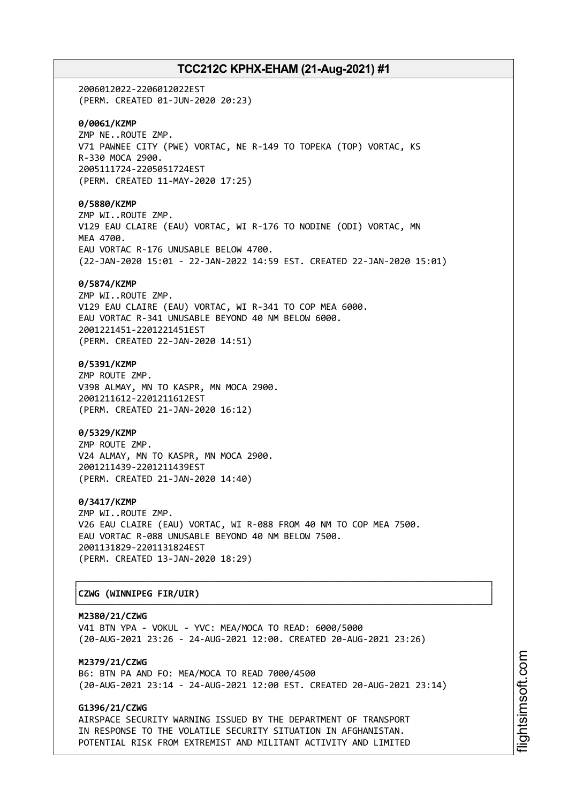2006012022-2206012022EST (PERM. CREATED 01-JUN-2020 20:23) **0/0061/KZMP** ZMP NE..ROUTE ZMP. V71 PAWNEE CITY (PWE) VORTAC, NE R-149 TO TOPEKA (TOP) VORTAC, KS R-330 MOCA 2900. 2005111724-2205051724EST (PERM. CREATED 11-MAY-2020 17:25) **0/5880/KZMP** ZMP WI..ROUTE ZMP. V129 EAU CLAIRE (EAU) VORTAC, WI R-176 TO NODINE (ODI) VORTAC, MN MEA 4700. EAU VORTAC R-176 UNUSABLE BELOW 4700. (22-JAN-2020 15:01 - 22-JAN-2022 14:59 EST. CREATED 22-JAN-2020 15:01) **0/5874/KZMP** ZMP WI..ROUTE ZMP. V129 EAU CLAIRE (EAU) VORTAC, WI R-341 TO COP MEA 6000. EAU VORTAC R-341 UNUSABLE BEYOND 40 NM BELOW 6000. 2001221451-2201221451EST (PERM. CREATED 22-JAN-2020 14:51) **0/5391/KZMP** ZMP ROUTE ZMP. V398 ALMAY, MN TO KASPR, MN MOCA 2900. 2001211612-2201211612EST (PERM. CREATED 21-JAN-2020 16:12) **0/5329/KZMP** ZMP ROUTE ZMP. V24 ALMAY, MN TO KASPR, MN MOCA 2900. 2001211439-2201211439EST (PERM. CREATED 21-JAN-2020 14:40) **0/3417/KZMP** ZMP WI..ROUTE ZMP. V26 EAU CLAIRE (EAU) VORTAC, WI R-088 FROM 40 NM TO COP MEA 7500. EAU VORTAC R-088 UNUSABLE BEYOND 40 NM BELOW 7500. 2001131829-2201131824EST (PERM. CREATED 13-JAN-2020 18:29) ┌──────────────────────────────────────────────────────────────────────────────┐

# │**CZWG (WINNIPEG FIR/UIR)** │

**M2380/21/CZWG** V41 BTN YPA - VOKUL - YVC: MEA/MOCA TO READ: 6000/5000 (20-AUG-2021 23:26 - 24-AUG-2021 12:00. CREATED 20-AUG-2021 23:26)

└──────────────────────────────────────────────────────────────────────────────┘

**M2379/21/CZWG** B6: BTN PA AND FO: MEA/MOCA TO READ 7000/4500 (20-AUG-2021 23:14 - 24-AUG-2021 12:00 EST. CREATED 20-AUG-2021 23:14)

## **G1396/21/CZWG**

AIRSPACE SECURITY WARNING ISSUED BY THE DEPARTMENT OF TRANSPORT IN RESPONSE TO THE VOLATILE SECURITY SITUATION IN AFGHANISTAN. POTENTIAL RISK FROM EXTREMIST AND MILITANT ACTIVITY AND LIMITED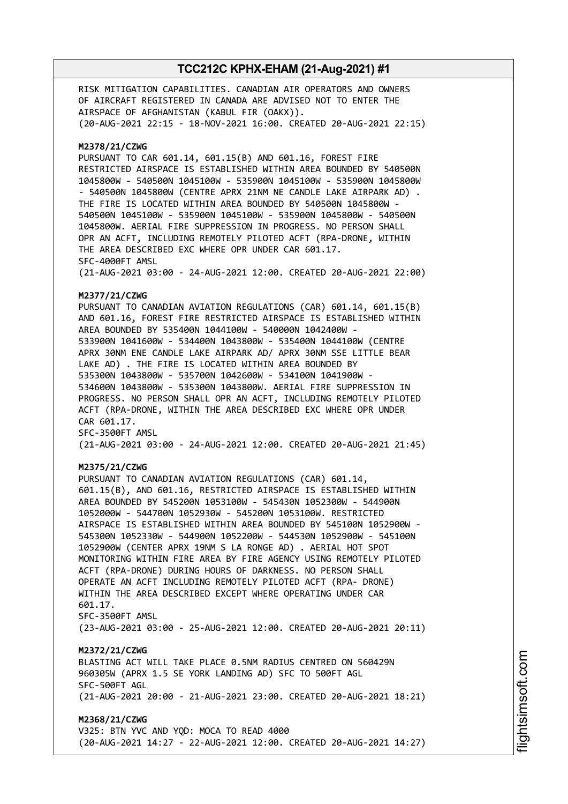RISK MITIGATION CAPABILITIES. CANADIAN AIR OPERATORS AND OWNERS OF AIRCRAFT REGISTERED IN CANADA ARE ADVISED NOT TO ENTER THE AIRSPACE OF AFGHANISTAN (KABUL FIR (OAKX)). (20-AUG-2021 22:15 - 18-NOV-2021 16:00. CREATED 20-AUG-2021 22:15) **M2378/21/CZWG** PURSUANT TO CAR 601.14, 601.15(B) AND 601.16, FOREST FIRE RESTRICTED AIRSPACE IS ESTABLISHED WITHIN AREA BOUNDED BY 540500N 1045800W - 540500N 1045100W - 535900N 1045100W - 535900N 1045800W - 540500N 1045800W (CENTRE APRX 21NM NE CANDLE LAKE AIRPARK AD) . THE FIRE IS LOCATED WITHIN AREA BOUNDED BY 540500N 1045800W - 540500N 1045100W - 535900N 1045100W - 535900N 1045800W - 540500N 1045800W. AERIAL FIRE SUPPRESSION IN PROGRESS. NO PERSON SHALL OPR AN ACFT, INCLUDING REMOTELY PILOTED ACFT (RPA-DRONE, WITHIN THE AREA DESCRIBED EXC WHERE OPR UNDER CAR 601.17. SFC-4000FT AMSL (21-AUG-2021 03:00 - 24-AUG-2021 12:00. CREATED 20-AUG-2021 22:00) **M2377/21/CZWG** PURSUANT TO CANADIAN AVIATION REGULATIONS (CAR) 601.14, 601.15(B) AND 601.16, FOREST FIRE RESTRICTED AIRSPACE IS ESTABLISHED WITHIN AREA BOUNDED BY 535400N 1044100W - 540000N 1042400W - 533900N 1041600W - 534400N 1043800W - 535400N 1044100W (CENTRE APRX 30NM ENE CANDLE LAKE AIRPARK AD/ APRX 30NM SSE LITTLE BEAR LAKE AD) . THE FIRE IS LOCATED WITHIN AREA BOUNDED BY 535300N 1043800W - 535700N 1042600W - 534100N 1041900W - 534600N 1043800W - 535300N 1043800W. AERIAL FIRE SUPPRESSION IN PROGRESS. NO PERSON SHALL OPR AN ACFT, INCLUDING REMOTELY PILOTED ACFT (RPA-DRONE, WITHIN THE AREA DESCRIBED EXC WHERE OPR UNDER CAR 601.17. SFC-3500FT AMSL (21-AUG-2021 03:00 - 24-AUG-2021 12:00. CREATED 20-AUG-2021 21:45) **M2375/21/CZWG** PURSUANT TO CANADIAN AVIATION REGULATIONS (CAR) 601.14, 601.15(B), AND 601.16, RESTRICTED AIRSPACE IS ESTABLISHED WITHIN AREA BOUNDED BY 545200N 1053100W - 545430N 1052300W - 544900N 1052000W - 544700N 1052930W - 545200N 1053100W. RESTRICTED AIRSPACE IS ESTABLISHED WITHIN AREA BOUNDED BY 545100N 1052900W - 545300N 1052330W - 544900N 1052200W - 544530N 1052900W - 545100N 1052900W (CENTER APRX 19NM S LA RONGE AD) . AERIAL HOT SPOT MONITORING WITHIN FIRE AREA BY FIRE AGENCY USING REMOTELY PILOTED ACFT (RPA-DRONE) DURING HOURS OF DARKNESS. NO PERSON SHALL OPERATE AN ACFT INCLUDING REMOTELY PILOTED ACFT (RPA- DRONE) WITHIN THE AREA DESCRIBED EXCEPT WHERE OPERATING UNDER CAR 601.17. SFC-3500FT AMSL (23-AUG-2021 03:00 - 25-AUG-2021 12:00. CREATED 20-AUG-2021 20:11) **M2372/21/CZWG** BLASTING ACT WILL TAKE PLACE 0.5NM RADIUS CENTRED ON 560429N 960305W (APRX 1.5 SE YORK LANDING AD) SFC TO 500FT AGL SFC-500FT AGL (21-AUG-2021 20:00 - 21-AUG-2021 23:00. CREATED 20-AUG-2021 18:21) **M2368/21/CZWG** V325: BTN YVC AND YQD: MOCA TO READ 4000 (20-AUG-2021 14:27 - 22-AUG-2021 12:00. CREATED 20-AUG-2021 14:27)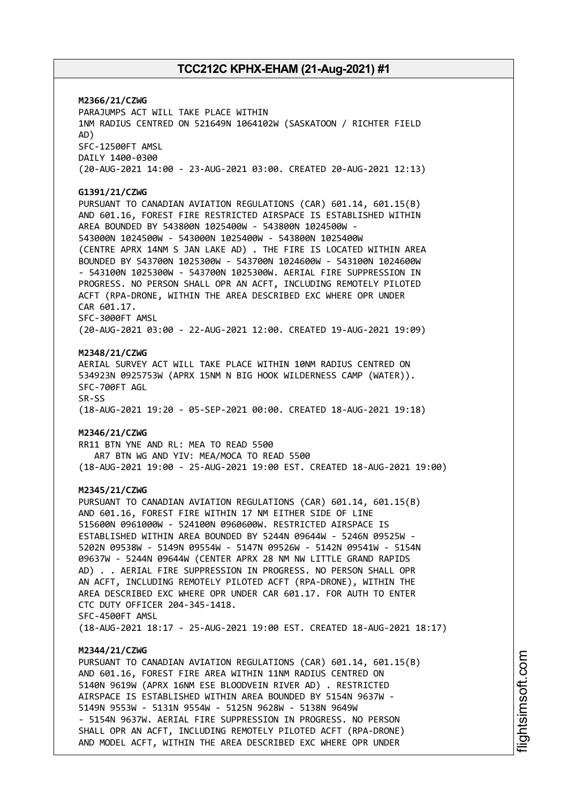**M2366/21/CZWG** PARAJUMPS ACT WILL TAKE PLACE WITHIN 1NM RADIUS CENTRED ON 521649N 1064102W (SASKATOON / RICHTER FIELD AD) SFC-12500FT AMSL DAILY 1400-0300 (20-AUG-2021 14:00 - 23-AUG-2021 03:00. CREATED 20-AUG-2021 12:13) **G1391/21/CZWG** PURSUANT TO CANADIAN AVIATION REGULATIONS (CAR) 601.14, 601.15(B) AND 601.16, FOREST FIRE RESTRICTED AIRSPACE IS ESTABLISHED WITHIN AREA BOUNDED BY 543800N 1025400W - 543800N 1024500W - 543000N 1024500W - 543000N 1025400W - 543800N 1025400W (CENTRE APRX 14NM S JAN LAKE AD) . THE FIRE IS LOCATED WITHIN AREA BOUNDED BY 543700N 1025300W - 543700N 1024600W - 543100N 1024600W - 543100N 1025300W - 543700N 1025300W. AERIAL FIRE SUPPRESSION IN PROGRESS. NO PERSON SHALL OPR AN ACFT, INCLUDING REMOTELY PILOTED ACFT (RPA-DRONE, WITHIN THE AREA DESCRIBED EXC WHERE OPR UNDER CAR 601.17. SFC-3000FT AMSL (20-AUG-2021 03:00 - 22-AUG-2021 12:00. CREATED 19-AUG-2021 19:09) **M2348/21/CZWG** AERIAL SURVEY ACT WILL TAKE PLACE WITHIN 10NM RADIUS CENTRED ON 534923N 0925753W (APRX 15NM N BIG HOOK WILDERNESS CAMP (WATER)). SFC-700FT AGL SR-SS (18-AUG-2021 19:20 - 05-SEP-2021 00:00. CREATED 18-AUG-2021 19:18) **M2346/21/CZWG** RR11 BTN YNE AND RL: MEA TO READ 5500 AR7 BTN WG AND YIV: MEA/MOCA TO READ 5500 (18-AUG-2021 19:00 - 25-AUG-2021 19:00 EST. CREATED 18-AUG-2021 19:00) **M2345/21/CZWG** PURSUANT TO CANADIAN AVIATION REGULATIONS (CAR) 601.14, 601.15(B) AND 601.16, FOREST FIRE WITHIN 17 NM EITHER SIDE OF LINE 515600N 0961000W - 524100N 0960600W. RESTRICTED AIRSPACE IS ESTABLISHED WITHIN AREA BOUNDED BY 5244N 09644W - 5246N 09525W - 5202N 09538W - 5149N 09554W - 5147N 09526W - 5142N 09541W - 5154N 09637W - 5244N 09644W (CENTER APRX 28 NM NW LITTLE GRAND RAPIDS AD) . . AERIAL FIRE SUPPRESSION IN PROGRESS. NO PERSON SHALL OPR AN ACFT, INCLUDING REMOTELY PILOTED ACFT (RPA-DRONE), WITHIN THE AREA DESCRIBED EXC WHERE OPR UNDER CAR 601.17. FOR AUTH TO ENTER CTC DUTY OFFICER 204-345-1418. SFC-4500FT AMSL (18-AUG-2021 18:17 - 25-AUG-2021 19:00 EST. CREATED 18-AUG-2021 18:17) **M2344/21/CZWG** PURSUANT TO CANADIAN AVIATION REGULATIONS (CAR) 601.14, 601.15(B) AND 601.16, FOREST FIRE AREA WITHIN 11NM RADIUS CENTRED ON 5140N 9619W (APRX 16NM ESE BLOODVEIN RIVER AD) . RESTRICTED AIRSPACE IS ESTABLISHED WITHIN AREA BOUNDED BY 5154N 9637W - 5149N 9553W - 5131N 9554W - 5125N 9628W - 5138N 9649W - 5154N 9637W. AERIAL FIRE SUPPRESSION IN PROGRESS. NO PERSON SHALL OPR AN ACFT, INCLUDING REMOTELY PILOTED ACFT (RPA-DRONE)

AND MODEL ACFT, WITHIN THE AREA DESCRIBED EXC WHERE OPR UNDER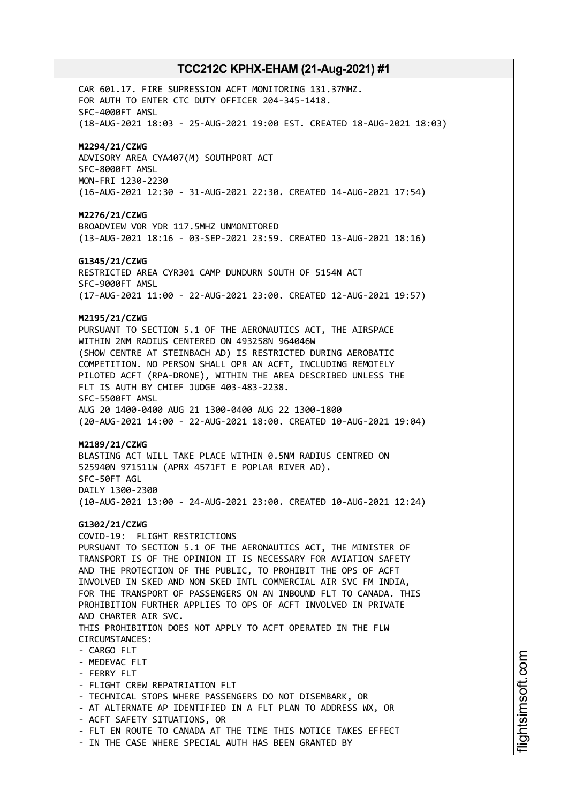CAR 601.17. FIRE SUPRESSION ACFT MONITORING 131.37MHZ. FOR AUTH TO ENTER CTC DUTY OFFICER 204-345-1418. SFC-4000FT AMSL (18-AUG-2021 18:03 - 25-AUG-2021 19:00 EST. CREATED 18-AUG-2021 18:03) **M2294/21/CZWG** ADVISORY AREA CYA407(M) SOUTHPORT ACT SFC-8000FT AMSL MON-FRI 1230-2230 (16-AUG-2021 12:30 - 31-AUG-2021 22:30. CREATED 14-AUG-2021 17:54) **M2276/21/CZWG** BROADVIEW VOR YDR 117.5MHZ UNMONITORED (13-AUG-2021 18:16 - 03-SEP-2021 23:59. CREATED 13-AUG-2021 18:16) **G1345/21/CZWG** RESTRICTED AREA CYR301 CAMP DUNDURN SOUTH OF 5154N ACT SFC-9000FT AMSL (17-AUG-2021 11:00 - 22-AUG-2021 23:00. CREATED 12-AUG-2021 19:57) **M2195/21/CZWG** PURSUANT TO SECTION 5.1 OF THE AERONAUTICS ACT, THE AIRSPACE WITHIN 2NM RADIUS CENTERED ON 493258N 964046W (SHOW CENTRE AT STEINBACH AD) IS RESTRICTED DURING AEROBATIC COMPETITION. NO PERSON SHALL OPR AN ACFT, INCLUDING REMOTELY PILOTED ACFT (RPA-DRONE), WITHIN THE AREA DESCRIBED UNLESS THE FLT IS AUTH BY CHIEF JUDGE 403-483-2238. SFC-5500FT AMSL AUG 20 1400-0400 AUG 21 1300-0400 AUG 22 1300-1800 (20-AUG-2021 14:00 - 22-AUG-2021 18:00. CREATED 10-AUG-2021 19:04) **M2189/21/CZWG** BLASTING ACT WILL TAKE PLACE WITHIN 0.5NM RADIUS CENTRED ON 525940N 971511W (APRX 4571FT E POPLAR RIVER AD). SFC-50FT AGL DAILY 1300-2300 (10-AUG-2021 13:00 - 24-AUG-2021 23:00. CREATED 10-AUG-2021 12:24) **G1302/21/CZWG** COVID-19: FLIGHT RESTRICTIONS PURSUANT TO SECTION 5.1 OF THE AERONAUTICS ACT, THE MINISTER OF TRANSPORT IS OF THE OPINION IT IS NECESSARY FOR AVIATION SAFETY AND THE PROTECTION OF THE PUBLIC, TO PROHIBIT THE OPS OF ACFT INVOLVED IN SKED AND NON SKED INTL COMMERCIAL AIR SVC FM INDIA, FOR THE TRANSPORT OF PASSENGERS ON AN INBOUND FLT TO CANADA. THIS PROHIBITION FURTHER APPLIES TO OPS OF ACFT INVOLVED IN PRIVATE AND CHARTER AIR SVC. THIS PROHIBITION DOES NOT APPLY TO ACFT OPERATED IN THE FLW CIRCUMSTANCES: - CARGO FLT - MEDEVAC FLT - FERRY FLT - FLIGHT CREW REPATRIATION FLT - TECHNICAL STOPS WHERE PASSENGERS DO NOT DISEMBARK, OR - AT ALTERNATE AP IDENTIFIED IN A FLT PLAN TO ADDRESS WX, OR - ACFT SAFETY SITUATIONS, OR - FLT EN ROUTE TO CANADA AT THE TIME THIS NOTICE TAKES EFFECT - IN THE CASE WHERE SPECIAL AUTH HAS BEEN GRANTED BY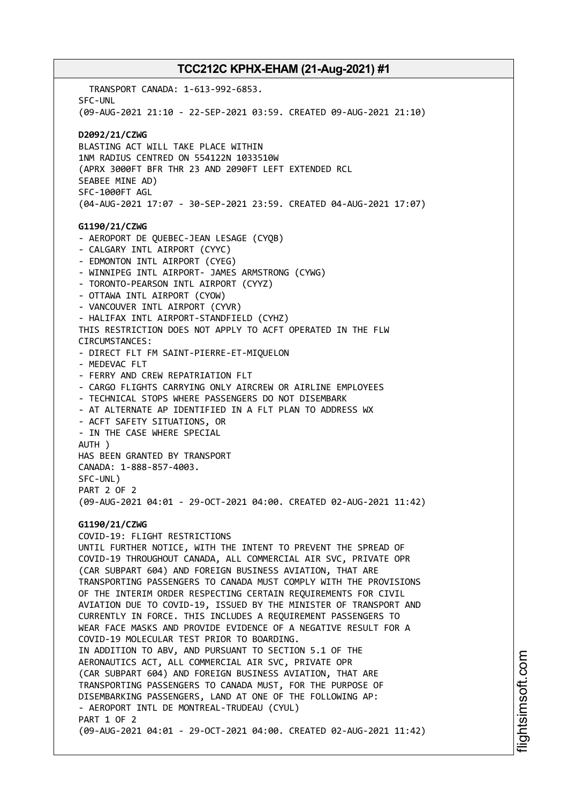TRANSPORT CANADA: 1-613-992-6853. SFC-UNL (09-AUG-2021 21:10 - 22-SEP-2021 03:59. CREATED 09-AUG-2021 21:10) **D2092/21/CZWG** BLASTING ACT WILL TAKE PLACE WITHIN 1NM RADIUS CENTRED ON 554122N 1033510W (APRX 3000FT BFR THR 23 AND 2090FT LEFT EXTENDED RCL SEABEE MINE AD) SFC-1000FT AGL (04-AUG-2021 17:07 - 30-SEP-2021 23:59. CREATED 04-AUG-2021 17:07) **G1190/21/CZWG** - AEROPORT DE QUEBEC-JEAN LESAGE (CYQB) - CALGARY INTL AIRPORT (CYYC) - EDMONTON INTL AIRPORT (CYEG) - WINNIPEG INTL AIRPORT- JAMES ARMSTRONG (CYWG) - TORONTO-PEARSON INTL AIRPORT (CYYZ) - OTTAWA INTL AIRPORT (CYOW) - VANCOUVER INTL AIRPORT (CYVR) - HALIFAX INTL AIRPORT-STANDFIELD (CYHZ) THIS RESTRICTION DOES NOT APPLY TO ACFT OPERATED IN THE FLW CIRCUMSTANCES: - DIRECT FLT FM SAINT-PIERRE-ET-MIQUELON - MEDEVAC FLT - FERRY AND CREW REPATRIATION FLT - CARGO FLIGHTS CARRYING ONLY AIRCREW OR AIRLINE EMPLOYEES - TECHNICAL STOPS WHERE PASSENGERS DO NOT DISEMBARK - AT ALTERNATE AP IDENTIFIED IN A FLT PLAN TO ADDRESS WX - ACFT SAFETY SITUATIONS, OR - IN THE CASE WHERE SPECIAL AUTH ) HAS BEEN GRANTED BY TRANSPORT CANADA: 1-888-857-4003. SFC-UNL) PART 2 OF 2 (09-AUG-2021 04:01 - 29-OCT-2021 04:00. CREATED 02-AUG-2021 11:42) **G1190/21/CZWG** COVID-19: FLIGHT RESTRICTIONS UNTIL FURTHER NOTICE, WITH THE INTENT TO PREVENT THE SPREAD OF COVID-19 THROUGHOUT CANADA, ALL COMMERCIAL AIR SVC, PRIVATE OPR (CAR SUBPART 604) AND FOREIGN BUSINESS AVIATION, THAT ARE TRANSPORTING PASSENGERS TO CANADA MUST COMPLY WITH THE PROVISIONS OF THE INTERIM ORDER RESPECTING CERTAIN REQUIREMENTS FOR CIVIL AVIATION DUE TO COVID-19, ISSUED BY THE MINISTER OF TRANSPORT AND CURRENTLY IN FORCE. THIS INCLUDES A REQUIREMENT PASSENGERS TO WEAR FACE MASKS AND PROVIDE EVIDENCE OF A NEGATIVE RESULT FOR A COVID-19 MOLECULAR TEST PRIOR TO BOARDING. IN ADDITION TO ABV, AND PURSUANT TO SECTION 5.1 OF THE AERONAUTICS ACT, ALL COMMERCIAL AIR SVC, PRIVATE OPR (CAR SUBPART 604) AND FOREIGN BUSINESS AVIATION, THAT ARE TRANSPORTING PASSENGERS TO CANADA MUST, FOR THE PURPOSE OF DISEMBARKING PASSENGERS, LAND AT ONE OF THE FOLLOWING AP: - AEROPORT INTL DE MONTREAL-TRUDEAU (CYUL) PART 1 OF 2 (09-AUG-2021 04:01 - 29-OCT-2021 04:00. CREATED 02-AUG-2021 11:42)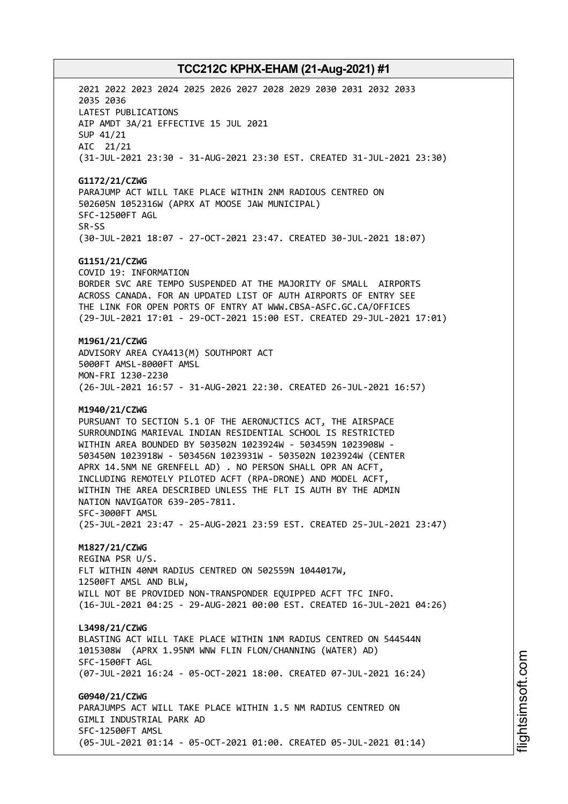2021 2022 2023 2024 2025 2026 2027 2028 2029 2030 2031 2032 2033 2035 2036 LATEST PUBLICATIONS AIP AMDT 3A/21 EFFECTIVE 15 JUL 2021 SUP 41/21 AIC 21/21 (31-JUL-2021 23:30 - 31-AUG-2021 23:30 EST. CREATED 31-JUL-2021 23:30) **G1172/21/CZWG** PARAJUMP ACT WILL TAKE PLACE WITHIN 2NM RADIOUS CENTRED ON 502605N 1052316W (APRX AT MOOSE JAW MUNICIPAL) SFC-12500FT AGL SR-SS (30-JUL-2021 18:07 - 27-OCT-2021 23:47. CREATED 30-JUL-2021 18:07) **G1151/21/CZWG** COVID 19: INFORMATION BORDER SVC ARE TEMPO SUSPENDED AT THE MAJORITY OF SMALL AIRPORTS ACROSS CANADA. FOR AN UPDATED LIST OF AUTH AIRPORTS OF ENTRY SEE THE LINK FOR OPEN PORTS OF ENTRY AT WWW.CBSA-ASFC.GC.CA/OFFICES (29-JUL-2021 17:01 - 29-OCT-2021 15:00 EST. CREATED 29-JUL-2021 17:01) **M1961/21/CZWG** ADVISORY AREA CYA413(M) SOUTHPORT ACT 5000FT AMSL-8000FT AMSL MON-FRI 1230-2230 (26-JUL-2021 16:57 - 31-AUG-2021 22:30. CREATED 26-JUL-2021 16:57) **M1940/21/CZWG** PURSUANT TO SECTION 5.1 OF THE AERONUCTICS ACT, THE AIRSPACE SURROUNDING MARIEVAL INDIAN RESIDENTIAL SCHOOL IS RESTRICTED WITHIN AREA BOUNDED BY 503502N 1023924W - 503459N 1023908W - 503450N 1023918W - 503456N 1023931W - 503502N 1023924W (CENTER APRX 14.5NM NE GRENFELL AD) . NO PERSON SHALL OPR AN ACFT, INCLUDING REMOTELY PILOTED ACFT (RPA-DRONE) AND MODEL ACFT, WITHIN THE AREA DESCRIBED UNLESS THE FLT IS AUTH BY THE ADMIN NATION NAVIGATOR 639-205-7811. SFC-3000FT AMSL (25-JUL-2021 23:47 - 25-AUG-2021 23:59 EST. CREATED 25-JUL-2021 23:47) **M1827/21/CZWG** REGINA PSR U/S. FLT WITHIN 40NM RADIUS CENTRED ON 502559N 1044017W, 12500FT AMSL AND BLW, WILL NOT BE PROVIDED NON-TRANSPONDER EQUIPPED ACFT TFC INFO. (16-JUL-2021 04:25 - 29-AUG-2021 00:00 EST. CREATED 16-JUL-2021 04:26) **L3498/21/CZWG** BLASTING ACT WILL TAKE PLACE WITHIN 1NM RADIUS CENTRED ON 544544N 1015308W (APRX 1.95NM WNW FLIN FLON/CHANNING (WATER) AD) SFC-1500FT AGL (07-JUL-2021 16:24 - 05-OCT-2021 18:00. CREATED 07-JUL-2021 16:24) **G0940/21/CZWG** PARAJUMPS ACT WILL TAKE PLACE WITHIN 1.5 NM RADIUS CENTRED ON GIMLI INDUSTRIAL PARK AD SFC-12500FT AMSL (05-JUL-2021 01:14 - 05-OCT-2021 01:00. CREATED 05-JUL-2021 01:14)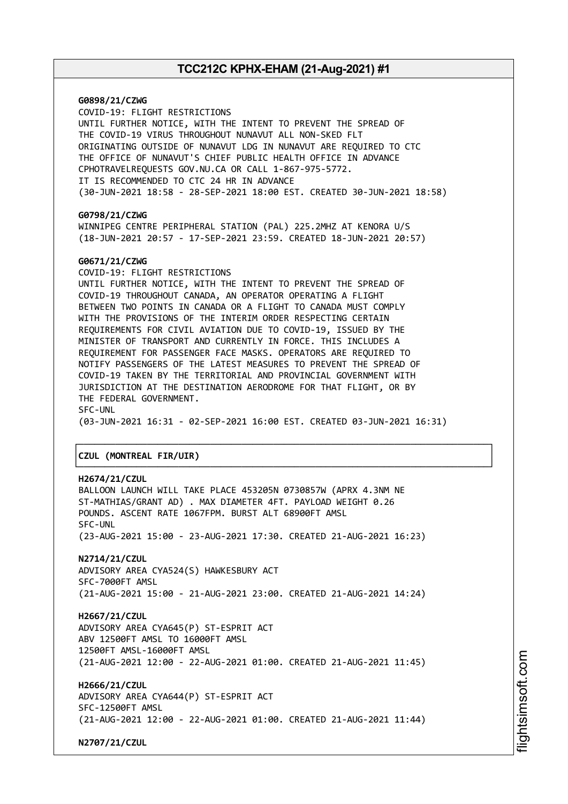**G0898/21/CZWG** COVID-19: FLIGHT RESTRICTIONS UNTIL FURTHER NOTICE, WITH THE INTENT TO PREVENT THE SPREAD OF THE COVID-19 VIRUS THROUGHOUT NUNAVUT ALL NON-SKED FLT ORIGINATING OUTSIDE OF NUNAVUT LDG IN NUNAVUT ARE REQUIRED TO CTC THE OFFICE OF NUNAVUT'S CHIEF PUBLIC HEALTH OFFICE IN ADVANCE CPHOTRAVELREQUESTS GOV.NU.CA OR CALL 1-867-975-5772. IT IS RECOMMENDED TO CTC 24 HR IN ADVANCE (30-JUN-2021 18:58 - 28-SEP-2021 18:00 EST. CREATED 30-JUN-2021 18:58) **G0798/21/CZWG** WINNIPEG CENTRE PERIPHERAL STATION (PAL) 225.2MHZ AT KENORA U/S (18-JUN-2021 20:57 - 17-SEP-2021 23:59. CREATED 18-JUN-2021 20:57) **G0671/21/CZWG** COVID-19: FLIGHT RESTRICTIONS UNTIL FURTHER NOTICE, WITH THE INTENT TO PREVENT THE SPREAD OF COVID-19 THROUGHOUT CANADA, AN OPERATOR OPERATING A FLIGHT BETWEEN TWO POINTS IN CANADA OR A FLIGHT TO CANADA MUST COMPLY WITH THE PROVISIONS OF THE INTERIM ORDER RESPECTING CERTAIN REQUIREMENTS FOR CIVIL AVIATION DUE TO COVID-19, ISSUED BY THE MINISTER OF TRANSPORT AND CURRENTLY IN FORCE. THIS INCLUDES A REQUIREMENT FOR PASSENGER FACE MASKS. OPERATORS ARE REQUIRED TO NOTIFY PASSENGERS OF THE LATEST MEASURES TO PREVENT THE SPREAD OF COVID-19 TAKEN BY THE TERRITORIAL AND PROVINCIAL GOVERNMENT WITH JURISDICTION AT THE DESTINATION AERODROME FOR THAT FLIGHT, OR BY THE FEDERAL GOVERNMENT. SFC-UNL (03-JUN-2021 16:31 - 02-SEP-2021 16:00 EST. CREATED 03-JUN-2021 16:31) ┌──────────────────────────────────────────────────────────────────────────────┐ │**CZUL (MONTREAL FIR/UIR)** │ └──────────────────────────────────────────────────────────────────────────────┘ **H2674/21/CZUL** BALLOON LAUNCH WILL TAKE PLACE 453205N 0730857W (APRX 4.3NM NE ST-MATHIAS/GRANT AD) . MAX DIAMETER 4FT. PAYLOAD WEIGHT 0.26 POUNDS. ASCENT RATE 1067FPM. BURST ALT 68900FT AMSL SFC-UNL (23-AUG-2021 15:00 - 23-AUG-2021 17:30. CREATED 21-AUG-2021 16:23) **N2714/21/CZUL** ADVISORY AREA CYA524(S) HAWKESBURY ACT

SFC-7000FT AMSL (21-AUG-2021 15:00 - 21-AUG-2021 23:00. CREATED 21-AUG-2021 14:24)

**H2667/21/CZUL** ADVISORY AREA CYA645(P) ST-ESPRIT ACT ABV 12500FT AMSL TO 16000FT AMSL 12500FT AMSL-16000FT AMSL (21-AUG-2021 12:00 - 22-AUG-2021 01:00. CREATED 21-AUG-2021 11:45)

**H2666/21/CZUL** ADVISORY AREA CYA644(P) ST-ESPRIT ACT SFC-12500FT AMSL (21-AUG-2021 12:00 - 22-AUG-2021 01:00. CREATED 21-AUG-2021 11:44)

**N2707/21/CZUL**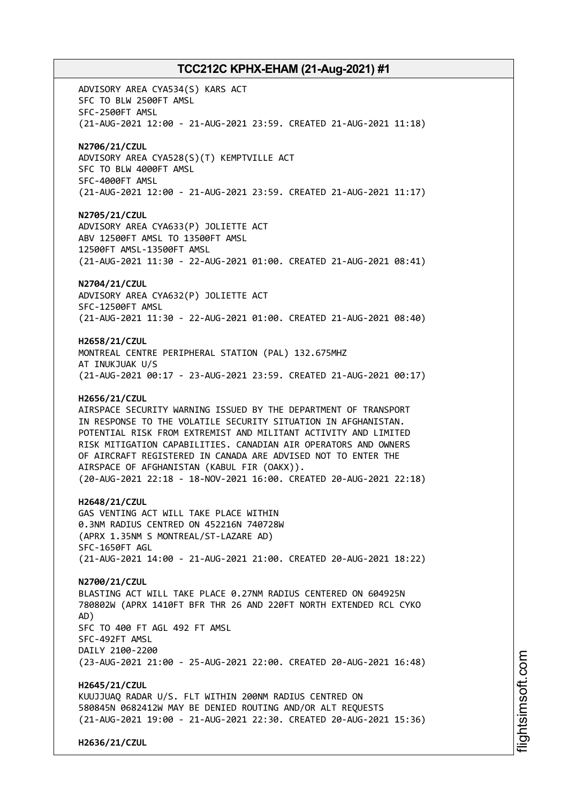ADVISORY AREA CYA534(S) KARS ACT SFC TO BLW 2500FT AMSL SFC-2500FT AMSL (21-AUG-2021 12:00 - 21-AUG-2021 23:59. CREATED 21-AUG-2021 11:18) **N2706/21/CZUL** ADVISORY AREA CYA528(S)(T) KEMPTVILLE ACT SFC TO BLW 4000FT AMSL SFC-4000FT AMSL (21-AUG-2021 12:00 - 21-AUG-2021 23:59. CREATED 21-AUG-2021 11:17) **N2705/21/CZUL** ADVISORY AREA CYA633(P) JOLIETTE ACT ABV 12500FT AMSL TO 13500FT AMSL 12500FT AMSL-13500FT AMSL (21-AUG-2021 11:30 - 22-AUG-2021 01:00. CREATED 21-AUG-2021 08:41) **N2704/21/CZUL** ADVISORY AREA CYA632(P) JOLIETTE ACT SFC-12500FT AMSL (21-AUG-2021 11:30 - 22-AUG-2021 01:00. CREATED 21-AUG-2021 08:40) **H2658/21/CZUL** MONTREAL CENTRE PERIPHERAL STATION (PAL) 132.675MHZ AT INUKJUAK U/S (21-AUG-2021 00:17 - 23-AUG-2021 23:59. CREATED 21-AUG-2021 00:17) **H2656/21/CZUL** AIRSPACE SECURITY WARNING ISSUED BY THE DEPARTMENT OF TRANSPORT IN RESPONSE TO THE VOLATILE SECURITY SITUATION IN AFGHANISTAN. POTENTIAL RISK FROM EXTREMIST AND MILITANT ACTIVITY AND LIMITED RISK MITIGATION CAPABILITIES. CANADIAN AIR OPERATORS AND OWNERS OF AIRCRAFT REGISTERED IN CANADA ARE ADVISED NOT TO ENTER THE AIRSPACE OF AFGHANISTAN (KABUL FIR (OAKX)). (20-AUG-2021 22:18 - 18-NOV-2021 16:00. CREATED 20-AUG-2021 22:18) **H2648/21/CZUL** GAS VENTING ACT WILL TAKE PLACE WITHIN 0.3NM RADIUS CENTRED ON 452216N 740728W (APRX 1.35NM S MONTREAL/ST-LAZARE AD) SFC-1650FT AGL (21-AUG-2021 14:00 - 21-AUG-2021 21:00. CREATED 20-AUG-2021 18:22) **N2700/21/CZUL** BLASTING ACT WILL TAKE PLACE 0.27NM RADIUS CENTERED ON 604925N 780802W (APRX 1410FT BFR THR 26 AND 220FT NORTH EXTENDED RCL CYKO AD) SFC TO 400 FT AGL 492 FT AMSL SFC-492FT AMSL DAILY 2100-2200 (23-AUG-2021 21:00 - 25-AUG-2021 22:00. CREATED 20-AUG-2021 16:48) **H2645/21/CZUL** KUUJJUAQ RADAR U/S. FLT WITHIN 200NM RADIUS CENTRED ON 580845N 0682412W MAY BE DENIED ROUTING AND/OR ALT REQUESTS (21-AUG-2021 19:00 - 21-AUG-2021 22:30. CREATED 20-AUG-2021 15:36)

**H2636/21/CZUL**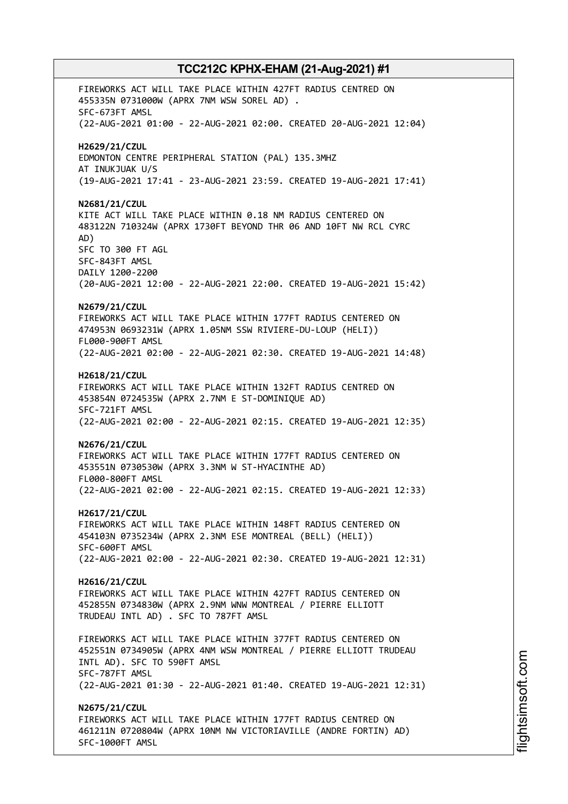FIREWORKS ACT WILL TAKE PLACE WITHIN 427FT RADIUS CENTRED ON 455335N 0731000W (APRX 7NM WSW SOREL AD) . SFC-673FT AMSL (22-AUG-2021 01:00 - 22-AUG-2021 02:00. CREATED 20-AUG-2021 12:04) **H2629/21/CZUL** EDMONTON CENTRE PERIPHERAL STATION (PAL) 135.3MHZ AT INUKJUAK U/S (19-AUG-2021 17:41 - 23-AUG-2021 23:59. CREATED 19-AUG-2021 17:41) **N2681/21/CZUL** KITE ACT WILL TAKE PLACE WITHIN 0.18 NM RADIUS CENTERED ON 483122N 710324W (APRX 1730FT BEYOND THR 06 AND 10FT NW RCL CYRC AD) SFC TO 300 FT AGL SFC-843FT AMSL DAILY 1200-2200 (20-AUG-2021 12:00 - 22-AUG-2021 22:00. CREATED 19-AUG-2021 15:42) **N2679/21/CZUL** FIREWORKS ACT WILL TAKE PLACE WITHIN 177FT RADIUS CENTERED ON 474953N 0693231W (APRX 1.05NM SSW RIVIERE-DU-LOUP (HELI)) FL000-900FT AMSL (22-AUG-2021 02:00 - 22-AUG-2021 02:30. CREATED 19-AUG-2021 14:48) **H2618/21/CZUL** FIREWORKS ACT WILL TAKE PLACE WITHIN 132FT RADIUS CENTRED ON 453854N 0724535W (APRX 2.7NM E ST-DOMINIQUE AD) SFC-721FT AMSL (22-AUG-2021 02:00 - 22-AUG-2021 02:15. CREATED 19-AUG-2021 12:35) **N2676/21/CZUL** FIREWORKS ACT WILL TAKE PLACE WITHIN 177FT RADIUS CENTERED ON 453551N 0730530W (APRX 3.3NM W ST-HYACINTHE AD) FL000-800FT AMSL (22-AUG-2021 02:00 - 22-AUG-2021 02:15. CREATED 19-AUG-2021 12:33) **H2617/21/CZUL** FIREWORKS ACT WILL TAKE PLACE WITHIN 148FT RADIUS CENTERED ON 454103N 0735234W (APRX 2.3NM ESE MONTREAL (BELL) (HELI)) SFC-600FT AMSL (22-AUG-2021 02:00 - 22-AUG-2021 02:30. CREATED 19-AUG-2021 12:31) **H2616/21/CZUL** FIREWORKS ACT WILL TAKE PLACE WITHIN 427FT RADIUS CENTERED ON 452855N 0734830W (APRX 2.9NM WNW MONTREAL / PIERRE ELLIOTT TRUDEAU INTL AD) . SFC TO 787FT AMSL FIREWORKS ACT WILL TAKE PLACE WITHIN 377FT RADIUS CENTERED ON 452551N 0734905W (APRX 4NM WSW MONTREAL / PIERRE ELLIOTT TRUDEAU INTL AD). SFC TO 590FT AMSL SFC-787FT AMSL (22-AUG-2021 01:30 - 22-AUG-2021 01:40. CREATED 19-AUG-2021 12:31) **N2675/21/CZUL** FIREWORKS ACT WILL TAKE PLACE WITHIN 177FT RADIUS CENTRED ON 461211N 0720804W (APRX 10NM NW VICTORIAVILLE (ANDRE FORTIN) AD) SFC-1000FT AMSL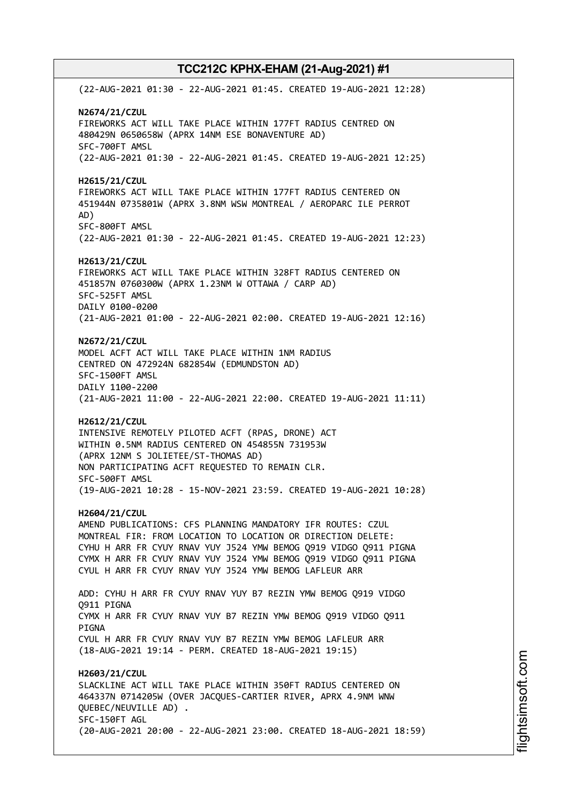(22-AUG-2021 01:30 - 22-AUG-2021 01:45. CREATED 19-AUG-2021 12:28) **N2674/21/CZUL** FIREWORKS ACT WILL TAKE PLACE WITHIN 177FT RADIUS CENTRED ON 480429N 0650658W (APRX 14NM ESE BONAVENTURE AD) SFC-700FT AMSL (22-AUG-2021 01:30 - 22-AUG-2021 01:45. CREATED 19-AUG-2021 12:25) **H2615/21/CZUL** FIREWORKS ACT WILL TAKE PLACE WITHIN 177FT RADIUS CENTERED ON 451944N 0735801W (APRX 3.8NM WSW MONTREAL / AEROPARC ILE PERROT AD) SFC-800FT AMSL (22-AUG-2021 01:30 - 22-AUG-2021 01:45. CREATED 19-AUG-2021 12:23) **H2613/21/CZUL** FIREWORKS ACT WILL TAKE PLACE WITHIN 328FT RADIUS CENTERED ON 451857N 0760300W (APRX 1.23NM W OTTAWA / CARP AD) SFC-525FT AMSL DAILY 0100-0200 (21-AUG-2021 01:00 - 22-AUG-2021 02:00. CREATED 19-AUG-2021 12:16) **N2672/21/CZUL** MODEL ACFT ACT WILL TAKE PLACE WITHIN 1NM RADIUS CENTRED ON 472924N 682854W (EDMUNDSTON AD) SFC-1500FT AMSL DAILY 1100-2200 (21-AUG-2021 11:00 - 22-AUG-2021 22:00. CREATED 19-AUG-2021 11:11) **H2612/21/CZUL** INTENSIVE REMOTELY PILOTED ACFT (RPAS, DRONE) ACT WITHIN 0.5NM RADIUS CENTERED ON 454855N 731953W (APRX 12NM S JOLIETEE/ST-THOMAS AD) NON PARTICIPATING ACFT REQUESTED TO REMAIN CLR. SFC-500FT AMSL (19-AUG-2021 10:28 - 15-NOV-2021 23:59. CREATED 19-AUG-2021 10:28) **H2604/21/CZUL** AMEND PUBLICATIONS: CFS PLANNING MANDATORY IFR ROUTES: CZUL MONTREAL FIR: FROM LOCATION TO LOCATION OR DIRECTION DELETE: CYHU H ARR FR CYUY RNAV YUY J524 YMW BEMOG Q919 VIDGO Q911 PIGNA CYMX H ARR FR CYUY RNAV YUY J524 YMW BEMOG Q919 VIDGO Q911 PIGNA CYUL H ARR FR CYUY RNAV YUY J524 YMW BEMOG LAFLEUR ARR ADD: CYHU H ARR FR CYUY RNAV YUY B7 REZIN YMW BEMOG Q919 VIDGO Q911 PIGNA CYMX H ARR FR CYUY RNAV YUY B7 REZIN YMW BEMOG Q919 VIDGO Q911 PIGNA CYUL H ARR FR CYUY RNAV YUY B7 REZIN YMW BEMOG LAFLEUR ARR (18-AUG-2021 19:14 - PERM. CREATED 18-AUG-2021 19:15) **H2603/21/CZUL** SLACKLINE ACT WILL TAKE PLACE WITHIN 350FT RADIUS CENTERED ON 464337N 0714205W (OVER JACQUES-CARTIER RIVER, APRX 4.9NM WNW QUEBEC/NEUVILLE AD) . SFC-150FT AGL (20-AUG-2021 20:00 - 22-AUG-2021 23:00. CREATED 18-AUG-2021 18:59)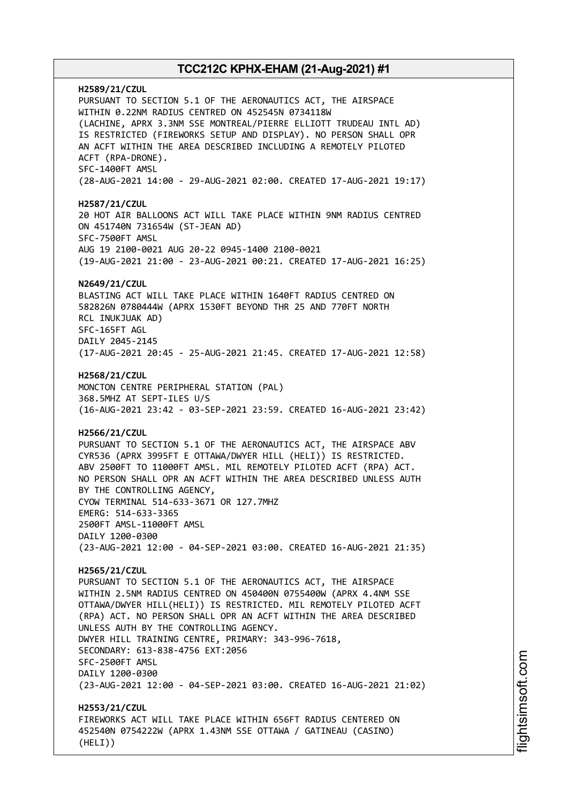**H2589/21/CZUL** PURSUANT TO SECTION 5.1 OF THE AERONAUTICS ACT, THE AIRSPACE WITHIN 0.22NM RADIUS CENTRED ON 452545N 0734118W (LACHINE, APRX 3.3NM SSE MONTREAL/PIERRE ELLIOTT TRUDEAU INTL AD) IS RESTRICTED (FIREWORKS SETUP AND DISPLAY). NO PERSON SHALL OPR AN ACFT WITHIN THE AREA DESCRIBED INCLUDING A REMOTELY PILOTED ACFT (RPA-DRONE). SFC-1400FT AMSL (28-AUG-2021 14:00 - 29-AUG-2021 02:00. CREATED 17-AUG-2021 19:17) **H2587/21/CZUL** 20 HOT AIR BALLOONS ACT WILL TAKE PLACE WITHIN 9NM RADIUS CENTRED ON 451740N 731654W (ST-JEAN AD) SFC-7500FT AMSL AUG 19 2100-0021 AUG 20-22 0945-1400 2100-0021 (19-AUG-2021 21:00 - 23-AUG-2021 00:21. CREATED 17-AUG-2021 16:25) **N2649/21/CZUL** BLASTING ACT WILL TAKE PLACE WITHIN 1640FT RADIUS CENTRED ON 582826N 0780444W (APRX 1530FT BEYOND THR 25 AND 770FT NORTH RCL INUKJUAK AD) SFC-165FT AGL DAILY 2045-2145 (17-AUG-2021 20:45 - 25-AUG-2021 21:45. CREATED 17-AUG-2021 12:58) **H2568/21/CZUL** MONCTON CENTRE PERIPHERAL STATION (PAL) 368.5MHZ AT SEPT-ILES U/S (16-AUG-2021 23:42 - 03-SEP-2021 23:59. CREATED 16-AUG-2021 23:42) **H2566/21/CZUL** PURSUANT TO SECTION 5.1 OF THE AERONAUTICS ACT, THE AIRSPACE ABV CYR536 (APRX 3995FT E OTTAWA/DWYER HILL (HELI)) IS RESTRICTED. ABV 2500FT TO 11000FT AMSL. MIL REMOTELY PILOTED ACFT (RPA) ACT. NO PERSON SHALL OPR AN ACFT WITHIN THE AREA DESCRIBED UNLESS AUTH BY THE CONTROLLING AGENCY, CYOW TERMINAL 514-633-3671 OR 127.7MHZ EMERG: 514-633-3365 2500FT AMSL-11000FT AMSL DAILY 1200-0300 (23-AUG-2021 12:00 - 04-SEP-2021 03:00. CREATED 16-AUG-2021 21:35) **H2565/21/CZUL** PURSUANT TO SECTION 5.1 OF THE AERONAUTICS ACT, THE AIRSPACE WITHIN 2.5NM RADIUS CENTRED ON 450400N 0755400W (APRX 4.4NM SSE OTTAWA/DWYER HILL(HELI)) IS RESTRICTED. MIL REMOTELY PILOTED ACFT (RPA) ACT. NO PERSON SHALL OPR AN ACFT WITHIN THE AREA DESCRIBED UNLESS AUTH BY THE CONTROLLING AGENCY. DWYER HILL TRAINING CENTRE, PRIMARY: 343-996-7618, SECONDARY: 613-838-4756 EXT:2056 SFC-2500FT AMSL DAILY 1200-0300 (23-AUG-2021 12:00 - 04-SEP-2021 03:00. CREATED 16-AUG-2021 21:02) **H2553/21/CZUL** FIREWORKS ACT WILL TAKE PLACE WITHIN 656FT RADIUS CENTERED ON 452540N 0754222W (APRX 1.43NM SSE OTTAWA / GATINEAU (CASINO) (HELI))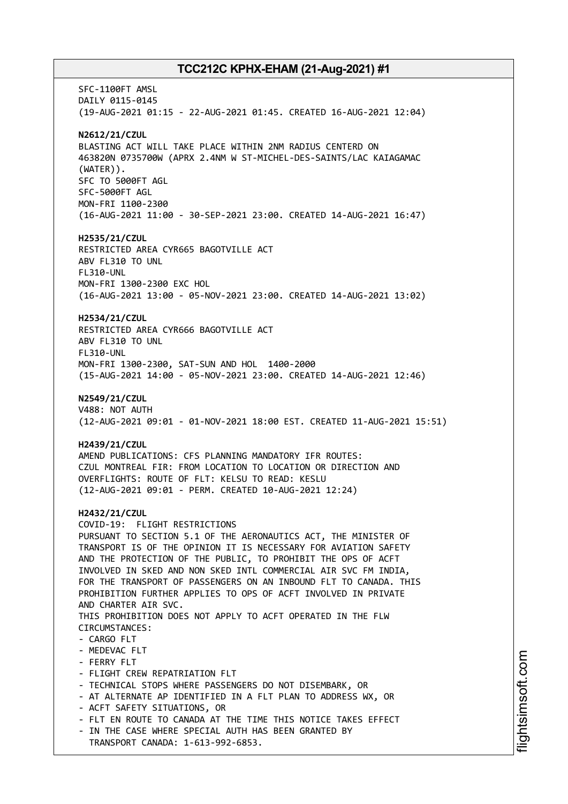SFC-1100FT AMSL DAILY 0115-0145 (19-AUG-2021 01:15 - 22-AUG-2021 01:45. CREATED 16-AUG-2021 12:04) **N2612/21/CZUL** BLASTING ACT WILL TAKE PLACE WITHIN 2NM RADIUS CENTERD ON 463820N 0735700W (APRX 2.4NM W ST-MICHEL-DES-SAINTS/LAC KAIAGAMAC (WATER)). SFC TO 5000FT AGL SFC-5000FT AGL MON-FRI 1100-2300 (16-AUG-2021 11:00 - 30-SEP-2021 23:00. CREATED 14-AUG-2021 16:47) **H2535/21/CZUL** RESTRICTED AREA CYR665 BAGOTVILLE ACT ABV FL310 TO UNL FL310-UNL MON-FRI 1300-2300 EXC HOL (16-AUG-2021 13:00 - 05-NOV-2021 23:00. CREATED 14-AUG-2021 13:02) **H2534/21/CZUL** RESTRICTED AREA CYR666 BAGOTVILLE ACT ABV FL310 TO UNL FL310-UNL MON-FRI 1300-2300, SAT-SUN AND HOL 1400-2000 (15-AUG-2021 14:00 - 05-NOV-2021 23:00. CREATED 14-AUG-2021 12:46) **N2549/21/CZUL** V488: NOT AUTH (12-AUG-2021 09:01 - 01-NOV-2021 18:00 EST. CREATED 11-AUG-2021 15:51) **H2439/21/CZUL** AMEND PUBLICATIONS: CFS PLANNING MANDATORY IFR ROUTES: CZUL MONTREAL FIR: FROM LOCATION TO LOCATION OR DIRECTION AND OVERFLIGHTS: ROUTE OF FLT: KELSU TO READ: KESLU (12-AUG-2021 09:01 - PERM. CREATED 10-AUG-2021 12:24) **H2432/21/CZUL** COVID-19: FLIGHT RESTRICTIONS PURSUANT TO SECTION 5.1 OF THE AERONAUTICS ACT, THE MINISTER OF TRANSPORT IS OF THE OPINION IT IS NECESSARY FOR AVIATION SAFETY AND THE PROTECTION OF THE PUBLIC, TO PROHIBIT THE OPS OF ACFT INVOLVED IN SKED AND NON SKED INTL COMMERCIAL AIR SVC FM INDIA, FOR THE TRANSPORT OF PASSENGERS ON AN INBOUND FLT TO CANADA. THIS PROHIBITION FURTHER APPLIES TO OPS OF ACFT INVOLVED IN PRIVATE AND CHARTER AIR SVC. THIS PROHIBITION DOES NOT APPLY TO ACFT OPERATED IN THE FLW CIRCUMSTANCES: - CARGO FLT - MEDEVAC FLT - FERRY FLT - FLIGHT CREW REPATRIATION FLT - TECHNICAL STOPS WHERE PASSENGERS DO NOT DISEMBARK, OR - AT ALTERNATE AP IDENTIFIED IN A FLT PLAN TO ADDRESS WX, OR - ACFT SAFETY SITUATIONS, OR - FLT EN ROUTE TO CANADA AT THE TIME THIS NOTICE TAKES EFFECT - IN THE CASE WHERE SPECIAL AUTH HAS BEEN GRANTED BY TRANSPORT CANADA: 1-613-992-6853.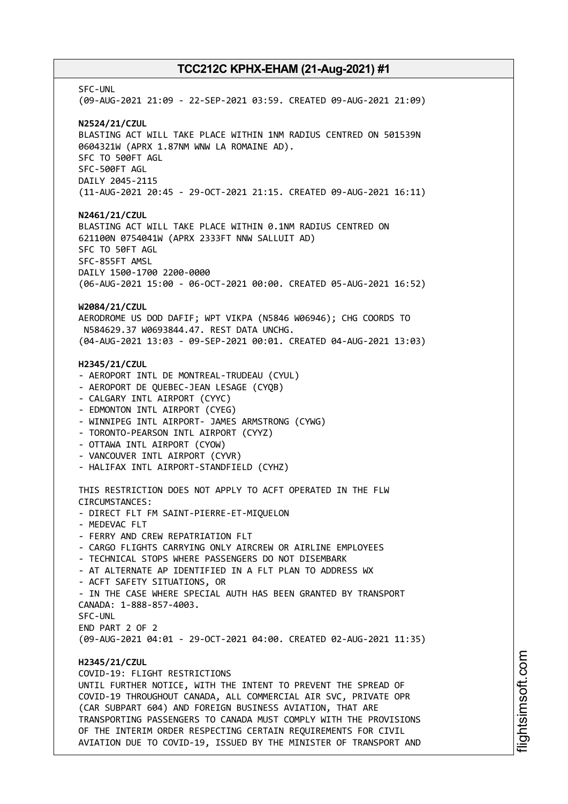SFC-UNL (09-AUG-2021 21:09 - 22-SEP-2021 03:59. CREATED 09-AUG-2021 21:09) **N2524/21/CZUL** BLASTING ACT WILL TAKE PLACE WITHIN 1NM RADIUS CENTRED ON 501539N 0604321W (APRX 1.87NM WNW LA ROMAINE AD). SFC TO 500FT AGL SFC-500FT AGL DAILY 2045-2115 (11-AUG-2021 20:45 - 29-OCT-2021 21:15. CREATED 09-AUG-2021 16:11) **N2461/21/CZUL** BLASTING ACT WILL TAKE PLACE WITHIN 0.1NM RADIUS CENTRED ON 621100N 0754041W (APRX 2333FT NNW SALLUIT AD) SFC TO 50FT AGL SFC-855FT AMSL DAILY 1500-1700 2200-0000 (06-AUG-2021 15:00 - 06-OCT-2021 00:00. CREATED 05-AUG-2021 16:52) **W2084/21/CZUL** AERODROME US DOD DAFIF; WPT VIKPA (N5846 W06946); CHG COORDS TO N584629.37 W0693844.47. REST DATA UNCHG. (04-AUG-2021 13:03 - 09-SEP-2021 00:01. CREATED 04-AUG-2021 13:03) **H2345/21/CZUL** - AEROPORT INTL DE MONTREAL-TRUDEAU (CYUL) - AEROPORT DE QUEBEC-JEAN LESAGE (CYQB) - CALGARY INTL AIRPORT (CYYC) - EDMONTON INTL AIRPORT (CYEG) - WINNIPEG INTL AIRPORT- JAMES ARMSTRONG (CYWG) - TORONTO-PEARSON INTL AIRPORT (CYYZ) - OTTAWA INTL AIRPORT (CYOW) - VANCOUVER INTL AIRPORT (CYVR) - HALIFAX INTL AIRPORT-STANDFIELD (CYHZ) THIS RESTRICTION DOES NOT APPLY TO ACFT OPERATED IN THE FLW CIRCUMSTANCES: - DIRECT FLT FM SAINT-PIERRE-ET-MIQUELON - MEDEVAC FLT - FERRY AND CREW REPATRIATION FLT - CARGO FLIGHTS CARRYING ONLY AIRCREW OR AIRLINE EMPLOYEES - TECHNICAL STOPS WHERE PASSENGERS DO NOT DISEMBARK - AT ALTERNATE AP IDENTIFIED IN A FLT PLAN TO ADDRESS WX - ACFT SAFETY SITUATIONS, OR - IN THE CASE WHERE SPECIAL AUTH HAS BEEN GRANTED BY TRANSPORT CANADA: 1-888-857-4003. SFC-UNL END PART 2 OF 2 (09-AUG-2021 04:01 - 29-OCT-2021 04:00. CREATED 02-AUG-2021 11:35) **H2345/21/CZUL** COVID-19: FLIGHT RESTRICTIONS UNTIL FURTHER NOTICE, WITH THE INTENT TO PREVENT THE SPREAD OF COVID-19 THROUGHOUT CANADA, ALL COMMERCIAL AIR SVC, PRIVATE OPR (CAR SUBPART 604) AND FOREIGN BUSINESS AVIATION, THAT ARE TRANSPORTING PASSENGERS TO CANADA MUST COMPLY WITH THE PROVISIONS OF THE INTERIM ORDER RESPECTING CERTAIN REQUIREMENTS FOR CIVIL AVIATION DUE TO COVID-19, ISSUED BY THE MINISTER OF TRANSPORT AND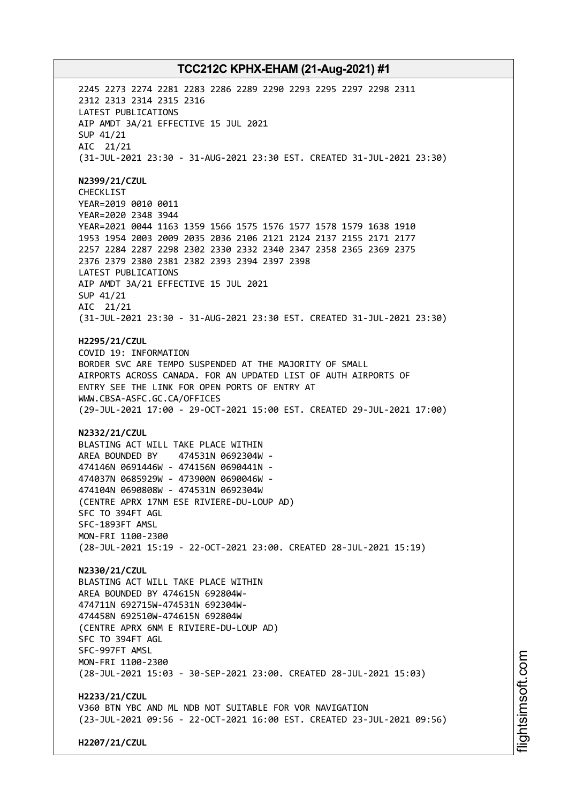2245 2273 2274 2281 2283 2286 2289 2290 2293 2295 2297 2298 2311 2312 2313 2314 2315 2316 LATEST PUBLICATIONS AIP AMDT 3A/21 EFFECTIVE 15 JUL 2021 SUP 41/21 AIC 21/21 (31-JUL-2021 23:30 - 31-AUG-2021 23:30 EST. CREATED 31-JUL-2021 23:30) **N2399/21/CZUL** CHECKLIST YEAR=2019 0010 0011 YEAR=2020 2348 3944 YEAR=2021 0044 1163 1359 1566 1575 1576 1577 1578 1579 1638 1910 1953 1954 2003 2009 2035 2036 2106 2121 2124 2137 2155 2171 2177 2257 2284 2287 2298 2302 2330 2332 2340 2347 2358 2365 2369 2375 2376 2379 2380 2381 2382 2393 2394 2397 2398 LATEST PUBLICATIONS AIP AMDT 3A/21 EFFECTIVE 15 JUL 2021 SUP 41/21 AIC 21/21 (31-JUL-2021 23:30 - 31-AUG-2021 23:30 EST. CREATED 31-JUL-2021 23:30) **H2295/21/CZUL** COVID 19: INFORMATION BORDER SVC ARE TEMPO SUSPENDED AT THE MAJORITY OF SMALL AIRPORTS ACROSS CANADA. FOR AN UPDATED LIST OF AUTH AIRPORTS OF ENTRY SEE THE LINK FOR OPEN PORTS OF ENTRY AT WWW.CBSA-ASFC.GC.CA/OFFICES (29-JUL-2021 17:00 - 29-OCT-2021 15:00 EST. CREATED 29-JUL-2021 17:00) **N2332/21/CZUL** BLASTING ACT WILL TAKE PLACE WITHIN AREA BOUNDED BY 474531N 0692304W - 474146N 0691446W - 474156N 0690441N - 474037N 0685929W - 473900N 0690046W - 474104N 0690808W - 474531N 0692304W (CENTRE APRX 17NM ESE RIVIERE-DU-LOUP AD) SFC TO 394FT AGL SFC-1893FT AMSL MON-FRI 1100-2300 (28-JUL-2021 15:19 - 22-OCT-2021 23:00. CREATED 28-JUL-2021 15:19) **N2330/21/CZUL** BLASTING ACT WILL TAKE PLACE WITHIN AREA BOUNDED BY 474615N 692804W-474711N 692715W-474531N 692304W-474458N 692510W-474615N 692804W (CENTRE APRX 6NM E RIVIERE-DU-LOUP AD) SFC TO 394FT AGL SFC-997FT AMSL MON-FRI 1100-2300 (28-JUL-2021 15:03 - 30-SEP-2021 23:00. CREATED 28-JUL-2021 15:03) **H2233/21/CZUL** V360 BTN YBC AND ML NDB NOT SUITABLE FOR VOR NAVIGATION (23-JUL-2021 09:56 - 22-OCT-2021 16:00 EST. CREATED 23-JUL-2021 09:56)

**H2207/21/CZUL**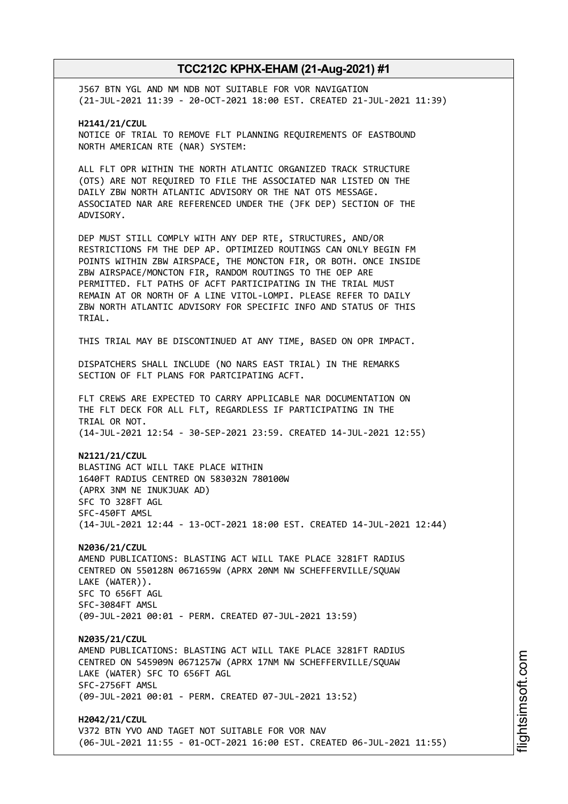J567 BTN YGL AND NM NDB NOT SUITABLE FOR VOR NAVIGATION (21-JUL-2021 11:39 - 20-OCT-2021 18:00 EST. CREATED 21-JUL-2021 11:39)

**H2141/21/CZUL** NOTICE OF TRIAL TO REMOVE FLT PLANNING REQUIREMENTS OF EASTBOUND NORTH AMERICAN RTE (NAR) SYSTEM:

ALL FLT OPR WITHIN THE NORTH ATLANTIC ORGANIZED TRACK STRUCTURE (OTS) ARE NOT REQUIRED TO FILE THE ASSOCIATED NAR LISTED ON THE DAILY ZBW NORTH ATLANTIC ADVISORY OR THE NAT OTS MESSAGE. ASSOCIATED NAR ARE REFERENCED UNDER THE (JFK DEP) SECTION OF THE ADVISORY.

DEP MUST STILL COMPLY WITH ANY DEP RTE, STRUCTURES, AND/OR RESTRICTIONS FM THE DEP AP. OPTIMIZED ROUTINGS CAN ONLY BEGIN FM POINTS WITHIN ZBW AIRSPACE, THE MONCTON FIR, OR BOTH. ONCE INSIDE ZBW AIRSPACE/MONCTON FIR, RANDOM ROUTINGS TO THE OEP ARE PERMITTED. FLT PATHS OF ACFT PARTICIPATING IN THE TRIAL MUST REMAIN AT OR NORTH OF A LINE VITOL-LOMPI. PLEASE REFER TO DAILY ZBW NORTH ATLANTIC ADVISORY FOR SPECIFIC INFO AND STATUS OF THIS TRIAL.

THIS TRIAL MAY BE DISCONTINUED AT ANY TIME, BASED ON OPR IMPACT.

DISPATCHERS SHALL INCLUDE (NO NARS EAST TRIAL) IN THE REMARKS SECTION OF FLT PLANS FOR PARTCIPATING ACFT.

FLT CREWS ARE EXPECTED TO CARRY APPLICABLE NAR DOCUMENTATION ON THE FLT DECK FOR ALL FLT, REGARDLESS IF PARTICIPATING IN THE TRIAL OR NOT. (14-JUL-2021 12:54 - 30-SEP-2021 23:59. CREATED 14-JUL-2021 12:55)

**N2121/21/CZUL** BLASTING ACT WILL TAKE PLACE WITHIN 1640FT RADIUS CENTRED ON 583032N 780100W (APRX 3NM NE INUKJUAK AD) SFC TO 328FT AGL SFC-450FT AMSL (14-JUL-2021 12:44 - 13-OCT-2021 18:00 EST. CREATED 14-JUL-2021 12:44)

**N2036/21/CZUL** AMEND PUBLICATIONS: BLASTING ACT WILL TAKE PLACE 3281FT RADIUS CENTRED ON 550128N 0671659W (APRX 20NM NW SCHEFFERVILLE/SQUAW LAKE (WATER)). SFC TO 656FT AGL SFC-3084FT AMSL (09-JUL-2021 00:01 - PERM. CREATED 07-JUL-2021 13:59)

**N2035/21/CZUL** AMEND PUBLICATIONS: BLASTING ACT WILL TAKE PLACE 3281FT RADIUS CENTRED ON 545909N 0671257W (APRX 17NM NW SCHEFFERVILLE/SQUAW LAKE (WATER) SFC TO 656FT AGL SFC-2756FT AMSL (09-JUL-2021 00:01 - PERM. CREATED 07-JUL-2021 13:52)

**H2042/21/CZUL** V372 BTN YVO AND TAGET NOT SUITABLE FOR VOR NAV (06-JUL-2021 11:55 - 01-OCT-2021 16:00 EST. CREATED 06-JUL-2021 11:55)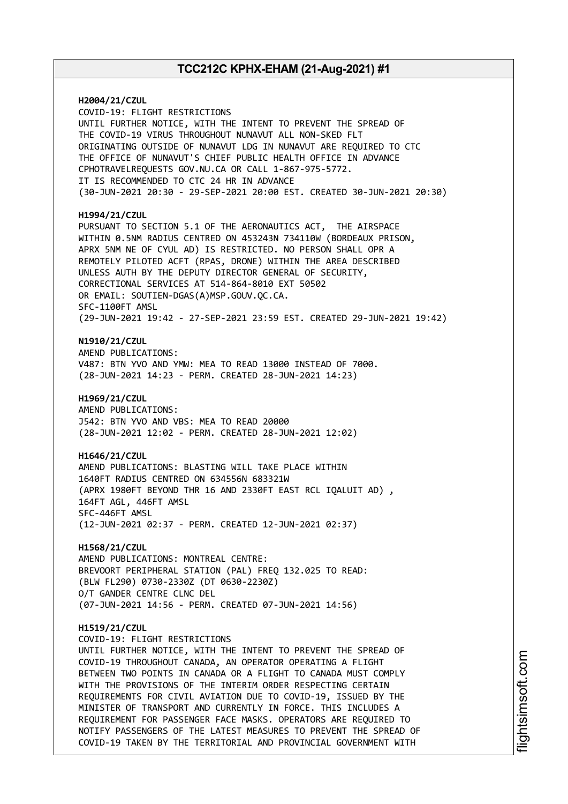**H2004/21/CZUL** COVID-19: FLIGHT RESTRICTIONS UNTIL FURTHER NOTICE, WITH THE INTENT TO PREVENT THE SPREAD OF THE COVID-19 VIRUS THROUGHOUT NUNAVUT ALL NON-SKED FLT ORIGINATING OUTSIDE OF NUNAVUT LDG IN NUNAVUT ARE REQUIRED TO CTC THE OFFICE OF NUNAVUT'S CHIEF PUBLIC HEALTH OFFICE IN ADVANCE CPHOTRAVELREQUESTS GOV.NU.CA OR CALL 1-867-975-5772. IT IS RECOMMENDED TO CTC 24 HR IN ADVANCE (30-JUN-2021 20:30 - 29-SEP-2021 20:00 EST. CREATED 30-JUN-2021 20:30) **H1994/21/CZUL** PURSUANT TO SECTION 5.1 OF THE AERONAUTICS ACT, THE AIRSPACE WITHIN 0.5NM RADIUS CENTRED ON 453243N 734110W (BORDEAUX PRISON, APRX 5NM NE OF CYUL AD) IS RESTRICTED. NO PERSON SHALL OPR A REMOTELY PILOTED ACFT (RPAS, DRONE) WITHIN THE AREA DESCRIBED UNLESS AUTH BY THE DEPUTY DIRECTOR GENERAL OF SECURITY, CORRECTIONAL SERVICES AT 514-864-8010 EXT 50502 OR EMAIL: SOUTIEN-DGAS(A)MSP.GOUV.QC.CA. SFC-1100FT AMSL (29-JUN-2021 19:42 - 27-SEP-2021 23:59 EST. CREATED 29-JUN-2021 19:42) **N1910/21/CZUL** AMEND PUBLICATIONS: V487: BTN YVO AND YMW: MEA TO READ 13000 INSTEAD OF 7000. (28-JUN-2021 14:23 - PERM. CREATED 28-JUN-2021 14:23) **H1969/21/CZUL** AMEND PUBLICATIONS: J542: BTN YVO AND VBS: MEA TO READ 20000 (28-JUN-2021 12:02 - PERM. CREATED 28-JUN-2021 12:02) **H1646/21/CZUL** AMEND PUBLICATIONS: BLASTING WILL TAKE PLACE WITHIN 1640FT RADIUS CENTRED ON 634556N 683321W (APRX 1980FT BEYOND THR 16 AND 2330FT EAST RCL IQALUIT AD) , 164FT AGL, 446FT AMSL SFC-446FT AMSL (12-JUN-2021 02:37 - PERM. CREATED 12-JUN-2021 02:37) **H1568/21/CZUL** AMEND PUBLICATIONS: MONTREAL CENTRE: BREVOORT PERIPHERAL STATION (PAL) FREQ 132.025 TO READ: (BLW FL290) 0730-2330Z (DT 0630-2230Z) O/T GANDER CENTRE CLNC DEL (07-JUN-2021 14:56 - PERM. CREATED 07-JUN-2021 14:56) **H1519/21/CZUL** COVID-19: FLIGHT RESTRICTIONS UNTIL FURTHER NOTICE, WITH THE INTENT TO PREVENT THE SPREAD OF COVID-19 THROUGHOUT CANADA, AN OPERATOR OPERATING A FLIGHT BETWEEN TWO POINTS IN CANADA OR A FLIGHT TO CANADA MUST COMPLY WITH THE PROVISIONS OF THE INTERIM ORDER RESPECTING CERTAIN REQUIREMENTS FOR CIVIL AVIATION DUE TO COVID-19, ISSUED BY THE MINISTER OF TRANSPORT AND CURRENTLY IN FORCE. THIS INCLUDES A REQUIREMENT FOR PASSENGER FACE MASKS. OPERATORS ARE REQUIRED TO NOTIFY PASSENGERS OF THE LATEST MEASURES TO PREVENT THE SPREAD OF COVID-19 TAKEN BY THE TERRITORIAL AND PROVINCIAL GOVERNMENT WITH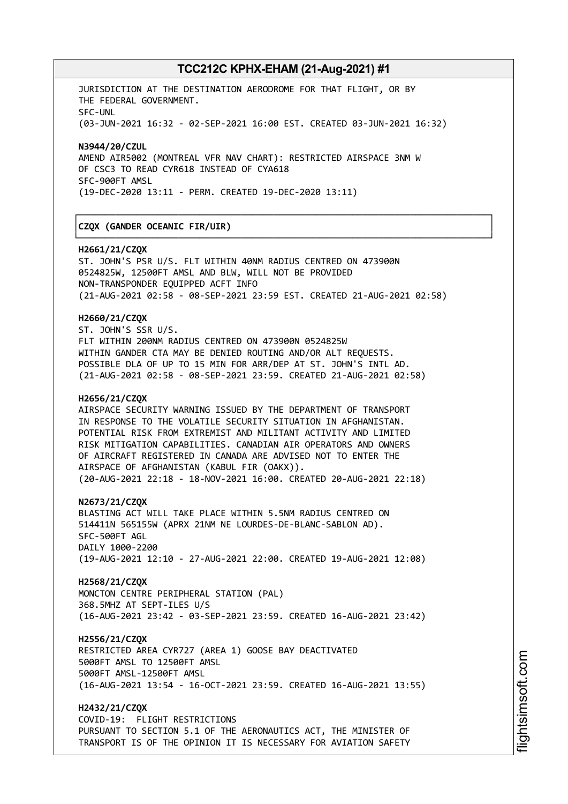┌──────────────────────────────────────────────────────────────────────────────┐

└──────────────────────────────────────────────────────────────────────────────┘

JURISDICTION AT THE DESTINATION AERODROME FOR THAT FLIGHT, OR BY THE FEDERAL GOVERNMENT. SFC-UNL (03-JUN-2021 16:32 - 02-SEP-2021 16:00 EST. CREATED 03-JUN-2021 16:32)

**N3944/20/CZUL** AMEND AIR5002 (MONTREAL VFR NAV CHART): RESTRICTED AIRSPACE 3NM W OF CSC3 TO READ CYR618 INSTEAD OF CYA618 SFC-900FT AMSL (19-DEC-2020 13:11 - PERM. CREATED 19-DEC-2020 13:11)

## │**CZQX (GANDER OCEANIC FIR/UIR)** │

#### **H2661/21/CZQX**

ST. JOHN'S PSR U/S. FLT WITHIN 40NM RADIUS CENTRED ON 473900N 0524825W, 12500FT AMSL AND BLW, WILL NOT BE PROVIDED NON-TRANSPONDER EQUIPPED ACFT INFO (21-AUG-2021 02:58 - 08-SEP-2021 23:59 EST. CREATED 21-AUG-2021 02:58)

#### **H2660/21/CZQX**

ST. JOHN'S SSR U/S. FLT WITHIN 200NM RADIUS CENTRED ON 473900N 0524825W WITHIN GANDER CTA MAY BE DENIED ROUTING AND/OR ALT REQUESTS. POSSIBLE DLA OF UP TO 15 MIN FOR ARR/DEP AT ST. JOHN'S INTL AD. (21-AUG-2021 02:58 - 08-SEP-2021 23:59. CREATED 21-AUG-2021 02:58)

#### **H2656/21/CZQX**

AIRSPACE SECURITY WARNING ISSUED BY THE DEPARTMENT OF TRANSPORT IN RESPONSE TO THE VOLATILE SECURITY SITUATION IN AFGHANISTAN. POTENTIAL RISK FROM EXTREMIST AND MILITANT ACTIVITY AND LIMITED RISK MITIGATION CAPABILITIES. CANADIAN AIR OPERATORS AND OWNERS OF AIRCRAFT REGISTERED IN CANADA ARE ADVISED NOT TO ENTER THE AIRSPACE OF AFGHANISTAN (KABUL FIR (OAKX)). (20-AUG-2021 22:18 - 18-NOV-2021 16:00. CREATED 20-AUG-2021 22:18)

**N2673/21/CZQX**

BLASTING ACT WILL TAKE PLACE WITHIN 5.5NM RADIUS CENTRED ON 514411N 565155W (APRX 21NM NE LOURDES-DE-BLANC-SABLON AD). SFC-500FT AGL DAILY 1000-2200 (19-AUG-2021 12:10 - 27-AUG-2021 22:00. CREATED 19-AUG-2021 12:08)

**H2568/21/CZQX**

MONCTON CENTRE PERIPHERAL STATION (PAL) 368.5MHZ AT SEPT-ILES U/S (16-AUG-2021 23:42 - 03-SEP-2021 23:59. CREATED 16-AUG-2021 23:42)

#### **H2556/21/CZQX**

RESTRICTED AREA CYR727 (AREA 1) GOOSE BAY DEACTIVATED 5000FT AMSL TO 12500FT AMSL 5000FT AMSL-12500FT AMSL (16-AUG-2021 13:54 - 16-OCT-2021 23:59. CREATED 16-AUG-2021 13:55)

**H2432/21/CZQX** COVID-19: FLIGHT RESTRICTIONS PURSUANT TO SECTION 5.1 OF THE AERONAUTICS ACT, THE MINISTER OF TRANSPORT IS OF THE OPINION IT IS NECESSARY FOR AVIATION SAFETY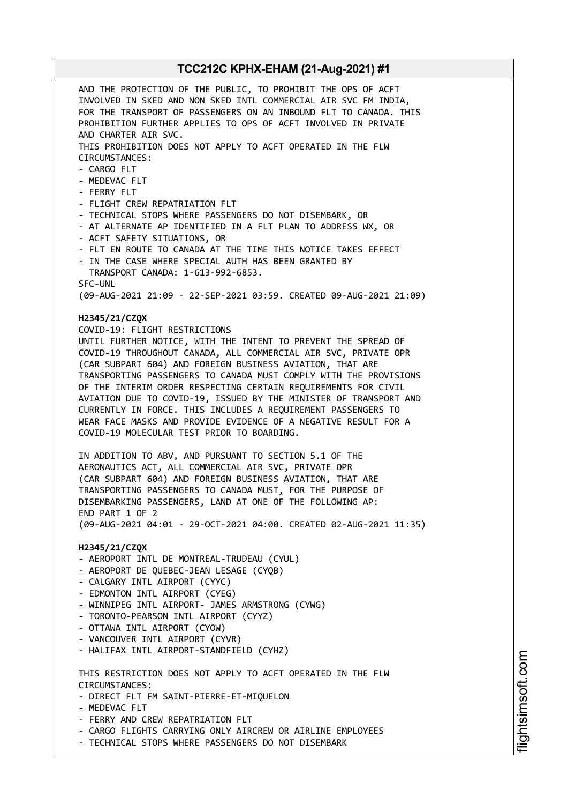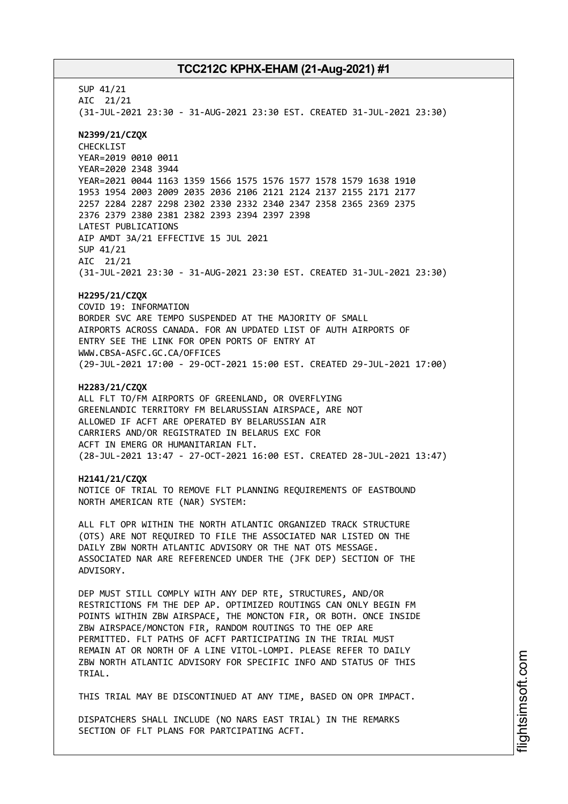SUP 41/21 AIC 21/21 (31-JUL-2021 23:30 - 31-AUG-2021 23:30 EST. CREATED 31-JUL-2021 23:30) **N2399/21/CZQX** CHECKLIST YEAR=2019 0010 0011 YEAR=2020 2348 3944 YEAR=2021 0044 1163 1359 1566 1575 1576 1577 1578 1579 1638 1910 1953 1954 2003 2009 2035 2036 2106 2121 2124 2137 2155 2171 2177 2257 2284 2287 2298 2302 2330 2332 2340 2347 2358 2365 2369 2375 2376 2379 2380 2381 2382 2393 2394 2397 2398 LATEST PUBLICATIONS AIP AMDT 3A/21 EFFECTIVE 15 JUL 2021 SUP 41/21 AIC 21/21 (31-JUL-2021 23:30 - 31-AUG-2021 23:30 EST. CREATED 31-JUL-2021 23:30) **H2295/21/CZQX** COVID 19: INFORMATION BORDER SVC ARE TEMPO SUSPENDED AT THE MAJORITY OF SMALL AIRPORTS ACROSS CANADA. FOR AN UPDATED LIST OF AUTH AIRPORTS OF ENTRY SEE THE LINK FOR OPEN PORTS OF ENTRY AT WWW.CBSA-ASFC.GC.CA/OFFICES (29-JUL-2021 17:00 - 29-OCT-2021 15:00 EST. CREATED 29-JUL-2021 17:00) **H2283/21/CZQX** ALL FLT TO/FM AIRPORTS OF GREENLAND, OR OVERFLYING GREENLANDIC TERRITORY FM BELARUSSIAN AIRSPACE, ARE NOT ALLOWED IF ACFT ARE OPERATED BY BELARUSSIAN AIR CARRIERS AND/OR REGISTRATED IN BELARUS EXC FOR ACFT IN EMERG OR HUMANITARIAN FLT. (28-JUL-2021 13:47 - 27-OCT-2021 16:00 EST. CREATED 28-JUL-2021 13:47) **H2141/21/CZQX** NOTICE OF TRIAL TO REMOVE FLT PLANNING REQUIREMENTS OF EASTBOUND NORTH AMERICAN RTE (NAR) SYSTEM: ALL FLT OPR WITHIN THE NORTH ATLANTIC ORGANIZED TRACK STRUCTURE (OTS) ARE NOT REQUIRED TO FILE THE ASSOCIATED NAR LISTED ON THE DAILY ZBW NORTH ATLANTIC ADVISORY OR THE NAT OTS MESSAGE. ASSOCIATED NAR ARE REFERENCED UNDER THE (JFK DEP) SECTION OF THE ADVISORY. DEP MUST STILL COMPLY WITH ANY DEP RTE, STRUCTURES, AND/OR RESTRICTIONS FM THE DEP AP. OPTIMIZED ROUTINGS CAN ONLY BEGIN FM POINTS WITHIN ZBW AIRSPACE, THE MONCTON FIR, OR BOTH. ONCE INSIDE ZBW AIRSPACE/MONCTON FIR, RANDOM ROUTINGS TO THE OEP ARE PERMITTED. FLT PATHS OF ACFT PARTICIPATING IN THE TRIAL MUST REMAIN AT OR NORTH OF A LINE VITOL-LOMPI. PLEASE REFER TO DAILY ZBW NORTH ATLANTIC ADVISORY FOR SPECIFIC INFO AND STATUS OF THIS TRIAL. THIS TRIAL MAY BE DISCONTINUED AT ANY TIME, BASED ON OPR IMPACT.

DISPATCHERS SHALL INCLUDE (NO NARS EAST TRIAL) IN THE REMARKS SECTION OF FLT PLANS FOR PARTCIPATING ACFT.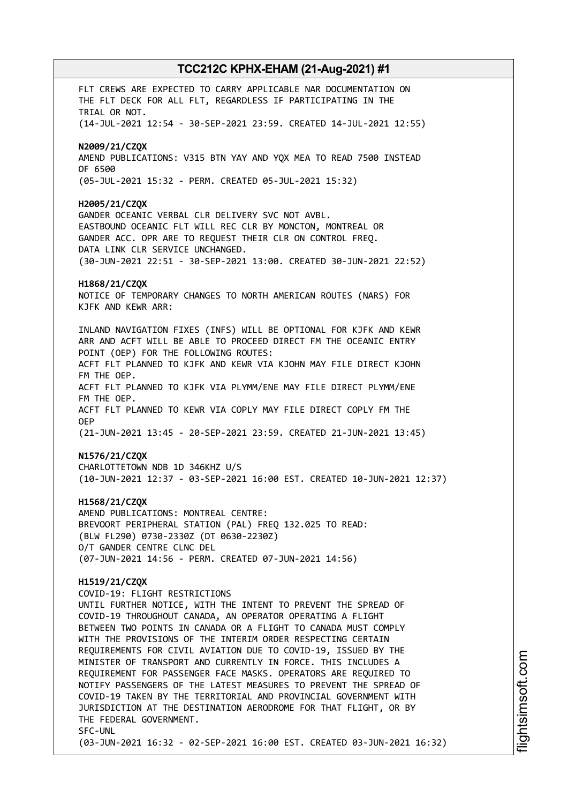FLT CREWS ARE EXPECTED TO CARRY APPLICABLE NAR DOCUMENTATION ON THE FLT DECK FOR ALL FLT, REGARDLESS IF PARTICIPATING IN THE TRIAL OR NOT. (14-JUL-2021 12:54 - 30-SEP-2021 23:59. CREATED 14-JUL-2021 12:55) **N2009/21/CZQX** AMEND PUBLICATIONS: V315 BTN YAY AND YQX MEA TO READ 7500 INSTEAD OF 6500 (05-JUL-2021 15:32 - PERM. CREATED 05-JUL-2021 15:32) **H2005/21/CZQX** GANDER OCEANIC VERBAL CLR DELIVERY SVC NOT AVBL. EASTBOUND OCEANIC FLT WILL REC CLR BY MONCTON, MONTREAL OR GANDER ACC. OPR ARE TO REQUEST THEIR CLR ON CONTROL FREQ. DATA LINK CLR SERVICE UNCHANGED. (30-JUN-2021 22:51 - 30-SEP-2021 13:00. CREATED 30-JUN-2021 22:52) **H1868/21/CZQX** NOTICE OF TEMPORARY CHANGES TO NORTH AMERICAN ROUTES (NARS) FOR KJFK AND KEWR ARR: INLAND NAVIGATION FIXES (INFS) WILL BE OPTIONAL FOR KJFK AND KEWR ARR AND ACFT WILL BE ABLE TO PROCEED DIRECT FM THE OCEANIC ENTRY POINT (OEP) FOR THE FOLLOWING ROUTES: ACFT FLT PLANNED TO KJFK AND KEWR VIA KJOHN MAY FILE DIRECT KJOHN FM THE OEP. ACFT FLT PLANNED TO KJFK VIA PLYMM/ENE MAY FILE DIRECT PLYMM/ENE FM THE OEP. ACFT FLT PLANNED TO KEWR VIA COPLY MAY FILE DIRECT COPLY FM THE OEP (21-JUN-2021 13:45 - 20-SEP-2021 23:59. CREATED 21-JUN-2021 13:45) **N1576/21/CZQX** CHARLOTTETOWN NDB 1D 346KHZ U/S (10-JUN-2021 12:37 - 03-SEP-2021 16:00 EST. CREATED 10-JUN-2021 12:37) **H1568/21/CZQX** AMEND PUBLICATIONS: MONTREAL CENTRE: BREVOORT PERIPHERAL STATION (PAL) FREQ 132.025 TO READ: (BLW FL290) 0730-2330Z (DT 0630-2230Z) O/T GANDER CENTRE CLNC DEL (07-JUN-2021 14:56 - PERM. CREATED 07-JUN-2021 14:56) **H1519/21/CZQX** COVID-19: FLIGHT RESTRICTIONS UNTIL FURTHER NOTICE, WITH THE INTENT TO PREVENT THE SPREAD OF COVID-19 THROUGHOUT CANADA, AN OPERATOR OPERATING A FLIGHT BETWEEN TWO POINTS IN CANADA OR A FLIGHT TO CANADA MUST COMPLY WITH THE PROVISIONS OF THE INTERIM ORDER RESPECTING CERTAIN REQUIREMENTS FOR CIVIL AVIATION DUE TO COVID-19, ISSUED BY THE MINISTER OF TRANSPORT AND CURRENTLY IN FORCE. THIS INCLUDES A REQUIREMENT FOR PASSENGER FACE MASKS. OPERATORS ARE REQUIRED TO NOTIFY PASSENGERS OF THE LATEST MEASURES TO PREVENT THE SPREAD OF COVID-19 TAKEN BY THE TERRITORIAL AND PROVINCIAL GOVERNMENT WITH JURISDICTION AT THE DESTINATION AERODROME FOR THAT FLIGHT, OR BY THE FEDERAL GOVERNMENT. SFC-UNL (03-JUN-2021 16:32 - 02-SEP-2021 16:00 EST. CREATED 03-JUN-2021 16:32)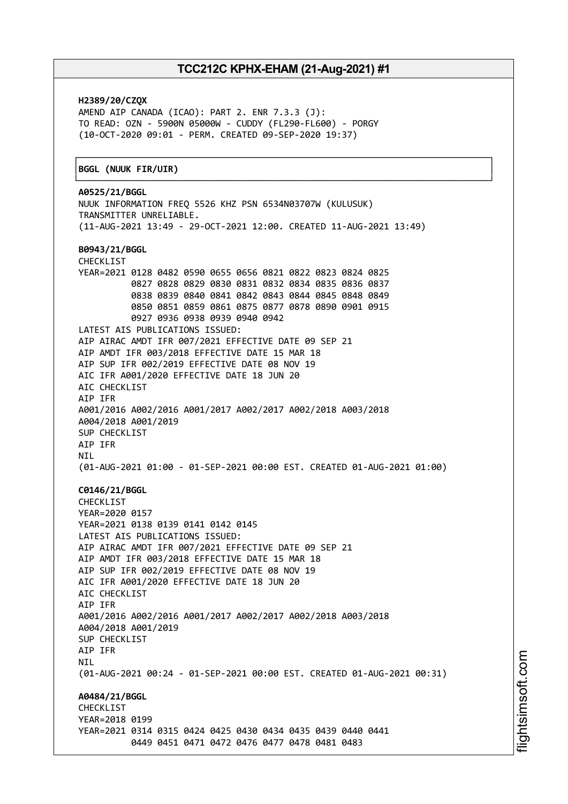┌──────────────────────────────────────────────────────────────────────────────┐

**H2389/20/CZQX** AMEND AIP CANADA (ICAO): PART 2. ENR 7.3.3 (J): TO READ: OZN - 5900N 05000W - CUDDY (FL290-FL600) - PORGY (10-OCT-2020 09:01 - PERM. CREATED 09-SEP-2020 19:37)

#### │**BGGL (NUUK FIR/UIR)** │

└──────────────────────────────────────────────────────────────────────────────┘ **A0525/21/BGGL** NUUK INFORMATION FREQ 5526 KHZ PSN 6534N03707W (KULUSUK) TRANSMITTER UNRELIABLE. (11-AUG-2021 13:49 - 29-OCT-2021 12:00. CREATED 11-AUG-2021 13:49) **B0943/21/BGGL** CHECKLIST YEAR=2021 0128 0482 0590 0655 0656 0821 0822 0823 0824 0825 0827 0828 0829 0830 0831 0832 0834 0835 0836 0837 0838 0839 0840 0841 0842 0843 0844 0845 0848 0849 0850 0851 0859 0861 0875 0877 0878 0890 0901 0915 0927 0936 0938 0939 0940 0942 LATEST AIS PUBLICATIONS ISSUED: AIP AIRAC AMDT IFR 007/2021 EFFECTIVE DATE 09 SEP 21 AIP AMDT IFR 003/2018 EFFECTIVE DATE 15 MAR 18 AIP SUP IFR 002/2019 EFFECTIVE DATE 08 NOV 19 AIC IFR A001/2020 EFFECTIVE DATE 18 JUN 20 AIC CHECKLIST AIP IFR A001/2016 A002/2016 A001/2017 A002/2017 A002/2018 A003/2018 A004/2018 A001/2019 SUP CHECKLIST AIP IFR NIL (01-AUG-2021 01:00 - 01-SEP-2021 00:00 EST. CREATED 01-AUG-2021 01:00) **C0146/21/BGGL** CHECKLIST YEAR=2020 0157 YEAR=2021 0138 0139 0141 0142 0145 LATEST AIS PUBLICATIONS ISSUED: AIP AIRAC AMDT IFR 007/2021 EFFECTIVE DATE 09 SEP 21 AIP AMDT IFR 003/2018 EFFECTIVE DATE 15 MAR 18 AIP SUP IFR 002/2019 EFFECTIVE DATE 08 NOV 19 AIC IFR A001/2020 EFFECTIVE DATE 18 JUN 20 ATC CHECKLIST AIP IFR A001/2016 A002/2016 A001/2017 A002/2017 A002/2018 A003/2018 A004/2018 A001/2019 SUP CHECKLIST AIP IFR **NTI** (01-AUG-2021 00:24 - 01-SEP-2021 00:00 EST. CREATED 01-AUG-2021 00:31) **A0484/21/BGGL CHECKLIST** YEAR=2018 0199 YEAR=2021 0314 0315 0424 0425 0430 0434 0435 0439 0440 0441 0449 0451 0471 0472 0476 0477 0478 0481 0483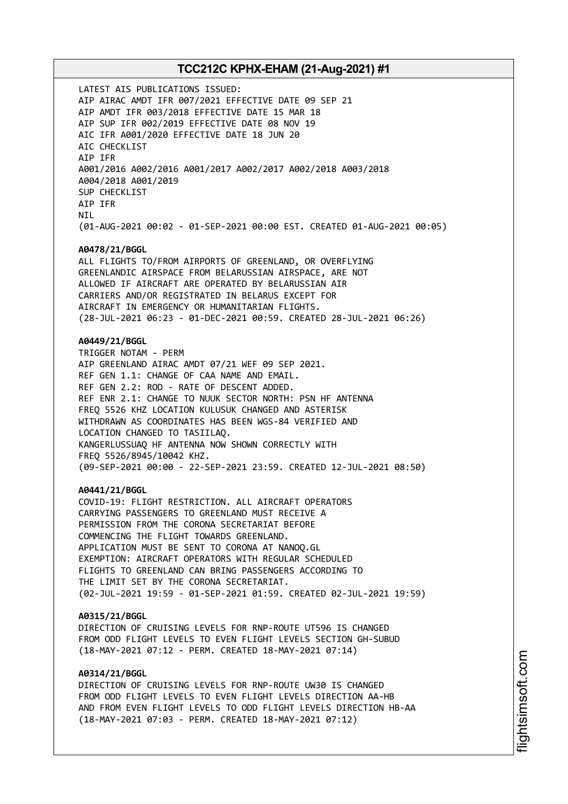LATEST AIS PUBLICATIONS ISSUED: AIP AIRAC AMDT IFR 007/2021 EFFECTIVE DATE 09 SEP 21 AIP AMDT IFR 003/2018 EFFECTIVE DATE 15 MAR 18 AIP SUP IFR 002/2019 EFFECTIVE DATE 08 NOV 19 AIC IFR A001/2020 EFFECTIVE DATE 18 JUN 20 AIC CHECKLIST AIP IFR A001/2016 A002/2016 A001/2017 A002/2017 A002/2018 A003/2018 A004/2018 A001/2019 SUP CHECKLIST AIP IFR **NTI** (01-AUG-2021 00:02 - 01-SEP-2021 00:00 EST. CREATED 01-AUG-2021 00:05) **A0478/21/BGGL** ALL FLIGHTS TO/FROM AIRPORTS OF GREENLAND, OR OVERFLYING GREENLANDIC AIRSPACE FROM BELARUSSIAN AIRSPACE, ARE NOT ALLOWED IF AIRCRAFT ARE OPERATED BY BELARUSSIAN AIR CARRIERS AND/OR REGISTRATED IN BELARUS EXCEPT FOR AIRCRAFT IN EMERGENCY OR HUMANITARIAN FLIGHTS. (28-JUL-2021 06:23 - 01-DEC-2021 00:59. CREATED 28-JUL-2021 06:26) **A0449/21/BGGL** TRIGGER NOTAM - PERM AIP GREENLAND AIRAC AMDT 07/21 WEF 09 SEP 2021. REF GEN 1.1: CHANGE OF CAA NAME AND EMAIL. REF GEN 2.2: ROD - RATE OF DESCENT ADDED. REF ENR 2.1: CHANGE TO NUUK SECTOR NORTH: PSN HF ANTENNA FREQ 5526 KHZ LOCATION KULUSUK CHANGED AND ASTERISK WITHDRAWN AS COORDINATES HAS BEEN WGS-84 VERIFIED AND LOCATION CHANGED TO TASIILAQ. KANGERLUSSUAQ HF ANTENNA NOW SHOWN CORRECTLY WITH FREQ 5526/8945/10042 KHZ. (09-SEP-2021 00:00 - 22-SEP-2021 23:59. CREATED 12-JUL-2021 08:50) **A0441/21/BGGL** COVID-19: FLIGHT RESTRICTION. ALL AIRCRAFT OPERATORS CARRYING PASSENGERS TO GREENLAND MUST RECEIVE A PERMISSION FROM THE CORONA SECRETARIAT BEFORE COMMENCING THE FLIGHT TOWARDS GREENLAND. APPLICATION MUST BE SENT TO CORONA AT NANOQ.GL EXEMPTION: AIRCRAFT OPERATORS WITH REGULAR SCHEDULED FLIGHTS TO GREENLAND CAN BRING PASSENGERS ACCORDING TO THE LIMIT SET BY THE CORONA SECRETARIAT. (02-JUL-2021 19:59 - 01-SEP-2021 01:59. CREATED 02-JUL-2021 19:59) **A0315/21/BGGL** DIRECTION OF CRUISING LEVELS FOR RNP-ROUTE UT596 IS CHANGED FROM ODD FLIGHT LEVELS TO EVEN FLIGHT LEVELS SECTION GH-SUBUD (18-MAY-2021 07:12 - PERM. CREATED 18-MAY-2021 07:14) **A0314/21/BGGL** DIRECTION OF CRUISING LEVELS FOR RNP-ROUTE UW30 IS CHANGED

FROM ODD FLIGHT LEVELS TO EVEN FLIGHT LEVELS DIRECTION AA-HB AND FROM EVEN FLIGHT LEVELS TO ODD FLIGHT LEVELS DIRECTION HB-AA (18-MAY-2021 07:03 - PERM. CREATED 18-MAY-2021 07:12)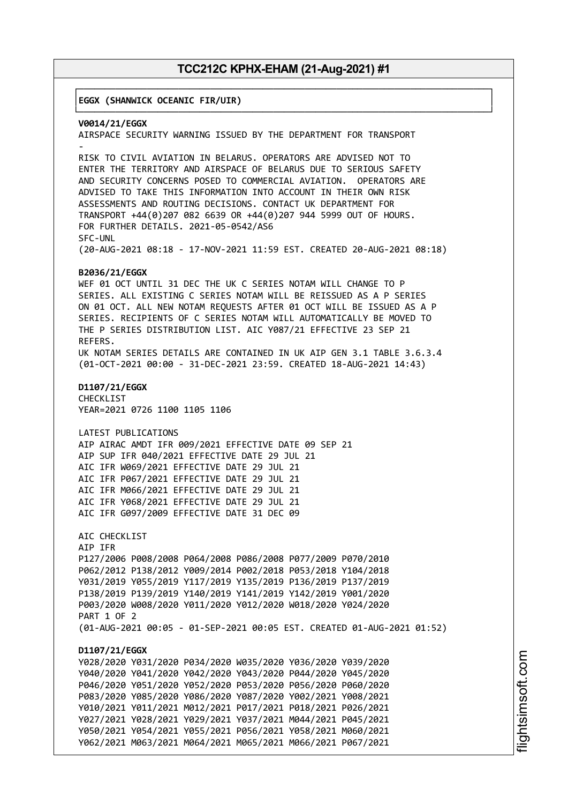┌──────────────────────────────────────────────────────────────────────────────┐

│**EGGX (SHANWICK OCEANIC FIR/UIR)** │

└──────────────────────────────────────────────────────────────────────────────┘ **V0014/21/EGGX** AIRSPACE SECURITY WARNING ISSUED BY THE DEPARTMENT FOR TRANSPORT - RISK TO CIVIL AVIATION IN BELARUS. OPERATORS ARE ADVISED NOT TO ENTER THE TERRITORY AND AIRSPACE OF BELARUS DUE TO SERIOUS SAFETY AND SECURITY CONCERNS POSED TO COMMERCIAL AVIATION. OPERATORS ARE ADVISED TO TAKE THIS INFORMATION INTO ACCOUNT IN THEIR OWN RISK ASSESSMENTS AND ROUTING DECISIONS. CONTACT UK DEPARTMENT FOR TRANSPORT +44(0)207 082 6639 OR +44(0)207 944 5999 OUT OF HOURS. FOR FURTHER DETAILS. 2021-05-0542/AS6 SFC-UNL (20-AUG-2021 08:18 - 17-NOV-2021 11:59 EST. CREATED 20-AUG-2021 08:18) **B2036/21/EGGX** WEF 01 OCT UNTIL 31 DEC THE UK C SERIES NOTAM WILL CHANGE TO P SERIES. ALL EXISTING C SERIES NOTAM WILL BE REISSUED AS A P SERIES ON 01 OCT. ALL NEW NOTAM REQUESTS AFTER 01 OCT WILL BE ISSUED AS A P SERIES. RECIPIENTS OF C SERIES NOTAM WILL AUTOMATICALLY BE MOVED TO THE P SERIES DISTRIBUTION LIST. AIC Y087/21 EFFECTIVE 23 SEP 21 REFERS. UK NOTAM SERIES DETAILS ARE CONTAINED IN UK AIP GEN 3.1 TABLE 3.6.3.4 (01-OCT-2021 00:00 - 31-DEC-2021 23:59. CREATED 18-AUG-2021 14:43) **D1107/21/EGGX** CHECKLIST YEAR=2021 0726 1100 1105 1106 LATEST PUBLICATIONS AIP AIRAC AMDT IFR 009/2021 EFFECTIVE DATE 09 SEP 21 AIP SUP IFR 040/2021 EFFECTIVE DATE 29 JUL 21 AIC IFR W069/2021 EFFECTIVE DATE 29 JUL 21 AIC IFR P067/2021 EFFECTIVE DATE 29 JUL 21 AIC IFR M066/2021 EFFECTIVE DATE 29 JUL 21 AIC IFR Y068/2021 EFFECTIVE DATE 29 JUL 21 AIC IFR G097/2009 EFFECTIVE DATE 31 DEC 09 AIC CHECKLIST AIP IFR P127/2006 P008/2008 P064/2008 P086/2008 P077/2009 P070/2010 P062/2012 P138/2012 Y009/2014 P002/2018 P053/2018 Y104/2018 Y031/2019 Y055/2019 Y117/2019 Y135/2019 P136/2019 P137/2019 P138/2019 P139/2019 Y140/2019 Y141/2019 Y142/2019 Y001/2020 P003/2020 W008/2020 Y011/2020 Y012/2020 W018/2020 Y024/2020 PART 1 OF 2 (01-AUG-2021 00:05 - 01-SEP-2021 00:05 EST. CREATED 01-AUG-2021 01:52) **D1107/21/EGGX** Y028/2020 Y031/2020 P034/2020 W035/2020 Y036/2020 Y039/2020 Y040/2020 Y041/2020 Y042/2020 Y043/2020 P044/2020 Y045/2020 P046/2020 Y051/2020 Y052/2020 P053/2020 P056/2020 P060/2020 P083/2020 Y085/2020 Y086/2020 Y087/2020 Y002/2021 Y008/2021 Y010/2021 Y011/2021 M012/2021 P017/2021 P018/2021 P026/2021 Y027/2021 Y028/2021 Y029/2021 Y037/2021 M044/2021 P045/2021 Y050/2021 Y054/2021 Y055/2021 P056/2021 Y058/2021 M060/2021 Y062/2021 M063/2021 M064/2021 M065/2021 M066/2021 P067/2021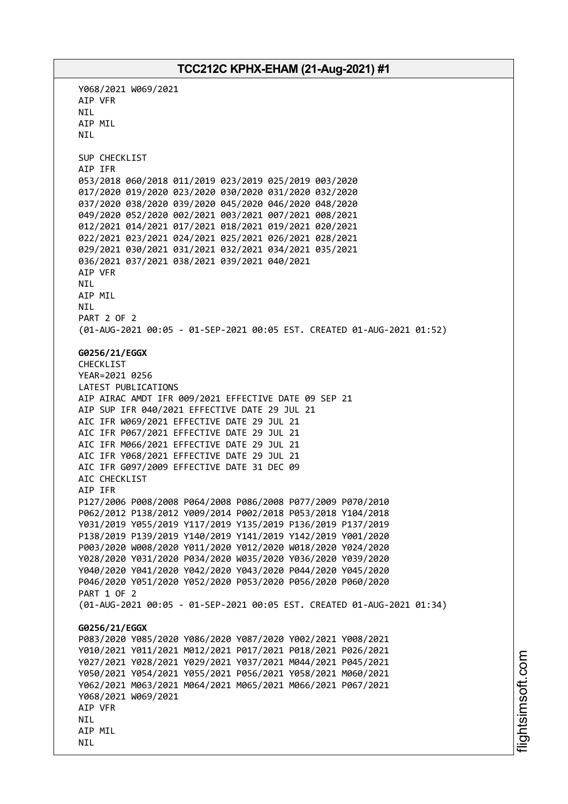Y068/2021 W069/2021 AIP VFR NIL AIP MIL NIL SUP CHECKLIST AIP IFR 053/2018 060/2018 011/2019 023/2019 025/2019 003/2020 017/2020 019/2020 023/2020 030/2020 031/2020 032/2020 037/2020 038/2020 039/2020 045/2020 046/2020 048/2020 049/2020 052/2020 002/2021 003/2021 007/2021 008/2021 012/2021 014/2021 017/2021 018/2021 019/2021 020/2021 022/2021 023/2021 024/2021 025/2021 026/2021 028/2021 029/2021 030/2021 031/2021 032/2021 034/2021 035/2021 036/2021 037/2021 038/2021 039/2021 040/2021 AIP VFR NIL AIP MIL NIL PART 2 OF 2 (01-AUG-2021 00:05 - 01-SEP-2021 00:05 EST. CREATED 01-AUG-2021 01:52) **G0256/21/EGGX** CHECKLIST YEAR=2021 0256 LATEST PUBLICATIONS AIP AIRAC AMDT IFR 009/2021 EFFECTIVE DATE 09 SEP 21 AIP SUP IFR 040/2021 EFFECTIVE DATE 29 JUL 21 AIC IFR W069/2021 EFFECTIVE DATE 29 JUL 21 AIC IFR P067/2021 EFFECTIVE DATE 29 JUL 21 AIC IFR M066/2021 EFFECTIVE DATE 29 JUL 21 AIC IFR Y068/2021 EFFECTIVE DATE 29 JUL 21 AIC IFR G097/2009 EFFECTIVE DATE 31 DEC 09 AIC CHECKLIST AIP IFR P127/2006 P008/2008 P064/2008 P086/2008 P077/2009 P070/2010 P062/2012 P138/2012 Y009/2014 P002/2018 P053/2018 Y104/2018 Y031/2019 Y055/2019 Y117/2019 Y135/2019 P136/2019 P137/2019 P138/2019 P139/2019 Y140/2019 Y141/2019 Y142/2019 Y001/2020 P003/2020 W008/2020 Y011/2020 Y012/2020 W018/2020 Y024/2020 Y028/2020 Y031/2020 P034/2020 W035/2020 Y036/2020 Y039/2020 Y040/2020 Y041/2020 Y042/2020 Y043/2020 P044/2020 Y045/2020 P046/2020 Y051/2020 Y052/2020 P053/2020 P056/2020 P060/2020 PART 1 OF 2 (01-AUG-2021 00:05 - 01-SEP-2021 00:05 EST. CREATED 01-AUG-2021 01:34) **G0256/21/EGGX** P083/2020 Y085/2020 Y086/2020 Y087/2020 Y002/2021 Y008/2021 Y010/2021 Y011/2021 M012/2021 P017/2021 P018/2021 P026/2021 Y027/2021 Y028/2021 Y029/2021 Y037/2021 M044/2021 P045/2021 Y050/2021 Y054/2021 Y055/2021 P056/2021 Y058/2021 M060/2021 Y062/2021 M063/2021 M064/2021 M065/2021 M066/2021 P067/2021 Y068/2021 W069/2021 AIP VFR **NTI** AIP MIL NIL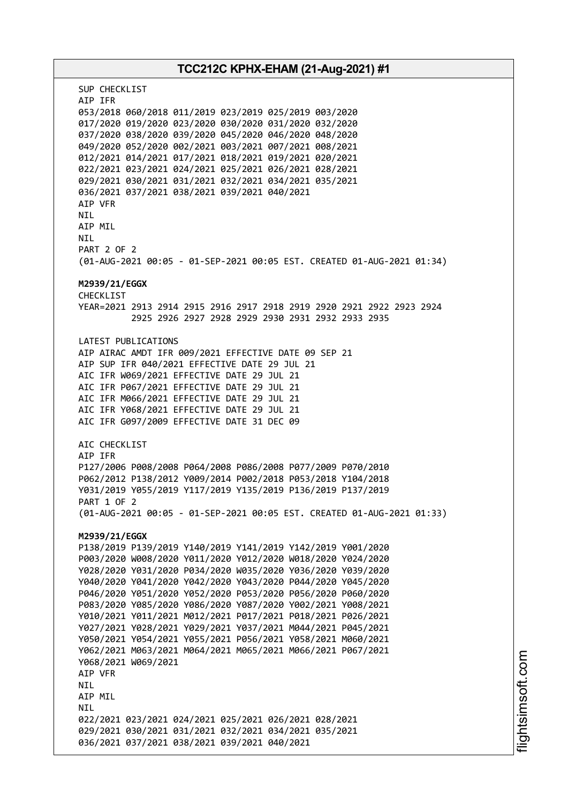# **TCC212C KPHX-EHAM (21-Aug-2021) #1** SUP CHECKLIST AIP IFR 053/2018 060/2018 011/2019 023/2019 025/2019 003/2020 017/2020 019/2020 023/2020 030/2020 031/2020 032/2020 037/2020 038/2020 039/2020 045/2020 046/2020 048/2020 049/2020 052/2020 002/2021 003/2021 007/2021 008/2021 012/2021 014/2021 017/2021 018/2021 019/2021 020/2021 022/2021 023/2021 024/2021 025/2021 026/2021 028/2021 029/2021 030/2021 031/2021 032/2021 034/2021 035/2021 036/2021 037/2021 038/2021 039/2021 040/2021 AIP VFR **NTI** AIP MIL NIL PART 2 OF 2 (01-AUG-2021 00:05 - 01-SEP-2021 00:05 EST. CREATED 01-AUG-2021 01:34) **M2939/21/EGGX** CHECKL<sub>TST</sub> YEAR=2021 2913 2914 2915 2916 2917 2918 2919 2920 2921 2922 2923 2924 2925 2926 2927 2928 2929 2930 2931 2932 2933 2935 LATEST PUBLICATIONS AIP AIRAC AMDT IFR 009/2021 EFFECTIVE DATE 09 SEP 21 AIP SUP IFR 040/2021 EFFECTIVE DATE 29 JUL 21 AIC IFR W069/2021 EFFECTIVE DATE 29 JUL 21 AIC IFR P067/2021 EFFECTIVE DATE 29 JUL 21 AIC IFR M066/2021 EFFECTIVE DATE 29 JUL 21 AIC IFR Y068/2021 EFFECTIVE DATE 29 JUL 21 AIC IFR G097/2009 EFFECTIVE DATE 31 DEC 09 AIC CHECKLIST AIP IFR P127/2006 P008/2008 P064/2008 P086/2008 P077/2009 P070/2010 P062/2012 P138/2012 Y009/2014 P002/2018 P053/2018 Y104/2018 Y031/2019 Y055/2019 Y117/2019 Y135/2019 P136/2019 P137/2019 PART 1 OF 2 (01-AUG-2021 00:05 - 01-SEP-2021 00:05 EST. CREATED 01-AUG-2021 01:33) **M2939/21/EGGX** P138/2019 P139/2019 Y140/2019 Y141/2019 Y142/2019 Y001/2020 P003/2020 W008/2020 Y011/2020 Y012/2020 W018/2020 Y024/2020 Y028/2020 Y031/2020 P034/2020 W035/2020 Y036/2020 Y039/2020 Y040/2020 Y041/2020 Y042/2020 Y043/2020 P044/2020 Y045/2020 P046/2020 Y051/2020 Y052/2020 P053/2020 P056/2020 P060/2020 P083/2020 Y085/2020 Y086/2020 Y087/2020 Y002/2021 Y008/2021 Y010/2021 Y011/2021 M012/2021 P017/2021 P018/2021 P026/2021 Y027/2021 Y028/2021 Y029/2021 Y037/2021 M044/2021 P045/2021 Y050/2021 Y054/2021 Y055/2021 P056/2021 Y058/2021 M060/2021 Y062/2021 M063/2021 M064/2021 M065/2021 M066/2021 P067/2021 Y068/2021 W069/2021 AIP VFR NIL AIP MIL **NTI** 022/2021 023/2021 024/2021 025/2021 026/2021 028/2021 029/2021 030/2021 031/2021 032/2021 034/2021 035/2021 036/2021 037/2021 038/2021 039/2021 040/2021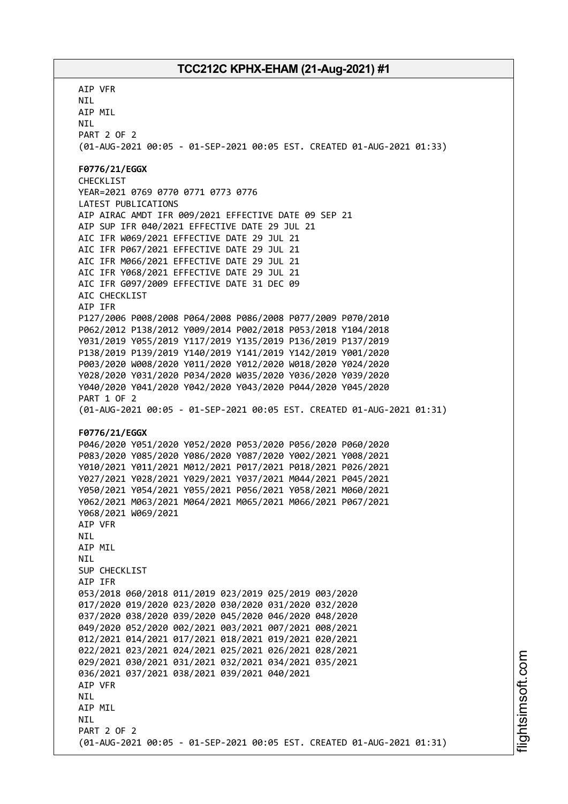AIP VFR NIL AIP MIL NIL PART 2 OF 2 (01-AUG-2021 00:05 - 01-SEP-2021 00:05 EST. CREATED 01-AUG-2021 01:33) **F0776/21/EGGX** CHECKLIST YEAR=2021 0769 0770 0771 0773 0776 LATEST PUBLICATIONS AIP AIRAC AMDT IFR 009/2021 EFFECTIVE DATE 09 SEP 21 AIP SUP IFR 040/2021 EFFECTIVE DATE 29 JUL 21 AIC IFR W069/2021 EFFECTIVE DATE 29 JUL 21 AIC IFR P067/2021 EFFECTIVE DATE 29 JUL 21 AIC IFR M066/2021 EFFECTIVE DATE 29 JUL 21 AIC IFR Y068/2021 EFFECTIVE DATE 29 JUL 21 AIC IFR G097/2009 EFFECTIVE DATE 31 DEC 09 AIC CHECKLIST AIP IFR P127/2006 P008/2008 P064/2008 P086/2008 P077/2009 P070/2010 P062/2012 P138/2012 Y009/2014 P002/2018 P053/2018 Y104/2018 Y031/2019 Y055/2019 Y117/2019 Y135/2019 P136/2019 P137/2019 P138/2019 P139/2019 Y140/2019 Y141/2019 Y142/2019 Y001/2020 P003/2020 W008/2020 Y011/2020 Y012/2020 W018/2020 Y024/2020 Y028/2020 Y031/2020 P034/2020 W035/2020 Y036/2020 Y039/2020 Y040/2020 Y041/2020 Y042/2020 Y043/2020 P044/2020 Y045/2020 PART 1 OF 2 (01-AUG-2021 00:05 - 01-SEP-2021 00:05 EST. CREATED 01-AUG-2021 01:31) **F0776/21/EGGX** P046/2020 Y051/2020 Y052/2020 P053/2020 P056/2020 P060/2020 P083/2020 Y085/2020 Y086/2020 Y087/2020 Y002/2021 Y008/2021 Y010/2021 Y011/2021 M012/2021 P017/2021 P018/2021 P026/2021 Y027/2021 Y028/2021 Y029/2021 Y037/2021 M044/2021 P045/2021 Y050/2021 Y054/2021 Y055/2021 P056/2021 Y058/2021 M060/2021 Y062/2021 M063/2021 M064/2021 M065/2021 M066/2021 P067/2021 Y068/2021 W069/2021 AIP VFR NIL AIP MIL **NTI** SUP CHECKLIST AIP IFR 053/2018 060/2018 011/2019 023/2019 025/2019 003/2020 017/2020 019/2020 023/2020 030/2020 031/2020 032/2020 037/2020 038/2020 039/2020 045/2020 046/2020 048/2020 049/2020 052/2020 002/2021 003/2021 007/2021 008/2021 012/2021 014/2021 017/2021 018/2021 019/2021 020/2021 022/2021 023/2021 024/2021 025/2021 026/2021 028/2021 029/2021 030/2021 031/2021 032/2021 034/2021 035/2021 036/2021 037/2021 038/2021 039/2021 040/2021 AIP VFR **NTL** AIP MIL **NTI** PART 2 OF 2 (01-AUG-2021 00:05 - 01-SEP-2021 00:05 EST. CREATED 01-AUG-2021 01:31)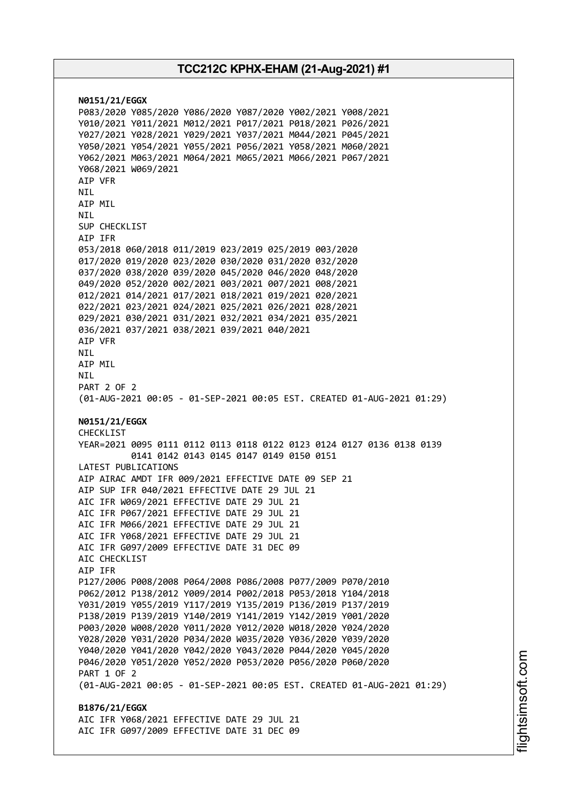**N0151/21/EGGX** P083/2020 Y085/2020 Y086/2020 Y087/2020 Y002/2021 Y008/2021 Y010/2021 Y011/2021 M012/2021 P017/2021 P018/2021 P026/2021 Y027/2021 Y028/2021 Y029/2021 Y037/2021 M044/2021 P045/2021 Y050/2021 Y054/2021 Y055/2021 P056/2021 Y058/2021 M060/2021 Y062/2021 M063/2021 M064/2021 M065/2021 M066/2021 P067/2021 Y068/2021 W069/2021 AIP VFR NIL AIP MIL **NTI** SUP CHECKLIST AIP IFR 053/2018 060/2018 011/2019 023/2019 025/2019 003/2020 017/2020 019/2020 023/2020 030/2020 031/2020 032/2020 037/2020 038/2020 039/2020 045/2020 046/2020 048/2020 049/2020 052/2020 002/2021 003/2021 007/2021 008/2021 012/2021 014/2021 017/2021 018/2021 019/2021 020/2021 022/2021 023/2021 024/2021 025/2021 026/2021 028/2021 029/2021 030/2021 031/2021 032/2021 034/2021 035/2021 036/2021 037/2021 038/2021 039/2021 040/2021 AIP VFR NIL AIP MIL NIL PART 2 OF 2 (01-AUG-2021 00:05 - 01-SEP-2021 00:05 EST. CREATED 01-AUG-2021 01:29) **N0151/21/EGGX** CHECKLIST YEAR=2021 0095 0111 0112 0113 0118 0122 0123 0124 0127 0136 0138 0139 0141 0142 0143 0145 0147 0149 0150 0151 LATEST PUBLICATIONS AIP AIRAC AMDT IFR 009/2021 EFFECTIVE DATE 09 SEP 21 AIP SUP IFR 040/2021 EFFECTIVE DATE 29 JUL 21 AIC IFR W069/2021 EFFECTIVE DATE 29 JUL 21 AIC IFR P067/2021 EFFECTIVE DATE 29 JUL 21 AIC IFR M066/2021 EFFECTIVE DATE 29 JUL 21 AIC IFR Y068/2021 EFFECTIVE DATE 29 JUL 21 AIC IFR G097/2009 EFFECTIVE DATE 31 DEC 09 AIC CHECKLIST AIP IFR P127/2006 P008/2008 P064/2008 P086/2008 P077/2009 P070/2010 P062/2012 P138/2012 Y009/2014 P002/2018 P053/2018 Y104/2018 Y031/2019 Y055/2019 Y117/2019 Y135/2019 P136/2019 P137/2019 P138/2019 P139/2019 Y140/2019 Y141/2019 Y142/2019 Y001/2020 P003/2020 W008/2020 Y011/2020 Y012/2020 W018/2020 Y024/2020 Y028/2020 Y031/2020 P034/2020 W035/2020 Y036/2020 Y039/2020 Y040/2020 Y041/2020 Y042/2020 Y043/2020 P044/2020 Y045/2020 P046/2020 Y051/2020 Y052/2020 P053/2020 P056/2020 P060/2020 PART 1 OF 2 (01-AUG-2021 00:05 - 01-SEP-2021 00:05 EST. CREATED 01-AUG-2021 01:29) **B1876/21/EGGX** AIC IFR Y068/2021 EFFECTIVE DATE 29 JUL 21 AIC IFR G097/2009 EFFECTIVE DATE 31 DEC 09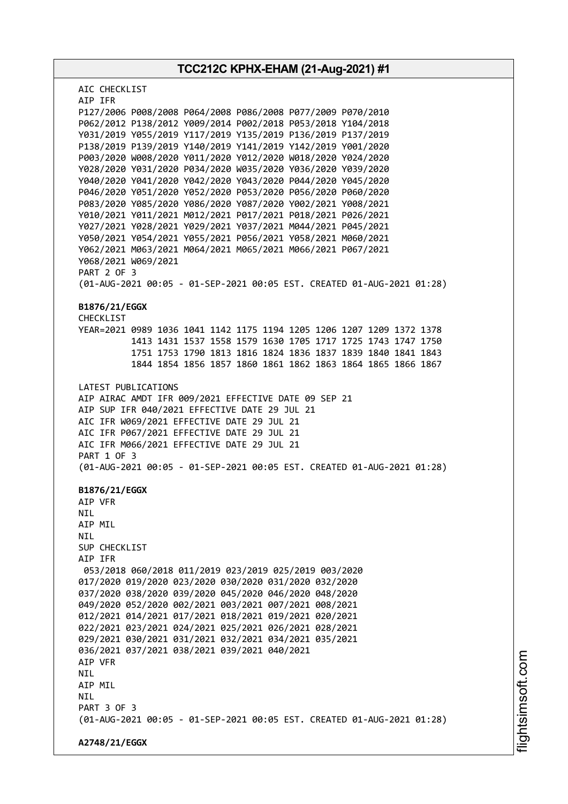**TCC212C KPHX-EHAM (21-Aug-2021) #1** AIC CHECKLIST AIP IFR P127/2006 P008/2008 P064/2008 P086/2008 P077/2009 P070/2010 P062/2012 P138/2012 Y009/2014 P002/2018 P053/2018 Y104/2018 Y031/2019 Y055/2019 Y117/2019 Y135/2019 P136/2019 P137/2019 P138/2019 P139/2019 Y140/2019 Y141/2019 Y142/2019 Y001/2020 P003/2020 W008/2020 Y011/2020 Y012/2020 W018/2020 Y024/2020 Y028/2020 Y031/2020 P034/2020 W035/2020 Y036/2020 Y039/2020 Y040/2020 Y041/2020 Y042/2020 Y043/2020 P044/2020 Y045/2020 P046/2020 Y051/2020 Y052/2020 P053/2020 P056/2020 P060/2020 P083/2020 Y085/2020 Y086/2020 Y087/2020 Y002/2021 Y008/2021 Y010/2021 Y011/2021 M012/2021 P017/2021 P018/2021 P026/2021 Y027/2021 Y028/2021 Y029/2021 Y037/2021 M044/2021 P045/2021 Y050/2021 Y054/2021 Y055/2021 P056/2021 Y058/2021 M060/2021 Y062/2021 M063/2021 M064/2021 M065/2021 M066/2021 P067/2021 Y068/2021 W069/2021 PART 2 OF 3 (01-AUG-2021 00:05 - 01-SEP-2021 00:05 EST. CREATED 01-AUG-2021 01:28) **B1876/21/EGGX** CHECKLIST YEAR=2021 0989 1036 1041 1142 1175 1194 1205 1206 1207 1209 1372 1378 1413 1431 1537 1558 1579 1630 1705 1717 1725 1743 1747 1750 1751 1753 1790 1813 1816 1824 1836 1837 1839 1840 1841 1843 1844 1854 1856 1857 1860 1861 1862 1863 1864 1865 1866 1867 LATEST PUBLICATIONS AIP AIRAC AMDT IFR 009/2021 EFFECTIVE DATE 09 SEP 21 AIP SUP IFR 040/2021 EFFECTIVE DATE 29 JUL 21 AIC IFR W069/2021 EFFECTIVE DATE 29 JUL 21 AIC IFR P067/2021 EFFECTIVE DATE 29 JUL 21 AIC IFR M066/2021 EFFECTIVE DATE 29 JUL 21 PART 1 OF 3 (01-AUG-2021 00:05 - 01-SEP-2021 00:05 EST. CREATED 01-AUG-2021 01:28) **B1876/21/EGGX** AIP VFR NIL AIP MIL NIL SUP CHECKLIST AIP IFR 053/2018 060/2018 011/2019 023/2019 025/2019 003/2020 017/2020 019/2020 023/2020 030/2020 031/2020 032/2020 037/2020 038/2020 039/2020 045/2020 046/2020 048/2020 049/2020 052/2020 002/2021 003/2021 007/2021 008/2021 012/2021 014/2021 017/2021 018/2021 019/2021 020/2021 022/2021 023/2021 024/2021 025/2021 026/2021 028/2021 029/2021 030/2021 031/2021 032/2021 034/2021 035/2021 036/2021 037/2021 038/2021 039/2021 040/2021 AIP VFR NIL AIP MIL **NTL** PART 3 OF 3 (01-AUG-2021 00:05 - 01-SEP-2021 00:05 EST. CREATED 01-AUG-2021 01:28) **A2748/21/EGGX**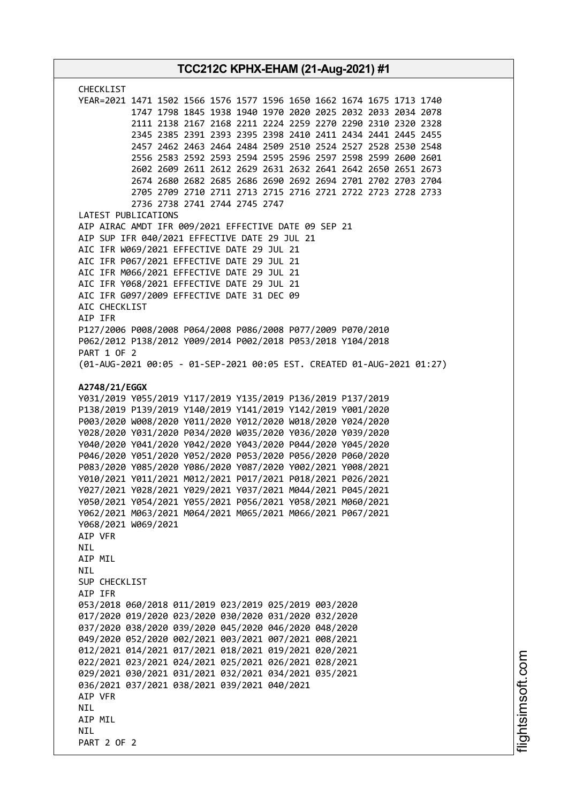| <b>CHECKLIST</b><br>YEAR=2021 1471 1502 1566 1576 1577 1596 1650 1662 1674 1675 1713 1740<br>1747 1798 1845 1938 1940 1970 2020 2025 2032 2033 2034 2078<br>2111 2138 2167 2168 2211 2224 2259 2270 2290 2310 2320 2328<br>2345 2385 2391 2393 2395 2398 2410 2411 2434 2441 2445 2455<br>2457 2462 2463 2464 2484 2509 2510 2524 2527 2528 2530 2548<br>2556 2583 2592 2593 2594 2595 2596 2597 2598 2599 2600 2601<br>2602 2609 2611 2612 2629 2631 2632 2641 2642 2650 2651 2673<br>2674 2680 2682 2685 2686 2690 2692 2694 2701 2702 2703 2704<br>2705 2709 2710 2711 2713 2715 2716 2721 2722 2723 2728 2733<br>2736 2738 2741 2744 2745 2747<br>LATEST PUBLICATIONS<br>AIP AIRAC AMDT IFR 009/2021 EFFECTIVE DATE 09 SEP 21<br>AIP SUP IFR 040/2021 EFFECTIVE DATE 29 JUL 21<br>AIC IFR W069/2021 EFFECTIVE DATE 29 JUL 21<br>AIC IFR P067/2021 EFFECTIVE DATE 29 JUL 21<br>AIC IFR M066/2021 EFFECTIVE DATE 29 JUL 21<br>AIC IFR Y068/2021 EFFECTIVE DATE 29 JUL 21<br>AIC IFR G097/2009 EFFECTIVE DATE 31 DEC 09<br>AIC CHECKLIST<br>AIP IFR<br>P127/2006 P008/2008 P064/2008 P086/2008 P077/2009 P070/2010<br>P062/2012 P138/2012 Y009/2014 P002/2018 P053/2018 Y104/2018<br>PART 1 OF 2<br>(01-AUG-2021 00:05 - 01-SEP-2021 00:05 EST. CREATED 01-AUG-2021 01:27)<br>A2748/21/EGGX<br>Y031/2019 Y055/2019 Y117/2019 Y135/2019 P136/2019 P137/2019<br>P138/2019 P139/2019 Y140/2019 Y141/2019 Y142/2019 Y001/2020<br>P003/2020 W008/2020 Y011/2020 Y012/2020 W018/2020 Y024/2020<br>Y028/2020 Y031/2020 P034/2020 W035/2020 Y036/2020 Y039/2020<br>Y040/2020 Y041/2020 Y042/2020 Y043/2020 P044/2020 Y045/2020<br>P046/2020 Y051/2020 Y052/2020 P053/2020 P056/2020 P060/2020<br>P083/2020 Y085/2020 Y086/2020 Y087/2020 Y002/2021 Y008/2021<br>Y010/2021 Y011/2021 M012/2021 P017/2021 P018/2021 P026/2021<br>Y027/2021 Y028/2021 Y029/2021 Y037/2021 M044/2021 P045/2021<br>Y050/2021 Y054/2021 Y055/2021 P056/2021 Y058/2021 M060/2021<br>Y062/2021 M063/2021 M064/2021 M065/2021 M066/2021 P067/2021<br>Y068/2021 W069/2021<br>AIP VFR<br>NIL<br>AIP MIL<br><b>NIL</b><br>SUP CHECKLIST<br>AIP IFR<br>053/2018 060/2018 011/2019 023/2019 025/2019 003/2020<br>017/2020 019/2020 023/2020 030/2020 031/2020 032/2020<br>037/2020 038/2020 039/2020 045/2020 046/2020 048/2020<br>049/2020 052/2020 002/2021 003/2021 007/2021 008/2021<br>012/2021 014/2021 017/2021 018/2021 019/2021 020/2021<br>022/2021 023/2021 024/2021 025/2021 026/2021 028/2021<br>029/2021 030/2021 031/2021 032/2021 034/2021 035/2021<br>036/2021 037/2021 038/2021 039/2021 040/2021<br>AIP VFR<br><b>NIL</b> | TCC212C KPHX-EHAM (21-Aug-2021) #1 |  |
|---------------------------------------------------------------------------------------------------------------------------------------------------------------------------------------------------------------------------------------------------------------------------------------------------------------------------------------------------------------------------------------------------------------------------------------------------------------------------------------------------------------------------------------------------------------------------------------------------------------------------------------------------------------------------------------------------------------------------------------------------------------------------------------------------------------------------------------------------------------------------------------------------------------------------------------------------------------------------------------------------------------------------------------------------------------------------------------------------------------------------------------------------------------------------------------------------------------------------------------------------------------------------------------------------------------------------------------------------------------------------------------------------------------------------------------------------------------------------------------------------------------------------------------------------------------------------------------------------------------------------------------------------------------------------------------------------------------------------------------------------------------------------------------------------------------------------------------------------------------------------------------------------------------------------------------------------------------------------------------------------------------------------------------------------------------------------------------------------------------------------------------------------------------------------------------------------------------------------------------------------------------------------------------------------------------------------------------------------------------------------------------------------------------------------------------------------------------------------------------------------------------------------------------------------------------------------------------------------------|------------------------------------|--|
|                                                                                                                                                                                                                                                                                                                                                                                                                                                                                                                                                                                                                                                                                                                                                                                                                                                                                                                                                                                                                                                                                                                                                                                                                                                                                                                                                                                                                                                                                                                                                                                                                                                                                                                                                                                                                                                                                                                                                                                                                                                                                                                                                                                                                                                                                                                                                                                                                                                                                                                                                                                                         |                                    |  |
|                                                                                                                                                                                                                                                                                                                                                                                                                                                                                                                                                                                                                                                                                                                                                                                                                                                                                                                                                                                                                                                                                                                                                                                                                                                                                                                                                                                                                                                                                                                                                                                                                                                                                                                                                                                                                                                                                                                                                                                                                                                                                                                                                                                                                                                                                                                                                                                                                                                                                                                                                                                                         |                                    |  |
|                                                                                                                                                                                                                                                                                                                                                                                                                                                                                                                                                                                                                                                                                                                                                                                                                                                                                                                                                                                                                                                                                                                                                                                                                                                                                                                                                                                                                                                                                                                                                                                                                                                                                                                                                                                                                                                                                                                                                                                                                                                                                                                                                                                                                                                                                                                                                                                                                                                                                                                                                                                                         |                                    |  |
| AIP MIL<br><b>NIL</b>                                                                                                                                                                                                                                                                                                                                                                                                                                                                                                                                                                                                                                                                                                                                                                                                                                                                                                                                                                                                                                                                                                                                                                                                                                                                                                                                                                                                                                                                                                                                                                                                                                                                                                                                                                                                                                                                                                                                                                                                                                                                                                                                                                                                                                                                                                                                                                                                                                                                                                                                                                                   |                                    |  |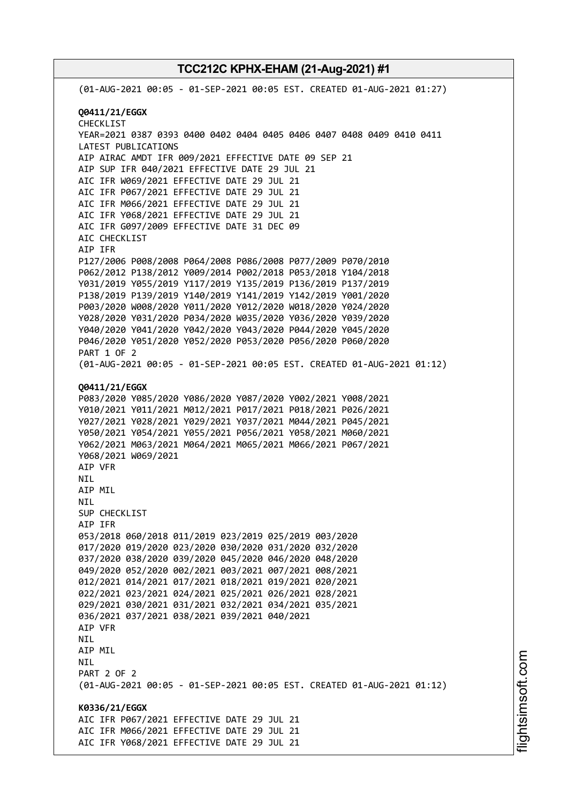(01-AUG-2021 00:05 - 01-SEP-2021 00:05 EST. CREATED 01-AUG-2021 01:27) **Q0411/21/EGGX** CHECKLIST YEAR=2021 0387 0393 0400 0402 0404 0405 0406 0407 0408 0409 0410 0411 LATEST PUBLICATIONS AIP AIRAC AMDT IFR 009/2021 EFFECTIVE DATE 09 SEP 21 AIP SUP IFR 040/2021 EFFECTIVE DATE 29 JUL 21 AIC IFR W069/2021 EFFECTIVE DATE 29 JUL 21 AIC IFR P067/2021 EFFECTIVE DATE 29 JUL 21 AIC IFR M066/2021 EFFECTIVE DATE 29 JUL 21 AIC IFR Y068/2021 EFFECTIVE DATE 29 JUL 21 AIC IFR G097/2009 EFFECTIVE DATE 31 DEC 09 AIC CHECKLIST AIP IFR P127/2006 P008/2008 P064/2008 P086/2008 P077/2009 P070/2010 P062/2012 P138/2012 Y009/2014 P002/2018 P053/2018 Y104/2018 Y031/2019 Y055/2019 Y117/2019 Y135/2019 P136/2019 P137/2019 P138/2019 P139/2019 Y140/2019 Y141/2019 Y142/2019 Y001/2020 P003/2020 W008/2020 Y011/2020 Y012/2020 W018/2020 Y024/2020 Y028/2020 Y031/2020 P034/2020 W035/2020 Y036/2020 Y039/2020 Y040/2020 Y041/2020 Y042/2020 Y043/2020 P044/2020 Y045/2020 P046/2020 Y051/2020 Y052/2020 P053/2020 P056/2020 P060/2020 PART 1 OF 2 (01-AUG-2021 00:05 - 01-SEP-2021 00:05 EST. CREATED 01-AUG-2021 01:12) **Q0411/21/EGGX** P083/2020 Y085/2020 Y086/2020 Y087/2020 Y002/2021 Y008/2021 Y010/2021 Y011/2021 M012/2021 P017/2021 P018/2021 P026/2021 Y027/2021 Y028/2021 Y029/2021 Y037/2021 M044/2021 P045/2021 Y050/2021 Y054/2021 Y055/2021 P056/2021 Y058/2021 M060/2021 Y062/2021 M063/2021 M064/2021 M065/2021 M066/2021 P067/2021 Y068/2021 W069/2021 AIP VFR NIL AIP MIL NIL SUP CHECKLIST AIP IFR 053/2018 060/2018 011/2019 023/2019 025/2019 003/2020 017/2020 019/2020 023/2020 030/2020 031/2020 032/2020 037/2020 038/2020 039/2020 045/2020 046/2020 048/2020 049/2020 052/2020 002/2021 003/2021 007/2021 008/2021 012/2021 014/2021 017/2021 018/2021 019/2021 020/2021 022/2021 023/2021 024/2021 025/2021 026/2021 028/2021 029/2021 030/2021 031/2021 032/2021 034/2021 035/2021 036/2021 037/2021 038/2021 039/2021 040/2021 AIP VFR NIL AIP MIL NIL PART 2 OF 2 (01-AUG-2021 00:05 - 01-SEP-2021 00:05 EST. CREATED 01-AUG-2021 01:12) **K0336/21/EGGX** AIC IFR P067/2021 EFFECTIVE DATE 29 JUL 21 AIC IFR M066/2021 EFFECTIVE DATE 29 JUL 21 AIC IFR Y068/2021 EFFECTIVE DATE 29 JUL 21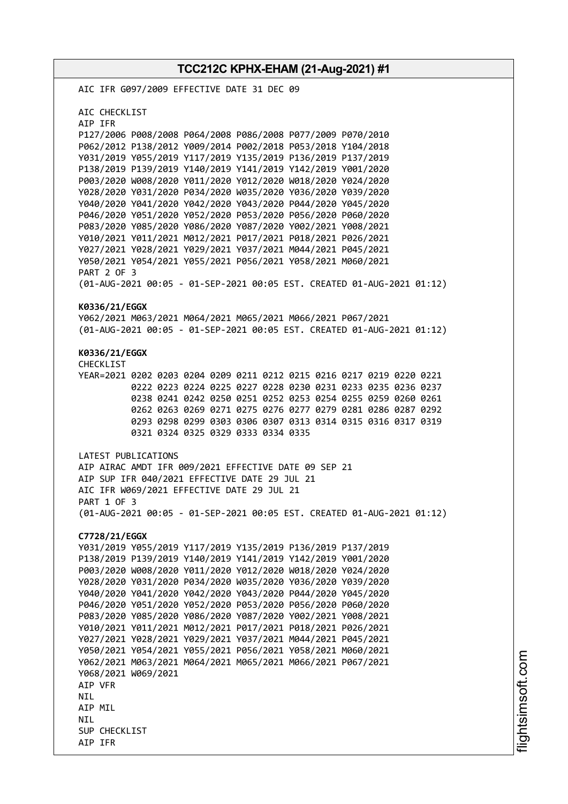**TCC212C KPHX-EHAM (21-Aug-2021) #1** AIC IFR G097/2009 EFFECTIVE DATE 31 DEC 09 AIC CHECKLIST AIP IFR P127/2006 P008/2008 P064/2008 P086/2008 P077/2009 P070/2010 P062/2012 P138/2012 Y009/2014 P002/2018 P053/2018 Y104/2018 Y031/2019 Y055/2019 Y117/2019 Y135/2019 P136/2019 P137/2019 P138/2019 P139/2019 Y140/2019 Y141/2019 Y142/2019 Y001/2020 P003/2020 W008/2020 Y011/2020 Y012/2020 W018/2020 Y024/2020 Y028/2020 Y031/2020 P034/2020 W035/2020 Y036/2020 Y039/2020 Y040/2020 Y041/2020 Y042/2020 Y043/2020 P044/2020 Y045/2020 P046/2020 Y051/2020 Y052/2020 P053/2020 P056/2020 P060/2020 P083/2020 Y085/2020 Y086/2020 Y087/2020 Y002/2021 Y008/2021 Y010/2021 Y011/2021 M012/2021 P017/2021 P018/2021 P026/2021 Y027/2021 Y028/2021 Y029/2021 Y037/2021 M044/2021 P045/2021 Y050/2021 Y054/2021 Y055/2021 P056/2021 Y058/2021 M060/2021 PART 2 OF 3 (01-AUG-2021 00:05 - 01-SEP-2021 00:05 EST. CREATED 01-AUG-2021 01:12) **K0336/21/EGGX** Y062/2021 M063/2021 M064/2021 M065/2021 M066/2021 P067/2021 (01-AUG-2021 00:05 - 01-SEP-2021 00:05 EST. CREATED 01-AUG-2021 01:12) **K0336/21/EGGX** CHECKLIST YEAR=2021 0202 0203 0204 0209 0211 0212 0215 0216 0217 0219 0220 0221 0222 0223 0224 0225 0227 0228 0230 0231 0233 0235 0236 0237 0238 0241 0242 0250 0251 0252 0253 0254 0255 0259 0260 0261 0262 0263 0269 0271 0275 0276 0277 0279 0281 0286 0287 0292 0293 0298 0299 0303 0306 0307 0313 0314 0315 0316 0317 0319 0321 0324 0325 0329 0333 0334 0335 LATEST PUBLICATIONS AIP AIRAC AMDT IFR 009/2021 EFFECTIVE DATE 09 SEP 21 AIP SUP IFR 040/2021 EFFECTIVE DATE 29 JUL 21 AIC IFR W069/2021 EFFECTIVE DATE 29 JUL 21 PART 1 OF 3 (01-AUG-2021 00:05 - 01-SEP-2021 00:05 EST. CREATED 01-AUG-2021 01:12) **C7728/21/EGGX** Y031/2019 Y055/2019 Y117/2019 Y135/2019 P136/2019 P137/2019 P138/2019 P139/2019 Y140/2019 Y141/2019 Y142/2019 Y001/2020 P003/2020 W008/2020 Y011/2020 Y012/2020 W018/2020 Y024/2020 Y028/2020 Y031/2020 P034/2020 W035/2020 Y036/2020 Y039/2020 Y040/2020 Y041/2020 Y042/2020 Y043/2020 P044/2020 Y045/2020 P046/2020 Y051/2020 Y052/2020 P053/2020 P056/2020 P060/2020 P083/2020 Y085/2020 Y086/2020 Y087/2020 Y002/2021 Y008/2021 Y010/2021 Y011/2021 M012/2021 P017/2021 P018/2021 P026/2021 Y027/2021 Y028/2021 Y029/2021 Y037/2021 M044/2021 P045/2021 Y050/2021 Y054/2021 Y055/2021 P056/2021 Y058/2021 M060/2021 Y062/2021 M063/2021 M064/2021 M065/2021 M066/2021 P067/2021 Y068/2021 W069/2021 AIP VFR **NTI** AIP MIL **NTI** SUP CHECKLIST AIP IFR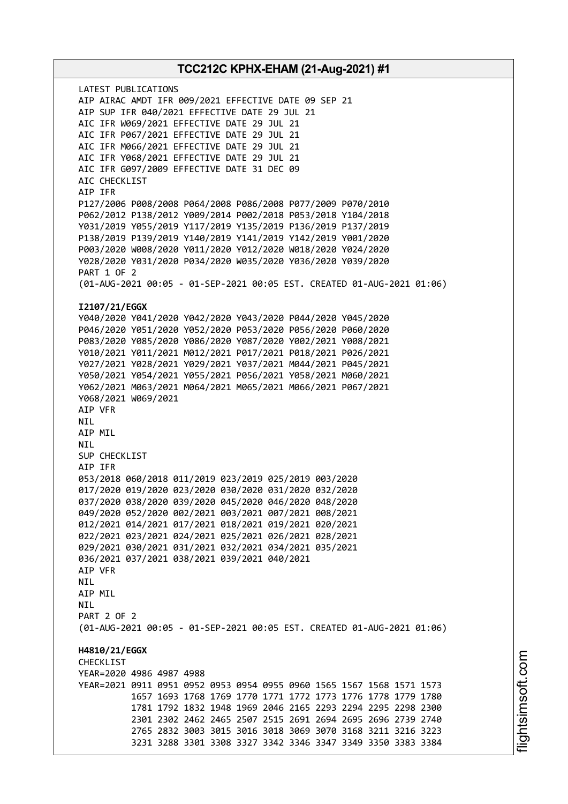LATEST PUBLICATIONS AIP AIRAC AMDT IFR 009/2021 EFFECTIVE DATE 09 SEP 21 AIP SUP IFR 040/2021 EFFECTIVE DATE 29 JUL 21 AIC IFR W069/2021 EFFECTIVE DATE 29 JUL 21 AIC IFR P067/2021 EFFECTIVE DATE 29 JUL 21 AIC IFR M066/2021 EFFECTIVE DATE 29 JUL 21 AIC IFR Y068/2021 EFFECTIVE DATE 29 JUL 21 AIC IFR G097/2009 EFFECTIVE DATE 31 DEC 09 AIC CHECKLIST AIP IFR P127/2006 P008/2008 P064/2008 P086/2008 P077/2009 P070/2010 P062/2012 P138/2012 Y009/2014 P002/2018 P053/2018 Y104/2018 Y031/2019 Y055/2019 Y117/2019 Y135/2019 P136/2019 P137/2019 P138/2019 P139/2019 Y140/2019 Y141/2019 Y142/2019 Y001/2020 P003/2020 W008/2020 Y011/2020 Y012/2020 W018/2020 Y024/2020 Y028/2020 Y031/2020 P034/2020 W035/2020 Y036/2020 Y039/2020 PART 1 OF 2 (01-AUG-2021 00:05 - 01-SEP-2021 00:05 EST. CREATED 01-AUG-2021 01:06) **I2107/21/EGGX** Y040/2020 Y041/2020 Y042/2020 Y043/2020 P044/2020 Y045/2020 P046/2020 Y051/2020 Y052/2020 P053/2020 P056/2020 P060/2020 P083/2020 Y085/2020 Y086/2020 Y087/2020 Y002/2021 Y008/2021 Y010/2021 Y011/2021 M012/2021 P017/2021 P018/2021 P026/2021 Y027/2021 Y028/2021 Y029/2021 Y037/2021 M044/2021 P045/2021 Y050/2021 Y054/2021 Y055/2021 P056/2021 Y058/2021 M060/2021 Y062/2021 M063/2021 M064/2021 M065/2021 M066/2021 P067/2021 Y068/2021 W069/2021 AIP VFR NIL AIP MIL NIL SUP CHECKLIST AIP IFR 053/2018 060/2018 011/2019 023/2019 025/2019 003/2020 017/2020 019/2020 023/2020 030/2020 031/2020 032/2020 037/2020 038/2020 039/2020 045/2020 046/2020 048/2020 049/2020 052/2020 002/2021 003/2021 007/2021 008/2021 012/2021 014/2021 017/2021 018/2021 019/2021 020/2021 022/2021 023/2021 024/2021 025/2021 026/2021 028/2021 029/2021 030/2021 031/2021 032/2021 034/2021 035/2021 036/2021 037/2021 038/2021 039/2021 040/2021 AIP VFR NIL AIP MIL **NTI** PART 2 OF 2 (01-AUG-2021 00:05 - 01-SEP-2021 00:05 EST. CREATED 01-AUG-2021 01:06) **H4810/21/EGGX** CHECKLIST YEAR=2020 4986 4987 4988 YEAR=2021 0911 0951 0952 0953 0954 0955 0960 1565 1567 1568 1571 1573 1657 1693 1768 1769 1770 1771 1772 1773 1776 1778 1779 1780 1781 1792 1832 1948 1969 2046 2165 2293 2294 2295 2298 2300 2301 2302 2462 2465 2507 2515 2691 2694 2695 2696 2739 2740 2765 2832 3003 3015 3016 3018 3069 3070 3168 3211 3216 3223 3231 3288 3301 3308 3327 3342 3346 3347 3349 3350 3383 3384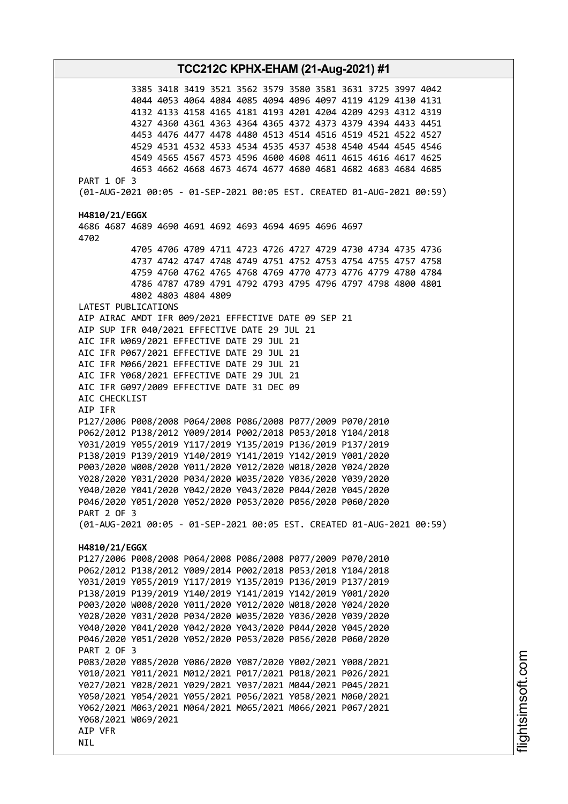3385 3418 3419 3521 3562 3579 3580 3581 3631 3725 3997 4042 4044 4053 4064 4084 4085 4094 4096 4097 4119 4129 4130 4131 4132 4133 4158 4165 4181 4193 4201 4204 4209 4293 4312 4319 4327 4360 4361 4363 4364 4365 4372 4373 4379 4394 4433 4451 4453 4476 4477 4478 4480 4513 4514 4516 4519 4521 4522 4527 4529 4531 4532 4533 4534 4535 4537 4538 4540 4544 4545 4546 4549 4565 4567 4573 4596 4600 4608 4611 4615 4616 4617 4625 4653 4662 4668 4673 4674 4677 4680 4681 4682 4683 4684 4685 PART 1 OF 3 (01-AUG-2021 00:05 - 01-SEP-2021 00:05 EST. CREATED 01-AUG-2021 00:59) **H4810/21/EGGX** 4686 4687 4689 4690 4691 4692 4693 4694 4695 4696 4697 4702 4705 4706 4709 4711 4723 4726 4727 4729 4730 4734 4735 4736 4737 4742 4747 4748 4749 4751 4752 4753 4754 4755 4757 4758 4759 4760 4762 4765 4768 4769 4770 4773 4776 4779 4780 4784 4786 4787 4789 4791 4792 4793 4795 4796 4797 4798 4800 4801 4802 4803 4804 4809 LATEST PUBLICATIONS AIP AIRAC AMDT IFR 009/2021 EFFECTIVE DATE 09 SEP 21 AIP SUP IFR 040/2021 EFFECTIVE DATE 29 JUL 21 AIC IFR W069/2021 EFFECTIVE DATE 29 JUL 21 AIC IFR P067/2021 EFFECTIVE DATE 29 JUL 21 AIC IFR M066/2021 EFFECTIVE DATE 29 JUL 21 AIC IFR Y068/2021 EFFECTIVE DATE 29 JUL 21 AIC IFR G097/2009 EFFECTIVE DATE 31 DEC 09 AIC CHECKLIST AIP IFR P127/2006 P008/2008 P064/2008 P086/2008 P077/2009 P070/2010 P062/2012 P138/2012 Y009/2014 P002/2018 P053/2018 Y104/2018 Y031/2019 Y055/2019 Y117/2019 Y135/2019 P136/2019 P137/2019 P138/2019 P139/2019 Y140/2019 Y141/2019 Y142/2019 Y001/2020 P003/2020 W008/2020 Y011/2020 Y012/2020 W018/2020 Y024/2020 Y028/2020 Y031/2020 P034/2020 W035/2020 Y036/2020 Y039/2020 Y040/2020 Y041/2020 Y042/2020 Y043/2020 P044/2020 Y045/2020 P046/2020 Y051/2020 Y052/2020 P053/2020 P056/2020 P060/2020 PART 2 OF 3 (01-AUG-2021 00:05 - 01-SEP-2021 00:05 EST. CREATED 01-AUG-2021 00:59) **H4810/21/EGGX** P127/2006 P008/2008 P064/2008 P086/2008 P077/2009 P070/2010 P062/2012 P138/2012 Y009/2014 P002/2018 P053/2018 Y104/2018 Y031/2019 Y055/2019 Y117/2019 Y135/2019 P136/2019 P137/2019 P138/2019 P139/2019 Y140/2019 Y141/2019 Y142/2019 Y001/2020 P003/2020 W008/2020 Y011/2020 Y012/2020 W018/2020 Y024/2020 Y028/2020 Y031/2020 P034/2020 W035/2020 Y036/2020 Y039/2020 Y040/2020 Y041/2020 Y042/2020 Y043/2020 P044/2020 Y045/2020 P046/2020 Y051/2020 Y052/2020 P053/2020 P056/2020 P060/2020 PART 2 OF 3 P083/2020 Y085/2020 Y086/2020 Y087/2020 Y002/2021 Y008/2021 Y010/2021 Y011/2021 M012/2021 P017/2021 P018/2021 P026/2021 Y027/2021 Y028/2021 Y029/2021 Y037/2021 M044/2021 P045/2021 Y050/2021 Y054/2021 Y055/2021 P056/2021 Y058/2021 M060/2021 Y062/2021 M063/2021 M064/2021 M065/2021 M066/2021 P067/2021 Y068/2021 W069/2021 AIP VFR NIL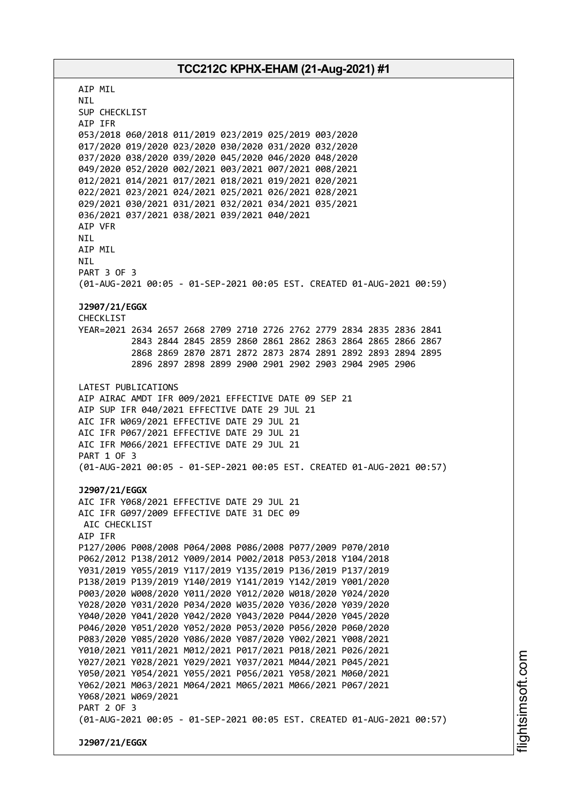AIP MIL NIL SUP CHECKLIST AIP IFR 053/2018 060/2018 011/2019 023/2019 025/2019 003/2020 017/2020 019/2020 023/2020 030/2020 031/2020 032/2020 037/2020 038/2020 039/2020 045/2020 046/2020 048/2020 049/2020 052/2020 002/2021 003/2021 007/2021 008/2021 012/2021 014/2021 017/2021 018/2021 019/2021 020/2021 022/2021 023/2021 024/2021 025/2021 026/2021 028/2021 029/2021 030/2021 031/2021 032/2021 034/2021 035/2021 036/2021 037/2021 038/2021 039/2021 040/2021 AIP VFR NIL AIP MIL NIL PART 3 OF 3 (01-AUG-2021 00:05 - 01-SEP-2021 00:05 EST. CREATED 01-AUG-2021 00:59) **J2907/21/EGGX** CHECKLIST YEAR=2021 2634 2657 2668 2709 2710 2726 2762 2779 2834 2835 2836 2841 2843 2844 2845 2859 2860 2861 2862 2863 2864 2865 2866 2867 2868 2869 2870 2871 2872 2873 2874 2891 2892 2893 2894 2895 2896 2897 2898 2899 2900 2901 2902 2903 2904 2905 2906 LATEST PUBLICATIONS AIP AIRAC AMDT IFR 009/2021 EFFECTIVE DATE 09 SEP 21 AIP SUP IFR 040/2021 EFFECTIVE DATE 29 JUL 21 AIC IFR W069/2021 EFFECTIVE DATE 29 JUL 21 AIC IFR P067/2021 EFFECTIVE DATE 29 JUL 21 AIC IFR M066/2021 EFFECTIVE DATE 29 JUL 21 PART 1 OF 3 (01-AUG-2021 00:05 - 01-SEP-2021 00:05 EST. CREATED 01-AUG-2021 00:57) **J2907/21/EGGX** AIC IFR Y068/2021 EFFECTIVE DATE 29 JUL 21 AIC IFR G097/2009 EFFECTIVE DATE 31 DEC 09 AIC CHECKLIST AIP IFR P127/2006 P008/2008 P064/2008 P086/2008 P077/2009 P070/2010 P062/2012 P138/2012 Y009/2014 P002/2018 P053/2018 Y104/2018 Y031/2019 Y055/2019 Y117/2019 Y135/2019 P136/2019 P137/2019 P138/2019 P139/2019 Y140/2019 Y141/2019 Y142/2019 Y001/2020 P003/2020 W008/2020 Y011/2020 Y012/2020 W018/2020 Y024/2020 Y028/2020 Y031/2020 P034/2020 W035/2020 Y036/2020 Y039/2020 Y040/2020 Y041/2020 Y042/2020 Y043/2020 P044/2020 Y045/2020 P046/2020 Y051/2020 Y052/2020 P053/2020 P056/2020 P060/2020 P083/2020 Y085/2020 Y086/2020 Y087/2020 Y002/2021 Y008/2021 Y010/2021 Y011/2021 M012/2021 P017/2021 P018/2021 P026/2021 Y027/2021 Y028/2021 Y029/2021 Y037/2021 M044/2021 P045/2021 Y050/2021 Y054/2021 Y055/2021 P056/2021 Y058/2021 M060/2021 Y062/2021 M063/2021 M064/2021 M065/2021 M066/2021 P067/2021 Y068/2021 W069/2021 PART 2 OF 3 (01-AUG-2021 00:05 - 01-SEP-2021 00:05 EST. CREATED 01-AUG-2021 00:57) **J2907/21/EGGX**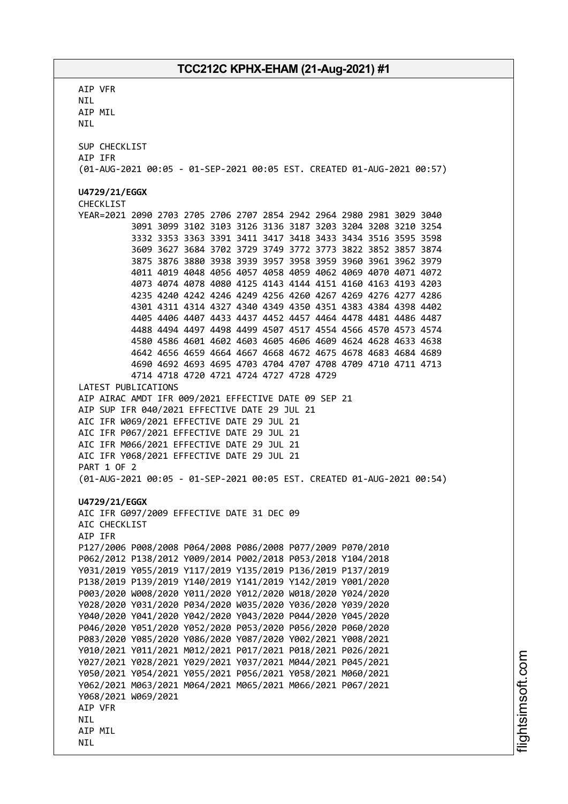AIP VFR NIL AIP MIL NIL SUP CHECKLIST AIP IFR (01-AUG-2021 00:05 - 01-SEP-2021 00:05 EST. CREATED 01-AUG-2021 00:57) **U4729/21/EGGX** CHECKLIST YEAR=2021 2090 2703 2705 2706 2707 2854 2942 2964 2980 2981 3029 3040 3091 3099 3102 3103 3126 3136 3187 3203 3204 3208 3210 3254 3332 3353 3363 3391 3411 3417 3418 3433 3434 3516 3595 3598 3609 3627 3684 3702 3729 3749 3772 3773 3822 3852 3857 3874 3875 3876 3880 3938 3939 3957 3958 3959 3960 3961 3962 3979 4011 4019 4048 4056 4057 4058 4059 4062 4069 4070 4071 4072 4073 4074 4078 4080 4125 4143 4144 4151 4160 4163 4193 4203 4235 4240 4242 4246 4249 4256 4260 4267 4269 4276 4277 4286 4301 4311 4314 4327 4340 4349 4350 4351 4383 4384 4398 4402 4405 4406 4407 4433 4437 4452 4457 4464 4478 4481 4486 4487 4488 4494 4497 4498 4499 4507 4517 4554 4566 4570 4573 4574 4580 4586 4601 4602 4603 4605 4606 4609 4624 4628 4633 4638 4642 4656 4659 4664 4667 4668 4672 4675 4678 4683 4684 4689 4690 4692 4693 4695 4703 4704 4707 4708 4709 4710 4711 4713 4714 4718 4720 4721 4724 4727 4728 4729 LATEST PUBLICATIONS AIP AIRAC AMDT IFR 009/2021 EFFECTIVE DATE 09 SEP 21 AIP SUP IFR 040/2021 EFFECTIVE DATE 29 JUL 21 AIC IFR W069/2021 EFFECTIVE DATE 29 JUL 21 AIC IFR P067/2021 EFFECTIVE DATE 29 JUL 21 AIC IFR M066/2021 EFFECTIVE DATE 29 JUL 21 AIC IFR Y068/2021 EFFECTIVE DATE 29 JUL 21 PART 1 OF 2 (01-AUG-2021 00:05 - 01-SEP-2021 00:05 EST. CREATED 01-AUG-2021 00:54) **U4729/21/EGGX** AIC IFR G097/2009 EFFECTIVE DATE 31 DEC 09 AIC CHECKLIST AIP IFR P127/2006 P008/2008 P064/2008 P086/2008 P077/2009 P070/2010 P062/2012 P138/2012 Y009/2014 P002/2018 P053/2018 Y104/2018 Y031/2019 Y055/2019 Y117/2019 Y135/2019 P136/2019 P137/2019 P138/2019 P139/2019 Y140/2019 Y141/2019 Y142/2019 Y001/2020 P003/2020 W008/2020 Y011/2020 Y012/2020 W018/2020 Y024/2020 Y028/2020 Y031/2020 P034/2020 W035/2020 Y036/2020 Y039/2020 Y040/2020 Y041/2020 Y042/2020 Y043/2020 P044/2020 Y045/2020 P046/2020 Y051/2020 Y052/2020 P053/2020 P056/2020 P060/2020 P083/2020 Y085/2020 Y086/2020 Y087/2020 Y002/2021 Y008/2021 Y010/2021 Y011/2021 M012/2021 P017/2021 P018/2021 P026/2021 Y027/2021 Y028/2021 Y029/2021 Y037/2021 M044/2021 P045/2021 Y050/2021 Y054/2021 Y055/2021 P056/2021 Y058/2021 M060/2021 Y062/2021 M063/2021 M064/2021 M065/2021 M066/2021 P067/2021 Y068/2021 W069/2021 AIP VFR **NTI** AIP MIL NIL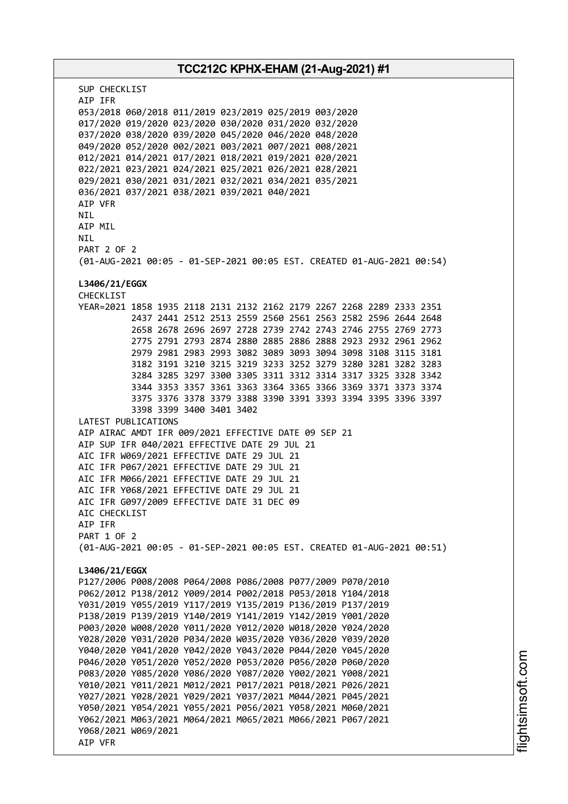# **TCC212C KPHX-EHAM (21-Aug-2021) #1** SUP CHECKLIST AIP IFR 053/2018 060/2018 011/2019 023/2019 025/2019 003/2020 017/2020 019/2020 023/2020 030/2020 031/2020 032/2020 037/2020 038/2020 039/2020 045/2020 046/2020 048/2020 049/2020 052/2020 002/2021 003/2021 007/2021 008/2021 012/2021 014/2021 017/2021 018/2021 019/2021 020/2021 022/2021 023/2021 024/2021 025/2021 026/2021 028/2021 029/2021 030/2021 031/2021 032/2021 034/2021 035/2021 036/2021 037/2021 038/2021 039/2021 040/2021 AIP VFR **NTI** AIP MIL NIL PART 2 OF 2 (01-AUG-2021 00:05 - 01-SEP-2021 00:05 EST. CREATED 01-AUG-2021 00:54) **L3406/21/EGGX** CHECKLIST YEAR=2021 1858 1935 2118 2131 2132 2162 2179 2267 2268 2289 2333 2351 2437 2441 2512 2513 2559 2560 2561 2563 2582 2596 2644 2648 2658 2678 2696 2697 2728 2739 2742 2743 2746 2755 2769 2773 2775 2791 2793 2874 2880 2885 2886 2888 2923 2932 2961 2962 2979 2981 2983 2993 3082 3089 3093 3094 3098 3108 3115 3181 3182 3191 3210 3215 3219 3233 3252 3279 3280 3281 3282 3283 3284 3285 3297 3300 3305 3311 3312 3314 3317 3325 3328 3342 3344 3353 3357 3361 3363 3364 3365 3366 3369 3371 3373 3374 3375 3376 3378 3379 3388 3390 3391 3393 3394 3395 3396 3397 3398 3399 3400 3401 3402 LATEST PUBLICATIONS AIP AIRAC AMDT IFR 009/2021 EFFECTIVE DATE 09 SEP 21 AIP SUP IFR 040/2021 EFFECTIVE DATE 29 JUL 21 AIC IFR W069/2021 EFFECTIVE DATE 29 JUL 21 AIC IFR P067/2021 EFFECTIVE DATE 29 JUL 21 AIC IFR M066/2021 EFFECTIVE DATE 29 JUL 21 AIC IFR Y068/2021 EFFECTIVE DATE 29 JUL 21 AIC IFR G097/2009 EFFECTIVE DATE 31 DEC 09 AIC CHECKLIST AIP IFR PART 1 OF 2 (01-AUG-2021 00:05 - 01-SEP-2021 00:05 EST. CREATED 01-AUG-2021 00:51) **L3406/21/EGGX** P127/2006 P008/2008 P064/2008 P086/2008 P077/2009 P070/2010 P062/2012 P138/2012 Y009/2014 P002/2018 P053/2018 Y104/2018 Y031/2019 Y055/2019 Y117/2019 Y135/2019 P136/2019 P137/2019 P138/2019 P139/2019 Y140/2019 Y141/2019 Y142/2019 Y001/2020 P003/2020 W008/2020 Y011/2020 Y012/2020 W018/2020 Y024/2020 Y028/2020 Y031/2020 P034/2020 W035/2020 Y036/2020 Y039/2020 Y040/2020 Y041/2020 Y042/2020 Y043/2020 P044/2020 Y045/2020 P046/2020 Y051/2020 Y052/2020 P053/2020 P056/2020 P060/2020 P083/2020 Y085/2020 Y086/2020 Y087/2020 Y002/2021 Y008/2021 Y010/2021 Y011/2021 M012/2021 P017/2021 P018/2021 P026/2021 Y027/2021 Y028/2021 Y029/2021 Y037/2021 M044/2021 P045/2021 Y050/2021 Y054/2021 Y055/2021 P056/2021 Y058/2021 M060/2021 Y062/2021 M063/2021 M064/2021 M065/2021 M066/2021 P067/2021 Y068/2021 W069/2021 AIP VFR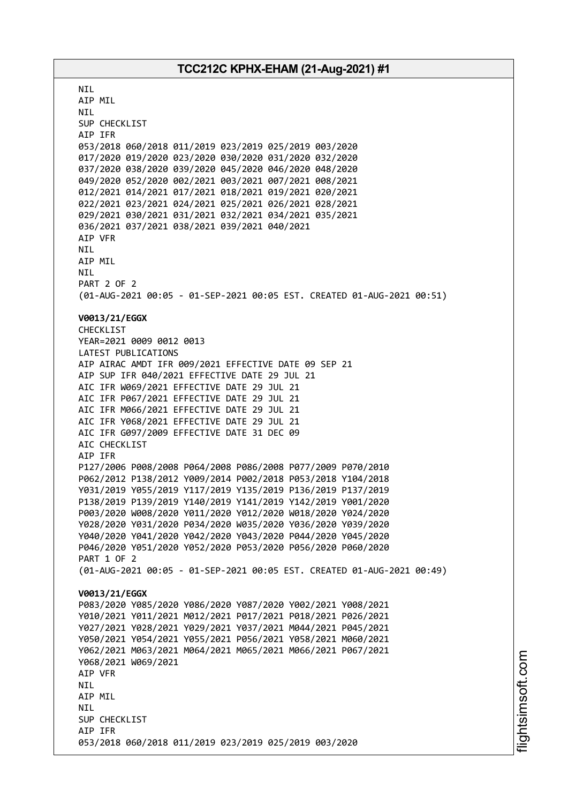**NTI** AIP MIL NIL SUP CHECKLIST AIP IFR 053/2018 060/2018 011/2019 023/2019 025/2019 003/2020 017/2020 019/2020 023/2020 030/2020 031/2020 032/2020 037/2020 038/2020 039/2020 045/2020 046/2020 048/2020 049/2020 052/2020 002/2021 003/2021 007/2021 008/2021 012/2021 014/2021 017/2021 018/2021 019/2021 020/2021 022/2021 023/2021 024/2021 025/2021 026/2021 028/2021 029/2021 030/2021 031/2021 032/2021 034/2021 035/2021 036/2021 037/2021 038/2021 039/2021 040/2021 AIP VFR NIL AIP MIL NIL PART 2 OF 2 (01-AUG-2021 00:05 - 01-SEP-2021 00:05 EST. CREATED 01-AUG-2021 00:51) **V0013/21/EGGX** CHECKLIST YEAR=2021 0009 0012 0013 LATEST PUBLICATIONS AIP AIRAC AMDT IFR 009/2021 EFFECTIVE DATE 09 SEP 21 AIP SUP IFR 040/2021 EFFECTIVE DATE 29 JUL 21 AIC IFR W069/2021 EFFECTIVE DATE 29 JUL 21 AIC IFR P067/2021 EFFECTIVE DATE 29 JUL 21 AIC IFR M066/2021 EFFECTIVE DATE 29 JUL 21 AIC IFR Y068/2021 EFFECTIVE DATE 29 JUL 21 AIC IFR G097/2009 EFFECTIVE DATE 31 DEC 09 AIC CHECKLIST AIP IFR P127/2006 P008/2008 P064/2008 P086/2008 P077/2009 P070/2010 P062/2012 P138/2012 Y009/2014 P002/2018 P053/2018 Y104/2018 Y031/2019 Y055/2019 Y117/2019 Y135/2019 P136/2019 P137/2019 P138/2019 P139/2019 Y140/2019 Y141/2019 Y142/2019 Y001/2020 P003/2020 W008/2020 Y011/2020 Y012/2020 W018/2020 Y024/2020 Y028/2020 Y031/2020 P034/2020 W035/2020 Y036/2020 Y039/2020 Y040/2020 Y041/2020 Y042/2020 Y043/2020 P044/2020 Y045/2020 P046/2020 Y051/2020 Y052/2020 P053/2020 P056/2020 P060/2020 PART 1 OF 2 (01-AUG-2021 00:05 - 01-SEP-2021 00:05 EST. CREATED 01-AUG-2021 00:49) **V0013/21/EGGX** P083/2020 Y085/2020 Y086/2020 Y087/2020 Y002/2021 Y008/2021 Y010/2021 Y011/2021 M012/2021 P017/2021 P018/2021 P026/2021 Y027/2021 Y028/2021 Y029/2021 Y037/2021 M044/2021 P045/2021 Y050/2021 Y054/2021 Y055/2021 P056/2021 Y058/2021 M060/2021 Y062/2021 M063/2021 M064/2021 M065/2021 M066/2021 P067/2021 Y068/2021 W069/2021 AIP VFR NIL AIP MIL **NTI** SUP CHECKLIST AIP IFR 053/2018 060/2018 011/2019 023/2019 025/2019 003/2020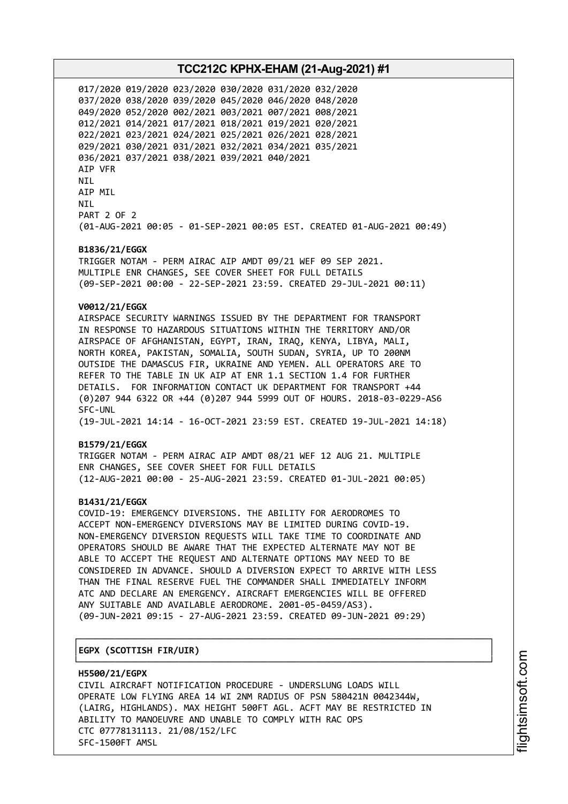017/2020 019/2020 023/2020 030/2020 031/2020 032/2020 037/2020 038/2020 039/2020 045/2020 046/2020 048/2020 049/2020 052/2020 002/2021 003/2021 007/2021 008/2021 012/2021 014/2021 017/2021 018/2021 019/2021 020/2021 022/2021 023/2021 024/2021 025/2021 026/2021 028/2021 029/2021 030/2021 031/2021 032/2021 034/2021 035/2021 036/2021 037/2021 038/2021 039/2021 040/2021 AIP VFR NIL AIP MIL NIL PART 2 OF 2 (01-AUG-2021 00:05 - 01-SEP-2021 00:05 EST. CREATED 01-AUG-2021 00:49)

#### **B1836/21/EGGX**

TRIGGER NOTAM - PERM AIRAC AIP AMDT 09/21 WEF 09 SEP 2021. MULTIPLE ENR CHANGES, SEE COVER SHEET FOR FULL DETAILS (09-SEP-2021 00:00 - 22-SEP-2021 23:59. CREATED 29-JUL-2021 00:11)

### **V0012/21/EGGX**

AIRSPACE SECURITY WARNINGS ISSUED BY THE DEPARTMENT FOR TRANSPORT IN RESPONSE TO HAZARDOUS SITUATIONS WITHIN THE TERRITORY AND/OR AIRSPACE OF AFGHANISTAN, EGYPT, IRAN, IRAQ, KENYA, LIBYA, MALI, NORTH KOREA, PAKISTAN, SOMALIA, SOUTH SUDAN, SYRIA, UP TO 200NM OUTSIDE THE DAMASCUS FIR, UKRAINE AND YEMEN. ALL OPERATORS ARE TO REFER TO THE TABLE IN UK AIP AT ENR 1.1 SECTION 1.4 FOR FURTHER DETAILS. FOR INFORMATION CONTACT UK DEPARTMENT FOR TRANSPORT +44 (0)207 944 6322 OR +44 (0)207 944 5999 OUT OF HOURS. 2018-03-0229-AS6 SFC-UNL (19-JUL-2021 14:14 - 16-OCT-2021 23:59 EST. CREATED 19-JUL-2021 14:18)

#### **B1579/21/EGGX**

TRIGGER NOTAM - PERM AIRAC AIP AMDT 08/21 WEF 12 AUG 21. MULTIPLE ENR CHANGES, SEE COVER SHEET FOR FULL DETAILS (12-AUG-2021 00:00 - 25-AUG-2021 23:59. CREATED 01-JUL-2021 00:05)

#### **B1431/21/EGGX**

COVID-19: EMERGENCY DIVERSIONS. THE ABILITY FOR AERODROMES TO ACCEPT NON-EMERGENCY DIVERSIONS MAY BE LIMITED DURING COVID-19. NON-EMERGENCY DIVERSION REQUESTS WILL TAKE TIME TO COORDINATE AND OPERATORS SHOULD BE AWARE THAT THE EXPECTED ALTERNATE MAY NOT BE ABLE TO ACCEPT THE REQUEST AND ALTERNATE OPTIONS MAY NEED TO BE CONSIDERED IN ADVANCE. SHOULD A DIVERSION EXPECT TO ARRIVE WITH LESS THAN THE FINAL RESERVE FUEL THE COMMANDER SHALL IMMEDIATELY INFORM ATC AND DECLARE AN EMERGENCY. AIRCRAFT EMERGENCIES WILL BE OFFERED ANY SUITABLE AND AVAILABLE AERODROME. 2001-05-0459/AS3). (09-JUN-2021 09:15 - 27-AUG-2021 23:59. CREATED 09-JUN-2021 09:29)

┌──────────────────────────────────────────────────────────────────────────────┐

#### │**EGPX (SCOTTISH FIR/UIR)** │

└──────────────────────────────────────────────────────────────────────────────┘ **H5500/21/EGPX** CIVIL AIRCRAFT NOTIFICATION PROCEDURE - UNDERSLUNG LOADS WILL OPERATE LOW FLYING AREA 14 WI 2NM RADIUS OF PSN 580421N 0042344W, (LAIRG, HIGHLANDS). MAX HEIGHT 500FT AGL. ACFT MAY BE RESTRICTED IN ABILITY TO MANOEUVRE AND UNABLE TO COMPLY WITH RAC OPS CTC 07778131113. 21/08/152/LFC SFC-1500FT AMSL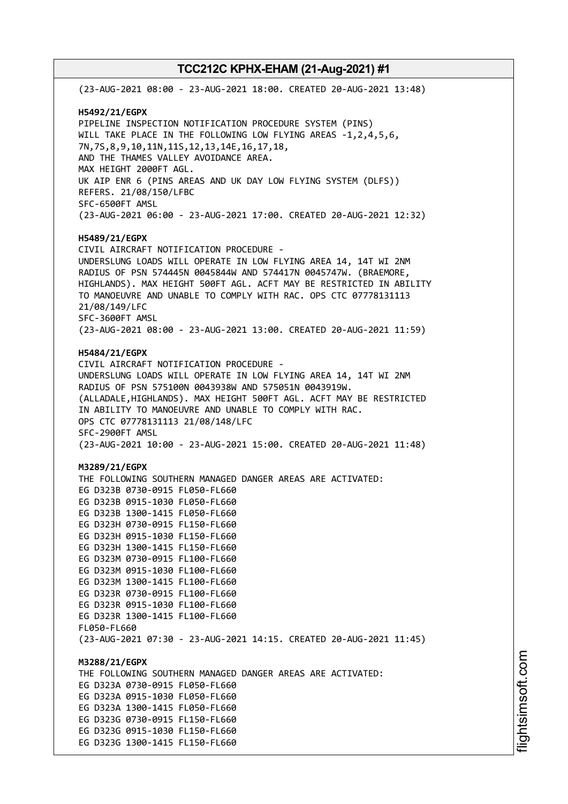(23-AUG-2021 08:00 - 23-AUG-2021 18:00. CREATED 20-AUG-2021 13:48) **H5492/21/EGPX** PIPELINE INSPECTION NOTIFICATION PROCEDURE SYSTEM (PINS) WILL TAKE PLACE IN THE FOLLOWING LOW FLYING AREAS -1,2,4,5,6, 7N,7S,8,9,10,11N,11S,12,13,14E,16,17,18, AND THE THAMES VALLEY AVOIDANCE AREA. MAX HEIGHT 2000FT AGL. UK AIP ENR 6 (PINS AREAS AND UK DAY LOW FLYING SYSTEM (DLFS)) REFERS. 21/08/150/LFBC SFC-6500FT AMSL (23-AUG-2021 06:00 - 23-AUG-2021 17:00. CREATED 20-AUG-2021 12:32) **H5489/21/EGPX** CIVIL AIRCRAFT NOTIFICATION PROCEDURE - UNDERSLUNG LOADS WILL OPERATE IN LOW FLYING AREA 14, 14T WI 2NM RADIUS OF PSN 574445N 0045844W AND 574417N 0045747W. (BRAEMORE, HIGHLANDS). MAX HEIGHT 500FT AGL. ACFT MAY BE RESTRICTED IN ABILITY TO MANOEUVRE AND UNABLE TO COMPLY WITH RAC. OPS CTC 07778131113 21/08/149/LFC SFC-3600FT AMSL (23-AUG-2021 08:00 - 23-AUG-2021 13:00. CREATED 20-AUG-2021 11:59) **H5484/21/EGPX** CIVIL AIRCRAFT NOTIFICATION PROCEDURE - UNDERSLUNG LOADS WILL OPERATE IN LOW FLYING AREA 14, 14T WI 2NM RADIUS OF PSN 575100N 0043938W AND 575051N 0043919W. (ALLADALE,HIGHLANDS). MAX HEIGHT 500FT AGL. ACFT MAY BE RESTRICTED IN ABILITY TO MANOEUVRE AND UNABLE TO COMPLY WITH RAC. OPS CTC 07778131113 21/08/148/LFC SFC-2900FT AMSL (23-AUG-2021 10:00 - 23-AUG-2021 15:00. CREATED 20-AUG-2021 11:48) **M3289/21/EGPX** THE FOLLOWING SOUTHERN MANAGED DANGER AREAS ARE ACTIVATED: EG D323B 0730-0915 FL050-FL660 EG D323B 0915-1030 FL050-FL660 EG D323B 1300-1415 FL050-FL660 EG D323H 0730-0915 FL150-FL660 EG D323H 0915-1030 FL150-FL660 EG D323H 1300-1415 FL150-FL660 EG D323M 0730-0915 FL100-FL660 EG D323M 0915-1030 FL100-FL660 EG D323M 1300-1415 FL100-FL660 EG D323R 0730-0915 FL100-FL660 EG D323R 0915-1030 FL100-FL660 EG D323R 1300-1415 FL100-FL660 FL050-FL660 (23-AUG-2021 07:30 - 23-AUG-2021 14:15. CREATED 20-AUG-2021 11:45) **M3288/21/EGPX** THE FOLLOWING SOUTHERN MANAGED DANGER AREAS ARE ACTIVATED: EG D323A 0730-0915 FL050-FL660 EG D323A 0915-1030 FL050-FL660 EG D323A 1300-1415 FL050-FL660 EG D323G 0730-0915 FL150-FL660 EG D323G 0915-1030 FL150-FL660 EG D323G 1300-1415 FL150-FL660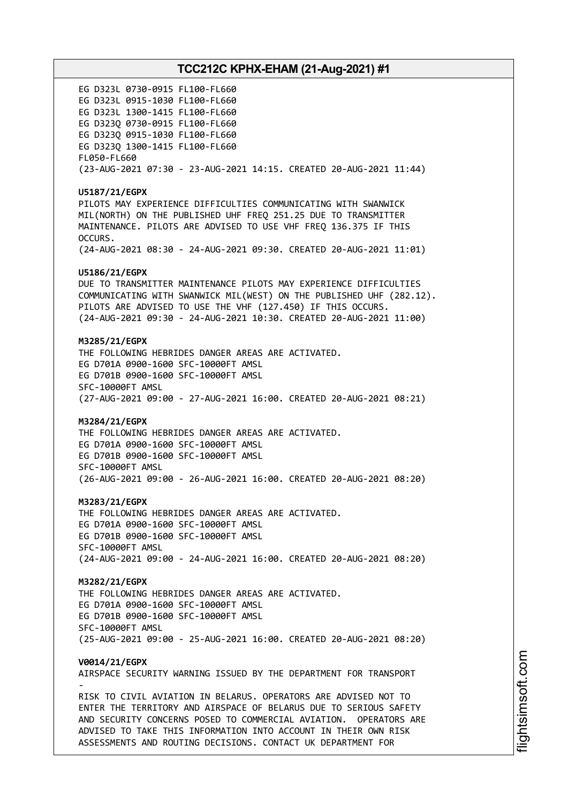EG D323L 0730-0915 FL100-FL660 EG D323L 0915-1030 FL100-FL660 EG D323L 1300-1415 FL100-FL660 EG D323Q 0730-0915 FL100-FL660 EG D323Q 0915-1030 FL100-FL660 EG D323Q 1300-1415 FL100-FL660 FL050-FL660 (23-AUG-2021 07:30 - 23-AUG-2021 14:15. CREATED 20-AUG-2021 11:44) **U5187/21/EGPX** PILOTS MAY EXPERIENCE DIFFICULTIES COMMUNICATING WITH SWANWICK MIL(NORTH) ON THE PUBLISHED UHF FREQ 251.25 DUE TO TRANSMITTER MAINTENANCE. PILOTS ARE ADVISED TO USE VHF FREQ 136.375 IF THIS OCCURS. (24-AUG-2021 08:30 - 24-AUG-2021 09:30. CREATED 20-AUG-2021 11:01) **U5186/21/EGPX** DUE TO TRANSMITTER MAINTENANCE PILOTS MAY EXPERIENCE DIFFICULTIES COMMUNICATING WITH SWANWICK MIL(WEST) ON THE PUBLISHED UHF (282.12). PILOTS ARE ADVISED TO USE THE VHF (127.450) IF THIS OCCURS. (24-AUG-2021 09:30 - 24-AUG-2021 10:30. CREATED 20-AUG-2021 11:00) **M3285/21/EGPX** THE FOLLOWING HEBRIDES DANGER AREAS ARE ACTIVATED. EG D701A 0900-1600 SFC-10000FT AMSL EG D701B 0900-1600 SFC-10000FT AMSL SFC-10000FT AMSL (27-AUG-2021 09:00 - 27-AUG-2021 16:00. CREATED 20-AUG-2021 08:21) **M3284/21/EGPX** THE FOLLOWING HEBRIDES DANGER AREAS ARE ACTIVATED. EG D701A 0900-1600 SFC-10000FT AMSL EG D701B 0900-1600 SFC-10000FT AMSL SFC-10000FT AMSL (26-AUG-2021 09:00 - 26-AUG-2021 16:00. CREATED 20-AUG-2021 08:20) **M3283/21/EGPX** THE FOLLOWING HEBRIDES DANGER AREAS ARE ACTIVATED. EG D701A 0900-1600 SFC-10000FT AMSL EG D701B 0900-1600 SFC-10000FT AMSL SFC-10000FT AMSL (24-AUG-2021 09:00 - 24-AUG-2021 16:00. CREATED 20-AUG-2021 08:20) **M3282/21/EGPX** THE FOLLOWING HEBRIDES DANGER AREAS ARE ACTIVATED. EG D701A 0900-1600 SFC-10000FT AMSL EG D701B 0900-1600 SFC-10000FT AMSL SFC-10000FT AMSL (25-AUG-2021 09:00 - 25-AUG-2021 16:00. CREATED 20-AUG-2021 08:20) **V0014/21/EGPX** AIRSPACE SECURITY WARNING ISSUED BY THE DEPARTMENT FOR TRANSPORT - RISK TO CIVIL AVIATION IN BELARUS. OPERATORS ARE ADVISED NOT TO ENTER THE TERRITORY AND AIRSPACE OF BELARUS DUE TO SERIOUS SAFETY AND SECURITY CONCERNS POSED TO COMMERCIAL AVIATION. OPERATORS ARE ADVISED TO TAKE THIS INFORMATION INTO ACCOUNT IN THEIR OWN RISK ASSESSMENTS AND ROUTING DECISIONS. CONTACT UK DEPARTMENT FOR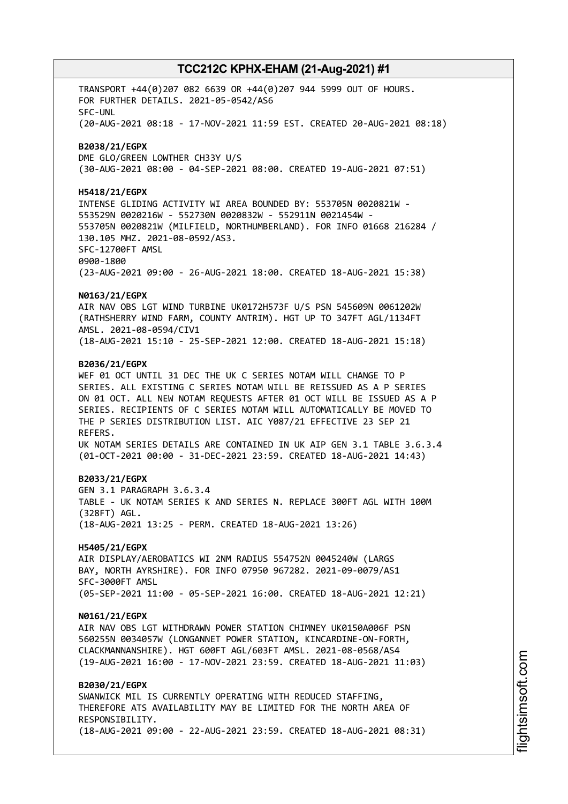TRANSPORT +44(0)207 082 6639 OR +44(0)207 944 5999 OUT OF HOURS. FOR FURTHER DETAILS. 2021-05-0542/AS6 SFC-UNL (20-AUG-2021 08:18 - 17-NOV-2021 11:59 EST. CREATED 20-AUG-2021 08:18) **B2038/21/EGPX** DME GLO/GREEN LOWTHER CH33Y U/S (30-AUG-2021 08:00 - 04-SEP-2021 08:00. CREATED 19-AUG-2021 07:51) **H5418/21/EGPX** INTENSE GLIDING ACTIVITY WI AREA BOUNDED BY: 553705N 0020821W - 553529N 0020216W - 552730N 0020832W - 552911N 0021454W - 553705N 0020821W (MILFIELD, NORTHUMBERLAND). FOR INFO 01668 216284 / 130.105 MHZ. 2021-08-0592/AS3. SFC-12700FT AMSL 0900-1800 (23-AUG-2021 09:00 - 26-AUG-2021 18:00. CREATED 18-AUG-2021 15:38) **N0163/21/EGPX** AIR NAV OBS LGT WIND TURBINE UK0172H573F U/S PSN 545609N 0061202W (RATHSHERRY WIND FARM, COUNTY ANTRIM). HGT UP TO 347FT AGL/1134FT AMSL. 2021-08-0594/CIV1 (18-AUG-2021 15:10 - 25-SEP-2021 12:00. CREATED 18-AUG-2021 15:18) **B2036/21/EGPX** WEF 01 OCT UNTIL 31 DEC THE UK C SERIES NOTAM WILL CHANGE TO P SERIES. ALL EXISTING C SERIES NOTAM WILL BE REISSUED AS A P SERIES ON 01 OCT. ALL NEW NOTAM REQUESTS AFTER 01 OCT WILL BE ISSUED AS A P SERIES. RECIPIENTS OF C SERIES NOTAM WILL AUTOMATICALLY BE MOVED TO THE P SERIES DISTRIBUTION LIST. AIC Y087/21 EFFECTIVE 23 SEP 21 REFERS. UK NOTAM SERIES DETAILS ARE CONTAINED IN UK AIP GEN 3.1 TABLE 3.6.3.4 (01-OCT-2021 00:00 - 31-DEC-2021 23:59. CREATED 18-AUG-2021 14:43) **B2033/21/EGPX** GEN 3.1 PARAGRAPH 3.6.3.4 TABLE - UK NOTAM SERIES K AND SERIES N. REPLACE 300FT AGL WITH 100M (328FT) AGL. (18-AUG-2021 13:25 - PERM. CREATED 18-AUG-2021 13:26) **H5405/21/EGPX** AIR DISPLAY/AEROBATICS WI 2NM RADIUS 554752N 0045240W (LARGS BAY, NORTH AYRSHIRE). FOR INFO 07950 967282. 2021-09-0079/AS1 SFC-3000FT AMSL (05-SEP-2021 11:00 - 05-SEP-2021 16:00. CREATED 18-AUG-2021 12:21) **N0161/21/EGPX** AIR NAV OBS LGT WITHDRAWN POWER STATION CHIMNEY UK0150A006F PSN 560255N 0034057W (LONGANNET POWER STATION, KINCARDINE-ON-FORTH, CLACKMANNANSHIRE). HGT 600FT AGL/603FT AMSL. 2021-08-0568/AS4 (19-AUG-2021 16:00 - 17-NOV-2021 23:59. CREATED 18-AUG-2021 11:03) **B2030/21/EGPX** SWANWICK MIL IS CURRENTLY OPERATING WITH REDUCED STAFFING, THEREFORE ATS AVAILABILITY MAY BE LIMITED FOR THE NORTH AREA OF RESPONSIBILITY. (18-AUG-2021 09:00 - 22-AUG-2021 23:59. CREATED 18-AUG-2021 08:31)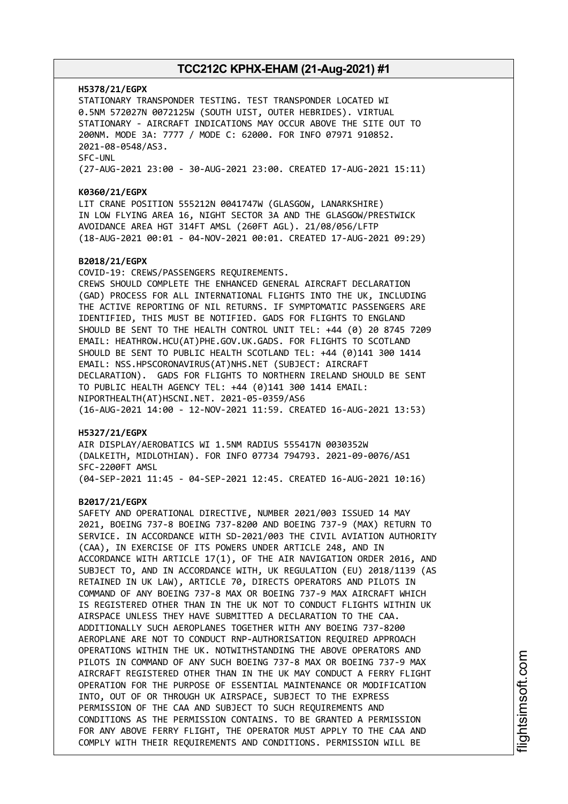#### **H5378/21/EGPX**

STATIONARY TRANSPONDER TESTING. TEST TRANSPONDER LOCATED WI 0.5NM 572027N 0072125W (SOUTH UIST, OUTER HEBRIDES). VIRTUAL STATIONARY - AIRCRAFT INDICATIONS MAY OCCUR ABOVE THE SITE OUT TO 200NM. MODE 3A: 7777 / MODE C: 62000. FOR INFO 07971 910852. 2021-08-0548/AS3. SFC-UNL (27-AUG-2021 23:00 - 30-AUG-2021 23:00. CREATED 17-AUG-2021 15:11)

#### **K0360/21/EGPX**

LIT CRANE POSITION 555212N 0041747W (GLASGOW, LANARKSHIRE) IN LOW FLYING AREA 16, NIGHT SECTOR 3A AND THE GLASGOW/PRESTWICK AVOIDANCE AREA HGT 314FT AMSL (260FT AGL). 21/08/056/LFTP (18-AUG-2021 00:01 - 04-NOV-2021 00:01. CREATED 17-AUG-2021 09:29)

#### **B2018/21/EGPX**

COVID-19: CREWS/PASSENGERS REQUIREMENTS. CREWS SHOULD COMPLETE THE ENHANCED GENERAL AIRCRAFT DECLARATION (GAD) PROCESS FOR ALL INTERNATIONAL FLIGHTS INTO THE UK, INCLUDING THE ACTIVE REPORTING OF NIL RETURNS. IF SYMPTOMATIC PASSENGERS ARE IDENTIFIED, THIS MUST BE NOTIFIED. GADS FOR FLIGHTS TO ENGLAND SHOULD BE SENT TO THE HEALTH CONTROL UNIT TEL: +44 (0) 20 8745 7209 EMAIL: HEATHROW.HCU(AT)PHE.GOV.UK.GADS. FOR FLIGHTS TO SCOTLAND SHOULD BE SENT TO PUBLIC HEALTH SCOTLAND TEL: +44 (0)141 300 1414 EMAIL: NSS.HPSCORONAVIRUS(AT)NHS.NET (SUBJECT: AIRCRAFT DECLARATION). GADS FOR FLIGHTS TO NORTHERN IRELAND SHOULD BE SENT TO PUBLIC HEALTH AGENCY TEL: +44 (0)141 300 1414 EMAIL: NIPORTHEALTH(AT)HSCNI.NET. 2021-05-0359/AS6 (16-AUG-2021 14:00 - 12-NOV-2021 11:59. CREATED 16-AUG-2021 13:53)

#### **H5327/21/EGPX**

AIR DISPLAY/AEROBATICS WI 1.5NM RADIUS 555417N 0030352W (DALKEITH, MIDLOTHIAN). FOR INFO 07734 794793. 2021-09-0076/AS1 SFC-2200FT AMSL (04-SEP-2021 11:45 - 04-SEP-2021 12:45. CREATED 16-AUG-2021 10:16)

#### **B2017/21/EGPX**

SAFETY AND OPERATIONAL DIRECTIVE, NUMBER 2021/003 ISSUED 14 MAY 2021, BOEING 737-8 BOEING 737-8200 AND BOEING 737-9 (MAX) RETURN TO SERVICE. IN ACCORDANCE WITH SD-2021/003 THE CIVIL AVIATION AUTHORITY (CAA), IN EXERCISE OF ITS POWERS UNDER ARTICLE 248, AND IN ACCORDANCE WITH ARTICLE 17(1), OF THE AIR NAVIGATION ORDER 2016, AND SUBJECT TO, AND IN ACCORDANCE WITH, UK REGULATION (EU) 2018/1139 (AS RETAINED IN UK LAW), ARTICLE 70, DIRECTS OPERATORS AND PILOTS IN COMMAND OF ANY BOEING 737-8 MAX OR BOEING 737-9 MAX AIRCRAFT WHICH IS REGISTERED OTHER THAN IN THE UK NOT TO CONDUCT FLIGHTS WITHIN UK AIRSPACE UNLESS THEY HAVE SUBMITTED A DECLARATION TO THE CAA. ADDITIONALLY SUCH AEROPLANES TOGETHER WITH ANY BOEING 737-8200 AEROPLANE ARE NOT TO CONDUCT RNP-AUTHORISATION REQUIRED APPROACH OPERATIONS WITHIN THE UK. NOTWITHSTANDING THE ABOVE OPERATORS AND PILOTS IN COMMAND OF ANY SUCH BOEING 737-8 MAX OR BOEING 737-9 MAX AIRCRAFT REGISTERED OTHER THAN IN THE UK MAY CONDUCT A FERRY FLIGHT OPERATION FOR THE PURPOSE OF ESSENTIAL MAINTENANCE OR MODIFICATION INTO, OUT OF OR THROUGH UK AIRSPACE, SUBJECT TO THE EXPRESS PERMISSION OF THE CAA AND SUBJECT TO SUCH REQUIREMENTS AND CONDITIONS AS THE PERMISSION CONTAINS. TO BE GRANTED A PERMISSION FOR ANY ABOVE FERRY FLIGHT, THE OPERATOR MUST APPLY TO THE CAA AND COMPLY WITH THEIR REQUIREMENTS AND CONDITIONS. PERMISSION WILL BE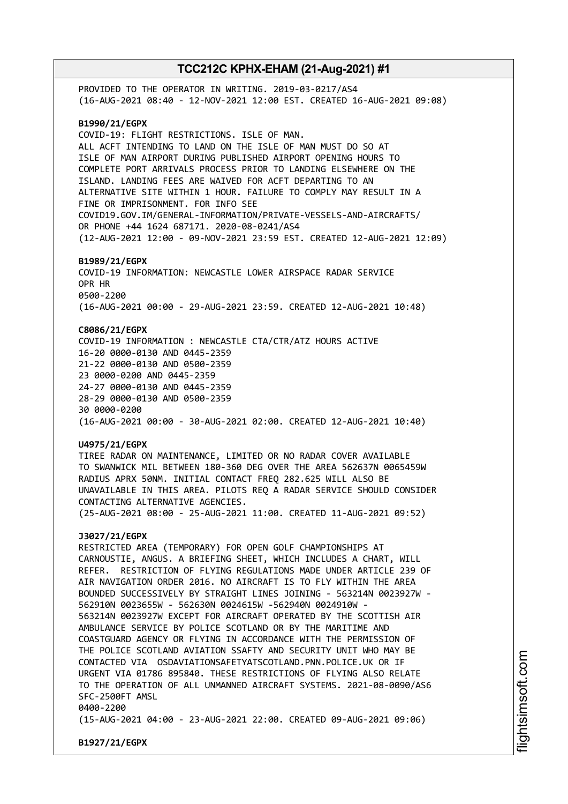PROVIDED TO THE OPERATOR IN WRITING. 2019-03-0217/AS4 (16-AUG-2021 08:40 - 12-NOV-2021 12:00 EST. CREATED 16-AUG-2021 09:08) **B1990/21/EGPX** COVID-19: FLIGHT RESTRICTIONS. ISLE OF MAN. ALL ACFT INTENDING TO LAND ON THE ISLE OF MAN MUST DO SO AT ISLE OF MAN AIRPORT DURING PUBLISHED AIRPORT OPENING HOURS TO COMPLETE PORT ARRIVALS PROCESS PRIOR TO LANDING ELSEWHERE ON THE ISLAND. LANDING FEES ARE WAIVED FOR ACFT DEPARTING TO AN ALTERNATIVE SITE WITHIN 1 HOUR. FAILURE TO COMPLY MAY RESULT IN A FINE OR IMPRISONMENT. FOR INFO SEE COVID19.GOV.IM/GENERAL-INFORMATION/PRIVATE-VESSELS-AND-AIRCRAFTS/ OR PHONE +44 1624 687171. 2020-08-0241/AS4 (12-AUG-2021 12:00 - 09-NOV-2021 23:59 EST. CREATED 12-AUG-2021 12:09) **B1989/21/EGPX** COVID-19 INFORMATION: NEWCASTLE LOWER AIRSPACE RADAR SERVICE OPR HR 0500-2200 (16-AUG-2021 00:00 - 29-AUG-2021 23:59. CREATED 12-AUG-2021 10:48) **C8086/21/EGPX** COVID-19 INFORMATION : NEWCASTLE CTA/CTR/ATZ HOURS ACTIVE 16-20 0000-0130 AND 0445-2359 21-22 0000-0130 AND 0500-2359 23 0000-0200 AND 0445-2359 24-27 0000-0130 AND 0445-2359 28-29 0000-0130 AND 0500-2359 30 0000-0200 (16-AUG-2021 00:00 - 30-AUG-2021 02:00. CREATED 12-AUG-2021 10:40) **U4975/21/EGPX** TIREE RADAR ON MAINTENANCE, LIMITED OR NO RADAR COVER AVAILABLE TO SWANWICK MIL BETWEEN 180-360 DEG OVER THE AREA 562637N 0065459W RADIUS APRX 50NM. INITIAL CONTACT FREQ 282.625 WILL ALSO BE UNAVAILABLE IN THIS AREA. PILOTS REQ A RADAR SERVICE SHOULD CONSIDER CONTACTING ALTERNATIVE AGENCIES. (25-AUG-2021 08:00 - 25-AUG-2021 11:00. CREATED 11-AUG-2021 09:52) **J3027/21/EGPX** RESTRICTED AREA (TEMPORARY) FOR OPEN GOLF CHAMPIONSHIPS AT CARNOUSTIE, ANGUS. A BRIEFING SHEET, WHICH INCLUDES A CHART, WILL REFER. RESTRICTION OF FLYING REGULATIONS MADE UNDER ARTICLE 239 OF AIR NAVIGATION ORDER 2016. NO AIRCRAFT IS TO FLY WITHIN THE AREA BOUNDED SUCCESSIVELY BY STRAIGHT LINES JOINING - 563214N 0023927W - 562910N 0023655W - 562630N 0024615W -562940N 0024910W - 563214N 0023927W EXCEPT FOR AIRCRAFT OPERATED BY THE SCOTTISH AIR AMBULANCE SERVICE BY POLICE SCOTLAND OR BY THE MARITIME AND COASTGUARD AGENCY OR FLYING IN ACCORDANCE WITH THE PERMISSION OF THE POLICE SCOTLAND AVIATION SSAFTY AND SECURITY UNIT WHO MAY BE CONTACTED VIA OSDAVIATIONSAFETYATSCOTLAND.PNN.POLICE.UK OR IF URGENT VIA 01786 895840. THESE RESTRICTIONS OF FLYING ALSO RELATE TO THE OPERATION OF ALL UNMANNED AIRCRAFT SYSTEMS. 2021-08-0090/AS6 SFC-2500FT AMSL 0400-2200 (15-AUG-2021 04:00 - 23-AUG-2021 22:00. CREATED 09-AUG-2021 09:06)

**B1927/21/EGPX**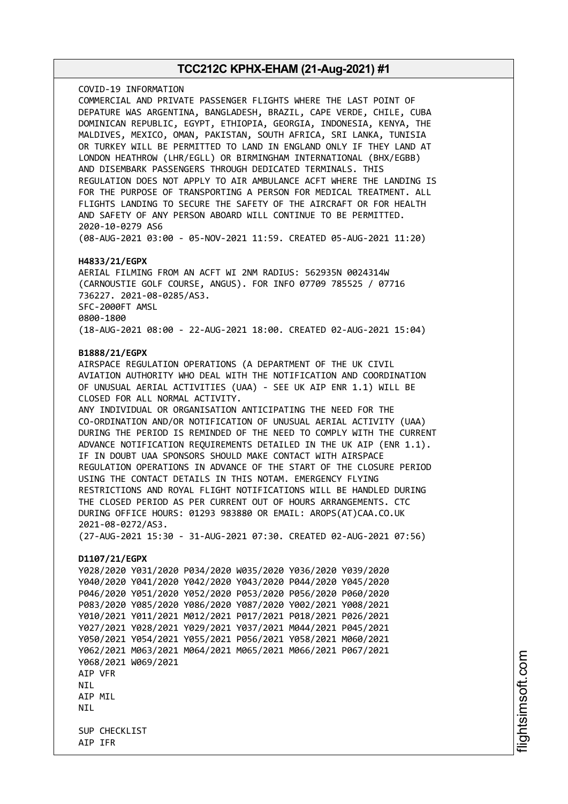COVID-19 INFORMATION COMMERCIAL AND PRIVATE PASSENGER FLIGHTS WHERE THE LAST POINT OF DEPATURE WAS ARGENTINA, BANGLADESH, BRAZIL, CAPE VERDE, CHILE, CUBA DOMINICAN REPUBLIC, EGYPT, ETHIOPIA, GEORGIA, INDONESIA, KENYA, THE MALDIVES, MEXICO, OMAN, PAKISTAN, SOUTH AFRICA, SRI LANKA, TUNISIA OR TURKEY WILL BE PERMITTED TO LAND IN ENGLAND ONLY IF THEY LAND AT LONDON HEATHROW (LHR/EGLL) OR BIRMINGHAM INTERNATIONAL (BHX/EGBB) AND DISEMBARK PASSENGERS THROUGH DEDICATED TERMINALS. THIS REGULATION DOES NOT APPLY TO AIR AMBULANCE ACFT WHERE THE LANDING IS FOR THE PURPOSE OF TRANSPORTING A PERSON FOR MEDICAL TREATMENT. ALL FLIGHTS LANDING TO SECURE THE SAFETY OF THE AIRCRAFT OR FOR HEALTH AND SAFETY OF ANY PERSON ABOARD WILL CONTINUE TO BE PERMITTED. 2020-10-0279 AS6 (08-AUG-2021 03:00 - 05-NOV-2021 11:59. CREATED 05-AUG-2021 11:20)

#### **H4833/21/EGPX**

AERIAL FILMING FROM AN ACFT WI 2NM RADIUS: 562935N 0024314W (CARNOUSTIE GOLF COURSE, ANGUS). FOR INFO 07709 785525 / 07716 736227. 2021-08-0285/AS3. SFC-2000FT AMSL 0800-1800 (18-AUG-2021 08:00 - 22-AUG-2021 18:00. CREATED 02-AUG-2021 15:04)

#### **B1888/21/EGPX**

AIRSPACE REGULATION OPERATIONS (A DEPARTMENT OF THE UK CIVIL AVIATION AUTHORITY WHO DEAL WITH THE NOTIFICATION AND COORDINATION OF UNUSUAL AERIAL ACTIVITIES (UAA) - SEE UK AIP ENR 1.1) WILL BE CLOSED FOR ALL NORMAL ACTIVITY. ANY INDIVIDUAL OR ORGANISATION ANTICIPATING THE NEED FOR THE CO-ORDINATION AND/OR NOTIFICATION OF UNUSUAL AERIAL ACTIVITY (UAA) DURING THE PERIOD IS REMINDED OF THE NEED TO COMPLY WITH THE CURRENT ADVANCE NOTIFICATION REQUIREMENTS DETAILED IN THE UK AIP (ENR 1.1). IF IN DOUBT UAA SPONSORS SHOULD MAKE CONTACT WITH AIRSPACE REGULATION OPERATIONS IN ADVANCE OF THE START OF THE CLOSURE PERIOD USING THE CONTACT DETAILS IN THIS NOTAM. EMERGENCY FLYING RESTRICTIONS AND ROYAL FLIGHT NOTIFICATIONS WILL BE HANDLED DURING THE CLOSED PERIOD AS PER CURRENT OUT OF HOURS ARRANGEMENTS. CTC DURING OFFICE HOURS: 01293 983880 OR EMAIL: AROPS(AT)CAA.CO.UK 2021-08-0272/AS3. (27-AUG-2021 15:30 - 31-AUG-2021 07:30. CREATED 02-AUG-2021 07:56) **D1107/21/EGPX** Y028/2020 Y031/2020 P034/2020 W035/2020 Y036/2020 Y039/2020 Y040/2020 Y041/2020 Y042/2020 Y043/2020 P044/2020 Y045/2020 P046/2020 Y051/2020 Y052/2020 P053/2020 P056/2020 P060/2020 P083/2020 Y085/2020 Y086/2020 Y087/2020 Y002/2021 Y008/2021 Y010/2021 Y011/2021 M012/2021 P017/2021 P018/2021 P026/2021 Y027/2021 Y028/2021 Y029/2021 Y037/2021 M044/2021 P045/2021 Y050/2021 Y054/2021 Y055/2021 P056/2021 Y058/2021 M060/2021

Y062/2021 M063/2021 M064/2021 M065/2021 M066/2021 P067/2021 Y068/2021 W069/2021 AIP VFR NIL AIP MIL **NTI** 

SUP CHECKLIST AIP IFR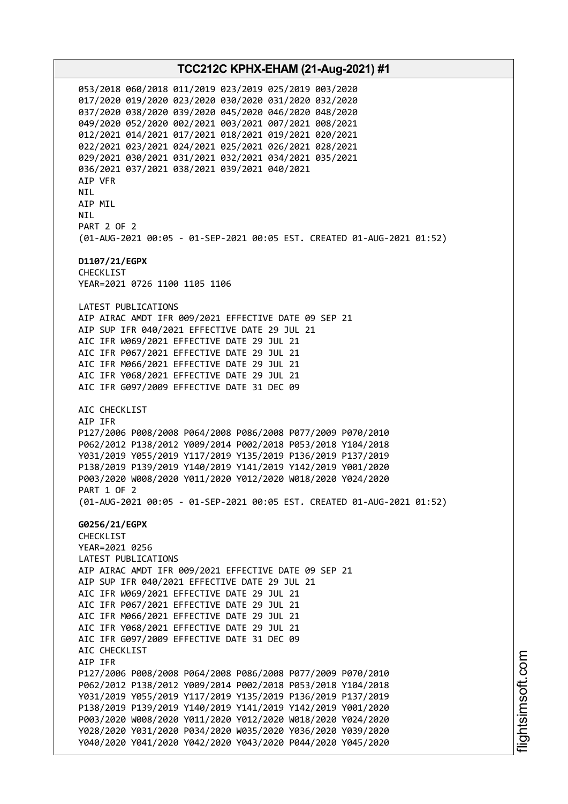053/2018 060/2018 011/2019 023/2019 025/2019 003/2020 017/2020 019/2020 023/2020 030/2020 031/2020 032/2020 037/2020 038/2020 039/2020 045/2020 046/2020 048/2020 049/2020 052/2020 002/2021 003/2021 007/2021 008/2021 012/2021 014/2021 017/2021 018/2021 019/2021 020/2021 022/2021 023/2021 024/2021 025/2021 026/2021 028/2021 029/2021 030/2021 031/2021 032/2021 034/2021 035/2021 036/2021 037/2021 038/2021 039/2021 040/2021 AIP VFR NIL AIP MIL **NTI** PART 2 OF 2 (01-AUG-2021 00:05 - 01-SEP-2021 00:05 EST. CREATED 01-AUG-2021 01:52) **D1107/21/EGPX** CHECKLIST YEAR=2021 0726 1100 1105 1106 LATEST PUBLICATIONS AIP AIRAC AMDT IFR 009/2021 EFFECTIVE DATE 09 SEP 21 AIP SUP IFR 040/2021 EFFECTIVE DATE 29 JUL 21 AIC IFR W069/2021 EFFECTIVE DATE 29 JUL 21 AIC IFR P067/2021 EFFECTIVE DATE 29 JUL 21 AIC IFR M066/2021 EFFECTIVE DATE 29 JUL 21 AIC IFR Y068/2021 EFFECTIVE DATE 29 JUL 21 AIC IFR G097/2009 EFFECTIVE DATE 31 DEC 09 AIC CHECKLIST AIP IFR P127/2006 P008/2008 P064/2008 P086/2008 P077/2009 P070/2010 P062/2012 P138/2012 Y009/2014 P002/2018 P053/2018 Y104/2018 Y031/2019 Y055/2019 Y117/2019 Y135/2019 P136/2019 P137/2019 P138/2019 P139/2019 Y140/2019 Y141/2019 Y142/2019 Y001/2020 P003/2020 W008/2020 Y011/2020 Y012/2020 W018/2020 Y024/2020 PART 1 OF 2 (01-AUG-2021 00:05 - 01-SEP-2021 00:05 EST. CREATED 01-AUG-2021 01:52) **G0256/21/EGPX** CHECKLIST YEAR=2021 0256 LATEST PUBLICATIONS AIP AIRAC AMDT IFR 009/2021 EFFECTIVE DATE 09 SEP 21 AIP SUP IFR 040/2021 EFFECTIVE DATE 29 JUL 21 AIC IFR W069/2021 EFFECTIVE DATE 29 JUL 21 AIC IFR P067/2021 EFFECTIVE DATE 29 JUL 21 AIC IFR M066/2021 EFFECTIVE DATE 29 JUL 21 AIC IFR Y068/2021 EFFECTIVE DATE 29 JUL 21 AIC IFR G097/2009 EFFECTIVE DATE 31 DEC 09 AIC CHECKLIST AIP IFR P127/2006 P008/2008 P064/2008 P086/2008 P077/2009 P070/2010 P062/2012 P138/2012 Y009/2014 P002/2018 P053/2018 Y104/2018 Y031/2019 Y055/2019 Y117/2019 Y135/2019 P136/2019 P137/2019 P138/2019 P139/2019 Y140/2019 Y141/2019 Y142/2019 Y001/2020 P003/2020 W008/2020 Y011/2020 Y012/2020 W018/2020 Y024/2020 Y028/2020 Y031/2020 P034/2020 W035/2020 Y036/2020 Y039/2020 Y040/2020 Y041/2020 Y042/2020 Y043/2020 P044/2020 Y045/2020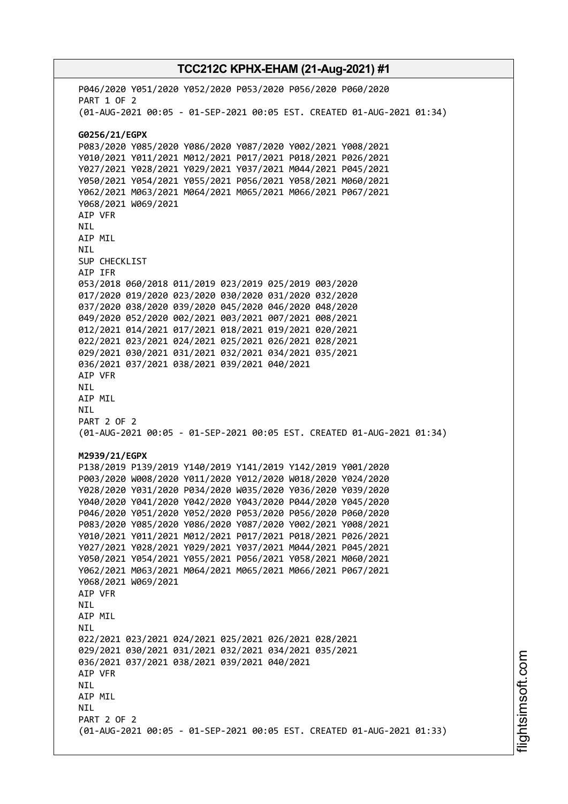# **TCC212C KPHX-EHAM (21-Aug-2021) #1** P046/2020 Y051/2020 Y052/2020 P053/2020 P056/2020 P060/2020 PART 1 OF 2 (01-AUG-2021 00:05 - 01-SEP-2021 00:05 EST. CREATED 01-AUG-2021 01:34) **G0256/21/EGPX** P083/2020 Y085/2020 Y086/2020 Y087/2020 Y002/2021 Y008/2021 Y010/2021 Y011/2021 M012/2021 P017/2021 P018/2021 P026/2021

Y027/2021 Y028/2021 Y029/2021 Y037/2021 M044/2021 P045/2021 Y050/2021 Y054/2021 Y055/2021 P056/2021 Y058/2021 M060/2021 Y062/2021 M063/2021 M064/2021 M065/2021 M066/2021 P067/2021 Y068/2021 W069/2021 AIP VFR NIL AIP MIL NIL SUP CHECKLIST AIP IFR 053/2018 060/2018 011/2019 023/2019 025/2019 003/2020 017/2020 019/2020 023/2020 030/2020 031/2020 032/2020 037/2020 038/2020 039/2020 045/2020 046/2020 048/2020 049/2020 052/2020 002/2021 003/2021 007/2021 008/2021 012/2021 014/2021 017/2021 018/2021 019/2021 020/2021 022/2021 023/2021 024/2021 025/2021 026/2021 028/2021 029/2021 030/2021 031/2021 032/2021 034/2021 035/2021 036/2021 037/2021 038/2021 039/2021 040/2021 AIP VFR NIL AIP MIL NIL PART 2 OF 2 (01-AUG-2021 00:05 - 01-SEP-2021 00:05 EST. CREATED 01-AUG-2021 01:34) **M2939/21/EGPX** P138/2019 P139/2019 Y140/2019 Y141/2019 Y142/2019 Y001/2020 P003/2020 W008/2020 Y011/2020 Y012/2020 W018/2020 Y024/2020 Y028/2020 Y031/2020 P034/2020 W035/2020 Y036/2020 Y039/2020 Y040/2020 Y041/2020 Y042/2020 Y043/2020 P044/2020 Y045/2020 P046/2020 Y051/2020 Y052/2020 P053/2020 P056/2020 P060/2020 P083/2020 Y085/2020 Y086/2020 Y087/2020 Y002/2021 Y008/2021 Y010/2021 Y011/2021 M012/2021 P017/2021 P018/2021 P026/2021 Y027/2021 Y028/2021 Y029/2021 Y037/2021 M044/2021 P045/2021 Y050/2021 Y054/2021 Y055/2021 P056/2021 Y058/2021 M060/2021 Y062/2021 M063/2021 M064/2021 M065/2021 M066/2021 P067/2021 Y068/2021 W069/2021 AIP VFR NIL AIP MIL **NTI** 022/2021 023/2021 024/2021 025/2021 026/2021 028/2021 029/2021 030/2021 031/2021 032/2021 034/2021 035/2021 036/2021 037/2021 038/2021 039/2021 040/2021 AIP VFR NIL AIP MIL **NTI** PART 2 OF 2 (01-AUG-2021 00:05 - 01-SEP-2021 00:05 EST. CREATED 01-AUG-2021 01:33)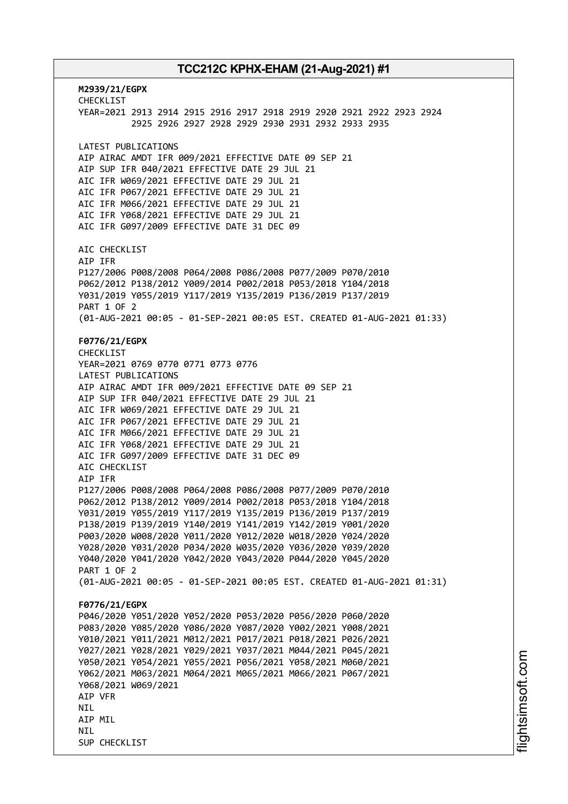**M2939/21/EGPX** CHECKLIST YEAR=2021 2913 2914 2915 2916 2917 2918 2919 2920 2921 2922 2923 2924 2925 2926 2927 2928 2929 2930 2931 2932 2933 2935 LATEST PUBLICATIONS AIP AIRAC AMDT IFR 009/2021 EFFECTIVE DATE 09 SEP 21 AIP SUP IFR 040/2021 EFFECTIVE DATE 29 JUL 21 AIC IFR W069/2021 EFFECTIVE DATE 29 JUL 21 AIC IFR P067/2021 EFFECTIVE DATE 29 JUL 21 AIC IFR M066/2021 EFFECTIVE DATE 29 JUL 21 AIC IFR Y068/2021 EFFECTIVE DATE 29 JUL 21 AIC IFR G097/2009 EFFECTIVE DATE 31 DEC 09 AIC CHECKLIST AIP IFR P127/2006 P008/2008 P064/2008 P086/2008 P077/2009 P070/2010 P062/2012 P138/2012 Y009/2014 P002/2018 P053/2018 Y104/2018 Y031/2019 Y055/2019 Y117/2019 Y135/2019 P136/2019 P137/2019 PART 1 OF 2 (01-AUG-2021 00:05 - 01-SEP-2021 00:05 EST. CREATED 01-AUG-2021 01:33) **F0776/21/EGPX** CHECKLIST YEAR=2021 0769 0770 0771 0773 0776 LATEST PUBLICATIONS AIP AIRAC AMDT IFR 009/2021 EFFECTIVE DATE 09 SEP 21 AIP SUP IFR 040/2021 EFFECTIVE DATE 29 JUL 21 AIC IFR W069/2021 EFFECTIVE DATE 29 JUL 21 AIC IFR P067/2021 EFFECTIVE DATE 29 JUL 21 AIC IFR M066/2021 EFFECTIVE DATE 29 JUL 21 AIC IFR Y068/2021 EFFECTIVE DATE 29 JUL 21 AIC IFR G097/2009 EFFECTIVE DATE 31 DEC 09 AIC CHECKLIST AIP IFR P127/2006 P008/2008 P064/2008 P086/2008 P077/2009 P070/2010 P062/2012 P138/2012 Y009/2014 P002/2018 P053/2018 Y104/2018 Y031/2019 Y055/2019 Y117/2019 Y135/2019 P136/2019 P137/2019 P138/2019 P139/2019 Y140/2019 Y141/2019 Y142/2019 Y001/2020 P003/2020 W008/2020 Y011/2020 Y012/2020 W018/2020 Y024/2020 Y028/2020 Y031/2020 P034/2020 W035/2020 Y036/2020 Y039/2020 Y040/2020 Y041/2020 Y042/2020 Y043/2020 P044/2020 Y045/2020 PART 1 OF 2 (01-AUG-2021 00:05 - 01-SEP-2021 00:05 EST. CREATED 01-AUG-2021 01:31) **F0776/21/EGPX** P046/2020 Y051/2020 Y052/2020 P053/2020 P056/2020 P060/2020 P083/2020 Y085/2020 Y086/2020 Y087/2020 Y002/2021 Y008/2021 Y010/2021 Y011/2021 M012/2021 P017/2021 P018/2021 P026/2021 Y027/2021 Y028/2021 Y029/2021 Y037/2021 M044/2021 P045/2021 Y050/2021 Y054/2021 Y055/2021 P056/2021 Y058/2021 M060/2021 Y062/2021 M063/2021 M064/2021 M065/2021 M066/2021 P067/2021 Y068/2021 W069/2021 AIP VFR NIL AIP MIL **NTI** SUP CHECKLIST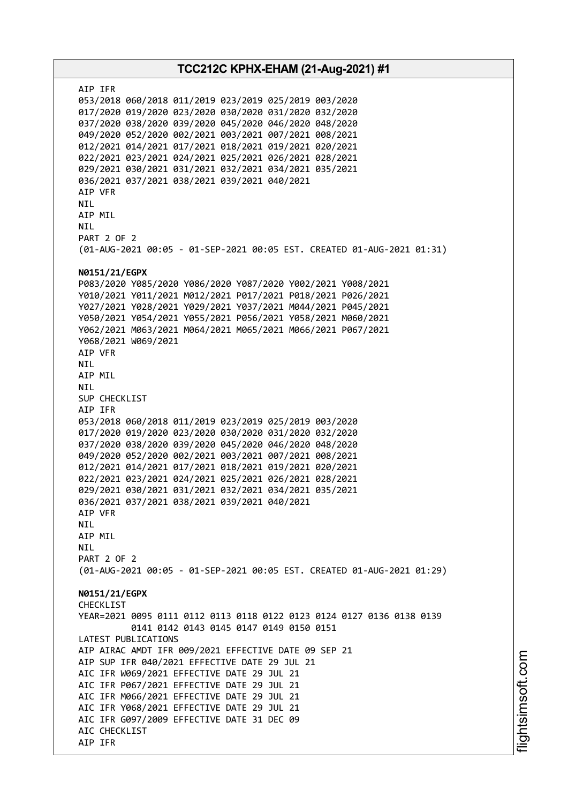AIP IFR 053/2018 060/2018 011/2019 023/2019 025/2019 003/2020 017/2020 019/2020 023/2020 030/2020 031/2020 032/2020 037/2020 038/2020 039/2020 045/2020 046/2020 048/2020 049/2020 052/2020 002/2021 003/2021 007/2021 008/2021 012/2021 014/2021 017/2021 018/2021 019/2021 020/2021 022/2021 023/2021 024/2021 025/2021 026/2021 028/2021 029/2021 030/2021 031/2021 032/2021 034/2021 035/2021 036/2021 037/2021 038/2021 039/2021 040/2021 AIP VFR NIL AIP MIL NIL PART 2 OF 2 (01-AUG-2021 00:05 - 01-SEP-2021 00:05 EST. CREATED 01-AUG-2021 01:31) **N0151/21/EGPX** P083/2020 Y085/2020 Y086/2020 Y087/2020 Y002/2021 Y008/2021 Y010/2021 Y011/2021 M012/2021 P017/2021 P018/2021 P026/2021 Y027/2021 Y028/2021 Y029/2021 Y037/2021 M044/2021 P045/2021 Y050/2021 Y054/2021 Y055/2021 P056/2021 Y058/2021 M060/2021 Y062/2021 M063/2021 M064/2021 M065/2021 M066/2021 P067/2021 Y068/2021 W069/2021 AIP VFR NIL AIP MIL NIL SUP CHECKLIST AIP IFR 053/2018 060/2018 011/2019 023/2019 025/2019 003/2020 017/2020 019/2020 023/2020 030/2020 031/2020 032/2020 037/2020 038/2020 039/2020 045/2020 046/2020 048/2020 049/2020 052/2020 002/2021 003/2021 007/2021 008/2021 012/2021 014/2021 017/2021 018/2021 019/2021 020/2021 022/2021 023/2021 024/2021 025/2021 026/2021 028/2021 029/2021 030/2021 031/2021 032/2021 034/2021 035/2021 036/2021 037/2021 038/2021 039/2021 040/2021 AIP VFR NIL AIP MIL **NTI** PART 2 OF 2 (01-AUG-2021 00:05 - 01-SEP-2021 00:05 EST. CREATED 01-AUG-2021 01:29) **N0151/21/EGPX** CHECKLIST YEAR=2021 0095 0111 0112 0113 0118 0122 0123 0124 0127 0136 0138 0139 0141 0142 0143 0145 0147 0149 0150 0151 LATEST PUBLICATIONS AIP AIRAC AMDT IFR 009/2021 EFFECTIVE DATE 09 SEP 21 AIP SUP IFR 040/2021 EFFECTIVE DATE 29 JUL 21 AIC IFR W069/2021 EFFECTIVE DATE 29 JUL 21 AIC IFR P067/2021 EFFECTIVE DATE 29 JUL 21 AIC IFR M066/2021 EFFECTIVE DATE 29 JUL 21 AIC IFR Y068/2021 EFFECTIVE DATE 29 JUL 21 AIC IFR G097/2009 EFFECTIVE DATE 31 DEC 09 AIC CHECKLIST AIP IFR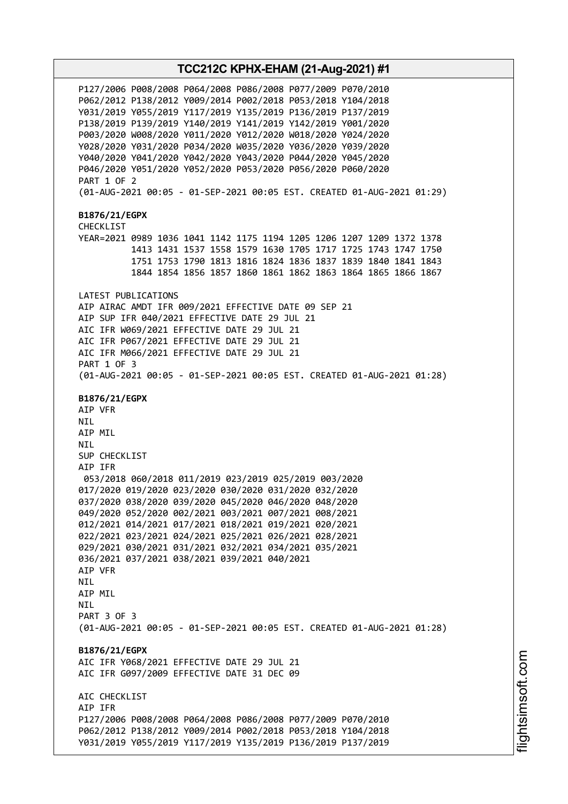P127/2006 P008/2008 P064/2008 P086/2008 P077/2009 P070/2010 P062/2012 P138/2012 Y009/2014 P002/2018 P053/2018 Y104/2018 Y031/2019 Y055/2019 Y117/2019 Y135/2019 P136/2019 P137/2019 P138/2019 P139/2019 Y140/2019 Y141/2019 Y142/2019 Y001/2020 P003/2020 W008/2020 Y011/2020 Y012/2020 W018/2020 Y024/2020 Y028/2020 Y031/2020 P034/2020 W035/2020 Y036/2020 Y039/2020 Y040/2020 Y041/2020 Y042/2020 Y043/2020 P044/2020 Y045/2020 P046/2020 Y051/2020 Y052/2020 P053/2020 P056/2020 P060/2020 PART 1 OF 2 (01-AUG-2021 00:05 - 01-SEP-2021 00:05 EST. CREATED 01-AUG-2021 01:29) **B1876/21/EGPX** CHECKLIST YEAR=2021 0989 1036 1041 1142 1175 1194 1205 1206 1207 1209 1372 1378 1413 1431 1537 1558 1579 1630 1705 1717 1725 1743 1747 1750 1751 1753 1790 1813 1816 1824 1836 1837 1839 1840 1841 1843 1844 1854 1856 1857 1860 1861 1862 1863 1864 1865 1866 1867 LATEST PUBLICATIONS AIP AIRAC AMDT IFR 009/2021 EFFECTIVE DATE 09 SEP 21 AIP SUP IFR 040/2021 EFFECTIVE DATE 29 JUL 21 AIC IFR W069/2021 EFFECTIVE DATE 29 JUL 21 AIC IFR P067/2021 EFFECTIVE DATE 29 JUL 21 AIC IFR M066/2021 EFFECTIVE DATE 29 JUL 21 PART 1 OF 3 (01-AUG-2021 00:05 - 01-SEP-2021 00:05 EST. CREATED 01-AUG-2021 01:28) **B1876/21/EGPX** AIP VFR NIL AIP MIL NIL SUP CHECKLIST AIP IFR 053/2018 060/2018 011/2019 023/2019 025/2019 003/2020 017/2020 019/2020 023/2020 030/2020 031/2020 032/2020 037/2020 038/2020 039/2020 045/2020 046/2020 048/2020 049/2020 052/2020 002/2021 003/2021 007/2021 008/2021 012/2021 014/2021 017/2021 018/2021 019/2021 020/2021 022/2021 023/2021 024/2021 025/2021 026/2021 028/2021 029/2021 030/2021 031/2021 032/2021 034/2021 035/2021 036/2021 037/2021 038/2021 039/2021 040/2021 AIP VFR NIL AIP MIL **NTI** PART 3 OF 3 (01-AUG-2021 00:05 - 01-SEP-2021 00:05 EST. CREATED 01-AUG-2021 01:28) **B1876/21/EGPX** AIC IFR Y068/2021 EFFECTIVE DATE 29 JUL 21 AIC IFR G097/2009 EFFECTIVE DATE 31 DEC 09 ATC CHECKLIST AIP IFR P127/2006 P008/2008 P064/2008 P086/2008 P077/2009 P070/2010 P062/2012 P138/2012 Y009/2014 P002/2018 P053/2018 Y104/2018 Y031/2019 Y055/2019 Y117/2019 Y135/2019 P136/2019 P137/2019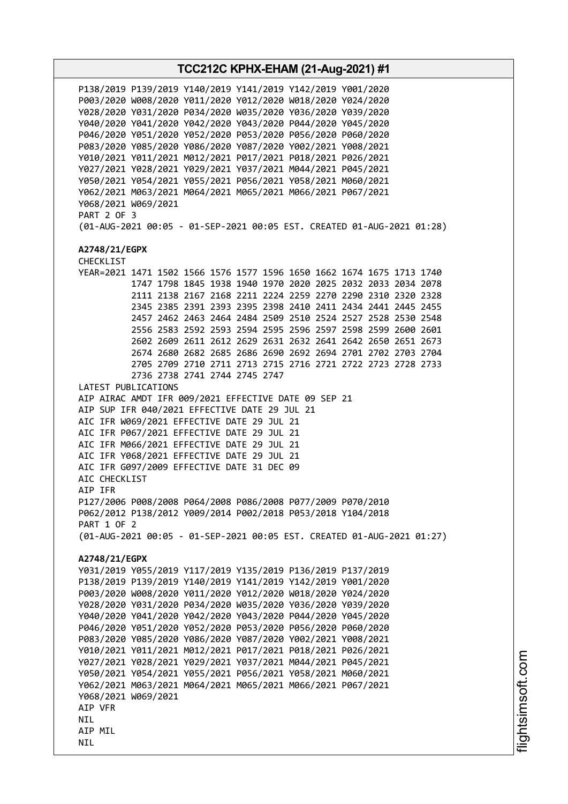**TCC212C KPHX-EHAM (21-Aug-2021) #1** P138/2019 P139/2019 Y140/2019 Y141/2019 Y142/2019 Y001/2020 P003/2020 W008/2020 Y011/2020 Y012/2020 W018/2020 Y024/2020 Y028/2020 Y031/2020 P034/2020 W035/2020 Y036/2020 Y039/2020 Y040/2020 Y041/2020 Y042/2020 Y043/2020 P044/2020 Y045/2020 P046/2020 Y051/2020 Y052/2020 P053/2020 P056/2020 P060/2020 P083/2020 Y085/2020 Y086/2020 Y087/2020 Y002/2021 Y008/2021 Y010/2021 Y011/2021 M012/2021 P017/2021 P018/2021 P026/2021 Y027/2021 Y028/2021 Y029/2021 Y037/2021 M044/2021 P045/2021 Y050/2021 Y054/2021 Y055/2021 P056/2021 Y058/2021 M060/2021 Y062/2021 M063/2021 M064/2021 M065/2021 M066/2021 P067/2021 Y068/2021 W069/2021 PART 2 OF 3 (01-AUG-2021 00:05 - 01-SEP-2021 00:05 EST. CREATED 01-AUG-2021 01:28) **A2748/21/EGPX** CHECKLIST YEAR=2021 1471 1502 1566 1576 1577 1596 1650 1662 1674 1675 1713 1740 1747 1798 1845 1938 1940 1970 2020 2025 2032 2033 2034 2078 2111 2138 2167 2168 2211 2224 2259 2270 2290 2310 2320 2328 2345 2385 2391 2393 2395 2398 2410 2411 2434 2441 2445 2455 2457 2462 2463 2464 2484 2509 2510 2524 2527 2528 2530 2548 2556 2583 2592 2593 2594 2595 2596 2597 2598 2599 2600 2601 2602 2609 2611 2612 2629 2631 2632 2641 2642 2650 2651 2673 2674 2680 2682 2685 2686 2690 2692 2694 2701 2702 2703 2704 2705 2709 2710 2711 2713 2715 2716 2721 2722 2723 2728 2733 2736 2738 2741 2744 2745 2747 LATEST PUBLICATIONS AIP AIRAC AMDT IFR 009/2021 EFFECTIVE DATE 09 SEP 21 AIP SUP IFR 040/2021 EFFECTIVE DATE 29 JUL 21 AIC IFR W069/2021 EFFECTIVE DATE 29 JUL 21 AIC IFR P067/2021 EFFECTIVE DATE 29 JUL 21 AIC IFR M066/2021 EFFECTIVE DATE 29 JUL 21 AIC IFR Y068/2021 EFFECTIVE DATE 29 JUL 21 AIC IFR G097/2009 EFFECTIVE DATE 31 DEC 09 AIC CHECKLIST AIP IFR P127/2006 P008/2008 P064/2008 P086/2008 P077/2009 P070/2010 P062/2012 P138/2012 Y009/2014 P002/2018 P053/2018 Y104/2018 PART 1 OF 2 (01-AUG-2021 00:05 - 01-SEP-2021 00:05 EST. CREATED 01-AUG-2021 01:27) **A2748/21/EGPX** Y031/2019 Y055/2019 Y117/2019 Y135/2019 P136/2019 P137/2019 P138/2019 P139/2019 Y140/2019 Y141/2019 Y142/2019 Y001/2020 P003/2020 W008/2020 Y011/2020 Y012/2020 W018/2020 Y024/2020 Y028/2020 Y031/2020 P034/2020 W035/2020 Y036/2020 Y039/2020 Y040/2020 Y041/2020 Y042/2020 Y043/2020 P044/2020 Y045/2020 P046/2020 Y051/2020 Y052/2020 P053/2020 P056/2020 P060/2020 P083/2020 Y085/2020 Y086/2020 Y087/2020 Y002/2021 Y008/2021 Y010/2021 Y011/2021 M012/2021 P017/2021 P018/2021 P026/2021 Y027/2021 Y028/2021 Y029/2021 Y037/2021 M044/2021 P045/2021 Y050/2021 Y054/2021 Y055/2021 P056/2021 Y058/2021 M060/2021 Y062/2021 M063/2021 M064/2021 M065/2021 M066/2021 P067/2021 Y068/2021 W069/2021 AIP VFR **NTI** AIP MIL NIL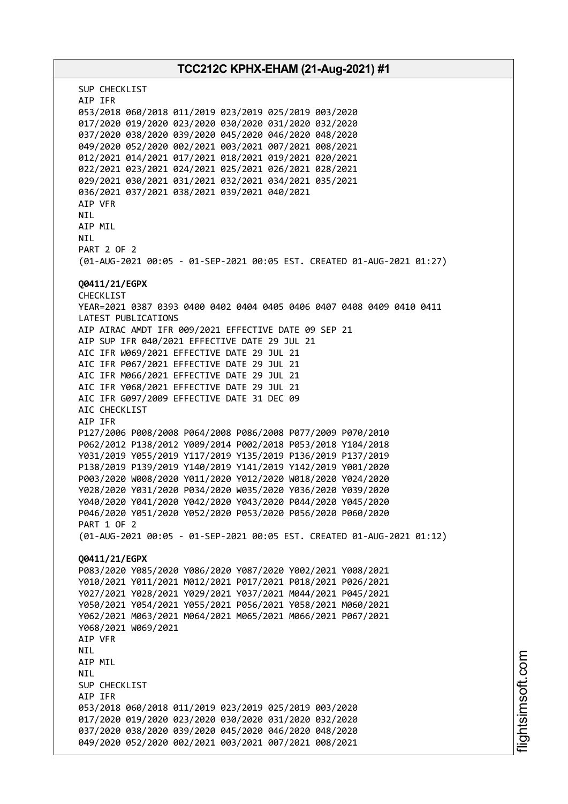# **TCC212C KPHX-EHAM (21-Aug-2021) #1** SUP CHECKLIST AIP IFR 053/2018 060/2018 011/2019 023/2019 025/2019 003/2020 017/2020 019/2020 023/2020 030/2020 031/2020 032/2020 037/2020 038/2020 039/2020 045/2020 046/2020 048/2020 049/2020 052/2020 002/2021 003/2021 007/2021 008/2021 012/2021 014/2021 017/2021 018/2021 019/2021 020/2021 022/2021 023/2021 024/2021 025/2021 026/2021 028/2021 029/2021 030/2021 031/2021 032/2021 034/2021 035/2021 036/2021 037/2021 038/2021 039/2021 040/2021 AIP VFR **NTI** AIP MIL NIL PART 2 OF 2 (01-AUG-2021 00:05 - 01-SEP-2021 00:05 EST. CREATED 01-AUG-2021 01:27) **Q0411/21/EGPX** CHECKLIST YEAR=2021 0387 0393 0400 0402 0404 0405 0406 0407 0408 0409 0410 0411 LATEST PUBLICATIONS AIP AIRAC AMDT IFR 009/2021 EFFECTIVE DATE 09 SEP 21 AIP SUP IFR 040/2021 EFFECTIVE DATE 29 JUL 21 AIC IFR W069/2021 EFFECTIVE DATE 29 JUL 21 AIC IFR P067/2021 EFFECTIVE DATE 29 JUL 21 AIC IFR M066/2021 EFFECTIVE DATE 29 JUL 21 AIC IFR Y068/2021 EFFECTIVE DATE 29 JUL 21 AIC IFR G097/2009 EFFECTIVE DATE 31 DEC 09 AIC CHECKLIST AIP IFR P127/2006 P008/2008 P064/2008 P086/2008 P077/2009 P070/2010 P062/2012 P138/2012 Y009/2014 P002/2018 P053/2018 Y104/2018 Y031/2019 Y055/2019 Y117/2019 Y135/2019 P136/2019 P137/2019 P138/2019 P139/2019 Y140/2019 Y141/2019 Y142/2019 Y001/2020 P003/2020 W008/2020 Y011/2020 Y012/2020 W018/2020 Y024/2020 Y028/2020 Y031/2020 P034/2020 W035/2020 Y036/2020 Y039/2020 Y040/2020 Y041/2020 Y042/2020 Y043/2020 P044/2020 Y045/2020 P046/2020 Y051/2020 Y052/2020 P053/2020 P056/2020 P060/2020 PART 1 OF 2 (01-AUG-2021 00:05 - 01-SEP-2021 00:05 EST. CREATED 01-AUG-2021 01:12) **Q0411/21/EGPX** P083/2020 Y085/2020 Y086/2020 Y087/2020 Y002/2021 Y008/2021 Y010/2021 Y011/2021 M012/2021 P017/2021 P018/2021 P026/2021 Y027/2021 Y028/2021 Y029/2021 Y037/2021 M044/2021 P045/2021 Y050/2021 Y054/2021 Y055/2021 P056/2021 Y058/2021 M060/2021 Y062/2021 M063/2021 M064/2021 M065/2021 M066/2021 P067/2021 Y068/2021 W069/2021 AIP VFR NIL AIP MIL NIL SUP CHECKLIST AIP IFR 053/2018 060/2018 011/2019 023/2019 025/2019 003/2020 017/2020 019/2020 023/2020 030/2020 031/2020 032/2020 037/2020 038/2020 039/2020 045/2020 046/2020 048/2020 049/2020 052/2020 002/2021 003/2021 007/2021 008/2021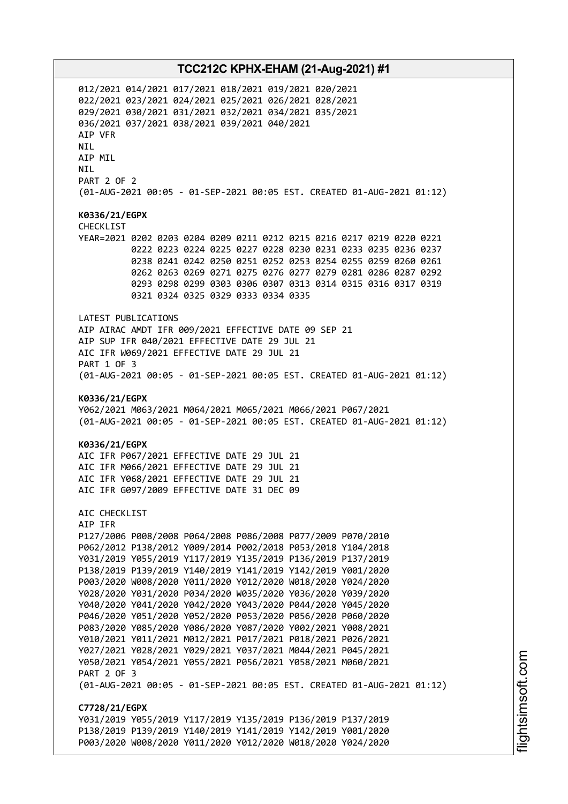012/2021 014/2021 017/2021 018/2021 019/2021 020/2021 022/2021 023/2021 024/2021 025/2021 026/2021 028/2021 029/2021 030/2021 031/2021 032/2021 034/2021 035/2021 036/2021 037/2021 038/2021 039/2021 040/2021 AIP VFR NIL AIP MIL NIL PART 2 OF 2 (01-AUG-2021 00:05 - 01-SEP-2021 00:05 EST. CREATED 01-AUG-2021 01:12) **K0336/21/EGPX** CHECKLIST YEAR=2021 0202 0203 0204 0209 0211 0212 0215 0216 0217 0219 0220 0221 0222 0223 0224 0225 0227 0228 0230 0231 0233 0235 0236 0237 0238 0241 0242 0250 0251 0252 0253 0254 0255 0259 0260 0261 0262 0263 0269 0271 0275 0276 0277 0279 0281 0286 0287 0292 0293 0298 0299 0303 0306 0307 0313 0314 0315 0316 0317 0319 0321 0324 0325 0329 0333 0334 0335 LATEST PUBLICATIONS AIP AIRAC AMDT IFR 009/2021 EFFECTIVE DATE 09 SEP 21 AIP SUP IFR 040/2021 EFFECTIVE DATE 29 JUL 21 AIC IFR W069/2021 EFFECTIVE DATE 29 JUL 21 PART 1 OF 3 (01-AUG-2021 00:05 - 01-SEP-2021 00:05 EST. CREATED 01-AUG-2021 01:12) **K0336/21/EGPX** Y062/2021 M063/2021 M064/2021 M065/2021 M066/2021 P067/2021 (01-AUG-2021 00:05 - 01-SEP-2021 00:05 EST. CREATED 01-AUG-2021 01:12) **K0336/21/EGPX** AIC IFR P067/2021 EFFECTIVE DATE 29 JUL 21 AIC IFR M066/2021 EFFECTIVE DATE 29 JUL 21 AIC IFR Y068/2021 EFFECTIVE DATE 29 JUL 21 AIC IFR G097/2009 EFFECTIVE DATE 31 DEC 09 AIC CHECKLIST AIP IFR P127/2006 P008/2008 P064/2008 P086/2008 P077/2009 P070/2010 P062/2012 P138/2012 Y009/2014 P002/2018 P053/2018 Y104/2018 Y031/2019 Y055/2019 Y117/2019 Y135/2019 P136/2019 P137/2019 P138/2019 P139/2019 Y140/2019 Y141/2019 Y142/2019 Y001/2020 P003/2020 W008/2020 Y011/2020 Y012/2020 W018/2020 Y024/2020 Y028/2020 Y031/2020 P034/2020 W035/2020 Y036/2020 Y039/2020 Y040/2020 Y041/2020 Y042/2020 Y043/2020 P044/2020 Y045/2020 P046/2020 Y051/2020 Y052/2020 P053/2020 P056/2020 P060/2020 P083/2020 Y085/2020 Y086/2020 Y087/2020 Y002/2021 Y008/2021 Y010/2021 Y011/2021 M012/2021 P017/2021 P018/2021 P026/2021 Y027/2021 Y028/2021 Y029/2021 Y037/2021 M044/2021 P045/2021 Y050/2021 Y054/2021 Y055/2021 P056/2021 Y058/2021 M060/2021 PART 2 OF 3 (01-AUG-2021 00:05 - 01-SEP-2021 00:05 EST. CREATED 01-AUG-2021 01:12) **C7728/21/EGPX** Y031/2019 Y055/2019 Y117/2019 Y135/2019 P136/2019 P137/2019 P138/2019 P139/2019 Y140/2019 Y141/2019 Y142/2019 Y001/2020 P003/2020 W008/2020 Y011/2020 Y012/2020 W018/2020 Y024/2020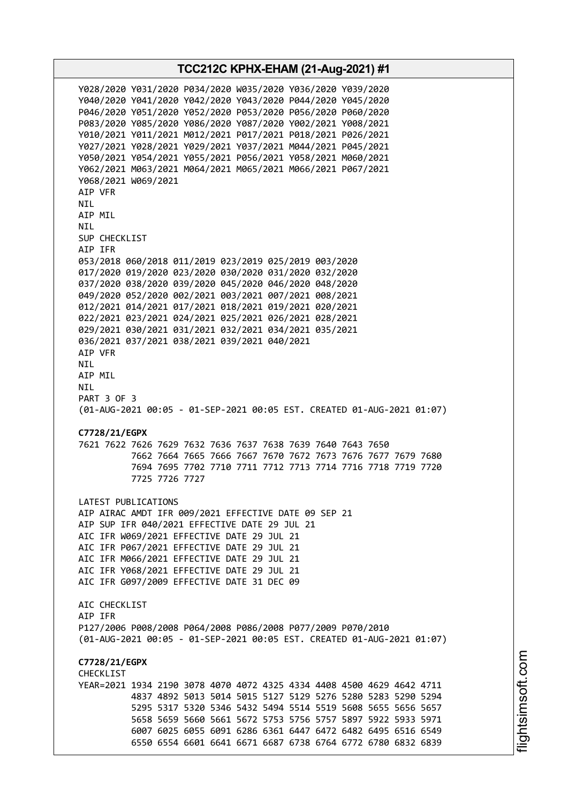Y028/2020 Y031/2020 P034/2020 W035/2020 Y036/2020 Y039/2020 Y040/2020 Y041/2020 Y042/2020 Y043/2020 P044/2020 Y045/2020 P046/2020 Y051/2020 Y052/2020 P053/2020 P056/2020 P060/2020 P083/2020 Y085/2020 Y086/2020 Y087/2020 Y002/2021 Y008/2021 Y010/2021 Y011/2021 M012/2021 P017/2021 P018/2021 P026/2021 Y027/2021 Y028/2021 Y029/2021 Y037/2021 M044/2021 P045/2021 Y050/2021 Y054/2021 Y055/2021 P056/2021 Y058/2021 M060/2021 Y062/2021 M063/2021 M064/2021 M065/2021 M066/2021 P067/2021 Y068/2021 W069/2021 AIP VFR NIL AIP MIL NIL SUP CHECKLIST AIP IFR 053/2018 060/2018 011/2019 023/2019 025/2019 003/2020 017/2020 019/2020 023/2020 030/2020 031/2020 032/2020 037/2020 038/2020 039/2020 045/2020 046/2020 048/2020 049/2020 052/2020 002/2021 003/2021 007/2021 008/2021 012/2021 014/2021 017/2021 018/2021 019/2021 020/2021 022/2021 023/2021 024/2021 025/2021 026/2021 028/2021 029/2021 030/2021 031/2021 032/2021 034/2021 035/2021 036/2021 037/2021 038/2021 039/2021 040/2021 AIP VFR NIL AIP MIL NIL PART 3 OF 3 (01-AUG-2021 00:05 - 01-SEP-2021 00:05 EST. CREATED 01-AUG-2021 01:07) **C7728/21/EGPX** 7621 7622 7626 7629 7632 7636 7637 7638 7639 7640 7643 7650 7662 7664 7665 7666 7667 7670 7672 7673 7676 7677 7679 7680 7694 7695 7702 7710 7711 7712 7713 7714 7716 7718 7719 7720 7725 7726 7727 LATEST PUBLICATIONS AIP AIRAC AMDT IFR 009/2021 EFFECTIVE DATE 09 SEP 21 AIP SUP IFR 040/2021 EFFECTIVE DATE 29 JUL 21 AIC IFR W069/2021 EFFECTIVE DATE 29 JUL 21 AIC IFR P067/2021 EFFECTIVE DATE 29 JUL 21 AIC IFR M066/2021 EFFECTIVE DATE 29 JUL 21 AIC IFR Y068/2021 EFFECTIVE DATE 29 JUL 21 AIC IFR G097/2009 EFFECTIVE DATE 31 DEC 09 AIC CHECKLIST AIP IFR P127/2006 P008/2008 P064/2008 P086/2008 P077/2009 P070/2010 (01-AUG-2021 00:05 - 01-SEP-2021 00:05 EST. CREATED 01-AUG-2021 01:07) **C7728/21/EGPX CHECKLIST** YEAR=2021 1934 2190 3078 4070 4072 4325 4334 4408 4500 4629 4642 4711 4837 4892 5013 5014 5015 5127 5129 5276 5280 5283 5290 5294 5295 5317 5320 5346 5432 5494 5514 5519 5608 5655 5656 5657 5658 5659 5660 5661 5672 5753 5756 5757 5897 5922 5933 5971 6007 6025 6055 6091 6286 6361 6447 6472 6482 6495 6516 6549 6550 6554 6601 6641 6671 6687 6738 6764 6772 6780 6832 6839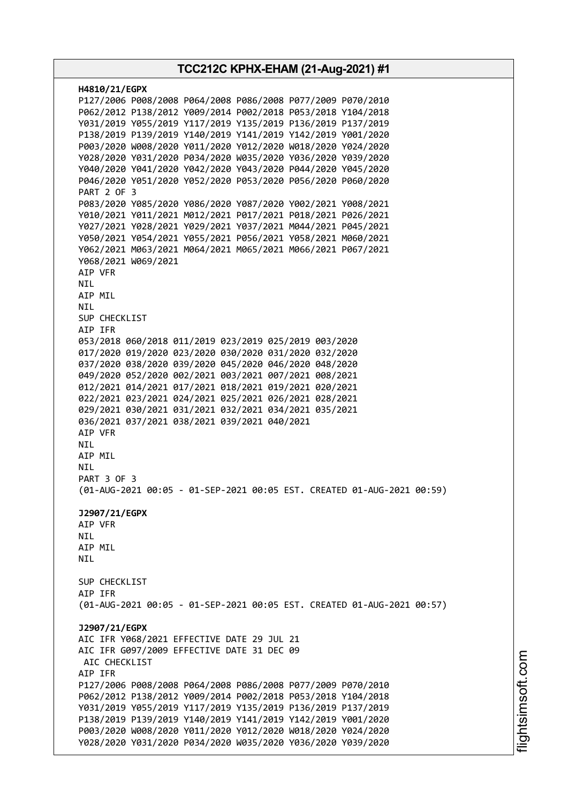| H4810/21/EGPX                                                          |
|------------------------------------------------------------------------|
| P127/2006 P008/2008 P064/2008 P086/2008 P077/2009 P070/2010            |
| P062/2012 P138/2012 Y009/2014 P002/2018 P053/2018 Y104/2018            |
| Y031/2019 Y055/2019 Y117/2019 Y135/2019 P136/2019 P137/2019            |
| P138/2019 P139/2019 Y140/2019 Y141/2019 Y142/2019 Y001/2020            |
| P003/2020 W008/2020 Y011/2020 Y012/2020 W018/2020 Y024/2020            |
| Y028/2020 Y031/2020 P034/2020 W035/2020 Y036/2020 Y039/2020            |
| Y040/2020 Y041/2020 Y042/2020 Y043/2020 P044/2020 Y045/2020            |
| P046/2020 Y051/2020 Y052/2020 P053/2020 P056/2020 P060/2020            |
| <b>PART 2 OF 3</b>                                                     |
| P083/2020 Y085/2020 Y086/2020 Y087/2020 Y002/2021 Y008/2021            |
| Y010/2021 Y011/2021 M012/2021 P017/2021 P018/2021 P026/2021            |
| Y027/2021 Y028/2021 Y029/2021 Y037/2021 M044/2021 P045/2021            |
| Y050/2021 Y054/2021 Y055/2021 P056/2021 Y058/2021 M060/2021            |
| Y062/2021 M063/2021 M064/2021 M065/2021 M066/2021 P067/2021            |
| Y068/2021 W069/2021                                                    |
| AIP VFR                                                                |
| <b>NIL</b><br>AIP MIL                                                  |
| NIL                                                                    |
| SUP CHECKLIST                                                          |
| AIP IFR                                                                |
| 053/2018 060/2018 011/2019 023/2019 025/2019 003/2020                  |
| 017/2020 019/2020 023/2020 030/2020 031/2020 032/2020                  |
| 037/2020 038/2020 039/2020 045/2020 046/2020 048/2020                  |
| 049/2020 052/2020 002/2021 003/2021 007/2021 008/2021                  |
| 012/2021 014/2021 017/2021 018/2021 019/2021 020/2021                  |
| 022/2021 023/2021 024/2021 025/2021 026/2021 028/2021                  |
| 029/2021 030/2021 031/2021 032/2021 034/2021 035/2021                  |
| 036/2021 037/2021 038/2021 039/2021 040/2021                           |
| AIP VFR                                                                |
| NIL                                                                    |
| AIP MIL                                                                |
| <b>NIL</b>                                                             |
| <b>PART 3 OF 3</b>                                                     |
| (01-AUG-2021 00:05 - 01-SEP-2021 00:05 EST. CREATED 01-AUG-2021 00:59) |
| J2907/21/EGPX                                                          |
| AIP VFR                                                                |
| NIL                                                                    |
| AIP MIL                                                                |
| NIL                                                                    |
|                                                                        |
| SUP CHECKLIST                                                          |
| AIP IFR                                                                |
| (01-AUG-2021 00:05 - 01-SEP-2021 00:05 EST. CREATED 01-AUG-2021 00:57) |
|                                                                        |
| J2907/21/EGPX                                                          |
| AIC IFR Y068/2021 EFFECTIVE DATE 29 JUL 21                             |
| AIC IFR G097/2009 EFFECTIVE DATE 31 DEC 09<br>AIC CHECKLIST            |
| AIP IFR                                                                |
| P127/2006 P008/2008 P064/2008 P086/2008 P077/2009 P070/2010            |
| P062/2012 P138/2012 Y009/2014 P002/2018 P053/2018 Y104/2018            |
| Y031/2019 Y055/2019 Y117/2019 Y135/2019 P136/2019 P137/2019            |
| P138/2019 P139/2019 Y140/2019 Y141/2019 Y142/2019 Y001/2020            |
| P003/2020 W008/2020 Y011/2020 Y012/2020 W018/2020 Y024/2020            |
| Y028/2020 Y031/2020 P034/2020 W035/2020 Y036/2020 Y039/2020            |
|                                                                        |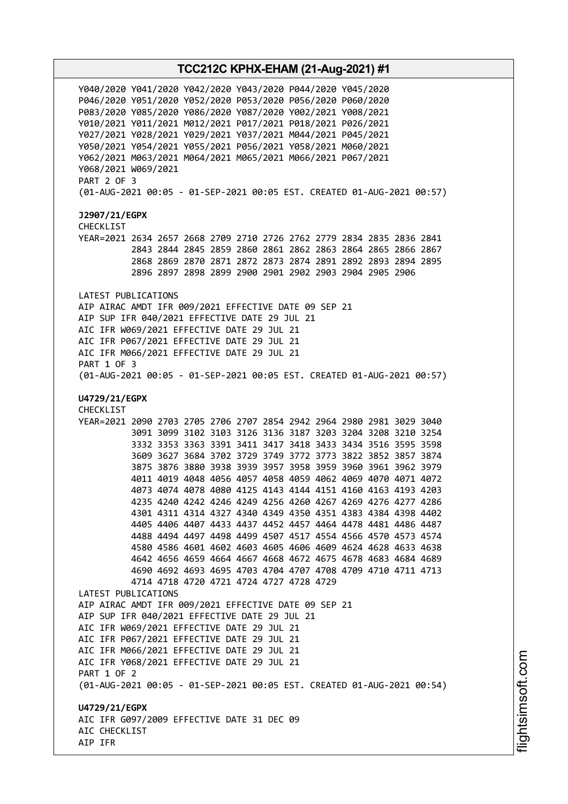Y040/2020 Y041/2020 Y042/2020 Y043/2020 P044/2020 Y045/2020 P046/2020 Y051/2020 Y052/2020 P053/2020 P056/2020 P060/2020 P083/2020 Y085/2020 Y086/2020 Y087/2020 Y002/2021 Y008/2021 Y010/2021 Y011/2021 M012/2021 P017/2021 P018/2021 P026/2021 Y027/2021 Y028/2021 Y029/2021 Y037/2021 M044/2021 P045/2021 Y050/2021 Y054/2021 Y055/2021 P056/2021 Y058/2021 M060/2021 Y062/2021 M063/2021 M064/2021 M065/2021 M066/2021 P067/2021 Y068/2021 W069/2021 PART 2 OF 3 (01-AUG-2021 00:05 - 01-SEP-2021 00:05 EST. CREATED 01-AUG-2021 00:57) **J2907/21/EGPX** CHECKLIST YEAR=2021 2634 2657 2668 2709 2710 2726 2762 2779 2834 2835 2836 2841 2843 2844 2845 2859 2860 2861 2862 2863 2864 2865 2866 2867 2868 2869 2870 2871 2872 2873 2874 2891 2892 2893 2894 2895 2896 2897 2898 2899 2900 2901 2902 2903 2904 2905 2906 LATEST PUBLICATIONS AIP AIRAC AMDT IFR 009/2021 EFFECTIVE DATE 09 SEP 21 AIP SUP IFR 040/2021 EFFECTIVE DATE 29 JUL 21 AIC IFR W069/2021 EFFECTIVE DATE 29 JUL 21 AIC IFR P067/2021 EFFECTIVE DATE 29 JUL 21 AIC IFR M066/2021 EFFECTIVE DATE 29 JUL 21 PART 1 OF 3 (01-AUG-2021 00:05 - 01-SEP-2021 00:05 EST. CREATED 01-AUG-2021 00:57) **U4729/21/EGPX** CHECKLIST YEAR=2021 2090 2703 2705 2706 2707 2854 2942 2964 2980 2981 3029 3040 3091 3099 3102 3103 3126 3136 3187 3203 3204 3208 3210 3254 3332 3353 3363 3391 3411 3417 3418 3433 3434 3516 3595 3598 3609 3627 3684 3702 3729 3749 3772 3773 3822 3852 3857 3874 3875 3876 3880 3938 3939 3957 3958 3959 3960 3961 3962 3979 4011 4019 4048 4056 4057 4058 4059 4062 4069 4070 4071 4072 4073 4074 4078 4080 4125 4143 4144 4151 4160 4163 4193 4203 4235 4240 4242 4246 4249 4256 4260 4267 4269 4276 4277 4286 4301 4311 4314 4327 4340 4349 4350 4351 4383 4384 4398 4402 4405 4406 4407 4433 4437 4452 4457 4464 4478 4481 4486 4487 4488 4494 4497 4498 4499 4507 4517 4554 4566 4570 4573 4574 4580 4586 4601 4602 4603 4605 4606 4609 4624 4628 4633 4638 4642 4656 4659 4664 4667 4668 4672 4675 4678 4683 4684 4689 4690 4692 4693 4695 4703 4704 4707 4708 4709 4710 4711 4713 4714 4718 4720 4721 4724 4727 4728 4729 LATEST PUBLICATIONS AIP AIRAC AMDT IFR 009/2021 EFFECTIVE DATE 09 SEP 21 AIP SUP IFR 040/2021 EFFECTIVE DATE 29 JUL 21 AIC IFR W069/2021 EFFECTIVE DATE 29 JUL 21 AIC IFR P067/2021 EFFECTIVE DATE 29 JUL 21 AIC IFR M066/2021 EFFECTIVE DATE 29 JUL 21 AIC IFR Y068/2021 EFFECTIVE DATE 29 JUL 21 PART 1 OF 2 (01-AUG-2021 00:05 - 01-SEP-2021 00:05 EST. CREATED 01-AUG-2021 00:54) **U4729/21/EGPX** AIC IFR G097/2009 EFFECTIVE DATE 31 DEC 09 AIC CHECKLIST AIP IFR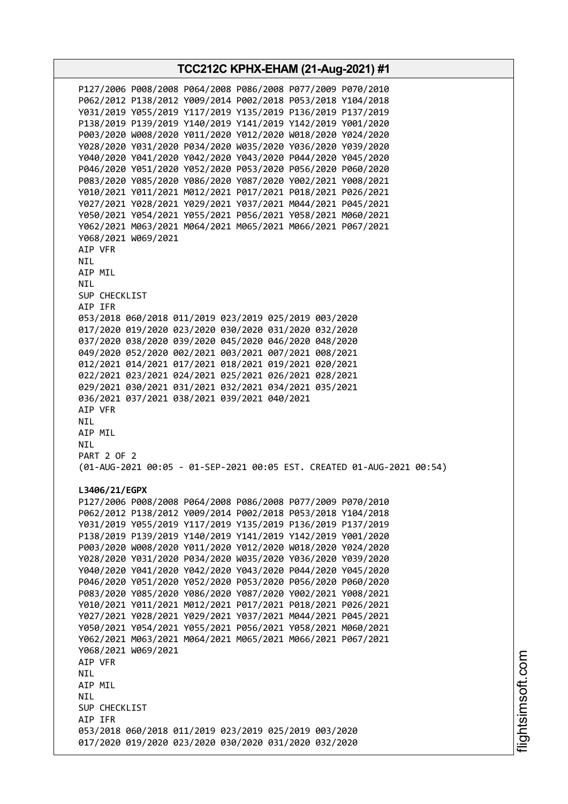**TCC212C KPHX-EHAM (21-Aug-2021) #1** P127/2006 P008/2008 P064/2008 P086/2008 P077/2009 P070/2010 P062/2012 P138/2012 Y009/2014 P002/2018 P053/2018 Y104/2018 Y031/2019 Y055/2019 Y117/2019 Y135/2019 P136/2019 P137/2019 P138/2019 P139/2019 Y140/2019 Y141/2019 Y142/2019 Y001/2020 P003/2020 W008/2020 Y011/2020 Y012/2020 W018/2020 Y024/2020 Y028/2020 Y031/2020 P034/2020 W035/2020 Y036/2020 Y039/2020 Y040/2020 Y041/2020 Y042/2020 Y043/2020 P044/2020 Y045/2020 P046/2020 Y051/2020 Y052/2020 P053/2020 P056/2020 P060/2020 P083/2020 Y085/2020 Y086/2020 Y087/2020 Y002/2021 Y008/2021 Y010/2021 Y011/2021 M012/2021 P017/2021 P018/2021 P026/2021 Y027/2021 Y028/2021 Y029/2021 Y037/2021 M044/2021 P045/2021 Y050/2021 Y054/2021 Y055/2021 P056/2021 Y058/2021 M060/2021 Y062/2021 M063/2021 M064/2021 M065/2021 M066/2021 P067/2021 Y068/2021 W069/2021 AIP VFR NIL AIP MIL NIL SUP CHECKLIST AIP IFR 053/2018 060/2018 011/2019 023/2019 025/2019 003/2020 017/2020 019/2020 023/2020 030/2020 031/2020 032/2020 037/2020 038/2020 039/2020 045/2020 046/2020 048/2020 049/2020 052/2020 002/2021 003/2021 007/2021 008/2021 012/2021 014/2021 017/2021 018/2021 019/2021 020/2021 022/2021 023/2021 024/2021 025/2021 026/2021 028/2021 029/2021 030/2021 031/2021 032/2021 034/2021 035/2021 036/2021 037/2021 038/2021 039/2021 040/2021 AIP VFR NIL AIP MIL NIL PART 2 OF 2 (01-AUG-2021 00:05 - 01-SEP-2021 00:05 EST. CREATED 01-AUG-2021 00:54) **L3406/21/EGPX** P127/2006 P008/2008 P064/2008 P086/2008 P077/2009 P070/2010 P062/2012 P138/2012 Y009/2014 P002/2018 P053/2018 Y104/2018 Y031/2019 Y055/2019 Y117/2019 Y135/2019 P136/2019 P137/2019 P138/2019 P139/2019 Y140/2019 Y141/2019 Y142/2019 Y001/2020 P003/2020 W008/2020 Y011/2020 Y012/2020 W018/2020 Y024/2020 Y028/2020 Y031/2020 P034/2020 W035/2020 Y036/2020 Y039/2020 Y040/2020 Y041/2020 Y042/2020 Y043/2020 P044/2020 Y045/2020 P046/2020 Y051/2020 Y052/2020 P053/2020 P056/2020 P060/2020 P083/2020 Y085/2020 Y086/2020 Y087/2020 Y002/2021 Y008/2021 Y010/2021 Y011/2021 M012/2021 P017/2021 P018/2021 P026/2021 Y027/2021 Y028/2021 Y029/2021 Y037/2021 M044/2021 P045/2021 Y050/2021 Y054/2021 Y055/2021 P056/2021 Y058/2021 M060/2021 Y062/2021 M063/2021 M064/2021 M065/2021 M066/2021 P067/2021 Y068/2021 W069/2021 AIP VFR NIL AIP MIL **NTL** SUP CHECKLIST AIP IFR 053/2018 060/2018 011/2019 023/2019 025/2019 003/2020 017/2020 019/2020 023/2020 030/2020 031/2020 032/2020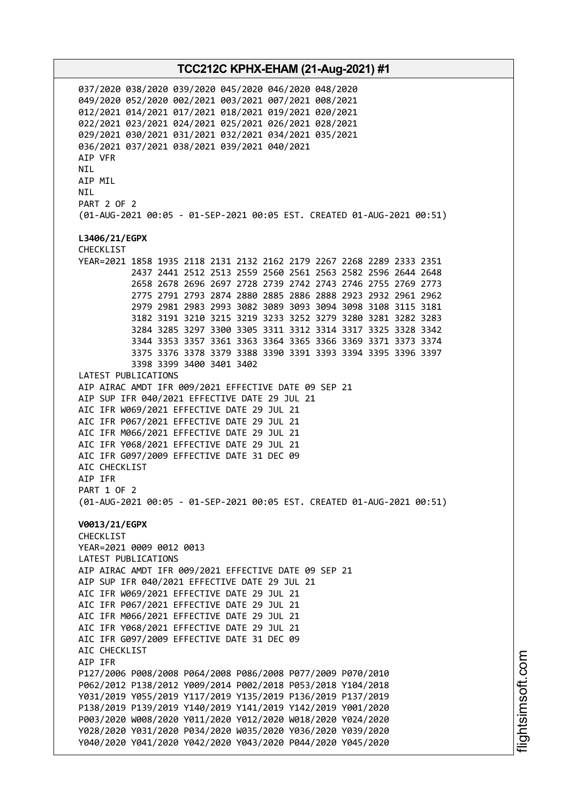037/2020 038/2020 039/2020 045/2020 046/2020 048/2020 049/2020 052/2020 002/2021 003/2021 007/2021 008/2021 012/2021 014/2021 017/2021 018/2021 019/2021 020/2021 022/2021 023/2021 024/2021 025/2021 026/2021 028/2021 029/2021 030/2021 031/2021 032/2021 034/2021 035/2021 036/2021 037/2021 038/2021 039/2021 040/2021 AIP VFR NIL AIP MIL NIL PART 2 OF 2 (01-AUG-2021 00:05 - 01-SEP-2021 00:05 EST. CREATED 01-AUG-2021 00:51) **L3406/21/EGPX** CHECKLIST YEAR=2021 1858 1935 2118 2131 2132 2162 2179 2267 2268 2289 2333 2351 2437 2441 2512 2513 2559 2560 2561 2563 2582 2596 2644 2648 2658 2678 2696 2697 2728 2739 2742 2743 2746 2755 2769 2773 2775 2791 2793 2874 2880 2885 2886 2888 2923 2932 2961 2962 2979 2981 2983 2993 3082 3089 3093 3094 3098 3108 3115 3181 3182 3191 3210 3215 3219 3233 3252 3279 3280 3281 3282 3283 3284 3285 3297 3300 3305 3311 3312 3314 3317 3325 3328 3342 3344 3353 3357 3361 3363 3364 3365 3366 3369 3371 3373 3374 3375 3376 3378 3379 3388 3390 3391 3393 3394 3395 3396 3397 3398 3399 3400 3401 3402 LATEST PUBLICATIONS AIP AIRAC AMDT IFR 009/2021 EFFECTIVE DATE 09 SEP 21 AIP SUP IFR 040/2021 EFFECTIVE DATE 29 JUL 21 AIC IFR W069/2021 EFFECTIVE DATE 29 JUL 21 AIC IFR P067/2021 EFFECTIVE DATE 29 JUL 21 AIC IFR M066/2021 EFFECTIVE DATE 29 JUL 21 AIC IFR Y068/2021 EFFECTIVE DATE 29 JUL 21 AIC IFR G097/2009 EFFECTIVE DATE 31 DEC 09 AIC CHECKLIST AIP IFR PART 1 OF 2 (01-AUG-2021 00:05 - 01-SEP-2021 00:05 EST. CREATED 01-AUG-2021 00:51) **V0013/21/EGPX** CHECKLIST YEAR=2021 0009 0012 0013 LATEST PUBLICATIONS AIP AIRAC AMDT IFR 009/2021 EFFECTIVE DATE 09 SEP 21 AIP SUP IFR 040/2021 EFFECTIVE DATE 29 JUL 21 AIC IFR W069/2021 EFFECTIVE DATE 29 JUL 21 AIC IFR P067/2021 EFFECTIVE DATE 29 JUL 21 AIC IFR M066/2021 EFFECTIVE DATE 29 JUL 21 AIC IFR Y068/2021 EFFECTIVE DATE 29 JUL 21 AIC IFR G097/2009 EFFECTIVE DATE 31 DEC 09 AIC CHECKLIST AIP IFR P127/2006 P008/2008 P064/2008 P086/2008 P077/2009 P070/2010 P062/2012 P138/2012 Y009/2014 P002/2018 P053/2018 Y104/2018 Y031/2019 Y055/2019 Y117/2019 Y135/2019 P136/2019 P137/2019 P138/2019 P139/2019 Y140/2019 Y141/2019 Y142/2019 Y001/2020 P003/2020 W008/2020 Y011/2020 Y012/2020 W018/2020 Y024/2020 Y028/2020 Y031/2020 P034/2020 W035/2020 Y036/2020 Y039/2020 Y040/2020 Y041/2020 Y042/2020 Y043/2020 P044/2020 Y045/2020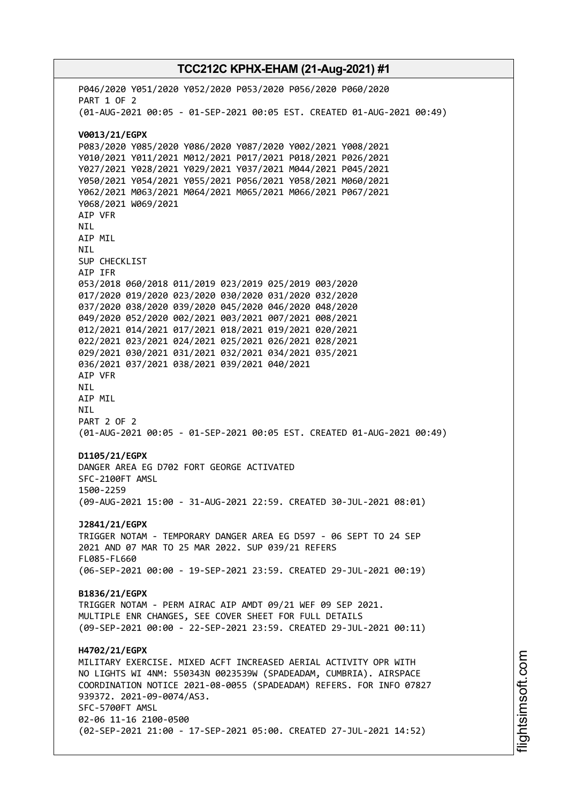# **TCC212C KPHX-EHAM (21-Aug-2021) #1** P046/2020 Y051/2020 Y052/2020 P053/2020 P056/2020 P060/2020 PART 1 OF 2 (01-AUG-2021 00:05 - 01-SEP-2021 00:05 EST. CREATED 01-AUG-2021 00:49) **V0013/21/EGPX** P083/2020 Y085/2020 Y086/2020 Y087/2020 Y002/2021 Y008/2021 Y010/2021 Y011/2021 M012/2021 P017/2021 P018/2021 P026/2021 Y027/2021 Y028/2021 Y029/2021 Y037/2021 M044/2021 P045/2021 Y050/2021 Y054/2021 Y055/2021 P056/2021 Y058/2021 M060/2021 Y062/2021 M063/2021 M064/2021 M065/2021 M066/2021 P067/2021 Y068/2021 W069/2021 AIP VFR NIL AIP MIL NIL SUP CHECKLIST AIP IFR 053/2018 060/2018 011/2019 023/2019 025/2019 003/2020 017/2020 019/2020 023/2020 030/2020 031/2020 032/2020 037/2020 038/2020 039/2020 045/2020 046/2020 048/2020 049/2020 052/2020 002/2021 003/2021 007/2021 008/2021 012/2021 014/2021 017/2021 018/2021 019/2021 020/2021 022/2021 023/2021 024/2021 025/2021 026/2021 028/2021 029/2021 030/2021 031/2021 032/2021 034/2021 035/2021 036/2021 037/2021 038/2021 039/2021 040/2021 AIP VFR NIL AIP MIL NIL PART 2 OF 2 (01-AUG-2021 00:05 - 01-SEP-2021 00:05 EST. CREATED 01-AUG-2021 00:49) **D1105/21/EGPX** DANGER AREA EG D702 FORT GEORGE ACTIVATED SFC-2100FT AMSL 1500-2259 (09-AUG-2021 15:00 - 31-AUG-2021 22:59. CREATED 30-JUL-2021 08:01) **J2841/21/EGPX** TRIGGER NOTAM - TEMPORARY DANGER AREA EG D597 - 06 SEPT TO 24 SEP 2021 AND 07 MAR TO 25 MAR 2022. SUP 039/21 REFERS FL085-FL660 (06-SEP-2021 00:00 - 19-SEP-2021 23:59. CREATED 29-JUL-2021 00:19) **B1836/21/EGPX** TRIGGER NOTAM - PERM AIRAC AIP AMDT 09/21 WEF 09 SEP 2021. MULTIPLE ENR CHANGES, SEE COVER SHEET FOR FULL DETAILS (09-SEP-2021 00:00 - 22-SEP-2021 23:59. CREATED 29-JUL-2021 00:11) **H4702/21/EGPX** MILITARY EXERCISE. MIXED ACFT INCREASED AERIAL ACTIVITY OPR WITH NO LIGHTS WI 4NM: 550343N 0023539W (SPADEADAM, CUMBRIA). AIRSPACE COORDINATION NOTICE 2021-08-0055 (SPADEADAM) REFERS. FOR INFO 07827 939372. 2021-09-0074/AS3. SFC-5700FT AMSL 02-06 11-16 2100-0500 (02-SEP-2021 21:00 - 17-SEP-2021 05:00. CREATED 27-JUL-2021 14:52)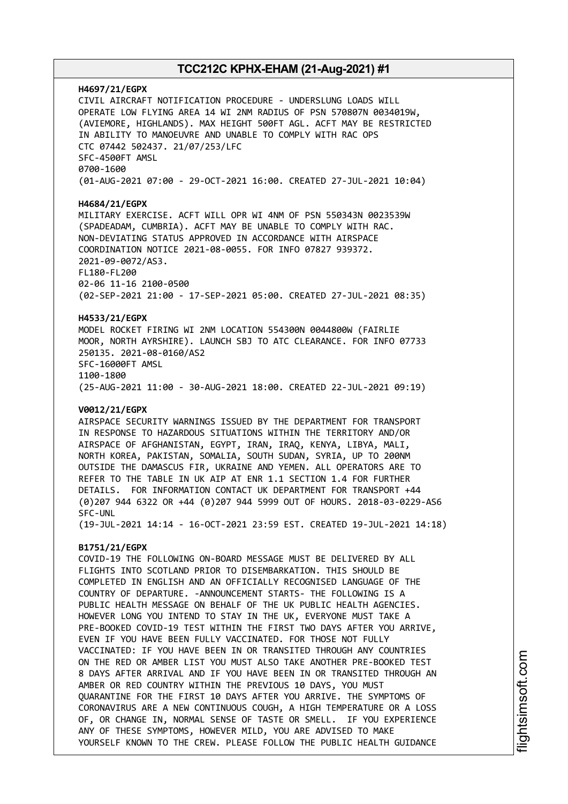### **H4697/21/EGPX** CIVIL AIRCRAFT NOTIFICATION PROCEDURE - UNDERSLUNG LOADS WILL OPERATE LOW FLYING AREA 14 WI 2NM RADIUS OF PSN 570807N 0034019W, (AVIEMORE, HIGHLANDS). MAX HEIGHT 500FT AGL. ACFT MAY BE RESTRICTED IN ABILITY TO MANOEUVRE AND UNABLE TO COMPLY WITH RAC OPS CTC 07442 502437. 21/07/253/LFC SFC-4500FT AMSL 0700-1600 (01-AUG-2021 07:00 - 29-OCT-2021 16:00. CREATED 27-JUL-2021 10:04)

#### **H4684/21/EGPX**

MILITARY EXERCISE. ACFT WILL OPR WI 4NM OF PSN 550343N 0023539W (SPADEADAM, CUMBRIA). ACFT MAY BE UNABLE TO COMPLY WITH RAC. NON-DEVIATING STATUS APPROVED IN ACCORDANCE WITH AIRSPACE COORDINATION NOTICE 2021-08-0055. FOR INFO 07827 939372. 2021-09-0072/AS3. FL180-FL200 02-06 11-16 2100-0500 (02-SEP-2021 21:00 - 17-SEP-2021 05:00. CREATED 27-JUL-2021 08:35)

#### **H4533/21/EGPX**

MODEL ROCKET FIRING WI 2NM LOCATION 554300N 0044800W (FAIRLIE MOOR, NORTH AYRSHIRE). LAUNCH SBJ TO ATC CLEARANCE. FOR INFO 07733 250135. 2021-08-0160/AS2 SFC-16000FT AMSL 1100-1800 (25-AUG-2021 11:00 - 30-AUG-2021 18:00. CREATED 22-JUL-2021 09:19)

#### **V0012/21/EGPX**

AIRSPACE SECURITY WARNINGS ISSUED BY THE DEPARTMENT FOR TRANSPORT IN RESPONSE TO HAZARDOUS SITUATIONS WITHIN THE TERRITORY AND/OR AIRSPACE OF AFGHANISTAN, EGYPT, IRAN, IRAQ, KENYA, LIBYA, MALI, NORTH KOREA, PAKISTAN, SOMALIA, SOUTH SUDAN, SYRIA, UP TO 200NM OUTSIDE THE DAMASCUS FIR, UKRAINE AND YEMEN. ALL OPERATORS ARE TO REFER TO THE TABLE IN UK AIP AT ENR 1.1 SECTION 1.4 FOR FURTHER DETAILS. FOR INFORMATION CONTACT UK DEPARTMENT FOR TRANSPORT +44 (0)207 944 6322 OR +44 (0)207 944 5999 OUT OF HOURS. 2018-03-0229-AS6 SFC-UNL

(19-JUL-2021 14:14 - 16-OCT-2021 23:59 EST. CREATED 19-JUL-2021 14:18)

#### **B1751/21/EGPX**

COVID-19 THE FOLLOWING ON-BOARD MESSAGE MUST BE DELIVERED BY ALL FLIGHTS INTO SCOTLAND PRIOR TO DISEMBARKATION. THIS SHOULD BE COMPLETED IN ENGLISH AND AN OFFICIALLY RECOGNISED LANGUAGE OF THE COUNTRY OF DEPARTURE. -ANNOUNCEMENT STARTS- THE FOLLOWING IS A PUBLIC HEALTH MESSAGE ON BEHALF OF THE UK PUBLIC HEALTH AGENCIES. HOWEVER LONG YOU INTEND TO STAY IN THE UK, EVERYONE MUST TAKE A PRE-BOOKED COVID-19 TEST WITHIN THE FIRST TWO DAYS AFTER YOU ARRIVE, EVEN IF YOU HAVE BEEN FULLY VACCINATED. FOR THOSE NOT FULLY VACCINATED: IF YOU HAVE BEEN IN OR TRANSITED THROUGH ANY COUNTRIES ON THE RED OR AMBER LIST YOU MUST ALSO TAKE ANOTHER PRE-BOOKED TEST 8 DAYS AFTER ARRIVAL AND IF YOU HAVE BEEN IN OR TRANSITED THROUGH AN AMBER OR RED COUNTRY WITHIN THE PREVIOUS 10 DAYS, YOU MUST QUARANTINE FOR THE FIRST 10 DAYS AFTER YOU ARRIVE. THE SYMPTOMS OF CORONAVIRUS ARE A NEW CONTINUOUS COUGH, A HIGH TEMPERATURE OR A LOSS OF, OR CHANGE IN, NORMAL SENSE OF TASTE OR SMELL. IF YOU EXPERIENCE ANY OF THESE SYMPTOMS, HOWEVER MILD, YOU ARE ADVISED TO MAKE YOURSELF KNOWN TO THE CREW. PLEASE FOLLOW THE PUBLIC HEALTH GUIDANCE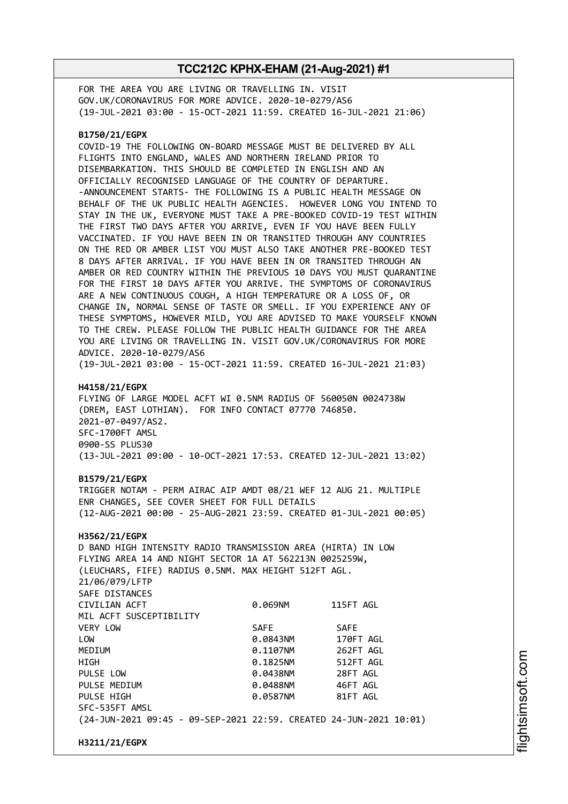FOR THE AREA YOU ARE LIVING OR TRAVELLING IN. VISIT GOV.UK/CORONAVIRUS FOR MORE ADVICE. 2020-10-0279/AS6 (19-JUL-2021 03:00 - 15-OCT-2021 11:59. CREATED 16-JUL-2021 21:06)

#### **B1750/21/EGPX**

COVID-19 THE FOLLOWING ON-BOARD MESSAGE MUST BE DELIVERED BY ALL FLIGHTS INTO ENGLAND, WALES AND NORTHERN IRELAND PRIOR TO DISEMBARKATION. THIS SHOULD BE COMPLETED IN ENGLISH AND AN OFFICIALLY RECOGNISED LANGUAGE OF THE COUNTRY OF DEPARTURE. -ANNOUNCEMENT STARTS- THE FOLLOWING IS A PUBLIC HEALTH MESSAGE ON BEHALF OF THE UK PUBLIC HEALTH AGENCIES. HOWEVER LONG YOU INTEND TO STAY IN THE UK, EVERYONE MUST TAKE A PRE-BOOKED COVID-19 TEST WITHIN THE FIRST TWO DAYS AFTER YOU ARRIVE, EVEN IF YOU HAVE BEEN FULLY VACCINATED. IF YOU HAVE BEEN IN OR TRANSITED THROUGH ANY COUNTRIES ON THE RED OR AMBER LIST YOU MUST ALSO TAKE ANOTHER PRE-BOOKED TEST 8 DAYS AFTER ARRIVAL. IF YOU HAVE BEEN IN OR TRANSITED THROUGH AN AMBER OR RED COUNTRY WITHIN THE PREVIOUS 10 DAYS YOU MUST QUARANTINE FOR THE FIRST 10 DAYS AFTER YOU ARRIVE. THE SYMPTOMS OF CORONAVIRUS ARE A NEW CONTINUOUS COUGH, A HIGH TEMPERATURE OR A LOSS OF, OR CHANGE IN, NORMAL SENSE OF TASTE OR SMELL. IF YOU EXPERIENCE ANY OF THESE SYMPTOMS, HOWEVER MILD, YOU ARE ADVISED TO MAKE YOURSELF KNOWN TO THE CREW. PLEASE FOLLOW THE PUBLIC HEALTH GUIDANCE FOR THE AREA YOU ARE LIVING OR TRAVELLING IN. VISIT GOV.UK/CORONAVIRUS FOR MORE ADVICE. 2020-10-0279/AS6 (19-JUL-2021 03:00 - 15-OCT-2021 11:59. CREATED 16-JUL-2021 21:03)

#### **H4158/21/EGPX**

FLYING OF LARGE MODEL ACFT WI 0.5NM RADIUS OF 560050N 0024738W (DREM, EAST LOTHIAN). FOR INFO CONTACT 07770 746850. 2021-07-0497/AS2. SFC-1700FT AMSL 0900-SS PLUS30 (13-JUL-2021 09:00 - 10-OCT-2021 17:53. CREATED 12-JUL-2021 13:02)

#### **B1579/21/EGPX**

TRIGGER NOTAM - PERM AIRAC AIP AMDT 08/21 WEF 12 AUG 21. MULTIPLE ENR CHANGES, SEE COVER SHEET FOR FULL DETAILS (12-AUG-2021 00:00 - 25-AUG-2021 23:59. CREATED 01-JUL-2021 00:05)

#### **H3562/21/EGPX**

D BAND HIGH INTENSITY RADIO TRANSMISSION AREA (HIRTA) IN LOW FLYING AREA 14 AND NIGHT SECTOR 1A AT 562213N 0025259W, (LEUCHARS, FIFE) RADIUS 0.5NM. MAX HEIGHT 512FT AGL. 21/06/079/LFTP SAFE DISTANCES CIVILIAN ACFT 0.069NM 115FT AGL MIL ACFT SUSCEPTIBILITY VERY LOW SAFE SAFE LOW 0.0843NM 170FT AGL MEDIUM 0.1107NM 262FT AGL HIGH 0.1825NM 512FT AGL PULSE LOW 0.0438NM 28FT AGL PULSE MEDIUM 0.0488NM 46FT AGL PULSE HIGH **DESIGNATION 81FT AGLACI 0.0587NM** 81FT AGL SFC-535FT AMSL (24-JUN-2021 09:45 - 09-SEP-2021 22:59. CREATED 24-JUN-2021 10:01)

**H3211/21/EGPX**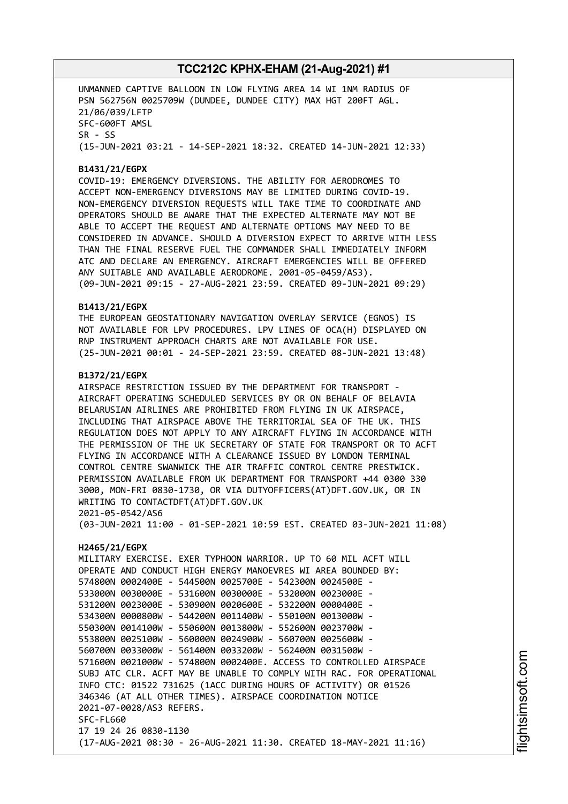UNMANNED CAPTIVE BALLOON IN LOW FLYING AREA 14 WI 1NM RADIUS OF PSN 562756N 0025709W (DUNDEE, DUNDEE CITY) MAX HGT 200FT AGL. 21/06/039/LFTP SFC-600FT AMSL SR - SS (15-JUN-2021 03:21 - 14-SEP-2021 18:32. CREATED 14-JUN-2021 12:33)

### **B1431/21/EGPX**

COVID-19: EMERGENCY DIVERSIONS. THE ABILITY FOR AERODROMES TO ACCEPT NON-EMERGENCY DIVERSIONS MAY BE LIMITED DURING COVID-19. NON-EMERGENCY DIVERSION REQUESTS WILL TAKE TIME TO COORDINATE AND OPERATORS SHOULD BE AWARE THAT THE EXPECTED ALTERNATE MAY NOT BE ABLE TO ACCEPT THE REQUEST AND ALTERNATE OPTIONS MAY NEED TO BE CONSIDERED IN ADVANCE. SHOULD A DIVERSION EXPECT TO ARRIVE WITH LESS THAN THE FINAL RESERVE FUEL THE COMMANDER SHALL IMMEDIATELY INFORM ATC AND DECLARE AN EMERGENCY. AIRCRAFT EMERGENCIES WILL BE OFFERED ANY SUITABLE AND AVAILABLE AERODROME. 2001-05-0459/AS3). (09-JUN-2021 09:15 - 27-AUG-2021 23:59. CREATED 09-JUN-2021 09:29)

#### **B1413/21/EGPX**

THE EUROPEAN GEOSTATIONARY NAVIGATION OVERLAY SERVICE (EGNOS) IS NOT AVAILABLE FOR LPV PROCEDURES. LPV LINES OF OCA(H) DISPLAYED ON RNP INSTRUMENT APPROACH CHARTS ARE NOT AVAILABLE FOR USE. (25-JUN-2021 00:01 - 24-SEP-2021 23:59. CREATED 08-JUN-2021 13:48)

#### **B1372/21/EGPX**

AIRSPACE RESTRICTION ISSUED BY THE DEPARTMENT FOR TRANSPORT - AIRCRAFT OPERATING SCHEDULED SERVICES BY OR ON BEHALF OF BELAVIA BELARUSIAN AIRLINES ARE PROHIBITED FROM FLYING IN UK AIRSPACE, INCLUDING THAT AIRSPACE ABOVE THE TERRITORIAL SEA OF THE UK. THIS REGULATION DOES NOT APPLY TO ANY AIRCRAFT FLYING IN ACCORDANCE WITH THE PERMISSION OF THE UK SECRETARY OF STATE FOR TRANSPORT OR TO ACFT FLYING IN ACCORDANCE WITH A CLEARANCE ISSUED BY LONDON TERMINAL CONTROL CENTRE SWANWICK THE AIR TRAFFIC CONTROL CENTRE PRESTWICK. PERMISSION AVAILABLE FROM UK DEPARTMENT FOR TRANSPORT +44 0300 330 3000, MON-FRI 0830-1730, OR VIA DUTYOFFICERS(AT)DFT.GOV.UK, OR IN WRITING TO CONTACTDFT(AT)DFT.GOV.UK 2021-05-0542/AS6

(03-JUN-2021 11:00 - 01-SEP-2021 10:59 EST. CREATED 03-JUN-2021 11:08)

#### **H2465/21/EGPX**

MILITARY EXERCISE. EXER TYPHOON WARRIOR. UP TO 60 MIL ACFT WILL OPERATE AND CONDUCT HIGH ENERGY MANOEVRES WI AREA BOUNDED BY: 574800N 0002400E - 544500N 0025700E - 542300N 0024500E - 533000N 0030000E - 531600N 0030000E - 532000N 0023000E - 531200N 0023000E - 530900N 0020600E - 532200N 0000400E - 534300N 0000800W - 544200N 0011400W - 550100N 0013000W - 550300N 0014100W - 550600N 0013800W - 552600N 0023700W - 553800N 0025100W - 560000N 0024900W - 560700N 0025600W - 560700N 0033000W - 561400N 0033200W - 562400N 0031500W - 571600N 0021000W - 574800N 0002400E. ACCESS TO CONTROLLED AIRSPACE SUBJ ATC CLR. ACFT MAY BE UNABLE TO COMPLY WITH RAC. FOR OPERATIONAL INFO CTC: 01522 731625 (1ACC DURING HOURS OF ACTIVITY) OR 01526 346346 (AT ALL OTHER TIMES). AIRSPACE COORDINATION NOTICE 2021-07-0028/AS3 REFERS. SFC-FL660 17 19 24 26 0830-1130 (17-AUG-2021 08:30 - 26-AUG-2021 11:30. CREATED 18-MAY-2021 11:16)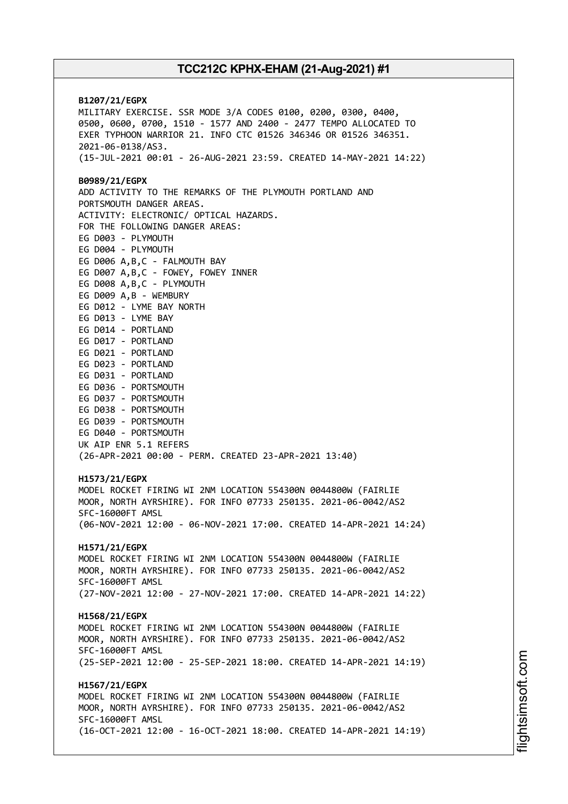**B1207/21/EGPX** MILITARY EXERCISE. SSR MODE 3/A CODES 0100, 0200, 0300, 0400, 0500, 0600, 0700, 1510 - 1577 AND 2400 - 2477 TEMPO ALLOCATED TO EXER TYPHOON WARRIOR 21. INFO CTC 01526 346346 OR 01526 346351. 2021-06-0138/AS3. (15-JUL-2021 00:01 - 26-AUG-2021 23:59. CREATED 14-MAY-2021 14:22) **B0989/21/EGPX** ADD ACTIVITY TO THE REMARKS OF THE PLYMOUTH PORTLAND AND PORTSMOUTH DANGER AREAS. ACTIVITY: ELECTRONIC/ OPTICAL HAZARDS. FOR THE FOLLOWING DANGER AREAS: EG D003 - PLYMOUTH EG D004 - PLYMOUTH EG D006 A,B,C - FALMOUTH BAY EG D007 A,B,C - FOWEY, FOWEY INNER EG D008 A,B,C - PLYMOUTH EG D009 A,B - WEMBURY EG D012 - LYME BAY NORTH EG D013 - LYME BAY EG D014 - PORTLAND EG D017 - PORTLAND EG D021 - PORTLAND EG D023 - PORTLAND EG D031 - PORTLAND EG D036 - PORTSMOUTH EG D037 - PORTSMOUTH EG D038 - PORTSMOUTH EG D039 - PORTSMOUTH EG D040 - PORTSMOUTH UK AIP ENR 5.1 REFERS (26-APR-2021 00:00 - PERM. CREATED 23-APR-2021 13:40) **H1573/21/EGPX** MODEL ROCKET FIRING WI 2NM LOCATION 554300N 0044800W (FAIRLIE MOOR, NORTH AYRSHIRE). FOR INFO 07733 250135. 2021-06-0042/AS2 SFC-16000FT AMSL (06-NOV-2021 12:00 - 06-NOV-2021 17:00. CREATED 14-APR-2021 14:24) **H1571/21/EGPX** MODEL ROCKET FIRING WI 2NM LOCATION 554300N 0044800W (FAIRLIE MOOR, NORTH AYRSHIRE). FOR INFO 07733 250135. 2021-06-0042/AS2 SFC-16000FT AMSL (27-NOV-2021 12:00 - 27-NOV-2021 17:00. CREATED 14-APR-2021 14:22) **H1568/21/EGPX** MODEL ROCKET FIRING WI 2NM LOCATION 554300N 0044800W (FAIRLIE MOOR, NORTH AYRSHIRE). FOR INFO 07733 250135. 2021-06-0042/AS2 SFC-16000FT AMSL (25-SEP-2021 12:00 - 25-SEP-2021 18:00. CREATED 14-APR-2021 14:19) **H1567/21/EGPX** MODEL ROCKET FIRING WI 2NM LOCATION 554300N 0044800W (FAIRLIE MOOR, NORTH AYRSHIRE). FOR INFO 07733 250135. 2021-06-0042/AS2 SFC-16000FT AMSL (16-OCT-2021 12:00 - 16-OCT-2021 18:00. CREATED 14-APR-2021 14:19)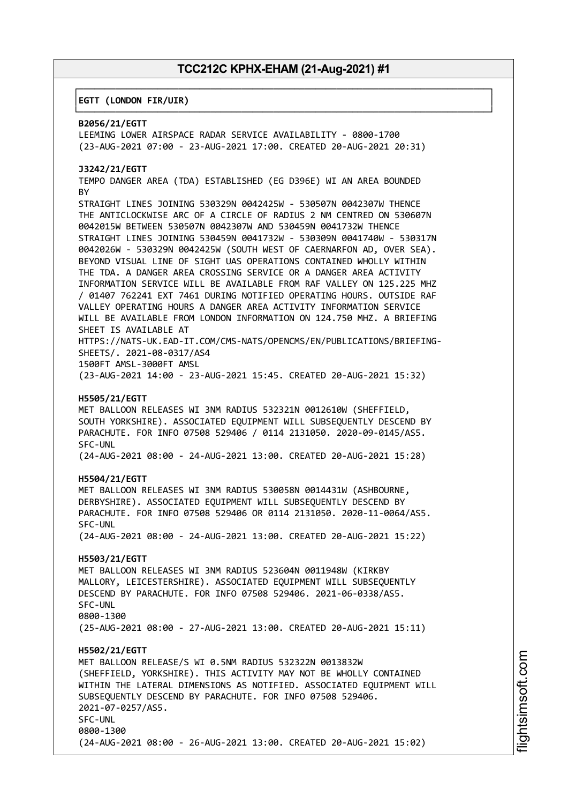┌──────────────────────────────────────────────────────────────────────────────┐

└──────────────────────────────────────────────────────────────────────────────┘

#### │**EGTT (LONDON FIR/UIR)** │

#### **B2056/21/EGTT**

LEEMING LOWER AIRSPACE RADAR SERVICE AVAILABILITY - 0800-1700 (23-AUG-2021 07:00 - 23-AUG-2021 17:00. CREATED 20-AUG-2021 20:31)

#### **J3242/21/EGTT**

TEMPO DANGER AREA (TDA) ESTABLISHED (EG D396E) WI AN AREA BOUNDED **BY** 

STRAIGHT LINES JOINING 530329N 0042425W - 530507N 0042307W THENCE THE ANTICLOCKWISE ARC OF A CIRCLE OF RADIUS 2 NM CENTRED ON 530607N 0042015W BETWEEN 530507N 0042307W AND 530459N 0041732W THENCE STRAIGHT LINES JOINING 530459N 0041732W - 530309N 0041740W - 530317N 0042026W - 530329N 0042425W (SOUTH WEST OF CAERNARFON AD, OVER SEA). BEYOND VISUAL LINE OF SIGHT UAS OPERATIONS CONTAINED WHOLLY WITHIN THE TDA. A DANGER AREA CROSSING SERVICE OR A DANGER AREA ACTIVITY INFORMATION SERVICE WILL BE AVAILABLE FROM RAF VALLEY ON 125.225 MHZ / 01407 762241 EXT 7461 DURING NOTIFIED OPERATING HOURS. OUTSIDE RAF VALLEY OPERATING HOURS A DANGER AREA ACTIVITY INFORMATION SERVICE WILL BE AVAILABLE FROM LONDON INFORMATION ON 124.750 MHZ. A BRIEFING SHEET IS AVAILABLE AT HTTPS://NATS-UK.EAD-IT.COM/CMS-NATS/OPENCMS/EN/PUBLICATIONS/BRIEFING-

SHEETS/. 2021-08-0317/AS4

1500FT AMSL-3000FT AMSL (23-AUG-2021 14:00 - 23-AUG-2021 15:45. CREATED 20-AUG-2021 15:32)

#### **H5505/21/EGTT**

MET BALLOON RELEASES WI 3NM RADIUS 532321N 0012610W (SHEFFIELD, SOUTH YORKSHIRE). ASSOCIATED EQUIPMENT WILL SUBSEQUENTLY DESCEND BY PARACHUTE. FOR INFO 07508 529406 / 0114 2131050. 2020-09-0145/AS5. SFC-UNL

(24-AUG-2021 08:00 - 24-AUG-2021 13:00. CREATED 20-AUG-2021 15:28)

#### **H5504/21/EGTT**

MET BALLOON RELEASES WI 3NM RADIUS 530058N 0014431W (ASHBOURNE, DERBYSHIRE). ASSOCIATED EQUIPMENT WILL SUBSEQUENTLY DESCEND BY PARACHUTE. FOR INFO 07508 529406 OR 0114 2131050. 2020-11-0064/AS5. SFC-UNL

(24-AUG-2021 08:00 - 24-AUG-2021 13:00. CREATED 20-AUG-2021 15:22)

#### **H5503/21/EGTT**

MET BALLOON RELEASES WI 3NM RADIUS 523604N 0011948W (KIRKBY MALLORY, LEICESTERSHIRE). ASSOCIATED EQUIPMENT WILL SUBSEQUENTLY DESCEND BY PARACHUTE. FOR INFO 07508 529406. 2021-06-0338/AS5. SFC-UNL 0800-1300 (25-AUG-2021 08:00 - 27-AUG-2021 13:00. CREATED 20-AUG-2021 15:11)

#### **H5502/21/EGTT**

MET BALLOON RELEASE/S WI 0.5NM RADIUS 532322N 0013832W (SHEFFIELD, YORKSHIRE). THIS ACTIVITY MAY NOT BE WHOLLY CONTAINED WITHIN THE LATERAL DIMENSIONS AS NOTIFIED. ASSOCIATED EQUIPMENT WILL SUBSEQUENTLY DESCEND BY PARACHUTE. FOR INFO 07508 529406. 2021-07-0257/AS5. SFC-UNL 0800-1300 (24-AUG-2021 08:00 - 26-AUG-2021 13:00. CREATED 20-AUG-2021 15:02)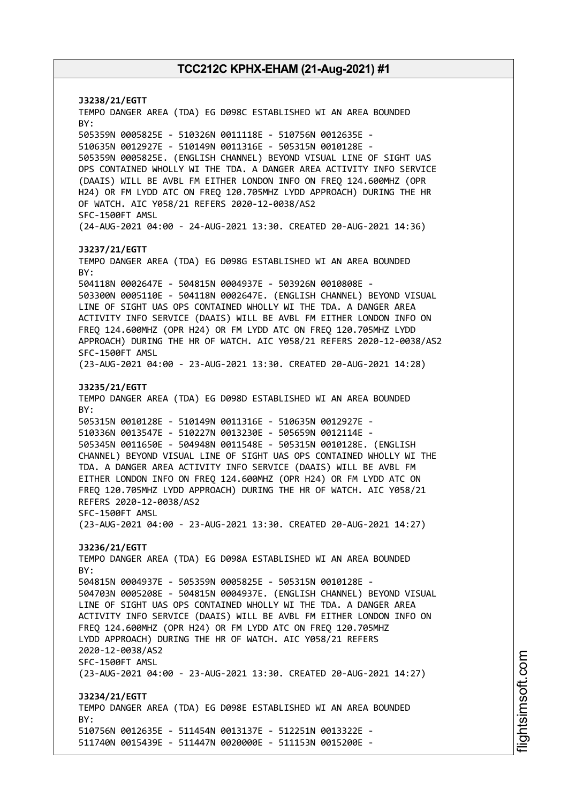**J3238/21/EGTT** TEMPO DANGER AREA (TDA) EG D098C ESTABLISHED WI AN AREA BOUNDED BY: 505359N 0005825E - 510326N 0011118E - 510756N 0012635E - 510635N 0012927E - 510149N 0011316E - 505315N 0010128E - 505359N 0005825E. (ENGLISH CHANNEL) BEYOND VISUAL LINE OF SIGHT UAS OPS CONTAINED WHOLLY WI THE TDA. A DANGER AREA ACTIVITY INFO SERVICE (DAAIS) WILL BE AVBL FM EITHER LONDON INFO ON FREQ 124.600MHZ (OPR H24) OR FM LYDD ATC ON FREQ 120.705MHZ LYDD APPROACH) DURING THE HR OF WATCH. AIC Y058/21 REFERS 2020-12-0038/AS2 SFC-1500FT AMSL (24-AUG-2021 04:00 - 24-AUG-2021 13:30. CREATED 20-AUG-2021 14:36) **J3237/21/EGTT** TEMPO DANGER AREA (TDA) EG D098G ESTABLISHED WI AN AREA BOUNDED BY: 504118N 0002647E - 504815N 0004937E - 503926N 0010808E - 503300N 0005110E - 504118N 0002647E. (ENGLISH CHANNEL) BEYOND VISUAL LINE OF SIGHT UAS OPS CONTAINED WHOLLY WI THE TDA. A DANGER AREA ACTIVITY INFO SERVICE (DAAIS) WILL BE AVBL FM EITHER LONDON INFO ON FREQ 124.600MHZ (OPR H24) OR FM LYDD ATC ON FREQ 120.705MHZ LYDD APPROACH) DURING THE HR OF WATCH. AIC Y058/21 REFERS 2020-12-0038/AS2 SFC-1500FT AMSL (23-AUG-2021 04:00 - 23-AUG-2021 13:30. CREATED 20-AUG-2021 14:28) **J3235/21/EGTT** TEMPO DANGER AREA (TDA) EG D098D ESTABLISHED WI AN AREA BOUNDED BY: 505315N 0010128E - 510149N 0011316E - 510635N 0012927E - 510336N 0013547E - 510227N 0013230E - 505659N 0012114E - 505345N 0011650E - 504948N 0011548E - 505315N 0010128E. (ENGLISH CHANNEL) BEYOND VISUAL LINE OF SIGHT UAS OPS CONTAINED WHOLLY WI THE TDA. A DANGER AREA ACTIVITY INFO SERVICE (DAAIS) WILL BE AVBL FM EITHER LONDON INFO ON FREQ 124.600MHZ (OPR H24) OR FM LYDD ATC ON FREQ 120.705MHZ LYDD APPROACH) DURING THE HR OF WATCH. AIC Y058/21 REFERS 2020-12-0038/AS2 SFC-1500FT AMSL (23-AUG-2021 04:00 - 23-AUG-2021 13:30. CREATED 20-AUG-2021 14:27) **J3236/21/EGTT** TEMPO DANGER AREA (TDA) EG D098A ESTABLISHED WI AN AREA BOUNDED BY: 504815N 0004937E - 505359N 0005825E - 505315N 0010128E - 504703N 0005208E - 504815N 0004937E. (ENGLISH CHANNEL) BEYOND VISUAL LINE OF SIGHT UAS OPS CONTAINED WHOLLY WI THE TDA. A DANGER AREA ACTIVITY INFO SERVICE (DAAIS) WILL BE AVBL FM EITHER LONDON INFO ON FREQ 124.600MHZ (OPR H24) OR FM LYDD ATC ON FREQ 120.705MHZ LYDD APPROACH) DURING THE HR OF WATCH. AIC Y058/21 REFERS 2020-12-0038/AS2 SFC-1500FT AMSL (23-AUG-2021 04:00 - 23-AUG-2021 13:30. CREATED 20-AUG-2021 14:27) **J3234/21/EGTT** TEMPO DANGER AREA (TDA) EG D098E ESTABLISHED WI AN AREA BOUNDED BY: 510756N 0012635E - 511454N 0013137E - 512251N 0013322E - 511740N 0015439E - 511447N 0020000E - 511153N 0015200E -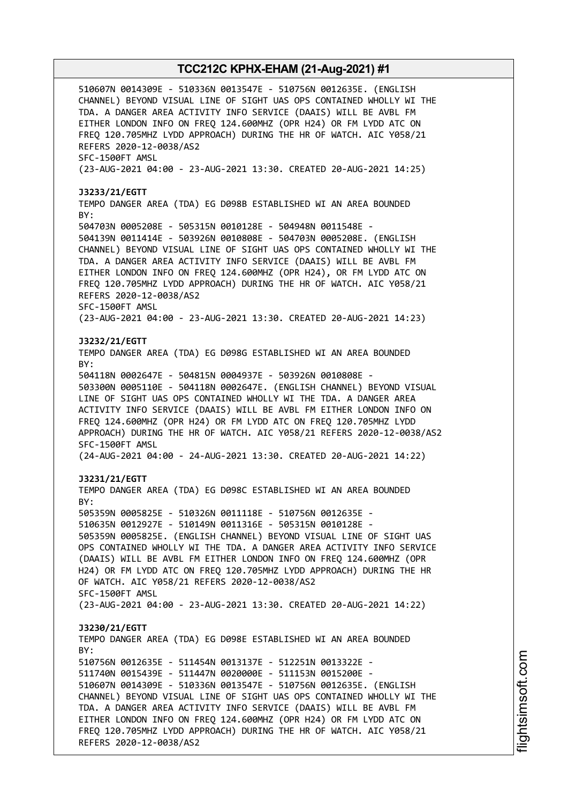510607N 0014309E - 510336N 0013547E - 510756N 0012635E. (ENGLISH CHANNEL) BEYOND VISUAL LINE OF SIGHT UAS OPS CONTAINED WHOLLY WI THE TDA. A DANGER AREA ACTIVITY INFO SERVICE (DAAIS) WILL BE AVBL FM EITHER LONDON INFO ON FREQ 124.600MHZ (OPR H24) OR FM LYDD ATC ON FREQ 120.705MHZ LYDD APPROACH) DURING THE HR OF WATCH. AIC Y058/21 REFERS 2020-12-0038/AS2 SFC-1500FT AMSL (23-AUG-2021 04:00 - 23-AUG-2021 13:30. CREATED 20-AUG-2021 14:25) **J3233/21/EGTT** TEMPO DANGER AREA (TDA) EG D098B ESTABLISHED WI AN AREA BOUNDED BY: 504703N 0005208E - 505315N 0010128E - 504948N 0011548E - 504139N 0011414E - 503926N 0010808E - 504703N 0005208E. (ENGLISH CHANNEL) BEYOND VISUAL LINE OF SIGHT UAS OPS CONTAINED WHOLLY WI THE TDA. A DANGER AREA ACTIVITY INFO SERVICE (DAAIS) WILL BE AVBL FM EITHER LONDON INFO ON FREQ 124.600MHZ (OPR H24), OR FM LYDD ATC ON FREQ 120.705MHZ LYDD APPROACH) DURING THE HR OF WATCH. AIC Y058/21 REFERS 2020-12-0038/AS2 SFC-1500FT AMSL (23-AUG-2021 04:00 - 23-AUG-2021 13:30. CREATED 20-AUG-2021 14:23) **J3232/21/EGTT** TEMPO DANGER AREA (TDA) EG D098G ESTABLISHED WI AN AREA BOUNDED BY: 504118N 0002647E - 504815N 0004937E - 503926N 0010808E - 503300N 0005110E - 504118N 0002647E. (ENGLISH CHANNEL) BEYOND VISUAL LINE OF SIGHT UAS OPS CONTAINED WHOLLY WI THE TDA. A DANGER AREA ACTIVITY INFO SERVICE (DAAIS) WILL BE AVBL FM EITHER LONDON INFO ON FREQ 124.600MHZ (OPR H24) OR FM LYDD ATC ON FREQ 120.705MHZ LYDD APPROACH) DURING THE HR OF WATCH. AIC Y058/21 REFERS 2020-12-0038/AS2 SFC-1500FT AMSL (24-AUG-2021 04:00 - 24-AUG-2021 13:30. CREATED 20-AUG-2021 14:22) **J3231/21/EGTT** TEMPO DANGER AREA (TDA) EG D098C ESTABLISHED WI AN AREA BOUNDED BY: 505359N 0005825E - 510326N 0011118E - 510756N 0012635E - 510635N 0012927E - 510149N 0011316E - 505315N 0010128E - 505359N 0005825E. (ENGLISH CHANNEL) BEYOND VISUAL LINE OF SIGHT UAS OPS CONTAINED WHOLLY WI THE TDA. A DANGER AREA ACTIVITY INFO SERVICE (DAAIS) WILL BE AVBL FM EITHER LONDON INFO ON FREQ 124.600MHZ (OPR H24) OR FM LYDD ATC ON FREQ 120.705MHZ LYDD APPROACH) DURING THE HR OF WATCH. AIC Y058/21 REFERS 2020-12-0038/AS2 SFC-1500FT AMSL (23-AUG-2021 04:00 - 23-AUG-2021 13:30. CREATED 20-AUG-2021 14:22) **J3230/21/EGTT** TEMPO DANGER AREA (TDA) EG D098E ESTABLISHED WI AN AREA BOUNDED BY: 510756N 0012635E - 511454N 0013137E - 512251N 0013322E - 511740N 0015439E - 511447N 0020000E - 511153N 0015200E - 510607N 0014309E - 510336N 0013547E - 510756N 0012635E. (ENGLISH CHANNEL) BEYOND VISUAL LINE OF SIGHT UAS OPS CONTAINED WHOLLY WI THE TDA. A DANGER AREA ACTIVITY INFO SERVICE (DAAIS) WILL BE AVBL FM EITHER LONDON INFO ON FREQ 124.600MHZ (OPR H24) OR FM LYDD ATC ON FREQ 120.705MHZ LYDD APPROACH) DURING THE HR OF WATCH. AIC Y058/21 REFERS 2020-12-0038/AS2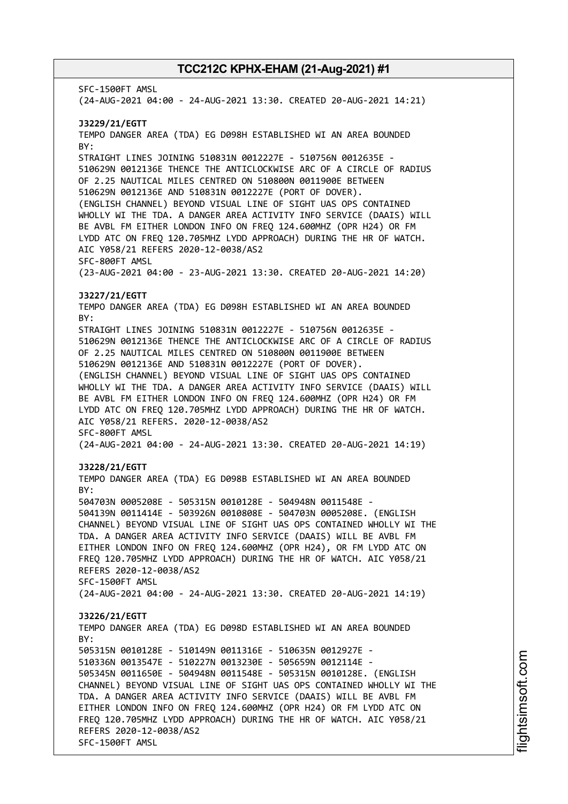SFC-1500FT AMSL (24-AUG-2021 04:00 - 24-AUG-2021 13:30. CREATED 20-AUG-2021 14:21) **J3229/21/EGTT** TEMPO DANGER AREA (TDA) EG D098H ESTABLISHED WI AN AREA BOUNDED BY: STRAIGHT LINES JOINING 510831N 0012227E - 510756N 0012635E - 510629N 0012136E THENCE THE ANTICLOCKWISE ARC OF A CIRCLE OF RADIUS OF 2.25 NAUTICAL MILES CENTRED ON 510800N 0011900E BETWEEN 510629N 0012136E AND 510831N 0012227E (PORT OF DOVER). (ENGLISH CHANNEL) BEYOND VISUAL LINE OF SIGHT UAS OPS CONTAINED WHOLLY WI THE TDA. A DANGER AREA ACTIVITY INFO SERVICE (DAAIS) WILL BE AVBL FM EITHER LONDON INFO ON FREQ 124.600MHZ (OPR H24) OR FM LYDD ATC ON FREQ 120.705MHZ LYDD APPROACH) DURING THE HR OF WATCH. AIC Y058/21 REFERS 2020-12-0038/AS2 SFC-800FT AMSL (23-AUG-2021 04:00 - 23-AUG-2021 13:30. CREATED 20-AUG-2021 14:20) **J3227/21/EGTT** TEMPO DANGER AREA (TDA) EG D098H ESTABLISHED WI AN AREA BOUNDED BY: STRAIGHT LINES JOINING 510831N 0012227E - 510756N 0012635E - 510629N 0012136E THENCE THE ANTICLOCKWISE ARC OF A CIRCLE OF RADIUS OF 2.25 NAUTICAL MILES CENTRED ON 510800N 0011900E BETWEEN 510629N 0012136E AND 510831N 0012227E (PORT OF DOVER). (ENGLISH CHANNEL) BEYOND VISUAL LINE OF SIGHT UAS OPS CONTAINED WHOLLY WI THE TDA. A DANGER AREA ACTIVITY INFO SERVICE (DAAIS) WILL BE AVBL FM EITHER LONDON INFO ON FREQ 124.600MHZ (OPR H24) OR FM LYDD ATC ON FREQ 120.705MHZ LYDD APPROACH) DURING THE HR OF WATCH. AIC Y058/21 REFERS. 2020-12-0038/AS2 SFC-800FT AMSL (24-AUG-2021 04:00 - 24-AUG-2021 13:30. CREATED 20-AUG-2021 14:19) **J3228/21/EGTT** TEMPO DANGER AREA (TDA) EG D098B ESTABLISHED WI AN AREA BOUNDED BY: 504703N 0005208E - 505315N 0010128E - 504948N 0011548E - 504139N 0011414E - 503926N 0010808E - 504703N 0005208E. (ENGLISH CHANNEL) BEYOND VISUAL LINE OF SIGHT UAS OPS CONTAINED WHOLLY WI THE TDA. A DANGER AREA ACTIVITY INFO SERVICE (DAAIS) WILL BE AVBL FM EITHER LONDON INFO ON FREQ 124.600MHZ (OPR H24), OR FM LYDD ATC ON FREQ 120.705MHZ LYDD APPROACH) DURING THE HR OF WATCH. AIC Y058/21 REFERS 2020-12-0038/AS2 SFC-1500FT AMSL (24-AUG-2021 04:00 - 24-AUG-2021 13:30. CREATED 20-AUG-2021 14:19) **J3226/21/EGTT** TEMPO DANGER AREA (TDA) EG D098D ESTABLISHED WI AN AREA BOUNDED  $RY$ 505315N 0010128E - 510149N 0011316E - 510635N 0012927E - 510336N 0013547E - 510227N 0013230E - 505659N 0012114E - 505345N 0011650E - 504948N 0011548E - 505315N 0010128E. (ENGLISH CHANNEL) BEYOND VISUAL LINE OF SIGHT UAS OPS CONTAINED WHOLLY WI THE TDA. A DANGER AREA ACTIVITY INFO SERVICE (DAAIS) WILL BE AVBL FM EITHER LONDON INFO ON FREQ 124.600MHZ (OPR H24) OR FM LYDD ATC ON FREQ 120.705MHZ LYDD APPROACH) DURING THE HR OF WATCH. AIC Y058/21 REFERS 2020-12-0038/AS2 SFC-1500FT AMSL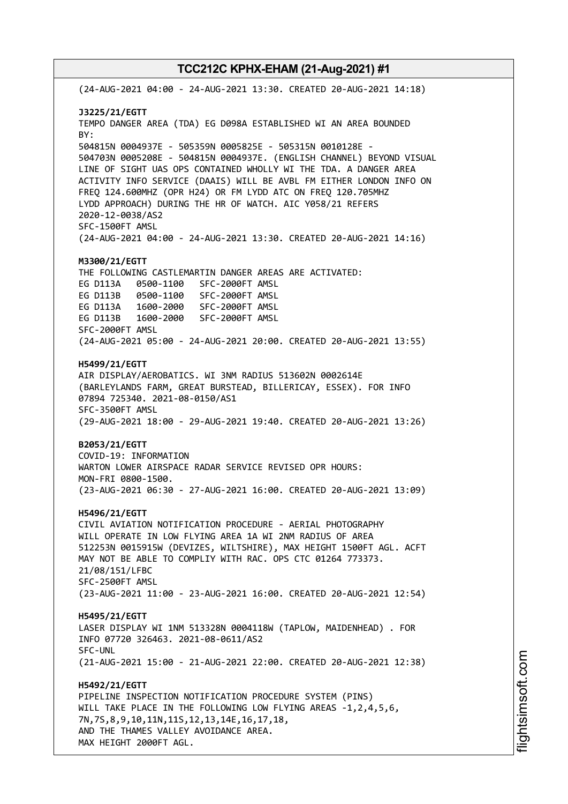(24-AUG-2021 04:00 - 24-AUG-2021 13:30. CREATED 20-AUG-2021 14:18) **J3225/21/EGTT** TEMPO DANGER AREA (TDA) EG D098A ESTABLISHED WI AN AREA BOUNDED BY: 504815N 0004937E - 505359N 0005825E - 505315N 0010128E - 504703N 0005208E - 504815N 0004937E. (ENGLISH CHANNEL) BEYOND VISUAL LINE OF SIGHT UAS OPS CONTAINED WHOLLY WI THE TDA. A DANGER AREA ACTIVITY INFO SERVICE (DAAIS) WILL BE AVBL FM EITHER LONDON INFO ON FREQ 124.600MHZ (OPR H24) OR FM LYDD ATC ON FREQ 120.705MHZ LYDD APPROACH) DURING THE HR OF WATCH. AIC Y058/21 REFERS 2020-12-0038/AS2 SFC-1500FT AMSL (24-AUG-2021 04:00 - 24-AUG-2021 13:30. CREATED 20-AUG-2021 14:16) **M3300/21/EGTT** THE FOLLOWING CASTLEMARTIN DANGER AREAS ARE ACTIVATED: EG D113A 0500-1100 SFC-2000FT AMSL EG D113B 0500-1100 SFC-2000FT AMSL EG D113A 1600-2000 SFC-2000FT AMSL EG D113B 1600-2000 SFC-2000FT AMSL SFC-2000FT AMSL (24-AUG-2021 05:00 - 24-AUG-2021 20:00. CREATED 20-AUG-2021 13:55) **H5499/21/EGTT** AIR DISPLAY/AEROBATICS. WI 3NM RADIUS 513602N 0002614E (BARLEYLANDS FARM, GREAT BURSTEAD, BILLERICAY, ESSEX). FOR INFO 07894 725340. 2021-08-0150/AS1 SFC-3500FT AMSL (29-AUG-2021 18:00 - 29-AUG-2021 19:40. CREATED 20-AUG-2021 13:26) **B2053/21/EGTT** COVID-19: INFORMATION WARTON LOWER AIRSPACE RADAR SERVICE REVISED OPR HOURS: MON-FRI 0800-1500. (23-AUG-2021 06:30 - 27-AUG-2021 16:00. CREATED 20-AUG-2021 13:09) **H5496/21/EGTT** CIVIL AVIATION NOTIFICATION PROCEDURE - AERIAL PHOTOGRAPHY WILL OPERATE IN LOW FLYING AREA 1A WI 2NM RADIUS OF AREA 512253N 0015915W (DEVIZES, WILTSHIRE), MAX HEIGHT 1500FT AGL. ACFT MAY NOT BE ABLE TO COMPLIY WITH RAC. OPS CTC 01264 773373. 21/08/151/LFBC SFC-2500FT AMSL (23-AUG-2021 11:00 - 23-AUG-2021 16:00. CREATED 20-AUG-2021 12:54) **H5495/21/EGTT** LASER DISPLAY WI 1NM 513328N 0004118W (TAPLOW, MAIDENHEAD) . FOR INFO 07720 326463. 2021-08-0611/AS2 SFC-UNL (21-AUG-2021 15:00 - 21-AUG-2021 22:00. CREATED 20-AUG-2021 12:38) **H5492/21/EGTT** PIPELINE INSPECTION NOTIFICATION PROCEDURE SYSTEM (PINS) WILL TAKE PLACE IN THE FOLLOWING LOW FLYING AREAS -1,2,4,5,6, 7N,7S,8,9,10,11N,11S,12,13,14E,16,17,18, AND THE THAMES VALLEY AVOIDANCE AREA. MAX HEIGHT 2000FT AGL.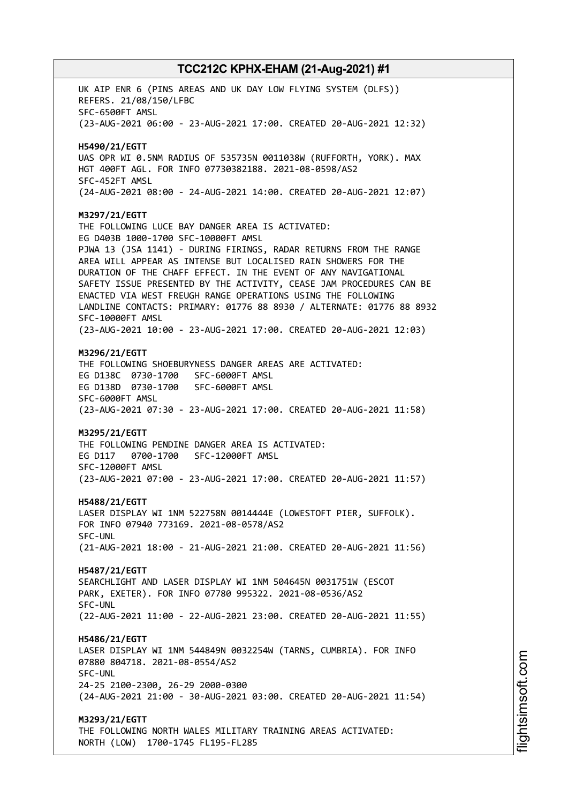UK AIP ENR 6 (PINS AREAS AND UK DAY LOW FLYING SYSTEM (DLFS)) REFERS. 21/08/150/LFBC SFC-6500FT AMSL (23-AUG-2021 06:00 - 23-AUG-2021 17:00. CREATED 20-AUG-2021 12:32) **H5490/21/EGTT** UAS OPR WI 0.5NM RADIUS OF 535735N 0011038W (RUFFORTH, YORK). MAX HGT 400FT AGL. FOR INFO 07730382188. 2021-08-0598/AS2 SFC-452FT AMSL (24-AUG-2021 08:00 - 24-AUG-2021 14:00. CREATED 20-AUG-2021 12:07) **M3297/21/EGTT** THE FOLLOWING LUCE BAY DANGER AREA IS ACTIVATED: EG D403B 1000-1700 SFC-10000FT AMSL PJWA 13 (JSA 1141) - DURING FIRINGS, RADAR RETURNS FROM THE RANGE AREA WILL APPEAR AS INTENSE BUT LOCALISED RAIN SHOWERS FOR THE DURATION OF THE CHAFF EFFECT. IN THE EVENT OF ANY NAVIGATIONAL SAFETY ISSUE PRESENTED BY THE ACTIVITY, CEASE JAM PROCEDURES CAN BE ENACTED VIA WEST FREUGH RANGE OPERATIONS USING THE FOLLOWING LANDLINE CONTACTS: PRIMARY: 01776 88 8930 / ALTERNATE: 01776 88 8932 SFC-10000FT AMSL (23-AUG-2021 10:00 - 23-AUG-2021 17:00. CREATED 20-AUG-2021 12:03) **M3296/21/EGTT** THE FOLLOWING SHOEBURYNESS DANGER AREAS ARE ACTIVATED: EG D138C 0730-1700 SFC-6000FT AMSL EG D138D 0730-1700 SFC-6000FT AMSL SFC-6000FT AMSL (23-AUG-2021 07:30 - 23-AUG-2021 17:00. CREATED 20-AUG-2021 11:58) **M3295/21/EGTT** THE FOLLOWING PENDINE DANGER AREA IS ACTIVATED: EG D117 0700-1700 SFC-12000FT AMSL SFC-12000FT AMSL (23-AUG-2021 07:00 - 23-AUG-2021 17:00. CREATED 20-AUG-2021 11:57) **H5488/21/EGTT** LASER DISPLAY WI 1NM 522758N 0014444E (LOWESTOFT PIER, SUFFOLK). FOR INFO 07940 773169. 2021-08-0578/AS2 SFC-UNL (21-AUG-2021 18:00 - 21-AUG-2021 21:00. CREATED 20-AUG-2021 11:56) **H5487/21/EGTT** SEARCHLIGHT AND LASER DISPLAY WI 1NM 504645N 0031751W (ESCOT PARK, EXETER). FOR INFO 07780 995322. 2021-08-0536/AS2 SFC-UNL (22-AUG-2021 11:00 - 22-AUG-2021 23:00. CREATED 20-AUG-2021 11:55) **H5486/21/EGTT** LASER DISPLAY WI 1NM 544849N 0032254W (TARNS, CUMBRIA). FOR INFO 07880 804718. 2021-08-0554/AS2 SFC-UNL 24-25 2100-2300, 26-29 2000-0300 (24-AUG-2021 21:00 - 30-AUG-2021 03:00. CREATED 20-AUG-2021 11:54) **M3293/21/EGTT** THE FOLLOWING NORTH WALES MILITARY TRAINING AREAS ACTIVATED: NORTH (LOW) 1700-1745 FL195-FL285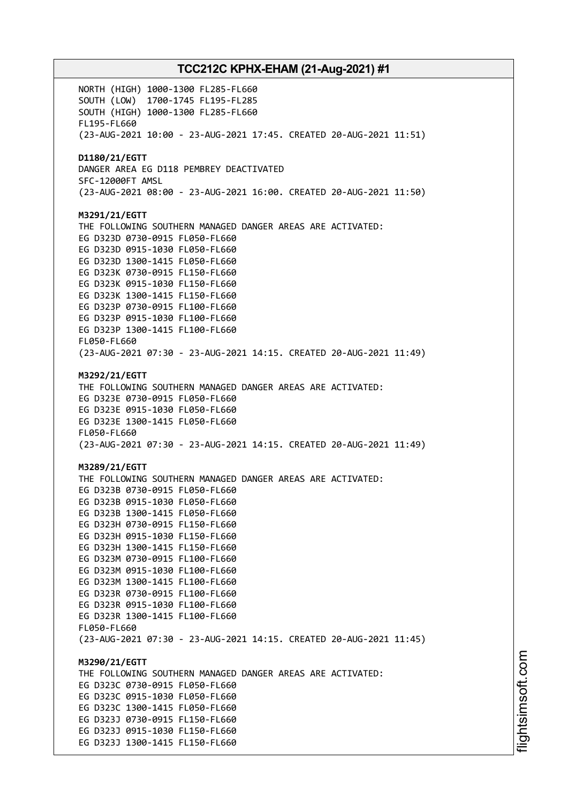NORTH (HIGH) 1000-1300 FL285-FL660 SOUTH (LOW) 1700-1745 FL195-FL285 SOUTH (HIGH) 1000-1300 FL285-FL660 FL195-FL660 (23-AUG-2021 10:00 - 23-AUG-2021 17:45. CREATED 20-AUG-2021 11:51) **D1180/21/EGTT** DANGER AREA EG D118 PEMBREY DEACTIVATED SFC-12000FT AMSL (23-AUG-2021 08:00 - 23-AUG-2021 16:00. CREATED 20-AUG-2021 11:50) **M3291/21/EGTT** THE FOLLOWING SOUTHERN MANAGED DANGER AREAS ARE ACTIVATED: EG D323D 0730-0915 FL050-FL660 EG D323D 0915-1030 FL050-FL660 EG D323D 1300-1415 FL050-FL660 EG D323K 0730-0915 FL150-FL660 EG D323K 0915-1030 FL150-FL660 EG D323K 1300-1415 FL150-FL660 EG D323P 0730-0915 FL100-FL660 EG D323P 0915-1030 FL100-FL660 EG D323P 1300-1415 FL100-FL660 FL050-FL660 (23-AUG-2021 07:30 - 23-AUG-2021 14:15. CREATED 20-AUG-2021 11:49) **M3292/21/EGTT** THE FOLLOWING SOUTHERN MANAGED DANGER AREAS ARE ACTIVATED: EG D323E 0730-0915 FL050-FL660 EG D323E 0915-1030 FL050-FL660 EG D323E 1300-1415 FL050-FL660 FL050-FL660 (23-AUG-2021 07:30 - 23-AUG-2021 14:15. CREATED 20-AUG-2021 11:49) **M3289/21/EGTT** THE FOLLOWING SOUTHERN MANAGED DANGER AREAS ARE ACTIVATED: EG D323B 0730-0915 FL050-FL660 EG D323B 0915-1030 FL050-FL660 EG D323B 1300-1415 FL050-FL660 EG D323H 0730-0915 FL150-FL660 EG D323H 0915-1030 FL150-FL660 EG D323H 1300-1415 FL150-FL660 EG D323M 0730-0915 FL100-FL660 EG D323M 0915-1030 FL100-FL660 EG D323M 1300-1415 FL100-FL660 EG D323R 0730-0915 FL100-FL660 EG D323R 0915-1030 FL100-FL660 EG D323R 1300-1415 FL100-FL660 FL050-FL660 (23-AUG-2021 07:30 - 23-AUG-2021 14:15. CREATED 20-AUG-2021 11:45) **M3290/21/EGTT** THE FOLLOWING SOUTHERN MANAGED DANGER AREAS ARE ACTIVATED: EG D323C 0730-0915 FL050-FL660 EG D323C 0915-1030 FL050-FL660 EG D323C 1300-1415 FL050-FL660 EG D323J 0730-0915 FL150-FL660 EG D323J 0915-1030 FL150-FL660 EG D323J 1300-1415 FL150-FL660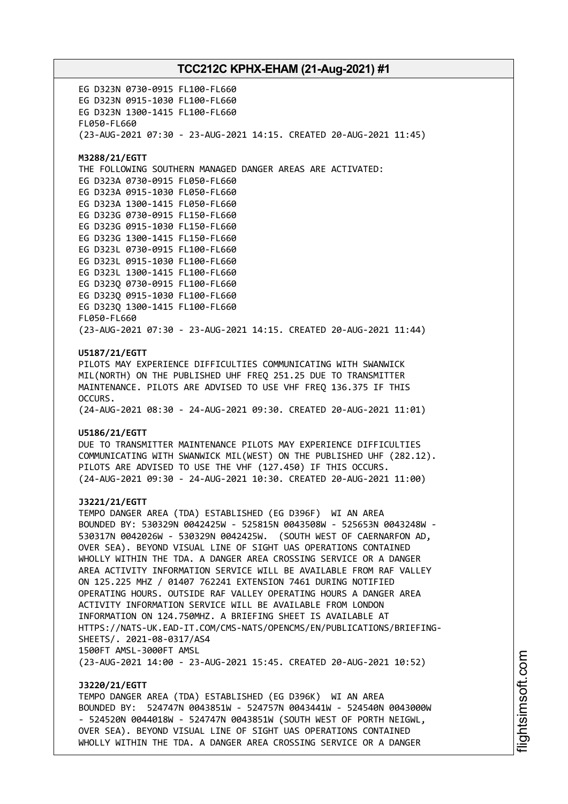EG D323N 0730-0915 FL100-FL660 EG D323N 0915-1030 FL100-FL660 EG D323N 1300-1415 FL100-FL660 FL050-FL660 (23-AUG-2021 07:30 - 23-AUG-2021 14:15. CREATED 20-AUG-2021 11:45) **M3288/21/EGTT** THE FOLLOWING SOUTHERN MANAGED DANGER AREAS ARE ACTIVATED: EG D323A 0730-0915 FL050-FL660 EG D323A 0915-1030 FL050-FL660 EG D323A 1300-1415 FL050-FL660 EG D323G 0730-0915 FL150-FL660 EG D323G 0915-1030 FL150-FL660 EG D323G 1300-1415 FL150-FL660 EG D323L 0730-0915 FL100-FL660 EG D323L 0915-1030 FL100-FL660 EG D323L 1300-1415 FL100-FL660 EG D323Q 0730-0915 FL100-FL660 EG D323Q 0915-1030 FL100-FL660 EG D323Q 1300-1415 FL100-FL660 FL050-FL660 (23-AUG-2021 07:30 - 23-AUG-2021 14:15. CREATED 20-AUG-2021 11:44) **U5187/21/EGTT** PILOTS MAY EXPERIENCE DIFFICULTIES COMMUNICATING WITH SWANWICK MIL(NORTH) ON THE PUBLISHED UHF FREQ 251.25 DUE TO TRANSMITTER MAINTENANCE. PILOTS ARE ADVISED TO USE VHF FREQ 136.375 IF THIS OCCURS. (24-AUG-2021 08:30 - 24-AUG-2021 09:30. CREATED 20-AUG-2021 11:01) **U5186/21/EGTT** DUE TO TRANSMITTER MAINTENANCE PILOTS MAY EXPERIENCE DIFFICULTIES COMMUNICATING WITH SWANWICK MIL(WEST) ON THE PUBLISHED UHF (282.12). PILOTS ARE ADVISED TO USE THE VHF (127.450) IF THIS OCCURS. (24-AUG-2021 09:30 - 24-AUG-2021 10:30. CREATED 20-AUG-2021 11:00) **J3221/21/EGTT** TEMPO DANGER AREA (TDA) ESTABLISHED (EG D396F) WI AN AREA BOUNDED BY: 530329N 0042425W - 525815N 0043508W - 525653N 0043248W - 530317N 0042026W - 530329N 0042425W. (SOUTH WEST OF CAERNARFON AD, OVER SEA). BEYOND VISUAL LINE OF SIGHT UAS OPERATIONS CONTAINED WHOLLY WITHIN THE TDA. A DANGER AREA CROSSING SERVICE OR A DANGER AREA ACTIVITY INFORMATION SERVICE WILL BE AVAILABLE FROM RAF VALLEY ON 125.225 MHZ / 01407 762241 EXTENSION 7461 DURING NOTIFIED OPERATING HOURS. OUTSIDE RAF VALLEY OPERATING HOURS A DANGER AREA ACTIVITY INFORMATION SERVICE WILL BE AVAILABLE FROM LONDON INFORMATION ON 124.750MHZ. A BRIEFING SHEET IS AVAILABLE AT HTTPS://NATS-UK.EAD-IT.COM/CMS-NATS/OPENCMS/EN/PUBLICATIONS/BRIEFING-SHEETS/. 2021-08-0317/AS4 1500FT AMSL-3000FT AMSL (23-AUG-2021 14:00 - 23-AUG-2021 15:45. CREATED 20-AUG-2021 10:52) **J3220/21/EGTT**

TEMPO DANGER AREA (TDA) ESTABLISHED (EG D396K) WI AN AREA BOUNDED BY: 524747N 0043851W - 524757N 0043441W - 524540N 0043000W - 524520N 0044018W - 524747N 0043851W (SOUTH WEST OF PORTH NEIGWL, OVER SEA). BEYOND VISUAL LINE OF SIGHT UAS OPERATIONS CONTAINED WHOLLY WITHIN THE TDA. A DANGER AREA CROSSING SERVICE OR A DANGER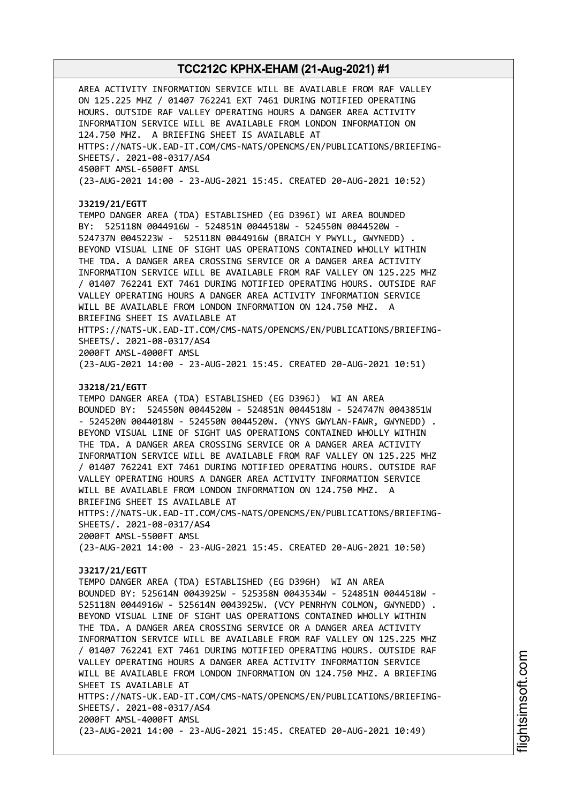AREA ACTIVITY INFORMATION SERVICE WILL BE AVAILABLE FROM RAF VALLEY ON 125.225 MHZ / 01407 762241 EXT 7461 DURING NOTIFIED OPERATING HOURS. OUTSIDE RAF VALLEY OPERATING HOURS A DANGER AREA ACTIVITY INFORMATION SERVICE WILL BE AVAILABLE FROM LONDON INFORMATION ON 124.750 MHZ. A BRIEFING SHEET IS AVAILABLE AT HTTPS://NATS-UK.EAD-IT.COM/CMS-NATS/OPENCMS/EN/PUBLICATIONS/BRIEFING-SHEETS/. 2021-08-0317/AS4 4500FT AMSL-6500FT AMSL (23-AUG-2021 14:00 - 23-AUG-2021 15:45. CREATED 20-AUG-2021 10:52) **J3219/21/EGTT** TEMPO DANGER AREA (TDA) ESTABLISHED (EG D396I) WI AREA BOUNDED BY: 525118N 0044916W - 524851N 0044518W - 524550N 0044520W - 524737N 0045223W - 525118N 0044916W (BRAICH Y PWYLL, GWYNEDD) . BEYOND VISUAL LINE OF SIGHT UAS OPERATIONS CONTAINED WHOLLY WITHIN THE TDA. A DANGER AREA CROSSING SERVICE OR A DANGER AREA ACTIVITY INFORMATION SERVICE WILL BE AVAILABLE FROM RAF VALLEY ON 125.225 MHZ / 01407 762241 EXT 7461 DURING NOTIFIED OPERATING HOURS. OUTSIDE RAF VALLEY OPERATING HOURS A DANGER AREA ACTIVITY INFORMATION SERVICE WILL BE AVAILABLE FROM LONDON INFORMATION ON 124.750 MHZ. A BRIEFING SHEET IS AVAILABLE AT HTTPS://NATS-UK.EAD-IT.COM/CMS-NATS/OPENCMS/EN/PUBLICATIONS/BRIEFING-SHEETS/. 2021-08-0317/AS4 2000FT AMSL-4000FT AMSL (23-AUG-2021 14:00 - 23-AUG-2021 15:45. CREATED 20-AUG-2021 10:51) **J3218/21/EGTT** TEMPO DANGER AREA (TDA) ESTABLISHED (EG D396J) WI AN AREA BOUNDED BY: 524550N 0044520W - 524851N 0044518W - 524747N 0043851W - 524520N 0044018W - 524550N 0044520W. (YNYS GWYLAN-FAWR, GWYNEDD) . BEYOND VISUAL LINE OF SIGHT UAS OPERATIONS CONTAINED WHOLLY WITHIN THE TDA. A DANGER AREA CROSSING SERVICE OR A DANGER AREA ACTIVITY INFORMATION SERVICE WILL BE AVAILABLE FROM RAF VALLEY ON 125.225 MHZ / 01407 762241 EXT 7461 DURING NOTIFIED OPERATING HOURS. OUTSIDE RAF VALLEY OPERATING HOURS A DANGER AREA ACTIVITY INFORMATION SERVICE WILL BE AVAILABLE FROM LONDON INFORMATION ON 124.750 MHZ. A BRIEFING SHEET IS AVAILABLE AT HTTPS://NATS-UK.EAD-IT.COM/CMS-NATS/OPENCMS/EN/PUBLICATIONS/BRIEFING-SHEETS/. 2021-08-0317/AS4 2000FT AMSL-5500FT AMSL (23-AUG-2021 14:00 - 23-AUG-2021 15:45. CREATED 20-AUG-2021 10:50) **J3217/21/EGTT** TEMPO DANGER AREA (TDA) ESTABLISHED (EG D396H) WI AN AREA BOUNDED BY: 525614N 0043925W - 525358N 0043534W - 524851N 0044518W - 525118N 0044916W - 525614N 0043925W. (VCY PENRHYN COLMON, GWYNEDD) . BEYOND VISUAL LINE OF SIGHT UAS OPERATIONS CONTAINED WHOLLY WITHIN THE TDA. A DANGER AREA CROSSING SERVICE OR A DANGER AREA ACTIVITY INFORMATION SERVICE WILL BE AVAILABLE FROM RAF VALLEY ON 125.225 MHZ / 01407 762241 EXT 7461 DURING NOTIFIED OPERATING HOURS. OUTSIDE RAF VALLEY OPERATING HOURS A DANGER AREA ACTIVITY INFORMATION SERVICE WILL BE AVAILABLE FROM LONDON INFORMATION ON 124.750 MHZ. A BRIEFING SHEET IS AVAILABLE AT HTTPS://NATS-UK.EAD-IT.COM/CMS-NATS/OPENCMS/EN/PUBLICATIONS/BRIEFING-SHEETS/. 2021-08-0317/AS4 2000FT AMSL-4000FT AMSL (23-AUG-2021 14:00 - 23-AUG-2021 15:45. CREATED 20-AUG-2021 10:49)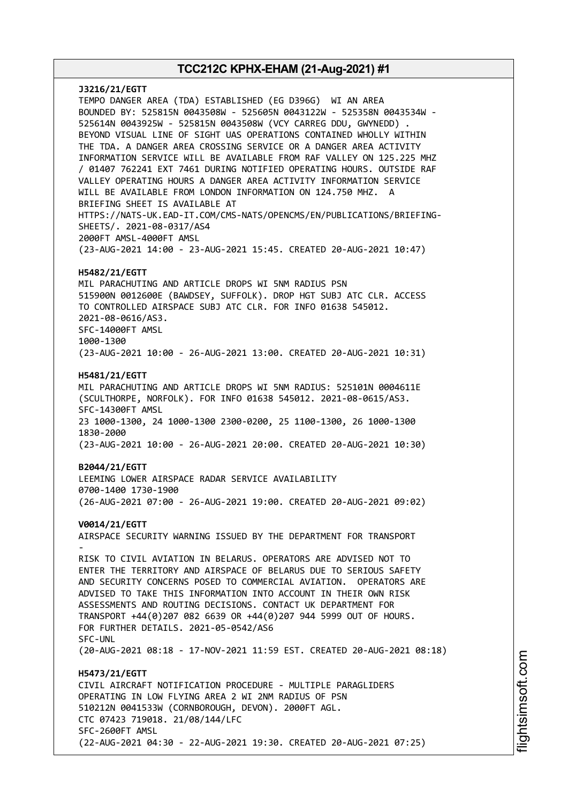**J3216/21/EGTT** TEMPO DANGER AREA (TDA) ESTABLISHED (EG D396G) WI AN AREA BOUNDED BY: 525815N 0043508W - 525605N 0043122W - 525358N 0043534W - 525614N 0043925W - 525815N 0043508W (VCY CARREG DDU, GWYNEDD) . BEYOND VISUAL LINE OF SIGHT UAS OPERATIONS CONTAINED WHOLLY WITHIN THE TDA. A DANGER AREA CROSSING SERVICE OR A DANGER AREA ACTIVITY INFORMATION SERVICE WILL BE AVAILABLE FROM RAF VALLEY ON 125.225 MHZ / 01407 762241 EXT 7461 DURING NOTIFIED OPERATING HOURS. OUTSIDE RAF VALLEY OPERATING HOURS A DANGER AREA ACTIVITY INFORMATION SERVICE WILL BE AVAILABLE FROM LONDON INFORMATION ON 124.750 MHZ. A BRIEFING SHEET IS AVAILABLE AT HTTPS://NATS-UK.EAD-IT.COM/CMS-NATS/OPENCMS/EN/PUBLICATIONS/BRIEFING-SHEETS/. 2021-08-0317/AS4 2000FT AMSL-4000FT AMSL (23-AUG-2021 14:00 - 23-AUG-2021 15:45. CREATED 20-AUG-2021 10:47) **H5482/21/EGTT** MIL PARACHUTING AND ARTICLE DROPS WI 5NM RADIUS PSN 515900N 0012600E (BAWDSEY, SUFFOLK). DROP HGT SUBJ ATC CLR. ACCESS TO CONTROLLED AIRSPACE SUBJ ATC CLR. FOR INFO 01638 545012. 2021-08-0616/AS3. SFC-14000FT AMSL 1000-1300 (23-AUG-2021 10:00 - 26-AUG-2021 13:00. CREATED 20-AUG-2021 10:31) **H5481/21/EGTT** MIL PARACHUTING AND ARTICLE DROPS WI 5NM RADIUS: 525101N 0004611E (SCULTHORPE, NORFOLK). FOR INFO 01638 545012. 2021-08-0615/AS3. SFC-14300FT AMSL 23 1000-1300, 24 1000-1300 2300-0200, 25 1100-1300, 26 1000-1300 1830-2000 (23-AUG-2021 10:00 - 26-AUG-2021 20:00. CREATED 20-AUG-2021 10:30) **B2044/21/EGTT** LEEMING LOWER AIRSPACE RADAR SERVICE AVAILABILITY 0700-1400 1730-1900 (26-AUG-2021 07:00 - 26-AUG-2021 19:00. CREATED 20-AUG-2021 09:02) **V0014/21/EGTT** AIRSPACE SECURITY WARNING ISSUED BY THE DEPARTMENT FOR TRANSPORT - RISK TO CIVIL AVIATION IN BELARUS. OPERATORS ARE ADVISED NOT TO ENTER THE TERRITORY AND AIRSPACE OF BELARUS DUE TO SERIOUS SAFETY AND SECURITY CONCERNS POSED TO COMMERCIAL AVIATION. OPERATORS ARE ADVISED TO TAKE THIS INFORMATION INTO ACCOUNT IN THEIR OWN RISK ASSESSMENTS AND ROUTING DECISIONS. CONTACT UK DEPARTMENT FOR TRANSPORT +44(0)207 082 6639 OR +44(0)207 944 5999 OUT OF HOURS. FOR FURTHER DETAILS. 2021-05-0542/AS6 SFC-UNL (20-AUG-2021 08:18 - 17-NOV-2021 11:59 EST. CREATED 20-AUG-2021 08:18) **H5473/21/EGTT** CIVIL AIRCRAFT NOTIFICATION PROCEDURE - MULTIPLE PARAGLIDERS OPERATING IN LOW FLYING AREA 2 WI 2NM RADIUS OF PSN 510212N 0041533W (CORNBOROUGH, DEVON). 2000FT AGL. CTC 07423 719018. 21/08/144/LFC SFC-2600FT AMSL (22-AUG-2021 04:30 - 22-AUG-2021 19:30. CREATED 20-AUG-2021 07:25)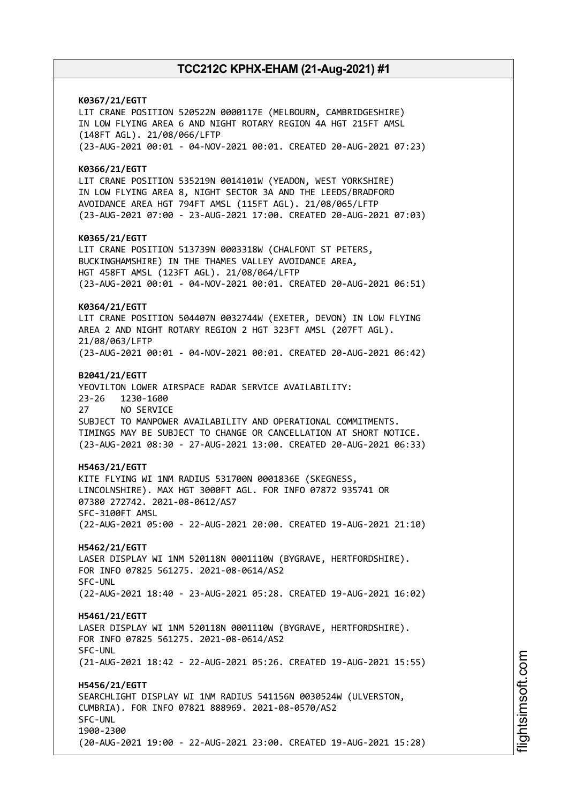**K0367/21/EGTT** LIT CRANE POSITION 520522N 0000117E (MELBOURN, CAMBRIDGESHIRE) IN LOW FLYING AREA 6 AND NIGHT ROTARY REGION 4A HGT 215FT AMSL (148FT AGL). 21/08/066/LFTP (23-AUG-2021 00:01 - 04-NOV-2021 00:01. CREATED 20-AUG-2021 07:23) **K0366/21/EGTT** LIT CRANE POSITION 535219N 0014101W (YEADON, WEST YORKSHIRE) IN LOW FLYING AREA 8, NIGHT SECTOR 3A AND THE LEEDS/BRADFORD AVOIDANCE AREA HGT 794FT AMSL (115FT AGL). 21/08/065/LFTP (23-AUG-2021 07:00 - 23-AUG-2021 17:00. CREATED 20-AUG-2021 07:03) **K0365/21/EGTT** LIT CRANE POSITION 513739N 0003318W (CHALFONT ST PETERS, BUCKINGHAMSHIRE) IN THE THAMES VALLEY AVOIDANCE AREA, HGT 458FT AMSL (123FT AGL). 21/08/064/LFTP (23-AUG-2021 00:01 - 04-NOV-2021 00:01. CREATED 20-AUG-2021 06:51) **K0364/21/EGTT** LIT CRANE POSITION 504407N 0032744W (EXETER, DEVON) IN LOW FLYING AREA 2 AND NIGHT ROTARY REGION 2 HGT 323FT AMSL (207FT AGL). 21/08/063/LFTP (23-AUG-2021 00:01 - 04-NOV-2021 00:01. CREATED 20-AUG-2021 06:42) **B2041/21/EGTT** YEOVILTON LOWER AIRSPACE RADAR SERVICE AVAILABILITY: 23-26 1230-1600 27 NO SERVICE SUBJECT TO MANPOWER AVAILABILITY AND OPERATIONAL COMMITMENTS. TIMINGS MAY BE SUBJECT TO CHANGE OR CANCELLATION AT SHORT NOTICE. (23-AUG-2021 08:30 - 27-AUG-2021 13:00. CREATED 20-AUG-2021 06:33) **H5463/21/EGTT** KITE FLYING WI 1NM RADIUS 531700N 0001836E (SKEGNESS, LINCOLNSHIRE). MAX HGT 3000FT AGL. FOR INFO 07872 935741 OR 07380 272742. 2021-08-0612/AS7 SFC-3100FT AMSL (22-AUG-2021 05:00 - 22-AUG-2021 20:00. CREATED 19-AUG-2021 21:10) **H5462/21/EGTT** LASER DISPLAY WI 1NM 520118N 0001110W (BYGRAVE, HERTFORDSHIRE). FOR INFO 07825 561275. 2021-08-0614/AS2 SFC-UNL (22-AUG-2021 18:40 - 23-AUG-2021 05:28. CREATED 19-AUG-2021 16:02) **H5461/21/EGTT** LASER DISPLAY WI 1NM 520118N 0001110W (BYGRAVE, HERTFORDSHIRE). FOR INFO 07825 561275. 2021-08-0614/AS2 SFC-UNL (21-AUG-2021 18:42 - 22-AUG-2021 05:26. CREATED 19-AUG-2021 15:55) **H5456/21/EGTT** SEARCHLIGHT DISPLAY WI 1NM RADIUS 541156N 0030524W (ULVERSTON, CUMBRIA). FOR INFO 07821 888969. 2021-08-0570/AS2 SFC-UNL 1900-2300 (20-AUG-2021 19:00 - 22-AUG-2021 23:00. CREATED 19-AUG-2021 15:28)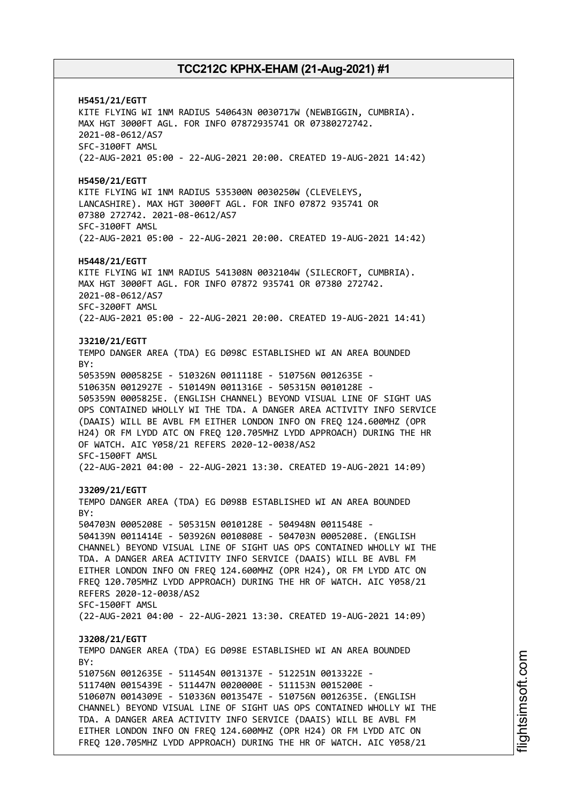**H5451/21/EGTT** KITE FLYING WI 1NM RADIUS 540643N 0030717W (NEWBIGGIN, CUMBRIA). MAX HGT 3000FT AGL. FOR INFO 07872935741 OR 07380272742. 2021-08-0612/AS7 SFC-3100FT AMSL (22-AUG-2021 05:00 - 22-AUG-2021 20:00. CREATED 19-AUG-2021 14:42) **H5450/21/EGTT** KITE FLYING WI 1NM RADIUS 535300N 0030250W (CLEVELEYS, LANCASHIRE). MAX HGT 3000FT AGL. FOR INFO 07872 935741 OR 07380 272742. 2021-08-0612/AS7 SFC-3100FT AMSL (22-AUG-2021 05:00 - 22-AUG-2021 20:00. CREATED 19-AUG-2021 14:42) **H5448/21/EGTT** KITE FLYING WI 1NM RADIUS 541308N 0032104W (SILECROFT, CUMBRIA). MAX HGT 3000FT AGL. FOR INFO 07872 935741 OR 07380 272742. 2021-08-0612/AS7 SFC-3200FT AMSL (22-AUG-2021 05:00 - 22-AUG-2021 20:00. CREATED 19-AUG-2021 14:41) **J3210/21/EGTT** TEMPO DANGER AREA (TDA) EG D098C ESTABLISHED WI AN AREA BOUNDED BY: 505359N 0005825E - 510326N 0011118E - 510756N 0012635E - 510635N 0012927E - 510149N 0011316E - 505315N 0010128E - 505359N 0005825E. (ENGLISH CHANNEL) BEYOND VISUAL LINE OF SIGHT UAS OPS CONTAINED WHOLLY WI THE TDA. A DANGER AREA ACTIVITY INFO SERVICE (DAAIS) WILL BE AVBL FM EITHER LONDON INFO ON FREQ 124.600MHZ (OPR H24) OR FM LYDD ATC ON FREQ 120.705MHZ LYDD APPROACH) DURING THE HR OF WATCH. AIC Y058/21 REFERS 2020-12-0038/AS2 SFC-1500FT AMSL (22-AUG-2021 04:00 - 22-AUG-2021 13:30. CREATED 19-AUG-2021 14:09) **J3209/21/EGTT** TEMPO DANGER AREA (TDA) EG D098B ESTABLISHED WI AN AREA BOUNDED BY: 504703N 0005208E - 505315N 0010128E - 504948N 0011548E - 504139N 0011414E - 503926N 0010808E - 504703N 0005208E. (ENGLISH CHANNEL) BEYOND VISUAL LINE OF SIGHT UAS OPS CONTAINED WHOLLY WI THE TDA. A DANGER AREA ACTIVITY INFO SERVICE (DAAIS) WILL BE AVBL FM EITHER LONDON INFO ON FREQ 124.600MHZ (OPR H24), OR FM LYDD ATC ON FREQ 120.705MHZ LYDD APPROACH) DURING THE HR OF WATCH. AIC Y058/21 REFERS 2020-12-0038/AS2 SFC-1500FT AMSL (22-AUG-2021 04:00 - 22-AUG-2021 13:30. CREATED 19-AUG-2021 14:09) **J3208/21/EGTT** TEMPO DANGER AREA (TDA) EG D098E ESTABLISHED WI AN AREA BOUNDED  $RY$ 510756N 0012635E - 511454N 0013137E - 512251N 0013322E - 511740N 0015439E - 511447N 0020000E - 511153N 0015200E - 510607N 0014309E - 510336N 0013547E - 510756N 0012635E. (ENGLISH CHANNEL) BEYOND VISUAL LINE OF SIGHT UAS OPS CONTAINED WHOLLY WI THE TDA. A DANGER AREA ACTIVITY INFO SERVICE (DAAIS) WILL BE AVBL FM EITHER LONDON INFO ON FREQ 124.600MHZ (OPR H24) OR FM LYDD ATC ON FREQ 120.705MHZ LYDD APPROACH) DURING THE HR OF WATCH. AIC Y058/21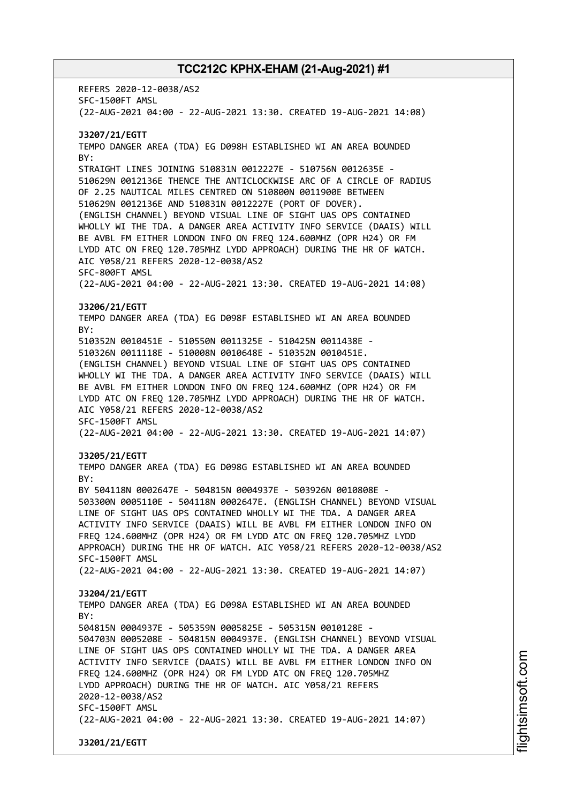REFERS 2020-12-0038/AS2 SFC-1500FT AMSL (22-AUG-2021 04:00 - 22-AUG-2021 13:30. CREATED 19-AUG-2021 14:08) **J3207/21/EGTT** TEMPO DANGER AREA (TDA) EG D098H ESTABLISHED WI AN AREA BOUNDED BY: STRAIGHT LINES JOINING 510831N 0012227E - 510756N 0012635E - 510629N 0012136E THENCE THE ANTICLOCKWISE ARC OF A CIRCLE OF RADIUS OF 2.25 NAUTICAL MILES CENTRED ON 510800N 0011900E BETWEEN 510629N 0012136E AND 510831N 0012227E (PORT OF DOVER). (ENGLISH CHANNEL) BEYOND VISUAL LINE OF SIGHT UAS OPS CONTAINED WHOLLY WI THE TDA. A DANGER AREA ACTIVITY INFO SERVICE (DAAIS) WILL BE AVBL FM EITHER LONDON INFO ON FREQ 124.600MHZ (OPR H24) OR FM LYDD ATC ON FREQ 120.705MHZ LYDD APPROACH) DURING THE HR OF WATCH. AIC Y058/21 REFERS 2020-12-0038/AS2 SFC-800FT AMSL (22-AUG-2021 04:00 - 22-AUG-2021 13:30. CREATED 19-AUG-2021 14:08) **J3206/21/EGTT** TEMPO DANGER AREA (TDA) EG D098F ESTABLISHED WI AN AREA BOUNDED BY: 510352N 0010451E - 510550N 0011325E - 510425N 0011438E - 510326N 0011118E - 510008N 0010648E - 510352N 0010451E. (ENGLISH CHANNEL) BEYOND VISUAL LINE OF SIGHT UAS OPS CONTAINED WHOLLY WI THE TDA. A DANGER AREA ACTIVITY INFO SERVICE (DAAIS) WILL BE AVBL FM EITHER LONDON INFO ON FREQ 124.600MHZ (OPR H24) OR FM LYDD ATC ON FREQ 120.705MHZ LYDD APPROACH) DURING THE HR OF WATCH. AIC Y058/21 REFERS 2020-12-0038/AS2 SFC-1500FT AMSL (22-AUG-2021 04:00 - 22-AUG-2021 13:30. CREATED 19-AUG-2021 14:07) **J3205/21/EGTT** TEMPO DANGER AREA (TDA) EG D098G ESTABLISHED WI AN AREA BOUNDED BY: BY 504118N 0002647E - 504815N 0004937E - 503926N 0010808E - 503300N 0005110E - 504118N 0002647E. (ENGLISH CHANNEL) BEYOND VISUAL LINE OF SIGHT UAS OPS CONTAINED WHOLLY WI THE TDA. A DANGER AREA ACTIVITY INFO SERVICE (DAAIS) WILL BE AVBL FM EITHER LONDON INFO ON FREQ 124.600MHZ (OPR H24) OR FM LYDD ATC ON FREQ 120.705MHZ LYDD APPROACH) DURING THE HR OF WATCH. AIC Y058/21 REFERS 2020-12-0038/AS2 SFC-1500FT AMSL (22-AUG-2021 04:00 - 22-AUG-2021 13:30. CREATED 19-AUG-2021 14:07) **J3204/21/EGTT** TEMPO DANGER AREA (TDA) EG D098A ESTABLISHED WI AN AREA BOUNDED  $RY$ 504815N 0004937E - 505359N 0005825E - 505315N 0010128E - 504703N 0005208E - 504815N 0004937E. (ENGLISH CHANNEL) BEYOND VISUAL LINE OF SIGHT UAS OPS CONTAINED WHOLLY WI THE TDA. A DANGER AREA ACTIVITY INFO SERVICE (DAAIS) WILL BE AVBL FM EITHER LONDON INFO ON FREQ 124.600MHZ (OPR H24) OR FM LYDD ATC ON FREQ 120.705MHZ LYDD APPROACH) DURING THE HR OF WATCH. AIC Y058/21 REFERS 2020-12-0038/AS2 SFC-1500FT AMSL (22-AUG-2021 04:00 - 22-AUG-2021 13:30. CREATED 19-AUG-2021 14:07) **J3201/21/EGTT**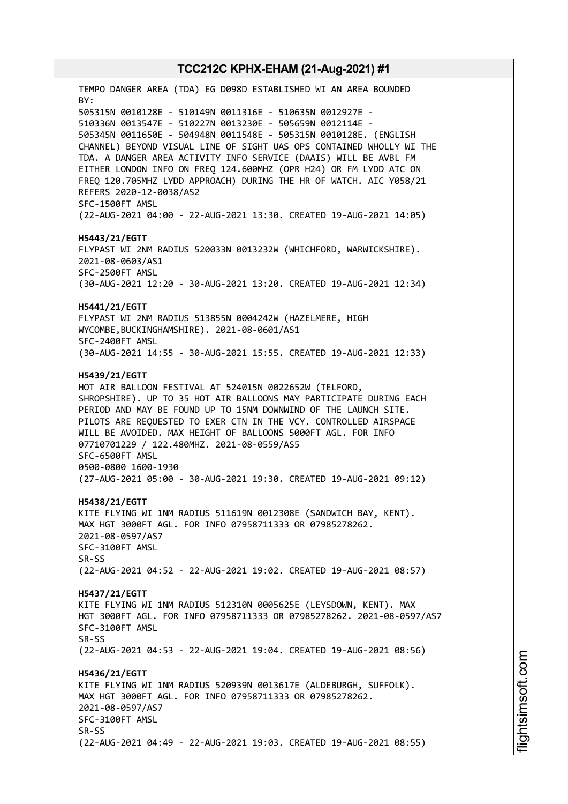TEMPO DANGER AREA (TDA) EG D098D ESTABLISHED WI AN AREA BOUNDED BY: 505315N 0010128E - 510149N 0011316E - 510635N 0012927E - 510336N 0013547E - 510227N 0013230E - 505659N 0012114E - 505345N 0011650E - 504948N 0011548E - 505315N 0010128E. (ENGLISH CHANNEL) BEYOND VISUAL LINE OF SIGHT UAS OPS CONTAINED WHOLLY WI THE TDA. A DANGER AREA ACTIVITY INFO SERVICE (DAAIS) WILL BE AVBL FM EITHER LONDON INFO ON FREQ 124.600MHZ (OPR H24) OR FM LYDD ATC ON FREQ 120.705MHZ LYDD APPROACH) DURING THE HR OF WATCH. AIC Y058/21 REFERS 2020-12-0038/AS2 SFC-1500FT AMSL (22-AUG-2021 04:00 - 22-AUG-2021 13:30. CREATED 19-AUG-2021 14:05) **H5443/21/EGTT** FLYPAST WI 2NM RADIUS 520033N 0013232W (WHICHFORD, WARWICKSHIRE). 2021-08-0603/AS1 SFC-2500FT AMSL (30-AUG-2021 12:20 - 30-AUG-2021 13:20. CREATED 19-AUG-2021 12:34) **H5441/21/EGTT** FLYPAST WI 2NM RADIUS 513855N 0004242W (HAZELMERE, HIGH WYCOMBE,BUCKINGHAMSHIRE). 2021-08-0601/AS1 SFC-2400FT AMSL (30-AUG-2021 14:55 - 30-AUG-2021 15:55. CREATED 19-AUG-2021 12:33) **H5439/21/EGTT** HOT AIR BALLOON FESTIVAL AT 524015N 0022652W (TELFORD, SHROPSHIRE). UP TO 35 HOT AIR BALLOONS MAY PARTICIPATE DURING EACH PERIOD AND MAY BE FOUND UP TO 15NM DOWNWIND OF THE LAUNCH SITE. PILOTS ARE REQUESTED TO EXER CTN IN THE VCY. CONTROLLED AIRSPACE WILL BE AVOIDED. MAX HEIGHT OF BALLOONS 5000FT AGL. FOR INFO 07710701229 / 122.480MHZ. 2021-08-0559/AS5 SFC-6500FT AMSL 0500-0800 1600-1930 (27-AUG-2021 05:00 - 30-AUG-2021 19:30. CREATED 19-AUG-2021 09:12) **H5438/21/EGTT** KITE FLYING WI 1NM RADIUS 511619N 0012308E (SANDWICH BAY, KENT). MAX HGT 3000FT AGL. FOR INFO 07958711333 OR 07985278262. 2021-08-0597/AS7 SFC-3100FT AMSL SR-SS (22-AUG-2021 04:52 - 22-AUG-2021 19:02. CREATED 19-AUG-2021 08:57) **H5437/21/EGTT** KITE FLYING WI 1NM RADIUS 512310N 0005625E (LEYSDOWN, KENT). MAX HGT 3000FT AGL. FOR INFO 07958711333 OR 07985278262. 2021-08-0597/AS7 SFC-3100FT AMSL SR-SS (22-AUG-2021 04:53 - 22-AUG-2021 19:04. CREATED 19-AUG-2021 08:56) **H5436/21/EGTT** KITE FLYING WI 1NM RADIUS 520939N 0013617E (ALDEBURGH, SUFFOLK). MAX HGT 3000FT AGL. FOR INFO 07958711333 OR 07985278262. 2021-08-0597/AS7 SFC-3100FT AMSL SR-SS (22-AUG-2021 04:49 - 22-AUG-2021 19:03. CREATED 19-AUG-2021 08:55)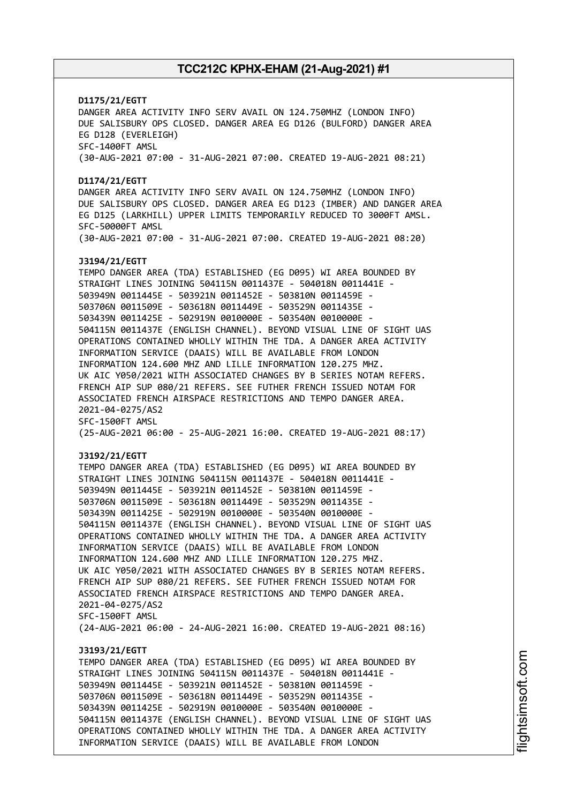## **D1175/21/EGTT** DANGER AREA ACTIVITY INFO SERV AVAIL ON 124.750MHZ (LONDON INFO) DUE SALISBURY OPS CLOSED. DANGER AREA EG D126 (BULFORD) DANGER AREA EG D128 (EVERLEIGH) SFC-1400FT AMSL (30-AUG-2021 07:00 - 31-AUG-2021 07:00. CREATED 19-AUG-2021 08:21) **D1174/21/EGTT** DANGER AREA ACTIVITY INFO SERV AVAIL ON 124.750MHZ (LONDON INFO) DUE SALISBURY OPS CLOSED. DANGER AREA EG D123 (IMBER) AND DANGER AREA EG D125 (LARKHILL) UPPER LIMITS TEMPORARILY REDUCED TO 3000FT AMSL. SFC-50000FT AMSL (30-AUG-2021 07:00 - 31-AUG-2021 07:00. CREATED 19-AUG-2021 08:20) **J3194/21/EGTT** TEMPO DANGER AREA (TDA) ESTABLISHED (EG D095) WI AREA BOUNDED BY STRAIGHT LINES JOINING 504115N 0011437E - 504018N 0011441E - 503949N 0011445E - 503921N 0011452E - 503810N 0011459E - 503706N 0011509E - 503618N 0011449E - 503529N 0011435E - 503439N 0011425E - 502919N 0010000E - 503540N 0010000E - 504115N 0011437E (ENGLISH CHANNEL). BEYOND VISUAL LINE OF SIGHT UAS OPERATIONS CONTAINED WHOLLY WITHIN THE TDA. A DANGER AREA ACTIVITY INFORMATION SERVICE (DAAIS) WILL BE AVAILABLE FROM LONDON INFORMATION 124.600 MHZ AND LILLE INFORMATION 120.275 MHZ. UK AIC Y050/2021 WITH ASSOCIATED CHANGES BY B SERIES NOTAM REFERS. FRENCH AIP SUP 080/21 REFERS. SEE FUTHER FRENCH ISSUED NOTAM FOR ASSOCIATED FRENCH AIRSPACE RESTRICTIONS AND TEMPO DANGER AREA. 2021-04-0275/AS2 SFC-1500FT AMSL (25-AUG-2021 06:00 - 25-AUG-2021 16:00. CREATED 19-AUG-2021 08:17) **J3192/21/EGTT** TEMPO DANGER AREA (TDA) ESTABLISHED (EG D095) WI AREA BOUNDED BY STRAIGHT LINES JOINING 504115N 0011437E - 504018N 0011441E - 503949N 0011445E - 503921N 0011452E - 503810N 0011459E - 503706N 0011509E - 503618N 0011449E - 503529N 0011435E - 503439N 0011425E - 502919N 0010000E - 503540N 0010000E - 504115N 0011437E (ENGLISH CHANNEL). BEYOND VISUAL LINE OF SIGHT UAS OPERATIONS CONTAINED WHOLLY WITHIN THE TDA. A DANGER AREA ACTIVITY INFORMATION SERVICE (DAAIS) WILL BE AVAILABLE FROM LONDON INFORMATION 124.600 MHZ AND LILLE INFORMATION 120.275 MHZ. UK AIC Y050/2021 WITH ASSOCIATED CHANGES BY B SERIES NOTAM REFERS. FRENCH AIP SUP 080/21 REFERS. SEE FUTHER FRENCH ISSUED NOTAM FOR ASSOCIATED FRENCH AIRSPACE RESTRICTIONS AND TEMPO DANGER AREA. 2021-04-0275/AS2 SFC-1500FT AMSL (24-AUG-2021 06:00 - 24-AUG-2021 16:00. CREATED 19-AUG-2021 08:16) **J3193/21/EGTT** TEMPO DANGER AREA (TDA) ESTABLISHED (EG D095) WI AREA BOUNDED BY STRAIGHT LINES JOINING 504115N 0011437E - 504018N 0011441E - 503949N 0011445E - 503921N 0011452E - 503810N 0011459E - 503706N 0011509E - 503618N 0011449E - 503529N 0011435E - 503439N 0011425E - 502919N 0010000E - 503540N 0010000E - 504115N 0011437E (ENGLISH CHANNEL). BEYOND VISUAL LINE OF SIGHT UAS OPERATIONS CONTAINED WHOLLY WITHIN THE TDA. A DANGER AREA ACTIVITY INFORMATION SERVICE (DAAIS) WILL BE AVAILABLE FROM LONDON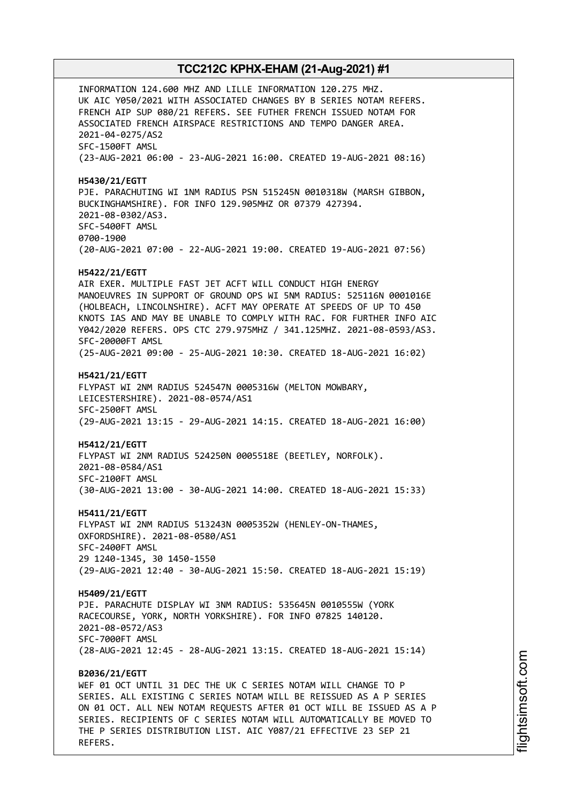INFORMATION 124.600 MHZ AND LILLE INFORMATION 120.275 MHZ. UK AIC Y050/2021 WITH ASSOCIATED CHANGES BY B SERIES NOTAM REFERS. FRENCH AIP SUP 080/21 REFERS. SEE FUTHER FRENCH ISSUED NOTAM FOR ASSOCIATED FRENCH AIRSPACE RESTRICTIONS AND TEMPO DANGER AREA. 2021-04-0275/AS2 SFC-1500FT AMSL (23-AUG-2021 06:00 - 23-AUG-2021 16:00. CREATED 19-AUG-2021 08:16) **H5430/21/EGTT** PJE. PARACHUTING WI 1NM RADIUS PSN 515245N 0010318W (MARSH GIBBON, BUCKINGHAMSHIRE). FOR INFO 129.905MHZ OR 07379 427394. 2021-08-0302/AS3. SFC-5400FT AMSL 0700-1900 (20-AUG-2021 07:00 - 22-AUG-2021 19:00. CREATED 19-AUG-2021 07:56) **H5422/21/EGTT** AIR EXER. MULTIPLE FAST JET ACFT WILL CONDUCT HIGH ENERGY MANOEUVRES IN SUPPORT OF GROUND OPS WI 5NM RADIUS: 525116N 0001016E (HOLBEACH, LINCOLNSHIRE). ACFT MAY OPERATE AT SPEEDS OF UP TO 450 KNOTS IAS AND MAY BE UNABLE TO COMPLY WITH RAC. FOR FURTHER INFO AIC Y042/2020 REFERS. OPS CTC 279.975MHZ / 341.125MHZ. 2021-08-0593/AS3. SFC-20000FT AMSL (25-AUG-2021 09:00 - 25-AUG-2021 10:30. CREATED 18-AUG-2021 16:02) **H5421/21/EGTT** FLYPAST WI 2NM RADIUS 524547N 0005316W (MELTON MOWBARY, LEICESTERSHIRE). 2021-08-0574/AS1 SFC-2500FT AMSL (29-AUG-2021 13:15 - 29-AUG-2021 14:15. CREATED 18-AUG-2021 16:00) **H5412/21/EGTT** FLYPAST WI 2NM RADIUS 524250N 0005518E (BEETLEY, NORFOLK). 2021-08-0584/AS1 SFC-2100FT AMSL (30-AUG-2021 13:00 - 30-AUG-2021 14:00. CREATED 18-AUG-2021 15:33) **H5411/21/EGTT** FLYPAST WI 2NM RADIUS 513243N 0005352W (HENLEY-ON-THAMES, OXFORDSHIRE). 2021-08-0580/AS1 SFC-2400FT AMSL 29 1240-1345, 30 1450-1550 (29-AUG-2021 12:40 - 30-AUG-2021 15:50. CREATED 18-AUG-2021 15:19) **H5409/21/EGTT** PJE. PARACHUTE DISPLAY WI 3NM RADIUS: 535645N 0010555W (YORK RACECOURSE, YORK, NORTH YORKSHIRE). FOR INFO 07825 140120. 2021-08-0572/AS3 SFC-7000FT AMSL (28-AUG-2021 12:45 - 28-AUG-2021 13:15. CREATED 18-AUG-2021 15:14) **B2036/21/EGTT** WEF 01 OCT UNTIL 31 DEC THE UK C SERIES NOTAM WILL CHANGE TO P SERIES. ALL EXISTING C SERIES NOTAM WILL BE REISSUED AS A P SERIES ON 01 OCT. ALL NEW NOTAM REQUESTS AFTER 01 OCT WILL BE ISSUED AS A P SERIES. RECIPIENTS OF C SERIES NOTAM WILL AUTOMATICALLY BE MOVED TO

THE P SERIES DISTRIBUTION LIST. AIC Y087/21 EFFECTIVE 23 SEP 21

REFERS.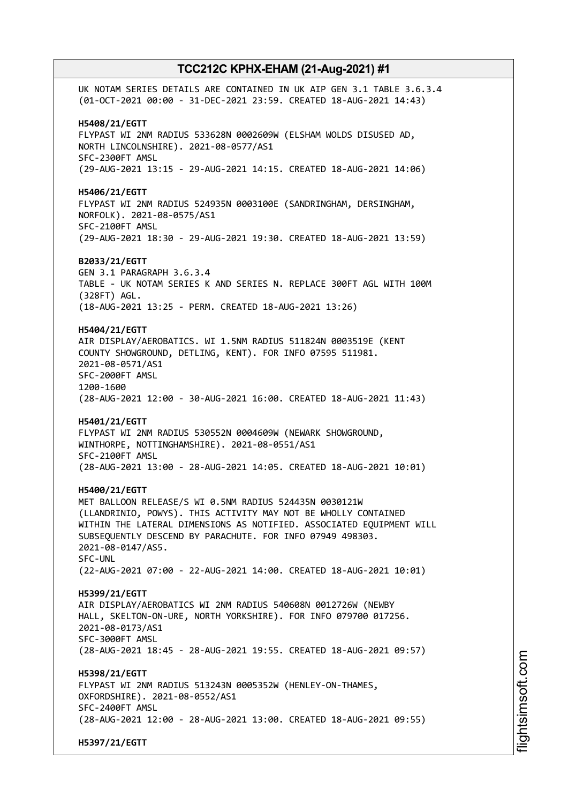UK NOTAM SERIES DETAILS ARE CONTAINED IN UK AIP GEN 3.1 TABLE 3.6.3.4 (01-OCT-2021 00:00 - 31-DEC-2021 23:59. CREATED 18-AUG-2021 14:43) **H5408/21/EGTT** FLYPAST WI 2NM RADIUS 533628N 0002609W (ELSHAM WOLDS DISUSED AD, NORTH LINCOLNSHIRE). 2021-08-0577/AS1 SFC-2300FT AMSL (29-AUG-2021 13:15 - 29-AUG-2021 14:15. CREATED 18-AUG-2021 14:06) **H5406/21/EGTT** FLYPAST WI 2NM RADIUS 524935N 0003100E (SANDRINGHAM, DERSINGHAM, NORFOLK). 2021-08-0575/AS1 SFC-2100FT AMSL (29-AUG-2021 18:30 - 29-AUG-2021 19:30. CREATED 18-AUG-2021 13:59) **B2033/21/EGTT** GEN 3.1 PARAGRAPH 3.6.3.4 TABLE - UK NOTAM SERIES K AND SERIES N. REPLACE 300FT AGL WITH 100M (328FT) AGL. (18-AUG-2021 13:25 - PERM. CREATED 18-AUG-2021 13:26) **H5404/21/EGTT** AIR DISPLAY/AEROBATICS. WI 1.5NM RADIUS 511824N 0003519E (KENT COUNTY SHOWGROUND, DETLING, KENT). FOR INFO 07595 511981. 2021-08-0571/AS1 SFC-2000FT AMSL 1200-1600 (28-AUG-2021 12:00 - 30-AUG-2021 16:00. CREATED 18-AUG-2021 11:43) **H5401/21/EGTT** FLYPAST WI 2NM RADIUS 530552N 0004609W (NEWARK SHOWGROUND, WINTHORPE, NOTTINGHAMSHIRE). 2021-08-0551/AS1 SFC-2100FT AMSL (28-AUG-2021 13:00 - 28-AUG-2021 14:05. CREATED 18-AUG-2021 10:01) **H5400/21/EGTT** MET BALLOON RELEASE/S WI 0.5NM RADIUS 524435N 0030121W (LLANDRINIO, POWYS). THIS ACTIVITY MAY NOT BE WHOLLY CONTAINED WITHIN THE LATERAL DIMENSIONS AS NOTIFIED. ASSOCIATED EQUIPMENT WILL SUBSEQUENTLY DESCEND BY PARACHUTE. FOR INFO 07949 498303. 2021-08-0147/AS5. SFC-UNL (22-AUG-2021 07:00 - 22-AUG-2021 14:00. CREATED 18-AUG-2021 10:01) **H5399/21/EGTT** AIR DISPLAY/AEROBATICS WI 2NM RADIUS 540608N 0012726W (NEWBY HALL, SKELTON-ON-URE, NORTH YORKSHIRE). FOR INFO 079700 017256. 2021-08-0173/AS1 SFC-3000FT AMSL (28-AUG-2021 18:45 - 28-AUG-2021 19:55. CREATED 18-AUG-2021 09:57) **H5398/21/EGTT** FLYPAST WI 2NM RADIUS 513243N 0005352W (HENLEY-ON-THAMES, OXFORDSHIRE). 2021-08-0552/AS1 SFC-2400FT AMSL (28-AUG-2021 12:00 - 28-AUG-2021 13:00. CREATED 18-AUG-2021 09:55) **H5397/21/EGTT**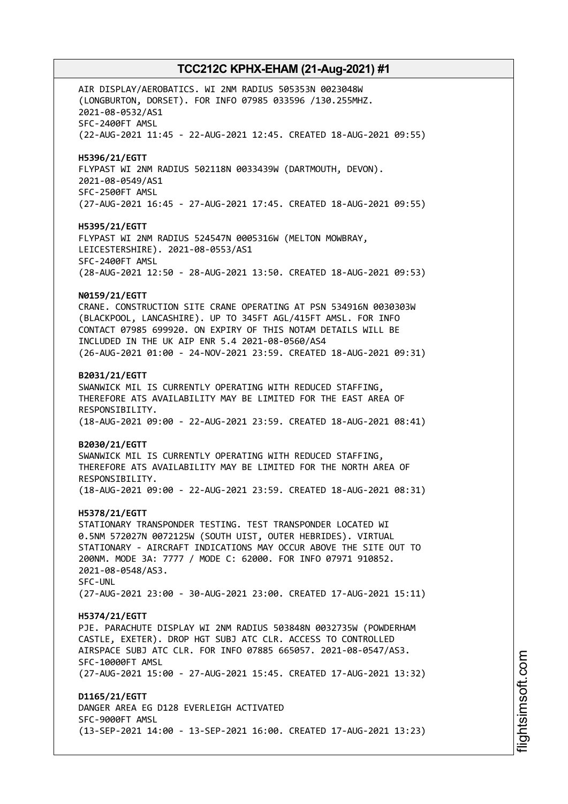AIR DISPLAY/AEROBATICS. WI 2NM RADIUS 505353N 0023048W (LONGBURTON, DORSET). FOR INFO 07985 033596 /130.255MHZ. 2021-08-0532/AS1 SFC-2400FT AMSL (22-AUG-2021 11:45 - 22-AUG-2021 12:45. CREATED 18-AUG-2021 09:55) **H5396/21/EGTT** FLYPAST WI 2NM RADIUS 502118N 0033439W (DARTMOUTH, DEVON). 2021-08-0549/AS1 SFC-2500FT AMSL (27-AUG-2021 16:45 - 27-AUG-2021 17:45. CREATED 18-AUG-2021 09:55) **H5395/21/EGTT** FLYPAST WI 2NM RADIUS 524547N 0005316W (MELTON MOWBRAY, LEICESTERSHIRE). 2021-08-0553/AS1 SFC-2400FT AMSL (28-AUG-2021 12:50 - 28-AUG-2021 13:50. CREATED 18-AUG-2021 09:53) **N0159/21/EGTT** CRANE. CONSTRUCTION SITE CRANE OPERATING AT PSN 534916N 0030303W (BLACKPOOL, LANCASHIRE). UP TO 345FT AGL/415FT AMSL. FOR INFO CONTACT 07985 699920. ON EXPIRY OF THIS NOTAM DETAILS WILL BE INCLUDED IN THE UK AIP ENR 5.4 2021-08-0560/AS4 (26-AUG-2021 01:00 - 24-NOV-2021 23:59. CREATED 18-AUG-2021 09:31) **B2031/21/EGTT** SWANWICK MIL IS CURRENTLY OPERATING WITH REDUCED STAFFING, THEREFORE ATS AVAILABILITY MAY BE LIMITED FOR THE EAST AREA OF RESPONSIBILITY. (18-AUG-2021 09:00 - 22-AUG-2021 23:59. CREATED 18-AUG-2021 08:41) **B2030/21/EGTT** SWANWICK MIL IS CURRENTLY OPERATING WITH REDUCED STAFFING, THEREFORE ATS AVAILABILITY MAY BE LIMITED FOR THE NORTH AREA OF RESPONSIBILITY. (18-AUG-2021 09:00 - 22-AUG-2021 23:59. CREATED 18-AUG-2021 08:31) **H5378/21/EGTT** STATIONARY TRANSPONDER TESTING. TEST TRANSPONDER LOCATED WI 0.5NM 572027N 0072125W (SOUTH UIST, OUTER HEBRIDES). VIRTUAL STATIONARY - AIRCRAFT INDICATIONS MAY OCCUR ABOVE THE SITE OUT TO 200NM. MODE 3A: 7777 / MODE C: 62000. FOR INFO 07971 910852. 2021-08-0548/AS3. SFC-UNL (27-AUG-2021 23:00 - 30-AUG-2021 23:00. CREATED 17-AUG-2021 15:11) **H5374/21/EGTT** PJE. PARACHUTE DISPLAY WI 2NM RADIUS 503848N 0032735W (POWDERHAM CASTLE, EXETER). DROP HGT SUBJ ATC CLR. ACCESS TO CONTROLLED AIRSPACE SUBJ ATC CLR. FOR INFO 07885 665057. 2021-08-0547/AS3. SFC-10000FT AMSL (27-AUG-2021 15:00 - 27-AUG-2021 15:45. CREATED 17-AUG-2021 13:32) **D1165/21/EGTT** DANGER AREA EG D128 EVERLEIGH ACTIVATED SFC-9000FT AMSL (13-SEP-2021 14:00 - 13-SEP-2021 16:00. CREATED 17-AUG-2021 13:23)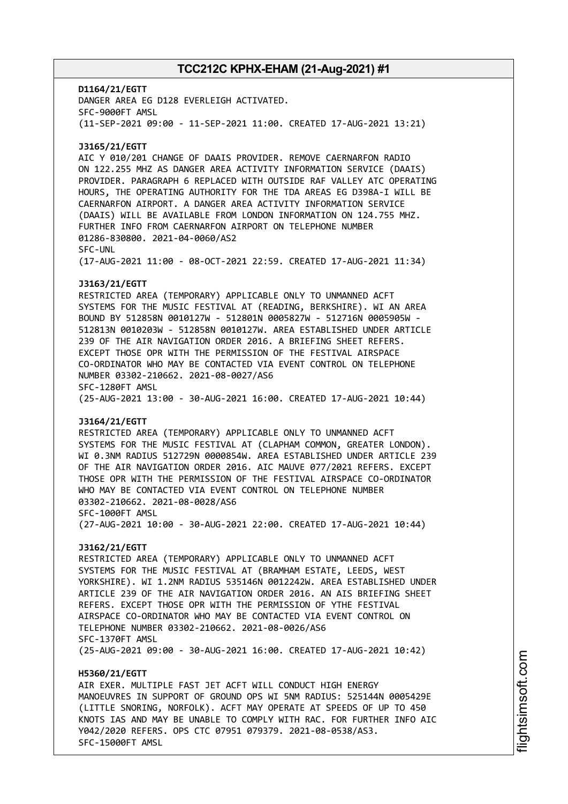**D1164/21/EGTT** DANGER AREA EG D128 EVERLEIGH ACTIVATED. SFC-9000FT AMSL (11-SEP-2021 09:00 - 11-SEP-2021 11:00. CREATED 17-AUG-2021 13:21) **J3165/21/EGTT** AIC Y 010/201 CHANGE OF DAAIS PROVIDER. REMOVE CAERNARFON RADIO ON 122.255 MHZ AS DANGER AREA ACTIVITY INFORMATION SERVICE (DAAIS) PROVIDER. PARAGRAPH 6 REPLACED WITH OUTSIDE RAF VALLEY ATC OPERATING HOURS, THE OPERATING AUTHORITY FOR THE TDA AREAS EG D398A-I WILL BE CAERNARFON AIRPORT. A DANGER AREA ACTIVITY INFORMATION SERVICE (DAAIS) WILL BE AVAILABLE FROM LONDON INFORMATION ON 124.755 MHZ. FURTHER INFO FROM CAERNARFON AIRPORT ON TELEPHONE NUMBER 01286-830800. 2021-04-0060/AS2 SFC-UNL (17-AUG-2021 11:00 - 08-OCT-2021 22:59. CREATED 17-AUG-2021 11:34) **J3163/21/EGTT** RESTRICTED AREA (TEMPORARY) APPLICABLE ONLY TO UNMANNED ACFT SYSTEMS FOR THE MUSIC FESTIVAL AT (READING, BERKSHIRE). WI AN AREA BOUND BY 512858N 0010127W - 512801N 0005827W - 512716N 0005905W - 512813N 0010203W - 512858N 0010127W. AREA ESTABLISHED UNDER ARTICLE 239 OF THE AIR NAVIGATION ORDER 2016. A BRIEFING SHEET REFERS. EXCEPT THOSE OPR WITH THE PERMISSION OF THE FESTIVAL AIRSPACE CO-ORDINATOR WHO MAY BE CONTACTED VIA EVENT CONTROL ON TELEPHONE NUMBER 03302-210662. 2021-08-0027/AS6 SFC-1280FT AMSL (25-AUG-2021 13:00 - 30-AUG-2021 16:00. CREATED 17-AUG-2021 10:44) **J3164/21/EGTT** RESTRICTED AREA (TEMPORARY) APPLICABLE ONLY TO UNMANNED ACFT SYSTEMS FOR THE MUSIC FESTIVAL AT (CLAPHAM COMMON, GREATER LONDON). WI 0.3NM RADIUS 512729N 0000854W. AREA ESTABLISHED UNDER ARTICLE 239 OF THE AIR NAVIGATION ORDER 2016. AIC MAUVE 077/2021 REFERS. EXCEPT THOSE OPR WITH THE PERMISSION OF THE FESTIVAL AIRSPACE CO-ORDINATOR WHO MAY BE CONTACTED VIA EVENT CONTROL ON TELEPHONE NUMBER 03302-210662. 2021-08-0028/AS6 SFC-1000FT AMSL (27-AUG-2021 10:00 - 30-AUG-2021 22:00. CREATED 17-AUG-2021 10:44) **J3162/21/EGTT** RESTRICTED AREA (TEMPORARY) APPLICABLE ONLY TO UNMANNED ACFT SYSTEMS FOR THE MUSIC FESTIVAL AT (BRAMHAM ESTATE, LEEDS, WEST YORKSHIRE). WI 1.2NM RADIUS 535146N 0012242W. AREA ESTABLISHED UNDER ARTICLE 239 OF THE AIR NAVIGATION ORDER 2016. AN AIS BRIEFING SHEET REFERS. EXCEPT THOSE OPR WITH THE PERMISSION OF YTHE FESTIVAL AIRSPACE CO-ORDINATOR WHO MAY BE CONTACTED VIA EVENT CONTROL ON TELEPHONE NUMBER 03302-210662. 2021-08-0026/AS6 SFC-1370FT AMSL (25-AUG-2021 09:00 - 30-AUG-2021 16:00. CREATED 17-AUG-2021 10:42) **H5360/21/EGTT** AIR EXER. MULTIPLE FAST JET ACFT WILL CONDUCT HIGH ENERGY MANOEUVRES IN SUPPORT OF GROUND OPS WI 5NM RADIUS: 525144N 0005429E (LITTLE SNORING, NORFOLK). ACFT MAY OPERATE AT SPEEDS OF UP TO 450 KNOTS IAS AND MAY BE UNABLE TO COMPLY WITH RAC. FOR FURTHER INFO AIC

Y042/2020 REFERS. OPS CTC 07951 079379. 2021-08-0538/AS3.

SFC-15000FT AMSL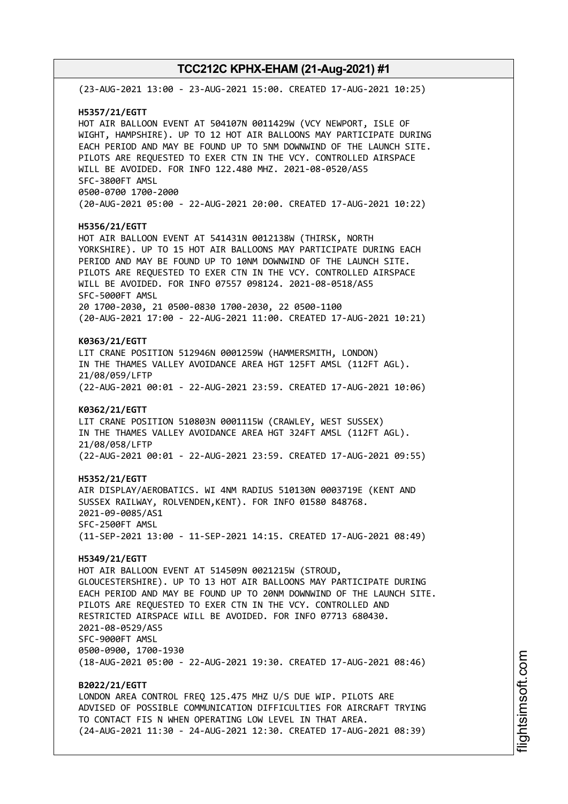(23-AUG-2021 13:00 - 23-AUG-2021 15:00. CREATED 17-AUG-2021 10:25) **H5357/21/EGTT** HOT AIR BALLOON EVENT AT 504107N 0011429W (VCY NEWPORT, ISLE OF WIGHT, HAMPSHIRE). UP TO 12 HOT AIR BALLOONS MAY PARTICIPATE DURING EACH PERIOD AND MAY BE FOUND UP TO 5NM DOWNWIND OF THE LAUNCH SITE. PILOTS ARE REQUESTED TO EXER CTN IN THE VCY. CONTROLLED AIRSPACE WILL BE AVOIDED. FOR INFO 122.480 MHZ. 2021-08-0520/AS5 SFC-3800FT AMSL 0500-0700 1700-2000 (20-AUG-2021 05:00 - 22-AUG-2021 20:00. CREATED 17-AUG-2021 10:22) **H5356/21/EGTT** HOT AIR BALLOON EVENT AT 541431N 0012138W (THIRSK, NORTH YORKSHIRE). UP TO 15 HOT AIR BALLOONS MAY PARTICIPATE DURING EACH PERIOD AND MAY BE FOUND UP TO 10NM DOWNWIND OF THE LAUNCH SITE. PILOTS ARE REQUESTED TO EXER CTN IN THE VCY. CONTROLLED AIRSPACE WILL BE AVOIDED. FOR INFO 07557 098124. 2021-08-0518/AS5 SFC-5000FT AMSL 20 1700-2030, 21 0500-0830 1700-2030, 22 0500-1100 (20-AUG-2021 17:00 - 22-AUG-2021 11:00. CREATED 17-AUG-2021 10:21) **K0363/21/EGTT** LIT CRANE POSITION 512946N 0001259W (HAMMERSMITH, LONDON) IN THE THAMES VALLEY AVOIDANCE AREA HGT 125FT AMSL (112FT AGL). 21/08/059/LFTP (22-AUG-2021 00:01 - 22-AUG-2021 23:59. CREATED 17-AUG-2021 10:06) **K0362/21/EGTT** LIT CRANE POSITION 510803N 0001115W (CRAWLEY, WEST SUSSEX) IN THE THAMES VALLEY AVOIDANCE AREA HGT 324FT AMSL (112FT AGL). 21/08/058/LFTP (22-AUG-2021 00:01 - 22-AUG-2021 23:59. CREATED 17-AUG-2021 09:55) **H5352/21/EGTT** AIR DISPLAY/AEROBATICS. WI 4NM RADIUS 510130N 0003719E (KENT AND SUSSEX RAILWAY, ROLVENDEN,KENT). FOR INFO 01580 848768. 2021-09-0085/AS1 SFC-2500FT AMSL (11-SEP-2021 13:00 - 11-SEP-2021 14:15. CREATED 17-AUG-2021 08:49) **H5349/21/EGTT** HOT AIR BALLOON EVENT AT 514509N 0021215W (STROUD, GLOUCESTERSHIRE). UP TO 13 HOT AIR BALLOONS MAY PARTICIPATE DURING EACH PERIOD AND MAY BE FOUND UP TO 20NM DOWNWIND OF THE LAUNCH SITE. PILOTS ARE REQUESTED TO EXER CTN IN THE VCY. CONTROLLED AND RESTRICTED AIRSPACE WILL BE AVOIDED. FOR INFO 07713 680430. 2021-08-0529/AS5 SFC-9000FT AMSL 0500-0900, 1700-1930 (18-AUG-2021 05:00 - 22-AUG-2021 19:30. CREATED 17-AUG-2021 08:46) **B2022/21/EGTT** LONDON AREA CONTROL FREQ 125.475 MHZ U/S DUE WIP. PILOTS ARE ADVISED OF POSSIBLE COMMUNICATION DIFFICULTIES FOR AIRCRAFT TRYING TO CONTACT FIS N WHEN OPERATING LOW LEVEL IN THAT AREA. (24-AUG-2021 11:30 - 24-AUG-2021 12:30. CREATED 17-AUG-2021 08:39)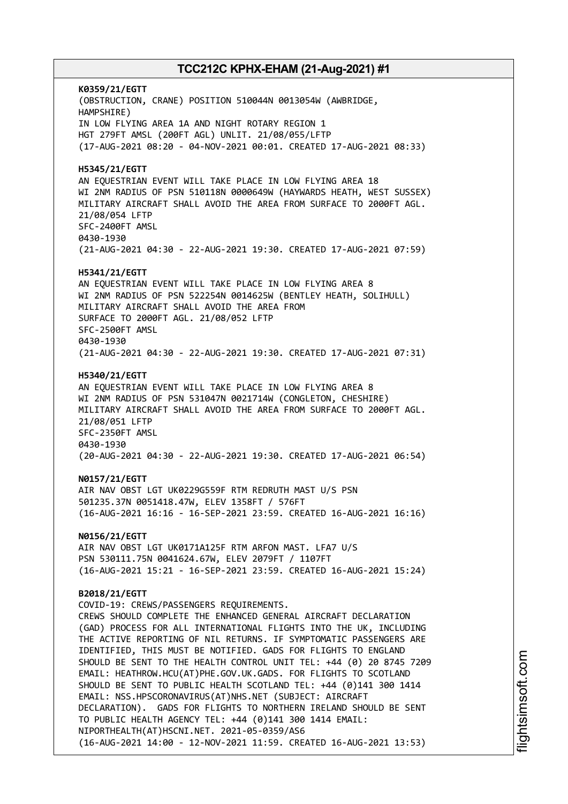**K0359/21/EGTT** (OBSTRUCTION, CRANE) POSITION 510044N 0013054W (AWBRIDGE, HAMPSHIRE) IN LOW FLYING AREA 1A AND NIGHT ROTARY REGION 1 HGT 279FT AMSL (200FT AGL) UNLIT. 21/08/055/LFTP (17-AUG-2021 08:20 - 04-NOV-2021 00:01. CREATED 17-AUG-2021 08:33) **H5345/21/EGTT** AN EQUESTRIAN EVENT WILL TAKE PLACE IN LOW FLYING AREA 18 WI 2NM RADIUS OF PSN 510118N 0000649W (HAYWARDS HEATH, WEST SUSSEX) MILITARY AIRCRAFT SHALL AVOID THE AREA FROM SURFACE TO 2000FT AGL. 21/08/054 LFTP SFC-2400FT AMSL 0430-1930 (21-AUG-2021 04:30 - 22-AUG-2021 19:30. CREATED 17-AUG-2021 07:59) **H5341/21/EGTT** AN EQUESTRIAN EVENT WILL TAKE PLACE IN LOW FLYING AREA 8 WI 2NM RADIUS OF PSN 522254N 0014625W (BENTLEY HEATH, SOLIHULL) MILITARY AIRCRAFT SHALL AVOID THE AREA FROM SURFACE TO 2000FT AGL. 21/08/052 LFTP SFC-2500FT AMSL 0430-1930 (21-AUG-2021 04:30 - 22-AUG-2021 19:30. CREATED 17-AUG-2021 07:31) **H5340/21/EGTT** AN EQUESTRIAN EVENT WILL TAKE PLACE IN LOW FLYING AREA 8 WI 2NM RADIUS OF PSN 531047N 0021714W (CONGLETON, CHESHIRE) MILITARY AIRCRAFT SHALL AVOID THE AREA FROM SURFACE TO 2000FT AGL. 21/08/051 LFTP SFC-2350FT AMSL 0430-1930 (20-AUG-2021 04:30 - 22-AUG-2021 19:30. CREATED 17-AUG-2021 06:54) **N0157/21/EGTT** AIR NAV OBST LGT UK0229G559F RTM REDRUTH MAST U/S PSN 501235.37N 0051418.47W, ELEV 1358FT / 576FT (16-AUG-2021 16:16 - 16-SEP-2021 23:59. CREATED 16-AUG-2021 16:16) **N0156/21/EGTT** AIR NAV OBST LGT UK0171A125F RTM ARFON MAST. LFA7 U/S PSN 530111.75N 0041624.67W, ELEV 2079FT / 1107FT (16-AUG-2021 15:21 - 16-SEP-2021 23:59. CREATED 16-AUG-2021 15:24) **B2018/21/EGTT** COVID-19: CREWS/PASSENGERS REQUIREMENTS. CREWS SHOULD COMPLETE THE ENHANCED GENERAL AIRCRAFT DECLARATION (GAD) PROCESS FOR ALL INTERNATIONAL FLIGHTS INTO THE UK, INCLUDING THE ACTIVE REPORTING OF NIL RETURNS. IF SYMPTOMATIC PASSENGERS ARE IDENTIFIED, THIS MUST BE NOTIFIED. GADS FOR FLIGHTS TO ENGLAND SHOULD BE SENT TO THE HEALTH CONTROL UNIT TEL: +44 (0) 20 8745 7209 EMAIL: HEATHROW.HCU(AT)PHE.GOV.UK.GADS. FOR FLIGHTS TO SCOTLAND SHOULD BE SENT TO PUBLIC HEALTH SCOTLAND TEL: +44 (0)141 300 1414 EMAIL: NSS.HPSCORONAVIRUS(AT)NHS.NET (SUBJECT: AIRCRAFT DECLARATION). GADS FOR FLIGHTS TO NORTHERN IRELAND SHOULD BE SENT TO PUBLIC HEALTH AGENCY TEL: +44 (0)141 300 1414 EMAIL: NIPORTHEALTH(AT)HSCNI.NET. 2021-05-0359/AS6 (16-AUG-2021 14:00 - 12-NOV-2021 11:59. CREATED 16-AUG-2021 13:53)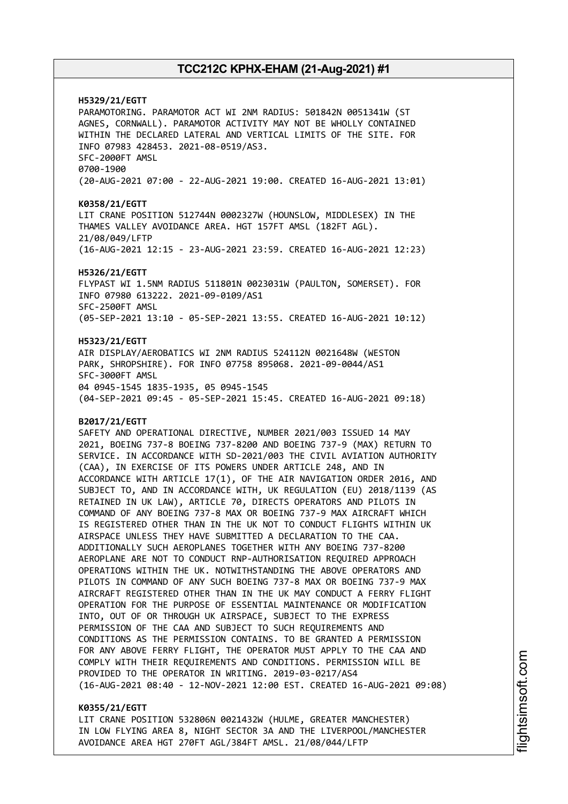**H5329/21/EGTT** PARAMOTORING. PARAMOTOR ACT WI 2NM RADIUS: 501842N 0051341W (ST AGNES, CORNWALL). PARAMOTOR ACTIVITY MAY NOT BE WHOLLY CONTAINED WITHIN THE DECLARED LATERAL AND VERTICAL LIMITS OF THE SITE. FOR INFO 07983 428453. 2021-08-0519/AS3. SFC-2000FT AMSL 0700-1900 (20-AUG-2021 07:00 - 22-AUG-2021 19:00. CREATED 16-AUG-2021 13:01) **K0358/21/EGTT** LIT CRANE POSITION 512744N 0002327W (HOUNSLOW, MIDDLESEX) IN THE THAMES VALLEY AVOIDANCE AREA. HGT 157FT AMSL (182FT AGL). 21/08/049/LFTP (16-AUG-2021 12:15 - 23-AUG-2021 23:59. CREATED 16-AUG-2021 12:23) **H5326/21/EGTT** FLYPAST WI 1.5NM RADIUS 511801N 0023031W (PAULTON, SOMERSET). FOR INFO 07980 613222. 2021-09-0109/AS1 SFC-2500FT AMSL (05-SEP-2021 13:10 - 05-SEP-2021 13:55. CREATED 16-AUG-2021 10:12) **H5323/21/EGTT** AIR DISPLAY/AEROBATICS WI 2NM RADIUS 524112N 0021648W (WESTON PARK, SHROPSHIRE). FOR INFO 07758 895068. 2021-09-0044/AS1 SFC-3000FT AMSL 04 0945-1545 1835-1935, 05 0945-1545 (04-SEP-2021 09:45 - 05-SEP-2021 15:45. CREATED 16-AUG-2021 09:18) **B2017/21/EGTT** SAFETY AND OPERATIONAL DIRECTIVE, NUMBER 2021/003 ISSUED 14 MAY 2021, BOEING 737-8 BOEING 737-8200 AND BOEING 737-9 (MAX) RETURN TO SERVICE. IN ACCORDANCE WITH SD-2021/003 THE CIVIL AVIATION AUTHORITY (CAA), IN EXERCISE OF ITS POWERS UNDER ARTICLE 248, AND IN ACCORDANCE WITH ARTICLE 17(1), OF THE AIR NAVIGATION ORDER 2016, AND SUBJECT TO, AND IN ACCORDANCE WITH, UK REGULATION (EU) 2018/1139 (AS RETAINED IN UK LAW), ARTICLE 70, DIRECTS OPERATORS AND PILOTS IN COMMAND OF ANY BOEING 737-8 MAX OR BOEING 737-9 MAX AIRCRAFT WHICH IS REGISTERED OTHER THAN IN THE UK NOT TO CONDUCT FLIGHTS WITHIN UK AIRSPACE UNLESS THEY HAVE SUBMITTED A DECLARATION TO THE CAA. ADDITIONALLY SUCH AEROPLANES TOGETHER WITH ANY BOEING 737-8200 AEROPLANE ARE NOT TO CONDUCT RNP-AUTHORISATION REQUIRED APPROACH OPERATIONS WITHIN THE UK. NOTWITHSTANDING THE ABOVE OPERATORS AND PILOTS IN COMMAND OF ANY SUCH BOEING 737-8 MAX OR BOEING 737-9 MAX AIRCRAFT REGISTERED OTHER THAN IN THE UK MAY CONDUCT A FERRY FLIGHT OPERATION FOR THE PURPOSE OF ESSENTIAL MAINTENANCE OR MODIFICATION INTO, OUT OF OR THROUGH UK AIRSPACE, SUBJECT TO THE EXPRESS PERMISSION OF THE CAA AND SUBJECT TO SUCH REQUIREMENTS AND CONDITIONS AS THE PERMISSION CONTAINS. TO BE GRANTED A PERMISSION FOR ANY ABOVE FERRY FLIGHT, THE OPERATOR MUST APPLY TO THE CAA AND COMPLY WITH THEIR REQUIREMENTS AND CONDITIONS. PERMISSION WILL BE PROVIDED TO THE OPERATOR IN WRITING. 2019-03-0217/AS4 (16-AUG-2021 08:40 - 12-NOV-2021 12:00 EST. CREATED 16-AUG-2021 09:08)

#### **K0355/21/EGTT**

LIT CRANE POSITION 532806N 0021432W (HULME, GREATER MANCHESTER) IN LOW FLYING AREA 8, NIGHT SECTOR 3A AND THE LIVERPOOL/MANCHESTER AVOIDANCE AREA HGT 270FT AGL/384FT AMSL. 21/08/044/LFTP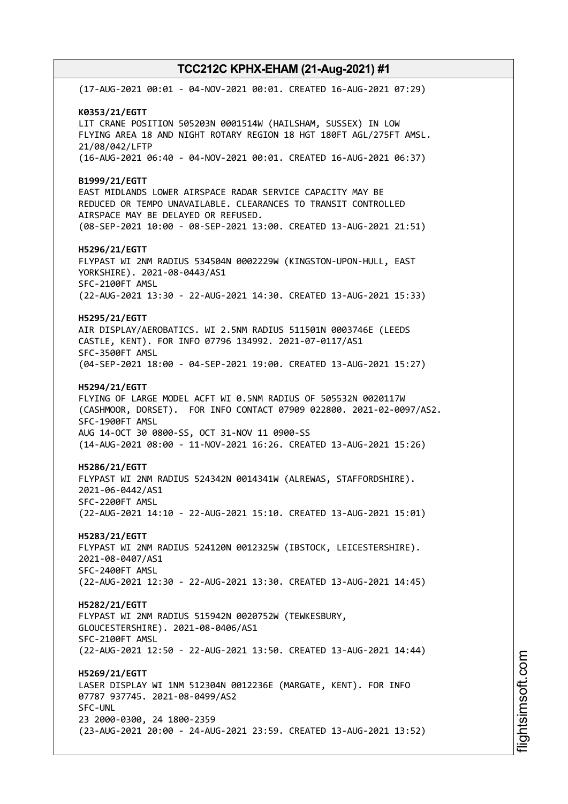(17-AUG-2021 00:01 - 04-NOV-2021 00:01. CREATED 16-AUG-2021 07:29) **K0353/21/EGTT** LIT CRANE POSITION 505203N 0001514W (HAILSHAM, SUSSEX) IN LOW FLYING AREA 18 AND NIGHT ROTARY REGION 18 HGT 180FT AGL/275FT AMSL. 21/08/042/LFTP (16-AUG-2021 06:40 - 04-NOV-2021 00:01. CREATED 16-AUG-2021 06:37) **B1999/21/EGTT** EAST MIDLANDS LOWER AIRSPACE RADAR SERVICE CAPACITY MAY BE REDUCED OR TEMPO UNAVAILABLE. CLEARANCES TO TRANSIT CONTROLLED AIRSPACE MAY BE DELAYED OR REFUSED. (08-SEP-2021 10:00 - 08-SEP-2021 13:00. CREATED 13-AUG-2021 21:51) **H5296/21/EGTT** FLYPAST WI 2NM RADIUS 534504N 0002229W (KINGSTON-UPON-HULL, EAST YORKSHIRE). 2021-08-0443/AS1 SFC-2100FT AMSL (22-AUG-2021 13:30 - 22-AUG-2021 14:30. CREATED 13-AUG-2021 15:33) **H5295/21/EGTT** AIR DISPLAY/AEROBATICS. WI 2.5NM RADIUS 511501N 0003746E (LEEDS CASTLE, KENT). FOR INFO 07796 134992. 2021-07-0117/AS1 SFC-3500FT AMSL (04-SEP-2021 18:00 - 04-SEP-2021 19:00. CREATED 13-AUG-2021 15:27) **H5294/21/EGTT** FLYING OF LARGE MODEL ACFT WI 0.5NM RADIUS OF 505532N 0020117W (CASHMOOR, DORSET). FOR INFO CONTACT 07909 022800. 2021-02-0097/AS2. SFC-1900FT AMSL AUG 14-OCT 30 0800-SS, OCT 31-NOV 11 0900-SS (14-AUG-2021 08:00 - 11-NOV-2021 16:26. CREATED 13-AUG-2021 15:26) **H5286/21/EGTT** FLYPAST WI 2NM RADIUS 524342N 0014341W (ALREWAS, STAFFORDSHIRE). 2021-06-0442/AS1 SFC-2200FT AMSL (22-AUG-2021 14:10 - 22-AUG-2021 15:10. CREATED 13-AUG-2021 15:01) **H5283/21/EGTT** FLYPAST WI 2NM RADIUS 524120N 0012325W (IBSTOCK, LEICESTERSHIRE). 2021-08-0407/AS1 SFC-2400FT AMSL (22-AUG-2021 12:30 - 22-AUG-2021 13:30. CREATED 13-AUG-2021 14:45) **H5282/21/EGTT** FLYPAST WI 2NM RADIUS 515942N 0020752W (TEWKESBURY, GLOUCESTERSHIRE). 2021-08-0406/AS1 SFC-2100FT AMSL (22-AUG-2021 12:50 - 22-AUG-2021 13:50. CREATED 13-AUG-2021 14:44) **H5269/21/EGTT** LASER DISPLAY WI 1NM 512304N 0012236E (MARGATE, KENT). FOR INFO 07787 937745. 2021-08-0499/AS2 SFC-UNL 23 2000-0300, 24 1800-2359 (23-AUG-2021 20:00 - 24-AUG-2021 23:59. CREATED 13-AUG-2021 13:52)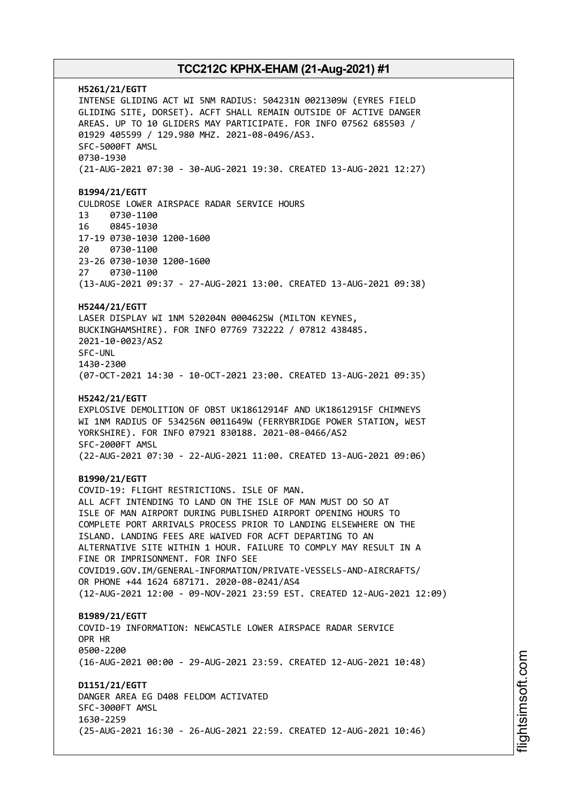**H5261/21/EGTT** INTENSE GLIDING ACT WI 5NM RADIUS: 504231N 0021309W (EYRES FIELD GLIDING SITE, DORSET). ACFT SHALL REMAIN OUTSIDE OF ACTIVE DANGER AREAS. UP TO 10 GLIDERS MAY PARTICIPATE. FOR INFO 07562 685503 / 01929 405599 / 129.980 MHZ. 2021-08-0496/AS3. SFC-5000FT AMSL 0730-1930 (21-AUG-2021 07:30 - 30-AUG-2021 19:30. CREATED 13-AUG-2021 12:27) **B1994/21/EGTT** CULDROSE LOWER AIRSPACE RADAR SERVICE HOURS 13 0730-1100 16 0845-1030 17-19 0730-1030 1200-1600 20 0730-1100 23-26 0730-1030 1200-1600 27 0730-1100 (13-AUG-2021 09:37 - 27-AUG-2021 13:00. CREATED 13-AUG-2021 09:38) **H5244/21/EGTT** LASER DISPLAY WI 1NM 520204N 0004625W (MILTON KEYNES, BUCKINGHAMSHIRE). FOR INFO 07769 732222 / 07812 438485. 2021-10-0023/AS2 SFC-UNL 1430-2300 (07-OCT-2021 14:30 - 10-OCT-2021 23:00. CREATED 13-AUG-2021 09:35) **H5242/21/EGTT** EXPLOSIVE DEMOLITION OF OBST UK18612914F AND UK18612915F CHIMNEYS WI 1NM RADIUS OF 534256N 0011649W (FERRYBRIDGE POWER STATION, WEST YORKSHIRE). FOR INFO 07921 830188. 2021-08-0466/AS2 SFC-2000FT AMSL (22-AUG-2021 07:30 - 22-AUG-2021 11:00. CREATED 13-AUG-2021 09:06) **B1990/21/EGTT** COVID-19: FLIGHT RESTRICTIONS. ISLE OF MAN. ALL ACFT INTENDING TO LAND ON THE ISLE OF MAN MUST DO SO AT ISLE OF MAN AIRPORT DURING PUBLISHED AIRPORT OPENING HOURS TO COMPLETE PORT ARRIVALS PROCESS PRIOR TO LANDING ELSEWHERE ON THE ISLAND. LANDING FEES ARE WAIVED FOR ACFT DEPARTING TO AN ALTERNATIVE SITE WITHIN 1 HOUR. FAILURE TO COMPLY MAY RESULT IN A FINE OR IMPRISONMENT. FOR INFO SEE COVID19.GOV.IM/GENERAL-INFORMATION/PRIVATE-VESSELS-AND-AIRCRAFTS/ OR PHONE +44 1624 687171. 2020-08-0241/AS4 (12-AUG-2021 12:00 - 09-NOV-2021 23:59 EST. CREATED 12-AUG-2021 12:09) **B1989/21/EGTT** COVID-19 INFORMATION: NEWCASTLE LOWER AIRSPACE RADAR SERVICE OPR HR 0500-2200 (16-AUG-2021 00:00 - 29-AUG-2021 23:59. CREATED 12-AUG-2021 10:48) **D1151/21/EGTT** DANGER AREA EG D408 FELDOM ACTIVATED SFC-3000FT AMSL 1630-2259 (25-AUG-2021 16:30 - 26-AUG-2021 22:59. CREATED 12-AUG-2021 10:46)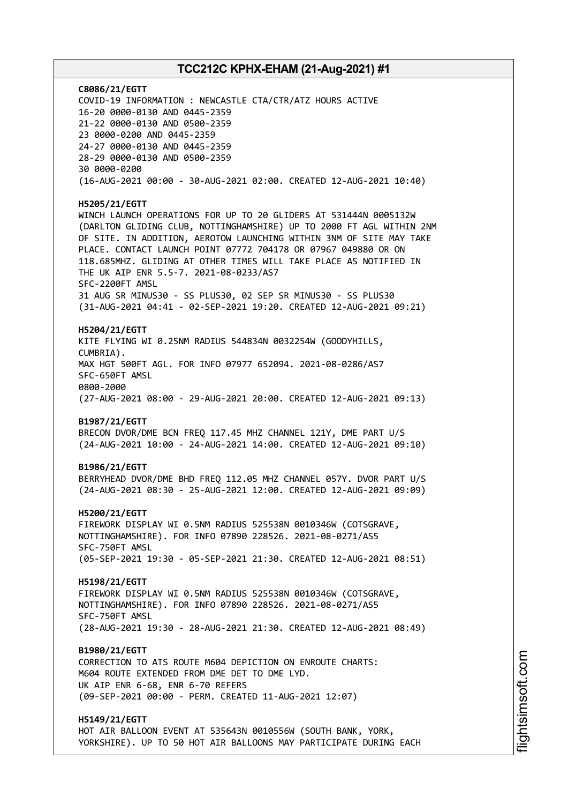**C8086/21/EGTT** COVID-19 INFORMATION : NEWCASTLE CTA/CTR/ATZ HOURS ACTIVE 16-20 0000-0130 AND 0445-2359 21-22 0000-0130 AND 0500-2359 23 0000-0200 AND 0445-2359 24-27 0000-0130 AND 0445-2359 28-29 0000-0130 AND 0500-2359 30 0000-0200 (16-AUG-2021 00:00 - 30-AUG-2021 02:00. CREATED 12-AUG-2021 10:40) **H5205/21/EGTT** WINCH LAUNCH OPERATIONS FOR UP TO 20 GLIDERS AT 531444N 0005132W (DARLTON GLIDING CLUB, NOTTINGHAMSHIRE) UP TO 2000 FT AGL WITHIN 2NM OF SITE. IN ADDITION, AEROTOW LAUNCHING WITHIN 3NM OF SITE MAY TAKE PLACE. CONTACT LAUNCH POINT 07772 704178 OR 07967 049880 OR ON 118.685MHZ. GLIDING AT OTHER TIMES WILL TAKE PLACE AS NOTIFIED IN THE UK AIP ENR 5.5-7. 2021-08-0233/AS7 SFC-2200FT AMSL 31 AUG SR MINUS30 - SS PLUS30, 02 SEP SR MINUS30 - SS PLUS30 (31-AUG-2021 04:41 - 02-SEP-2021 19:20. CREATED 12-AUG-2021 09:21) **H5204/21/EGTT** KITE FLYING WI 0.25NM RADIUS 544834N 0032254W (GOODYHILLS, CUMBRIA). MAX HGT 500FT AGL. FOR INFO 07977 652094. 2021-08-0286/AS7 SFC-650FT AMSL 0800-2000 (27-AUG-2021 08:00 - 29-AUG-2021 20:00. CREATED 12-AUG-2021 09:13) **B1987/21/EGTT** BRECON DVOR/DME BCN FREQ 117.45 MHZ CHANNEL 121Y, DME PART U/S (24-AUG-2021 10:00 - 24-AUG-2021 14:00. CREATED 12-AUG-2021 09:10) **B1986/21/EGTT** BERRYHEAD DVOR/DME BHD FREQ 112.05 MHZ CHANNEL 057Y. DVOR PART U/S (24-AUG-2021 08:30 - 25-AUG-2021 12:00. CREATED 12-AUG-2021 09:09) **H5200/21/EGTT** FIREWORK DISPLAY WI 0.5NM RADIUS 525538N 0010346W (COTSGRAVE, NOTTINGHAMSHIRE). FOR INFO 07890 228526. 2021-08-0271/AS5 SFC-750FT AMSL (05-SEP-2021 19:30 - 05-SEP-2021 21:30. CREATED 12-AUG-2021 08:51) **H5198/21/EGTT** FIREWORK DISPLAY WI 0.5NM RADIUS 525538N 0010346W (COTSGRAVE, NOTTINGHAMSHIRE). FOR INFO 07890 228526. 2021-08-0271/AS5 SFC-750FT AMSL (28-AUG-2021 19:30 - 28-AUG-2021 21:30. CREATED 12-AUG-2021 08:49) **B1980/21/EGTT** CORRECTION TO ATS ROUTE M604 DEPICTION ON ENROUTE CHARTS: M604 ROUTE EXTENDED FROM DME DET TO DME LYD. UK AIP ENR 6-68, ENR 6-70 REFERS (09-SEP-2021 00:00 - PERM. CREATED 11-AUG-2021 12:07) **H5149/21/EGTT** HOT AIR BALLOON EVENT AT 535643N 0010556W (SOUTH BANK, YORK,

YORKSHIRE). UP TO 50 HOT AIR BALLOONS MAY PARTICIPATE DURING EACH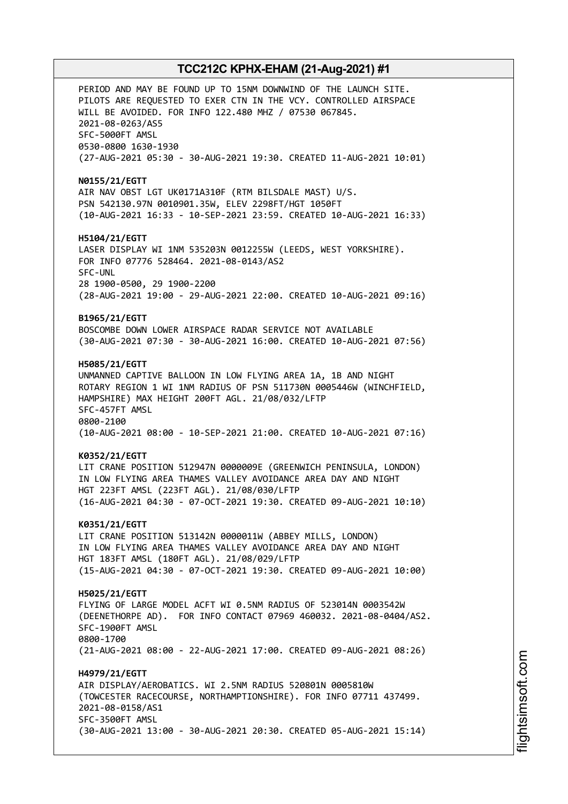PERIOD AND MAY BE FOUND UP TO 15NM DOWNWIND OF THE LAUNCH SITE. PILOTS ARE REQUESTED TO EXER CTN IN THE VCY. CONTROLLED AIRSPACE WILL BE AVOIDED. FOR INFO 122.480 MHZ / 07530 067845. 2021-08-0263/AS5 SFC-5000FT AMSL 0530-0800 1630-1930 (27-AUG-2021 05:30 - 30-AUG-2021 19:30. CREATED 11-AUG-2021 10:01) **N0155/21/EGTT** AIR NAV OBST LGT UK0171A310F (RTM BILSDALE MAST) U/S. PSN 542130.97N 0010901.35W, ELEV 2298FT/HGT 1050FT (10-AUG-2021 16:33 - 10-SEP-2021 23:59. CREATED 10-AUG-2021 16:33) **H5104/21/EGTT** LASER DISPLAY WI 1NM 535203N 0012255W (LEEDS, WEST YORKSHIRE). FOR INFO 07776 528464. 2021-08-0143/AS2 SFC-UNL 28 1900-0500, 29 1900-2200 (28-AUG-2021 19:00 - 29-AUG-2021 22:00. CREATED 10-AUG-2021 09:16) **B1965/21/EGTT** BOSCOMBE DOWN LOWER AIRSPACE RADAR SERVICE NOT AVAILABLE (30-AUG-2021 07:30 - 30-AUG-2021 16:00. CREATED 10-AUG-2021 07:56) **H5085/21/EGTT** UNMANNED CAPTIVE BALLOON IN LOW FLYING AREA 1A, 1B AND NIGHT ROTARY REGION 1 WI 1NM RADIUS OF PSN 511730N 0005446W (WINCHFIELD, HAMPSHIRE) MAX HEIGHT 200FT AGL. 21/08/032/LFTP SFC-457FT AMSL 0800-2100 (10-AUG-2021 08:00 - 10-SEP-2021 21:00. CREATED 10-AUG-2021 07:16) **K0352/21/EGTT** LIT CRANE POSITION 512947N 0000009E (GREENWICH PENINSULA, LONDON) IN LOW FLYING AREA THAMES VALLEY AVOIDANCE AREA DAY AND NIGHT HGT 223FT AMSL (223FT AGL). 21/08/030/LFTP (16-AUG-2021 04:30 - 07-OCT-2021 19:30. CREATED 09-AUG-2021 10:10) **K0351/21/EGTT** LIT CRANE POSITION 513142N 0000011W (ABBEY MILLS, LONDON) IN LOW FLYING AREA THAMES VALLEY AVOIDANCE AREA DAY AND NIGHT HGT 183FT AMSL (180FT AGL). 21/08/029/LFTP (15-AUG-2021 04:30 - 07-OCT-2021 19:30. CREATED 09-AUG-2021 10:00) **H5025/21/EGTT** FLYING OF LARGE MODEL ACFT WI 0.5NM RADIUS OF 523014N 0003542W (DEENETHORPE AD). FOR INFO CONTACT 07969 460032. 2021-08-0404/AS2. SFC-1900FT AMSL 0800-1700 (21-AUG-2021 08:00 - 22-AUG-2021 17:00. CREATED 09-AUG-2021 08:26) **H4979/21/EGTT** AIR DISPLAY/AEROBATICS. WI 2.5NM RADIUS 520801N 0005810W (TOWCESTER RACECOURSE, NORTHAMPTIONSHIRE). FOR INFO 07711 437499. 2021-08-0158/AS1 SFC-3500FT AMSL (30-AUG-2021 13:00 - 30-AUG-2021 20:30. CREATED 05-AUG-2021 15:14)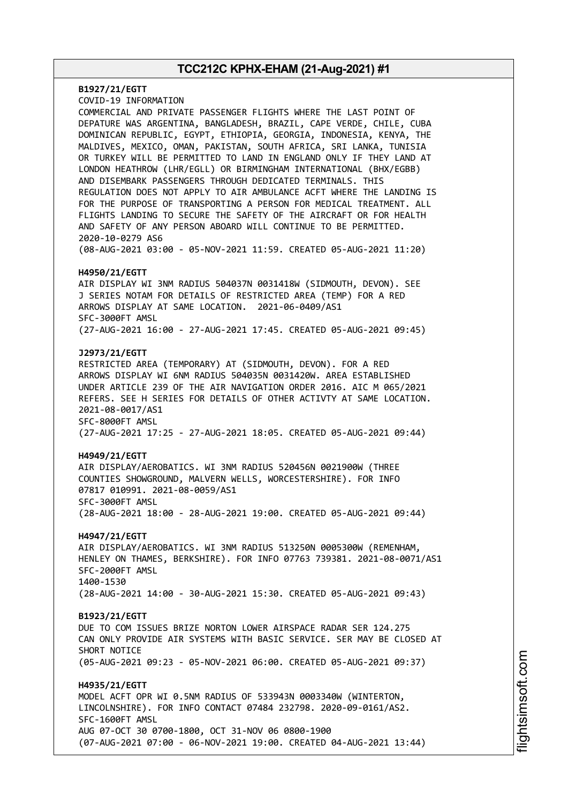**B1927/21/EGTT** COVID-19 INFORMATION COMMERCIAL AND PRIVATE PASSENGER FLIGHTS WHERE THE LAST POINT OF DEPATURE WAS ARGENTINA, BANGLADESH, BRAZIL, CAPE VERDE, CHILE, CUBA DOMINICAN REPUBLIC, EGYPT, ETHIOPIA, GEORGIA, INDONESIA, KENYA, THE MALDIVES, MEXICO, OMAN, PAKISTAN, SOUTH AFRICA, SRI LANKA, TUNISIA OR TURKEY WILL BE PERMITTED TO LAND IN ENGLAND ONLY IF THEY LAND AT LONDON HEATHROW (LHR/EGLL) OR BIRMINGHAM INTERNATIONAL (BHX/EGBB) AND DISEMBARK PASSENGERS THROUGH DEDICATED TERMINALS. THIS REGULATION DOES NOT APPLY TO AIR AMBULANCE ACFT WHERE THE LANDING IS FOR THE PURPOSE OF TRANSPORTING A PERSON FOR MEDICAL TREATMENT. ALL FLIGHTS LANDING TO SECURE THE SAFETY OF THE AIRCRAFT OR FOR HEALTH AND SAFETY OF ANY PERSON ABOARD WILL CONTINUE TO BE PERMITTED. 2020-10-0279 AS6 (08-AUG-2021 03:00 - 05-NOV-2021 11:59. CREATED 05-AUG-2021 11:20) **H4950/21/EGTT** AIR DISPLAY WI 3NM RADIUS 504037N 0031418W (SIDMOUTH, DEVON). SEE J SERIES NOTAM FOR DETAILS OF RESTRICTED AREA (TEMP) FOR A RED ARROWS DISPLAY AT SAME LOCATION. 2021-06-0409/AS1 SFC-3000FT AMSL (27-AUG-2021 16:00 - 27-AUG-2021 17:45. CREATED 05-AUG-2021 09:45) **J2973/21/EGTT** RESTRICTED AREA (TEMPORARY) AT (SIDMOUTH, DEVON). FOR A RED ARROWS DISPLAY WI 6NM RADIUS 504035N 0031420W. AREA ESTABLISHED UNDER ARTICLE 239 OF THE AIR NAVIGATION ORDER 2016. AIC M 065/2021 REFERS. SEE H SERIES FOR DETAILS OF OTHER ACTIVTY AT SAME LOCATION. 2021-08-0017/AS1 SFC-8000FT AMSL (27-AUG-2021 17:25 - 27-AUG-2021 18:05. CREATED 05-AUG-2021 09:44) **H4949/21/EGTT** AIR DISPLAY/AEROBATICS. WI 3NM RADIUS 520456N 0021900W (THREE COUNTIES SHOWGROUND, MALVERN WELLS, WORCESTERSHIRE). FOR INFO 07817 010991. 2021-08-0059/AS1 SFC-3000FT AMSL (28-AUG-2021 18:00 - 28-AUG-2021 19:00. CREATED 05-AUG-2021 09:44) **H4947/21/EGTT** AIR DISPLAY/AEROBATICS. WI 3NM RADIUS 513250N 0005300W (REMENHAM, HENLEY ON THAMES, BERKSHIRE). FOR INFO 07763 739381. 2021-08-0071/AS1 SFC-2000FT AMSL 1400-1530 (28-AUG-2021 14:00 - 30-AUG-2021 15:30. CREATED 05-AUG-2021 09:43) **B1923/21/EGTT** DUE TO COM ISSUES BRIZE NORTON LOWER AIRSPACE RADAR SER 124.275 CAN ONLY PROVIDE AIR SYSTEMS WITH BASIC SERVICE. SER MAY BE CLOSED AT SHORT NOTICE (05-AUG-2021 09:23 - 05-NOV-2021 06:00. CREATED 05-AUG-2021 09:37) **H4935/21/EGTT** MODEL ACFT OPR WI 0.5NM RADIUS OF 533943N 0003340W (WINTERTON, LINCOLNSHIRE). FOR INFO CONTACT 07484 232798. 2020-09-0161/AS2. SFC-1600FT AMSL AUG 07-OCT 30 0700-1800, OCT 31-NOV 06 0800-1900 (07-AUG-2021 07:00 - 06-NOV-2021 19:00. CREATED 04-AUG-2021 13:44)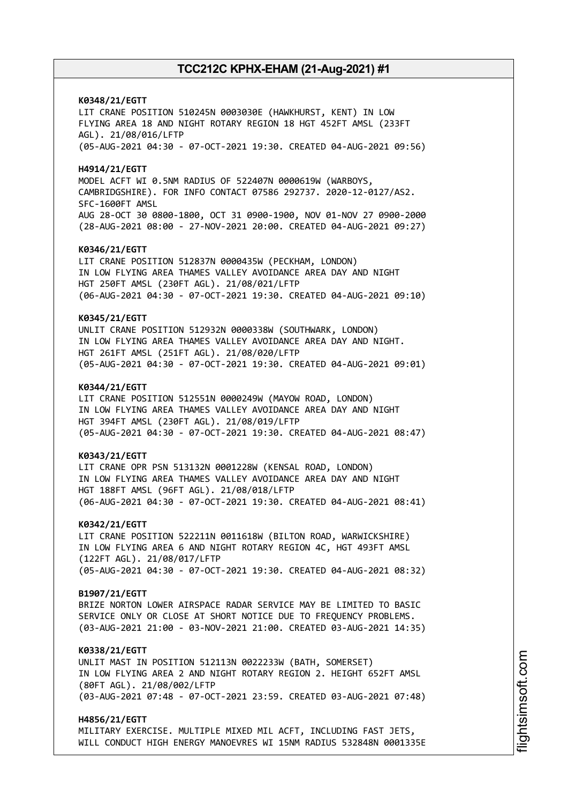**K0348/21/EGTT** LIT CRANE POSITION 510245N 0003030E (HAWKHURST, KENT) IN LOW FLYING AREA 18 AND NIGHT ROTARY REGION 18 HGT 452FT AMSL (233FT AGL). 21/08/016/LFTP (05-AUG-2021 04:30 - 07-OCT-2021 19:30. CREATED 04-AUG-2021 09:56) **H4914/21/EGTT** MODEL ACFT WI 0.5NM RADIUS OF 522407N 0000619W (WARBOYS, CAMBRIDGSHIRE). FOR INFO CONTACT 07586 292737. 2020-12-0127/AS2. SFC-1600FT AMSL AUG 28-OCT 30 0800-1800, OCT 31 0900-1900, NOV 01-NOV 27 0900-2000 (28-AUG-2021 08:00 - 27-NOV-2021 20:00. CREATED 04-AUG-2021 09:27) **K0346/21/EGTT** LIT CRANE POSITION 512837N 0000435W (PECKHAM, LONDON) IN LOW FLYING AREA THAMES VALLEY AVOIDANCE AREA DAY AND NIGHT HGT 250FT AMSL (230FT AGL). 21/08/021/LFTP (06-AUG-2021 04:30 - 07-OCT-2021 19:30. CREATED 04-AUG-2021 09:10) **K0345/21/EGTT** UNLIT CRANE POSITION 512932N 0000338W (SOUTHWARK, LONDON) IN LOW FLYING AREA THAMES VALLEY AVOIDANCE AREA DAY AND NIGHT. HGT 261FT AMSL (251FT AGL). 21/08/020/LFTP (05-AUG-2021 04:30 - 07-OCT-2021 19:30. CREATED 04-AUG-2021 09:01) **K0344/21/EGTT** LIT CRANE POSITION 512551N 0000249W (MAYOW ROAD, LONDON) IN LOW FLYING AREA THAMES VALLEY AVOIDANCE AREA DAY AND NIGHT HGT 394FT AMSL (230FT AGL). 21/08/019/LFTP (05-AUG-2021 04:30 - 07-OCT-2021 19:30. CREATED 04-AUG-2021 08:47) **K0343/21/EGTT** LIT CRANE OPR PSN 513132N 0001228W (KENSAL ROAD, LONDON) IN LOW FLYING AREA THAMES VALLEY AVOIDANCE AREA DAY AND NIGHT HGT 188FT AMSL (96FT AGL). 21/08/018/LFTP (06-AUG-2021 04:30 - 07-OCT-2021 19:30. CREATED 04-AUG-2021 08:41) **K0342/21/EGTT** LIT CRANE POSITION 522211N 0011618W (BILTON ROAD, WARWICKSHIRE) IN LOW FLYING AREA 6 AND NIGHT ROTARY REGION 4C, HGT 493FT AMSL (122FT AGL). 21/08/017/LFTP (05-AUG-2021 04:30 - 07-OCT-2021 19:30. CREATED 04-AUG-2021 08:32) **B1907/21/EGTT** BRIZE NORTON LOWER AIRSPACE RADAR SERVICE MAY BE LIMITED TO BASIC SERVICE ONLY OR CLOSE AT SHORT NOTICE DUE TO FREQUENCY PROBLEMS. (03-AUG-2021 21:00 - 03-NOV-2021 21:00. CREATED 03-AUG-2021 14:35) **K0338/21/EGTT** UNLIT MAST IN POSITION 512113N 0022233W (BATH, SOMERSET) IN LOW FLYING AREA 2 AND NIGHT ROTARY REGION 2. HEIGHT 652FT AMSL (80FT AGL). 21/08/002/LFTP (03-AUG-2021 07:48 - 07-OCT-2021 23:59. CREATED 03-AUG-2021 07:48) **H4856/21/EGTT**

MILITARY EXERCISE. MULTIPLE MIXED MIL ACFT, INCLUDING FAST JETS, WILL CONDUCT HIGH ENERGY MANOEVRES WI 15NM RADIUS 532848N 0001335E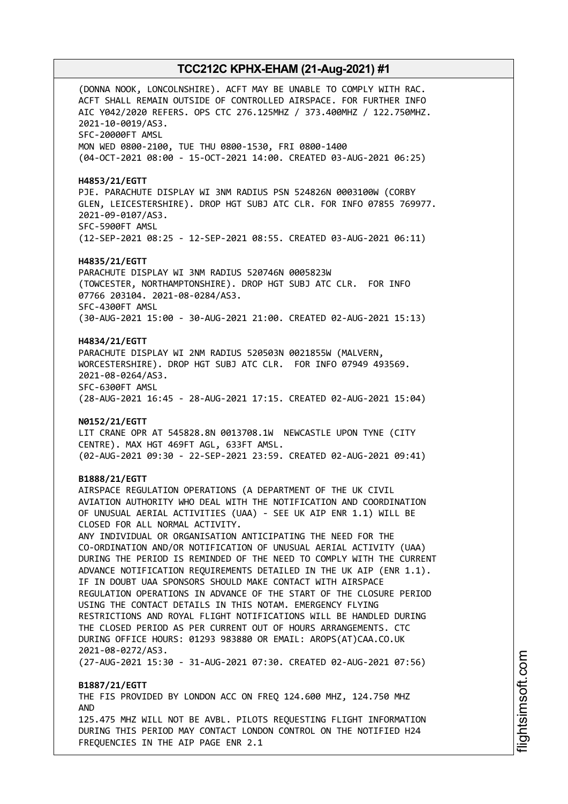(DONNA NOOK, LONCOLNSHIRE). ACFT MAY BE UNABLE TO COMPLY WITH RAC. ACFT SHALL REMAIN OUTSIDE OF CONTROLLED AIRSPACE. FOR FURTHER INFO AIC Y042/2020 REFERS. OPS CTC 276.125MHZ / 373.400MHZ / 122.750MHZ. 2021-10-0019/AS3. SFC-20000FT AMSL MON WED 0800-2100, TUE THU 0800-1530, FRI 0800-1400 (04-OCT-2021 08:00 - 15-OCT-2021 14:00. CREATED 03-AUG-2021 06:25) **H4853/21/EGTT** PJE. PARACHUTE DISPLAY WI 3NM RADIUS PSN 524826N 0003100W (CORBY GLEN, LEICESTERSHIRE). DROP HGT SUBJ ATC CLR. FOR INFO 07855 769977. 2021-09-0107/AS3. SFC-5900FT AMSL (12-SEP-2021 08:25 - 12-SEP-2021 08:55. CREATED 03-AUG-2021 06:11) **H4835/21/EGTT** PARACHUTE DISPLAY WI 3NM RADIUS 520746N 0005823W (TOWCESTER, NORTHAMPTONSHIRE). DROP HGT SUBJ ATC CLR. FOR INFO 07766 203104. 2021-08-0284/AS3. SFC-4300FT AMSL (30-AUG-2021 15:00 - 30-AUG-2021 21:00. CREATED 02-AUG-2021 15:13) **H4834/21/EGTT** PARACHUTE DISPLAY WI 2NM RADIUS 520503N 0021855W (MALVERN, WORCESTERSHIRE). DROP HGT SUBJ ATC CLR. FOR INFO 07949 493569. 2021-08-0264/AS3. SFC-6300FT AMSL (28-AUG-2021 16:45 - 28-AUG-2021 17:15. CREATED 02-AUG-2021 15:04) **N0152/21/EGTT** LIT CRANE OPR AT 545828.8N 0013708.1W NEWCASTLE UPON TYNE (CITY CENTRE). MAX HGT 469FT AGL, 633FT AMSL. (02-AUG-2021 09:30 - 22-SEP-2021 23:59. CREATED 02-AUG-2021 09:41) **B1888/21/EGTT** AIRSPACE REGULATION OPERATIONS (A DEPARTMENT OF THE UK CIVIL AVIATION AUTHORITY WHO DEAL WITH THE NOTIFICATION AND COORDINATION OF UNUSUAL AERIAL ACTIVITIES (UAA) - SEE UK AIP ENR 1.1) WILL BE CLOSED FOR ALL NORMAL ACTIVITY. ANY INDIVIDUAL OR ORGANISATION ANTICIPATING THE NEED FOR THE CO-ORDINATION AND/OR NOTIFICATION OF UNUSUAL AERIAL ACTIVITY (UAA) DURING THE PERIOD IS REMINDED OF THE NEED TO COMPLY WITH THE CURRENT ADVANCE NOTIFICATION REQUIREMENTS DETAILED IN THE UK AIP (ENR 1.1). IF IN DOUBT UAA SPONSORS SHOULD MAKE CONTACT WITH AIRSPACE REGULATION OPERATIONS IN ADVANCE OF THE START OF THE CLOSURE PERIOD USING THE CONTACT DETAILS IN THIS NOTAM. EMERGENCY FLYING RESTRICTIONS AND ROYAL FLIGHT NOTIFICATIONS WILL BE HANDLED DURING THE CLOSED PERIOD AS PER CURRENT OUT OF HOURS ARRANGEMENTS. CTC DURING OFFICE HOURS: 01293 983880 OR EMAIL: AROPS(AT)CAA.CO.UK 2021-08-0272/AS3. (27-AUG-2021 15:30 - 31-AUG-2021 07:30. CREATED 02-AUG-2021 07:56) **B1887/21/EGTT** THE FIS PROVIDED BY LONDON ACC ON FREQ 124.600 MHZ, 124.750 MHZ AND 125.475 MHZ WILL NOT BE AVBL. PILOTS REQUESTING FLIGHT INFORMATION DURING THIS PERIOD MAY CONTACT LONDON CONTROL ON THE NOTIFIED H24 FREQUENCIES IN THE AIP PAGE ENR 2.1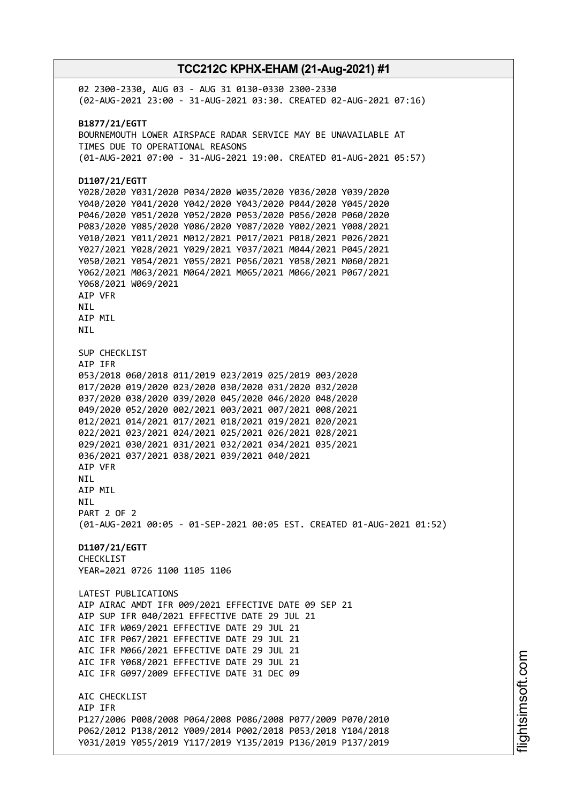02 2300-2330, AUG 03 - AUG 31 0130-0330 2300-2330 (02-AUG-2021 23:00 - 31-AUG-2021 03:30. CREATED 02-AUG-2021 07:16) **B1877/21/EGTT** BOURNEMOUTH LOWER AIRSPACE RADAR SERVICE MAY BE UNAVAILABLE AT TIMES DUE TO OPERATIONAL REASONS (01-AUG-2021 07:00 - 31-AUG-2021 19:00. CREATED 01-AUG-2021 05:57) **D1107/21/EGTT** Y028/2020 Y031/2020 P034/2020 W035/2020 Y036/2020 Y039/2020 Y040/2020 Y041/2020 Y042/2020 Y043/2020 P044/2020 Y045/2020 P046/2020 Y051/2020 Y052/2020 P053/2020 P056/2020 P060/2020 P083/2020 Y085/2020 Y086/2020 Y087/2020 Y002/2021 Y008/2021 Y010/2021 Y011/2021 M012/2021 P017/2021 P018/2021 P026/2021 Y027/2021 Y028/2021 Y029/2021 Y037/2021 M044/2021 P045/2021 Y050/2021 Y054/2021 Y055/2021 P056/2021 Y058/2021 M060/2021 Y062/2021 M063/2021 M064/2021 M065/2021 M066/2021 P067/2021 Y068/2021 W069/2021 AIP VFR **NTI** AIP MIL NIL SUP CHECKLIST AIP IFR 053/2018 060/2018 011/2019 023/2019 025/2019 003/2020 017/2020 019/2020 023/2020 030/2020 031/2020 032/2020 037/2020 038/2020 039/2020 045/2020 046/2020 048/2020 049/2020 052/2020 002/2021 003/2021 007/2021 008/2021 012/2021 014/2021 017/2021 018/2021 019/2021 020/2021 022/2021 023/2021 024/2021 025/2021 026/2021 028/2021 029/2021 030/2021 031/2021 032/2021 034/2021 035/2021 036/2021 037/2021 038/2021 039/2021 040/2021 AIP VFR NIL AIP MIL NIL PART 2 OF 2 (01-AUG-2021 00:05 - 01-SEP-2021 00:05 EST. CREATED 01-AUG-2021 01:52) **D1107/21/EGTT** CHECKLIST YEAR=2021 0726 1100 1105 1106 LATEST PUBLICATIONS AIP AIRAC AMDT IFR 009/2021 EFFECTIVE DATE 09 SEP 21 AIP SUP IFR 040/2021 EFFECTIVE DATE 29 JUL 21 AIC IFR W069/2021 EFFECTIVE DATE 29 JUL 21 AIC IFR P067/2021 EFFECTIVE DATE 29 JUL 21 AIC IFR M066/2021 EFFECTIVE DATE 29 JUL 21 AIC IFR Y068/2021 EFFECTIVE DATE 29 JUL 21 AIC IFR G097/2009 EFFECTIVE DATE 31 DEC 09 ATC CHECKLIST AIP IFR P127/2006 P008/2008 P064/2008 P086/2008 P077/2009 P070/2010 P062/2012 P138/2012 Y009/2014 P002/2018 P053/2018 Y104/2018 Y031/2019 Y055/2019 Y117/2019 Y135/2019 P136/2019 P137/2019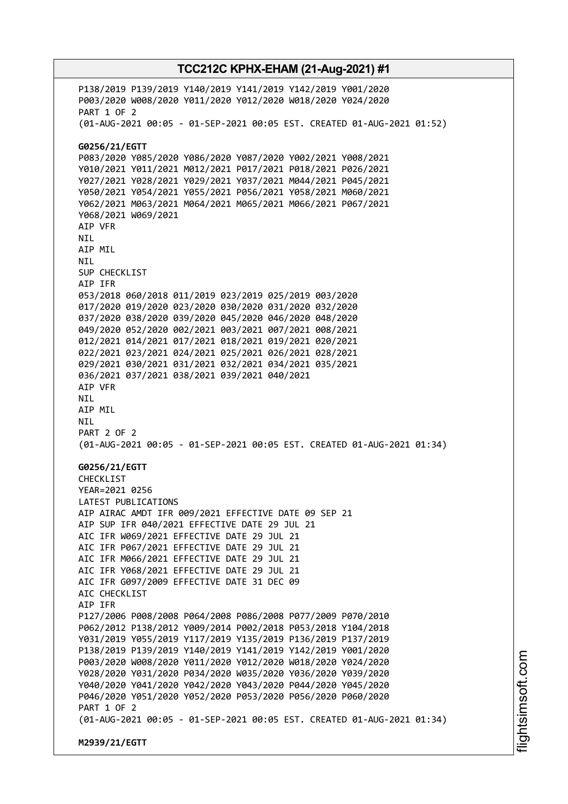P138/2019 P139/2019 Y140/2019 Y141/2019 Y142/2019 Y001/2020 P003/2020 W008/2020 Y011/2020 Y012/2020 W018/2020 Y024/2020 PART 1 OF 2 (01-AUG-2021 00:05 - 01-SEP-2021 00:05 EST. CREATED 01-AUG-2021 01:52) **G0256/21/EGTT** P083/2020 Y085/2020 Y086/2020 Y087/2020 Y002/2021 Y008/2021 Y010/2021 Y011/2021 M012/2021 P017/2021 P018/2021 P026/2021 Y027/2021 Y028/2021 Y029/2021 Y037/2021 M044/2021 P045/2021 Y050/2021 Y054/2021 Y055/2021 P056/2021 Y058/2021 M060/2021 Y062/2021 M063/2021 M064/2021 M065/2021 M066/2021 P067/2021 Y068/2021 W069/2021 AIP VFR NIL AIP MIL NIL SUP CHECKLIST AIP IFR 053/2018 060/2018 011/2019 023/2019 025/2019 003/2020 017/2020 019/2020 023/2020 030/2020 031/2020 032/2020 037/2020 038/2020 039/2020 045/2020 046/2020 048/2020 049/2020 052/2020 002/2021 003/2021 007/2021 008/2021 012/2021 014/2021 017/2021 018/2021 019/2021 020/2021 022/2021 023/2021 024/2021 025/2021 026/2021 028/2021 029/2021 030/2021 031/2021 032/2021 034/2021 035/2021 036/2021 037/2021 038/2021 039/2021 040/2021 AIP VFR NIL AIP MIL NIL PART 2 OF 2 (01-AUG-2021 00:05 - 01-SEP-2021 00:05 EST. CREATED 01-AUG-2021 01:34) **G0256/21/EGTT** CHECKLIST YEAR=2021 0256 LATEST PUBLICATIONS AIP AIRAC AMDT IFR 009/2021 EFFECTIVE DATE 09 SEP 21 AIP SUP IFR 040/2021 EFFECTIVE DATE 29 JUL 21 AIC IFR W069/2021 EFFECTIVE DATE 29 JUL 21 AIC IFR P067/2021 EFFECTIVE DATE 29 JUL 21 AIC IFR M066/2021 EFFECTIVE DATE 29 JUL 21 AIC IFR Y068/2021 EFFECTIVE DATE 29 JUL 21 AIC IFR G097/2009 EFFECTIVE DATE 31 DEC 09 ATC CHECKLIST AIP IFR P127/2006 P008/2008 P064/2008 P086/2008 P077/2009 P070/2010 P062/2012 P138/2012 Y009/2014 P002/2018 P053/2018 Y104/2018 Y031/2019 Y055/2019 Y117/2019 Y135/2019 P136/2019 P137/2019 P138/2019 P139/2019 Y140/2019 Y141/2019 Y142/2019 Y001/2020 P003/2020 W008/2020 Y011/2020 Y012/2020 W018/2020 Y024/2020 Y028/2020 Y031/2020 P034/2020 W035/2020 Y036/2020 Y039/2020 Y040/2020 Y041/2020 Y042/2020 Y043/2020 P044/2020 Y045/2020 P046/2020 Y051/2020 Y052/2020 P053/2020 P056/2020 P060/2020 PART 1 OF 2 (01-AUG-2021 00:05 - 01-SEP-2021 00:05 EST. CREATED 01-AUG-2021 01:34) **M2939/21/EGTT**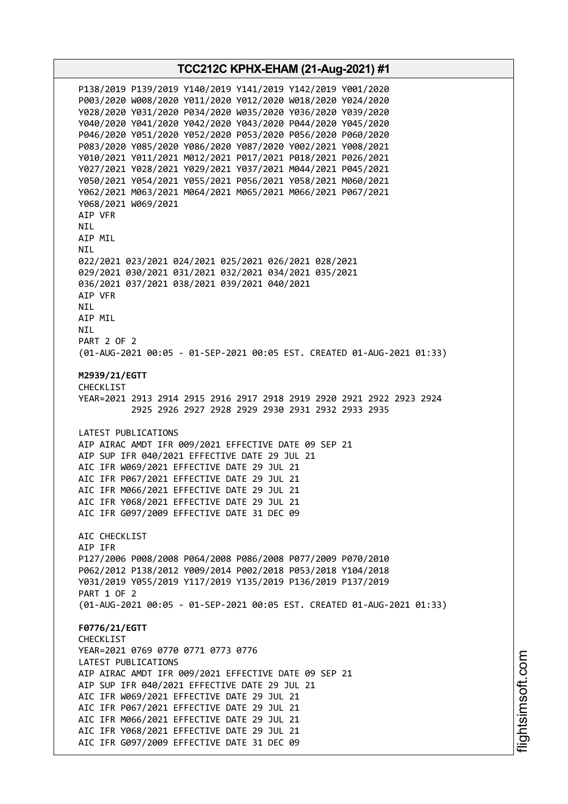**TCC212C KPHX-EHAM (21-Aug-2021) #1** P138/2019 P139/2019 Y140/2019 Y141/2019 Y142/2019 Y001/2020 P003/2020 W008/2020 Y011/2020 Y012/2020 W018/2020 Y024/2020 Y028/2020 Y031/2020 P034/2020 W035/2020 Y036/2020 Y039/2020 Y040/2020 Y041/2020 Y042/2020 Y043/2020 P044/2020 Y045/2020 P046/2020 Y051/2020 Y052/2020 P053/2020 P056/2020 P060/2020 P083/2020 Y085/2020 Y086/2020 Y087/2020 Y002/2021 Y008/2021 Y010/2021 Y011/2021 M012/2021 P017/2021 P018/2021 P026/2021 Y027/2021 Y028/2021 Y029/2021 Y037/2021 M044/2021 P045/2021 Y050/2021 Y054/2021 Y055/2021 P056/2021 Y058/2021 M060/2021 Y062/2021 M063/2021 M064/2021 M065/2021 M066/2021 P067/2021 Y068/2021 W069/2021 AIP VFR NIL AIP MIL NIL 022/2021 023/2021 024/2021 025/2021 026/2021 028/2021 029/2021 030/2021 031/2021 032/2021 034/2021 035/2021 036/2021 037/2021 038/2021 039/2021 040/2021 AIP VFR **NTI** AIP MIL NIL PART 2 OF 2 (01-AUG-2021 00:05 - 01-SEP-2021 00:05 EST. CREATED 01-AUG-2021 01:33) **M2939/21/EGTT** CHECKL<sub>TST</sub> YEAR=2021 2913 2914 2915 2916 2917 2918 2919 2920 2921 2922 2923 2924 2925 2926 2927 2928 2929 2930 2931 2932 2933 2935 LATEST PUBLICATIONS AIP AIRAC AMDT IFR 009/2021 EFFECTIVE DATE 09 SEP 21 AIP SUP IFR 040/2021 EFFECTIVE DATE 29 JUL 21 AIC IFR W069/2021 EFFECTIVE DATE 29 JUL 21 AIC IFR P067/2021 EFFECTIVE DATE 29 JUL 21 AIC IFR M066/2021 EFFECTIVE DATE 29 JUL 21 AIC IFR Y068/2021 EFFECTIVE DATE 29 JUL 21 AIC IFR G097/2009 EFFECTIVE DATE 31 DEC 09 AIC CHECKLIST AIP IFR P127/2006 P008/2008 P064/2008 P086/2008 P077/2009 P070/2010 P062/2012 P138/2012 Y009/2014 P002/2018 P053/2018 Y104/2018 Y031/2019 Y055/2019 Y117/2019 Y135/2019 P136/2019 P137/2019 PART 1 OF 2 (01-AUG-2021 00:05 - 01-SEP-2021 00:05 EST. CREATED 01-AUG-2021 01:33) **F0776/21/EGTT** CHECKLIST YEAR=2021 0769 0770 0771 0773 0776 LATEST PUBLICATIONS AIP AIRAC AMDT IFR 009/2021 EFFECTIVE DATE 09 SEP 21 AIP SUP IFR 040/2021 EFFECTIVE DATE 29 JUL 21 AIC IFR W069/2021 EFFECTIVE DATE 29 JUL 21 AIC IFR P067/2021 EFFECTIVE DATE 29 JUL 21 AIC IFR M066/2021 EFFECTIVE DATE 29 JUL 21 AIC IFR Y068/2021 EFFECTIVE DATE 29 JUL 21 AIC IFR G097/2009 EFFECTIVE DATE 31 DEC 09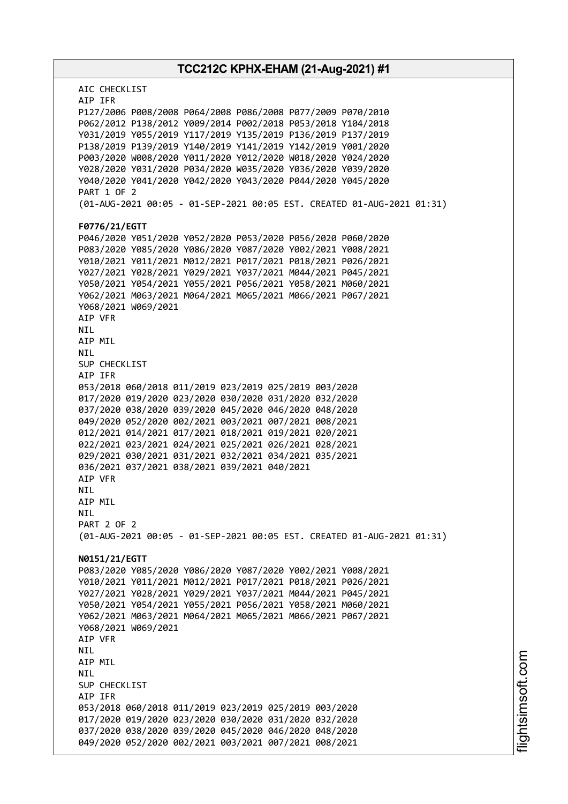| TCC212C KPHX-EHAM (21-Aug-2021) #1                                                                                         |
|----------------------------------------------------------------------------------------------------------------------------|
| AIC CHECKLIST<br>AIP IFR                                                                                                   |
| P127/2006 P008/2008 P064/2008 P086/2008 P077/2009 P070/2010                                                                |
| P062/2012 P138/2012 Y009/2014 P002/2018 P053/2018 Y104/2018                                                                |
| Y031/2019 Y055/2019 Y117/2019 Y135/2019 P136/2019 P137/2019                                                                |
| P138/2019 P139/2019 Y140/2019 Y141/2019 Y142/2019 Y001/2020                                                                |
| P003/2020 W008/2020 Y011/2020 Y012/2020 W018/2020 Y024/2020                                                                |
| Y028/2020 Y031/2020 P034/2020 W035/2020 Y036/2020 Y039/2020                                                                |
| Y040/2020 Y041/2020 Y042/2020 Y043/2020 P044/2020 Y045/2020                                                                |
| <b>PART 1 OF 2</b><br>(01-AUG-2021 00:05 - 01-SEP-2021 00:05 EST. CREATED 01-AUG-2021 01:31)                               |
| F0776/21/EGTT                                                                                                              |
| P046/2020 Y051/2020 Y052/2020 P053/2020 P056/2020 P060/2020                                                                |
| P083/2020 Y085/2020 Y086/2020 Y087/2020 Y002/2021 Y008/2021                                                                |
| Y010/2021 Y011/2021 M012/2021 P017/2021 P018/2021 P026/2021                                                                |
| Y027/2021 Y028/2021 Y029/2021 Y037/2021 M044/2021 P045/2021                                                                |
| Y050/2021 Y054/2021 Y055/2021 P056/2021 Y058/2021 M060/2021                                                                |
| Y062/2021 M063/2021 M064/2021 M065/2021 M066/2021 P067/2021                                                                |
| Y068/2021 W069/2021                                                                                                        |
| AIP VFR                                                                                                                    |
| NIL.                                                                                                                       |
| AIP MIL                                                                                                                    |
| NIL                                                                                                                        |
| SUP CHECKLIST                                                                                                              |
| AIP IFR                                                                                                                    |
| 053/2018 060/2018 011/2019 023/2019 025/2019 003/2020                                                                      |
| 017/2020 019/2020 023/2020 030/2020 031/2020 032/2020<br>037/2020 038/2020 039/2020 045/2020 046/2020 048/2020             |
| 049/2020 052/2020 002/2021 003/2021 007/2021 008/2021                                                                      |
| 012/2021 014/2021 017/2021 018/2021 019/2021 020/2021                                                                      |
| 022/2021 023/2021 024/2021 025/2021 026/2021 028/2021                                                                      |
| 029/2021 030/2021 031/2021 032/2021 034/2021 035/2021                                                                      |
| 036/2021 037/2021 038/2021 039/2021 040/2021                                                                               |
| AIP VFR                                                                                                                    |
| NIL                                                                                                                        |
| AIP MIL                                                                                                                    |
| NIL                                                                                                                        |
| PART 2 OF 2                                                                                                                |
| (01-AUG-2021 00:05 - 01-SEP-2021 00:05 EST. CREATED 01-AUG-2021 01:31)                                                     |
|                                                                                                                            |
| N0151/21/EGTT                                                                                                              |
| P083/2020 Y085/2020 Y086/2020 Y087/2020 Y002/2021 Y008/2021                                                                |
| Y010/2021 Y011/2021 M012/2021 P017/2021 P018/2021 P026/2021                                                                |
| Y027/2021 Y028/2021 Y029/2021 Y037/2021 M044/2021 P045/2021<br>Y050/2021 Y054/2021 Y055/2021 P056/2021 Y058/2021 M060/2021 |
| Y062/2021 M063/2021 M064/2021 M065/2021 M066/2021 P067/2021                                                                |
| Y068/2021 W069/2021                                                                                                        |
| AIP VFR                                                                                                                    |
| NIL                                                                                                                        |
| AIP MIL                                                                                                                    |
| <b>NIL</b>                                                                                                                 |
| SUP CHECKLIST                                                                                                              |
| AIP IFR                                                                                                                    |
| 053/2018 060/2018 011/2019 023/2019 025/2019 003/2020                                                                      |
| 017/2020 019/2020 023/2020 030/2020 031/2020 032/2020                                                                      |
| 037/2020 038/2020 039/2020 045/2020 046/2020 048/2020                                                                      |
| 049/2020 052/2020 002/2021 003/2021 007/2021 008/2021                                                                      |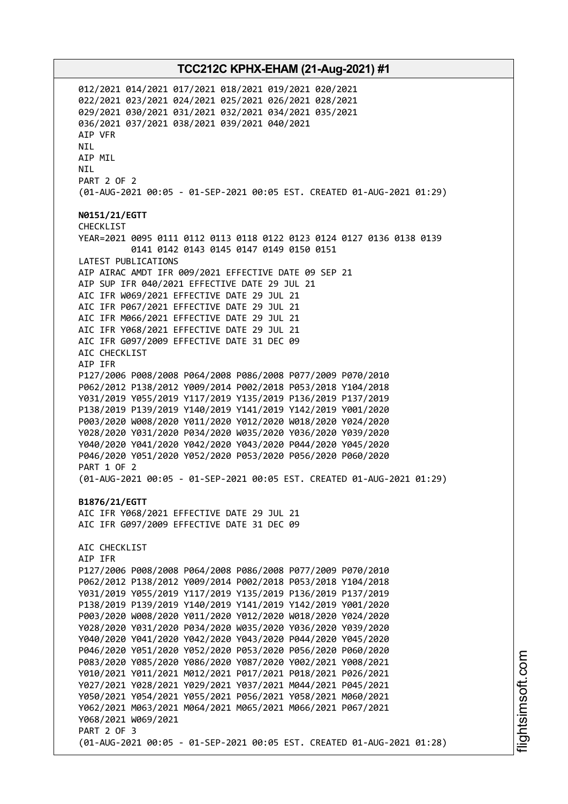012/2021 014/2021 017/2021 018/2021 019/2021 020/2021 022/2021 023/2021 024/2021 025/2021 026/2021 028/2021 029/2021 030/2021 031/2021 032/2021 034/2021 035/2021 036/2021 037/2021 038/2021 039/2021 040/2021 AIP VFR NIL AIP MIL NIL PART 2 OF 2 (01-AUG-2021 00:05 - 01-SEP-2021 00:05 EST. CREATED 01-AUG-2021 01:29) **N0151/21/EGTT** CHECKLIST YEAR=2021 0095 0111 0112 0113 0118 0122 0123 0124 0127 0136 0138 0139 0141 0142 0143 0145 0147 0149 0150 0151 LATEST PUBLICATIONS AIP AIRAC AMDT IFR 009/2021 EFFECTIVE DATE 09 SEP 21 AIP SUP IFR 040/2021 EFFECTIVE DATE 29 JUL 21 AIC IFR W069/2021 EFFECTIVE DATE 29 JUL 21 AIC IFR P067/2021 EFFECTIVE DATE 29 JUL 21 AIC IFR M066/2021 EFFECTIVE DATE 29 JUL 21 AIC IFR Y068/2021 EFFECTIVE DATE 29 JUL 21 AIC IFR G097/2009 EFFECTIVE DATE 31 DEC 09 AIC CHECKLIST AIP IFR P127/2006 P008/2008 P064/2008 P086/2008 P077/2009 P070/2010 P062/2012 P138/2012 Y009/2014 P002/2018 P053/2018 Y104/2018 Y031/2019 Y055/2019 Y117/2019 Y135/2019 P136/2019 P137/2019 P138/2019 P139/2019 Y140/2019 Y141/2019 Y142/2019 Y001/2020 P003/2020 W008/2020 Y011/2020 Y012/2020 W018/2020 Y024/2020 Y028/2020 Y031/2020 P034/2020 W035/2020 Y036/2020 Y039/2020 Y040/2020 Y041/2020 Y042/2020 Y043/2020 P044/2020 Y045/2020 P046/2020 Y051/2020 Y052/2020 P053/2020 P056/2020 P060/2020 PART 1 OF 2 (01-AUG-2021 00:05 - 01-SEP-2021 00:05 EST. CREATED 01-AUG-2021 01:29) **B1876/21/EGTT** AIC IFR Y068/2021 EFFECTIVE DATE 29 JUL 21 AIC IFR G097/2009 EFFECTIVE DATE 31 DEC 09 AIC CHECKLIST AIP IFR P127/2006 P008/2008 P064/2008 P086/2008 P077/2009 P070/2010 P062/2012 P138/2012 Y009/2014 P002/2018 P053/2018 Y104/2018 Y031/2019 Y055/2019 Y117/2019 Y135/2019 P136/2019 P137/2019 P138/2019 P139/2019 Y140/2019 Y141/2019 Y142/2019 Y001/2020 P003/2020 W008/2020 Y011/2020 Y012/2020 W018/2020 Y024/2020 Y028/2020 Y031/2020 P034/2020 W035/2020 Y036/2020 Y039/2020 Y040/2020 Y041/2020 Y042/2020 Y043/2020 P044/2020 Y045/2020 P046/2020 Y051/2020 Y052/2020 P053/2020 P056/2020 P060/2020 P083/2020 Y085/2020 Y086/2020 Y087/2020 Y002/2021 Y008/2021 Y010/2021 Y011/2021 M012/2021 P017/2021 P018/2021 P026/2021 Y027/2021 Y028/2021 Y029/2021 Y037/2021 M044/2021 P045/2021 Y050/2021 Y054/2021 Y055/2021 P056/2021 Y058/2021 M060/2021 Y062/2021 M063/2021 M064/2021 M065/2021 M066/2021 P067/2021 Y068/2021 W069/2021 PART 2 OF 3 (01-AUG-2021 00:05 - 01-SEP-2021 00:05 EST. CREATED 01-AUG-2021 01:28)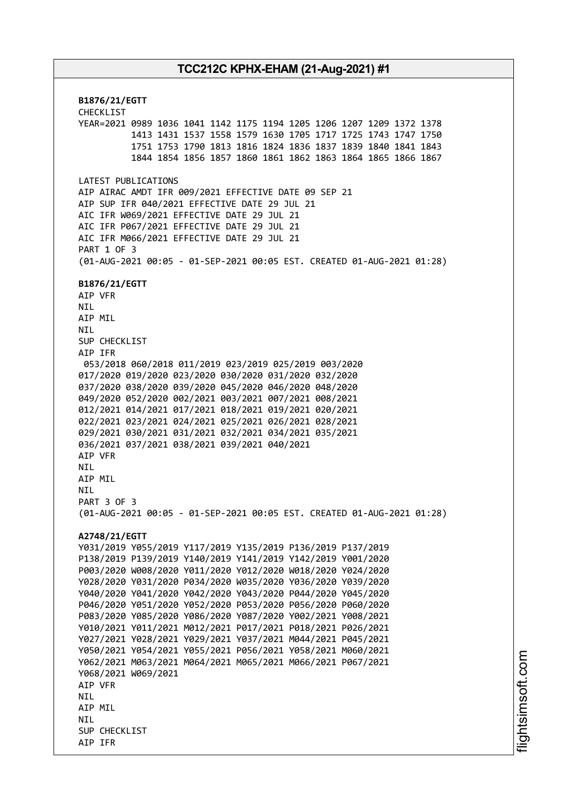**B1876/21/EGTT** CHECKLIST YEAR=2021 0989 1036 1041 1142 1175 1194 1205 1206 1207 1209 1372 1378 1413 1431 1537 1558 1579 1630 1705 1717 1725 1743 1747 1750 1751 1753 1790 1813 1816 1824 1836 1837 1839 1840 1841 1843 1844 1854 1856 1857 1860 1861 1862 1863 1864 1865 1866 1867 LATEST PUBLICATIONS AIP AIRAC AMDT IFR 009/2021 EFFECTIVE DATE 09 SEP 21 AIP SUP IFR 040/2021 EFFECTIVE DATE 29 JUL 21 AIC IFR W069/2021 EFFECTIVE DATE 29 JUL 21 AIC IFR P067/2021 EFFECTIVE DATE 29 JUL 21 AIC IFR M066/2021 EFFECTIVE DATE 29 JUL 21 PART 1 OF 3 (01-AUG-2021 00:05 - 01-SEP-2021 00:05 EST. CREATED 01-AUG-2021 01:28) **B1876/21/EGTT** AIP VFR NIL AIP MIL NIL SUP CHECKLIST AIP IFR 053/2018 060/2018 011/2019 023/2019 025/2019 003/2020 017/2020 019/2020 023/2020 030/2020 031/2020 032/2020 037/2020 038/2020 039/2020 045/2020 046/2020 048/2020 049/2020 052/2020 002/2021 003/2021 007/2021 008/2021 012/2021 014/2021 017/2021 018/2021 019/2021 020/2021 022/2021 023/2021 024/2021 025/2021 026/2021 028/2021 029/2021 030/2021 031/2021 032/2021 034/2021 035/2021 036/2021 037/2021 038/2021 039/2021 040/2021 AIP VFR **NTI** AIP MIL **NTL** PART 3 OF 3 (01-AUG-2021 00:05 - 01-SEP-2021 00:05 EST. CREATED 01-AUG-2021 01:28) **A2748/21/EGTT** Y031/2019 Y055/2019 Y117/2019 Y135/2019 P136/2019 P137/2019 P138/2019 P139/2019 Y140/2019 Y141/2019 Y142/2019 Y001/2020 P003/2020 W008/2020 Y011/2020 Y012/2020 W018/2020 Y024/2020 Y028/2020 Y031/2020 P034/2020 W035/2020 Y036/2020 Y039/2020 Y040/2020 Y041/2020 Y042/2020 Y043/2020 P044/2020 Y045/2020 P046/2020 Y051/2020 Y052/2020 P053/2020 P056/2020 P060/2020 P083/2020 Y085/2020 Y086/2020 Y087/2020 Y002/2021 Y008/2021 Y010/2021 Y011/2021 M012/2021 P017/2021 P018/2021 P026/2021 Y027/2021 Y028/2021 Y029/2021 Y037/2021 M044/2021 P045/2021 Y050/2021 Y054/2021 Y055/2021 P056/2021 Y058/2021 M060/2021 Y062/2021 M063/2021 M064/2021 M065/2021 M066/2021 P067/2021 Y068/2021 W069/2021 AIP VFR **NTI** AIP MIL **NTI** SUP CHECKLIST AIP IFR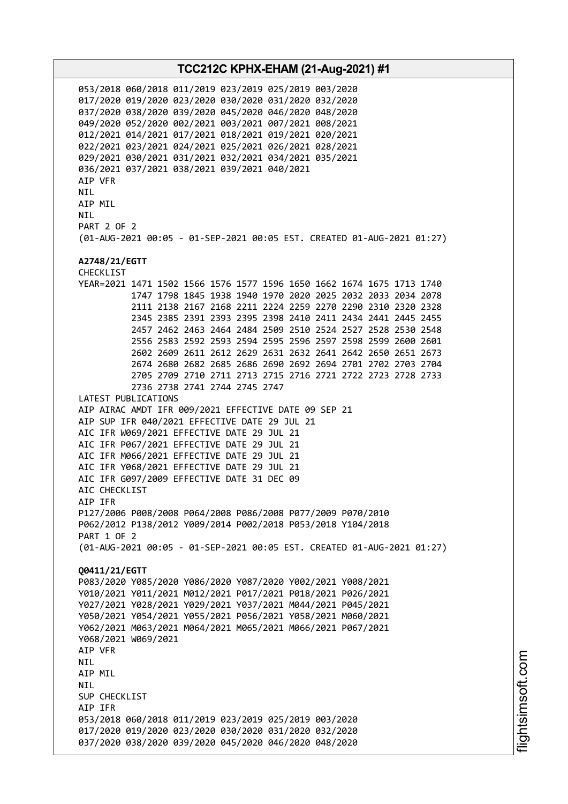053/2018 060/2018 011/2019 023/2019 025/2019 003/2020 017/2020 019/2020 023/2020 030/2020 031/2020 032/2020 037/2020 038/2020 039/2020 045/2020 046/2020 048/2020 049/2020 052/2020 002/2021 003/2021 007/2021 008/2021 012/2021 014/2021 017/2021 018/2021 019/2021 020/2021 022/2021 023/2021 024/2021 025/2021 026/2021 028/2021 029/2021 030/2021 031/2021 032/2021 034/2021 035/2021 036/2021 037/2021 038/2021 039/2021 040/2021 AIP VFR NIL AIP MIL **NTI** PART 2 OF 2 (01-AUG-2021 00:05 - 01-SEP-2021 00:05 EST. CREATED 01-AUG-2021 01:27) **A2748/21/EGTT** CHECKLIST YEAR=2021 1471 1502 1566 1576 1577 1596 1650 1662 1674 1675 1713 1740 1747 1798 1845 1938 1940 1970 2020 2025 2032 2033 2034 2078 2111 2138 2167 2168 2211 2224 2259 2270 2290 2310 2320 2328 2345 2385 2391 2393 2395 2398 2410 2411 2434 2441 2445 2455 2457 2462 2463 2464 2484 2509 2510 2524 2527 2528 2530 2548 2556 2583 2592 2593 2594 2595 2596 2597 2598 2599 2600 2601 2602 2609 2611 2612 2629 2631 2632 2641 2642 2650 2651 2673 2674 2680 2682 2685 2686 2690 2692 2694 2701 2702 2703 2704 2705 2709 2710 2711 2713 2715 2716 2721 2722 2723 2728 2733 2736 2738 2741 2744 2745 2747 LATEST PUBLICATIONS AIP AIRAC AMDT IFR 009/2021 EFFECTIVE DATE 09 SEP 21 AIP SUP IFR 040/2021 EFFECTIVE DATE 29 JUL 21 AIC IFR W069/2021 EFFECTIVE DATE 29 JUL 21 AIC IFR P067/2021 EFFECTIVE DATE 29 JUL 21 AIC IFR M066/2021 EFFECTIVE DATE 29 JUL 21 AIC IFR Y068/2021 EFFECTIVE DATE 29 JUL 21 AIC IFR G097/2009 EFFECTIVE DATE 31 DEC 09 ATC CHECKLIST AIP IFR P127/2006 P008/2008 P064/2008 P086/2008 P077/2009 P070/2010 P062/2012 P138/2012 Y009/2014 P002/2018 P053/2018 Y104/2018 PART 1 OF 2 (01-AUG-2021 00:05 - 01-SEP-2021 00:05 EST. CREATED 01-AUG-2021 01:27) **Q0411/21/EGTT** P083/2020 Y085/2020 Y086/2020 Y087/2020 Y002/2021 Y008/2021 Y010/2021 Y011/2021 M012/2021 P017/2021 P018/2021 P026/2021 Y027/2021 Y028/2021 Y029/2021 Y037/2021 M044/2021 P045/2021 Y050/2021 Y054/2021 Y055/2021 P056/2021 Y058/2021 M060/2021 Y062/2021 M063/2021 M064/2021 M065/2021 M066/2021 P067/2021 Y068/2021 W069/2021 AIP VFR NIL AIP MIL NIL SUP CHECKLIST AIP IFR 053/2018 060/2018 011/2019 023/2019 025/2019 003/2020 017/2020 019/2020 023/2020 030/2020 031/2020 032/2020 037/2020 038/2020 039/2020 045/2020 046/2020 048/2020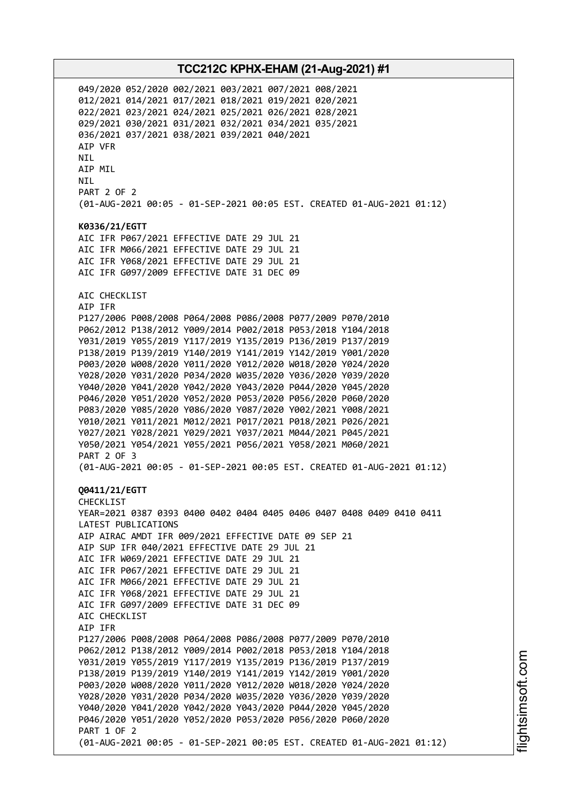049/2020 052/2020 002/2021 003/2021 007/2021 008/2021 012/2021 014/2021 017/2021 018/2021 019/2021 020/2021 022/2021 023/2021 024/2021 025/2021 026/2021 028/2021 029/2021 030/2021 031/2021 032/2021 034/2021 035/2021 036/2021 037/2021 038/2021 039/2021 040/2021 AIP VFR NIL AIP MIL NIL PART 2 OF 2 (01-AUG-2021 00:05 - 01-SEP-2021 00:05 EST. CREATED 01-AUG-2021 01:12) **K0336/21/EGTT** AIC IFR P067/2021 EFFECTIVE DATE 29 JUL 21 AIC IFR M066/2021 EFFECTIVE DATE 29 JUL 21 AIC IFR Y068/2021 EFFECTIVE DATE 29 JUL 21 AIC IFR G097/2009 EFFECTIVE DATE 31 DEC 09 AIC CHECKLIST AIP IFR P127/2006 P008/2008 P064/2008 P086/2008 P077/2009 P070/2010 P062/2012 P138/2012 Y009/2014 P002/2018 P053/2018 Y104/2018 Y031/2019 Y055/2019 Y117/2019 Y135/2019 P136/2019 P137/2019 P138/2019 P139/2019 Y140/2019 Y141/2019 Y142/2019 Y001/2020 P003/2020 W008/2020 Y011/2020 Y012/2020 W018/2020 Y024/2020 Y028/2020 Y031/2020 P034/2020 W035/2020 Y036/2020 Y039/2020 Y040/2020 Y041/2020 Y042/2020 Y043/2020 P044/2020 Y045/2020 P046/2020 Y051/2020 Y052/2020 P053/2020 P056/2020 P060/2020 P083/2020 Y085/2020 Y086/2020 Y087/2020 Y002/2021 Y008/2021 Y010/2021 Y011/2021 M012/2021 P017/2021 P018/2021 P026/2021 Y027/2021 Y028/2021 Y029/2021 Y037/2021 M044/2021 P045/2021 Y050/2021 Y054/2021 Y055/2021 P056/2021 Y058/2021 M060/2021 PART 2 OF 3 (01-AUG-2021 00:05 - 01-SEP-2021 00:05 EST. CREATED 01-AUG-2021 01:12) **Q0411/21/EGTT** CHECKLIST YEAR=2021 0387 0393 0400 0402 0404 0405 0406 0407 0408 0409 0410 0411 LATEST PUBLICATIONS AIP AIRAC AMDT IFR 009/2021 EFFECTIVE DATE 09 SEP 21 AIP SUP IFR 040/2021 EFFECTIVE DATE 29 JUL 21 AIC IFR W069/2021 EFFECTIVE DATE 29 JUL 21 AIC IFR P067/2021 EFFECTIVE DATE 29 JUL 21 AIC IFR M066/2021 EFFECTIVE DATE 29 JUL 21 AIC IFR Y068/2021 EFFECTIVE DATE 29 JUL 21 AIC IFR G097/2009 EFFECTIVE DATE 31 DEC 09 AIC CHECKLIST AIP IFR P127/2006 P008/2008 P064/2008 P086/2008 P077/2009 P070/2010 P062/2012 P138/2012 Y009/2014 P002/2018 P053/2018 Y104/2018 Y031/2019 Y055/2019 Y117/2019 Y135/2019 P136/2019 P137/2019 P138/2019 P139/2019 Y140/2019 Y141/2019 Y142/2019 Y001/2020 P003/2020 W008/2020 Y011/2020 Y012/2020 W018/2020 Y024/2020 Y028/2020 Y031/2020 P034/2020 W035/2020 Y036/2020 Y039/2020 Y040/2020 Y041/2020 Y042/2020 Y043/2020 P044/2020 Y045/2020 P046/2020 Y051/2020 Y052/2020 P053/2020 P056/2020 P060/2020 PART 1 OF 2 (01-AUG-2021 00:05 - 01-SEP-2021 00:05 EST. CREATED 01-AUG-2021 01:12)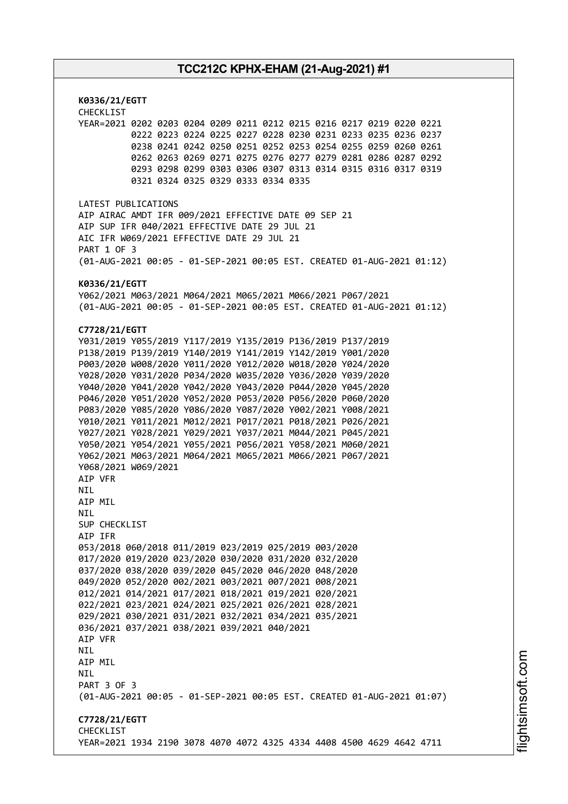**K0336/21/EGTT** CHECKLIST YEAR=2021 0202 0203 0204 0209 0211 0212 0215 0216 0217 0219 0220 0221 0222 0223 0224 0225 0227 0228 0230 0231 0233 0235 0236 0237 0238 0241 0242 0250 0251 0252 0253 0254 0255 0259 0260 0261 0262 0263 0269 0271 0275 0276 0277 0279 0281 0286 0287 0292 0293 0298 0299 0303 0306 0307 0313 0314 0315 0316 0317 0319 0321 0324 0325 0329 0333 0334 0335 LATEST PUBLICATIONS AIP AIRAC AMDT IFR 009/2021 EFFECTIVE DATE 09 SEP 21 AIP SUP IFR 040/2021 EFFECTIVE DATE 29 JUL 21 AIC IFR W069/2021 EFFECTIVE DATE 29 JUL 21 PART 1 OF 3 (01-AUG-2021 00:05 - 01-SEP-2021 00:05 EST. CREATED 01-AUG-2021 01:12) **K0336/21/EGTT** Y062/2021 M063/2021 M064/2021 M065/2021 M066/2021 P067/2021 (01-AUG-2021 00:05 - 01-SEP-2021 00:05 EST. CREATED 01-AUG-2021 01:12) **C7728/21/EGTT** Y031/2019 Y055/2019 Y117/2019 Y135/2019 P136/2019 P137/2019 P138/2019 P139/2019 Y140/2019 Y141/2019 Y142/2019 Y001/2020 P003/2020 W008/2020 Y011/2020 Y012/2020 W018/2020 Y024/2020 Y028/2020 Y031/2020 P034/2020 W035/2020 Y036/2020 Y039/2020 Y040/2020 Y041/2020 Y042/2020 Y043/2020 P044/2020 Y045/2020 P046/2020 Y051/2020 Y052/2020 P053/2020 P056/2020 P060/2020 P083/2020 Y085/2020 Y086/2020 Y087/2020 Y002/2021 Y008/2021 Y010/2021 Y011/2021 M012/2021 P017/2021 P018/2021 P026/2021 Y027/2021 Y028/2021 Y029/2021 Y037/2021 M044/2021 P045/2021 Y050/2021 Y054/2021 Y055/2021 P056/2021 Y058/2021 M060/2021 Y062/2021 M063/2021 M064/2021 M065/2021 M066/2021 P067/2021 Y068/2021 W069/2021 AIP VFR **NTI** AIP MIL **NTI** SUP CHECKLIST AIP IFR 053/2018 060/2018 011/2019 023/2019 025/2019 003/2020 017/2020 019/2020 023/2020 030/2020 031/2020 032/2020 037/2020 038/2020 039/2020 045/2020 046/2020 048/2020 049/2020 052/2020 002/2021 003/2021 007/2021 008/2021 012/2021 014/2021 017/2021 018/2021 019/2021 020/2021 022/2021 023/2021 024/2021 025/2021 026/2021 028/2021 029/2021 030/2021 031/2021 032/2021 034/2021 035/2021 036/2021 037/2021 038/2021 039/2021 040/2021 AIP VFR NIL AIP MIL **NTL** PART 3 OF 3 (01-AUG-2021 00:05 - 01-SEP-2021 00:05 EST. CREATED 01-AUG-2021 01:07) **C7728/21/EGTT** CHECKLIST YEAR=2021 1934 2190 3078 4070 4072 4325 4334 4408 4500 4629 4642 4711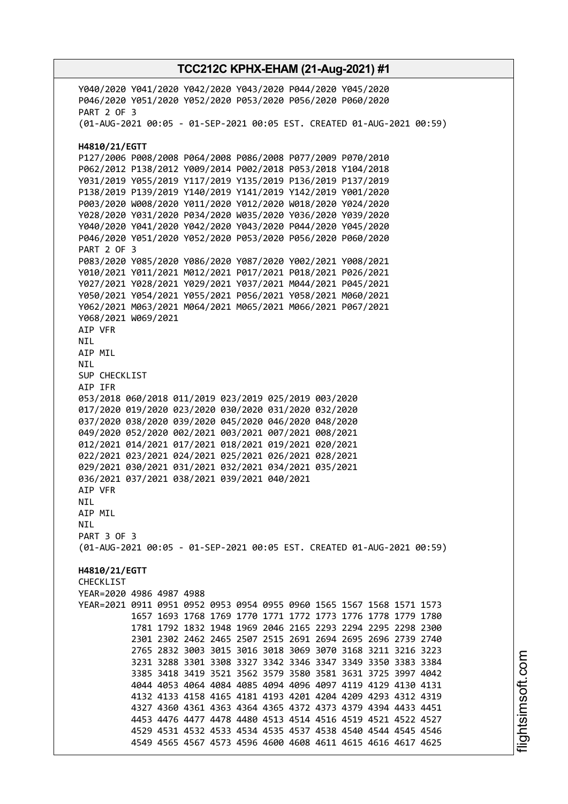Y040/2020 Y041/2020 Y042/2020 Y043/2020 P044/2020 Y045/2020 P046/2020 Y051/2020 Y052/2020 P053/2020 P056/2020 P060/2020 PART 2 OF 3 (01-AUG-2021 00:05 - 01-SEP-2021 00:05 EST. CREATED 01-AUG-2021 00:59) **H4810/21/EGTT** P127/2006 P008/2008 P064/2008 P086/2008 P077/2009 P070/2010 P062/2012 P138/2012 Y009/2014 P002/2018 P053/2018 Y104/2018 Y031/2019 Y055/2019 Y117/2019 Y135/2019 P136/2019 P137/2019 P138/2019 P139/2019 Y140/2019 Y141/2019 Y142/2019 Y001/2020 P003/2020 W008/2020 Y011/2020 Y012/2020 W018/2020 Y024/2020 Y028/2020 Y031/2020 P034/2020 W035/2020 Y036/2020 Y039/2020 Y040/2020 Y041/2020 Y042/2020 Y043/2020 P044/2020 Y045/2020 P046/2020 Y051/2020 Y052/2020 P053/2020 P056/2020 P060/2020 PART 2 OF 3 P083/2020 Y085/2020 Y086/2020 Y087/2020 Y002/2021 Y008/2021 Y010/2021 Y011/2021 M012/2021 P017/2021 P018/2021 P026/2021 Y027/2021 Y028/2021 Y029/2021 Y037/2021 M044/2021 P045/2021 Y050/2021 Y054/2021 Y055/2021 P056/2021 Y058/2021 M060/2021 Y062/2021 M063/2021 M064/2021 M065/2021 M066/2021 P067/2021 Y068/2021 W069/2021 AIP VFR NIL AIP MIL NIL SUP CHECKLIST AIP IFR 053/2018 060/2018 011/2019 023/2019 025/2019 003/2020 017/2020 019/2020 023/2020 030/2020 031/2020 032/2020 037/2020 038/2020 039/2020 045/2020 046/2020 048/2020 049/2020 052/2020 002/2021 003/2021 007/2021 008/2021 012/2021 014/2021 017/2021 018/2021 019/2021 020/2021 022/2021 023/2021 024/2021 025/2021 026/2021 028/2021 029/2021 030/2021 031/2021 032/2021 034/2021 035/2021 036/2021 037/2021 038/2021 039/2021 040/2021 AIP VFR NIL AIP MIL NIL PART 3 OF 3 (01-AUG-2021 00:05 - 01-SEP-2021 00:05 EST. CREATED 01-AUG-2021 00:59) **H4810/21/EGTT CHECKLIST** YEAR=2020 4986 4987 4988 YEAR=2021 0911 0951 0952 0953 0954 0955 0960 1565 1567 1568 1571 1573 1657 1693 1768 1769 1770 1771 1772 1773 1776 1778 1779 1780 1781 1792 1832 1948 1969 2046 2165 2293 2294 2295 2298 2300 2301 2302 2462 2465 2507 2515 2691 2694 2695 2696 2739 2740 2765 2832 3003 3015 3016 3018 3069 3070 3168 3211 3216 3223 3231 3288 3301 3308 3327 3342 3346 3347 3349 3350 3383 3384 3385 3418 3419 3521 3562 3579 3580 3581 3631 3725 3997 4042 4044 4053 4064 4084 4085 4094 4096 4097 4119 4129 4130 4131 4132 4133 4158 4165 4181 4193 4201 4204 4209 4293 4312 4319 4327 4360 4361 4363 4364 4365 4372 4373 4379 4394 4433 4451 4453 4476 4477 4478 4480 4513 4514 4516 4519 4521 4522 4527 4529 4531 4532 4533 4534 4535 4537 4538 4540 4544 4545 4546 4549 4565 4567 4573 4596 4600 4608 4611 4615 4616 4617 4625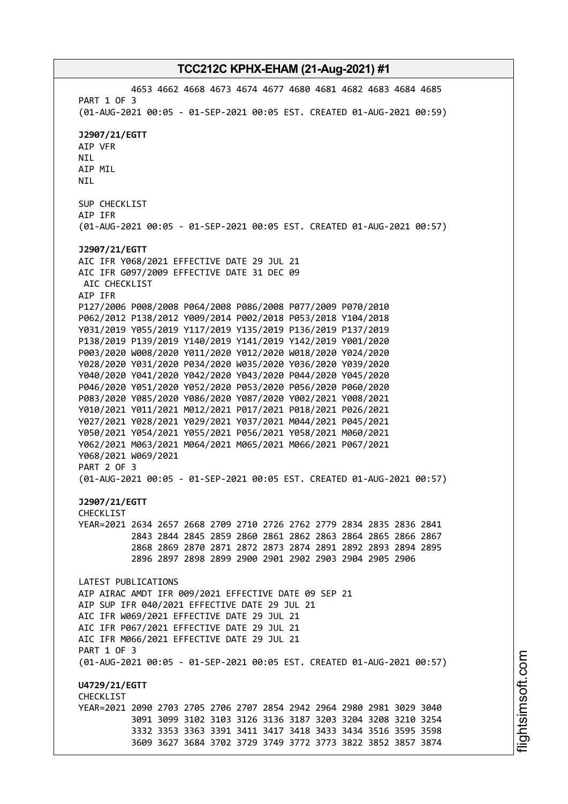4653 4662 4668 4673 4674 4677 4680 4681 4682 4683 4684 4685 PART 1 OF 3 (01-AUG-2021 00:05 - 01-SEP-2021 00:05 EST. CREATED 01-AUG-2021 00:59) **J2907/21/EGTT** AIP VFR NIL AIP MIL NIL SUP CHECKLIST AIP IFR (01-AUG-2021 00:05 - 01-SEP-2021 00:05 EST. CREATED 01-AUG-2021 00:57) **J2907/21/EGTT** AIC IFR Y068/2021 EFFECTIVE DATE 29 JUL 21 AIC IFR G097/2009 EFFECTIVE DATE 31 DEC 09 AIC CHECKLIST AIP IFR P127/2006 P008/2008 P064/2008 P086/2008 P077/2009 P070/2010 P062/2012 P138/2012 Y009/2014 P002/2018 P053/2018 Y104/2018 Y031/2019 Y055/2019 Y117/2019 Y135/2019 P136/2019 P137/2019 P138/2019 P139/2019 Y140/2019 Y141/2019 Y142/2019 Y001/2020 P003/2020 W008/2020 Y011/2020 Y012/2020 W018/2020 Y024/2020 Y028/2020 Y031/2020 P034/2020 W035/2020 Y036/2020 Y039/2020 Y040/2020 Y041/2020 Y042/2020 Y043/2020 P044/2020 Y045/2020 P046/2020 Y051/2020 Y052/2020 P053/2020 P056/2020 P060/2020 P083/2020 Y085/2020 Y086/2020 Y087/2020 Y002/2021 Y008/2021 Y010/2021 Y011/2021 M012/2021 P017/2021 P018/2021 P026/2021 Y027/2021 Y028/2021 Y029/2021 Y037/2021 M044/2021 P045/2021 Y050/2021 Y054/2021 Y055/2021 P056/2021 Y058/2021 M060/2021 Y062/2021 M063/2021 M064/2021 M065/2021 M066/2021 P067/2021 Y068/2021 W069/2021 PART 2 OF 3 (01-AUG-2021 00:05 - 01-SEP-2021 00:05 EST. CREATED 01-AUG-2021 00:57) **J2907/21/EGTT** CHECKLIST YEAR=2021 2634 2657 2668 2709 2710 2726 2762 2779 2834 2835 2836 2841 2843 2844 2845 2859 2860 2861 2862 2863 2864 2865 2866 2867 2868 2869 2870 2871 2872 2873 2874 2891 2892 2893 2894 2895 2896 2897 2898 2899 2900 2901 2902 2903 2904 2905 2906 LATEST PUBLICATIONS AIP AIRAC AMDT IFR 009/2021 EFFECTIVE DATE 09 SEP 21 AIP SUP IFR 040/2021 EFFECTIVE DATE 29 JUL 21 AIC IFR W069/2021 EFFECTIVE DATE 29 JUL 21 AIC IFR P067/2021 EFFECTIVE DATE 29 JUL 21 AIC IFR M066/2021 EFFECTIVE DATE 29 JUL 21 PART 1 OF 3 (01-AUG-2021 00:05 - 01-SEP-2021 00:05 EST. CREATED 01-AUG-2021 00:57) **U4729/21/EGTT CHECKLIST** YEAR=2021 2090 2703 2705 2706 2707 2854 2942 2964 2980 2981 3029 3040 3091 3099 3102 3103 3126 3136 3187 3203 3204 3208 3210 3254 3332 3353 3363 3391 3411 3417 3418 3433 3434 3516 3595 3598 3609 3627 3684 3702 3729 3749 3772 3773 3822 3852 3857 3874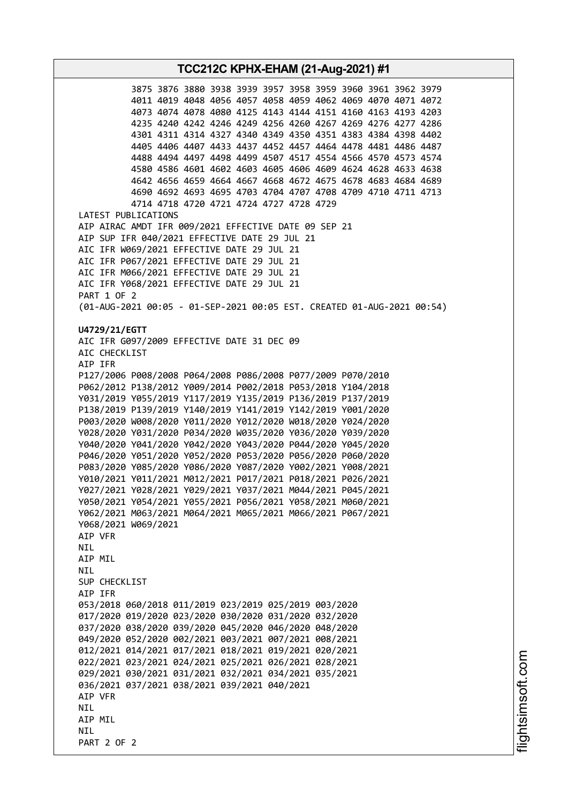**TCC212C KPHX-EHAM (21-Aug-2021) #1** 3875 3876 3880 3938 3939 3957 3958 3959 3960 3961 3962 3979 4011 4019 4048 4056 4057 4058 4059 4062 4069 4070 4071 4072 4073 4074 4078 4080 4125 4143 4144 4151 4160 4163 4193 4203 4235 4240 4242 4246 4249 4256 4260 4267 4269 4276 4277 4286 4301 4311 4314 4327 4340 4349 4350 4351 4383 4384 4398 4402 4405 4406 4407 4433 4437 4452 4457 4464 4478 4481 4486 4487 4488 4494 4497 4498 4499 4507 4517 4554 4566 4570 4573 4574 4580 4586 4601 4602 4603 4605 4606 4609 4624 4628 4633 4638 4642 4656 4659 4664 4667 4668 4672 4675 4678 4683 4684 4689 4690 4692 4693 4695 4703 4704 4707 4708 4709 4710 4711 4713 4714 4718 4720 4721 4724 4727 4728 4729 LATEST PUBLICATIONS AIP AIRAC AMDT IFR 009/2021 EFFECTIVE DATE 09 SEP 21 AIP SUP IFR 040/2021 EFFECTIVE DATE 29 JUL 21 AIC IFR W069/2021 EFFECTIVE DATE 29 JUL 21 AIC IFR P067/2021 EFFECTIVE DATE 29 JUL 21 AIC IFR M066/2021 EFFECTIVE DATE 29 JUL 21 AIC IFR Y068/2021 EFFECTIVE DATE 29 JUL 21 PART 1 OF 2 (01-AUG-2021 00:05 - 01-SEP-2021 00:05 EST. CREATED 01-AUG-2021 00:54) **U4729/21/EGTT** AIC IFR G097/2009 EFFECTIVE DATE 31 DEC 09 AIC CHECKLIST AIP IFR P127/2006 P008/2008 P064/2008 P086/2008 P077/2009 P070/2010 P062/2012 P138/2012 Y009/2014 P002/2018 P053/2018 Y104/2018 Y031/2019 Y055/2019 Y117/2019 Y135/2019 P136/2019 P137/2019 P138/2019 P139/2019 Y140/2019 Y141/2019 Y142/2019 Y001/2020 P003/2020 W008/2020 Y011/2020 Y012/2020 W018/2020 Y024/2020 Y028/2020 Y031/2020 P034/2020 W035/2020 Y036/2020 Y039/2020 Y040/2020 Y041/2020 Y042/2020 Y043/2020 P044/2020 Y045/2020 P046/2020 Y051/2020 Y052/2020 P053/2020 P056/2020 P060/2020 P083/2020 Y085/2020 Y086/2020 Y087/2020 Y002/2021 Y008/2021 Y010/2021 Y011/2021 M012/2021 P017/2021 P018/2021 P026/2021 Y027/2021 Y028/2021 Y029/2021 Y037/2021 M044/2021 P045/2021 Y050/2021 Y054/2021 Y055/2021 P056/2021 Y058/2021 M060/2021 Y062/2021 M063/2021 M064/2021 M065/2021 M066/2021 P067/2021 Y068/2021 W069/2021 AIP VFR **NTI** AIP MIL NIL SUP CHECKLIST AIP IFR 053/2018 060/2018 011/2019 023/2019 025/2019 003/2020 017/2020 019/2020 023/2020 030/2020 031/2020 032/2020 037/2020 038/2020 039/2020 045/2020 046/2020 048/2020 049/2020 052/2020 002/2021 003/2021 007/2021 008/2021 012/2021 014/2021 017/2021 018/2021 019/2021 020/2021 022/2021 023/2021 024/2021 025/2021 026/2021 028/2021 029/2021 030/2021 031/2021 032/2021 034/2021 035/2021 036/2021 037/2021 038/2021 039/2021 040/2021 AIP VFR **NTI** AIP MIL **NTI** PART 2 OF 2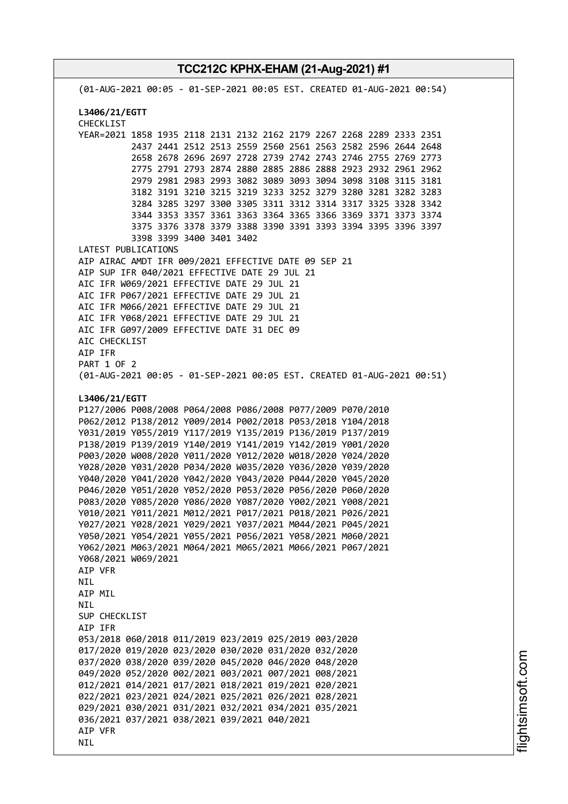**TCC212C KPHX-EHAM (21-Aug-2021) #1** (01-AUG-2021 00:05 - 01-SEP-2021 00:05 EST. CREATED 01-AUG-2021 00:54) **L3406/21/EGTT** CHECKLIST YEAR=2021 1858 1935 2118 2131 2132 2162 2179 2267 2268 2289 2333 2351 2437 2441 2512 2513 2559 2560 2561 2563 2582 2596 2644 2648 2658 2678 2696 2697 2728 2739 2742 2743 2746 2755 2769 2773 2775 2791 2793 2874 2880 2885 2886 2888 2923 2932 2961 2962 2979 2981 2983 2993 3082 3089 3093 3094 3098 3108 3115 3181 3182 3191 3210 3215 3219 3233 3252 3279 3280 3281 3282 3283 3284 3285 3297 3300 3305 3311 3312 3314 3317 3325 3328 3342 3344 3353 3357 3361 3363 3364 3365 3366 3369 3371 3373 3374 3375 3376 3378 3379 3388 3390 3391 3393 3394 3395 3396 3397 3398 3399 3400 3401 3402 LATEST PUBLICATIONS AIP AIRAC AMDT IFR 009/2021 EFFECTIVE DATE 09 SEP 21 AIP SUP IFR 040/2021 EFFECTIVE DATE 29 JUL 21 AIC IFR W069/2021 EFFECTIVE DATE 29 JUL 21 AIC IFR P067/2021 EFFECTIVE DATE 29 JUL 21 AIC IFR M066/2021 EFFECTIVE DATE 29 JUL 21 AIC IFR Y068/2021 EFFECTIVE DATE 29 JUL 21 AIC IFR G097/2009 EFFECTIVE DATE 31 DEC 09 AIC CHECKLIST AIP IFR PART 1 OF 2 (01-AUG-2021 00:05 - 01-SEP-2021 00:05 EST. CREATED 01-AUG-2021 00:51) **L3406/21/EGTT** P127/2006 P008/2008 P064/2008 P086/2008 P077/2009 P070/2010 P062/2012 P138/2012 Y009/2014 P002/2018 P053/2018 Y104/2018 Y031/2019 Y055/2019 Y117/2019 Y135/2019 P136/2019 P137/2019 P138/2019 P139/2019 Y140/2019 Y141/2019 Y142/2019 Y001/2020 P003/2020 W008/2020 Y011/2020 Y012/2020 W018/2020 Y024/2020 Y028/2020 Y031/2020 P034/2020 W035/2020 Y036/2020 Y039/2020 Y040/2020 Y041/2020 Y042/2020 Y043/2020 P044/2020 Y045/2020 P046/2020 Y051/2020 Y052/2020 P053/2020 P056/2020 P060/2020 P083/2020 Y085/2020 Y086/2020 Y087/2020 Y002/2021 Y008/2021 Y010/2021 Y011/2021 M012/2021 P017/2021 P018/2021 P026/2021 Y027/2021 Y028/2021 Y029/2021 Y037/2021 M044/2021 P045/2021 Y050/2021 Y054/2021 Y055/2021 P056/2021 Y058/2021 M060/2021 Y062/2021 M063/2021 M064/2021 M065/2021 M066/2021 P067/2021 Y068/2021 W069/2021 AIP VFR NIL AIP MIL **NTI** SUP CHECKLIST AIP IFR 053/2018 060/2018 011/2019 023/2019 025/2019 003/2020 017/2020 019/2020 023/2020 030/2020 031/2020 032/2020 037/2020 038/2020 039/2020 045/2020 046/2020 048/2020 049/2020 052/2020 002/2021 003/2021 007/2021 008/2021 012/2021 014/2021 017/2021 018/2021 019/2021 020/2021 022/2021 023/2021 024/2021 025/2021 026/2021 028/2021 029/2021 030/2021 031/2021 032/2021 034/2021 035/2021 036/2021 037/2021 038/2021 039/2021 040/2021 AIP VFR **NTL**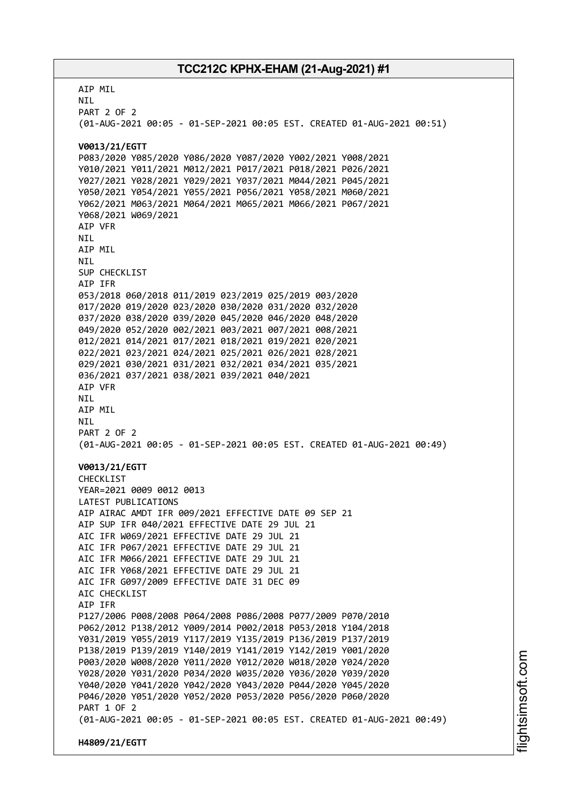AIP MIL NIL PART 2 OF 2 (01-AUG-2021 00:05 - 01-SEP-2021 00:05 EST. CREATED 01-AUG-2021 00:51) **V0013/21/EGTT** P083/2020 Y085/2020 Y086/2020 Y087/2020 Y002/2021 Y008/2021 Y010/2021 Y011/2021 M012/2021 P017/2021 P018/2021 P026/2021 Y027/2021 Y028/2021 Y029/2021 Y037/2021 M044/2021 P045/2021 Y050/2021 Y054/2021 Y055/2021 P056/2021 Y058/2021 M060/2021 Y062/2021 M063/2021 M064/2021 M065/2021 M066/2021 P067/2021 Y068/2021 W069/2021 AIP VFR NIL AIP MIL NIL SUP CHECKLIST AIP IFR 053/2018 060/2018 011/2019 023/2019 025/2019 003/2020 017/2020 019/2020 023/2020 030/2020 031/2020 032/2020 037/2020 038/2020 039/2020 045/2020 046/2020 048/2020 049/2020 052/2020 002/2021 003/2021 007/2021 008/2021 012/2021 014/2021 017/2021 018/2021 019/2021 020/2021 022/2021 023/2021 024/2021 025/2021 026/2021 028/2021 029/2021 030/2021 031/2021 032/2021 034/2021 035/2021 036/2021 037/2021 038/2021 039/2021 040/2021 AIP VFR NIL AIP MIL NIL PART 2 OF 2 (01-AUG-2021 00:05 - 01-SEP-2021 00:05 EST. CREATED 01-AUG-2021 00:49) **V0013/21/EGTT** CHECKLIST YEAR=2021 0009 0012 0013 LATEST PUBLICATIONS AIP AIRAC AMDT IFR 009/2021 EFFECTIVE DATE 09 SEP 21 AIP SUP IFR 040/2021 EFFECTIVE DATE 29 JUL 21 AIC IFR W069/2021 EFFECTIVE DATE 29 JUL 21 AIC IFR P067/2021 EFFECTIVE DATE 29 JUL 21 AIC IFR M066/2021 EFFECTIVE DATE 29 JUL 21 AIC IFR Y068/2021 EFFECTIVE DATE 29 JUL 21 AIC IFR G097/2009 EFFECTIVE DATE 31 DEC 09 ATC CHECKLIST AIP IFR P127/2006 P008/2008 P064/2008 P086/2008 P077/2009 P070/2010 P062/2012 P138/2012 Y009/2014 P002/2018 P053/2018 Y104/2018 Y031/2019 Y055/2019 Y117/2019 Y135/2019 P136/2019 P137/2019 P138/2019 P139/2019 Y140/2019 Y141/2019 Y142/2019 Y001/2020 P003/2020 W008/2020 Y011/2020 Y012/2020 W018/2020 Y024/2020 Y028/2020 Y031/2020 P034/2020 W035/2020 Y036/2020 Y039/2020 Y040/2020 Y041/2020 Y042/2020 Y043/2020 P044/2020 Y045/2020 P046/2020 Y051/2020 Y052/2020 P053/2020 P056/2020 P060/2020 PART 1 OF 2 (01-AUG-2021 00:05 - 01-SEP-2021 00:05 EST. CREATED 01-AUG-2021 00:49) **H4809/21/EGTT**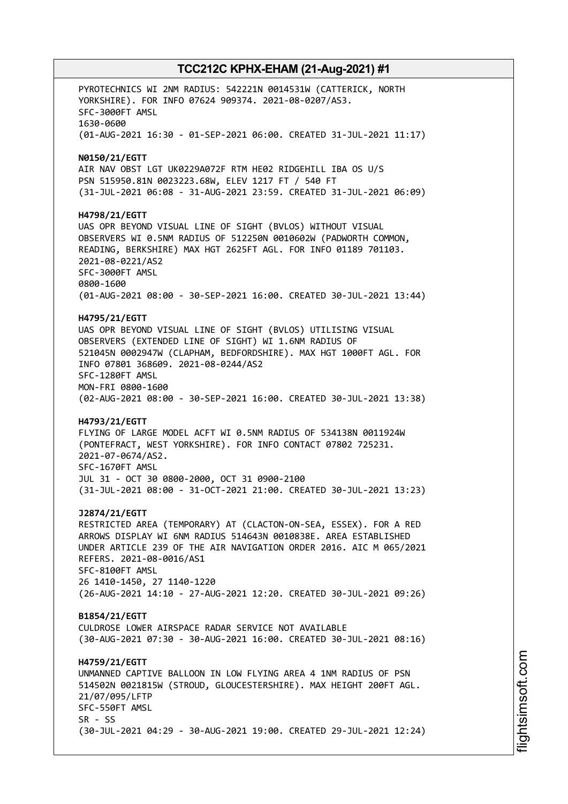PYROTECHNICS WI 2NM RADIUS: 542221N 0014531W (CATTERICK, NORTH YORKSHIRE). FOR INFO 07624 909374. 2021-08-0207/AS3. SFC-3000FT AMSL 1630-0600 (01-AUG-2021 16:30 - 01-SEP-2021 06:00. CREATED 31-JUL-2021 11:17) **N0150/21/EGTT** AIR NAV OBST LGT UK0229A072F RTM HE02 RIDGEHILL IBA OS U/S PSN 515950.81N 0023223.68W, ELEV 1217 FT / 540 FT (31-JUL-2021 06:08 - 31-AUG-2021 23:59. CREATED 31-JUL-2021 06:09) **H4798/21/EGTT** UAS OPR BEYOND VISUAL LINE OF SIGHT (BVLOS) WITHOUT VISUAL OBSERVERS WI 0.5NM RADIUS OF 512250N 0010602W (PADWORTH COMMON, READING, BERKSHIRE) MAX HGT 2625FT AGL. FOR INFO 01189 701103. 2021-08-0221/AS2 SFC-3000FT AMSL 0800-1600 (01-AUG-2021 08:00 - 30-SEP-2021 16:00. CREATED 30-JUL-2021 13:44) **H4795/21/EGTT** UAS OPR BEYOND VISUAL LINE OF SIGHT (BVLOS) UTILISING VISUAL OBSERVERS (EXTENDED LINE OF SIGHT) WI 1.6NM RADIUS OF 521045N 0002947W (CLAPHAM, BEDFORDSHIRE). MAX HGT 1000FT AGL. FOR INFO 07801 368609. 2021-08-0244/AS2 SFC-1280FT AMSL MON-FRI 0800-1600 (02-AUG-2021 08:00 - 30-SEP-2021 16:00. CREATED 30-JUL-2021 13:38) **H4793/21/EGTT** FLYING OF LARGE MODEL ACFT WI 0.5NM RADIUS OF 534138N 0011924W (PONTEFRACT, WEST YORKSHIRE). FOR INFO CONTACT 07802 725231. 2021-07-0674/AS2. SFC-1670FT AMSL JUL 31 - OCT 30 0800-2000, OCT 31 0900-2100 (31-JUL-2021 08:00 - 31-OCT-2021 21:00. CREATED 30-JUL-2021 13:23) **J2874/21/EGTT** RESTRICTED AREA (TEMPORARY) AT (CLACTON-ON-SEA, ESSEX). FOR A RED ARROWS DISPLAY WI 6NM RADIUS 514643N 0010838E. AREA ESTABLISHED UNDER ARTICLE 239 OF THE AIR NAVIGATION ORDER 2016. AIC M 065/2021 REFERS. 2021-08-0016/AS1 SFC-8100FT AMSL 26 1410-1450, 27 1140-1220 (26-AUG-2021 14:10 - 27-AUG-2021 12:20. CREATED 30-JUL-2021 09:26) **B1854/21/EGTT** CULDROSE LOWER AIRSPACE RADAR SERVICE NOT AVAILABLE (30-AUG-2021 07:30 - 30-AUG-2021 16:00. CREATED 30-JUL-2021 08:16) **H4759/21/EGTT** UNMANNED CAPTIVE BALLOON IN LOW FLYING AREA 4 1NM RADIUS OF PSN 514502N 0021815W (STROUD, GLOUCESTERSHIRE). MAX HEIGHT 200FT AGL. 21/07/095/LFTP SFC-550FT AMSL  $SR - SS$ (30-JUL-2021 04:29 - 30-AUG-2021 19:00. CREATED 29-JUL-2021 12:24)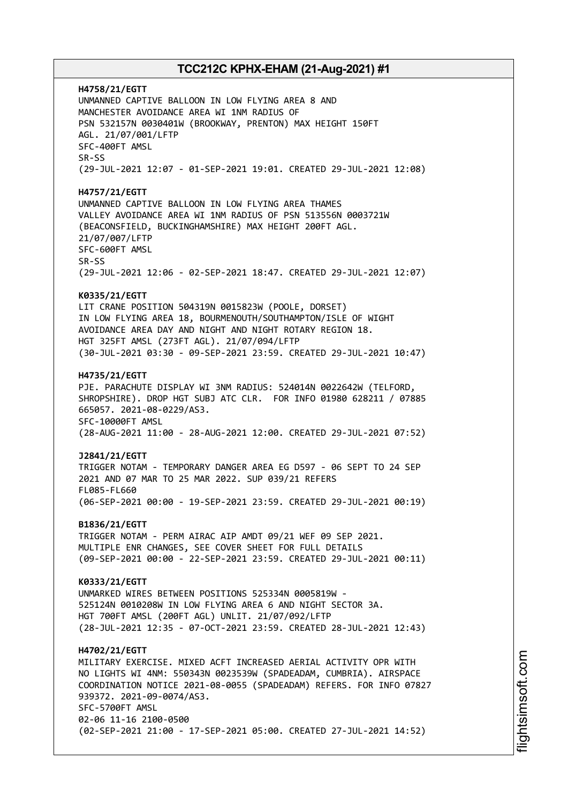**H4758/21/EGTT** UNMANNED CAPTIVE BALLOON IN LOW FLYING AREA 8 AND MANCHESTER AVOIDANCE AREA WI 1NM RADIUS OF PSN 532157N 0030401W (BROOKWAY, PRENTON) MAX HEIGHT 150FT AGL. 21/07/001/LFTP SFC-400FT AMSL SR-SS (29-JUL-2021 12:07 - 01-SEP-2021 19:01. CREATED 29-JUL-2021 12:08) **H4757/21/EGTT** UNMANNED CAPTIVE BALLOON IN LOW FLYING AREA THAMES VALLEY AVOIDANCE AREA WI 1NM RADIUS OF PSN 513556N 0003721W (BEACONSFIELD, BUCKINGHAMSHIRE) MAX HEIGHT 200FT AGL. 21/07/007/LFTP SFC-600FT AMSL SR-SS (29-JUL-2021 12:06 - 02-SEP-2021 18:47. CREATED 29-JUL-2021 12:07) **K0335/21/EGTT** LIT CRANE POSITION 504319N 0015823W (POOLE, DORSET) IN LOW FLYING AREA 18, BOURMENOUTH/SOUTHAMPTON/ISLE OF WIGHT AVOIDANCE AREA DAY AND NIGHT AND NIGHT ROTARY REGION 18. HGT 325FT AMSL (273FT AGL). 21/07/094/LFTP (30-JUL-2021 03:30 - 09-SEP-2021 23:59. CREATED 29-JUL-2021 10:47) **H4735/21/EGTT** PJE. PARACHUTE DISPLAY WI 3NM RADIUS: 524014N 0022642W (TELFORD, SHROPSHIRE). DROP HGT SUBJ ATC CLR. FOR INFO 01980 628211 / 07885 665057. 2021-08-0229/AS3. SFC-10000FT AMSL (28-AUG-2021 11:00 - 28-AUG-2021 12:00. CREATED 29-JUL-2021 07:52) **J2841/21/EGTT** TRIGGER NOTAM - TEMPORARY DANGER AREA EG D597 - 06 SEPT TO 24 SEP 2021 AND 07 MAR TO 25 MAR 2022. SUP 039/21 REFERS FL085-FL660 (06-SEP-2021 00:00 - 19-SEP-2021 23:59. CREATED 29-JUL-2021 00:19) **B1836/21/EGTT** TRIGGER NOTAM - PERM AIRAC AIP AMDT 09/21 WEF 09 SEP 2021. MULTIPLE ENR CHANGES, SEE COVER SHEET FOR FULL DETAILS (09-SEP-2021 00:00 - 22-SEP-2021 23:59. CREATED 29-JUL-2021 00:11) **K0333/21/EGTT** UNMARKED WIRES BETWEEN POSITIONS 525334N 0005819W - 525124N 0010208W IN LOW FLYING AREA 6 AND NIGHT SECTOR 3A. HGT 700FT AMSL (200FT AGL) UNLIT. 21/07/092/LFTP (28-JUL-2021 12:35 - 07-OCT-2021 23:59. CREATED 28-JUL-2021 12:43) **H4702/21/EGTT** MILITARY EXERCISE. MIXED ACFT INCREASED AERIAL ACTIVITY OPR WITH NO LIGHTS WI 4NM: 550343N 0023539W (SPADEADAM, CUMBRIA). AIRSPACE COORDINATION NOTICE 2021-08-0055 (SPADEADAM) REFERS. FOR INFO 07827 939372. 2021-09-0074/AS3. SFC-5700FT AMSL 02-06 11-16 2100-0500 (02-SEP-2021 21:00 - 17-SEP-2021 05:00. CREATED 27-JUL-2021 14:52)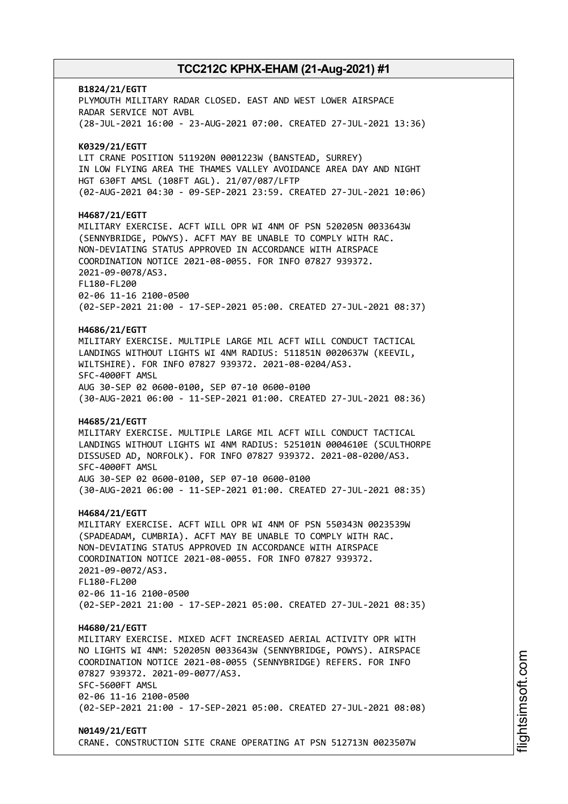# **B1824/21/EGTT** PLYMOUTH MILITARY RADAR CLOSED. EAST AND WEST LOWER AIRSPACE RADAR SERVICE NOT AVBL (28-JUL-2021 16:00 - 23-AUG-2021 07:00. CREATED 27-JUL-2021 13:36) **K0329/21/EGTT** LIT CRANE POSITION 511920N 0001223W (BANSTEAD, SURREY) IN LOW FLYING AREA THE THAMES VALLEY AVOIDANCE AREA DAY AND NIGHT HGT 630FT AMSL (108FT AGL). 21/07/087/LFTP (02-AUG-2021 04:30 - 09-SEP-2021 23:59. CREATED 27-JUL-2021 10:06) **H4687/21/EGTT** MILITARY EXERCISE. ACFT WILL OPR WI 4NM OF PSN 520205N 0033643W (SENNYBRIDGE, POWYS). ACFT MAY BE UNABLE TO COMPLY WITH RAC. NON-DEVIATING STATUS APPROVED IN ACCORDANCE WITH AIRSPACE COORDINATION NOTICE 2021-08-0055. FOR INFO 07827 939372. 2021-09-0078/AS3. FL180-FL200 02-06 11-16 2100-0500 (02-SEP-2021 21:00 - 17-SEP-2021 05:00. CREATED 27-JUL-2021 08:37) **H4686/21/EGTT** MILITARY EXERCISE. MULTIPLE LARGE MIL ACFT WILL CONDUCT TACTICAL LANDINGS WITHOUT LIGHTS WI 4NM RADIUS: 511851N 0020637W (KEEVIL, WILTSHIRE). FOR INFO 07827 939372. 2021-08-0204/AS3. SFC-4000FT AMSL AUG 30-SEP 02 0600-0100, SEP 07-10 0600-0100 (30-AUG-2021 06:00 - 11-SEP-2021 01:00. CREATED 27-JUL-2021 08:36) **H4685/21/EGTT** MILITARY EXERCISE. MULTIPLE LARGE MIL ACFT WILL CONDUCT TACTICAL LANDINGS WITHOUT LIGHTS WI 4NM RADIUS: 525101N 0004610E (SCULTHORPE DISSUSED AD, NORFOLK). FOR INFO 07827 939372. 2021-08-0200/AS3. SFC-4000FT AMSL AUG 30-SEP 02 0600-0100, SEP 07-10 0600-0100 (30-AUG-2021 06:00 - 11-SEP-2021 01:00. CREATED 27-JUL-2021 08:35) **H4684/21/EGTT** MILITARY EXERCISE. ACFT WILL OPR WI 4NM OF PSN 550343N 0023539W (SPADEADAM, CUMBRIA). ACFT MAY BE UNABLE TO COMPLY WITH RAC. NON-DEVIATING STATUS APPROVED IN ACCORDANCE WITH AIRSPACE COORDINATION NOTICE 2021-08-0055. FOR INFO 07827 939372. 2021-09-0072/AS3. FL180-FL200 02-06 11-16 2100-0500 (02-SEP-2021 21:00 - 17-SEP-2021 05:00. CREATED 27-JUL-2021 08:35) **H4680/21/EGTT** MILITARY EXERCISE. MIXED ACFT INCREASED AERIAL ACTIVITY OPR WITH NO LIGHTS WI 4NM: 520205N 0033643W (SENNYBRIDGE, POWYS). AIRSPACE COORDINATION NOTICE 2021-08-0055 (SENNYBRIDGE) REFERS. FOR INFO 07827 939372. 2021-09-0077/AS3. SFC-5600FT AMSL 02-06 11-16 2100-0500 (02-SEP-2021 21:00 - 17-SEP-2021 05:00. CREATED 27-JUL-2021 08:08) **N0149/21/EGTT**

CRANE. CONSTRUCTION SITE CRANE OPERATING AT PSN 512713N 0023507W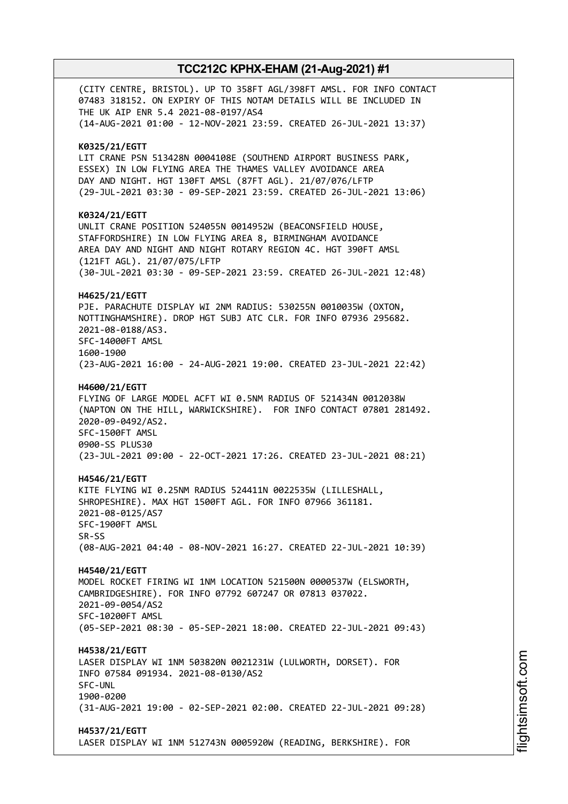(CITY CENTRE, BRISTOL). UP TO 358FT AGL/398FT AMSL. FOR INFO CONTACT 07483 318152. ON EXPIRY OF THIS NOTAM DETAILS WILL BE INCLUDED IN THE UK AIP ENR 5.4 2021-08-0197/AS4 (14-AUG-2021 01:00 - 12-NOV-2021 23:59. CREATED 26-JUL-2021 13:37) **K0325/21/EGTT** LIT CRANE PSN 513428N 0004108E (SOUTHEND AIRPORT BUSINESS PARK, ESSEX) IN LOW FLYING AREA THE THAMES VALLEY AVOIDANCE AREA DAY AND NIGHT. HGT 130FT AMSL (87FT AGL). 21/07/076/LFTP (29-JUL-2021 03:30 - 09-SEP-2021 23:59. CREATED 26-JUL-2021 13:06) **K0324/21/EGTT** UNLIT CRANE POSITION 524055N 0014952W (BEACONSFIELD HOUSE, STAFFORDSHIRE) IN LOW FLYING AREA 8, BIRMINGHAM AVOIDANCE AREA DAY AND NIGHT AND NIGHT ROTARY REGION 4C. HGT 390FT AMSL (121FT AGL). 21/07/075/LFTP (30-JUL-2021 03:30 - 09-SEP-2021 23:59. CREATED 26-JUL-2021 12:48) **H4625/21/EGTT** PJE. PARACHUTE DISPLAY WI 2NM RADIUS: 530255N 0010035W (OXTON, NOTTINGHAMSHIRE). DROP HGT SUBJ ATC CLR. FOR INFO 07936 295682. 2021-08-0188/AS3. SFC-14000FT AMSL 1600-1900 (23-AUG-2021 16:00 - 24-AUG-2021 19:00. CREATED 23-JUL-2021 22:42) **H4600/21/EGTT** FLYING OF LARGE MODEL ACFT WI 0.5NM RADIUS OF 521434N 0012038W (NAPTON ON THE HILL, WARWICKSHIRE). FOR INFO CONTACT 07801 281492. 2020-09-0492/AS2. SFC-1500FT AMSL 0900-SS PLUS30 (23-JUL-2021 09:00 - 22-OCT-2021 17:26. CREATED 23-JUL-2021 08:21) **H4546/21/EGTT** KITE FLYING WI 0.25NM RADIUS 524411N 0022535W (LILLESHALL, SHROPESHIRE). MAX HGT 1500FT AGL. FOR INFO 07966 361181. 2021-08-0125/AS7 SFC-1900FT AMSL SR-SS (08-AUG-2021 04:40 - 08-NOV-2021 16:27. CREATED 22-JUL-2021 10:39) **H4540/21/EGTT** MODEL ROCKET FIRING WI 1NM LOCATION 521500N 0000537W (ELSWORTH, CAMBRIDGESHIRE). FOR INFO 07792 607247 OR 07813 037022. 2021-09-0054/AS2 SFC-10200FT AMSL (05-SEP-2021 08:30 - 05-SEP-2021 18:00. CREATED 22-JUL-2021 09:43) **H4538/21/EGTT** LASER DISPLAY WI 1NM 503820N 0021231W (LULWORTH, DORSET). FOR INFO 07584 091934. 2021-08-0130/AS2 SFC-UNL 1900-0200 (31-AUG-2021 19:00 - 02-SEP-2021 02:00. CREATED 22-JUL-2021 09:28) **H4537/21/EGTT** LASER DISPLAY WI 1NM 512743N 0005920W (READING, BERKSHIRE). FOR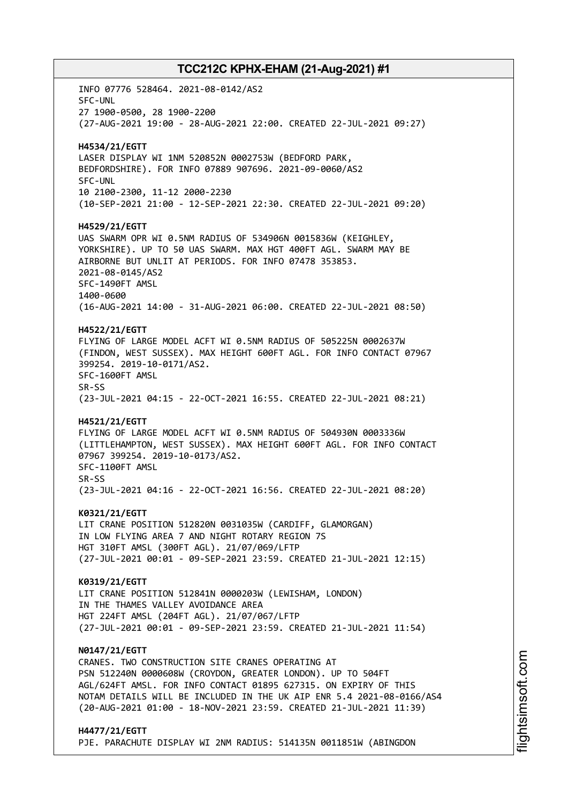INFO 07776 528464. 2021-08-0142/AS2 SFC-UNL 27 1900-0500, 28 1900-2200 (27-AUG-2021 19:00 - 28-AUG-2021 22:00. CREATED 22-JUL-2021 09:27) **H4534/21/EGTT** LASER DISPLAY WI 1NM 520852N 0002753W (BEDFORD PARK, BEDFORDSHIRE). FOR INFO 07889 907696. 2021-09-0060/AS2 SFC-UNL 10 2100-2300, 11-12 2000-2230 (10-SEP-2021 21:00 - 12-SEP-2021 22:30. CREATED 22-JUL-2021 09:20) **H4529/21/EGTT** UAS SWARM OPR WI 0.5NM RADIUS OF 534906N 0015836W (KEIGHLEY, YORKSHIRE). UP TO 50 UAS SWARM. MAX HGT 400FT AGL. SWARM MAY BE AIRBORNE BUT UNLIT AT PERIODS. FOR INFO 07478 353853. 2021-08-0145/AS2 SFC-1490FT AMSL 1400-0600 (16-AUG-2021 14:00 - 31-AUG-2021 06:00. CREATED 22-JUL-2021 08:50) **H4522/21/EGTT** FLYING OF LARGE MODEL ACFT WI 0.5NM RADIUS OF 505225N 0002637W (FINDON, WEST SUSSEX). MAX HEIGHT 600FT AGL. FOR INFO CONTACT 07967 399254. 2019-10-0171/AS2. SFC-1600FT AMSL SR-SS (23-JUL-2021 04:15 - 22-OCT-2021 16:55. CREATED 22-JUL-2021 08:21) **H4521/21/EGTT** FLYING OF LARGE MODEL ACFT WI 0.5NM RADIUS OF 504930N 0003336W (LITTLEHAMPTON, WEST SUSSEX). MAX HEIGHT 600FT AGL. FOR INFO CONTACT 07967 399254. 2019-10-0173/AS2. SFC-1100FT AMSL SR-SS (23-JUL-2021 04:16 - 22-OCT-2021 16:56. CREATED 22-JUL-2021 08:20) **K0321/21/EGTT** LIT CRANE POSITION 512820N 0031035W (CARDIFF, GLAMORGAN) IN LOW FLYING AREA 7 AND NIGHT ROTARY REGION 7S HGT 310FT AMSL (300FT AGL). 21/07/069/LFTP (27-JUL-2021 00:01 - 09-SEP-2021 23:59. CREATED 21-JUL-2021 12:15) **K0319/21/EGTT** LIT CRANE POSITION 512841N 0000203W (LEWISHAM, LONDON) IN THE THAMES VALLEY AVOIDANCE AREA HGT 224FT AMSL (204FT AGL). 21/07/067/LFTP (27-JUL-2021 00:01 - 09-SEP-2021 23:59. CREATED 21-JUL-2021 11:54) **N0147/21/EGTT** CRANES. TWO CONSTRUCTION SITE CRANES OPERATING AT PSN 512240N 0000608W (CROYDON, GREATER LONDON). UP TO 504FT AGL/624FT AMSL. FOR INFO CONTACT 01895 627315. ON EXPIRY OF THIS NOTAM DETAILS WILL BE INCLUDED IN THE UK AIP ENR 5.4 2021-08-0166/AS4 (20-AUG-2021 01:00 - 18-NOV-2021 23:59. CREATED 21-JUL-2021 11:39) **H4477/21/EGTT**

PJE. PARACHUTE DISPLAY WI 2NM RADIUS: 514135N 0011851W (ABINGDON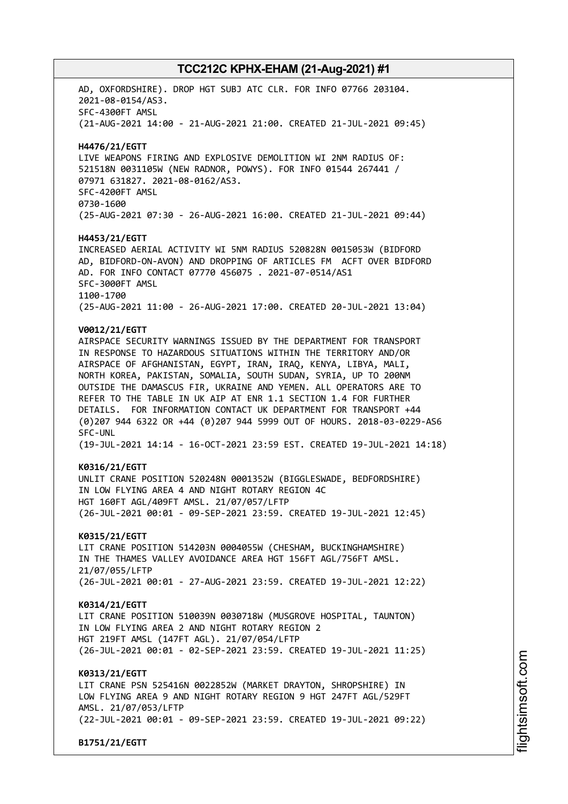AD, OXFORDSHIRE). DROP HGT SUBJ ATC CLR. FOR INFO 07766 203104. 2021-08-0154/AS3. SFC-4300FT AMSL (21-AUG-2021 14:00 - 21-AUG-2021 21:00. CREATED 21-JUL-2021 09:45) **H4476/21/EGTT** LIVE WEAPONS FIRING AND EXPLOSIVE DEMOLITION WI 2NM RADIUS OF: 521518N 0031105W (NEW RADNOR, POWYS). FOR INFO 01544 267441 / 07971 631827. 2021-08-0162/AS3. SFC-4200FT AMSL 0730-1600 (25-AUG-2021 07:30 - 26-AUG-2021 16:00. CREATED 21-JUL-2021 09:44) **H4453/21/EGTT** INCREASED AERIAL ACTIVITY WI 5NM RADIUS 520828N 0015053W (BIDFORD AD, BIDFORD-ON-AVON) AND DROPPING OF ARTICLES FM ACFT OVER BIDFORD AD. FOR INFO CONTACT 07770 456075 . 2021-07-0514/AS1 SFC-3000FT AMSL 1100-1700 (25-AUG-2021 11:00 - 26-AUG-2021 17:00. CREATED 20-JUL-2021 13:04) **V0012/21/EGTT** AIRSPACE SECURITY WARNINGS ISSUED BY THE DEPARTMENT FOR TRANSPORT IN RESPONSE TO HAZARDOUS SITUATIONS WITHIN THE TERRITORY AND/OR AIRSPACE OF AFGHANISTAN, EGYPT, IRAN, IRAQ, KENYA, LIBYA, MALI, NORTH KOREA, PAKISTAN, SOMALIA, SOUTH SUDAN, SYRIA, UP TO 200NM OUTSIDE THE DAMASCUS FIR, UKRAINE AND YEMEN. ALL OPERATORS ARE TO REFER TO THE TABLE IN UK AIP AT ENR 1.1 SECTION 1.4 FOR FURTHER DETAILS. FOR INFORMATION CONTACT UK DEPARTMENT FOR TRANSPORT +44 (0)207 944 6322 OR +44 (0)207 944 5999 OUT OF HOURS. 2018-03-0229-AS6 SFC-UNL (19-JUL-2021 14:14 - 16-OCT-2021 23:59 EST. CREATED 19-JUL-2021 14:18) **K0316/21/EGTT** UNLIT CRANE POSITION 520248N 0001352W (BIGGLESWADE, BEDFORDSHIRE) IN LOW FLYING AREA 4 AND NIGHT ROTARY REGION 4C HGT 160FT AGL/409FT AMSL. 21/07/057/LFTP (26-JUL-2021 00:01 - 09-SEP-2021 23:59. CREATED 19-JUL-2021 12:45) **K0315/21/EGTT** LIT CRANE POSITION 514203N 0004055W (CHESHAM, BUCKINGHAMSHIRE) IN THE THAMES VALLEY AVOIDANCE AREA HGT 156FT AGL/756FT AMSL. 21/07/055/LFTP (26-JUL-2021 00:01 - 27-AUG-2021 23:59. CREATED 19-JUL-2021 12:22) **K0314/21/EGTT** LIT CRANE POSITION 510039N 0030718W (MUSGROVE HOSPITAL, TAUNTON) IN LOW FLYING AREA 2 AND NIGHT ROTARY REGION 2 HGT 219FT AMSL (147FT AGL). 21/07/054/LFTP (26-JUL-2021 00:01 - 02-SEP-2021 23:59. CREATED 19-JUL-2021 11:25) **K0313/21/EGTT** LIT CRANE PSN 525416N 0022852W (MARKET DRAYTON, SHROPSHIRE) IN LOW FLYING AREA 9 AND NIGHT ROTARY REGION 9 HGT 247FT AGL/529FT AMSL. 21/07/053/LFTP (22-JUL-2021 00:01 - 09-SEP-2021 23:59. CREATED 19-JUL-2021 09:22) **B1751/21/EGTT**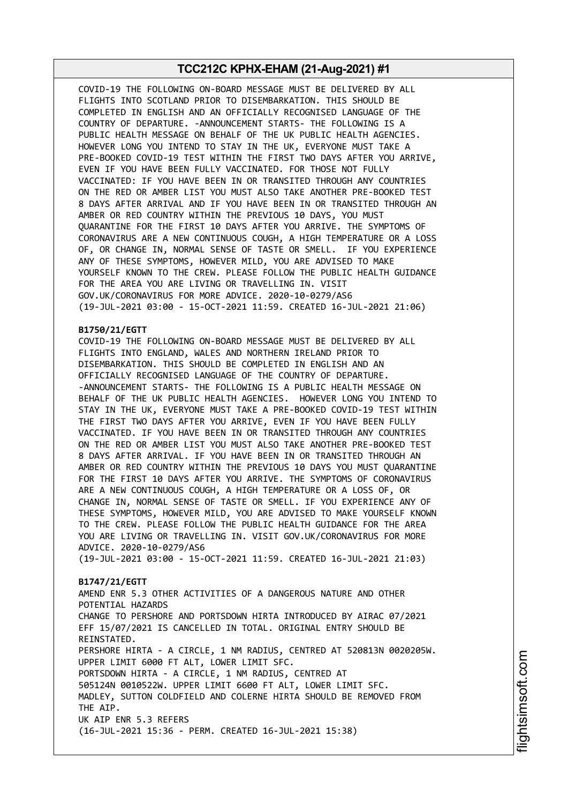COVID-19 THE FOLLOWING ON-BOARD MESSAGE MUST BE DELIVERED BY ALL FLIGHTS INTO SCOTLAND PRIOR TO DISEMBARKATION. THIS SHOULD BE COMPLETED IN ENGLISH AND AN OFFICIALLY RECOGNISED LANGUAGE OF THE COUNTRY OF DEPARTURE. -ANNOUNCEMENT STARTS- THE FOLLOWING IS A PUBLIC HEALTH MESSAGE ON BEHALF OF THE UK PUBLIC HEALTH AGENCIES. HOWEVER LONG YOU INTEND TO STAY IN THE UK, EVERYONE MUST TAKE A PRE-BOOKED COVID-19 TEST WITHIN THE FIRST TWO DAYS AFTER YOU ARRIVE, EVEN IF YOU HAVE BEEN FULLY VACCINATED. FOR THOSE NOT FULLY VACCINATED: IF YOU HAVE BEEN IN OR TRANSITED THROUGH ANY COUNTRIES ON THE RED OR AMBER LIST YOU MUST ALSO TAKE ANOTHER PRE-BOOKED TEST 8 DAYS AFTER ARRIVAL AND IF YOU HAVE BEEN IN OR TRANSITED THROUGH AN AMBER OR RED COUNTRY WITHIN THE PREVIOUS 10 DAYS, YOU MUST QUARANTINE FOR THE FIRST 10 DAYS AFTER YOU ARRIVE. THE SYMPTOMS OF CORONAVIRUS ARE A NEW CONTINUOUS COUGH, A HIGH TEMPERATURE OR A LOSS OF, OR CHANGE IN, NORMAL SENSE OF TASTE OR SMELL. IF YOU EXPERIENCE ANY OF THESE SYMPTOMS, HOWEVER MILD, YOU ARE ADVISED TO MAKE YOURSELF KNOWN TO THE CREW. PLEASE FOLLOW THE PUBLIC HEALTH GUIDANCE FOR THE AREA YOU ARE LIVING OR TRAVELLING IN. VISIT GOV.UK/CORONAVIRUS FOR MORE ADVICE. 2020-10-0279/AS6 (19-JUL-2021 03:00 - 15-OCT-2021 11:59. CREATED 16-JUL-2021 21:06)

### **B1750/21/EGTT**

COVID-19 THE FOLLOWING ON-BOARD MESSAGE MUST BE DELIVERED BY ALL FLIGHTS INTO ENGLAND, WALES AND NORTHERN IRELAND PRIOR TO DISEMBARKATION. THIS SHOULD BE COMPLETED IN ENGLISH AND AN OFFICIALLY RECOGNISED LANGUAGE OF THE COUNTRY OF DEPARTURE. -ANNOUNCEMENT STARTS- THE FOLLOWING IS A PUBLIC HEALTH MESSAGE ON BEHALF OF THE UK PUBLIC HEALTH AGENCIES. HOWEVER LONG YOU INTEND TO STAY IN THE UK, EVERYONE MUST TAKE A PRE-BOOKED COVID-19 TEST WITHIN THE FIRST TWO DAYS AFTER YOU ARRIVE, EVEN IF YOU HAVE BEEN FULLY VACCINATED. IF YOU HAVE BEEN IN OR TRANSITED THROUGH ANY COUNTRIES ON THE RED OR AMBER LIST YOU MUST ALSO TAKE ANOTHER PRE-BOOKED TEST 8 DAYS AFTER ARRIVAL. IF YOU HAVE BEEN IN OR TRANSITED THROUGH AN AMBER OR RED COUNTRY WITHIN THE PREVIOUS 10 DAYS YOU MUST QUARANTINE FOR THE FIRST 10 DAYS AFTER YOU ARRIVE. THE SYMPTOMS OF CORONAVIRUS ARE A NEW CONTINUOUS COUGH, A HIGH TEMPERATURE OR A LOSS OF, OR CHANGE IN, NORMAL SENSE OF TASTE OR SMELL. IF YOU EXPERIENCE ANY OF THESE SYMPTOMS, HOWEVER MILD, YOU ARE ADVISED TO MAKE YOURSELF KNOWN TO THE CREW. PLEASE FOLLOW THE PUBLIC HEALTH GUIDANCE FOR THE AREA YOU ARE LIVING OR TRAVELLING IN. VISIT GOV.UK/CORONAVIRUS FOR MORE ADVICE. 2020-10-0279/AS6

(19-JUL-2021 03:00 - 15-OCT-2021 11:59. CREATED 16-JUL-2021 21:03)

#### **B1747/21/EGTT**

AMEND ENR 5.3 OTHER ACTIVITIES OF A DANGEROUS NATURE AND OTHER POTENTIAL HAZARDS CHANGE TO PERSHORE AND PORTSDOWN HIRTA INTRODUCED BY AIRAC 07/2021 EFF 15/07/2021 IS CANCELLED IN TOTAL. ORIGINAL ENTRY SHOULD BE REINSTATED. PERSHORE HIRTA - A CIRCLE, 1 NM RADIUS, CENTRED AT 520813N 0020205W. UPPER LIMIT 6000 FT ALT, LOWER LIMIT SFC. PORTSDOWN HIRTA - A CIRCLE, 1 NM RADIUS, CENTRED AT 505124N 0010522W. UPPER LIMIT 6600 FT ALT, LOWER LIMIT SFC. MADLEY, SUTTON COLDFIELD AND COLERNE HIRTA SHOULD BE REMOVED FROM THE AIP. UK AIP ENR 5.3 REFERS (16-JUL-2021 15:36 - PERM. CREATED 16-JUL-2021 15:38)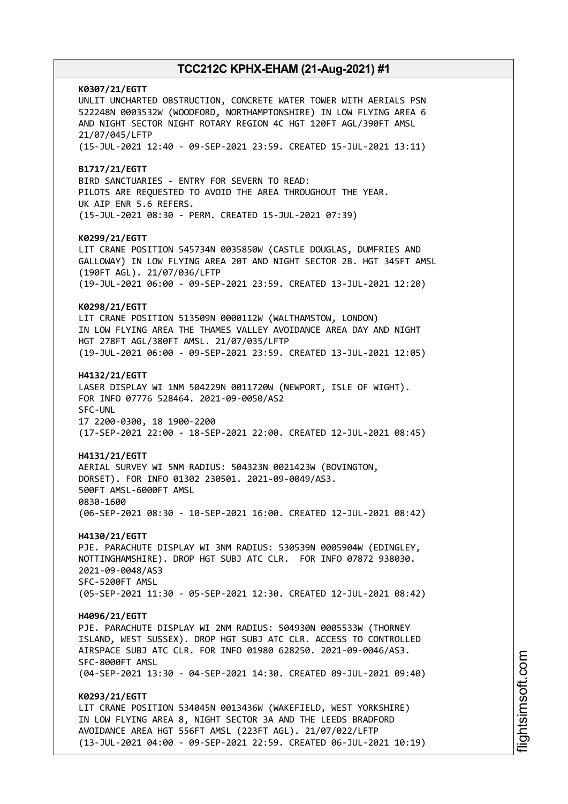**K0307/21/EGTT** UNLIT UNCHARTED OBSTRUCTION, CONCRETE WATER TOWER WITH AERIALS PSN 522248N 0003532W (WOODFORD, NORTHAMPTONSHIRE) IN LOW FLYING AREA 6 AND NIGHT SECTOR NIGHT ROTARY REGION 4C HGT 120FT AGL/390FT AMSL 21/07/045/LFTP (15-JUL-2021 12:40 - 09-SEP-2021 23:59. CREATED 15-JUL-2021 13:11) **B1717/21/EGTT** BIRD SANCTUARIES - ENTRY FOR SEVERN TO READ: PILOTS ARE REQUESTED TO AVOID THE AREA THROUGHOUT THE YEAR. UK AIP ENR 5.6 REFERS. (15-JUL-2021 08:30 - PERM. CREATED 15-JUL-2021 07:39) **K0299/21/EGTT** LIT CRANE POSITION 545734N 0035850W (CASTLE DOUGLAS, DUMFRIES AND GALLOWAY) IN LOW FLYING AREA 20T AND NIGHT SECTOR 2B. HGT 345FT AMSL (190FT AGL). 21/07/036/LFTP (19-JUL-2021 06:00 - 09-SEP-2021 23:59. CREATED 13-JUL-2021 12:20) **K0298/21/EGTT** LIT CRANE POSITION 513509N 0000112W (WALTHAMSTOW, LONDON) IN LOW FLYING AREA THE THAMES VALLEY AVOIDANCE AREA DAY AND NIGHT HGT 278FT AGL/380FT AMSL. 21/07/035/LFTP (19-JUL-2021 06:00 - 09-SEP-2021 23:59. CREATED 13-JUL-2021 12:05) **H4132/21/EGTT** LASER DISPLAY WI 1NM 504229N 0011720W (NEWPORT, ISLE OF WIGHT). FOR INFO 07776 528464. 2021-09-0050/AS2 SFC-UNL 17 2200-0300, 18 1900-2200 (17-SEP-2021 22:00 - 18-SEP-2021 22:00. CREATED 12-JUL-2021 08:45) **H4131/21/EGTT** AERIAL SURVEY WI 5NM RADIUS: 504323N 0021423W (BOVINGTON, DORSET). FOR INFO 01302 230501. 2021-09-0049/AS3. 500FT AMSL-6000FT AMSL 0830-1600 (06-SEP-2021 08:30 - 10-SEP-2021 16:00. CREATED 12-JUL-2021 08:42) **H4130/21/EGTT** PJE. PARACHUTE DISPLAY WI 3NM RADIUS: 530539N 0005904W (EDINGLEY, NOTTINGHAMSHIRE). DROP HGT SUBJ ATC CLR. FOR INFO 07872 938030. 2021-09-0048/AS3 SFC-5200FT AMSL (05-SEP-2021 11:30 - 05-SEP-2021 12:30. CREATED 12-JUL-2021 08:42) **H4096/21/EGTT** PJE. PARACHUTE DISPLAY WI 2NM RADIUS: 504930N 0005533W (THORNEY ISLAND, WEST SUSSEX). DROP HGT SUBJ ATC CLR. ACCESS TO CONTROLLED AIRSPACE SUBJ ATC CLR. FOR INFO 01980 628250. 2021-09-0046/AS3. SFC-8000FT AMSL (04-SEP-2021 13:30 - 04-SEP-2021 14:30. CREATED 09-JUL-2021 09:40) **K0293/21/EGTT** LIT CRANE POSITION 534045N 0013436W (WAKEFIELD, WEST YORKSHIRE) IN LOW FLYING AREA 8, NIGHT SECTOR 3A AND THE LEEDS BRADFORD AVOIDANCE AREA HGT 556FT AMSL (223FT AGL). 21/07/022/LFTP (13-JUL-2021 04:00 - 09-SEP-2021 22:59. CREATED 06-JUL-2021 10:19)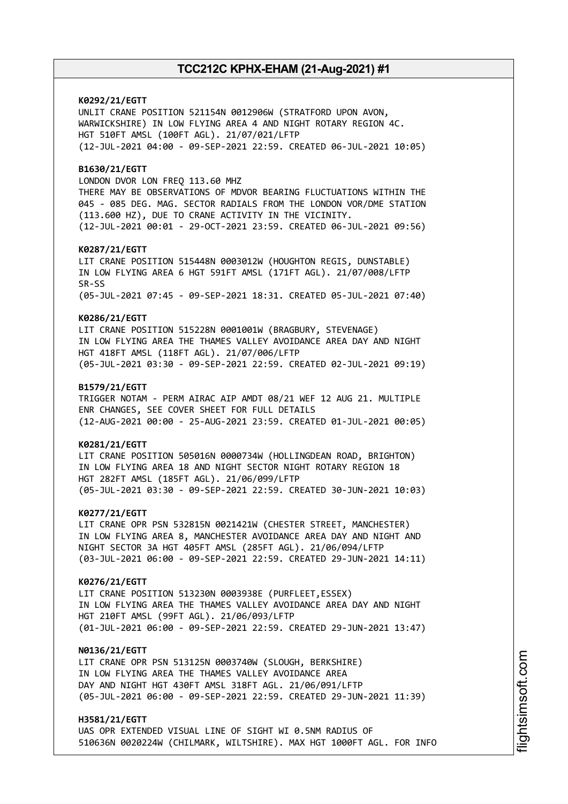**K0292/21/EGTT** UNLIT CRANE POSITION 521154N 0012906W (STRATFORD UPON AVON, WARWICKSHIRE) IN LOW FLYING AREA 4 AND NIGHT ROTARY REGION 4C. HGT 510FT AMSL (100FT AGL). 21/07/021/LFTP (12-JUL-2021 04:00 - 09-SEP-2021 22:59. CREATED 06-JUL-2021 10:05) **B1630/21/EGTT** LONDON DVOR LON FREQ 113.60 MHZ THERE MAY BE OBSERVATIONS OF MDVOR BEARING FLUCTUATIONS WITHIN THE 045 - 085 DEG. MAG. SECTOR RADIALS FROM THE LONDON VOR/DME STATION (113.600 HZ), DUE TO CRANE ACTIVITY IN THE VICINITY. (12-JUL-2021 00:01 - 29-OCT-2021 23:59. CREATED 06-JUL-2021 09:56) **K0287/21/EGTT** LIT CRANE POSITION 515448N 0003012W (HOUGHTON REGIS, DUNSTABLE) IN LOW FLYING AREA 6 HGT 591FT AMSL (171FT AGL). 21/07/008/LFTP SR-SS (05-JUL-2021 07:45 - 09-SEP-2021 18:31. CREATED 05-JUL-2021 07:40) **K0286/21/EGTT** LIT CRANE POSITION 515228N 0001001W (BRAGBURY, STEVENAGE) IN LOW FLYING AREA THE THAMES VALLEY AVOIDANCE AREA DAY AND NIGHT HGT 418FT AMSL (118FT AGL). 21/07/006/LFTP (05-JUL-2021 03:30 - 09-SEP-2021 22:59. CREATED 02-JUL-2021 09:19) **B1579/21/EGTT** TRIGGER NOTAM - PERM AIRAC AIP AMDT 08/21 WEF 12 AUG 21. MULTIPLE ENR CHANGES, SEE COVER SHEET FOR FULL DETAILS (12-AUG-2021 00:00 - 25-AUG-2021 23:59. CREATED 01-JUL-2021 00:05) **K0281/21/EGTT** LIT CRANE POSITION 505016N 0000734W (HOLLINGDEAN ROAD, BRIGHTON) IN LOW FLYING AREA 18 AND NIGHT SECTOR NIGHT ROTARY REGION 18 HGT 282FT AMSL (185FT AGL). 21/06/099/LFTP (05-JUL-2021 03:30 - 09-SEP-2021 22:59. CREATED 30-JUN-2021 10:03) **K0277/21/EGTT** LIT CRANE OPR PSN 532815N 0021421W (CHESTER STREET, MANCHESTER) IN LOW FLYING AREA 8, MANCHESTER AVOIDANCE AREA DAY AND NIGHT AND NIGHT SECTOR 3A HGT 405FT AMSL (285FT AGL). 21/06/094/LFTP (03-JUL-2021 06:00 - 09-SEP-2021 22:59. CREATED 29-JUN-2021 14:11) **K0276/21/EGTT** LIT CRANE POSITION 513230N 0003938E (PURFLEET,ESSEX) IN LOW FLYING AREA THE THAMES VALLEY AVOIDANCE AREA DAY AND NIGHT HGT 210FT AMSL (99FT AGL). 21/06/093/LFTP (01-JUL-2021 06:00 - 09-SEP-2021 22:59. CREATED 29-JUN-2021 13:47) **N0136/21/EGTT** LIT CRANE OPR PSN 513125N 0003740W (SLOUGH, BERKSHIRE) IN LOW FLYING AREA THE THAMES VALLEY AVOIDANCE AREA DAY AND NIGHT HGT 430FT AMSL 318FT AGL. 21/06/091/LFTP (05-JUL-2021 06:00 - 09-SEP-2021 22:59. CREATED 29-JUN-2021 11:39) **H3581/21/EGTT**

UAS OPR EXTENDED VISUAL LINE OF SIGHT WI 0.5NM RADIUS OF 510636N 0020224W (CHILMARK, WILTSHIRE). MAX HGT 1000FT AGL. FOR INFO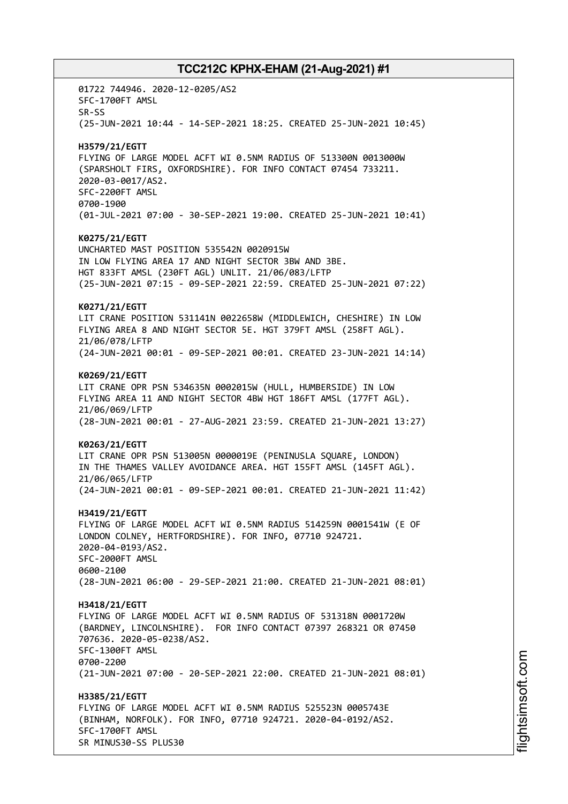01722 744946. 2020-12-0205/AS2 SFC-1700FT AMSL SR-SS (25-JUN-2021 10:44 - 14-SEP-2021 18:25. CREATED 25-JUN-2021 10:45) **H3579/21/EGTT** FLYING OF LARGE MODEL ACFT WI 0.5NM RADIUS OF 513300N 0013000W (SPARSHOLT FIRS, OXFORDSHIRE). FOR INFO CONTACT 07454 733211. 2020-03-0017/AS2. SFC-2200FT AMSL 0700-1900 (01-JUL-2021 07:00 - 30-SEP-2021 19:00. CREATED 25-JUN-2021 10:41) **K0275/21/EGTT** UNCHARTED MAST POSITION 535542N 0020915W IN LOW FLYING AREA 17 AND NIGHT SECTOR 3BW AND 3BE. HGT 833FT AMSL (230FT AGL) UNLIT. 21/06/083/LFTP (25-JUN-2021 07:15 - 09-SEP-2021 22:59. CREATED 25-JUN-2021 07:22) **K0271/21/EGTT** LIT CRANE POSITION 531141N 0022658W (MIDDLEWICH, CHESHIRE) IN LOW FLYING AREA 8 AND NIGHT SECTOR 5E. HGT 379FT AMSL (258FT AGL). 21/06/078/LFTP (24-JUN-2021 00:01 - 09-SEP-2021 00:01. CREATED 23-JUN-2021 14:14) **K0269/21/EGTT** LIT CRANE OPR PSN 534635N 0002015W (HULL, HUMBERSIDE) IN LOW FLYING AREA 11 AND NIGHT SECTOR 4BW HGT 186FT AMSL (177FT AGL). 21/06/069/LFTP (28-JUN-2021 00:01 - 27-AUG-2021 23:59. CREATED 21-JUN-2021 13:27) **K0263/21/EGTT** LIT CRANE OPR PSN 513005N 0000019E (PENINUSLA SQUARE, LONDON) IN THE THAMES VALLEY AVOIDANCE AREA. HGT 155FT AMSL (145FT AGL). 21/06/065/LFTP (24-JUN-2021 00:01 - 09-SEP-2021 00:01. CREATED 21-JUN-2021 11:42) **H3419/21/EGTT** FLYING OF LARGE MODEL ACFT WI 0.5NM RADIUS 514259N 0001541W (E OF LONDON COLNEY, HERTFORDSHIRE). FOR INFO, 07710 924721. 2020-04-0193/AS2. SFC-2000FT AMSL 0600-2100 (28-JUN-2021 06:00 - 29-SEP-2021 21:00. CREATED 21-JUN-2021 08:01) **H3418/21/EGTT** FLYING OF LARGE MODEL ACFT WI 0.5NM RADIUS OF 531318N 0001720W (BARDNEY, LINCOLNSHIRE). FOR INFO CONTACT 07397 268321 OR 07450 707636. 2020-05-0238/AS2. SFC-1300FT AMSL 0700-2200 (21-JUN-2021 07:00 - 20-SEP-2021 22:00. CREATED 21-JUN-2021 08:01) **H3385/21/EGTT** FLYING OF LARGE MODEL ACFT WI 0.5NM RADIUS 525523N 0005743E (BINHAM, NORFOLK). FOR INFO, 07710 924721. 2020-04-0192/AS2. SFC-1700FT AMSL SR MINUS30-SS PLUS30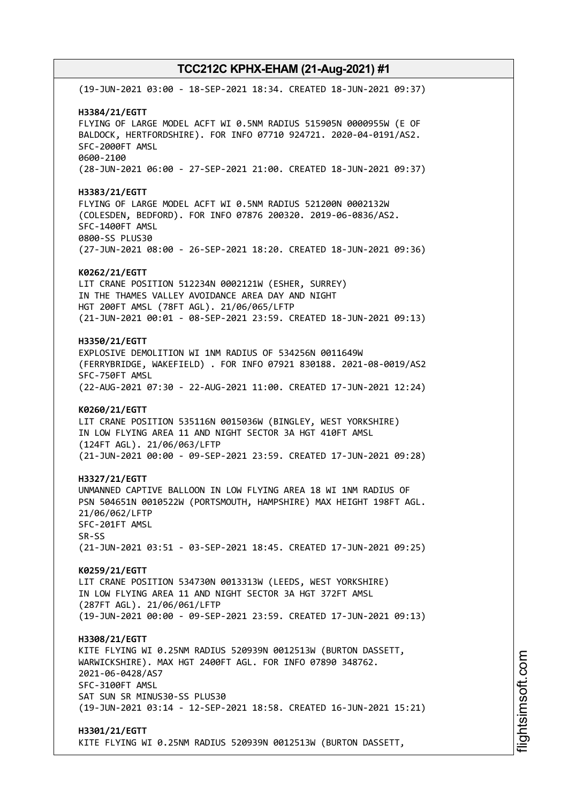(19-JUN-2021 03:00 - 18-SEP-2021 18:34. CREATED 18-JUN-2021 09:37) **H3384/21/EGTT** FLYING OF LARGE MODEL ACFT WI 0.5NM RADIUS 515905N 0000955W (E OF BALDOCK, HERTFORDSHIRE). FOR INFO 07710 924721. 2020-04-0191/AS2. SFC-2000FT AMSL 0600-2100 (28-JUN-2021 06:00 - 27-SEP-2021 21:00. CREATED 18-JUN-2021 09:37) **H3383/21/EGTT** FLYING OF LARGE MODEL ACFT WI 0.5NM RADIUS 521200N 0002132W (COLESDEN, BEDFORD). FOR INFO 07876 200320. 2019-06-0836/AS2. SFC-1400FT AMSL 0800-SS PLUS30 (27-JUN-2021 08:00 - 26-SEP-2021 18:20. CREATED 18-JUN-2021 09:36) **K0262/21/EGTT** LIT CRANE POSITION 512234N 0002121W (ESHER, SURREY) IN THE THAMES VALLEY AVOIDANCE AREA DAY AND NIGHT HGT 200FT AMSL (78FT AGL). 21/06/065/LFTP (21-JUN-2021 00:01 - 08-SEP-2021 23:59. CREATED 18-JUN-2021 09:13) **H3350/21/EGTT** EXPLOSIVE DEMOLITION WI 1NM RADIUS OF 534256N 0011649W (FERRYBRIDGE, WAKEFIELD) . FOR INFO 07921 830188. 2021-08-0019/AS2 SFC-750FT AMSL (22-AUG-2021 07:30 - 22-AUG-2021 11:00. CREATED 17-JUN-2021 12:24) **K0260/21/EGTT** LIT CRANE POSITION 535116N 0015036W (BINGLEY, WEST YORKSHIRE) IN LOW FLYING AREA 11 AND NIGHT SECTOR 3A HGT 410FT AMSL (124FT AGL). 21/06/063/LFTP (21-JUN-2021 00:00 - 09-SEP-2021 23:59. CREATED 17-JUN-2021 09:28) **H3327/21/EGTT** UNMANNED CAPTIVE BALLOON IN LOW FLYING AREA 18 WI 1NM RADIUS OF PSN 504651N 0010522W (PORTSMOUTH, HAMPSHIRE) MAX HEIGHT 198FT AGL. 21/06/062/LFTP SFC-201FT AMSL SR-SS (21-JUN-2021 03:51 - 03-SEP-2021 18:45. CREATED 17-JUN-2021 09:25) **K0259/21/EGTT** LIT CRANE POSITION 534730N 0013313W (LEEDS, WEST YORKSHIRE) IN LOW FLYING AREA 11 AND NIGHT SECTOR 3A HGT 372FT AMSL (287FT AGL). 21/06/061/LFTP (19-JUN-2021 00:00 - 09-SEP-2021 23:59. CREATED 17-JUN-2021 09:13) **H3308/21/EGTT** KITE FLYING WI 0.25NM RADIUS 520939N 0012513W (BURTON DASSETT, WARWICKSHIRE). MAX HGT 2400FT AGL. FOR INFO 07890 348762. 2021-06-0428/AS7 SFC-3100FT AMSL SAT SUN SR MINUS30-SS PLUS30 (19-JUN-2021 03:14 - 12-SEP-2021 18:58. CREATED 16-JUN-2021 15:21) **H3301/21/EGTT** KITE FLYING WI 0.25NM RADIUS 520939N 0012513W (BURTON DASSETT,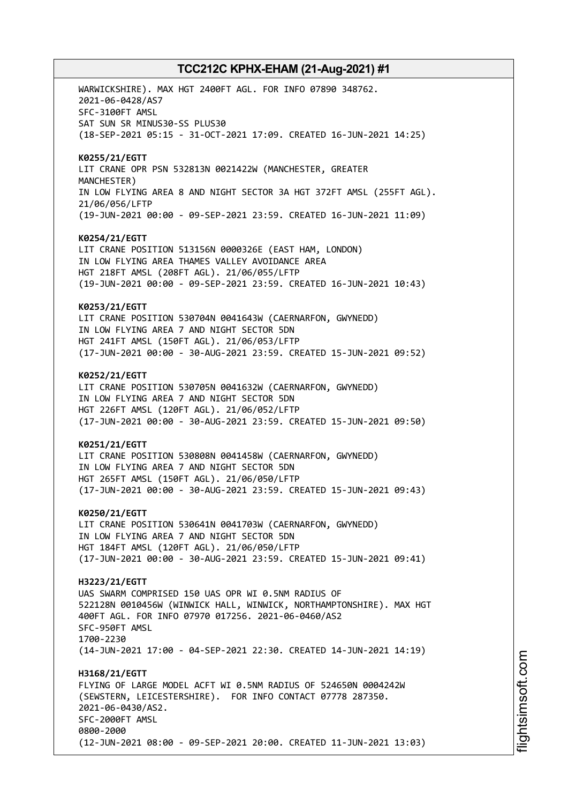WARWICKSHIRE). MAX HGT 2400FT AGL. FOR INFO 07890 348762. 2021-06-0428/AS7 SFC-3100FT AMSL SAT SUN SR MINUS30-SS PLUS30 (18-SEP-2021 05:15 - 31-OCT-2021 17:09. CREATED 16-JUN-2021 14:25) **K0255/21/EGTT** LIT CRANE OPR PSN 532813N 0021422W (MANCHESTER, GREATER MANCHESTER) IN LOW FLYING AREA 8 AND NIGHT SECTOR 3A HGT 372FT AMSL (255FT AGL). 21/06/056/LFTP (19-JUN-2021 00:00 - 09-SEP-2021 23:59. CREATED 16-JUN-2021 11:09) **K0254/21/EGTT** LIT CRANE POSITION 513156N 0000326E (EAST HAM, LONDON) IN LOW FLYING AREA THAMES VALLEY AVOIDANCE AREA HGT 218FT AMSL (208FT AGL). 21/06/055/LFTP (19-JUN-2021 00:00 - 09-SEP-2021 23:59. CREATED 16-JUN-2021 10:43) **K0253/21/EGTT** LIT CRANE POSITION 530704N 0041643W (CAERNARFON, GWYNEDD) IN LOW FLYING AREA 7 AND NIGHT SECTOR 5DN HGT 241FT AMSL (150FT AGL). 21/06/053/LFTP (17-JUN-2021 00:00 - 30-AUG-2021 23:59. CREATED 15-JUN-2021 09:52) **K0252/21/EGTT** LIT CRANE POSITION 530705N 0041632W (CAERNARFON, GWYNEDD) IN LOW FLYING AREA 7 AND NIGHT SECTOR 5DN HGT 226FT AMSL (120FT AGL). 21/06/052/LFTP (17-JUN-2021 00:00 - 30-AUG-2021 23:59. CREATED 15-JUN-2021 09:50) **K0251/21/EGTT** LIT CRANE POSITION 530808N 0041458W (CAERNARFON, GWYNEDD) IN LOW FLYING AREA 7 AND NIGHT SECTOR 5DN HGT 265FT AMSL (150FT AGL). 21/06/050/LFTP (17-JUN-2021 00:00 - 30-AUG-2021 23:59. CREATED 15-JUN-2021 09:43) **K0250/21/EGTT** LIT CRANE POSITION 530641N 0041703W (CAERNARFON, GWYNEDD) IN LOW FLYING AREA 7 AND NIGHT SECTOR 5DN HGT 184FT AMSL (120FT AGL). 21/06/050/LFTP (17-JUN-2021 00:00 - 30-AUG-2021 23:59. CREATED 15-JUN-2021 09:41) **H3223/21/EGTT** UAS SWARM COMPRISED 150 UAS OPR WI 0.5NM RADIUS OF 522128N 0010456W (WINWICK HALL, WINWICK, NORTHAMPTONSHIRE). MAX HGT 400FT AGL. FOR INFO 07970 017256. 2021-06-0460/AS2 SFC-950FT AMSL 1700-2230 (14-JUN-2021 17:00 - 04-SEP-2021 22:30. CREATED 14-JUN-2021 14:19) **H3168/21/EGTT** FLYING OF LARGE MODEL ACFT WI 0.5NM RADIUS OF 524650N 0004242W (SEWSTERN, LEICESTERSHIRE). FOR INFO CONTACT 07778 287350. 2021-06-0430/AS2. SFC-2000FT AMSL 0800-2000 (12-JUN-2021 08:00 - 09-SEP-2021 20:00. CREATED 11-JUN-2021 13:03)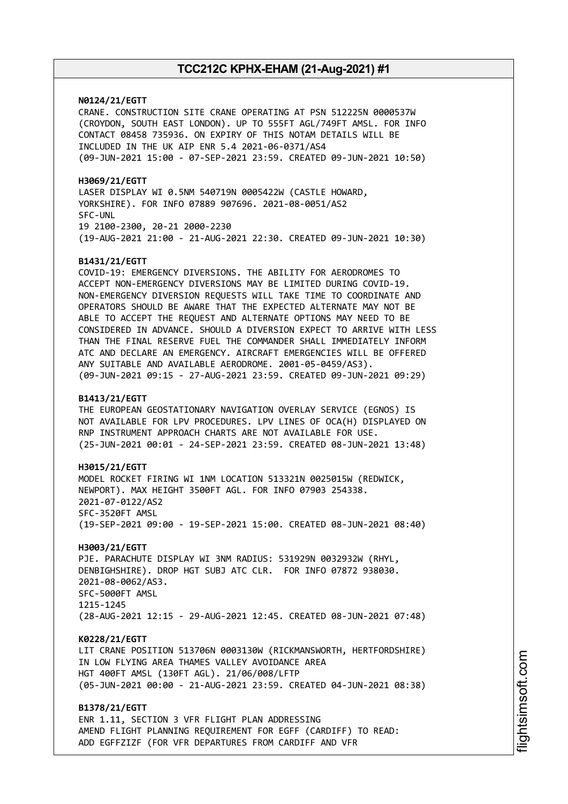**N0124/21/EGTT**

CRANE. CONSTRUCTION SITE CRANE OPERATING AT PSN 512225N 0000537W (CROYDON, SOUTH EAST LONDON). UP TO 555FT AGL/749FT AMSL. FOR INFO CONTACT 08458 735936. ON EXPIRY OF THIS NOTAM DETAILS WILL BE INCLUDED IN THE UK AIP ENR 5.4 2021-06-0371/AS4 (09-JUN-2021 15:00 - 07-SEP-2021 23:59. CREATED 09-JUN-2021 10:50)

**H3069/21/EGTT** LASER DISPLAY WI 0.5NM 540719N 0005422W (CASTLE HOWARD, YORKSHIRE). FOR INFO 07889 907696. 2021-08-0051/AS2 SFC-UNL 19 2100-2300, 20-21 2000-2230 (19-AUG-2021 21:00 - 21-AUG-2021 22:30. CREATED 09-JUN-2021 10:30)

#### **B1431/21/EGTT**

COVID-19: EMERGENCY DIVERSIONS. THE ABILITY FOR AERODROMES TO ACCEPT NON-EMERGENCY DIVERSIONS MAY BE LIMITED DURING COVID-19. NON-EMERGENCY DIVERSION REQUESTS WILL TAKE TIME TO COORDINATE AND OPERATORS SHOULD BE AWARE THAT THE EXPECTED ALTERNATE MAY NOT BE ABLE TO ACCEPT THE REQUEST AND ALTERNATE OPTIONS MAY NEED TO BE CONSIDERED IN ADVANCE. SHOULD A DIVERSION EXPECT TO ARRIVE WITH LESS THAN THE FINAL RESERVE FUEL THE COMMANDER SHALL IMMEDIATELY INFORM ATC AND DECLARE AN EMERGENCY. AIRCRAFT EMERGENCIES WILL BE OFFERED ANY SUITABLE AND AVAILABLE AERODROME. 2001-05-0459/AS3). (09-JUN-2021 09:15 - 27-AUG-2021 23:59. CREATED 09-JUN-2021 09:29)

#### **B1413/21/EGTT**

THE EUROPEAN GEOSTATIONARY NAVIGATION OVERLAY SERVICE (EGNOS) IS NOT AVAILABLE FOR LPV PROCEDURES. LPV LINES OF OCA(H) DISPLAYED ON RNP INSTRUMENT APPROACH CHARTS ARE NOT AVAILABLE FOR USE. (25-JUN-2021 00:01 - 24-SEP-2021 23:59. CREATED 08-JUN-2021 13:48)

**H3015/21/EGTT** MODEL ROCKET FIRING WI 1NM LOCATION 513321N 0025015W (REDWICK, NEWPORT). MAX HEIGHT 3500FT AGL. FOR INFO 07903 254338. 2021-07-0122/AS2 SFC-3520FT AMSL (19-SEP-2021 09:00 - 19-SEP-2021 15:00. CREATED 08-JUN-2021 08:40)

**H3003/21/EGTT** PJE. PARACHUTE DISPLAY WI 3NM RADIUS: 531929N 0032932W (RHYL, DENBIGHSHIRE). DROP HGT SUBJ ATC CLR. FOR INFO 07872 938030. 2021-08-0062/AS3. SFC-5000FT AMSL 1215-1245 (28-AUG-2021 12:15 - 29-AUG-2021 12:45. CREATED 08-JUN-2021 07:48)

**K0228/21/EGTT**

LIT CRANE POSITION 513706N 0003130W (RICKMANSWORTH, HERTFORDSHIRE) IN LOW FLYING AREA THAMES VALLEY AVOIDANCE AREA HGT 400FT AMSL (130FT AGL). 21/06/008/LFTP (05-JUN-2021 00:00 - 21-AUG-2021 23:59. CREATED 04-JUN-2021 08:38)

**B1378/21/EGTT** ENR 1.11, SECTION 3 VFR FLIGHT PLAN ADDRESSING AMEND FLIGHT PLANNING REQUIREMENT FOR EGFF (CARDIFF) TO READ: ADD EGFFZIZF (FOR VFR DEPARTURES FROM CARDIFF AND VFR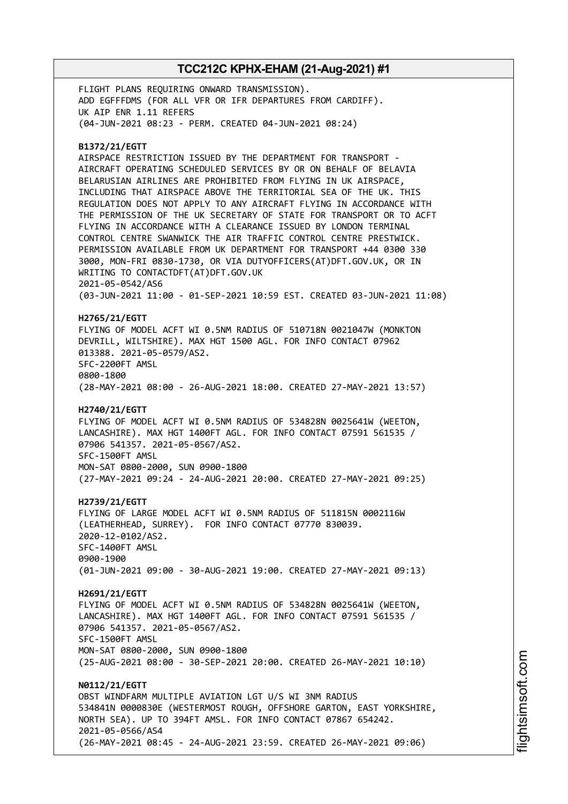FLIGHT PLANS REQUIRING ONWARD TRANSMISSION). ADD EGFFFDMS (FOR ALL VFR OR IFR DEPARTURES FROM CARDIFF). UK AIP ENR 1.11 REFERS (04-JUN-2021 08:23 - PERM. CREATED 04-JUN-2021 08:24)

### **B1372/21/EGTT**

AIRSPACE RESTRICTION ISSUED BY THE DEPARTMENT FOR TRANSPORT - AIRCRAFT OPERATING SCHEDULED SERVICES BY OR ON BEHALF OF BELAVIA BELARUSIAN AIRLINES ARE PROHIBITED FROM FLYING IN UK AIRSPACE, INCLUDING THAT AIRSPACE ABOVE THE TERRITORIAL SEA OF THE UK. THIS REGULATION DOES NOT APPLY TO ANY AIRCRAFT FLYING IN ACCORDANCE WITH THE PERMISSION OF THE UK SECRETARY OF STATE FOR TRANSPORT OR TO ACFT FLYING IN ACCORDANCE WITH A CLEARANCE ISSUED BY LONDON TERMINAL CONTROL CENTRE SWANWICK THE AIR TRAFFIC CONTROL CENTRE PRESTWICK. PERMISSION AVAILABLE FROM UK DEPARTMENT FOR TRANSPORT +44 0300 330 3000, MON-FRI 0830-1730, OR VIA DUTYOFFICERS(AT)DFT.GOV.UK, OR IN WRITING TO CONTACTDFT(AT)DFT.GOV.UK 2021-05-0542/AS6 (03-JUN-2021 11:00 - 01-SEP-2021 10:59 EST. CREATED 03-JUN-2021 11:08)

#### **H2765/21/EGTT**

FLYING OF MODEL ACFT WI 0.5NM RADIUS OF 510718N 0021047W (MONKTON DEVRILL, WILTSHIRE). MAX HGT 1500 AGL. FOR INFO CONTACT 07962 013388. 2021-05-0579/AS2. SFC-2200FT AMSL 0800-1800

(28-MAY-2021 08:00 - 26-AUG-2021 18:00. CREATED 27-MAY-2021 13:57)

### **H2740/21/EGTT**

FLYING OF MODEL ACFT WI 0.5NM RADIUS OF 534828N 0025641W (WEETON, LANCASHIRE). MAX HGT 1400FT AGL. FOR INFO CONTACT 07591 561535 / 07906 541357. 2021-05-0567/AS2. SFC-1500FT AMSL MON-SAT 0800-2000, SUN 0900-1800

(27-MAY-2021 09:24 - 24-AUG-2021 20:00. CREATED 27-MAY-2021 09:25)

#### **H2739/21/EGTT**

FLYING OF LARGE MODEL ACFT WI 0.5NM RADIUS OF 511815N 0002116W (LEATHERHEAD, SURREY). FOR INFO CONTACT 07770 830039. 2020-12-0102/AS2. SFC-1400FT AMSL 0900-1900 (01-JUN-2021 09:00 - 30-AUG-2021 19:00. CREATED 27-MAY-2021 09:13)

#### **H2691/21/EGTT**

FLYING OF MODEL ACFT WI 0.5NM RADIUS OF 534828N 0025641W (WEETON, LANCASHIRE). MAX HGT 1400FT AGL. FOR INFO CONTACT 07591 561535 / 07906 541357. 2021-05-0567/AS2. SFC-1500FT AMSL MON-SAT 0800-2000, SUN 0900-1800

(25-AUG-2021 08:00 - 30-SEP-2021 20:00. CREATED 26-MAY-2021 10:10)

**N0112/21/EGTT** OBST WINDFARM MULTIPLE AVIATION LGT U/S WI 3NM RADIUS 534841N 0000830E (WESTERMOST ROUGH, OFFSHORE GARTON, EAST YORKSHIRE, NORTH SEA). UP TO 394FT AMSL. FOR INFO CONTACT 07867 654242. 2021-05-0566/AS4 (26-MAY-2021 08:45 - 24-AUG-2021 23:59. CREATED 26-MAY-2021 09:06)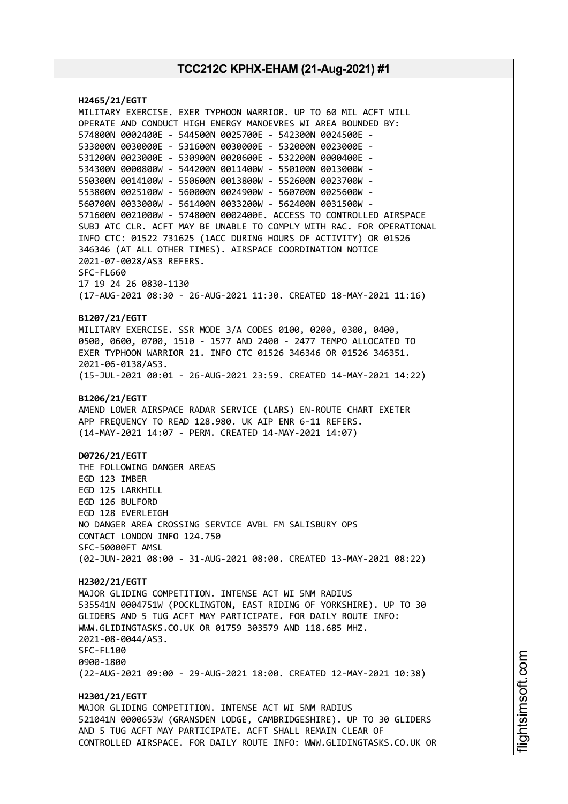**H2465/21/EGTT** MILITARY EXERCISE. EXER TYPHOON WARRIOR. UP TO 60 MIL ACFT WILL OPERATE AND CONDUCT HIGH ENERGY MANOEVRES WI AREA BOUNDED BY: 574800N 0002400E - 544500N 0025700E - 542300N 0024500E - 533000N 0030000E - 531600N 0030000E - 532000N 0023000E - 531200N 0023000E - 530900N 0020600E - 532200N 0000400E - 534300N 0000800W - 544200N 0011400W - 550100N 0013000W - 550300N 0014100W - 550600N 0013800W - 552600N 0023700W - 553800N 0025100W - 560000N 0024900W - 560700N 0025600W - 560700N 0033000W - 561400N 0033200W - 562400N 0031500W - 571600N 0021000W - 574800N 0002400E. ACCESS TO CONTROLLED AIRSPACE SUBJ ATC CLR. ACFT MAY BE UNABLE TO COMPLY WITH RAC. FOR OPERATIONAL INFO CTC: 01522 731625 (1ACC DURING HOURS OF ACTIVITY) OR 01526 346346 (AT ALL OTHER TIMES). AIRSPACE COORDINATION NOTICE 2021-07-0028/AS3 REFERS. SFC-FL660 17 19 24 26 0830-1130 (17-AUG-2021 08:30 - 26-AUG-2021 11:30. CREATED 18-MAY-2021 11:16) **B1207/21/EGTT** MILITARY EXERCISE. SSR MODE 3/A CODES 0100, 0200, 0300, 0400, 0500, 0600, 0700, 1510 - 1577 AND 2400 - 2477 TEMPO ALLOCATED TO EXER TYPHOON WARRIOR 21. INFO CTC 01526 346346 OR 01526 346351. 2021-06-0138/AS3. (15-JUL-2021 00:01 - 26-AUG-2021 23:59. CREATED 14-MAY-2021 14:22) **B1206/21/EGTT** AMEND LOWER AIRSPACE RADAR SERVICE (LARS) EN-ROUTE CHART EXETER APP FREQUENCY TO READ 128.980. UK AIP ENR 6-11 REFERS. (14-MAY-2021 14:07 - PERM. CREATED 14-MAY-2021 14:07) **D0726/21/EGTT** THE FOLLOWING DANGER AREAS EGD 123 IMBER EGD 125 LARKHILL EGD 126 BULFORD EGD 128 EVERLEIGH NO DANGER AREA CROSSING SERVICE AVBL FM SALISBURY OPS CONTACT LONDON INFO 124.750 SFC-50000FT AMSL (02-JUN-2021 08:00 - 31-AUG-2021 08:00. CREATED 13-MAY-2021 08:22) **H2302/21/EGTT** MAJOR GLIDING COMPETITION. INTENSE ACT WI 5NM RADIUS 535541N 0004751W (POCKLINGTON, EAST RIDING OF YORKSHIRE). UP TO 30 GLIDERS AND 5 TUG ACFT MAY PARTICIPATE. FOR DAILY ROUTE INFO: WWW.GLIDINGTASKS.CO.UK OR 01759 303579 AND 118.685 MHZ. 2021-08-0044/AS3. SFC-FL100 0900-1800 (22-AUG-2021 09:00 - 29-AUG-2021 18:00. CREATED 12-MAY-2021 10:38) **H2301/21/EGTT** MAJOR GLIDING COMPETITION. INTENSE ACT WI 5NM RADIUS 521041N 0000653W (GRANSDEN LODGE, CAMBRIDGESHIRE). UP TO 30 GLIDERS AND 5 TUG ACFT MAY PARTICIPATE. ACFT SHALL REMAIN CLEAR OF CONTROLLED AIRSPACE. FOR DAILY ROUTE INFO: WWW.GLIDINGTASKS.CO.UK OR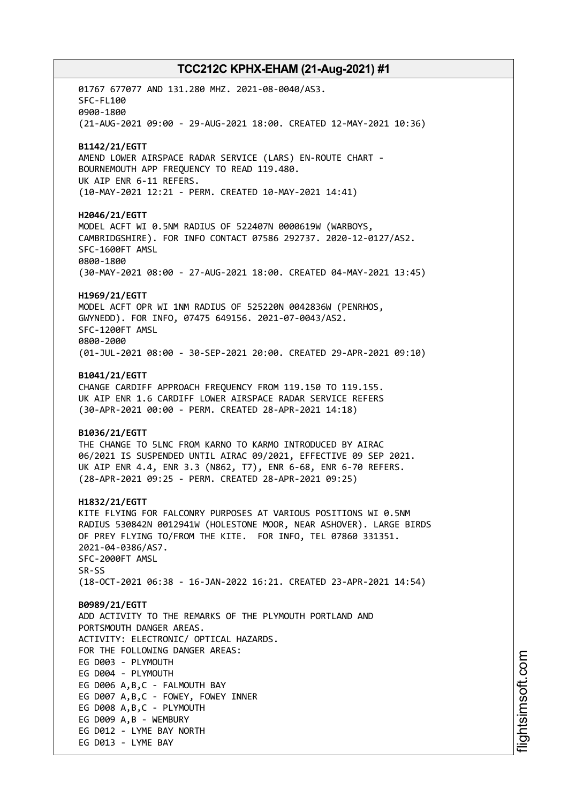01767 677077 AND 131.280 MHZ. 2021-08-0040/AS3. SFC-FL100 0900-1800 (21-AUG-2021 09:00 - 29-AUG-2021 18:00. CREATED 12-MAY-2021 10:36) **B1142/21/EGTT** AMEND LOWER AIRSPACE RADAR SERVICE (LARS) EN-ROUTE CHART - BOURNEMOUTH APP FREQUENCY TO READ 119.480. UK AIP ENR 6-11 REFERS. (10-MAY-2021 12:21 - PERM. CREATED 10-MAY-2021 14:41) **H2046/21/EGTT** MODEL ACFT WI 0.5NM RADIUS OF 522407N 0000619W (WARBOYS, CAMBRIDGSHIRE). FOR INFO CONTACT 07586 292737. 2020-12-0127/AS2. SFC-1600FT AMSL 0800-1800 (30-MAY-2021 08:00 - 27-AUG-2021 18:00. CREATED 04-MAY-2021 13:45) **H1969/21/EGTT** MODEL ACFT OPR WI 1NM RADIUS OF 525220N 0042836W (PENRHOS, GWYNEDD). FOR INFO, 07475 649156. 2021-07-0043/AS2. SFC-1200FT AMSL 0800-2000 (01-JUL-2021 08:00 - 30-SEP-2021 20:00. CREATED 29-APR-2021 09:10) **B1041/21/EGTT** CHANGE CARDIFF APPROACH FREQUENCY FROM 119.150 TO 119.155. UK AIP ENR 1.6 CARDIFF LOWER AIRSPACE RADAR SERVICE REFERS (30-APR-2021 00:00 - PERM. CREATED 28-APR-2021 14:18) **B1036/21/EGTT** THE CHANGE TO 5LNC FROM KARNO TO KARMO INTRODUCED BY AIRAC 06/2021 IS SUSPENDED UNTIL AIRAC 09/2021, EFFECTIVE 09 SEP 2021. UK AIP ENR 4.4, ENR 3.3 (N862, T7), ENR 6-68, ENR 6-70 REFERS. (28-APR-2021 09:25 - PERM. CREATED 28-APR-2021 09:25) **H1832/21/EGTT** KITE FLYING FOR FALCONRY PURPOSES AT VARIOUS POSITIONS WI 0.5NM RADIUS 530842N 0012941W (HOLESTONE MOOR, NEAR ASHOVER). LARGE BIRDS OF PREY FLYING TO/FROM THE KITE. FOR INFO, TEL 07860 331351. 2021-04-0386/AS7. SFC-2000FT AMSL SR-SS (18-OCT-2021 06:38 - 16-JAN-2022 16:21. CREATED 23-APR-2021 14:54) **B0989/21/EGTT** ADD ACTIVITY TO THE REMARKS OF THE PLYMOUTH PORTLAND AND PORTSMOUTH DANGER AREAS. ACTIVITY: ELECTRONIC/ OPTICAL HAZARDS. FOR THE FOLLOWING DANGER AREAS: EG D003 - PLYMOUTH EG D004 - PLYMOUTH EG D006 A,B,C - FALMOUTH BAY EG D007 A,B,C - FOWEY, FOWEY INNER EG D008 A,B,C - PLYMOUTH EG D009 A,B - WEMBURY EG D012 - LYME BAY NORTH EG D013 - LYME BAY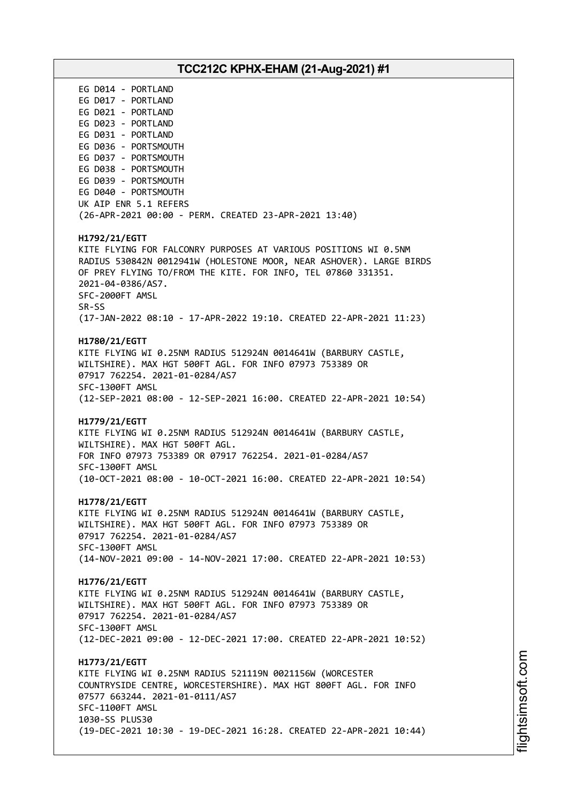# **TCC212C KPHX-EHAM (21-Aug-2021) #1** EG D014 - PORTLAND EG D017 - PORTLAND EG D021 - PORTLAND EG D023 - PORTLAND EG D031 - PORTLAND EG D036 - PORTSMOUTH EG D037 - PORTSMOUTH EG D038 - PORTSMOUTH EG D039 - PORTSMOUTH EG D040 - PORTSMOUTH UK AIP ENR 5.1 REFERS (26-APR-2021 00:00 - PERM. CREATED 23-APR-2021 13:40) **H1792/21/EGTT** KITE FLYING FOR FALCONRY PURPOSES AT VARIOUS POSITIONS WI 0.5NM RADIUS 530842N 0012941W (HOLESTONE MOOR, NEAR ASHOVER). LARGE BIRDS OF PREY FLYING TO/FROM THE KITE. FOR INFO, TEL 07860 331351. 2021-04-0386/AS7. SFC-2000FT AMSL SR-SS (17-JAN-2022 08:10 - 17-APR-2022 19:10. CREATED 22-APR-2021 11:23) **H1780/21/EGTT** KITE FLYING WI 0.25NM RADIUS 512924N 0014641W (BARBURY CASTLE, WILTSHIRE). MAX HGT 500FT AGL. FOR INFO 07973 753389 OR 07917 762254. 2021-01-0284/AS7 SFC-1300FT AMSL (12-SEP-2021 08:00 - 12-SEP-2021 16:00. CREATED 22-APR-2021 10:54) **H1779/21/EGTT** KITE FLYING WI 0.25NM RADIUS 512924N 0014641W (BARBURY CASTLE, WILTSHIRE). MAX HGT 500FT AGL. FOR INFO 07973 753389 OR 07917 762254. 2021-01-0284/AS7 SFC-1300FT AMSL (10-OCT-2021 08:00 - 10-OCT-2021 16:00. CREATED 22-APR-2021 10:54) **H1778/21/EGTT** KITE FLYING WI 0.25NM RADIUS 512924N 0014641W (BARBURY CASTLE, WILTSHIRE). MAX HGT 500FT AGL. FOR INFO 07973 753389 OR 07917 762254. 2021-01-0284/AS7 SFC-1300FT AMSL (14-NOV-2021 09:00 - 14-NOV-2021 17:00. CREATED 22-APR-2021 10:53) **H1776/21/EGTT** KITE FLYING WI 0.25NM RADIUS 512924N 0014641W (BARBURY CASTLE, WILTSHIRE). MAX HGT 500FT AGL. FOR INFO 07973 753389 OR 07917 762254. 2021-01-0284/AS7 SFC-1300FT AMSL (12-DEC-2021 09:00 - 12-DEC-2021 17:00. CREATED 22-APR-2021 10:52) **H1773/21/EGTT** KITE FLYING WI 0.25NM RADIUS 521119N 0021156W (WORCESTER COUNTRYSIDE CENTRE, WORCESTERSHIRE). MAX HGT 800FT AGL. FOR INFO 07577 663244. 2021-01-0111/AS7 SFC-1100FT AMSL 1030-SS PLUS30 (19-DEC-2021 10:30 - 19-DEC-2021 16:28. CREATED 22-APR-2021 10:44)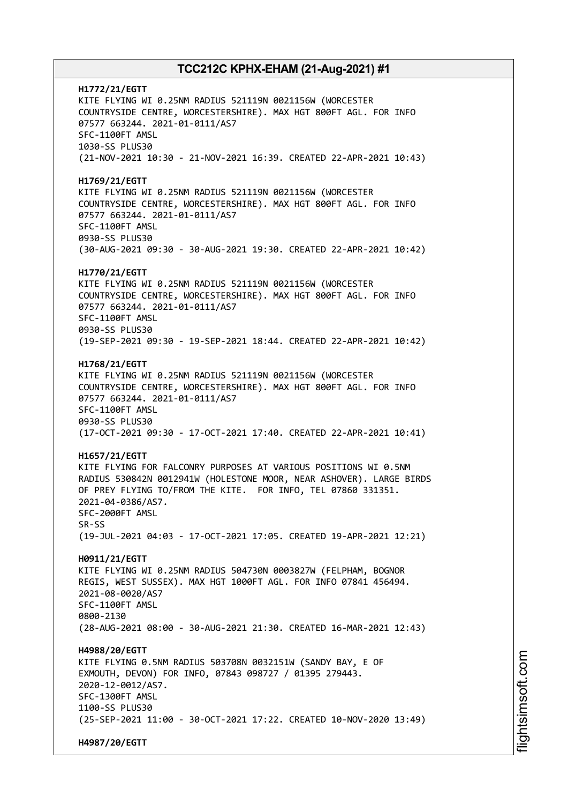**H1772/21/EGTT** KITE FLYING WI 0.25NM RADIUS 521119N 0021156W (WORCESTER COUNTRYSIDE CENTRE, WORCESTERSHIRE). MAX HGT 800FT AGL. FOR INFO 07577 663244. 2021-01-0111/AS7 SFC-1100FT AMSL 1030-SS PLUS30 (21-NOV-2021 10:30 - 21-NOV-2021 16:39. CREATED 22-APR-2021 10:43) **H1769/21/EGTT** KITE FLYING WI 0.25NM RADIUS 521119N 0021156W (WORCESTER COUNTRYSIDE CENTRE, WORCESTERSHIRE). MAX HGT 800FT AGL. FOR INFO 07577 663244. 2021-01-0111/AS7 SFC-1100FT AMSL 0930-SS PLUS30 (30-AUG-2021 09:30 - 30-AUG-2021 19:30. CREATED 22-APR-2021 10:42) **H1770/21/EGTT** KITE FLYING WI 0.25NM RADIUS 521119N 0021156W (WORCESTER COUNTRYSIDE CENTRE, WORCESTERSHIRE). MAX HGT 800FT AGL. FOR INFO 07577 663244. 2021-01-0111/AS7 SFC-1100FT AMSL 0930-SS PLUS30 (19-SEP-2021 09:30 - 19-SEP-2021 18:44. CREATED 22-APR-2021 10:42) **H1768/21/EGTT** KITE FLYING WI 0.25NM RADIUS 521119N 0021156W (WORCESTER COUNTRYSIDE CENTRE, WORCESTERSHIRE). MAX HGT 800FT AGL. FOR INFO 07577 663244. 2021-01-0111/AS7 SFC-1100FT AMSL 0930-SS PLUS30 (17-OCT-2021 09:30 - 17-OCT-2021 17:40. CREATED 22-APR-2021 10:41) **H1657/21/EGTT** KITE FLYING FOR FALCONRY PURPOSES AT VARIOUS POSITIONS WI 0.5NM RADIUS 530842N 0012941W (HOLESTONE MOOR, NEAR ASHOVER). LARGE BIRDS OF PREY FLYING TO/FROM THE KITE. FOR INFO, TEL 07860 331351. 2021-04-0386/AS7. SFC-2000FT AMSL SR-SS (19-JUL-2021 04:03 - 17-OCT-2021 17:05. CREATED 19-APR-2021 12:21) **H0911/21/EGTT** KITE FLYING WI 0.25NM RADIUS 504730N 0003827W (FELPHAM, BOGNOR REGIS, WEST SUSSEX). MAX HGT 1000FT AGL. FOR INFO 07841 456494. 2021-08-0020/AS7 SFC-1100FT AMSL 0800-2130 (28-AUG-2021 08:00 - 30-AUG-2021 21:30. CREATED 16-MAR-2021 12:43) **H4988/20/EGTT** KITE FLYING 0.5NM RADIUS 503708N 0032151W (SANDY BAY, E OF EXMOUTH, DEVON) FOR INFO, 07843 098727 / 01395 279443. 2020-12-0012/AS7. SFC-1300FT AMSL 1100-SS PLUS30 (25-SEP-2021 11:00 - 30-OCT-2021 17:22. CREATED 10-NOV-2020 13:49) **H4987/20/EGTT**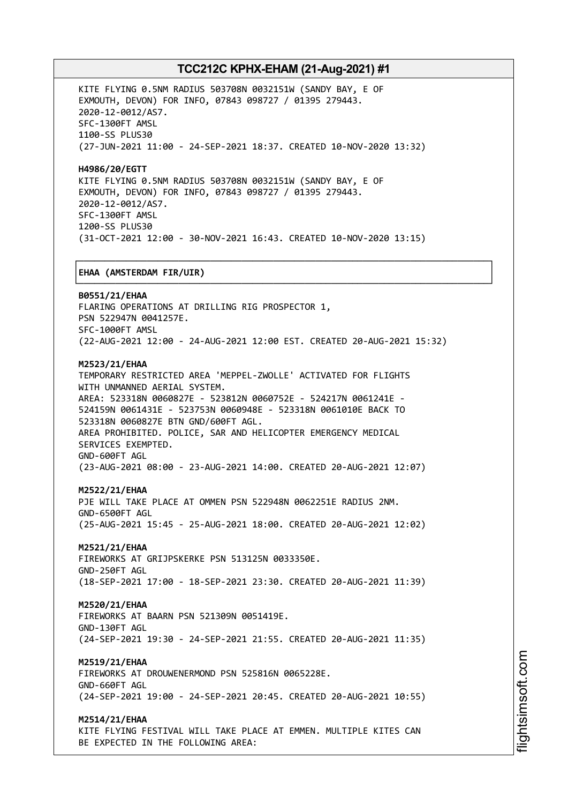┌──────────────────────────────────────────────────────────────────────────────┐

KITE FLYING 0.5NM RADIUS 503708N 0032151W (SANDY BAY, E OF EXMOUTH, DEVON) FOR INFO, 07843 098727 / 01395 279443. 2020-12-0012/AS7. SFC-1300FT AMSL 1100-SS PLUS30 (27-JUN-2021 11:00 - 24-SEP-2021 18:37. CREATED 10-NOV-2020 13:32)

**H4986/20/EGTT** KITE FLYING 0.5NM RADIUS 503708N 0032151W (SANDY BAY, E OF EXMOUTH, DEVON) FOR INFO, 07843 098727 / 01395 279443. 2020-12-0012/AS7. SFC-1300FT AMSL 1200-SS PLUS30 (31-OCT-2021 12:00 - 30-NOV-2021 16:43. CREATED 10-NOV-2020 13:15)

### │**EHAA (AMSTERDAM FIR/UIR)** │

└──────────────────────────────────────────────────────────────────────────────┘ **B0551/21/EHAA** FLARING OPERATIONS AT DRILLING RIG PROSPECTOR 1, PSN 522947N 0041257E. SFC-1000FT AMSL (22-AUG-2021 12:00 - 24-AUG-2021 12:00 EST. CREATED 20-AUG-2021 15:32) **M2523/21/EHAA** TEMPORARY RESTRICTED AREA 'MEPPEL-ZWOLLE' ACTIVATED FOR FLIGHTS WITH UNMANNED AERIAL SYSTEM. AREA: 523318N 0060827E - 523812N 0060752E - 524217N 0061241E - 524159N 0061431E - 523753N 0060948E - 523318N 0061010E BACK TO 523318N 0060827E BTN GND/600FT AGL. AREA PROHIBITED. POLICE, SAR AND HELICOPTER EMERGENCY MEDICAL SERVICES EXEMPTED. GND-600FT AGL

(23-AUG-2021 08:00 - 23-AUG-2021 14:00. CREATED 20-AUG-2021 12:07)

### **M2522/21/EHAA**

PJE WILL TAKE PLACE AT OMMEN PSN 522948N 0062251E RADIUS 2NM. GND-6500FT AGL (25-AUG-2021 15:45 - 25-AUG-2021 18:00. CREATED 20-AUG-2021 12:02)

### **M2521/21/EHAA**

FIREWORKS AT GRIJPSKERKE PSN 513125N 0033350E. GND-250FT AGL (18-SEP-2021 17:00 - 18-SEP-2021 23:30. CREATED 20-AUG-2021 11:39)

#### **M2520/21/EHAA**

FIREWORKS AT BAARN PSN 521309N 0051419E. GND-130FT AGL (24-SEP-2021 19:30 - 24-SEP-2021 21:55. CREATED 20-AUG-2021 11:35)

### **M2519/21/EHAA**

FIREWORKS AT DROUWENERMOND PSN 525816N 0065228E. GND-660FT AGL (24-SEP-2021 19:00 - 24-SEP-2021 20:45. CREATED 20-AUG-2021 10:55)

#### **M2514/21/EHAA**

KITE FLYING FESTIVAL WILL TAKE PLACE AT EMMEN. MULTIPLE KITES CAN BE EXPECTED IN THE FOLLOWING AREA: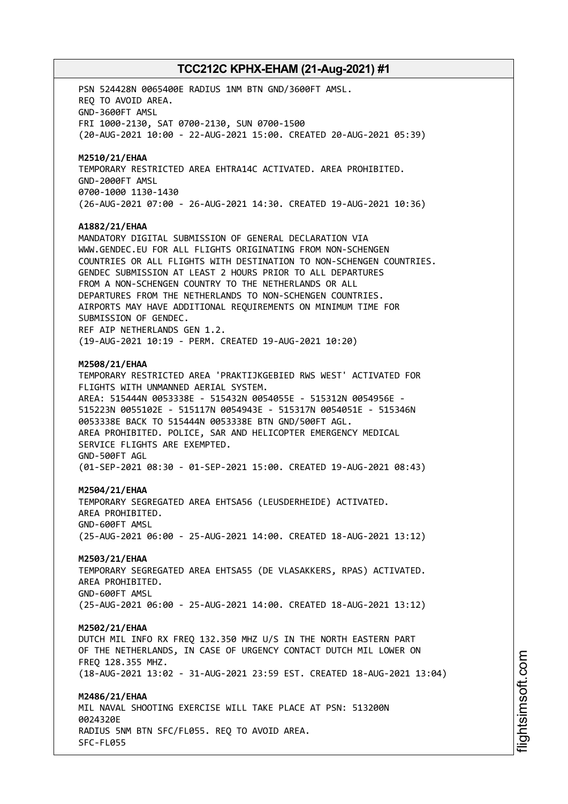PSN 524428N 0065400E RADIUS 1NM BTN GND/3600FT AMSL. REQ TO AVOID AREA. GND-3600FT AMSL FRI 1000-2130, SAT 0700-2130, SUN 0700-1500 (20-AUG-2021 10:00 - 22-AUG-2021 15:00. CREATED 20-AUG-2021 05:39) **M2510/21/EHAA** TEMPORARY RESTRICTED AREA EHTRA14C ACTIVATED. AREA PROHIBITED. GND-2000FT AMSL 0700-1000 1130-1430 (26-AUG-2021 07:00 - 26-AUG-2021 14:30. CREATED 19-AUG-2021 10:36) **A1882/21/EHAA** MANDATORY DIGITAL SUBMISSION OF GENERAL DECLARATION VIA WWW.GENDEC.EU FOR ALL FLIGHTS ORIGINATING FROM NON-SCHENGEN COUNTRIES OR ALL FLIGHTS WITH DESTINATION TO NON-SCHENGEN COUNTRIES. GENDEC SUBMISSION AT LEAST 2 HOURS PRIOR TO ALL DEPARTURES FROM A NON-SCHENGEN COUNTRY TO THE NETHERLANDS OR ALL DEPARTURES FROM THE NETHERLANDS TO NON-SCHENGEN COUNTRIES. AIRPORTS MAY HAVE ADDITIONAL REQUIREMENTS ON MINIMUM TIME FOR SUBMISSION OF GENDEC. REF AIP NETHERLANDS GEN 1.2. (19-AUG-2021 10:19 - PERM. CREATED 19-AUG-2021 10:20) **M2508/21/EHAA** TEMPORARY RESTRICTED AREA 'PRAKTIJKGEBIED RWS WEST' ACTIVATED FOR FLIGHTS WITH UNMANNED AERIAL SYSTEM. AREA: 515444N 0053338E - 515432N 0054055E - 515312N 0054956E - 515223N 0055102E - 515117N 0054943E - 515317N 0054051E - 515346N 0053338E BACK TO 515444N 0053338E BTN GND/500FT AGL. AREA PROHIBITED. POLICE, SAR AND HELICOPTER EMERGENCY MEDICAL SERVICE FLIGHTS ARE EXEMPTED. GND-500FT AGL (01-SEP-2021 08:30 - 01-SEP-2021 15:00. CREATED 19-AUG-2021 08:43) **M2504/21/EHAA** TEMPORARY SEGREGATED AREA EHTSA56 (LEUSDERHEIDE) ACTIVATED. AREA PROHIBITED. GND-600FT AMSL (25-AUG-2021 06:00 - 25-AUG-2021 14:00. CREATED 18-AUG-2021 13:12) **M2503/21/EHAA** TEMPORARY SEGREGATED AREA EHTSA55 (DE VLASAKKERS, RPAS) ACTIVATED. AREA PROHIBITED. GND-600FT AMSL (25-AUG-2021 06:00 - 25-AUG-2021 14:00. CREATED 18-AUG-2021 13:12) **M2502/21/EHAA** DUTCH MIL INFO RX FREQ 132.350 MHZ U/S IN THE NORTH EASTERN PART OF THE NETHERLANDS, IN CASE OF URGENCY CONTACT DUTCH MIL LOWER ON FREQ 128.355 MHZ. (18-AUG-2021 13:02 - 31-AUG-2021 23:59 EST. CREATED 18-AUG-2021 13:04) **M2486/21/EHAA** MIL NAVAL SHOOTING EXERCISE WILL TAKE PLACE AT PSN: 513200N 0024320E RADIUS 5NM BTN SFC/FL055. REQ TO AVOID AREA. SFC-FL055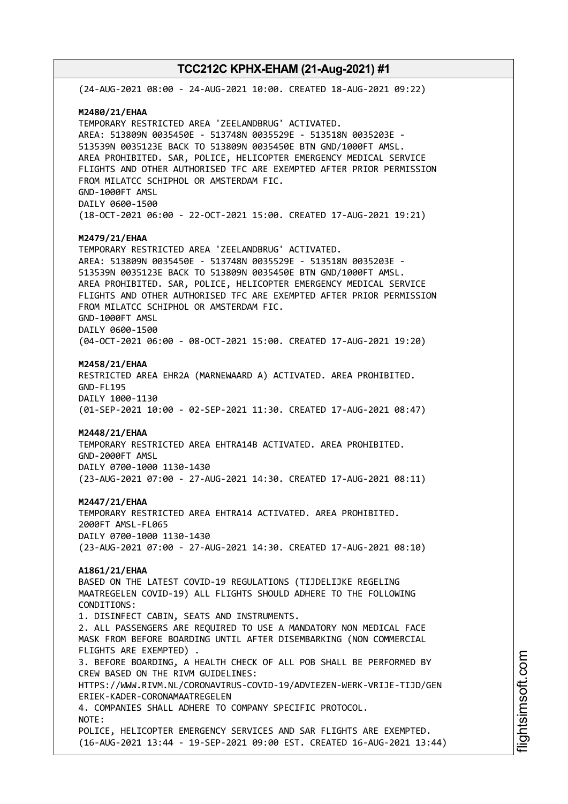(24-AUG-2021 08:00 - 24-AUG-2021 10:00. CREATED 18-AUG-2021 09:22) **M2480/21/EHAA** TEMPORARY RESTRICTED AREA 'ZEELANDBRUG' ACTIVATED. AREA: 513809N 0035450E - 513748N 0035529E - 513518N 0035203E - 513539N 0035123E BACK TO 513809N 0035450E BTN GND/1000FT AMSL. AREA PROHIBITED. SAR, POLICE, HELICOPTER EMERGENCY MEDICAL SERVICE FLIGHTS AND OTHER AUTHORISED TFC ARE EXEMPTED AFTER PRIOR PERMISSION FROM MILATCC SCHIPHOL OR AMSTERDAM FIC. GND-1000FT AMSL DAILY 0600-1500 (18-OCT-2021 06:00 - 22-OCT-2021 15:00. CREATED 17-AUG-2021 19:21) **M2479/21/EHAA** TEMPORARY RESTRICTED AREA 'ZEELANDBRUG' ACTIVATED. AREA: 513809N 0035450E - 513748N 0035529E - 513518N 0035203E - 513539N 0035123E BACK TO 513809N 0035450E BTN GND/1000FT AMSL. AREA PROHIBITED. SAR, POLICE, HELICOPTER EMERGENCY MEDICAL SERVICE FLIGHTS AND OTHER AUTHORISED TFC ARE EXEMPTED AFTER PRIOR PERMISSION FROM MILATCC SCHIPHOL OR AMSTERDAM FIC. GND-1000FT AMSL DAILY 0600-1500 (04-OCT-2021 06:00 - 08-OCT-2021 15:00. CREATED 17-AUG-2021 19:20) **M2458/21/EHAA** RESTRICTED AREA EHR2A (MARNEWAARD A) ACTIVATED. AREA PROHIBITED. GND-FL195 DAILY 1000-1130 (01-SEP-2021 10:00 - 02-SEP-2021 11:30. CREATED 17-AUG-2021 08:47) **M2448/21/EHAA** TEMPORARY RESTRICTED AREA EHTRA14B ACTIVATED. AREA PROHIBITED. GND-2000FT AMSL DAILY 0700-1000 1130-1430 (23-AUG-2021 07:00 - 27-AUG-2021 14:30. CREATED 17-AUG-2021 08:11) **M2447/21/EHAA** TEMPORARY RESTRICTED AREA EHTRA14 ACTIVATED. AREA PROHIBITED. 2000FT AMSL-FL065 DAILY 0700-1000 1130-1430 (23-AUG-2021 07:00 - 27-AUG-2021 14:30. CREATED 17-AUG-2021 08:10) **A1861/21/EHAA** BASED ON THE LATEST COVID-19 REGULATIONS (TIJDELIJKE REGELING MAATREGELEN COVID-19) ALL FLIGHTS SHOULD ADHERE TO THE FOLLOWING CONDITIONS: 1. DISINFECT CABIN, SEATS AND INSTRUMENTS. 2. ALL PASSENGERS ARE REQUIRED TO USE A MANDATORY NON MEDICAL FACE MASK FROM BEFORE BOARDING UNTIL AFTER DISEMBARKING (NON COMMERCIAL FLIGHTS ARE EXEMPTED) . 3. BEFORE BOARDING, A HEALTH CHECK OF ALL POB SHALL BE PERFORMED BY CREW BASED ON THE RIVM GUIDELINES: HTTPS://WWW.RIVM.NL/CORONAVIRUS-COVID-19/ADVIEZEN-WERK-VRIJE-TIJD/GEN ERIEK-KADER-CORONAMAATREGELEN 4. COMPANIES SHALL ADHERE TO COMPANY SPECIFIC PROTOCOL. NOTE: POLICE, HELICOPTER EMERGENCY SERVICES AND SAR FLIGHTS ARE EXEMPTED. (16-AUG-2021 13:44 - 19-SEP-2021 09:00 EST. CREATED 16-AUG-2021 13:44)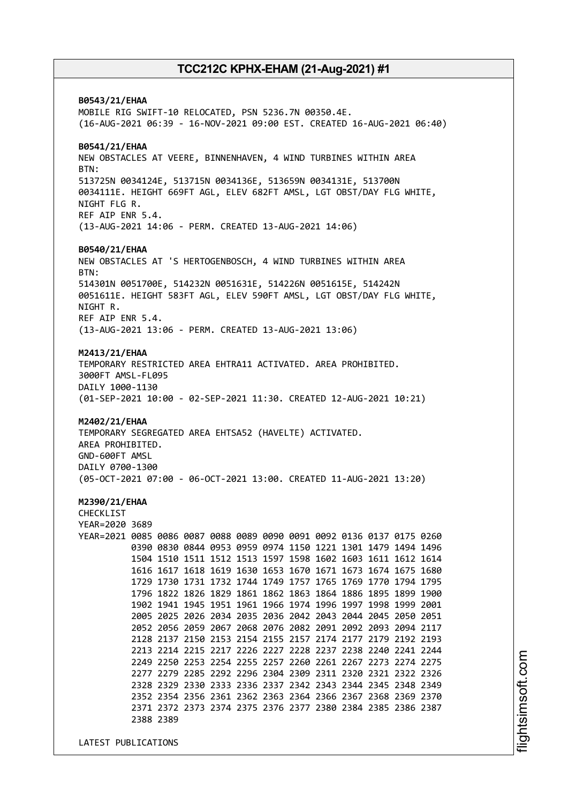**B0543/21/EHAA** MOBILE RIG SWIFT-10 RELOCATED, PSN 5236.7N 00350.4E. (16-AUG-2021 06:39 - 16-NOV-2021 09:00 EST. CREATED 16-AUG-2021 06:40) **B0541/21/EHAA** NEW OBSTACLES AT VEERE, BINNENHAVEN, 4 WIND TURBINES WITHIN AREA BTN: 513725N 0034124E, 513715N 0034136E, 513659N 0034131E, 513700N 0034111E. HEIGHT 669FT AGL, ELEV 682FT AMSL, LGT OBST/DAY FLG WHITE, NIGHT FLG R. REF AIP ENR 5.4. (13-AUG-2021 14:06 - PERM. CREATED 13-AUG-2021 14:06) **B0540/21/EHAA** NEW OBSTACLES AT 'S HERTOGENBOSCH, 4 WIND TURBINES WITHIN AREA BTN: 514301N 0051700E, 514232N 0051631E, 514226N 0051615E, 514242N 0051611E. HEIGHT 583FT AGL, ELEV 590FT AMSL, LGT OBST/DAY FLG WHITE, NIGHT R. REF AIP ENR 5.4. (13-AUG-2021 13:06 - PERM. CREATED 13-AUG-2021 13:06) **M2413/21/EHAA** TEMPORARY RESTRICTED AREA EHTRA11 ACTIVATED. AREA PROHIBITED. 3000FT AMSL-FL095 DAILY 1000-1130 (01-SEP-2021 10:00 - 02-SEP-2021 11:30. CREATED 12-AUG-2021 10:21) **M2402/21/EHAA** TEMPORARY SEGREGATED AREA EHTSA52 (HAVELTE) ACTIVATED. AREA PROHIBITED. GND-600FT AMSL DAILY 0700-1300 (05-OCT-2021 07:00 - 06-OCT-2021 13:00. CREATED 11-AUG-2021 13:20) **M2390/21/EHAA** CHECKLIST YEAR=2020 3689 YEAR=2021 0085 0086 0087 0088 0089 0090 0091 0092 0136 0137 0175 0260 0390 0830 0844 0953 0959 0974 1150 1221 1301 1479 1494 1496 1504 1510 1511 1512 1513 1597 1598 1602 1603 1611 1612 1614 1616 1617 1618 1619 1630 1653 1670 1671 1673 1674 1675 1680 1729 1730 1731 1732 1744 1749 1757 1765 1769 1770 1794 1795 1796 1822 1826 1829 1861 1862 1863 1864 1886 1895 1899 1900 1902 1941 1945 1951 1961 1966 1974 1996 1997 1998 1999 2001 2005 2025 2026 2034 2035 2036 2042 2043 2044 2045 2050 2051 2052 2056 2059 2067 2068 2076 2082 2091 2092 2093 2094 2117 2128 2137 2150 2153 2154 2155 2157 2174 2177 2179 2192 2193 2213 2214 2215 2217 2226 2227 2228 2237 2238 2240 2241 2244 2249 2250 2253 2254 2255 2257 2260 2261 2267 2273 2274 2275 2277 2279 2285 2292 2296 2304 2309 2311 2320 2321 2322 2326 2328 2329 2330 2333 2336 2337 2342 2343 2344 2345 2348 2349 2352 2354 2356 2361 2362 2363 2364 2366 2367 2368 2369 2370 2371 2372 2373 2374 2375 2376 2377 2380 2384 2385 2386 2387 2388 2389

LATEST PUBLICATIONS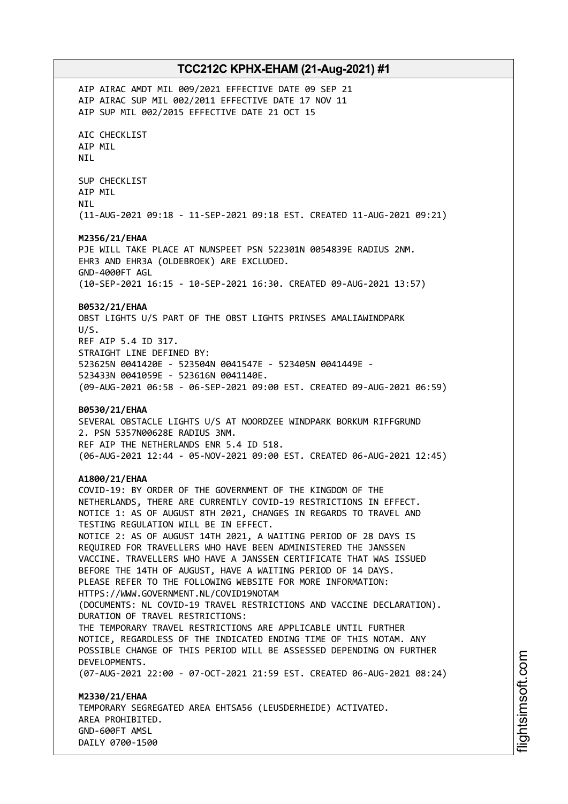AIP AIRAC AMDT MIL 009/2021 EFFECTIVE DATE 09 SEP 21 AIP AIRAC SUP MIL 002/2011 EFFECTIVE DATE 17 NOV 11 AIP SUP MIL 002/2015 EFFECTIVE DATE 21 OCT 15 AIC CHECKLIST AIP MIL NIL SUP CHECKLIST AIP MIL NIL (11-AUG-2021 09:18 - 11-SEP-2021 09:18 EST. CREATED 11-AUG-2021 09:21) **M2356/21/EHAA** PJE WILL TAKE PLACE AT NUNSPEET PSN 522301N 0054839E RADIUS 2NM. EHR3 AND EHR3A (OLDEBROEK) ARE EXCLUDED. GND-4000FT AGL (10-SEP-2021 16:15 - 10-SEP-2021 16:30. CREATED 09-AUG-2021 13:57) **B0532/21/EHAA** OBST LIGHTS U/S PART OF THE OBST LIGHTS PRINSES AMALIAWINDPARK U/S. REF AIP 5.4 ID 317. STRAIGHT LINE DEFINED BY: 523625N 0041420E - 523504N 0041547E - 523405N 0041449E - 523433N 0041059E - 523616N 0041140E. (09-AUG-2021 06:58 - 06-SEP-2021 09:00 EST. CREATED 09-AUG-2021 06:59) **B0530/21/EHAA** SEVERAL OBSTACLE LIGHTS U/S AT NOORDZEE WINDPARK BORKUM RIFFGRUND 2. PSN 5357N00628E RADIUS 3NM. REF AIP THE NETHERLANDS ENR 5.4 ID 518. (06-AUG-2021 12:44 - 05-NOV-2021 09:00 EST. CREATED 06-AUG-2021 12:45) **A1800/21/EHAA** COVID-19: BY ORDER OF THE GOVERNMENT OF THE KINGDOM OF THE NETHERLANDS, THERE ARE CURRENTLY COVID-19 RESTRICTIONS IN EFFECT. NOTICE 1: AS OF AUGUST 8TH 2021, CHANGES IN REGARDS TO TRAVEL AND TESTING REGULATION WILL BE IN EFFECT. NOTICE 2: AS OF AUGUST 14TH 2021, A WAITING PERIOD OF 28 DAYS IS REQUIRED FOR TRAVELLERS WHO HAVE BEEN ADMINISTERED THE JANSSEN VACCINE. TRAVELLERS WHO HAVE A JANSSEN CERTIFICATE THAT WAS ISSUED BEFORE THE 14TH OF AUGUST, HAVE A WAITING PERIOD OF 14 DAYS. PLEASE REFER TO THE FOLLOWING WEBSITE FOR MORE INFORMATION: HTTPS://WWW.GOVERNMENT.NL/COVID19NOTAM (DOCUMENTS: NL COVID-19 TRAVEL RESTRICTIONS AND VACCINE DECLARATION). DURATION OF TRAVEL RESTRICTIONS: THE TEMPORARY TRAVEL RESTRICTIONS ARE APPLICABLE UNTIL FURTHER NOTICE, REGARDLESS OF THE INDICATED ENDING TIME OF THIS NOTAM. ANY POSSIBLE CHANGE OF THIS PERIOD WILL BE ASSESSED DEPENDING ON FURTHER DEVELOPMENTS. (07-AUG-2021 22:00 - 07-OCT-2021 21:59 EST. CREATED 06-AUG-2021 08:24) **M2330/21/EHAA** TEMPORARY SEGREGATED AREA EHTSA56 (LEUSDERHEIDE) ACTIVATED. AREA PROHIBITED. GND-600FT AMSL

DAILY 0700-1500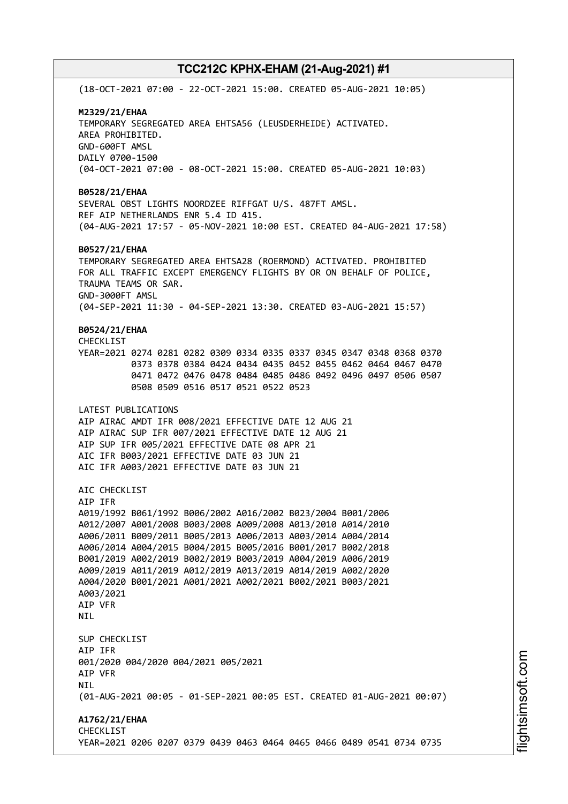(18-OCT-2021 07:00 - 22-OCT-2021 15:00. CREATED 05-AUG-2021 10:05) **M2329/21/EHAA** TEMPORARY SEGREGATED AREA EHTSA56 (LEUSDERHEIDE) ACTIVATED. AREA PROHIBITED. GND-600FT AMSL DAILY 0700-1500 (04-OCT-2021 07:00 - 08-OCT-2021 15:00. CREATED 05-AUG-2021 10:03) **B0528/21/EHAA** SEVERAL OBST LIGHTS NOORDZEE RIFFGAT U/S. 487FT AMSL. REF AIP NETHERLANDS ENR 5.4 ID 415. (04-AUG-2021 17:57 - 05-NOV-2021 10:00 EST. CREATED 04-AUG-2021 17:58) **B0527/21/EHAA** TEMPORARY SEGREGATED AREA EHTSA28 (ROERMOND) ACTIVATED. PROHIBITED FOR ALL TRAFFIC EXCEPT EMERGENCY FLIGHTS BY OR ON BEHALF OF POLICE, TRAUMA TEAMS OR SAR. GND-3000FT AMSL (04-SEP-2021 11:30 - 04-SEP-2021 13:30. CREATED 03-AUG-2021 15:57) **B0524/21/EHAA** CHECKLIST YEAR=2021 0274 0281 0282 0309 0334 0335 0337 0345 0347 0348 0368 0370 0373 0378 0384 0424 0434 0435 0452 0455 0462 0464 0467 0470 0471 0472 0476 0478 0484 0485 0486 0492 0496 0497 0506 0507 0508 0509 0516 0517 0521 0522 0523 LATEST PUBLICATIONS AIP AIRAC AMDT IFR 008/2021 EFFECTIVE DATE 12 AUG 21 AIP AIRAC SUP IFR 007/2021 EFFECTIVE DATE 12 AUG 21 AIP SUP IFR 005/2021 EFFECTIVE DATE 08 APR 21 AIC IFR B003/2021 EFFECTIVE DATE 03 JUN 21 AIC IFR A003/2021 EFFECTIVE DATE 03 JUN 21 ATC CHECKLIST AIP IFR A019/1992 B061/1992 B006/2002 A016/2002 B023/2004 B001/2006 A012/2007 A001/2008 B003/2008 A009/2008 A013/2010 A014/2010 A006/2011 B009/2011 B005/2013 A006/2013 A003/2014 A004/2014 A006/2014 A004/2015 B004/2015 B005/2016 B001/2017 B002/2018 B001/2019 A002/2019 B002/2019 B003/2019 A004/2019 A006/2019 A009/2019 A011/2019 A012/2019 A013/2019 A014/2019 A002/2020 A004/2020 B001/2021 A001/2021 A002/2021 B002/2021 B003/2021 A003/2021 AIP VFR **NTI** SUP CHECKLIST AIP IFR 001/2020 004/2020 004/2021 005/2021 AIP VFR NIL (01-AUG-2021 00:05 - 01-SEP-2021 00:05 EST. CREATED 01-AUG-2021 00:07) **A1762/21/EHAA** CHECKLIST YEAR=2021 0206 0207 0379 0439 0463 0464 0465 0466 0489 0541 0734 0735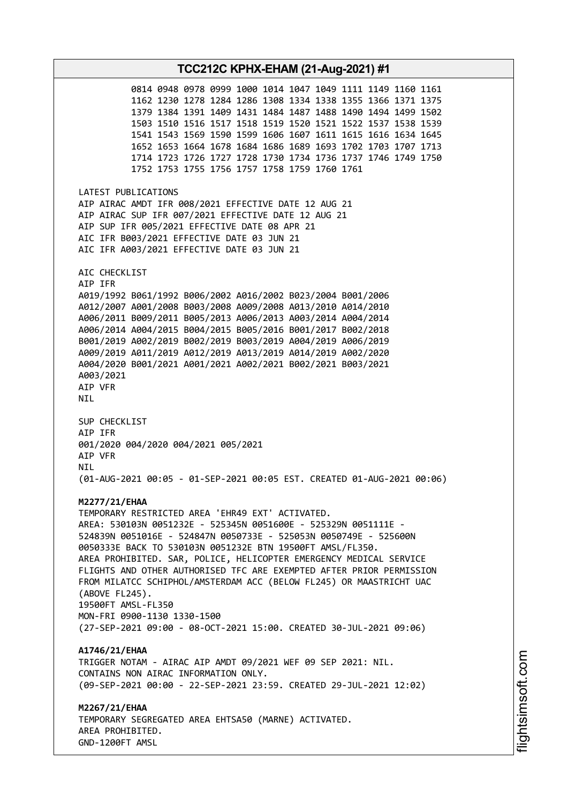**TCC212C KPHX-EHAM (21-Aug-2021) #1** 0814 0948 0978 0999 1000 1014 1047 1049 1111 1149 1160 1161 1162 1230 1278 1284 1286 1308 1334 1338 1355 1366 1371 1375 1379 1384 1391 1409 1431 1484 1487 1488 1490 1494 1499 1502 1503 1510 1516 1517 1518 1519 1520 1521 1522 1537 1538 1539 1541 1543 1569 1590 1599 1606 1607 1611 1615 1616 1634 1645 1652 1653 1664 1678 1684 1686 1689 1693 1702 1703 1707 1713 1714 1723 1726 1727 1728 1730 1734 1736 1737 1746 1749 1750 1752 1753 1755 1756 1757 1758 1759 1760 1761 LATEST PUBLICATIONS AIP AIRAC AMDT IFR 008/2021 EFFECTIVE DATE 12 AUG 21 AIP AIRAC SUP IFR 007/2021 EFFECTIVE DATE 12 AUG 21 AIP SUP IFR 005/2021 EFFECTIVE DATE 08 APR 21 AIC IFR B003/2021 EFFECTIVE DATE 03 JUN 21 AIC IFR A003/2021 EFFECTIVE DATE 03 JUN 21 AIC CHECKLIST AIP IFR A019/1992 B061/1992 B006/2002 A016/2002 B023/2004 B001/2006 A012/2007 A001/2008 B003/2008 A009/2008 A013/2010 A014/2010 A006/2011 B009/2011 B005/2013 A006/2013 A003/2014 A004/2014 A006/2014 A004/2015 B004/2015 B005/2016 B001/2017 B002/2018 B001/2019 A002/2019 B002/2019 B003/2019 A004/2019 A006/2019 A009/2019 A011/2019 A012/2019 A013/2019 A014/2019 A002/2020 A004/2020 B001/2021 A001/2021 A002/2021 B002/2021 B003/2021 A003/2021 AIP VFR NIL SUP CHECKLIST AIP IFR 001/2020 004/2020 004/2021 005/2021 AIP VFR **NTI** (01-AUG-2021 00:05 - 01-SEP-2021 00:05 EST. CREATED 01-AUG-2021 00:06) **M2277/21/EHAA** TEMPORARY RESTRICTED AREA 'EHR49 EXT' ACTIVATED. AREA: 530103N 0051232E - 525345N 0051600E - 525329N 0051111E - 524839N 0051016E - 524847N 0050733E - 525053N 0050749E - 525600N 0050333E BACK TO 530103N 0051232E BTN 19500FT AMSL/FL350. AREA PROHIBITED. SAR, POLICE, HELICOPTER EMERGENCY MEDICAL SERVICE FLIGHTS AND OTHER AUTHORISED TFC ARE EXEMPTED AFTER PRIOR PERMISSION FROM MILATCC SCHIPHOL/AMSTERDAM ACC (BELOW FL245) OR MAASTRICHT UAC (ABOVE FL245). 19500FT AMSL-FL350 MON-FRI 0900-1130 1330-1500 (27-SEP-2021 09:00 - 08-OCT-2021 15:00. CREATED 30-JUL-2021 09:06) **A1746/21/EHAA** TRIGGER NOTAM - AIRAC AIP AMDT 09/2021 WEF 09 SEP 2021: NIL. CONTAINS NON AIRAC INFORMATION ONLY. (09-SEP-2021 00:00 - 22-SEP-2021 23:59. CREATED 29-JUL-2021 12:02) **M2267/21/EHAA** TEMPORARY SEGREGATED AREA EHTSA50 (MARNE) ACTIVATED. AREA PROHIBITED. GND-1200FT AMSL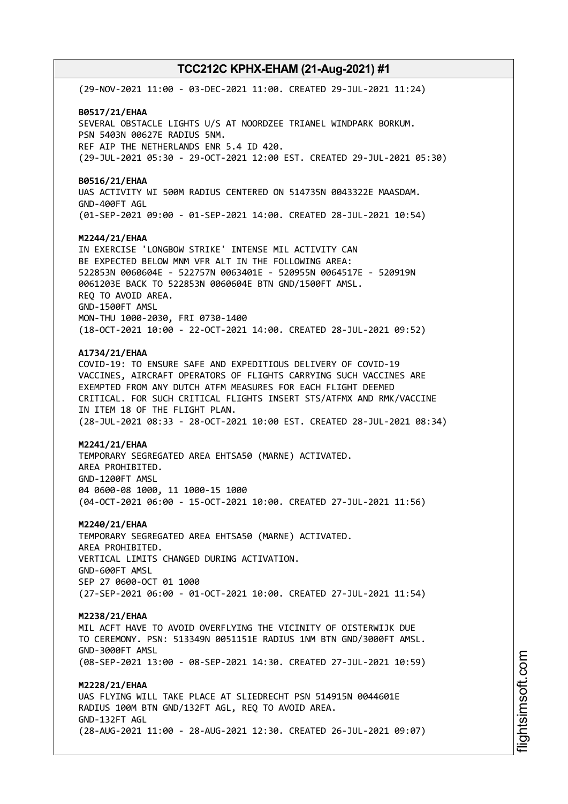(29-NOV-2021 11:00 - 03-DEC-2021 11:00. CREATED 29-JUL-2021 11:24) **B0517/21/EHAA** SEVERAL OBSTACLE LIGHTS U/S AT NOORDZEE TRIANEL WINDPARK BORKUM. PSN 5403N 00627E RADIUS 5NM. REF AIP THE NETHERLANDS ENR 5.4 ID 420. (29-JUL-2021 05:30 - 29-OCT-2021 12:00 EST. CREATED 29-JUL-2021 05:30) **B0516/21/EHAA** UAS ACTIVITY WI 500M RADIUS CENTERED ON 514735N 0043322E MAASDAM. GND-400FT AGL (01-SEP-2021 09:00 - 01-SEP-2021 14:00. CREATED 28-JUL-2021 10:54) **M2244/21/EHAA** IN EXERCISE 'LONGBOW STRIKE' INTENSE MIL ACTIVITY CAN BE EXPECTED BELOW MNM VFR ALT IN THE FOLLOWING AREA: 522853N 0060604E - 522757N 0063401E - 520955N 0064517E - 520919N 0061203E BACK TO 522853N 0060604E BTN GND/1500FT AMSL. REQ TO AVOID AREA. GND-1500FT AMSL MON-THU 1000-2030, FRI 0730-1400 (18-OCT-2021 10:00 - 22-OCT-2021 14:00. CREATED 28-JUL-2021 09:52) **A1734/21/EHAA** COVID-19: TO ENSURE SAFE AND EXPEDITIOUS DELIVERY OF COVID-19 VACCINES, AIRCRAFT OPERATORS OF FLIGHTS CARRYING SUCH VACCINES ARE EXEMPTED FROM ANY DUTCH ATFM MEASURES FOR EACH FLIGHT DEEMED CRITICAL. FOR SUCH CRITICAL FLIGHTS INSERT STS/ATFMX AND RMK/VACCINE IN ITEM 18 OF THE FLIGHT PLAN. (28-JUL-2021 08:33 - 28-OCT-2021 10:00 EST. CREATED 28-JUL-2021 08:34) **M2241/21/EHAA** TEMPORARY SEGREGATED AREA EHTSA50 (MARNE) ACTIVATED. AREA PROHIBITED. GND-1200FT AMSL 04 0600-08 1000, 11 1000-15 1000 (04-OCT-2021 06:00 - 15-OCT-2021 10:00. CREATED 27-JUL-2021 11:56) **M2240/21/EHAA** TEMPORARY SEGREGATED AREA EHTSA50 (MARNE) ACTIVATED. AREA PROHIBITED. VERTICAL LIMITS CHANGED DURING ACTIVATION. GND-600FT AMSL SEP 27 0600-OCT 01 1000 (27-SEP-2021 06:00 - 01-OCT-2021 10:00. CREATED 27-JUL-2021 11:54) **M2238/21/EHAA** MIL ACFT HAVE TO AVOID OVERFLYING THE VICINITY OF OISTERWIJK DUE TO CEREMONY. PSN: 513349N 0051151E RADIUS 1NM BTN GND/3000FT AMSL. GND-3000FT AMSL (08-SEP-2021 13:00 - 08-SEP-2021 14:30. CREATED 27-JUL-2021 10:59) **M2228/21/EHAA** UAS FLYING WILL TAKE PLACE AT SLIEDRECHT PSN 514915N 0044601E RADIUS 100M BTN GND/132FT AGL, REQ TO AVOID AREA. GND-132FT AGL (28-AUG-2021 11:00 - 28-AUG-2021 12:30. CREATED 26-JUL-2021 09:07)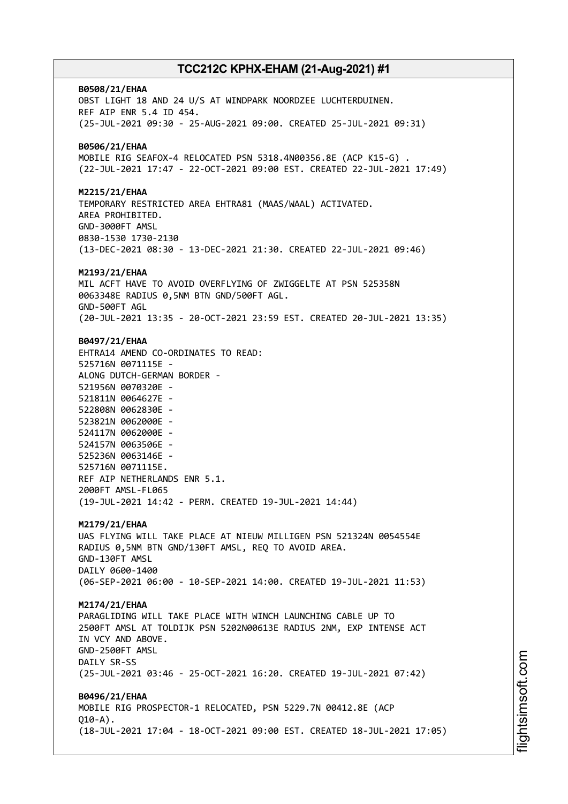**B0508/21/EHAA** OBST LIGHT 18 AND 24 U/S AT WINDPARK NOORDZEE LUCHTERDUINEN. REF AIP ENR 5.4 ID 454. (25-JUL-2021 09:30 - 25-AUG-2021 09:00. CREATED 25-JUL-2021 09:31) **B0506/21/EHAA** MOBILE RIG SEAFOX-4 RELOCATED PSN 5318.4N00356.8E (ACP K15-G) . (22-JUL-2021 17:47 - 22-OCT-2021 09:00 EST. CREATED 22-JUL-2021 17:49) **M2215/21/EHAA** TEMPORARY RESTRICTED AREA EHTRA81 (MAAS/WAAL) ACTIVATED. AREA PROHIBITED. GND-3000FT AMSL 0830-1530 1730-2130 (13-DEC-2021 08:30 - 13-DEC-2021 21:30. CREATED 22-JUL-2021 09:46) **M2193/21/EHAA** MIL ACFT HAVE TO AVOID OVERFLYING OF ZWIGGELTE AT PSN 525358N 0063348E RADIUS 0,5NM BTN GND/500FT AGL. GND-500FT AGL (20-JUL-2021 13:35 - 20-OCT-2021 23:59 EST. CREATED 20-JUL-2021 13:35) **B0497/21/EHAA** EHTRA14 AMEND CO-ORDINATES TO READ: 525716N 0071115E - ALONG DUTCH-GERMAN BORDER - 521956N 0070320E - 521811N 0064627E - 522808N 0062830E - 523821N 0062000E - 524117N 0062000E - 524157N 0063506E - 525236N 0063146E - 525716N 0071115E. REF AIP NETHERLANDS ENR 5.1. 2000FT AMSL-FL065 (19-JUL-2021 14:42 - PERM. CREATED 19-JUL-2021 14:44) **M2179/21/EHAA** UAS FLYING WILL TAKE PLACE AT NIEUW MILLIGEN PSN 521324N 0054554E RADIUS 0,5NM BTN GND/130FT AMSL, REQ TO AVOID AREA. GND-130FT AMSL DAILY 0600-1400 (06-SEP-2021 06:00 - 10-SEP-2021 14:00. CREATED 19-JUL-2021 11:53) **M2174/21/EHAA** PARAGLIDING WILL TAKE PLACE WITH WINCH LAUNCHING CABLE UP TO 2500FT AMSL AT TOLDIJK PSN 5202N00613E RADIUS 2NM, EXP INTENSE ACT IN VCY AND ABOVE. GND-2500FT AMSL DAILY SR-SS (25-JUL-2021 03:46 - 25-OCT-2021 16:20. CREATED 19-JUL-2021 07:42) **B0496/21/EHAA** MOBILE RIG PROSPECTOR-1 RELOCATED, PSN 5229.7N 00412.8E (ACP  $010 - A$ ). (18-JUL-2021 17:04 - 18-OCT-2021 09:00 EST. CREATED 18-JUL-2021 17:05)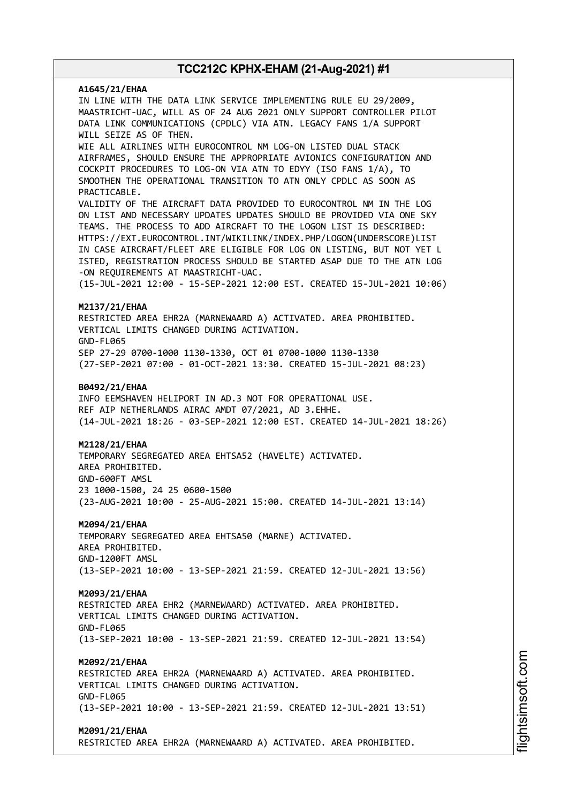# **A1645/21/EHAA** IN LINE WITH THE DATA LINK SERVICE IMPLEMENTING RULE EU 29/2009, MAASTRICHT-UAC, WILL AS OF 24 AUG 2021 ONLY SUPPORT CONTROLLER PILOT DATA LINK COMMUNICATIONS (CPDLC) VIA ATN. LEGACY FANS 1/A SUPPORT WILL SEIZE AS OF THEN. WIE ALL AIRLINES WITH EUROCONTROL NM LOG-ON LISTED DUAL STACK AIRFRAMES, SHOULD ENSURE THE APPROPRIATE AVIONICS CONFIGURATION AND COCKPIT PROCEDURES TO LOG-ON VIA ATN TO EDYY (ISO FANS 1/A), TO SMOOTHEN THE OPERATIONAL TRANSITION TO ATN ONLY CPDLC AS SOON AS PRACTICABLE. VALIDITY OF THE AIRCRAFT DATA PROVIDED TO EUROCONTROL NM IN THE LOG ON LIST AND NECESSARY UPDATES UPDATES SHOULD BE PROVIDED VIA ONE SKY TEAMS. THE PROCESS TO ADD AIRCRAFT TO THE LOGON LIST IS DESCRIBED: HTTPS://EXT.EUROCONTROL.INT/WIKILINK/INDEX.PHP/LOGON(UNDERSCORE)LIST IN CASE AIRCRAFT/FLEET ARE ELIGIBLE FOR LOG ON LISTING, BUT NOT YET L ISTED, REGISTRATION PROCESS SHOULD BE STARTED ASAP DUE TO THE ATN LOG -ON REQUIREMENTS AT MAASTRICHT-UAC. (15-JUL-2021 12:00 - 15-SEP-2021 12:00 EST. CREATED 15-JUL-2021 10:06) **M2137/21/EHAA** RESTRICTED AREA EHR2A (MARNEWAARD A) ACTIVATED. AREA PROHIBITED. VERTICAL LIMITS CHANGED DURING ACTIVATION. GND-FL065 SEP 27-29 0700-1000 1130-1330, OCT 01 0700-1000 1130-1330 (27-SEP-2021 07:00 - 01-OCT-2021 13:30. CREATED 15-JUL-2021 08:23) **B0492/21/EHAA** INFO EEMSHAVEN HELIPORT IN AD.3 NOT FOR OPERATIONAL USE. REF AIP NETHERLANDS AIRAC AMDT 07/2021, AD 3.EHHE. (14-JUL-2021 18:26 - 03-SEP-2021 12:00 EST. CREATED 14-JUL-2021 18:26) **M2128/21/EHAA** TEMPORARY SEGREGATED AREA EHTSA52 (HAVELTE) ACTIVATED. AREA PROHIBITED. GND-600FT AMSL 23 1000-1500, 24 25 0600-1500 (23-AUG-2021 10:00 - 25-AUG-2021 15:00. CREATED 14-JUL-2021 13:14) **M2094/21/EHAA** TEMPORARY SEGREGATED AREA EHTSA50 (MARNE) ACTIVATED. AREA PROHIBITED. GND-1200FT AMSL (13-SEP-2021 10:00 - 13-SEP-2021 21:59. CREATED 12-JUL-2021 13:56) **M2093/21/EHAA** RESTRICTED AREA EHR2 (MARNEWAARD) ACTIVATED. AREA PROHIBITED. VERTICAL LIMITS CHANGED DURING ACTIVATION. GND-FL065 (13-SEP-2021 10:00 - 13-SEP-2021 21:59. CREATED 12-JUL-2021 13:54) **M2092/21/EHAA** RESTRICTED AREA EHR2A (MARNEWAARD A) ACTIVATED. AREA PROHIBITED. VERTICAL LIMITS CHANGED DURING ACTIVATION. GND-FL065 (13-SEP-2021 10:00 - 13-SEP-2021 21:59. CREATED 12-JUL-2021 13:51) **M2091/21/EHAA** RESTRICTED AREA EHR2A (MARNEWAARD A) ACTIVATED. AREA PROHIBITED.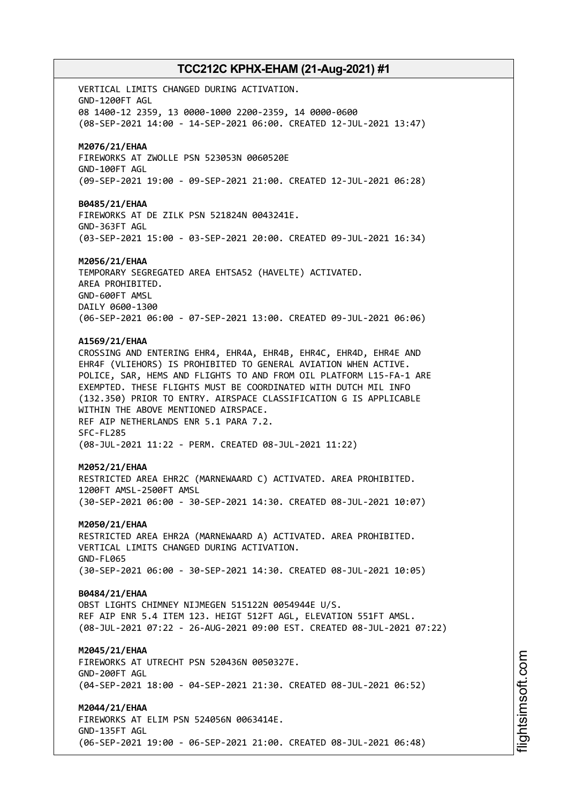VERTICAL LIMITS CHANGED DURING ACTIVATION. GND-1200FT AGL 08 1400-12 2359, 13 0000-1000 2200-2359, 14 0000-0600 (08-SEP-2021 14:00 - 14-SEP-2021 06:00. CREATED 12-JUL-2021 13:47) **M2076/21/EHAA** FIREWORKS AT ZWOLLE PSN 523053N 0060520E GND-100FT AGL (09-SEP-2021 19:00 - 09-SEP-2021 21:00. CREATED 12-JUL-2021 06:28) **B0485/21/EHAA** FIREWORKS AT DE ZILK PSN 521824N 0043241E. GND-363FT AGL (03-SEP-2021 15:00 - 03-SEP-2021 20:00. CREATED 09-JUL-2021 16:34) **M2056/21/EHAA** TEMPORARY SEGREGATED AREA EHTSA52 (HAVELTE) ACTIVATED. AREA PROHIBITED. GND-600FT AMSL DAILY 0600-1300 (06-SEP-2021 06:00 - 07-SEP-2021 13:00. CREATED 09-JUL-2021 06:06) **A1569/21/EHAA** CROSSING AND ENTERING EHR4, EHR4A, EHR4B, EHR4C, EHR4D, EHR4E AND EHR4F (VLIEHORS) IS PROHIBITED TO GENERAL AVIATION WHEN ACTIVE. POLICE, SAR, HEMS AND FLIGHTS TO AND FROM OIL PLATFORM L15-FA-1 ARE EXEMPTED. THESE FLIGHTS MUST BE COORDINATED WITH DUTCH MIL INFO (132.350) PRIOR TO ENTRY. AIRSPACE CLASSIFICATION G IS APPLICABLE WITHIN THE ABOVE MENTIONED AIRSPACE. REF AIP NETHERLANDS ENR 5.1 PARA 7.2. SFC-FL285 (08-JUL-2021 11:22 - PERM. CREATED 08-JUL-2021 11:22) **M2052/21/EHAA** RESTRICTED AREA EHR2C (MARNEWAARD C) ACTIVATED. AREA PROHIBITED. 1200FT AMSL-2500FT AMSL (30-SEP-2021 06:00 - 30-SEP-2021 14:30. CREATED 08-JUL-2021 10:07) **M2050/21/EHAA** RESTRICTED AREA EHR2A (MARNEWAARD A) ACTIVATED. AREA PROHIBITED. VERTICAL LIMITS CHANGED DURING ACTIVATION. GND-FL065 (30-SEP-2021 06:00 - 30-SEP-2021 14:30. CREATED 08-JUL-2021 10:05) **B0484/21/EHAA** OBST LIGHTS CHIMNEY NIJMEGEN 515122N 0054944E U/S. REF AIP ENR 5.4 ITEM 123. HEIGT 512FT AGL, ELEVATION 551FT AMSL. (08-JUL-2021 07:22 - 26-AUG-2021 09:00 EST. CREATED 08-JUL-2021 07:22) **M2045/21/EHAA** FIREWORKS AT UTRECHT PSN 520436N 0050327E. GND-200FT AGL (04-SEP-2021 18:00 - 04-SEP-2021 21:30. CREATED 08-JUL-2021 06:52) **M2044/21/EHAA** FIREWORKS AT ELIM PSN 524056N 0063414E. GND-135FT AGL (06-SEP-2021 19:00 - 06-SEP-2021 21:00. CREATED 08-JUL-2021 06:48)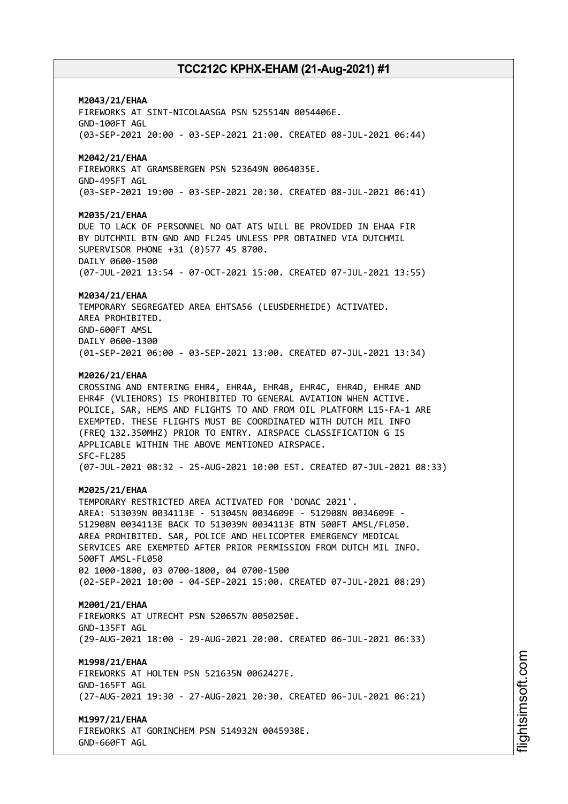### **M2043/21/EHAA**

FIREWORKS AT SINT-NICOLAASGA PSN 525514N 0054406E. GND-100FT AGL (03-SEP-2021 20:00 - 03-SEP-2021 21:00. CREATED 08-JUL-2021 06:44)

### **M2042/21/EHAA**

FIREWORKS AT GRAMSBERGEN PSN 523649N 0064035E. GND-495FT AGL (03-SEP-2021 19:00 - 03-SEP-2021 20:30. CREATED 08-JUL-2021 06:41)

#### **M2035/21/EHAA**

DUE TO LACK OF PERSONNEL NO OAT ATS WILL BE PROVIDED IN EHAA FIR BY DUTCHMIL BTN GND AND FL245 UNLESS PPR OBTAINED VIA DUTCHMIL SUPERVISOR PHONE +31 (0)577 45 8700. DAILY 0600-1500 (07-JUL-2021 13:54 - 07-OCT-2021 15:00. CREATED 07-JUL-2021 13:55)

#### **M2034/21/EHAA**

TEMPORARY SEGREGATED AREA EHTSA56 (LEUSDERHEIDE) ACTIVATED. AREA PROHIBITED. GND-600FT AMSL DAILY 0600-1300 (01-SEP-2021 06:00 - 03-SEP-2021 13:00. CREATED 07-JUL-2021 13:34)

#### **M2026/21/EHAA**

CROSSING AND ENTERING EHR4, EHR4A, EHR4B, EHR4C, EHR4D, EHR4E AND EHR4F (VLIEHORS) IS PROHIBITED TO GENERAL AVIATION WHEN ACTIVE. POLICE, SAR, HEMS AND FLIGHTS TO AND FROM OIL PLATFORM L15-FA-1 ARE EXEMPTED. THESE FLIGHTS MUST BE COORDINATED WITH DUTCH MIL INFO (FREQ 132.350MHZ) PRIOR TO ENTRY. AIRSPACE CLASSIFICATION G IS APPLICABLE WITHIN THE ABOVE MENTIONED AIRSPACE. SFC-FL285 (07-JUL-2021 08:32 - 25-AUG-2021 10:00 EST. CREATED 07-JUL-2021 08:33)

#### **M2025/21/EHAA**

TEMPORARY RESTRICTED AREA ACTIVATED FOR 'DONAC 2021'. AREA: 513039N 0034113E - 513045N 0034609E - 512908N 0034609E - 512908N 0034113E BACK TO 513039N 0034113E BTN 500FT AMSL/FL050. AREA PROHIBITED. SAR, POLICE AND HELICOPTER EMERGENCY MEDICAL SERVICES ARE EXEMPTED AFTER PRIOR PERMISSION FROM DUTCH MIL INFO. 500FT AMSL-FL050 02 1000-1800, 03 0700-1800, 04 0700-1500 (02-SEP-2021 10:00 - 04-SEP-2021 15:00. CREATED 07-JUL-2021 08:29)

#### **M2001/21/EHAA**

FIREWORKS AT UTRECHT PSN 520657N 0050250E. GND-135FT AGL (29-AUG-2021 18:00 - 29-AUG-2021 20:00. CREATED 06-JUL-2021 06:33)

#### **M1998/21/EHAA**

FIREWORKS AT HOLTEN PSN 521635N 0062427E. GND-165FT AGL (27-AUG-2021 19:30 - 27-AUG-2021 20:30. CREATED 06-JUL-2021 06:21)

#### **M1997/21/EHAA**

FIREWORKS AT GORINCHEM PSN 514932N 0045938E. GND-660FT AGL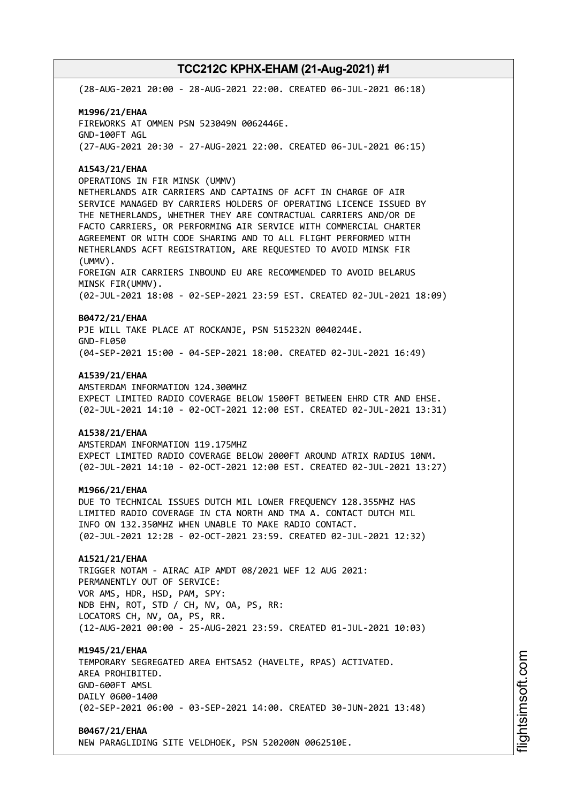(28-AUG-2021 20:00 - 28-AUG-2021 22:00. CREATED 06-JUL-2021 06:18)

### **M1996/21/EHAA** FIREWORKS AT OMMEN PSN 523049N 0062446E. GND-100FT AGL (27-AUG-2021 20:30 - 27-AUG-2021 22:00. CREATED 06-JUL-2021 06:15)

### **A1543/21/EHAA**

OPERATIONS IN FIR MINSK (UMMV) NETHERLANDS AIR CARRIERS AND CAPTAINS OF ACFT IN CHARGE OF AIR SERVICE MANAGED BY CARRIERS HOLDERS OF OPERATING LICENCE ISSUED BY THE NETHERLANDS, WHETHER THEY ARE CONTRACTUAL CARRIERS AND/OR DE FACTO CARRIERS, OR PERFORMING AIR SERVICE WITH COMMERCIAL CHARTER AGREEMENT OR WITH CODE SHARING AND TO ALL FLIGHT PERFORMED WITH NETHERLANDS ACFT REGISTRATION, ARE REQUESTED TO AVOID MINSK FIR (UMMV). FOREIGN AIR CARRIERS INBOUND EU ARE RECOMMENDED TO AVOID BELARUS MINSK FIR(UMMV). (02-JUL-2021 18:08 - 02-SEP-2021 23:59 EST. CREATED 02-JUL-2021 18:09)

### **B0472/21/EHAA**

PJE WILL TAKE PLACE AT ROCKANJE, PSN 515232N 0040244E. GND-FL050 (04-SEP-2021 15:00 - 04-SEP-2021 18:00. CREATED 02-JUL-2021 16:49)

#### **A1539/21/EHAA**

AMSTERDAM INFORMATION 124.300MHZ EXPECT LIMITED RADIO COVERAGE BELOW 1500FT BETWEEN EHRD CTR AND EHSE. (02-JUL-2021 14:10 - 02-OCT-2021 12:00 EST. CREATED 02-JUL-2021 13:31)

### **A1538/21/EHAA**

AMSTERDAM INFORMATION 119.175MHZ EXPECT LIMITED RADIO COVERAGE BELOW 2000FT AROUND ATRIX RADIUS 10NM. (02-JUL-2021 14:10 - 02-OCT-2021 12:00 EST. CREATED 02-JUL-2021 13:27)

#### **M1966/21/EHAA**

DUE TO TECHNICAL ISSUES DUTCH MIL LOWER FREQUENCY 128.355MHZ HAS LIMITED RADIO COVERAGE IN CTA NORTH AND TMA A. CONTACT DUTCH MIL INFO ON 132.350MHZ WHEN UNABLE TO MAKE RADIO CONTACT. (02-JUL-2021 12:28 - 02-OCT-2021 23:59. CREATED 02-JUL-2021 12:32)

### **A1521/21/EHAA**

TRIGGER NOTAM - AIRAC AIP AMDT 08/2021 WEF 12 AUG 2021: PERMANENTLY OUT OF SERVICE: VOR AMS, HDR, HSD, PAM, SPY: NDB EHN, ROT, STD / CH, NV, OA, PS, RR: LOCATORS CH, NV, OA, PS, RR. (12-AUG-2021 00:00 - 25-AUG-2021 23:59. CREATED 01-JUL-2021 10:03)

#### **M1945/21/EHAA**

TEMPORARY SEGREGATED AREA EHTSA52 (HAVELTE, RPAS) ACTIVATED. AREA PROHIBITED. GND-600FT AMSL DAILY 0600-1400 (02-SEP-2021 06:00 - 03-SEP-2021 14:00. CREATED 30-JUN-2021 13:48)

#### **B0467/21/EHAA**

NEW PARAGLIDING SITE VELDHOEK, PSN 520200N 0062510E.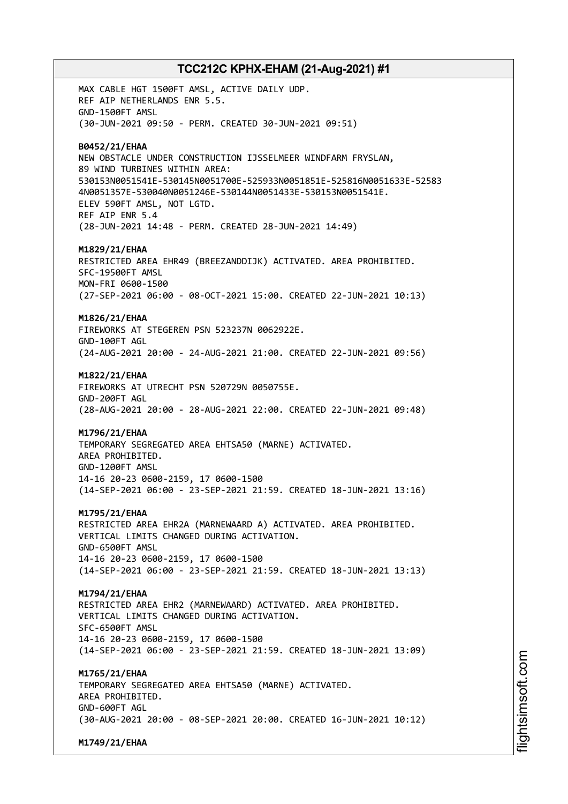MAX CABLE HGT 1500FT AMSL, ACTIVE DAILY UDP. REF AIP NETHERLANDS ENR 5.5. GND-1500FT AMSL (30-JUN-2021 09:50 - PERM. CREATED 30-JUN-2021 09:51) **B0452/21/EHAA** NEW OBSTACLE UNDER CONSTRUCTION IJSSELMEER WINDFARM FRYSLAN, 89 WIND TURBINES WITHIN AREA: 530153N0051541E-530145N0051700E-525933N0051851E-525816N0051633E-52583 4N0051357E-530040N0051246E-530144N0051433E-530153N0051541E. ELEV 590FT AMSL, NOT LGTD. REF AIP ENR 5.4 (28-JUN-2021 14:48 - PERM. CREATED 28-JUN-2021 14:49) **M1829/21/EHAA** RESTRICTED AREA EHR49 (BREEZANDDIJK) ACTIVATED. AREA PROHIBITED. SFC-19500FT AMSL MON-FRI 0600-1500 (27-SEP-2021 06:00 - 08-OCT-2021 15:00. CREATED 22-JUN-2021 10:13) **M1826/21/EHAA** FIREWORKS AT STEGEREN PSN 523237N 0062922E. GND-100FT AGL (24-AUG-2021 20:00 - 24-AUG-2021 21:00. CREATED 22-JUN-2021 09:56) **M1822/21/EHAA** FIREWORKS AT UTRECHT PSN 520729N 0050755E. GND-200FT AGL (28-AUG-2021 20:00 - 28-AUG-2021 22:00. CREATED 22-JUN-2021 09:48) **M1796/21/EHAA** TEMPORARY SEGREGATED AREA EHTSA50 (MARNE) ACTIVATED. AREA PROHIBITED. GND-1200FT AMSL 14-16 20-23 0600-2159, 17 0600-1500 (14-SEP-2021 06:00 - 23-SEP-2021 21:59. CREATED 18-JUN-2021 13:16) **M1795/21/EHAA** RESTRICTED AREA EHR2A (MARNEWAARD A) ACTIVATED. AREA PROHIBITED. VERTICAL LIMITS CHANGED DURING ACTIVATION. GND-6500FT AMSL 14-16 20-23 0600-2159, 17 0600-1500 (14-SEP-2021 06:00 - 23-SEP-2021 21:59. CREATED 18-JUN-2021 13:13) **M1794/21/EHAA** RESTRICTED AREA EHR2 (MARNEWAARD) ACTIVATED. AREA PROHIBITED. VERTICAL LIMITS CHANGED DURING ACTIVATION. SFC-6500FT AMSL 14-16 20-23 0600-2159, 17 0600-1500 (14-SEP-2021 06:00 - 23-SEP-2021 21:59. CREATED 18-JUN-2021 13:09) **M1765/21/EHAA** TEMPORARY SEGREGATED AREA EHTSA50 (MARNE) ACTIVATED. AREA PROHIBITED. GND-600FT AGL (30-AUG-2021 20:00 - 08-SEP-2021 20:00. CREATED 16-JUN-2021 10:12)

**M1749/21/EHAA**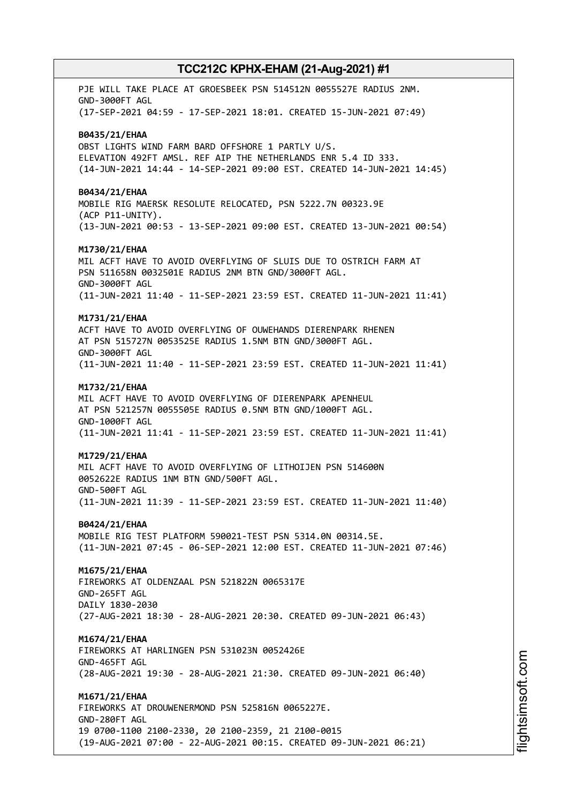PJE WILL TAKE PLACE AT GROESBEEK PSN 514512N 0055527E RADIUS 2NM. GND-3000FT AGL (17-SEP-2021 04:59 - 17-SEP-2021 18:01. CREATED 15-JUN-2021 07:49) **B0435/21/EHAA** OBST LIGHTS WIND FARM BARD OFFSHORE 1 PARTLY U/S. ELEVATION 492FT AMSL. REF AIP THE NETHERLANDS ENR 5.4 ID 333. (14-JUN-2021 14:44 - 14-SEP-2021 09:00 EST. CREATED 14-JUN-2021 14:45) **B0434/21/EHAA** MOBILE RIG MAERSK RESOLUTE RELOCATED, PSN 5222.7N 00323.9E (ACP P11-UNITY). (13-JUN-2021 00:53 - 13-SEP-2021 09:00 EST. CREATED 13-JUN-2021 00:54) **M1730/21/EHAA** MIL ACFT HAVE TO AVOID OVERFLYING OF SLUIS DUE TO OSTRICH FARM AT PSN 511658N 0032501E RADIUS 2NM BTN GND/3000FT AGL. GND-3000FT AGL (11-JUN-2021 11:40 - 11-SEP-2021 23:59 EST. CREATED 11-JUN-2021 11:41) **M1731/21/EHAA** ACFT HAVE TO AVOID OVERFLYING OF OUWEHANDS DIERENPARK RHENEN AT PSN 515727N 0053525E RADIUS 1.5NM BTN GND/3000FT AGL. GND-3000FT AGL (11-JUN-2021 11:40 - 11-SEP-2021 23:59 EST. CREATED 11-JUN-2021 11:41) **M1732/21/EHAA** MIL ACFT HAVE TO AVOID OVERFLYING OF DIERENPARK APENHEUL AT PSN 521257N 0055505E RADIUS 0.5NM BTN GND/1000FT AGL. GND-1000FT AGL (11-JUN-2021 11:41 - 11-SEP-2021 23:59 EST. CREATED 11-JUN-2021 11:41) **M1729/21/EHAA** MIL ACFT HAVE TO AVOID OVERFLYING OF LITHOIJEN PSN 514600N 0052622E RADIUS 1NM BTN GND/500FT AGL. GND-500FT AGL (11-JUN-2021 11:39 - 11-SEP-2021 23:59 EST. CREATED 11-JUN-2021 11:40) **B0424/21/EHAA** MOBILE RIG TEST PLATFORM 590021-TEST PSN 5314.0N 00314.5E. (11-JUN-2021 07:45 - 06-SEP-2021 12:00 EST. CREATED 11-JUN-2021 07:46) **M1675/21/EHAA** FIREWORKS AT OLDENZAAL PSN 521822N 0065317E GND-265FT AGL DAILY 1830-2030 (27-AUG-2021 18:30 - 28-AUG-2021 20:30. CREATED 09-JUN-2021 06:43) **M1674/21/EHAA** FIREWORKS AT HARLINGEN PSN 531023N 0052426E GND-465FT AGL (28-AUG-2021 19:30 - 28-AUG-2021 21:30. CREATED 09-JUN-2021 06:40) **M1671/21/EHAA** FIREWORKS AT DROUWENERMOND PSN 525816N 0065227E. GND-280FT AGL 19 0700-1100 2100-2330, 20 2100-2359, 21 2100-0015 (19-AUG-2021 07:00 - 22-AUG-2021 00:15. CREATED 09-JUN-2021 06:21)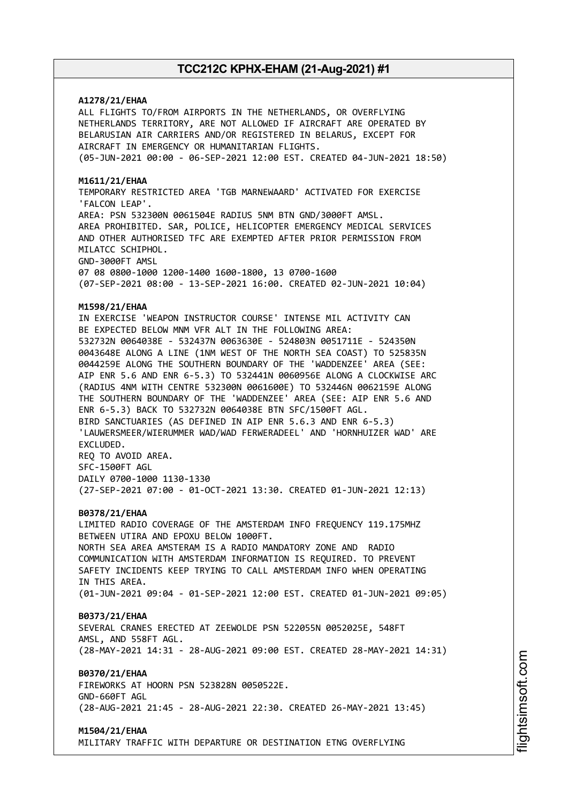### **A1278/21/EHAA**

ALL FLIGHTS TO/FROM AIRPORTS IN THE NETHERLANDS, OR OVERFLYING NETHERLANDS TERRITORY, ARE NOT ALLOWED IF AIRCRAFT ARE OPERATED BY BELARUSIAN AIR CARRIERS AND/OR REGISTERED IN BELARUS, EXCEPT FOR AIRCRAFT IN EMERGENCY OR HUMANITARIAN FLIGHTS. (05-JUN-2021 00:00 - 06-SEP-2021 12:00 EST. CREATED 04-JUN-2021 18:50)

#### **M1611/21/EHAA**

TEMPORARY RESTRICTED AREA 'TGB MARNEWAARD' ACTIVATED FOR EXERCISE 'FALCON LEAP'. AREA: PSN 532300N 0061504E RADIUS 5NM BTN GND/3000FT AMSL. AREA PROHIBITED. SAR, POLICE, HELICOPTER EMERGENCY MEDICAL SERVICES AND OTHER AUTHORISED TFC ARE EXEMPTED AFTER PRIOR PERMISSION FROM MILATCC SCHIPHOL. GND-3000FT AMSL 07 08 0800-1000 1200-1400 1600-1800, 13 0700-1600

(07-SEP-2021 08:00 - 13-SEP-2021 16:00. CREATED 02-JUN-2021 10:04)

#### **M1598/21/EHAA**

IN EXERCISE 'WEAPON INSTRUCTOR COURSE' INTENSE MIL ACTIVITY CAN BE EXPECTED BELOW MNM VFR ALT IN THE FOLLOWING AREA: 532732N 0064038E - 532437N 0063630E - 524803N 0051711E - 524350N 0043648E ALONG A LINE (1NM WEST OF THE NORTH SEA COAST) TO 525835N 0044259E ALONG THE SOUTHERN BOUNDARY OF THE 'WADDENZEE' AREA (SEE: AIP ENR 5.6 AND ENR 6-5.3) TO 532441N 0060956E ALONG A CLOCKWISE ARC (RADIUS 4NM WITH CENTRE 532300N 0061600E) TO 532446N 0062159E ALONG THE SOUTHERN BOUNDARY OF THE 'WADDENZEE' AREA (SEE: AIP ENR 5.6 AND ENR 6-5.3) BACK TO 532732N 0064038E BTN SFC/1500FT AGL. BIRD SANCTUARIES (AS DEFINED IN AIP ENR 5.6.3 AND ENR 6-5.3) 'LAUWERSMEER/WIERUMMER WAD/WAD FERWERADEEL' AND 'HORNHUIZER WAD' ARE EXCLUDED. REQ TO AVOID AREA. SFC-1500FT AGL DAILY 0700-1000 1130-1330

(27-SEP-2021 07:00 - 01-OCT-2021 13:30. CREATED 01-JUN-2021 12:13)

#### **B0378/21/EHAA**

LIMITED RADIO COVERAGE OF THE AMSTERDAM INFO FREQUENCY 119.175MHZ BETWEEN UTIRA AND EPOXU BELOW 1000FT. NORTH SEA AREA AMSTERAM IS A RADIO MANDATORY ZONE AND RADIO COMMUNICATION WITH AMSTERDAM INFORMATION IS REQUIRED. TO PREVENT SAFETY INCIDENTS KEEP TRYING TO CALL AMSTERDAM INFO WHEN OPERATING IN THIS AREA. (01-JUN-2021 09:04 - 01-SEP-2021 12:00 EST. CREATED 01-JUN-2021 09:05)

#### **B0373/21/EHAA**

SEVERAL CRANES ERECTED AT ZEEWOLDE PSN 522055N 0052025E, 548FT AMSL, AND 558FT AGL. (28-MAY-2021 14:31 - 28-AUG-2021 09:00 EST. CREATED 28-MAY-2021 14:31)

### **B0370/21/EHAA**

FIREWORKS AT HOORN PSN 523828N 0050522E. GND-660FT AGL (28-AUG-2021 21:45 - 28-AUG-2021 22:30. CREATED 26-MAY-2021 13:45)

#### **M1504/21/EHAA**

MILITARY TRAFFIC WITH DEPARTURE OR DESTINATION ETNG OVERFLYING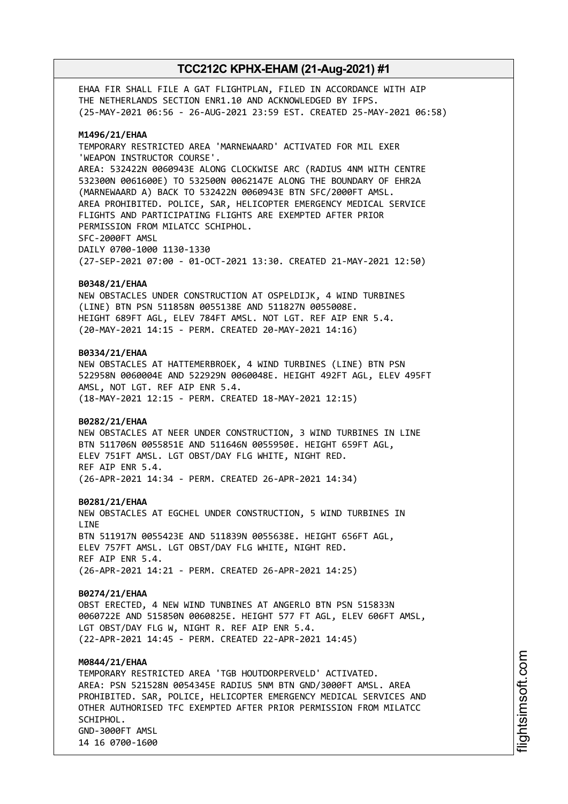EHAA FIR SHALL FILE A GAT FLIGHTPLAN, FILED IN ACCORDANCE WITH AIP THE NETHERLANDS SECTION ENR1.10 AND ACKNOWLEDGED BY IFPS. (25-MAY-2021 06:56 - 26-AUG-2021 23:59 EST. CREATED 25-MAY-2021 06:58)

#### **M1496/21/EHAA**

TEMPORARY RESTRICTED AREA 'MARNEWAARD' ACTIVATED FOR MIL EXER 'WEAPON INSTRUCTOR COURSE'. AREA: 532422N 0060943E ALONG CLOCKWISE ARC (RADIUS 4NM WITH CENTRE 532300N 0061600E) TO 532500N 0062147E ALONG THE BOUNDARY OF EHR2A (MARNEWAARD A) BACK TO 532422N 0060943E BTN SFC/2000FT AMSL. AREA PROHIBITED. POLICE, SAR, HELICOPTER EMERGENCY MEDICAL SERVICE FLIGHTS AND PARTICIPATING FLIGHTS ARE EXEMPTED AFTER PRIOR PERMISSION FROM MILATCC SCHIPHOL. SFC-2000FT AMSL DAILY 0700-1000 1130-1330 (27-SEP-2021 07:00 - 01-OCT-2021 13:30. CREATED 21-MAY-2021 12:50)

#### **B0348/21/EHAA**

NEW OBSTACLES UNDER CONSTRUCTION AT OSPELDIJK, 4 WIND TURBINES (LINE) BTN PSN 511858N 0055138E AND 511827N 0055008E. HEIGHT 689FT AGL, ELEV 784FT AMSL. NOT LGT. REF AIP ENR 5.4. (20-MAY-2021 14:15 - PERM. CREATED 20-MAY-2021 14:16)

#### **B0334/21/EHAA**

NEW OBSTACLES AT HATTEMERBROEK, 4 WIND TURBINES (LINE) BTN PSN 522958N 0060004E AND 522929N 0060048E. HEIGHT 492FT AGL, ELEV 495FT AMSL, NOT LGT. REF AIP ENR 5.4. (18-MAY-2021 12:15 - PERM. CREATED 18-MAY-2021 12:15)

#### **B0282/21/EHAA**

NEW OBSTACLES AT NEER UNDER CONSTRUCTION, 3 WIND TURBINES IN LINE BTN 511706N 0055851E AND 511646N 0055950E. HEIGHT 659FT AGL, ELEV 751FT AMSL. LGT OBST/DAY FLG WHITE, NIGHT RED. REF AIP ENR 5.4. (26-APR-2021 14:34 - PERM. CREATED 26-APR-2021 14:34)

#### **B0281/21/EHAA**

NEW OBSTACLES AT EGCHEL UNDER CONSTRUCTION, 5 WIND TURBINES IN LINE BTN 511917N 0055423E AND 511839N 0055638E. HEIGHT 656FT AGL, ELEV 757FT AMSL. LGT OBST/DAY FLG WHITE, NIGHT RED. REF AIP ENR 5.4. (26-APR-2021 14:21 - PERM. CREATED 26-APR-2021 14:25)

#### **B0274/21/EHAA**

OBST ERECTED, 4 NEW WIND TUNBINES AT ANGERLO BTN PSN 515833N 0060722E AND 515850N 0060825E. HEIGHT 577 FT AGL, ELEV 606FT AMSL, LGT OBST/DAY FLG W, NIGHT R. REF AIP ENR 5.4. (22-APR-2021 14:45 - PERM. CREATED 22-APR-2021 14:45)

### **M0844/21/EHAA**

TEMPORARY RESTRICTED AREA 'TGB HOUTDORPERVELD' ACTIVATED. AREA: PSN 521528N 0054345E RADIUS 5NM BTN GND/3000FT AMSL. AREA PROHIBITED. SAR, POLICE, HELICOPTER EMERGENCY MEDICAL SERVICES AND OTHER AUTHORISED TFC EXEMPTED AFTER PRIOR PERMISSION FROM MILATCC SCHIPHOL. GND-3000FT AMSL 14 16 0700-1600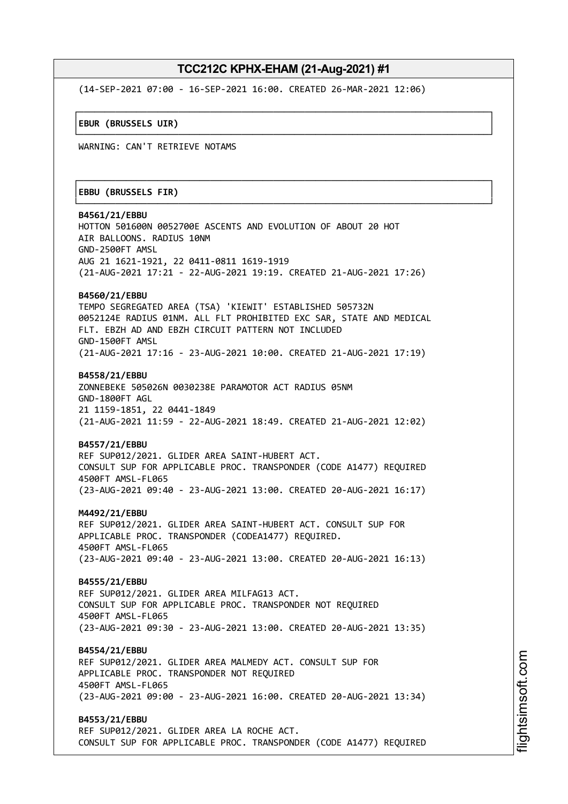┌──────────────────────────────────────────────────────────────────────────────┐

└──────────────────────────────────────────────────────────────────────────────┘

┌──────────────────────────────────────────────────────────────────────────────┐

└──────────────────────────────────────────────────────────────────────────────┘

(14-SEP-2021 07:00 - 16-SEP-2021 16:00. CREATED 26-MAR-2021 12:06)

│**EBUR (BRUSSELS UIR)** │

WARNING: CAN'T RETRIEVE NOTAMS

#### │**EBBU (BRUSSELS FIR)** │

**B4561/21/EBBU** HOTTON 501600N 0052700E ASCENTS AND EVOLUTION OF ABOUT 20 HOT AIR BALLOONS. RADIUS 10NM GND-2500FT AMSL AUG 21 1621-1921, 22 0411-0811 1619-1919 (21-AUG-2021 17:21 - 22-AUG-2021 19:19. CREATED 21-AUG-2021 17:26) **B4560/21/EBBU** TEMPO SEGREGATED AREA (TSA) 'KIEWIT' ESTABLISHED 505732N 0052124E RADIUS 01NM. ALL FLT PROHIBITED EXC SAR, STATE AND MEDICAL FLT. EBZH AD AND EBZH CIRCUIT PATTERN NOT INCLUDED GND-1500FT AMSL (21-AUG-2021 17:16 - 23-AUG-2021 10:00. CREATED 21-AUG-2021 17:19) **B4558/21/EBBU** ZONNEBEKE 505026N 0030238E PARAMOTOR ACT RADIUS 05NM GND-1800FT AGL 21 1159-1851, 22 0441-1849

(21-AUG-2021 11:59 - 22-AUG-2021 18:49. CREATED 21-AUG-2021 12:02)

#### **B4557/21/EBBU**

REF SUP012/2021. GLIDER AREA SAINT-HUBERT ACT. CONSULT SUP FOR APPLICABLE PROC. TRANSPONDER (CODE A1477) REQUIRED 4500FT AMSL-FL065 (23-AUG-2021 09:40 - 23-AUG-2021 13:00. CREATED 20-AUG-2021 16:17)

**M4492/21/EBBU**

REF SUP012/2021. GLIDER AREA SAINT-HUBERT ACT. CONSULT SUP FOR APPLICABLE PROC. TRANSPONDER (CODEA1477) REQUIRED. 4500FT AMSL-FL065 (23-AUG-2021 09:40 - 23-AUG-2021 13:00. CREATED 20-AUG-2021 16:13)

**B4555/21/EBBU** REF SUP012/2021. GLIDER AREA MILFAG13 ACT. CONSULT SUP FOR APPLICABLE PROC. TRANSPONDER NOT REQUIRED 4500FT AMSL-FL065 (23-AUG-2021 09:30 - 23-AUG-2021 13:00. CREATED 20-AUG-2021 13:35)

**B4554/21/EBBU** REF SUP012/2021. GLIDER AREA MALMEDY ACT. CONSULT SUP FOR APPLICABLE PROC. TRANSPONDER NOT REQUIRED 4500FT AMSL-FL065 (23-AUG-2021 09:00 - 23-AUG-2021 16:00. CREATED 20-AUG-2021 13:34)

**B4553/21/EBBU** REF SUP012/2021. GLIDER AREA LA ROCHE ACT. CONSULT SUP FOR APPLICABLE PROC. TRANSPONDER (CODE A1477) REQUIRED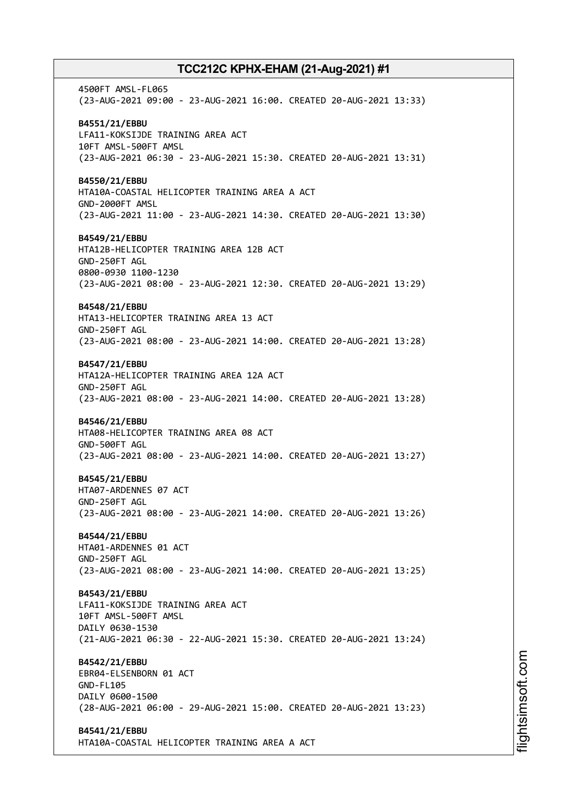4500FT AMSL-FL065 (23-AUG-2021 09:00 - 23-AUG-2021 16:00. CREATED 20-AUG-2021 13:33) **B4551/21/EBBU** LFA11-KOKSIJDE TRAINING AREA ACT 10FT AMSL-500FT AMSL (23-AUG-2021 06:30 - 23-AUG-2021 15:30. CREATED 20-AUG-2021 13:31) **B4550/21/EBBU** HTA10A-COASTAL HELICOPTER TRAINING AREA A ACT GND-2000FT AMSL (23-AUG-2021 11:00 - 23-AUG-2021 14:30. CREATED 20-AUG-2021 13:30) **B4549/21/EBBU** HTA12B-HELICOPTER TRAINING AREA 12B ACT GND-250FT AGL 0800-0930 1100-1230 (23-AUG-2021 08:00 - 23-AUG-2021 12:30. CREATED 20-AUG-2021 13:29) **B4548/21/EBBU** HTA13-HELICOPTER TRAINING AREA 13 ACT GND-250FT AGL (23-AUG-2021 08:00 - 23-AUG-2021 14:00. CREATED 20-AUG-2021 13:28) **B4547/21/EBBU** HTA12A-HELICOPTER TRAINING AREA 12A ACT GND-250FT AGL (23-AUG-2021 08:00 - 23-AUG-2021 14:00. CREATED 20-AUG-2021 13:28) **B4546/21/EBBU** HTA08-HELICOPTER TRAINING AREA 08 ACT GND-500FT AGL (23-AUG-2021 08:00 - 23-AUG-2021 14:00. CREATED 20-AUG-2021 13:27) **B4545/21/EBBU** HTA07-ARDENNES 07 ACT GND-250FT AGL (23-AUG-2021 08:00 - 23-AUG-2021 14:00. CREATED 20-AUG-2021 13:26) **B4544/21/EBBU** HTA01-ARDENNES 01 ACT GND-250FT AGL (23-AUG-2021 08:00 - 23-AUG-2021 14:00. CREATED 20-AUG-2021 13:25) **B4543/21/EBBU** LFA11-KOKSIJDE TRAINING AREA ACT 10FT AMSL-500FT AMSL DAILY 0630-1530 (21-AUG-2021 06:30 - 22-AUG-2021 15:30. CREATED 20-AUG-2021 13:24) **B4542/21/EBBU** EBR04-ELSENBORN 01 ACT GND-FL105 DAILY 0600-1500 (28-AUG-2021 06:00 - 29-AUG-2021 15:00. CREATED 20-AUG-2021 13:23) **B4541/21/EBBU** HTA10A-COASTAL HELICOPTER TRAINING AREA A ACT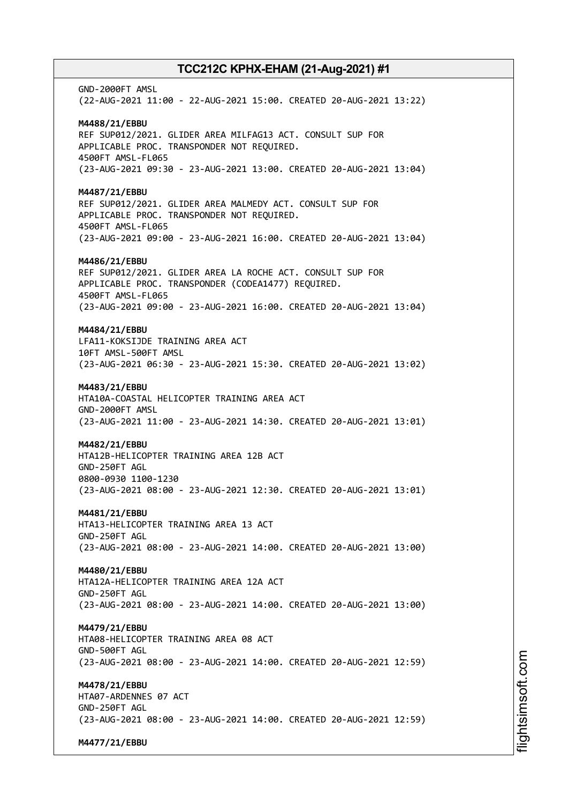GND-2000FT AMSL (22-AUG-2021 11:00 - 22-AUG-2021 15:00. CREATED 20-AUG-2021 13:22) **M4488/21/EBBU** REF SUP012/2021. GLIDER AREA MILFAG13 ACT. CONSULT SUP FOR APPLICABLE PROC. TRANSPONDER NOT REQUIRED. 4500FT AMSL-FL065 (23-AUG-2021 09:30 - 23-AUG-2021 13:00. CREATED 20-AUG-2021 13:04) **M4487/21/EBBU** REF SUP012/2021. GLIDER AREA MALMEDY ACT. CONSULT SUP FOR APPLICABLE PROC. TRANSPONDER NOT REQUIRED. 4500FT AMSL-FL065 (23-AUG-2021 09:00 - 23-AUG-2021 16:00. CREATED 20-AUG-2021 13:04) **M4486/21/EBBU** REF SUP012/2021. GLIDER AREA LA ROCHE ACT. CONSULT SUP FOR APPLICABLE PROC. TRANSPONDER (CODEA1477) REQUIRED. 4500FT AMSL-FL065 (23-AUG-2021 09:00 - 23-AUG-2021 16:00. CREATED 20-AUG-2021 13:04) **M4484/21/EBBU** LFA11-KOKSIJDE TRAINING AREA ACT 10FT AMSL-500FT AMSL (23-AUG-2021 06:30 - 23-AUG-2021 15:30. CREATED 20-AUG-2021 13:02) **M4483/21/EBBU** HTA10A-COASTAL HELICOPTER TRAINING AREA ACT GND-2000FT AMSL (23-AUG-2021 11:00 - 23-AUG-2021 14:30. CREATED 20-AUG-2021 13:01) **M4482/21/EBBU** HTA12B-HELICOPTER TRAINING AREA 12B ACT GND-250FT AGL 0800-0930 1100-1230 (23-AUG-2021 08:00 - 23-AUG-2021 12:30. CREATED 20-AUG-2021 13:01) **M4481/21/EBBU** HTA13-HELICOPTER TRAINING AREA 13 ACT GND-250FT AGL (23-AUG-2021 08:00 - 23-AUG-2021 14:00. CREATED 20-AUG-2021 13:00) **M4480/21/EBBU** HTA12A-HELICOPTER TRAINING AREA 12A ACT GND-250FT AGL (23-AUG-2021 08:00 - 23-AUG-2021 14:00. CREATED 20-AUG-2021 13:00) **M4479/21/EBBU** HTA08-HELICOPTER TRAINING AREA 08 ACT GND-500FT AGL (23-AUG-2021 08:00 - 23-AUG-2021 14:00. CREATED 20-AUG-2021 12:59) **M4478/21/EBBU** HTA07-ARDENNES 07 ACT GND-250FT AGL (23-AUG-2021 08:00 - 23-AUG-2021 14:00. CREATED 20-AUG-2021 12:59) **M4477/21/EBBU**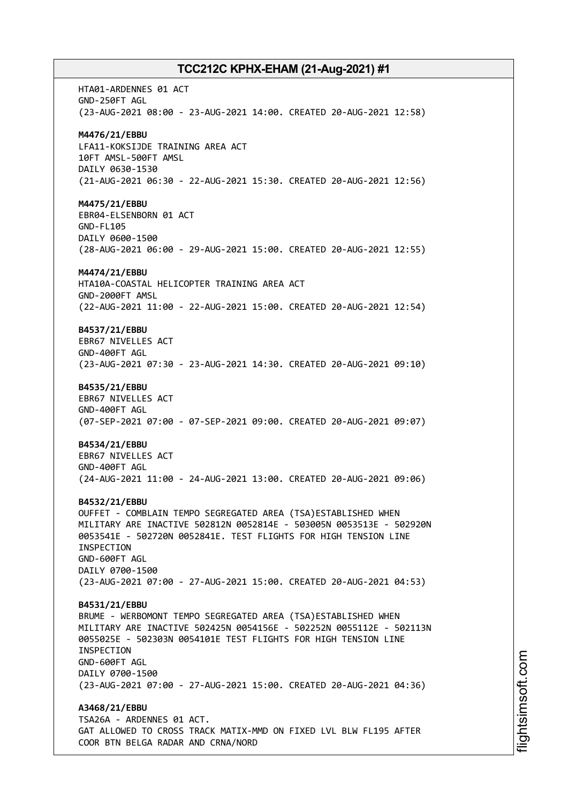HTA01-ARDENNES 01 ACT GND-250FT AGL (23-AUG-2021 08:00 - 23-AUG-2021 14:00. CREATED 20-AUG-2021 12:58) **M4476/21/EBBU** LFA11-KOKSIJDE TRAINING AREA ACT 10FT AMSL-500FT AMSL DAILY 0630-1530 (21-AUG-2021 06:30 - 22-AUG-2021 15:30. CREATED 20-AUG-2021 12:56) **M4475/21/EBBU** EBR04-ELSENBORN 01 ACT GND-FL105 DAILY 0600-1500 (28-AUG-2021 06:00 - 29-AUG-2021 15:00. CREATED 20-AUG-2021 12:55) **M4474/21/EBBU** HTA10A-COASTAL HELICOPTER TRAINING AREA ACT GND-2000FT AMSL (22-AUG-2021 11:00 - 22-AUG-2021 15:00. CREATED 20-AUG-2021 12:54) **B4537/21/EBBU** EBR67 NIVELLES ACT GND-400FT AGL (23-AUG-2021 07:30 - 23-AUG-2021 14:30. CREATED 20-AUG-2021 09:10) **B4535/21/EBBU** EBR67 NIVELLES ACT GND-400FT AGL (07-SEP-2021 07:00 - 07-SEP-2021 09:00. CREATED 20-AUG-2021 09:07) **B4534/21/EBBU** EBR67 NIVELLES ACT GND-400FT AGL (24-AUG-2021 11:00 - 24-AUG-2021 13:00. CREATED 20-AUG-2021 09:06) **B4532/21/EBBU** OUFFET - COMBLAIN TEMPO SEGREGATED AREA (TSA)ESTABLISHED WHEN MILITARY ARE INACTIVE 502812N 0052814E - 503005N 0053513E - 502920N 0053541E - 502720N 0052841E. TEST FLIGHTS FOR HIGH TENSION LINE INSPECTION GND-600FT AGL DAILY 0700-1500 (23-AUG-2021 07:00 - 27-AUG-2021 15:00. CREATED 20-AUG-2021 04:53) **B4531/21/EBBU** BRUME - WERBOMONT TEMPO SEGREGATED AREA (TSA)ESTABLISHED WHEN MILITARY ARE INACTIVE 502425N 0054156E - 502252N 0055112E - 502113N 0055025E - 502303N 0054101E TEST FLIGHTS FOR HIGH TENSION LINE INSPECTION GND-600FT AGL DAILY 0700-1500 (23-AUG-2021 07:00 - 27-AUG-2021 15:00. CREATED 20-AUG-2021 04:36) **A3468/21/EBBU** TSA26A - ARDENNES 01 ACT. GAT ALLOWED TO CROSS TRACK MATIX-MMD ON FIXED LVL BLW FL195 AFTER COOR BTN BELGA RADAR AND CRNA/NORD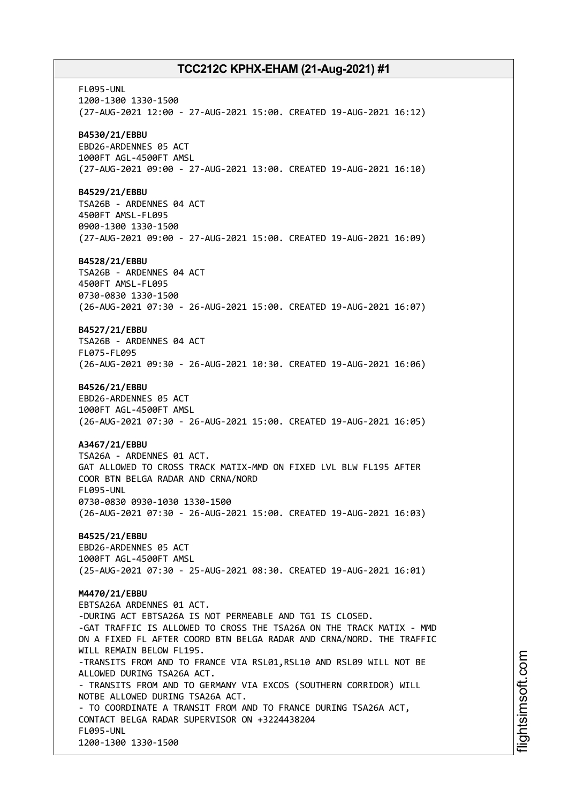FL095-UNL 1200-1300 1330-1500 (27-AUG-2021 12:00 - 27-AUG-2021 15:00. CREATED 19-AUG-2021 16:12) **B4530/21/EBBU** EBD26-ARDENNES 05 ACT 1000FT AGL-4500FT AMSL (27-AUG-2021 09:00 - 27-AUG-2021 13:00. CREATED 19-AUG-2021 16:10) **B4529/21/EBBU** TSA26B - ARDENNES 04 ACT 4500FT AMSL-FL095 0900-1300 1330-1500 (27-AUG-2021 09:00 - 27-AUG-2021 15:00. CREATED 19-AUG-2021 16:09) **B4528/21/EBBU** TSA26B - ARDENNES 04 ACT 4500FT AMSL-FL095 0730-0830 1330-1500 (26-AUG-2021 07:30 - 26-AUG-2021 15:00. CREATED 19-AUG-2021 16:07) **B4527/21/EBBU** TSA26B - ARDENNES 04 ACT FL075-FL095 (26-AUG-2021 09:30 - 26-AUG-2021 10:30. CREATED 19-AUG-2021 16:06) **B4526/21/EBBU** EBD26-ARDENNES 05 ACT 1000FT AGL-4500FT AMSL (26-AUG-2021 07:30 - 26-AUG-2021 15:00. CREATED 19-AUG-2021 16:05) **A3467/21/EBBU** TSA26A - ARDENNES 01 ACT. GAT ALLOWED TO CROSS TRACK MATIX-MMD ON FIXED LVL BLW FL195 AFTER COOR BTN BELGA RADAR AND CRNA/NORD FL095-UNL 0730-0830 0930-1030 1330-1500 (26-AUG-2021 07:30 - 26-AUG-2021 15:00. CREATED 19-AUG-2021 16:03) **B4525/21/EBBU** EBD26-ARDENNES 05 ACT 1000FT AGL-4500FT AMSL (25-AUG-2021 07:30 - 25-AUG-2021 08:30. CREATED 19-AUG-2021 16:01) **M4470/21/EBBU** EBTSA26A ARDENNES 01 ACT. -DURING ACT EBTSA26A IS NOT PERMEABLE AND TG1 IS CLOSED. -GAT TRAFFIC IS ALLOWED TO CROSS THE TSA26A ON THE TRACK MATIX - MMD ON A FIXED FL AFTER COORD BTN BELGA RADAR AND CRNA/NORD. THE TRAFFIC WILL REMAIN BELOW FL195. -TRANSITS FROM AND TO FRANCE VIA RSL01, RSL10 AND RSL09 WILL NOT BE ALLOWED DURING TSA26A ACT. - TRANSITS FROM AND TO GERMANY VIA EXCOS (SOUTHERN CORRIDOR) WILL NOTBE ALLOWED DURING TSA26A ACT. - TO COORDINATE A TRANSIT FROM AND TO FRANCE DURING TSA26A ACT, CONTACT BELGA RADAR SUPERVISOR ON +3224438204 FL095-UNL 1200-1300 1330-1500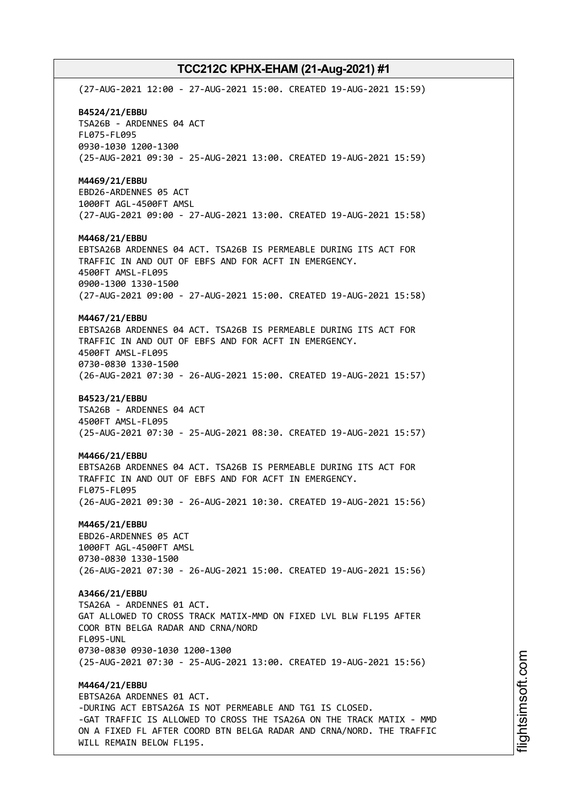(27-AUG-2021 12:00 - 27-AUG-2021 15:00. CREATED 19-AUG-2021 15:59) **B4524/21/EBBU** TSA26B - ARDENNES 04 ACT FL075-FL095 0930-1030 1200-1300 (25-AUG-2021 09:30 - 25-AUG-2021 13:00. CREATED 19-AUG-2021 15:59) **M4469/21/EBBU** EBD26-ARDENNES 05 ACT 1000FT AGL-4500FT AMSL (27-AUG-2021 09:00 - 27-AUG-2021 13:00. CREATED 19-AUG-2021 15:58) **M4468/21/EBBU** EBTSA26B ARDENNES 04 ACT. TSA26B IS PERMEABLE DURING ITS ACT FOR TRAFFIC IN AND OUT OF EBFS AND FOR ACFT IN EMERGENCY. 4500FT AMSL-FL095 0900-1300 1330-1500 (27-AUG-2021 09:00 - 27-AUG-2021 15:00. CREATED 19-AUG-2021 15:58) **M4467/21/EBBU** EBTSA26B ARDENNES 04 ACT. TSA26B IS PERMEABLE DURING ITS ACT FOR TRAFFIC IN AND OUT OF EBFS AND FOR ACFT IN EMERGENCY. 4500FT AMSL-FL095 0730-0830 1330-1500 (26-AUG-2021 07:30 - 26-AUG-2021 15:00. CREATED 19-AUG-2021 15:57) **B4523/21/EBBU** TSA26B - ARDENNES 04 ACT 4500FT AMSL-FL095 (25-AUG-2021 07:30 - 25-AUG-2021 08:30. CREATED 19-AUG-2021 15:57) **M4466/21/EBBU** EBTSA26B ARDENNES 04 ACT. TSA26B IS PERMEABLE DURING ITS ACT FOR TRAFFIC IN AND OUT OF EBFS AND FOR ACFT IN EMERGENCY. FL075-FL095 (26-AUG-2021 09:30 - 26-AUG-2021 10:30. CREATED 19-AUG-2021 15:56) **M4465/21/EBBU** EBD26-ARDENNES 05 ACT 1000FT AGL-4500FT AMSL 0730-0830 1330-1500 (26-AUG-2021 07:30 - 26-AUG-2021 15:00. CREATED 19-AUG-2021 15:56) **A3466/21/EBBU** TSA26A - ARDENNES 01 ACT. GAT ALLOWED TO CROSS TRACK MATIX-MMD ON FIXED LVL BLW FL195 AFTER COOR BTN BELGA RADAR AND CRNA/NORD FL095-UNL 0730-0830 0930-1030 1200-1300 (25-AUG-2021 07:30 - 25-AUG-2021 13:00. CREATED 19-AUG-2021 15:56) **M4464/21/EBBU** EBTSA26A ARDENNES 01 ACT. -DURING ACT EBTSA26A IS NOT PERMEABLE AND TG1 IS CLOSED. -GAT TRAFFIC IS ALLOWED TO CROSS THE TSA26A ON THE TRACK MATIX - MMD ON A FIXED FL AFTER COORD BTN BELGA RADAR AND CRNA/NORD. THE TRAFFIC

WILL REMAIN BELOW FL195.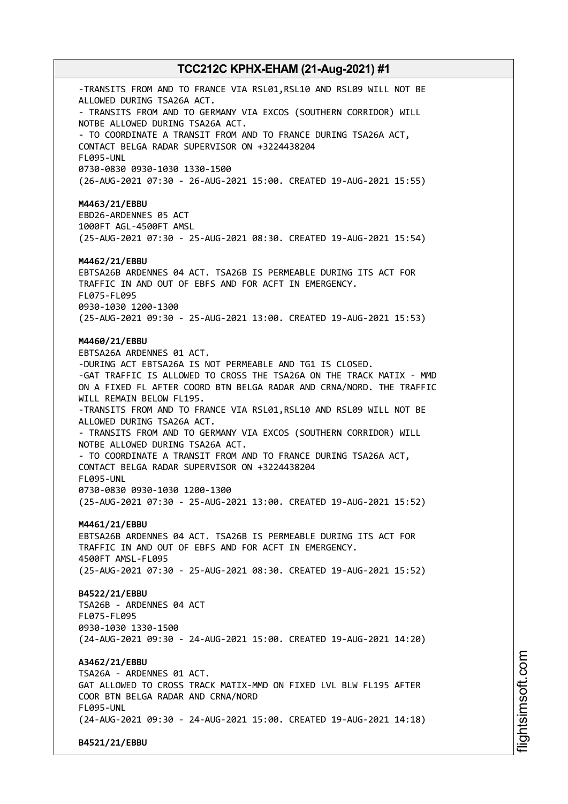-TRANSITS FROM AND TO FRANCE VIA RSL01, RSL10 AND RSL09 WILL NOT BE ALLOWED DURING TSA26A ACT. - TRANSITS FROM AND TO GERMANY VIA EXCOS (SOUTHERN CORRIDOR) WILL NOTBE ALLOWED DURING TSA26A ACT. - TO COORDINATE A TRANSIT FROM AND TO FRANCE DURING TSA26A ACT, CONTACT BELGA RADAR SUPERVISOR ON +3224438204 FL095-UNL 0730-0830 0930-1030 1330-1500 (26-AUG-2021 07:30 - 26-AUG-2021 15:00. CREATED 19-AUG-2021 15:55) **M4463/21/EBBU** EBD26-ARDENNES 05 ACT 1000FT AGL-4500FT AMSL (25-AUG-2021 07:30 - 25-AUG-2021 08:30. CREATED 19-AUG-2021 15:54) **M4462/21/EBBU** EBTSA26B ARDENNES 04 ACT. TSA26B IS PERMEABLE DURING ITS ACT FOR TRAFFIC IN AND OUT OF EBFS AND FOR ACFT IN EMERGENCY. FL075-FL095 0930-1030 1200-1300 (25-AUG-2021 09:30 - 25-AUG-2021 13:00. CREATED 19-AUG-2021 15:53) **M4460/21/EBBU** EBTSA26A ARDENNES 01 ACT. -DURING ACT EBTSA26A IS NOT PERMEABLE AND TG1 IS CLOSED. -GAT TRAFFIC IS ALLOWED TO CROSS THE TSA26A ON THE TRACK MATIX - MMD ON A FIXED FL AFTER COORD BTN BELGA RADAR AND CRNA/NORD. THE TRAFFIC WILL REMAIN BELOW FL195. -TRANSITS FROM AND TO FRANCE VIA RSL01, RSL10 AND RSL09 WILL NOT BE ALLOWED DURING TSA26A ACT. - TRANSITS FROM AND TO GERMANY VIA EXCOS (SOUTHERN CORRIDOR) WILL NOTBE ALLOWED DURING TSA26A ACT. - TO COORDINATE A TRANSIT FROM AND TO FRANCE DURING TSA26A ACT, CONTACT BELGA RADAR SUPERVISOR ON +3224438204 FL095-UNL 0730-0830 0930-1030 1200-1300 (25-AUG-2021 07:30 - 25-AUG-2021 13:00. CREATED 19-AUG-2021 15:52) **M4461/21/EBBU** EBTSA26B ARDENNES 04 ACT. TSA26B IS PERMEABLE DURING ITS ACT FOR TRAFFIC IN AND OUT OF EBFS AND FOR ACFT IN EMERGENCY. 4500FT AMSL-FL095 (25-AUG-2021 07:30 - 25-AUG-2021 08:30. CREATED 19-AUG-2021 15:52) **B4522/21/EBBU** TSA26B - ARDENNES 04 ACT FL075-FL095 0930-1030 1330-1500 (24-AUG-2021 09:30 - 24-AUG-2021 15:00. CREATED 19-AUG-2021 14:20) **A3462/21/EBBU** TSA26A - ARDENNES 01 ACT. GAT ALLOWED TO CROSS TRACK MATIX-MMD ON FIXED LVL BLW FL195 AFTER COOR BTN BELGA RADAR AND CRNA/NORD FL095-UNL (24-AUG-2021 09:30 - 24-AUG-2021 15:00. CREATED 19-AUG-2021 14:18) **B4521/21/EBBU**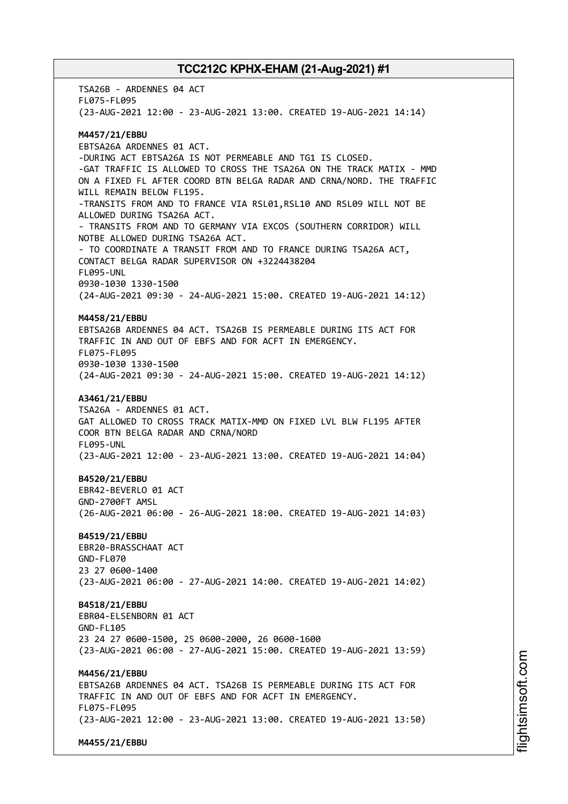TSA26B - ARDENNES 04 ACT FL075-FL095 (23-AUG-2021 12:00 - 23-AUG-2021 13:00. CREATED 19-AUG-2021 14:14) **M4457/21/EBBU** EBTSA26A ARDENNES 01 ACT. -DURING ACT EBTSA26A IS NOT PERMEABLE AND TG1 IS CLOSED. -GAT TRAFFIC IS ALLOWED TO CROSS THE TSA26A ON THE TRACK MATIX - MMD ON A FIXED FL AFTER COORD BTN BELGA RADAR AND CRNA/NORD. THE TRAFFIC WILL REMAIN BELOW FL195. -TRANSITS FROM AND TO FRANCE VIA RSL01,RSL10 AND RSL09 WILL NOT BE ALLOWED DURING TSA26A ACT. - TRANSITS FROM AND TO GERMANY VIA EXCOS (SOUTHERN CORRIDOR) WILL NOTBE ALLOWED DURING TSA26A ACT. - TO COORDINATE A TRANSIT FROM AND TO FRANCE DURING TSA26A ACT, CONTACT BELGA RADAR SUPERVISOR ON +3224438204 FL095-UNL 0930-1030 1330-1500 (24-AUG-2021 09:30 - 24-AUG-2021 15:00. CREATED 19-AUG-2021 14:12) **M4458/21/EBBU** EBTSA26B ARDENNES 04 ACT. TSA26B IS PERMEABLE DURING ITS ACT FOR TRAFFIC IN AND OUT OF EBFS AND FOR ACFT IN EMERGENCY. FL075-FL095 0930-1030 1330-1500 (24-AUG-2021 09:30 - 24-AUG-2021 15:00. CREATED 19-AUG-2021 14:12) **A3461/21/EBBU** TSA26A - ARDENNES 01 ACT. GAT ALLOWED TO CROSS TRACK MATIX-MMD ON FIXED LVL BLW FL195 AFTER COOR BTN BELGA RADAR AND CRNA/NORD FL095-UNL (23-AUG-2021 12:00 - 23-AUG-2021 13:00. CREATED 19-AUG-2021 14:04) **B4520/21/EBBU** EBR42-BEVERLO 01 ACT GND-2700FT AMSL (26-AUG-2021 06:00 - 26-AUG-2021 18:00. CREATED 19-AUG-2021 14:03) **B4519/21/EBBU** EBR20-BRASSCHAAT ACT GND-FL070 23 27 0600-1400 (23-AUG-2021 06:00 - 27-AUG-2021 14:00. CREATED 19-AUG-2021 14:02) **B4518/21/EBBU** EBR04-ELSENBORN 01 ACT GND-FL105 23 24 27 0600-1500, 25 0600-2000, 26 0600-1600 (23-AUG-2021 06:00 - 27-AUG-2021 15:00. CREATED 19-AUG-2021 13:59) **M4456/21/EBBU** EBTSA26B ARDENNES 04 ACT. TSA26B IS PERMEABLE DURING ITS ACT FOR TRAFFIC IN AND OUT OF EBFS AND FOR ACFT IN EMERGENCY. FL075-FL095 (23-AUG-2021 12:00 - 23-AUG-2021 13:00. CREATED 19-AUG-2021 13:50) **M4455/21/EBBU**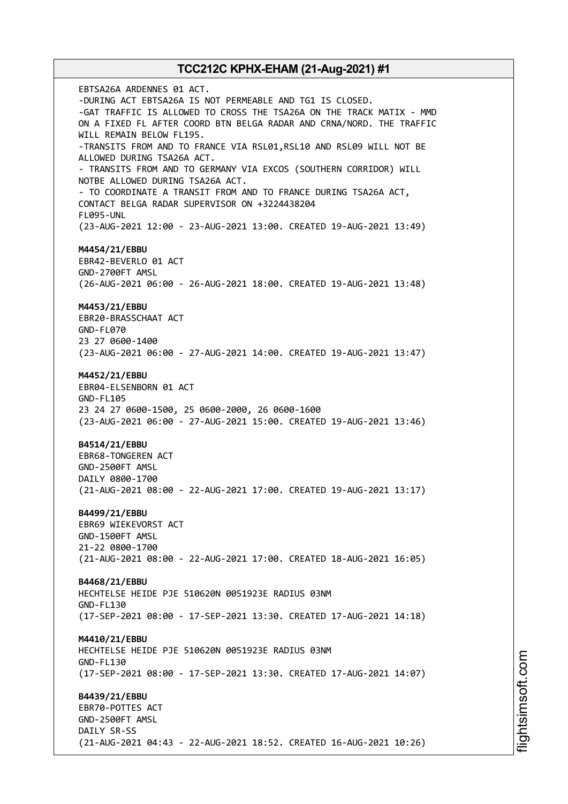EBTSA26A ARDENNES 01 ACT. -DURING ACT EBTSA26A IS NOT PERMEABLE AND TG1 IS CLOSED. -GAT TRAFFIC IS ALLOWED TO CROSS THE TSA26A ON THE TRACK MATIX - MMD ON A FIXED FL AFTER COORD BTN BELGA RADAR AND CRNA/NORD. THE TRAFFIC WILL REMAIN BELOW FL195. -TRANSITS FROM AND TO FRANCE VIA RSL01,RSL10 AND RSL09 WILL NOT BE ALLOWED DURING TSA26A ACT. - TRANSITS FROM AND TO GERMANY VIA EXCOS (SOUTHERN CORRIDOR) WILL NOTBE ALLOWED DURING TSA26A ACT. - TO COORDINATE A TRANSIT FROM AND TO FRANCE DURING TSA26A ACT, CONTACT BELGA RADAR SUPERVISOR ON +3224438204 FL095-UNL (23-AUG-2021 12:00 - 23-AUG-2021 13:00. CREATED 19-AUG-2021 13:49) **M4454/21/EBBU** EBR42-BEVERLO 01 ACT GND-2700FT AMSL (26-AUG-2021 06:00 - 26-AUG-2021 18:00. CREATED 19-AUG-2021 13:48) **M4453/21/EBBU** EBR20-BRASSCHAAT ACT GND-FL070 23 27 0600-1400 (23-AUG-2021 06:00 - 27-AUG-2021 14:00. CREATED 19-AUG-2021 13:47) **M4452/21/EBBU** EBR04-ELSENBORN 01 ACT GND-FL105 23 24 27 0600-1500, 25 0600-2000, 26 0600-1600 (23-AUG-2021 06:00 - 27-AUG-2021 15:00. CREATED 19-AUG-2021 13:46) **B4514/21/EBBU** EBR68-TONGEREN ACT GND-2500FT AMSL DAILY 0800-1700 (21-AUG-2021 08:00 - 22-AUG-2021 17:00. CREATED 19-AUG-2021 13:17) **B4499/21/EBBU** EBR69 WIEKEVORST ACT GND-1500FT AMSL 21-22 0800-1700 (21-AUG-2021 08:00 - 22-AUG-2021 17:00. CREATED 18-AUG-2021 16:05) **B4468/21/EBBU** HECHTELSE HEIDE PJE 510620N 0051923E RADIUS 03NM GND-FL130 (17-SEP-2021 08:00 - 17-SEP-2021 13:30. CREATED 17-AUG-2021 14:18) **M4410/21/EBBU** HECHTELSE HEIDE PJE 510620N 0051923E RADIUS 03NM GND-FL130 (17-SEP-2021 08:00 - 17-SEP-2021 13:30. CREATED 17-AUG-2021 14:07) **B4439/21/EBBU** EBR70-POTTES ACT GND-2500FT AMSL DAILY SR-SS (21-AUG-2021 04:43 - 22-AUG-2021 18:52. CREATED 16-AUG-2021 10:26)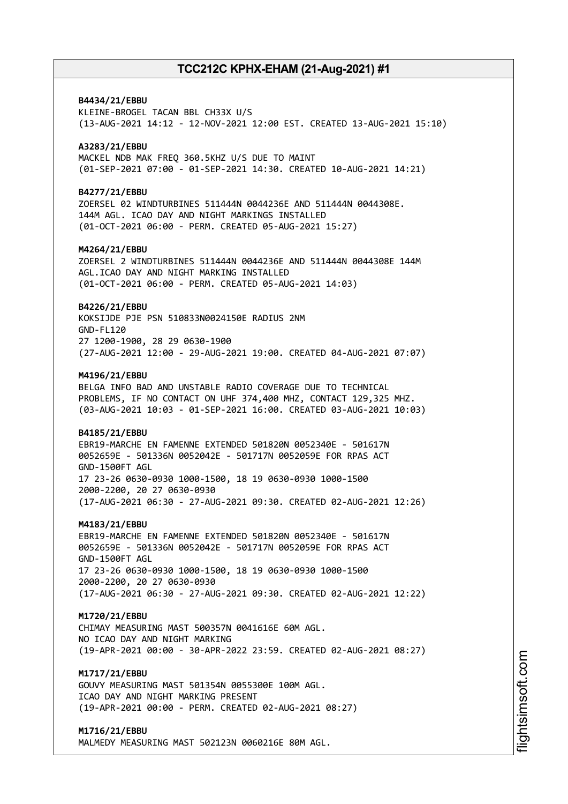# **B4434/21/EBBU** KLEINE-BROGEL TACAN BBL CH33X U/S (13-AUG-2021 14:12 - 12-NOV-2021 12:00 EST. CREATED 13-AUG-2021 15:10) **A3283/21/EBBU** MACKEL NDB MAK FREQ 360.5KHZ U/S DUE TO MAINT (01-SEP-2021 07:00 - 01-SEP-2021 14:30. CREATED 10-AUG-2021 14:21) **B4277/21/EBBU** ZOERSEL 02 WINDTURBINES 511444N 0044236E AND 511444N 0044308E. 144M AGL. ICAO DAY AND NIGHT MARKINGS INSTALLED (01-OCT-2021 06:00 - PERM. CREATED 05-AUG-2021 15:27) **M4264/21/EBBU** ZOERSEL 2 WINDTURBINES 511444N 0044236E AND 511444N 0044308E 144M AGL.ICAO DAY AND NIGHT MARKING INSTALLED (01-OCT-2021 06:00 - PERM. CREATED 05-AUG-2021 14:03) **B4226/21/EBBU** KOKSIJDE PJE PSN 510833N0024150E RADIUS 2NM GND-FL120 27 1200-1900, 28 29 0630-1900 (27-AUG-2021 12:00 - 29-AUG-2021 19:00. CREATED 04-AUG-2021 07:07) **M4196/21/EBBU** BELGA INFO BAD AND UNSTABLE RADIO COVERAGE DUE TO TECHNICAL PROBLEMS, IF NO CONTACT ON UHF 374,400 MHZ, CONTACT 129,325 MHZ. (03-AUG-2021 10:03 - 01-SEP-2021 16:00. CREATED 03-AUG-2021 10:03) **B4185/21/EBBU** EBR19-MARCHE EN FAMENNE EXTENDED 501820N 0052340E - 501617N 0052659E - 501336N 0052042E - 501717N 0052059E FOR RPAS ACT GND-1500FT AGL 17 23-26 0630-0930 1000-1500, 18 19 0630-0930 1000-1500 2000-2200, 20 27 0630-0930 (17-AUG-2021 06:30 - 27-AUG-2021 09:30. CREATED 02-AUG-2021 12:26) **M4183/21/EBBU** EBR19-MARCHE EN FAMENNE EXTENDED 501820N 0052340E - 501617N 0052659E - 501336N 0052042E - 501717N 0052059E FOR RPAS ACT GND-1500FT AGL 17 23-26 0630-0930 1000-1500, 18 19 0630-0930 1000-1500 2000-2200, 20 27 0630-0930 (17-AUG-2021 06:30 - 27-AUG-2021 09:30. CREATED 02-AUG-2021 12:22) **M1720/21/EBBU** CHIMAY MEASURING MAST 500357N 0041616E 60M AGL. NO ICAO DAY AND NIGHT MARKING (19-APR-2021 00:00 - 30-APR-2022 23:59. CREATED 02-AUG-2021 08:27) **M1717/21/EBBU** GOUVY MEASURING MAST 501354N 0055300E 100M AGL. ICAO DAY AND NIGHT MARKING PRESENT (19-APR-2021 00:00 - PERM. CREATED 02-AUG-2021 08:27) **M1716/21/EBBU**

MALMEDY MEASURING MAST 502123N 0060216E 80M AGL.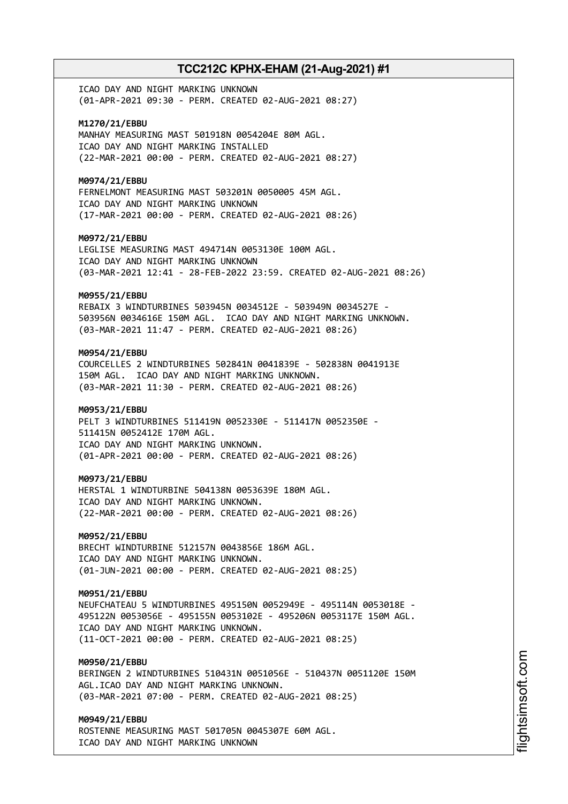ICAO DAY AND NIGHT MARKING UNKNOWN (01-APR-2021 09:30 - PERM. CREATED 02-AUG-2021 08:27)

**M1270/21/EBBU** MANHAY MEASURING MAST 501918N 0054204E 80M AGL. ICAO DAY AND NIGHT MARKING INSTALLED (22-MAR-2021 00:00 - PERM. CREATED 02-AUG-2021 08:27)

**M0974/21/EBBU** FERNELMONT MEASURING MAST 503201N 0050005 45M AGL.

ICAO DAY AND NIGHT MARKING UNKNOWN (17-MAR-2021 00:00 - PERM. CREATED 02-AUG-2021 08:26)

**M0972/21/EBBU**

LEGLISE MEASURING MAST 494714N 0053130E 100M AGL. ICAO DAY AND NIGHT MARKING UNKNOWN (03-MAR-2021 12:41 - 28-FEB-2022 23:59. CREATED 02-AUG-2021 08:26)

### **M0955/21/EBBU**

REBAIX 3 WINDTURBINES 503945N 0034512E - 503949N 0034527E - 503956N 0034616E 150M AGL. ICAO DAY AND NIGHT MARKING UNKNOWN. (03-MAR-2021 11:47 - PERM. CREATED 02-AUG-2021 08:26)

### **M0954/21/EBBU**

COURCELLES 2 WINDTURBINES 502841N 0041839E - 502838N 0041913E 150M AGL. ICAO DAY AND NIGHT MARKING UNKNOWN. (03-MAR-2021 11:30 - PERM. CREATED 02-AUG-2021 08:26)

### **M0953/21/EBBU**

PELT 3 WINDTURBINES 511419N 0052330E - 511417N 0052350E - 511415N 0052412E 170M AGL. ICAO DAY AND NIGHT MARKING UNKNOWN. (01-APR-2021 00:00 - PERM. CREATED 02-AUG-2021 08:26)

#### **M0973/21/EBBU**

HERSTAL 1 WINDTURBINE 504138N 0053639E 180M AGL. ICAO DAY AND NIGHT MARKING UNKNOWN. (22-MAR-2021 00:00 - PERM. CREATED 02-AUG-2021 08:26)

### **M0952/21/EBBU**

BRECHT WINDTURBINE 512157N 0043856E 186M AGL. ICAO DAY AND NIGHT MARKING UNKNOWN. (01-JUN-2021 00:00 - PERM. CREATED 02-AUG-2021 08:25)

### **M0951/21/EBBU**

NEUFCHATEAU 5 WINDTURBINES 495150N 0052949E - 495114N 0053018E - 495122N 0053056E - 495155N 0053102E - 495206N 0053117E 150M AGL. ICAO DAY AND NIGHT MARKING UNKNOWN. (11-OCT-2021 00:00 - PERM. CREATED 02-AUG-2021 08:25)

### **M0950/21/EBBU**

BERINGEN 2 WINDTURBINES 510431N 0051056E - 510437N 0051120E 150M AGL.ICAO DAY AND NIGHT MARKING UNKNOWN. (03-MAR-2021 07:00 - PERM. CREATED 02-AUG-2021 08:25)

# **M0949/21/EBBU**

ROSTENNE MEASURING MAST 501705N 0045307E 60M AGL. ICAO DAY AND NIGHT MARKING UNKNOWN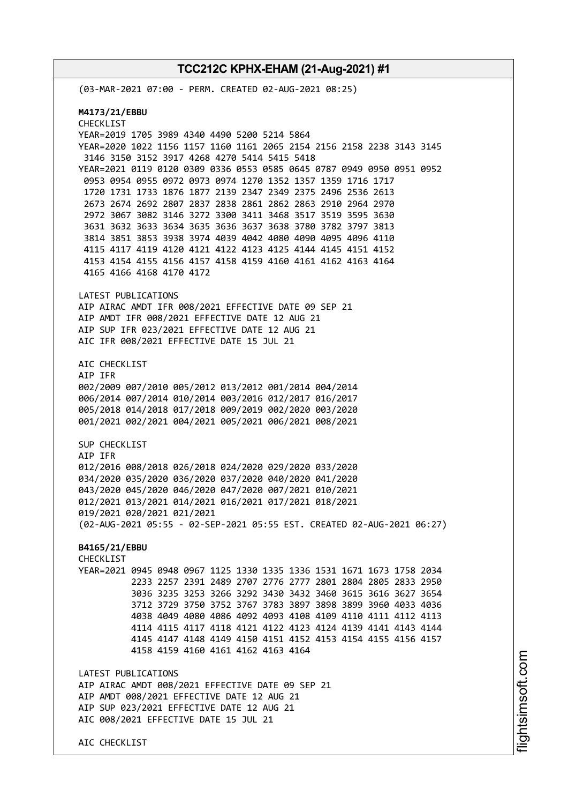AIC CHECKLIST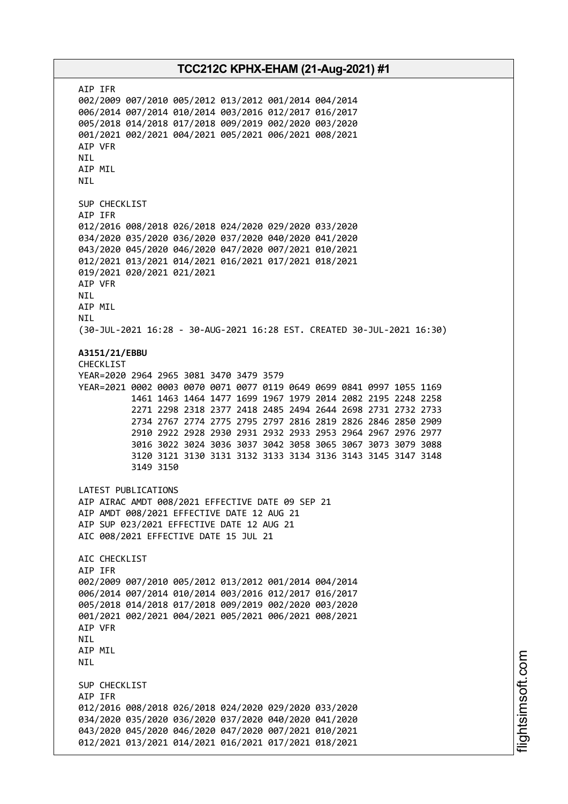AIP IFR 002/2009 007/2010 005/2012 013/2012 001/2014 004/2014 006/2014 007/2014 010/2014 003/2016 012/2017 016/2017 005/2018 014/2018 017/2018 009/2019 002/2020 003/2020 001/2021 002/2021 004/2021 005/2021 006/2021 008/2021 AIP VFR NIL AIP MIL NIL SUP CHECKLIST AIP IFR 012/2016 008/2018 026/2018 024/2020 029/2020 033/2020 034/2020 035/2020 036/2020 037/2020 040/2020 041/2020 043/2020 045/2020 046/2020 047/2020 007/2021 010/2021 012/2021 013/2021 014/2021 016/2021 017/2021 018/2021 019/2021 020/2021 021/2021 AIP VFR NIL AIP MIL NIL (30-JUL-2021 16:28 - 30-AUG-2021 16:28 EST. CREATED 30-JUL-2021 16:30) **A3151/21/EBBU** CHECKLIST YEAR=2020 2964 2965 3081 3470 3479 3579 YEAR=2021 0002 0003 0070 0071 0077 0119 0649 0699 0841 0997 1055 1169 1461 1463 1464 1477 1699 1967 1979 2014 2082 2195 2248 2258 2271 2298 2318 2377 2418 2485 2494 2644 2698 2731 2732 2733 2734 2767 2774 2775 2795 2797 2816 2819 2826 2846 2850 2909 2910 2922 2928 2930 2931 2932 2933 2953 2964 2967 2976 2977 3016 3022 3024 3036 3037 3042 3058 3065 3067 3073 3079 3088 3120 3121 3130 3131 3132 3133 3134 3136 3143 3145 3147 3148 3149 3150 LATEST PUBLICATIONS AIP AIRAC AMDT 008/2021 EFFECTIVE DATE 09 SEP 21 AIP AMDT 008/2021 EFFECTIVE DATE 12 AUG 21 AIP SUP 023/2021 EFFECTIVE DATE 12 AUG 21 AIC 008/2021 EFFECTIVE DATE 15 JUL 21 AIC CHECKLIST AIP IFR 002/2009 007/2010 005/2012 013/2012 001/2014 004/2014 006/2014 007/2014 010/2014 003/2016 012/2017 016/2017 005/2018 014/2018 017/2018 009/2019 002/2020 003/2020 001/2021 002/2021 004/2021 005/2021 006/2021 008/2021 AIP VFR NIL AIP MIL NIL SUP CHECKLIST AIP IFR 012/2016 008/2018 026/2018 024/2020 029/2020 033/2020 034/2020 035/2020 036/2020 037/2020 040/2020 041/2020 043/2020 045/2020 046/2020 047/2020 007/2021 010/2021 012/2021 013/2021 014/2021 016/2021 017/2021 018/2021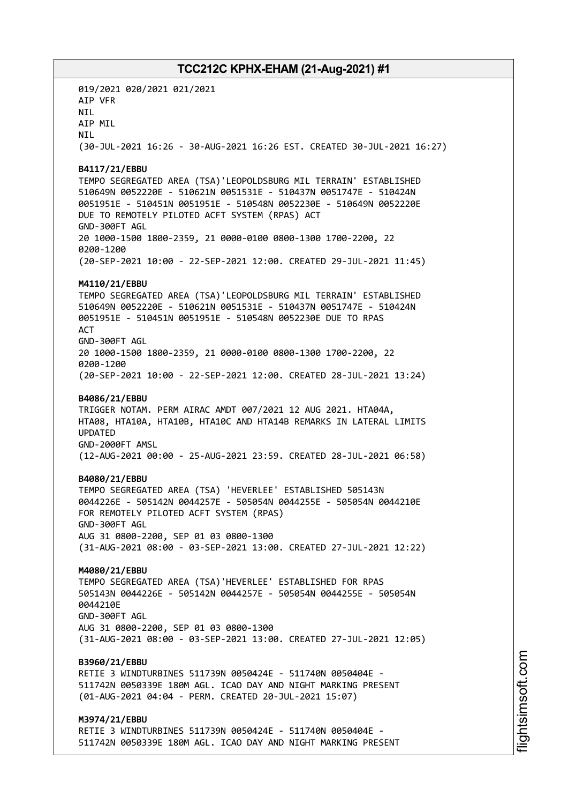019/2021 020/2021 021/2021 AIP VFR NIL AIP MIL **NTI** (30-JUL-2021 16:26 - 30-AUG-2021 16:26 EST. CREATED 30-JUL-2021 16:27) **B4117/21/EBBU** TEMPO SEGREGATED AREA (TSA)'LEOPOLDSBURG MIL TERRAIN' ESTABLISHED 510649N 0052220E - 510621N 0051531E - 510437N 0051747E - 510424N 0051951E - 510451N 0051951E - 510548N 0052230E - 510649N 0052220E DUE TO REMOTELY PILOTED ACFT SYSTEM (RPAS) ACT GND-300FT AGL 20 1000-1500 1800-2359, 21 0000-0100 0800-1300 1700-2200, 22 0200-1200 (20-SEP-2021 10:00 - 22-SEP-2021 12:00. CREATED 29-JUL-2021 11:45) **M4110/21/EBBU** TEMPO SEGREGATED AREA (TSA)'LEOPOLDSBURG MIL TERRAIN' ESTABLISHED 510649N 0052220E - 510621N 0051531E - 510437N 0051747E - 510424N 0051951E - 510451N 0051951E - 510548N 0052230E DUE TO RPAS **ACT** GND-300FT AGL 20 1000-1500 1800-2359, 21 0000-0100 0800-1300 1700-2200, 22 0200-1200 (20-SEP-2021 10:00 - 22-SEP-2021 12:00. CREATED 28-JUL-2021 13:24) **B4086/21/EBBU** TRIGGER NOTAM. PERM AIRAC AMDT 007/2021 12 AUG 2021. HTA04A, HTA08, HTA10A, HTA10B, HTA10C AND HTA14B REMARKS IN LATERAL LIMITS UPDATED GND-2000FT AMSL (12-AUG-2021 00:00 - 25-AUG-2021 23:59. CREATED 28-JUL-2021 06:58) **B4080/21/EBBU** TEMPO SEGREGATED AREA (TSA) 'HEVERLEE' ESTABLISHED 505143N 0044226E - 505142N 0044257E - 505054N 0044255E - 505054N 0044210E FOR REMOTELY PILOTED ACFT SYSTEM (RPAS) GND-300FT AGL AUG 31 0800-2200, SEP 01 03 0800-1300 (31-AUG-2021 08:00 - 03-SEP-2021 13:00. CREATED 27-JUL-2021 12:22) **M4080/21/EBBU** TEMPO SEGREGATED AREA (TSA)'HEVERLEE' ESTABLISHED FOR RPAS 505143N 0044226E - 505142N 0044257E - 505054N 0044255E - 505054N 0044210E GND-300FT AGL AUG 31 0800-2200, SEP 01 03 0800-1300 (31-AUG-2021 08:00 - 03-SEP-2021 13:00. CREATED 27-JUL-2021 12:05) **B3960/21/EBBU** RETIE 3 WINDTURBINES 511739N 0050424E - 511740N 0050404E - 511742N 0050339E 180M AGL. ICAO DAY AND NIGHT MARKING PRESENT (01-AUG-2021 04:04 - PERM. CREATED 20-JUL-2021 15:07) **M3974/21/EBBU** RETIE 3 WINDTURBINES 511739N 0050424E - 511740N 0050404E - 511742N 0050339E 180M AGL. ICAO DAY AND NIGHT MARKING PRESENT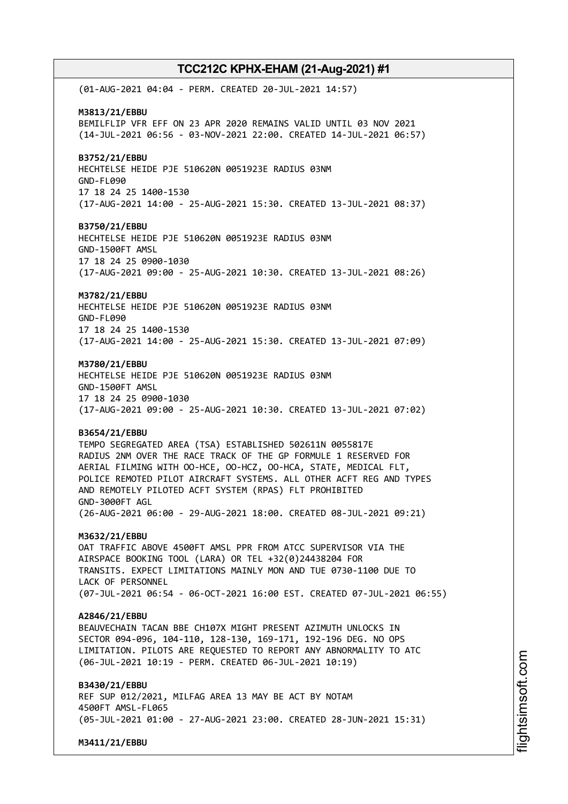(01-AUG-2021 04:04 - PERM. CREATED 20-JUL-2021 14:57) **M3813/21/EBBU** BEMILFLIP VFR EFF ON 23 APR 2020 REMAINS VALID UNTIL 03 NOV 2021 (14-JUL-2021 06:56 - 03-NOV-2021 22:00. CREATED 14-JUL-2021 06:57) **B3752/21/EBBU** HECHTELSE HEIDE PJE 510620N 0051923E RADIUS 03NM GND-FL090 17 18 24 25 1400-1530 (17-AUG-2021 14:00 - 25-AUG-2021 15:30. CREATED 13-JUL-2021 08:37) **B3750/21/EBBU** HECHTELSE HEIDE PJE 510620N 0051923E RADIUS 03NM GND-1500FT AMSL 17 18 24 25 0900-1030 (17-AUG-2021 09:00 - 25-AUG-2021 10:30. CREATED 13-JUL-2021 08:26) **M3782/21/EBBU** HECHTELSE HEIDE PJE 510620N 0051923E RADIUS 03NM GND-FL090 17 18 24 25 1400-1530 (17-AUG-2021 14:00 - 25-AUG-2021 15:30. CREATED 13-JUL-2021 07:09) **M3780/21/EBBU** HECHTELSE HEIDE PJE 510620N 0051923E RADIUS 03NM GND-1500FT AMSL 17 18 24 25 0900-1030 (17-AUG-2021 09:00 - 25-AUG-2021 10:30. CREATED 13-JUL-2021 07:02) **B3654/21/EBBU** TEMPO SEGREGATED AREA (TSA) ESTABLISHED 502611N 0055817E RADIUS 2NM OVER THE RACE TRACK OF THE GP FORMULE 1 RESERVED FOR AERIAL FILMING WITH OO-HCE, OO-HCZ, OO-HCA, STATE, MEDICAL FLT, POLICE REMOTED PILOT AIRCRAFT SYSTEMS. ALL OTHER ACFT REG AND TYPES AND REMOTELY PILOTED ACFT SYSTEM (RPAS) FLT PROHIBITED GND-3000FT AGL (26-AUG-2021 06:00 - 29-AUG-2021 18:00. CREATED 08-JUL-2021 09:21) **M3632/21/EBBU** OAT TRAFFIC ABOVE 4500FT AMSL PPR FROM ATCC SUPERVISOR VIA THE AIRSPACE BOOKING TOOL (LARA) OR TEL +32(0)24438204 FOR TRANSITS. EXPECT LIMITATIONS MAINLY MON AND TUE 0730-1100 DUE TO LACK OF PERSONNEL (07-JUL-2021 06:54 - 06-OCT-2021 16:00 EST. CREATED 07-JUL-2021 06:55) **A2846/21/EBBU** BEAUVECHAIN TACAN BBE CH107X MIGHT PRESENT AZIMUTH UNLOCKS IN SECTOR 094-096, 104-110, 128-130, 169-171, 192-196 DEG. NO OPS LIMITATION. PILOTS ARE REQUESTED TO REPORT ANY ABNORMALITY TO ATC (06-JUL-2021 10:19 - PERM. CREATED 06-JUL-2021 10:19) **B3430/21/EBBU** REF SUP 012/2021, MILFAG AREA 13 MAY BE ACT BY NOTAM 4500FT AMSL-FL065 (05-JUL-2021 01:00 - 27-AUG-2021 23:00. CREATED 28-JUN-2021 15:31) **M3411/21/EBBU**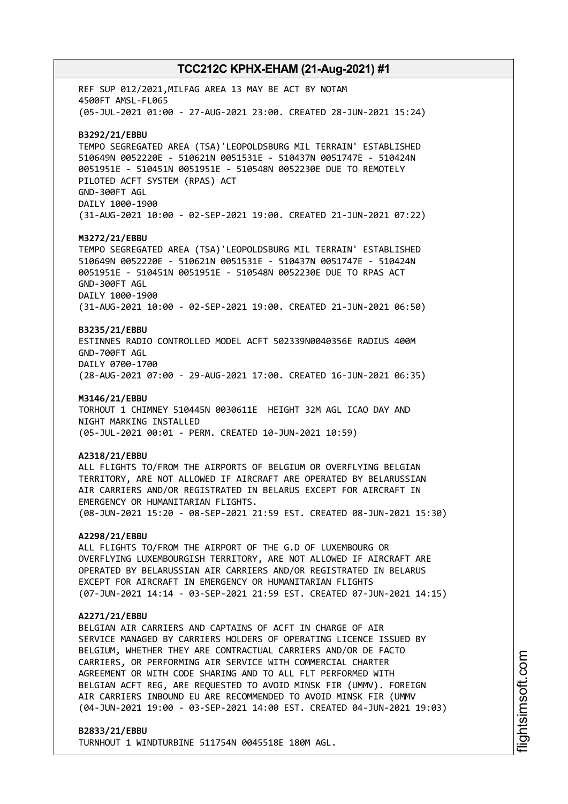REF SUP 012/2021,MILFAG AREA 13 MAY BE ACT BY NOTAM 4500FT AMSL-FL065 (05-JUL-2021 01:00 - 27-AUG-2021 23:00. CREATED 28-JUN-2021 15:24) **B3292/21/EBBU** TEMPO SEGREGATED AREA (TSA)'LEOPOLDSBURG MIL TERRAIN' ESTABLISHED 510649N 0052220E - 510621N 0051531E - 510437N 0051747E - 510424N 0051951E - 510451N 0051951E - 510548N 0052230E DUE TO REMOTELY PILOTED ACFT SYSTEM (RPAS) ACT GND-300FT AGL DAILY 1000-1900 (31-AUG-2021 10:00 - 02-SEP-2021 19:00. CREATED 21-JUN-2021 07:22) **M3272/21/EBBU** TEMPO SEGREGATED AREA (TSA)'LEOPOLDSBURG MIL TERRAIN' ESTABLISHED 510649N 0052220E - 510621N 0051531E - 510437N 0051747E - 510424N 0051951E - 510451N 0051951E - 510548N 0052230E DUE TO RPAS ACT GND-300FT AGL DAILY 1000-1900 (31-AUG-2021 10:00 - 02-SEP-2021 19:00. CREATED 21-JUN-2021 06:50) **B3235/21/EBBU** ESTINNES RADIO CONTROLLED MODEL ACFT 502339N0040356E RADIUS 400M GND-700FT AGL DAILY 0700-1700 (28-AUG-2021 07:00 - 29-AUG-2021 17:00. CREATED 16-JUN-2021 06:35) **M3146/21/EBBU** TORHOUT 1 CHIMNEY 510445N 0030611E HEIGHT 32M AGL ICAO DAY AND NIGHT MARKING INSTALLED (05-JUL-2021 00:01 - PERM. CREATED 10-JUN-2021 10:59) **A2318/21/EBBU** ALL FLIGHTS TO/FROM THE AIRPORTS OF BELGIUM OR OVERFLYING BELGIAN TERRITORY, ARE NOT ALLOWED IF AIRCRAFT ARE OPERATED BY BELARUSSIAN AIR CARRIERS AND/OR REGISTRATED IN BELARUS EXCEPT FOR AIRCRAFT IN EMERGENCY OR HUMANITARIAN FLIGHTS. (08-JUN-2021 15:20 - 08-SEP-2021 21:59 EST. CREATED 08-JUN-2021 15:30) **A2298/21/EBBU** ALL FLIGHTS TO/FROM THE AIRPORT OF THE G.D OF LUXEMBOURG OR OVERFLYING LUXEMBOURGISH TERRITORY, ARE NOT ALLOWED IF AIRCRAFT ARE OPERATED BY BELARUSSIAN AIR CARRIERS AND/OR REGISTRATED IN BELARUS

#### **A2271/21/EBBU**

BELGIAN AIR CARRIERS AND CAPTAINS OF ACFT IN CHARGE OF AIR SERVICE MANAGED BY CARRIERS HOLDERS OF OPERATING LICENCE ISSUED BY BELGIUM, WHETHER THEY ARE CONTRACTUAL CARRIERS AND/OR DE FACTO CARRIERS, OR PERFORMING AIR SERVICE WITH COMMERCIAL CHARTER AGREEMENT OR WITH CODE SHARING AND TO ALL FLT PERFORMED WITH BELGIAN ACFT REG, ARE REQUESTED TO AVOID MINSK FIR (UMMV). FOREIGN AIR CARRIERS INBOUND EU ARE RECOMMENDED TO AVOID MINSK FIR (UMMV (04-JUN-2021 19:00 - 03-SEP-2021 14:00 EST. CREATED 04-JUN-2021 19:03)

(07-JUN-2021 14:14 - 03-SEP-2021 21:59 EST. CREATED 07-JUN-2021 14:15)

### **B2833/21/EBBU**

TURNHOUT 1 WINDTURBINE 511754N 0045518E 180M AGL.

EXCEPT FOR AIRCRAFT IN EMERGENCY OR HUMANITARIAN FLIGHTS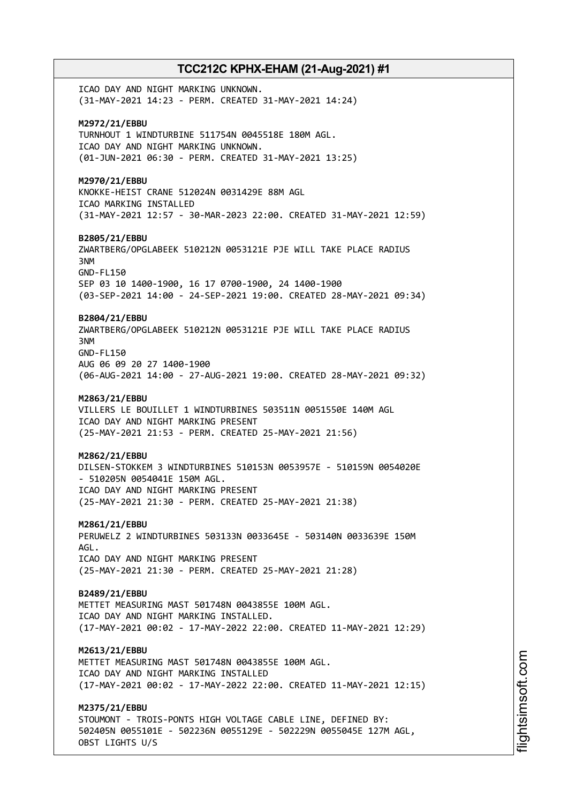ICAO DAY AND NIGHT MARKING UNKNOWN. (31-MAY-2021 14:23 - PERM. CREATED 31-MAY-2021 14:24) **M2972/21/EBBU** TURNHOUT 1 WINDTURBINE 511754N 0045518E 180M AGL. ICAO DAY AND NIGHT MARKING UNKNOWN. (01-JUN-2021 06:30 - PERM. CREATED 31-MAY-2021 13:25) **M2970/21/EBBU** KNOKKE-HEIST CRANE 512024N 0031429E 88M AGL ICAO MARKING INSTALLED (31-MAY-2021 12:57 - 30-MAR-2023 22:00. CREATED 31-MAY-2021 12:59) **B2805/21/EBBU** ZWARTBERG/OPGLABEEK 510212N 0053121E PJE WILL TAKE PLACE RADIUS 3NM GND-FL150 SEP 03 10 1400-1900, 16 17 0700-1900, 24 1400-1900 (03-SEP-2021 14:00 - 24-SEP-2021 19:00. CREATED 28-MAY-2021 09:34) **B2804/21/EBBU** ZWARTBERG/OPGLABEEK 510212N 0053121E PJE WILL TAKE PLACE RADIUS 3NM GND-FL150 AUG 06 09 20 27 1400-1900 (06-AUG-2021 14:00 - 27-AUG-2021 19:00. CREATED 28-MAY-2021 09:32) **M2863/21/EBBU** VILLERS LE BOUILLET 1 WINDTURBINES 503511N 0051550E 140M AGL ICAO DAY AND NIGHT MARKING PRESENT (25-MAY-2021 21:53 - PERM. CREATED 25-MAY-2021 21:56) **M2862/21/EBBU** DILSEN-STOKKEM 3 WINDTURBINES 510153N 0053957E - 510159N 0054020E - 510205N 0054041E 150M AGL. ICAO DAY AND NIGHT MARKING PRESENT (25-MAY-2021 21:30 - PERM. CREATED 25-MAY-2021 21:38) **M2861/21/EBBU** PERUWELZ 2 WINDTURBINES 503133N 0033645E - 503140N 0033639E 150M AGL. ICAO DAY AND NIGHT MARKING PRESENT (25-MAY-2021 21:30 - PERM. CREATED 25-MAY-2021 21:28) **B2489/21/EBBU** METTET MEASURING MAST 501748N 0043855E 100M AGL. ICAO DAY AND NIGHT MARKING INSTALLED. (17-MAY-2021 00:02 - 17-MAY-2022 22:00. CREATED 11-MAY-2021 12:29) **M2613/21/EBBU** METTET MEASURING MAST 501748N 0043855E 100M AGL. ICAO DAY AND NIGHT MARKING INSTALLED (17-MAY-2021 00:02 - 17-MAY-2022 22:00. CREATED 11-MAY-2021 12:15) **M2375/21/EBBU** STOUMONT - TROIS-PONTS HIGH VOLTAGE CABLE LINE, DEFINED BY: 502405N 0055101E - 502236N 0055129E - 502229N 0055045E 127M AGL,

OBST LIGHTS U/S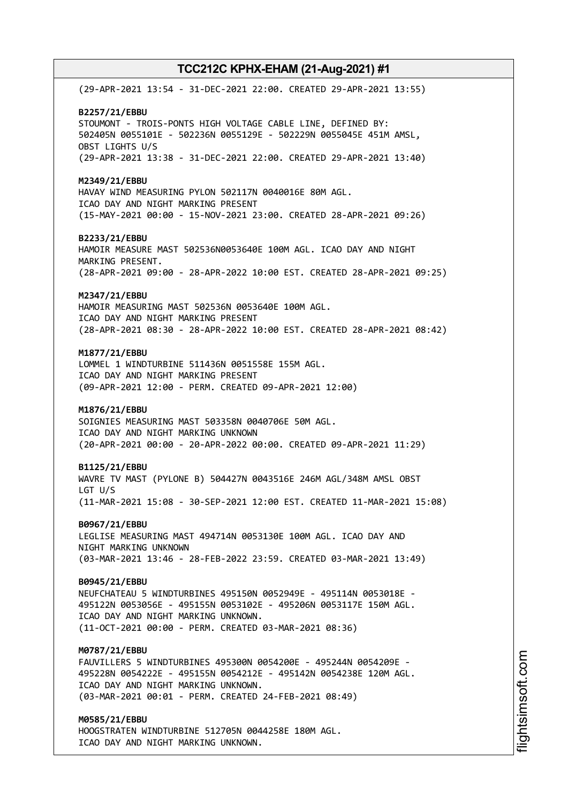(29-APR-2021 13:54 - 31-DEC-2021 22:00. CREATED 29-APR-2021 13:55) **B2257/21/EBBU** STOUMONT - TROIS-PONTS HIGH VOLTAGE CABLE LINE, DEFINED BY: 502405N 0055101E - 502236N 0055129E - 502229N 0055045E 451M AMSL, OBST LIGHTS U/S (29-APR-2021 13:38 - 31-DEC-2021 22:00. CREATED 29-APR-2021 13:40) **M2349/21/EBBU** HAVAY WIND MEASURING PYLON 502117N 0040016E 80M AGL. ICAO DAY AND NIGHT MARKING PRESENT (15-MAY-2021 00:00 - 15-NOV-2021 23:00. CREATED 28-APR-2021 09:26) **B2233/21/EBBU** HAMOIR MEASURE MAST 502536N0053640E 100M AGL. ICAO DAY AND NIGHT MARKING PRESENT. (28-APR-2021 09:00 - 28-APR-2022 10:00 EST. CREATED 28-APR-2021 09:25) **M2347/21/EBBU** HAMOIR MEASURING MAST 502536N 0053640E 100M AGL. ICAO DAY AND NIGHT MARKING PRESENT (28-APR-2021 08:30 - 28-APR-2022 10:00 EST. CREATED 28-APR-2021 08:42) **M1877/21/EBBU** LOMMEL 1 WINDTURBINE 511436N 0051558E 155M AGL. ICAO DAY AND NIGHT MARKING PRESENT (09-APR-2021 12:00 - PERM. CREATED 09-APR-2021 12:00) **M1876/21/EBBU** SOIGNIES MEASURING MAST 503358N 0040706E 50M AGL. ICAO DAY AND NIGHT MARKING UNKNOWN (20-APR-2021 00:00 - 20-APR-2022 00:00. CREATED 09-APR-2021 11:29) **B1125/21/EBBU** WAVRE TV MAST (PYLONE B) 504427N 0043516E 246M AGL/348M AMSL OBST LGT U/S (11-MAR-2021 15:08 - 30-SEP-2021 12:00 EST. CREATED 11-MAR-2021 15:08) **B0967/21/EBBU** LEGLISE MEASURING MAST 494714N 0053130E 100M AGL. ICAO DAY AND NIGHT MARKING UNKNOWN (03-MAR-2021 13:46 - 28-FEB-2022 23:59. CREATED 03-MAR-2021 13:49) **B0945/21/EBBU** NEUFCHATEAU 5 WINDTURBINES 495150N 0052949E - 495114N 0053018E - 495122N 0053056E - 495155N 0053102E - 495206N 0053117E 150M AGL. ICAO DAY AND NIGHT MARKING UNKNOWN. (11-OCT-2021 00:00 - PERM. CREATED 03-MAR-2021 08:36) **M0787/21/EBBU** FAUVILLERS 5 WINDTURBINES 495300N 0054200E - 495244N 0054209E - 495228N 0054222E - 495155N 0054212E - 495142N 0054238E 120M AGL. ICAO DAY AND NIGHT MARKING UNKNOWN. (03-MAR-2021 00:01 - PERM. CREATED 24-FEB-2021 08:49) **M0585/21/EBBU** HOOGSTRATEN WINDTURBINE 512705N 0044258E 180M AGL. ICAO DAY AND NIGHT MARKING UNKNOWN.